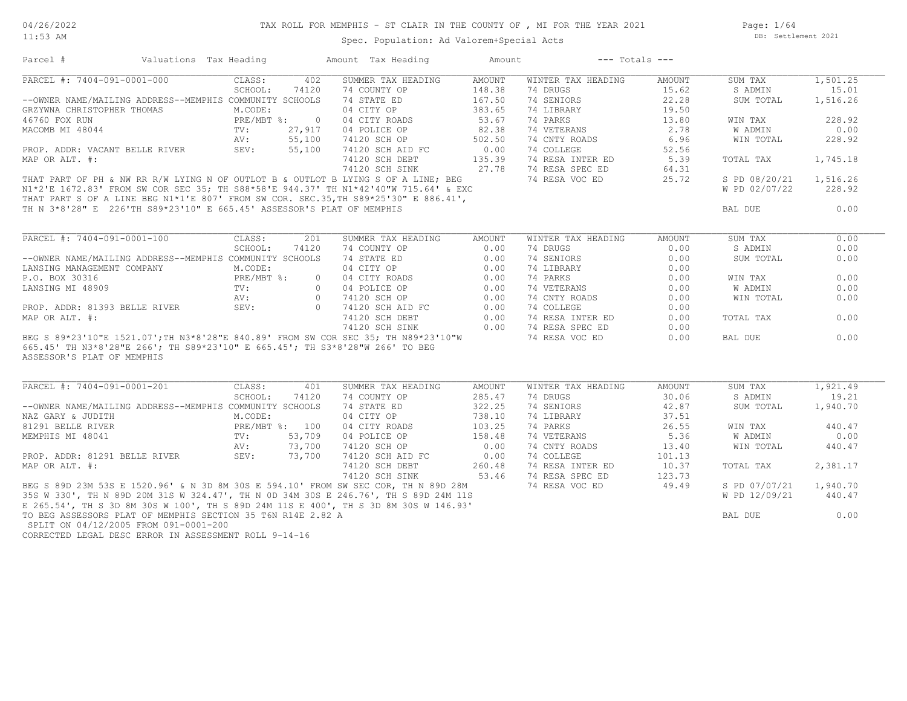11:53 AM

#### TAX ROLL FOR MEMPHIS - ST CLAIR IN THE COUNTY OF , MI FOR THE YEAR 2021

Spec. Population: Ad Valorem+Special Acts

Page: 1/64 DB: Settlement 2021

| Parcel #                                                                                                                                                                                                                                                                                                                                                                                                                                                         | Valuations Tax Heading                     |         |       | Amount Tax Heading                                                                                                                                                                                                                                                                                                                                                                                                                                                | Amount           |                                                | $---$ Totals $---$ |                        |          |  |
|------------------------------------------------------------------------------------------------------------------------------------------------------------------------------------------------------------------------------------------------------------------------------------------------------------------------------------------------------------------------------------------------------------------------------------------------------------------|--------------------------------------------|---------|-------|-------------------------------------------------------------------------------------------------------------------------------------------------------------------------------------------------------------------------------------------------------------------------------------------------------------------------------------------------------------------------------------------------------------------------------------------------------------------|------------------|------------------------------------------------|--------------------|------------------------|----------|--|
| PARCEL #: 7404-091-0001-000 CLASS:                                                                                                                                                                                                                                                                                                                                                                                                                               |                                            |         |       | 402 SUMMER TAX HEADING AMOUNT                                                                                                                                                                                                                                                                                                                                                                                                                                     |                  | WINTER TAX HEADING                             | AMOUNT             | SUM TAX                | 1,501.25 |  |
|                                                                                                                                                                                                                                                                                                                                                                                                                                                                  |                                            | SCHOOL: | 74120 | 74 COUNTY OP                                                                                                                                                                                                                                                                                                                                                                                                                                                      |                  | 74 DRUGS                                       | 15.62              | S ADMIN                | 15.01    |  |
| --OWNER NAME/MAILING ADDRESS--MEMPHIS COMMUNITY SCHOOLS                                                                                                                                                                                                                                                                                                                                                                                                          |                                            |         |       | 74 STATE ED                                                                                                                                                                                                                                                                                                                                                                                                                                                       | 148.38<br>167.50 | 74 SENIORS                                     | 22.28              | SUM TOTAL              | 1,516.26 |  |
| GRZYWNA CHRISTOPHER THOMAS                                                                                                                                                                                                                                                                                                                                                                                                                                       |                                            | M.CODE: |       | 04 CITY OP<br>04 CITY OP<br>04 CITY ROADS<br>04 POLICE OP<br>74120 SCH OP<br>74120 SCH AID FC<br>74120 SCH AID FC<br>74120 SCH DEBT<br>135.39<br>74 RESA INTER ED<br>74120 SCH DEBT<br>74120 SCH SINK<br>74120 SCH SINK<br>74120 SCH SINK<br>74 RESA SPEC ED<br>74 RESA                                                                                                                                                                                           |                  |                                                |                    |                        |          |  |
| $\begin{tabular}{lllllllllll} \multicolumn{2}{c}{\textbf{46760 FOX RUN}} & & & & & & \multicolumn{2}{c}{\textbf{PRE} / \textbf{MBT}} $ & $\ddot{\text{s}}$ : & 0$ \\ \multicolumn{2}{c}{\textbf{MACOMB MI 48044}} & & & & \multicolumn{2}{c}{\textbf{TV:}} & 27,917 \\ \multicolumn{2}{c}{\textbf{PROP. ADDR: VACANT BELLE RIVER}} & & & \multicolumn{2}{c}{\textbf{S5,100}} \\ \multicolumn{2}{c}{\textbf{PROP. ADDR: VACANT BELLE RIVER}} & & & \multicolumn{$ |                                            |         |       |                                                                                                                                                                                                                                                                                                                                                                                                                                                                   |                  |                                                |                    | WIN TAX                | 228.92   |  |
|                                                                                                                                                                                                                                                                                                                                                                                                                                                                  |                                            |         |       |                                                                                                                                                                                                                                                                                                                                                                                                                                                                   |                  |                                                |                    | W ADMIN                | 0.00     |  |
|                                                                                                                                                                                                                                                                                                                                                                                                                                                                  |                                            |         |       |                                                                                                                                                                                                                                                                                                                                                                                                                                                                   |                  |                                                |                    | WIN TOTAL              | 228.92   |  |
|                                                                                                                                                                                                                                                                                                                                                                                                                                                                  |                                            |         |       |                                                                                                                                                                                                                                                                                                                                                                                                                                                                   |                  |                                                |                    |                        |          |  |
| MAP OR ALT. #:                                                                                                                                                                                                                                                                                                                                                                                                                                                   |                                            |         |       |                                                                                                                                                                                                                                                                                                                                                                                                                                                                   |                  |                                                |                    | TOTAL TAX              | 1,745.18 |  |
|                                                                                                                                                                                                                                                                                                                                                                                                                                                                  |                                            |         |       |                                                                                                                                                                                                                                                                                                                                                                                                                                                                   |                  |                                                |                    |                        |          |  |
|                                                                                                                                                                                                                                                                                                                                                                                                                                                                  |                                            |         |       | THAT PART OF PH & NW RR R/W LYING N OF OUTLOT B & OUTLOT B LYING S OF A LINE; BEG                                                                                                                                                                                                                                                                                                                                                                                 |                  |                                                |                    | S PD 08/20/21 1,516.26 |          |  |
|                                                                                                                                                                                                                                                                                                                                                                                                                                                                  |                                            |         |       |                                                                                                                                                                                                                                                                                                                                                                                                                                                                   |                  |                                                |                    | W PD 02/07/22          | 228.92   |  |
|                                                                                                                                                                                                                                                                                                                                                                                                                                                                  |                                            |         |       |                                                                                                                                                                                                                                                                                                                                                                                                                                                                   |                  |                                                |                    |                        |          |  |
|                                                                                                                                                                                                                                                                                                                                                                                                                                                                  |                                            |         |       | THAT PART OF PH & NW RR R/W LYING N OF OUTLOT B & OUTLOT B LITNG 5 OF A LING, LLC<br>N1*2'E 1672.83' FROM SW COR SEC 35; TH S88*58'E 944.37' TH N1*42'40"W 715.64' & EXC<br>THAT PART S OF A LINE BEG N1*1'E 807' FROM SW COR. SEC.                                                                                                                                                                                                                               |                  |                                                |                    |                        |          |  |
|                                                                                                                                                                                                                                                                                                                                                                                                                                                                  |                                            |         |       |                                                                                                                                                                                                                                                                                                                                                                                                                                                                   |                  |                                                |                    | BAL DUE                | 0.00     |  |
|                                                                                                                                                                                                                                                                                                                                                                                                                                                                  |                                            |         |       |                                                                                                                                                                                                                                                                                                                                                                                                                                                                   |                  |                                                |                    |                        |          |  |
| PARCEL #: 7404-091-0001-100                                                                                                                                                                                                                                                                                                                                                                                                                                      |                                            | CLASS:  | 201   | SUMMER TAX HEADING<br>$\begin{tabular}{l c c c c c c} \hline \texttt{PARCEL} & \#: \ 7404-091-0001-100 & \texttt{CLASS:} & \ 201 & \texttt{SUMMER TAX HEALIING} & \texttt{APUUNIT} & \texttt{MINUUR I AABALING} \\ & \multicolumn{3}{c}{\multicolumn{3}{c}{\multicolumn{3}{c}{\multicolumn{3}{c}{\multicolumn{3}{c}{\multicolumn{3}{c}{\multicolumn{3}{c}{\multicolumn{3}{c}{\multicolumn{3}{c}{\multicolumn{3}{c}{\multicolumn{3}{c}{\multicolumn{3}{c}{\multic$ | AMOUNT           | WINTER TAX HEADING                             | AMOUNT             | SUM TAX                | 0.00     |  |
|                                                                                                                                                                                                                                                                                                                                                                                                                                                                  |                                            |         |       |                                                                                                                                                                                                                                                                                                                                                                                                                                                                   |                  |                                                | 0.00               | S ADMIN                | 0.00     |  |
|                                                                                                                                                                                                                                                                                                                                                                                                                                                                  |                                            |         |       |                                                                                                                                                                                                                                                                                                                                                                                                                                                                   |                  |                                                | 0.00               | SUM TOTAL              | 0.00     |  |
|                                                                                                                                                                                                                                                                                                                                                                                                                                                                  |                                            |         |       |                                                                                                                                                                                                                                                                                                                                                                                                                                                                   |                  |                                                | 0.00               |                        |          |  |
|                                                                                                                                                                                                                                                                                                                                                                                                                                                                  |                                            |         |       |                                                                                                                                                                                                                                                                                                                                                                                                                                                                   |                  |                                                | 0.00               | WIN TAX                | 0.00     |  |
|                                                                                                                                                                                                                                                                                                                                                                                                                                                                  |                                            |         |       |                                                                                                                                                                                                                                                                                                                                                                                                                                                                   |                  | 74 VETERANS                                    | 0.00               | W ADMIN                | 0.00     |  |
|                                                                                                                                                                                                                                                                                                                                                                                                                                                                  |                                            |         |       |                                                                                                                                                                                                                                                                                                                                                                                                                                                                   |                  |                                                | 0.00               | WIN TOTAL              | 0.00     |  |
|                                                                                                                                                                                                                                                                                                                                                                                                                                                                  |                                            |         |       |                                                                                                                                                                                                                                                                                                                                                                                                                                                                   |                  |                                                | 0.00               |                        |          |  |
|                                                                                                                                                                                                                                                                                                                                                                                                                                                                  |                                            |         |       |                                                                                                                                                                                                                                                                                                                                                                                                                                                                   |                  |                                                | 0.00               | TOTAL TAX              | 0.00     |  |
|                                                                                                                                                                                                                                                                                                                                                                                                                                                                  |                                            |         |       |                                                                                                                                                                                                                                                                                                                                                                                                                                                                   |                  |                                                | 0.00               |                        |          |  |
|                                                                                                                                                                                                                                                                                                                                                                                                                                                                  |                                            |         |       | BEG S 89*23'10"E 1521.07'; TH N3*8'28"E 840.89' FROM SW COR SEC 35; TH N89*23'10"W                                                                                                                                                                                                                                                                                                                                                                                |                  | 74 RESA VOC ED                                 | 0.00               | BAL DUE                | 0.00     |  |
| 665.45' TH N3*8'28"E 266'; TH S89*23'10" E 665.45'; TH S3*8'28"W 266' TO BEG<br>ASSESSOR'S PLAT OF MEMPHIS                                                                                                                                                                                                                                                                                                                                                       |                                            |         |       |                                                                                                                                                                                                                                                                                                                                                                                                                                                                   |                  |                                                |                    |                        |          |  |
| PARCEL #: 7404-091-0001-201                                                                                                                                                                                                                                                                                                                                                                                                                                      |                                            | CLASS:  | 401   | SUMMER TAX HEADING                                                                                                                                                                                                                                                                                                                                                                                                                                                | AMOUNT           | WINTER TAX HEADING                             | AMOUNT             | SUM TAX                | 1,921.49 |  |
|                                                                                                                                                                                                                                                                                                                                                                                                                                                                  |                                            | SCHOOL: | 74120 | 74 COUNTY OP                                                                                                                                                                                                                                                                                                                                                                                                                                                      | 285.47           | 74 DRUGS                                       | 30.06              | S ADMIN                | 19.21    |  |
| --OWNER NAME/MAILING ADDRESS--MEMPHIS COMMUNITY SCHOOLS                                                                                                                                                                                                                                                                                                                                                                                                          |                                            |         |       | 74 STATE ED                                                                                                                                                                                                                                                                                                                                                                                                                                                       | 322.25           | 74 SENIORS                                     | 42.87              | SUM TOTAL              | 1,940.70 |  |
| NAZ GARY & JUDITH                                                                                                                                                                                                                                                                                                                                                                                                                                                |                                            | M.CODE: |       | 04 CITY OP                                                                                                                                                                                                                                                                                                                                                                                                                                                        | 738.10           | 74 LIBRARY                                     | 37.51              |                        |          |  |
| 81291 BELLE RIVER                                                                                                                                                                                                                                                                                                                                                                                                                                                | PRE/MBT %: 100<br>TV: 53,709<br>AV: 73,700 |         |       | 04 CITY ROADS 103.25<br>04 POLICE OP 158.48                                                                                                                                                                                                                                                                                                                                                                                                                       |                  | 74 PARKS                                       | 26.55              | WIN TAX                | 440.47   |  |
| MEMPHIS MI 48041                                                                                                                                                                                                                                                                                                                                                                                                                                                 |                                            |         |       |                                                                                                                                                                                                                                                                                                                                                                                                                                                                   |                  | 74 VETERANS                                    | 5.36               | W ADMIN                | 0.00     |  |
|                                                                                                                                                                                                                                                                                                                                                                                                                                                                  |                                            |         |       | 74120 SCH OP                                                                                                                                                                                                                                                                                                                                                                                                                                                      |                  | 74 CNTY ROADS                                  | 13.40              | WIN TOTAL              | 440.47   |  |
| PROP. ADDR: 81291 BELLE RIVER SEV: 73,700                                                                                                                                                                                                                                                                                                                                                                                                                        |                                            |         |       | 74120 SCH AID FC                                                                                                                                                                                                                                                                                                                                                                                                                                                  | $0.00$<br>$0.00$ | 74 COLLEGE                                     | 101.13             |                        |          |  |
| MAP OR ALT. #:                                                                                                                                                                                                                                                                                                                                                                                                                                                   |                                            |         |       | 74120 SCH DEBT                                                                                                                                                                                                                                                                                                                                                                                                                                                    | 260.48           | 74 RESA INTER ED                               | 10.37              | TOTAL TAX              | 2,381.17 |  |
|                                                                                                                                                                                                                                                                                                                                                                                                                                                                  |                                            |         |       | 74120 SCH SINK                                                                                                                                                                                                                                                                                                                                                                                                                                                    |                  | 53.46 74 RESA SPEC ED                          |                    |                        |          |  |
|                                                                                                                                                                                                                                                                                                                                                                                                                                                                  |                                            |         |       |                                                                                                                                                                                                                                                                                                                                                                                                                                                                   |                  | 74 RESA SPEC ED 123.73<br>74 RESA VOC ED 49.49 |                    | S PD 07/07/21          | 1,940.70 |  |
|                                                                                                                                                                                                                                                                                                                                                                                                                                                                  |                                            |         |       |                                                                                                                                                                                                                                                                                                                                                                                                                                                                   |                  |                                                |                    | W PD 12/09/21          | 440.47   |  |
|                                                                                                                                                                                                                                                                                                                                                                                                                                                                  |                                            |         |       |                                                                                                                                                                                                                                                                                                                                                                                                                                                                   |                  |                                                |                    |                        |          |  |
| TO BEG ASSESSORS PLAT OF MEMPHIS SECTION 35 T6N R14E 2.82 A<br>SPLIT ON 04/12/2005 FROM 091-0001-200                                                                                                                                                                                                                                                                                                                                                             |                                            |         |       | BEG S 89D 23M 53S E 1520.96' & N 3D 8M 30S E 594.10' FROM SW SEC COR, IN N 0J LONDER 35S W 330', TH N 89D 20M 31S W 324.47', TH N 0D 34M 30S E 246.76', TH S 89D 24M 11S<br>35S W 330', TH N 89D 20M 31S W 324.47', TH N 0D 34M 3                                                                                                                                                                                                                                 |                  |                                                |                    | BAL DUE                | 0.00     |  |
|                                                                                                                                                                                                                                                                                                                                                                                                                                                                  |                                            |         |       |                                                                                                                                                                                                                                                                                                                                                                                                                                                                   |                  |                                                |                    |                        |          |  |

CORRECTED LEGAL DESC ERROR IN ASSESSMENT ROLL 9-14-16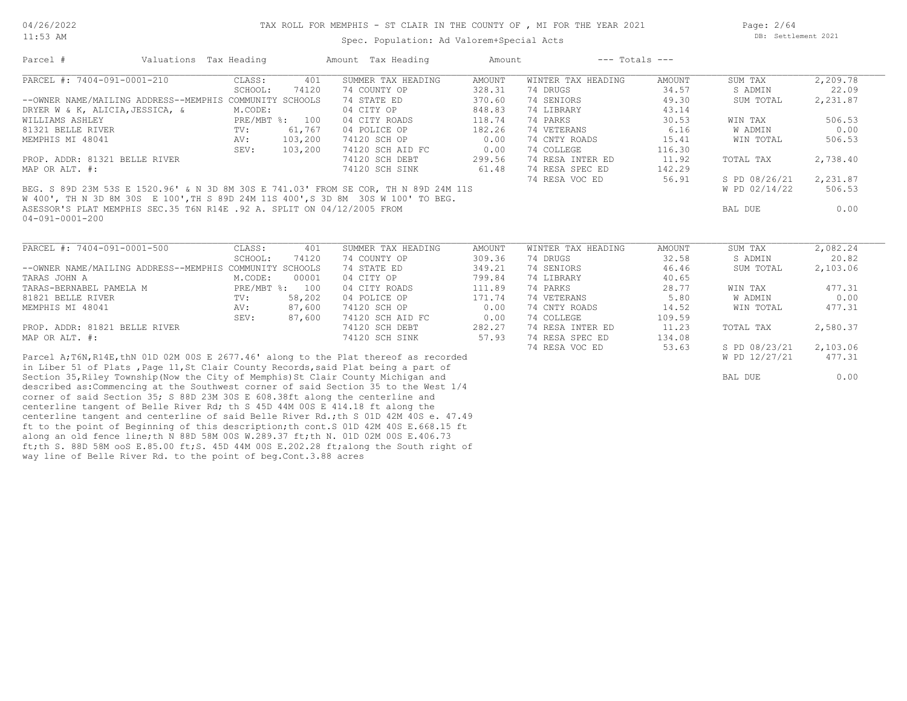way line of Belle River Rd. to the point of beg.Cont.3.88 acres

ft;th S. 88D 58M ooS E.85.00 ft;S. 45D 44M 00S E.202.28 ft;along the South right of

11:53 AM

#### Spec. Population: Ad Valorem+Special Acts

Page: 2/64 DB: Settlement 2021

| Parcel #                                                                             | Valuations Tax Heading |               |                | Amount Tax Heading                                                                   | Amount | $---$ Totals $---$ |        |               |          |
|--------------------------------------------------------------------------------------|------------------------|---------------|----------------|--------------------------------------------------------------------------------------|--------|--------------------|--------|---------------|----------|
| PARCEL #: 7404-091-0001-210                                                          |                        | CLASS:        | 401            | SUMMER TAX HEADING                                                                   | AMOUNT | WINTER TAX HEADING | AMOUNT | SUM TAX       | 2,209.78 |
|                                                                                      |                        | SCHOOL:       | 74120          | 74 COUNTY OP                                                                         | 328.31 | 74 DRUGS           | 34.57  | S ADMIN       | 22.09    |
| --OWNER NAME/MAILING ADDRESS--MEMPHIS COMMUNITY SCHOOLS                              |                        |               |                | 74 STATE ED                                                                          | 370.60 | 74 SENIORS         | 49.30  | SUM TOTAL     | 2,231.87 |
| DRYER W & K, ALICIA, JESSICA, &                                                      |                        | M.CODE:       |                | 04 CITY OP                                                                           | 848.83 | 74 LIBRARY         | 43.14  |               |          |
| WILLIAMS ASHLEY                                                                      |                        |               | PRE/MBT %: 100 | 04 CITY ROADS                                                                        | 118.74 | 74 PARKS           | 30.53  | WIN TAX       | 506.53   |
| 81321 BELLE RIVER                                                                    |                        | TV:           | 61,767         | 04 POLICE OP                                                                         | 182.26 | 74 VETERANS        | 6.16   | W ADMIN       | 0.00     |
| MEMPHIS MI 48041                                                                     |                        | AV:           | 103,200        | 74120 SCH OP                                                                         | 0.00   | 74 CNTY ROADS      | 15.41  | WIN TOTAL     | 506.53   |
|                                                                                      |                        | SEV:          | 103,200        | 74120 SCH AID FC                                                                     | 0.00   | 74 COLLEGE         | 116.30 |               |          |
| PROP. ADDR: 81321 BELLE RIVER                                                        |                        |               |                | 74120 SCH DEBT                                                                       | 299.56 | 74 RESA INTER ED   | 11.92  | TOTAL TAX     | 2,738.40 |
| MAP OR ALT. #:                                                                       |                        |               |                | 74120 SCH SINK                                                                       | 61.48  | 74 RESA SPEC ED    | 142.29 |               |          |
|                                                                                      |                        |               |                |                                                                                      |        | 74 RESA VOC ED     | 56.91  | S PD 08/26/21 | 2,231.87 |
| BEG. S 89D 23M 53S E 1520.96' & N 3D 8M 30S E 741.03' FROM SE COR, TH N 89D 24M 11S  |                        |               |                |                                                                                      |        |                    |        | W PD 02/14/22 | 506.53   |
| W 400', TH N 3D 8M 30S E 100', TH S 89D 24M 11S 400', S 3D 8M 30S W 100' TO BEG.     |                        |               |                |                                                                                      |        |                    |        |               |          |
| ASESSOR'S PLAT MEMPHIS SEC.35 T6N R14E .92 A. SPLIT ON 04/12/2005 FROM               |                        |               |                |                                                                                      |        |                    |        | BAL DUE       | 0.00     |
| 04-091-0001-200                                                                      |                        |               |                |                                                                                      |        |                    |        |               |          |
|                                                                                      |                        |               |                |                                                                                      |        |                    |        |               |          |
| PARCEL #: 7404-091-0001-500                                                          |                        | CLASS:        | 401            | SUMMER TAX HEADING                                                                   | AMOUNT | WINTER TAX HEADING | AMOUNT | SUM TAX       | 2,082.24 |
|                                                                                      |                        | SCHOOL:       | 74120          | 74 COUNTY OP                                                                         | 309.36 | 74 DRUGS           | 32.58  | S ADMIN       | 20.82    |
| --OWNER NAME/MAILING ADDRESS--MEMPHIS COMMUNITY SCHOOLS                              |                        |               |                | 74 STATE ED                                                                          | 349.21 | 74 SENIORS         | 46.46  | SUM TOTAL     | 2,103.06 |
| TARAS JOHN A                                                                         |                        | M.CODE:       | 00001          | 04 CITY OP                                                                           | 799.84 | 74 LIBRARY         | 40.65  |               |          |
| TARAS-BERNABEL PAMELA M                                                              |                        |               | PRE/MBT %: 100 | 04 CITY ROADS                                                                        | 111.89 | 74 PARKS           | 28.77  | WIN TAX       | 477.31   |
| 81821 BELLE RIVER                                                                    |                        | $\text{TV}$ : | 58,202         | 04 POLICE OP                                                                         | 171.74 | 74 VETERANS        | 5.80   | W ADMIN       | 0.00     |
| MEMPHIS MI 48041                                                                     |                        | AV:           | 87,600         | 74120 SCH OP                                                                         | 0.00   | 74 CNTY ROADS      | 14.52  | WIN TOTAL     | 477.31   |
|                                                                                      |                        | SEV:          | 87,600         | 74120 SCH AID FC                                                                     | 0.00   | 74 COLLEGE         | 109.59 |               |          |
| PROP. ADDR: 81821 BELLE RIVER                                                        |                        |               |                | 74120 SCH DEBT                                                                       | 282.27 | 74 RESA INTER ED   | 11.23  | TOTAL TAX     | 2,580.37 |
| MAP OR ALT. #:                                                                       |                        |               |                | 74120 SCH SINK                                                                       | 57.93  | 74 RESA SPEC ED    | 134.08 |               |          |
|                                                                                      |                        |               |                |                                                                                      |        | 74 RESA VOC ED     | 53.63  | S PD 08/23/21 | 2,103.06 |
|                                                                                      |                        |               |                | Parcel A;T6N, R14E, thN 01D 02M 00S E 2677.46' along to the Plat thereof as recorded |        |                    |        | W PD 12/27/21 | 477.31   |
|                                                                                      |                        |               |                | in Liber 51 of Plats, Page 11, St Clair County Records, said Plat being a part of    |        |                    |        |               |          |
| Section 35, Riley Township (Now the City of Memphis) St Clair County Michigan and    |                        |               |                |                                                                                      |        |                    |        | BAL DUE       | 0.00     |
|                                                                                      |                        |               |                | described as: Commencing at the Southwest corner of said Section 35 to the West 1/4  |        |                    |        |               |          |
| corner of said Section 35; S 88D 23M 30S E 608.38ft along the centerline and         |                        |               |                |                                                                                      |        |                    |        |               |          |
| centerline tangent of Belle River Rd; th S 45D 44M 00S E 414.18 ft along the         |                        |               |                |                                                                                      |        |                    |        |               |          |
|                                                                                      |                        |               |                | centerline tangent and centerline of said Belle River Rd.; th S 01D 42M 40S e. 47.49 |        |                    |        |               |          |
| ft to the point of Beginning of this description; th cont. S 01D 42M 40S E.668.15 ft |                        |               |                |                                                                                      |        |                    |        |               |          |
| along an old fence line; th N 88D 58M 00S W.289.37 ft; th N. 01D 02M 00S E.406.73    |                        |               |                |                                                                                      |        |                    |        |               |          |
|                                                                                      |                        |               |                |                                                                                      |        |                    |        |               |          |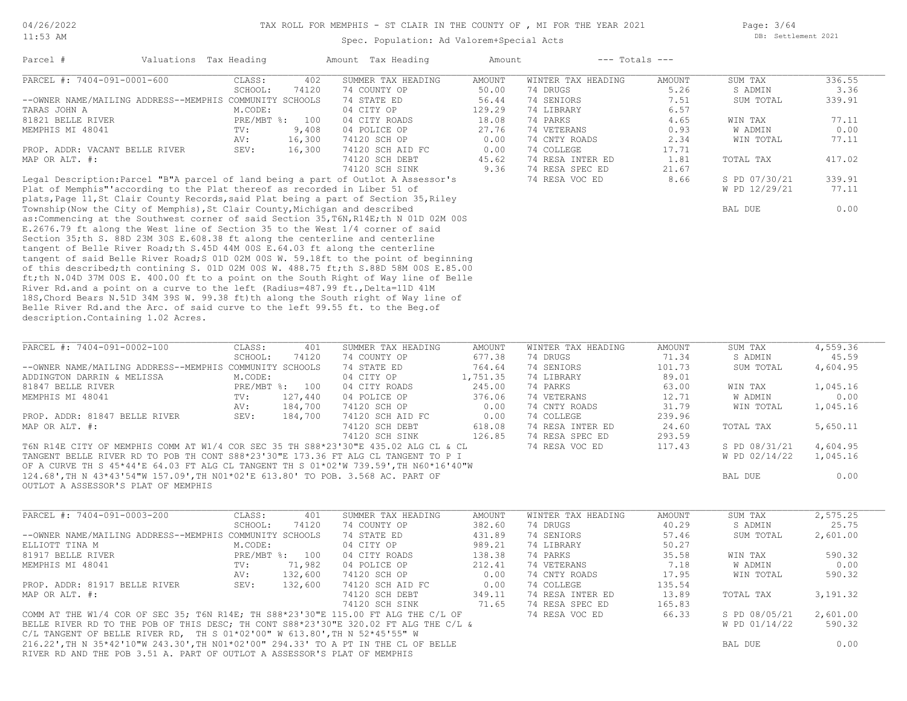Page: 3/64 DB: Settlement 2021

#### Spec. Population: Ad Valorem+Special Acts

| Parcel #                                                                    | Valuations Tax Heading |              |        | Amount Tax Heading                                                                   | Amount |                    | $---$ Totals $---$ |               |        |
|-----------------------------------------------------------------------------|------------------------|--------------|--------|--------------------------------------------------------------------------------------|--------|--------------------|--------------------|---------------|--------|
| PARCEL #: 7404-091-0001-600                                                 |                        | CLASS:       | 402    | SUMMER TAX HEADING                                                                   | AMOUNT | WINTER TAX HEADING | AMOUNT             | SUM TAX       | 336.55 |
|                                                                             |                        | SCHOOL:      | 74120  | 74 COUNTY OP                                                                         | 50.00  | 74 DRUGS           | 5.26               | S ADMIN       | 3.36   |
| --OWNER NAME/MAILING ADDRESS--MEMPHIS COMMUNITY SCHOOLS                     |                        |              |        | 74 STATE ED                                                                          | 56.44  | 74 SENIORS         | 7.51               | SUM TOTAL     | 339.91 |
| TARAS JOHN A                                                                |                        | M.CODE:      |        | 04 CITY OP                                                                           | 129.29 | 74 LIBRARY         | 6.57               |               |        |
| 81821 BELLE RIVER                                                           |                        | $PRE/MBT$ %: | 100    | 04 CITY ROADS                                                                        | 18.08  | 74 PARKS           | 4.65               | WIN TAX       | 77.11  |
| MEMPHIS MI 48041                                                            |                        | TV:          | 9,408  | 04 POLICE OP                                                                         | 27.76  | 74 VETERANS        | 0.93               | W ADMIN       | 0.00   |
|                                                                             |                        | AV:          | 16,300 | 74120 SCH OP                                                                         | 0.00   | 74 CNTY ROADS      | 2.34               | WIN TOTAL     | 77.11  |
| PROP. ADDR: VACANT BELLE RIVER                                              |                        | SEV:         | 16,300 | 74120 SCH AID FC                                                                     | 0.00   | 74 COLLEGE         | 17.71              |               |        |
| MAP OR ALT. #:                                                              |                        |              |        | 74120 SCH DEBT                                                                       | 45.62  | 74 RESA INTER ED   | 1.81               | TOTAL TAX     | 417.02 |
|                                                                             |                        |              |        | 74120 SCH SINK                                                                       | 9.36   | 74 RESA SPEC ED    | 21.67              |               |        |
|                                                                             |                        |              |        | Legal Description: Parcel "B"A parcel of land being a part of Outlot A Assessor's    |        | 74 RESA VOC ED     | 8.66               | S PD 07/30/21 | 339.91 |
| Plat of Memphis" according to the Plat thereof as recorded in Liber 51 of   |                        |              |        |                                                                                      |        |                    |                    | W PD 12/29/21 | 77.11  |
|                                                                             |                        |              |        | plats, Page 11, St Clair County Records, said Plat being a part of Section 35, Riley |        |                    |                    |               |        |
| Township (Now the City of Memphis), St Clair County, Michigan and described |                        |              |        |                                                                                      |        |                    |                    | BAL DUE       | 0.00   |

description.Containing 1.02 Acres. Belle River Rd.and the Arc. of said curve to the left 99.55 ft. to the Beg.of 18S,Chord Bears N.51D 34M 39S W. 99.38 ft)th along the South right of Way line of River Rd.and a point on a curve to the left (Radius=487.99 ft., Delta=11D 41M ft;th N.04D 37M 00S E. 400.00 ft to a point on the South Right of Way line of Belle of this described;th contining S. 01D 02M 00S W. 488.75 ft;th S.88D 58M 00S E.85.00 tangent of said Belle River Road;S 01D 02M 00S W. 59.18ft to the point of beginning tangent of Belle River Road;th S.45D 44M 00S E.64.03 ft along the centerline Section 35;th S. 88D 23M 30S E.608.38 ft along the centerline and centerline SCHOOL: 74120 74 COUNTY OP 677.38 74 DRUGS 71.34 S ADMIN 45.59 PARCEL #: 7404-091-0002-100 CLASS: 401 SUMMER TAX HEADING AMOUNT WINTER TAX HEADING AMOUNT SUM TAX 4,559.36<br>SCHOOL: 74120 74 COUNTY OP 677.38 74 DRUGS 71.34 SADMIN 45.59  $\mathcal{L}_\mathcal{L} = \mathcal{L}_\mathcal{L} = \mathcal{L}_\mathcal{L} = \mathcal{L}_\mathcal{L} = \mathcal{L}_\mathcal{L} = \mathcal{L}_\mathcal{L} = \mathcal{L}_\mathcal{L} = \mathcal{L}_\mathcal{L} = \mathcal{L}_\mathcal{L} = \mathcal{L}_\mathcal{L} = \mathcal{L}_\mathcal{L} = \mathcal{L}_\mathcal{L} = \mathcal{L}_\mathcal{L} = \mathcal{L}_\mathcal{L} = \mathcal{L}_\mathcal{L} = \mathcal{L}_\mathcal{L} = \mathcal{L}_\mathcal{L}$ 

E.2676.79 ft along the West line of Section 35 to the West 1/4 corner of said as:Commencing at the Southwest corner of said Section 35,T6N,R14E;th N 01D 02M 00S

| --OWNER NAME/MAILING ADDRESS--MEMPHIS COMMUNITY SCHOOLS                              |              |         | 74 STATE ED      | 764.64   | 74 SENIORS       | 101.73 | SUM TOTAL     | 4,604.95 |  |
|--------------------------------------------------------------------------------------|--------------|---------|------------------|----------|------------------|--------|---------------|----------|--|
| ADDINGTON DARRIN & MELISSA                                                           | M.CODE:      |         | 04 CITY OP       | 1,751.35 | 74 LIBRARY       | 89.01  |               |          |  |
| 81847 BELLE RIVER                                                                    | $PRE/MBT$ %: | 100     | 04 CITY ROADS    | 245.00   | 74 PARKS         | 63.00  | WIN TAX       | 1,045.16 |  |
| MEMPHIS MI 48041                                                                     | TV:          | 127,440 | 04 POLICE OP     | 376.06   | 74 VETERANS      | 12.71  | W ADMIN       | 0.00     |  |
|                                                                                      | AV:          | 184,700 | 74120 SCH OP     | 0.00     | 74 CNTY ROADS    | 31.79  | WIN TOTAL     | 1,045.16 |  |
| PROP. ADDR: 81847 BELLE RIVER                                                        | SEV:         | 184,700 | 74120 SCH AID FC | 0.00     | 74 COLLEGE       | 239.96 |               |          |  |
| MAP OR ALT. #:                                                                       |              |         | 74120 SCH DEBT   | 618.08   | 74 RESA INTER ED | 24.60  | TOTAL TAX     | 5,650.11 |  |
|                                                                                      |              |         | 74120 SCH SINK   | 126.85   | 74 RESA SPEC ED  | 293.59 |               |          |  |
| T6N R14E CITY OF MEMPHIS COMM AT W1/4 COR SEC 35 TH S88*23'30"E 435.02 ALG CL & CL   |              |         |                  |          | 74 RESA VOC ED   | 117.43 | S PD 08/31/21 | 4,604.95 |  |
| TANGENT BELLE RIVER RD TO POB TH CONT S88*23'30"E 173.36 FT ALG CL TANGENT TO P I    |              |         |                  |          |                  |        | W PD 02/14/22 | 1,045.16 |  |
| OF A CURVE TH S 45*44'E 64.03 FT ALG CL TANGENT TH S 01*02'W 739.59', TH N60*16'40"W |              |         |                  |          |                  |        |               |          |  |
| 124.68',TH N 43*43'54"W 157.09',TH N01*02'E 613.80' TO POB. 3.568 AC. PART OF        |              |         |                  |          |                  |        | BAL DUE       | 0.00     |  |
| OUTLOT A ASSESSOR'S PLAT OF MEMPHIS                                                  |              |         |                  |          |                  |        |               |          |  |
|                                                                                      |              |         |                  |          |                  |        |               |          |  |

| PARCEL #: 7404-091-0003-200                                                         | CLASS:  | 401            | SUMMER TAX HEADING | AMOUNT | WINTER TAX HEADING | AMOUNT | SUM TAX       | 2,575.25 |
|-------------------------------------------------------------------------------------|---------|----------------|--------------------|--------|--------------------|--------|---------------|----------|
|                                                                                     | SCHOOL: | 74120          | 74 COUNTY OP       | 382.60 | 74 DRUGS           | 40.29  | S ADMIN       | 25.75    |
| --OWNER NAME/MAILING ADDRESS--MEMPHIS COMMUNITY SCHOOLS                             |         |                | 74 STATE ED        | 431.89 | 74 SENIORS         | 57.46  | SUM TOTAL     | 2,601.00 |
| ELLIOTT TINA M                                                                      | M.CODE: |                | 04 CITY OP         | 989.21 | 74 LIBRARY         | 50.27  |               |          |
| 81917 BELLE RIVER                                                                   |         | PRE/MBT %: 100 | 04 CITY ROADS      | 138.38 | 74 PARKS           | 35.58  | WIN TAX       | 590.32   |
| MEMPHIS MI 48041                                                                    | TV:     | 71,982         | 04 POLICE OP       | 212.41 | 74 VETERANS        | 7.18   | W ADMIN       | 0.00     |
|                                                                                     | AV:     | 132,600        | 74120 SCH OP       | 0.00   | 74 CNTY ROADS      | 17.95  | WIN TOTAL     | 590.32   |
| PROP. ADDR: 81917 BELLE RIVER                                                       | SEV:    | 132,600        | 74120 SCH AID FC   | 0.00   | 74 COLLEGE         | 135.54 |               |          |
| MAP OR ALT. #:                                                                      |         |                | 74120 SCH DEBT     | 349.11 | 74 RESA INTER ED   | 13.89  | TOTAL TAX     | 3,191.32 |
|                                                                                     |         |                | 74120 SCH SINK     | 71.65  | 74 RESA SPEC ED    | 165.83 |               |          |
| COMM AT THE W1/4 COR OF SEC 35; T6N R14E; TH S88*23'30"E 115.00 FT ALG THE C/L OF   |         |                |                    |        | 74 RESA VOC ED     | 66.33  | S PD 08/05/21 | 2,601.00 |
| BELLE RIVER RD TO THE POB OF THIS DESC; TH CONT S88*23'30"E 320.02 FT ALG THE C/L & |         |                |                    |        |                    |        | W PD 01/14/22 | 590.32   |
| C/L TANGENT OF BELLE RIVER RD, TH S $01*02'00''$ W $613.80'$ , TH N $52*45'55''$ W  |         |                |                    |        |                    |        |               |          |
| 216.22', TH N 35*42'10"W 243.30', TH N01*02'00" 294.33' TO A PT IN THE CL OF BELLE  |         |                |                    |        |                    |        | BAL DUE       | 0.00     |
| RIVER RD AND THE POB 3.51 A. PART OF OUTLOT A ASSESSOR'S PLAT OF MEMPHIS            |         |                |                    |        |                    |        |               |          |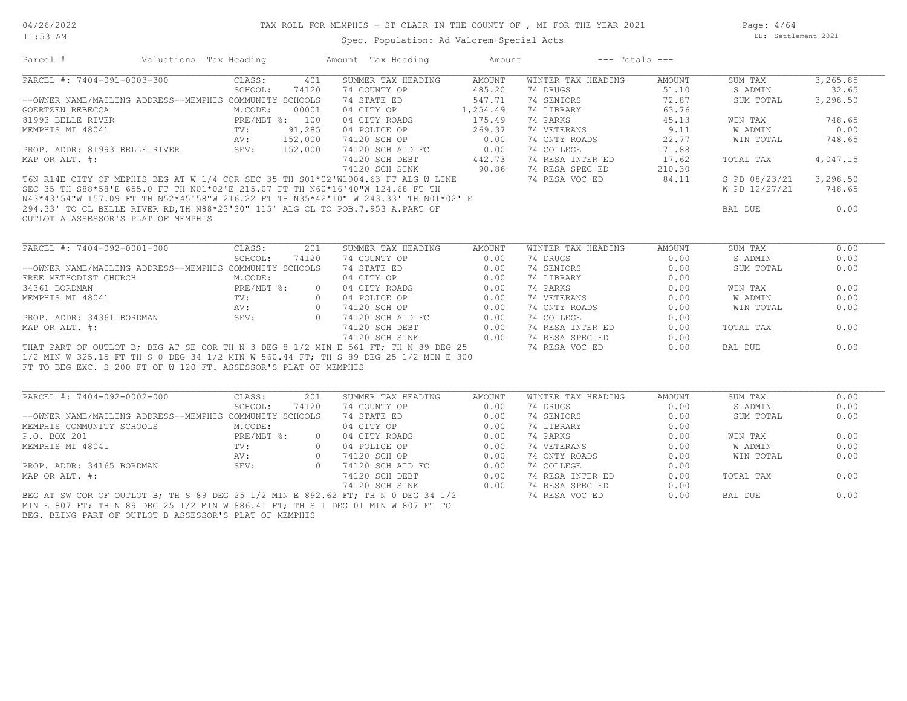11:53 AM

#### Spec. Population: Ad Valorem+Special Acts

Page: 4/64 DB: Settlement 2021

| Parcel #                                                                                                                                                                                                                                                                                                                                                                                               | Valuations Tax Heading            |       | Amount Tax Heading                                                     | Amount | $---$ Totals $---$           |        |               |           |
|--------------------------------------------------------------------------------------------------------------------------------------------------------------------------------------------------------------------------------------------------------------------------------------------------------------------------------------------------------------------------------------------------------|-----------------------------------|-------|------------------------------------------------------------------------|--------|------------------------------|--------|---------------|-----------|
| PARCEL #: 7404-091-0003-300                                                                                                                                                                                                                                                                                                                                                                            | CLASS:                            | 401   | SUMMER TAX HEADING                                                     | AMOUNT | WINTER TAX HEADING           | AMOUNT | SUM TAX       | 3, 265.85 |
|                                                                                                                                                                                                                                                                                                                                                                                                        | SCHOOL:                           | 74120 | 74 COUNTY OP                                                           | 485.20 | 74 DRUGS                     | 51.10  | S ADMIN       | 32.65     |
| --OWNER NAME/MAILING ADDRESS--MEMPHIS COMMUNITY SCHOOLS                                                                                                                                                                                                                                                                                                                                                |                                   |       |                                                                        | 547.71 | 74 SENIORS                   | 72.87  | SUM TOTAL     | 3,298.50  |
| GOERTZEN REBECCA                                                                                                                                                                                                                                                                                                                                                                                       | M.CODE:                           | 00001 | 74 STATE ED 547.71<br>04 CITY OP 1,254.49                              |        | 74 LIBRARY                   | 63.76  |               |           |
| 81993 BELLE RIVER<br>81993 BELLE RIVER                                                                                                                                                                                                                                                                                                                                                                 |                                   |       | 04 CITY ROADS                                                          | 175.49 | 74 PARKS                     | 45.13  | WIN TAX       | 748.65    |
| MEMPHIS MI 48041                                                                                                                                                                                                                                                                                                                                                                                       |                                   |       |                                                                        |        |                              | 9.11   | W ADMIN       | 0.00      |
|                                                                                                                                                                                                                                                                                                                                                                                                        | $TV:$ $91,285$<br>$AV:$ $152,000$ |       | 04 POLICE OP 269.37<br>74120 SCH OP 0.00                               |        | 74 VETERANS<br>74 CNTY ROADS | 22.77  | WIN TOTAL     | 748.65    |
| PROP. ADDR: 81993 BELLE RIVER SEV: 152,000                                                                                                                                                                                                                                                                                                                                                             |                                   |       |                                                                        |        | 74 COLLEGE                   | 171.88 |               |           |
| MAP OR ALT. #:                                                                                                                                                                                                                                                                                                                                                                                         |                                   |       |                                                                        |        | 74 RESA INTER ED             | 17.62  | TOTAL TAX     | 4,047.15  |
|                                                                                                                                                                                                                                                                                                                                                                                                        |                                   |       | 74120 SCH AID FC 0.00<br>74120 SCH DEBT 442.73<br>74120 SCH SINK 90.86 |        |                              | 210.30 |               |           |
|                                                                                                                                                                                                                                                                                                                                                                                                        |                                   |       |                                                                        |        | 74 RESA VOC ED 84.11         |        | S PD 08/23/21 | 3,298.50  |
| MAP OR ALT. #:<br>T6N R14E CITY OF MEPHIS BEG AT W 1/4 COR SEC 35 TH S01*02'W1004.63 FT ALG W LINE<br>SEC 35 TH S88*58'E 655.0 FT TH N01*02'E 215.07 FT TH N60*16'40"W 124.68 FT TH<br>N43*43'54"W 157.09 FT TH N52*45'58"W 216.22 F                                                                                                                                                                   |                                   |       |                                                                        |        |                              |        | W PD 12/27/21 | 748.65    |
|                                                                                                                                                                                                                                                                                                                                                                                                        |                                   |       |                                                                        |        |                              |        |               |           |
|                                                                                                                                                                                                                                                                                                                                                                                                        |                                   |       |                                                                        |        |                              |        | BAL DUE       | 0.00      |
|                                                                                                                                                                                                                                                                                                                                                                                                        |                                   |       |                                                                        |        |                              |        |               |           |
|                                                                                                                                                                                                                                                                                                                                                                                                        |                                   |       |                                                                        |        |                              |        |               |           |
| $\begin{tabular}{l c c c c c} \multicolumn{4}{c}{\textbf{RCEL}} $+$: $7404-092-0001-000$ & \multicolumn{4}{c}{\textbf{CLOS}}$ & \multicolumn{4}{c}{\textbf{SCH6OD1:}} & 201 & \textbf{SUMMER TAX HEDDING} & \multicolumn{4}{c}{\textbf{RECML}}\\ $-$\textbf{WBER}~\textbf{NAME} / \textbf{MALLING}~\textbf{ADREESS}--\textbf{MEMPHIS}~\textbf{COMMINTY}~\textbf{SCH6OD1:} & 744~\textbf{CONRTE}~\text$ |                                   |       |                                                                        |        |                              |        |               |           |
|                                                                                                                                                                                                                                                                                                                                                                                                        |                                   |       |                                                                        |        |                              |        | SUM TAX       | 0.00      |
|                                                                                                                                                                                                                                                                                                                                                                                                        |                                   |       |                                                                        |        |                              |        | S ADMIN       | 0.00      |
|                                                                                                                                                                                                                                                                                                                                                                                                        |                                   |       |                                                                        |        |                              |        | SUM TOTAL     | 0.00      |
|                                                                                                                                                                                                                                                                                                                                                                                                        |                                   |       |                                                                        |        |                              |        |               |           |
|                                                                                                                                                                                                                                                                                                                                                                                                        |                                   |       |                                                                        |        |                              |        | WIN TAX       | 0.00      |
|                                                                                                                                                                                                                                                                                                                                                                                                        |                                   |       |                                                                        |        |                              |        | W ADMIN       | 0.00      |
|                                                                                                                                                                                                                                                                                                                                                                                                        |                                   |       |                                                                        |        |                              |        | WIN TOTAL     | 0.00      |
|                                                                                                                                                                                                                                                                                                                                                                                                        |                                   |       |                                                                        |        |                              |        |               |           |
|                                                                                                                                                                                                                                                                                                                                                                                                        |                                   |       |                                                                        |        |                              |        | TOTAL TAX     | 0.00      |
|                                                                                                                                                                                                                                                                                                                                                                                                        |                                   |       |                                                                        |        |                              |        |               |           |
|                                                                                                                                                                                                                                                                                                                                                                                                        |                                   |       |                                                                        |        |                              |        | BAL DUE       | 0.00      |
|                                                                                                                                                                                                                                                                                                                                                                                                        |                                   |       |                                                                        |        |                              |        |               |           |
| FT TO BEG EXC. S 200 FT OF W 120 FT. ASSESSOR'S PLAT OF MEMPHIS                                                                                                                                                                                                                                                                                                                                        |                                   |       |                                                                        |        |                              |        |               |           |
|                                                                                                                                                                                                                                                                                                                                                                                                        |                                   |       |                                                                        |        |                              |        |               |           |
|                                                                                                                                                                                                                                                                                                                                                                                                        |                                   |       |                                                                        |        |                              |        |               |           |
| PARCEL #: 7404-092-0002-000                                                                                                                                                                                                                                                                                                                                                                            | CLASS:                            | 201   | SUMMER TAX HEADING                                                     | AMOUNT | WINTER TAX HEADING           | AMOUNT | SUM TAX       | 0.00      |
|                                                                                                                                                                                                                                                                                                                                                                                                        | SCHOOL:                           | 74120 | 74 COUNTY OP                                                           | 0.00   | 74 DRUGS                     | 0.00   | S ADMIN       | 0.00      |
|                                                                                                                                                                                                                                                                                                                                                                                                        |                                   |       |                                                                        |        | 74 SENIORS                   | 0.00   | SUM TOTAL     | 0.00      |
|                                                                                                                                                                                                                                                                                                                                                                                                        |                                   |       |                                                                        |        | 74 LIBRARY                   | 0.00   |               |           |
|                                                                                                                                                                                                                                                                                                                                                                                                        |                                   |       |                                                                        |        | 74 PARKS                     | 0.00   | WIN TAX       | 0.00      |
|                                                                                                                                                                                                                                                                                                                                                                                                        |                                   |       |                                                                        |        | 74 VETERANS                  | 0.00   | W ADMIN       | 0.00      |
|                                                                                                                                                                                                                                                                                                                                                                                                        |                                   |       |                                                                        |        | 74 CNTY ROADS                | 0.00   | WIN TOTAL     | 0.00      |
|                                                                                                                                                                                                                                                                                                                                                                                                        |                                   |       |                                                                        |        | 74 COLLEGE                   | 0.00   |               |           |
|                                                                                                                                                                                                                                                                                                                                                                                                        |                                   |       |                                                                        |        | 74 RESA INTER ED             | 0.00   | TOTAL TAX     | 0.00      |
| --OWNER NAME/MAILING ADDRESS--MEMPHIS COMOUNT SCHOOL: 74 COUNT OF 0.00<br>MEMPHIS COMMUNITY SCHOOLS M.CODE: 74 STATE ED<br>P.O. BOX 201<br>MEMPHIS MI 48041 TV: 0 04 CITY ROADS 0.00<br>MEMPHIS MI 48041 TV: 0 04 POLICE OP 0.00<br>MEMP                                                                                                                                                               |                                   |       |                                                                        |        | 74 RESA SPEC ED              | 0.00   |               |           |
| BEG AT SW COR OF OUTLOT B; TH S 89 DEG 25 1/2 MIN E 892.62 FT; TH N 0 DEG 34 1/2                                                                                                                                                                                                                                                                                                                       |                                   |       |                                                                        |        | 74 RESA VOC ED               | 0.00   | BAL DUE       | 0.00      |
| MIN E 807 FT; TH N 89 DEG 25 1/2 MIN W 886.41 FT; TH S 1 DEG 01 MIN W 807 FT TO                                                                                                                                                                                                                                                                                                                        |                                   |       |                                                                        |        |                              |        |               |           |
|                                                                                                                                                                                                                                                                                                                                                                                                        |                                   |       |                                                                        |        |                              |        |               |           |

BEG. BEING PART OF OUTLOT B ASSESSOR'S PLAT OF MEMPHIS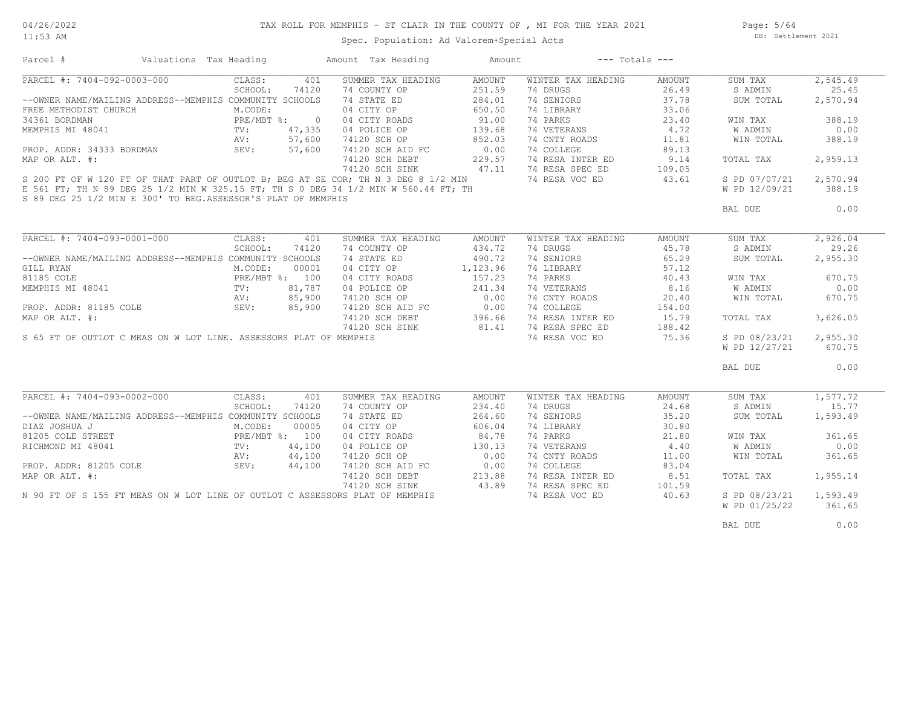# TAX ROLL FOR MEMPHIS - ST CLAIR IN THE COUNTY OF , MI FOR THE YEAR 2021

11:53 AM

#### Spec. Population: Ad Valorem+Special Acts

Page: 5/64 DB: Settlement 2021

| Parcel #                                                                            | Valuations Tax Heading                                                                           |                |        | Amount Tax Heading                         | Amount          |                    | $---$ Totals $---$ |               |          |
|-------------------------------------------------------------------------------------|--------------------------------------------------------------------------------------------------|----------------|--------|--------------------------------------------|-----------------|--------------------|--------------------|---------------|----------|
| PARCEL #: 7404-092-0003-000                                                         |                                                                                                  | CLASS:         | 401    | SUMMER TAX HEADING                         | AMOUNT          | WINTER TAX HEADING | AMOUNT             | SUM TAX       | 2,545.49 |
|                                                                                     |                                                                                                  | SCHOOL:        | 74120  | 74 COUNTY OP                               | 251.59          | 74 DRUGS           | 26.49              | S ADMIN       | 25.45    |
| --OWNER NAME/MAILING ADDRESS--MEMPHIS COMMUNITY SCHOOLS                             |                                                                                                  |                |        | 74 STATE ED                                | 284.01          | 74 SENIORS         | 37.78              | SUM TOTAL     | 2,570.94 |
| FREE METHODIST CHURCH                                                               |                                                                                                  |                |        | 04 CITY OP                                 | 650.50          | 74 LIBRARY         | 33.06              |               |          |
| 34361 BORDMAN                                                                       | ADDRESS<br><i>H</i><br><i>TV</i> : $477326$<br><i>TV</i> : $477326$<br>AV: 57,600<br>SEV: 57,600 |                |        | 04 CITY ROADS                              | 91.00           | 74 PARKS           | 23.40              | WIN TAX       | 388.19   |
| MEMPHIS MI 48041                                                                    |                                                                                                  |                |        | 04 POLICE OP                               | 139.68          | 74 VETERANS        | 4.72               | W ADMIN       | 0.00     |
|                                                                                     |                                                                                                  |                |        | 74120 SCH OP                               | 852.03          | 74 CNTY ROADS      | 11.81              | WIN TOTAL     | 388.19   |
| PROP. ADDR: 34333 BORDMAN                                                           |                                                                                                  |                |        | 74120 SCH AID FC                           | 0.00            | 74 COLLEGE         | 89.13              |               |          |
|                                                                                     |                                                                                                  |                |        |                                            |                 | 74 RESA INTER ED   |                    |               |          |
| MAP OR ALT. #:                                                                      |                                                                                                  |                |        | 74120 SCH DEBT                             | 229.57          |                    | 9.14               | TOTAL TAX     | 2,959.13 |
|                                                                                     |                                                                                                  |                |        | 74120 SCH SINK                             | 47.11           | 74 RESA SPEC ED    | 109.05             |               |          |
| S 200 FT OF W 120 FT OF THAT PART OF OUTLOT B; BEG AT SE COR; TH N 3 DEG 8 1/2 MIN  |                                                                                                  |                |        |                                            |                 | 74 RESA VOC ED     | 43.61              | S PD 07/07/21 | 2,570.94 |
| E 561 FT; TH N 89 DEG 25 1/2 MIN W 325.15 FT; TH S 0 DEG 34 1/2 MIN W 560.44 FT; TH |                                                                                                  |                |        |                                            |                 |                    |                    | W PD 12/09/21 | 388.19   |
| S 89 DEG 25 1/2 MIN E 300' TO BEG.ASSESSOR'S PLAT OF MEMPHIS                        |                                                                                                  |                |        |                                            |                 |                    |                    |               |          |
|                                                                                     |                                                                                                  |                |        |                                            |                 |                    |                    | BAL DUE       | 0.00     |
|                                                                                     |                                                                                                  |                |        |                                            |                 |                    |                    |               |          |
| PARCEL #: 7404-093-0001-000                                                         |                                                                                                  | CLASS:         | 401    | SUMMER TAX HEADING                         | <b>AMOUNT</b>   | WINTER TAX HEADING | AMOUNT             | SUM TAX       | 2,926.04 |
|                                                                                     |                                                                                                  | SCHOOL:        | 74120  | 74 COUNTY OP                               | 434.72          | 74 DRUGS           | 45.78              | S ADMIN       | 29.26    |
| --OWNER NAME/MAILING ADDRESS--MEMPHIS COMMUNITY SCHOOLS                             |                                                                                                  |                |        | 74 STATE ED                                | 490.72          | 74 SENIORS         | 65.29              | SUM TOTAL     | 2,955.30 |
| GILL RYAN                                                                           |                                                                                                  | M.CODE:        | 00001  | 04 CITY OP                                 | 1,123.96        | 74 LIBRARY         | 57.12              |               |          |
| 81185 COLE                                                                          |                                                                                                  | PRE/MBT %: 100 |        | 04 CITY ROADS                              | 157.23          | 74 PARKS           | 40.43              | WIN TAX       | 670.75   |
|                                                                                     |                                                                                                  |                |        |                                            |                 |                    |                    |               |          |
| MEMPHIS MI 48041                                                                    |                                                                                                  | TV:            | 81,787 | 04 POLICE OP                               | 241.34          | 74 VETERANS        | 8.16               | W ADMIN       | 0.00     |
| ${\tt PROP.}~~{\tt ADDR:}~~81185~~{\tt COLE}~~{\tt SEV:}$                           |                                                                                                  |                | 85,900 | 74120 SCH OP 0.00<br>74120 SCH AID FC 0.00 |                 | 74 CNTY ROADS      | 20.40              | WIN TOTAL     | 670.75   |
|                                                                                     |                                                                                                  |                | 85,900 |                                            |                 | 74 COLLEGE         | 154.00             |               |          |
| MAP OR ALT. #:                                                                      |                                                                                                  |                |        | 74120 SCH DEBT                             | 396.66          | 74 RESA INTER ED   | 15.79              | TOTAL TAX     | 3,626.05 |
|                                                                                     |                                                                                                  |                |        | 74120 SCH SINK 81.41                       |                 | 74 RESA SPEC ED    | 188.42             |               |          |
| S 65 FT OF OUTLOT C MEAS ON W LOT LINE. ASSESSORS PLAT OF MEMPHIS                   |                                                                                                  |                |        |                                            |                 | 74 RESA VOC ED     | 75.36              | S PD 08/23/21 | 2,955.30 |
|                                                                                     |                                                                                                  |                |        |                                            |                 |                    |                    | W PD 12/27/21 | 670.75   |
|                                                                                     |                                                                                                  |                |        |                                            |                 |                    |                    | BAL DUE       | 0.00     |
|                                                                                     |                                                                                                  |                |        |                                            |                 |                    |                    |               |          |
| PARCEL #: 7404-093-0002-000                                                         |                                                                                                  | CLASS:         | 401    | SUMMER TAX HEADING                         | AMOUNT          | WINTER TAX HEADING | AMOUNT             | SUM TAX       | 1,577.72 |
|                                                                                     |                                                                                                  | SCHOOL:        | 74120  | 74 COUNTY OP                               | 234.40          | 74 DRUGS           | 24.68              | S ADMIN       | 15.77    |
| --OWNER NAME/MAILING ADDRESS--MEMPHIS COMMUNITY SCHOOLS                             |                                                                                                  |                |        | 74 STATE ED                                | 264.60          | 74 SENIORS         | 35.20              | SUM TOTAL     | 1,593.49 |
| DIAZ JOSHUA J                                                                       |                                                                                                  | M.CODE:        | 00005  | 04 CITY OP                                 | 606.04          | 74 LIBRARY         | 30.80              |               |          |
| 81205 COLE STREET                                                                   |                                                                                                  | PRE/MBT %: 100 |        | 04 CITY ROADS                              | 84.78           | 74 PARKS           | 21.80              | WIN TAX       | 361.65   |
| RICHMOND MI 48041                                                                   |                                                                                                  | TV:            | 44,100 | 04 POLICE OP                               | 130.13          | 74 VETERANS        | 4.40               | W ADMIN       | 0.00     |
|                                                                                     |                                                                                                  |                | 44,100 | 74120 SCH OP                               | 0.00            | 74 CNTY ROADS      | 11.00              | WIN TOTAL     | 361.65   |
|                                                                                     |                                                                                                  |                | 44,100 | 74120 SCH AID FC                           | 0.00            | 74 COLLEGE         | 83.04              |               |          |
| AV:<br>PROP. ADDR: 81205 COLE AV:<br>MAP OR ALT. #:                                 |                                                                                                  |                |        | 74120 SCH DEBT                             |                 | 74 RESA INTER ED   | 8.51               | TOTAL TAX     | 1,955.14 |
|                                                                                     |                                                                                                  |                |        | 74120 SCH SINK                             | 213.88<br>43.89 | 74 RESA SPEC ED    | 101.59             |               |          |
| N 90 FT OF S 155 FT MEAS ON W LOT LINE OF OUTLOT C ASSESSORS PLAT OF MEMPHIS        |                                                                                                  |                |        |                                            |                 | 74 RESA VOC ED     | 40.63              | S PD 08/23/21 | 1,593.49 |
|                                                                                     |                                                                                                  |                |        |                                            |                 |                    |                    | W PD 01/25/22 | 361.65   |
|                                                                                     |                                                                                                  |                |        |                                            |                 |                    |                    |               |          |
|                                                                                     |                                                                                                  |                |        |                                            |                 |                    |                    | BAL DUE       | 0.00     |
|                                                                                     |                                                                                                  |                |        |                                            |                 |                    |                    |               |          |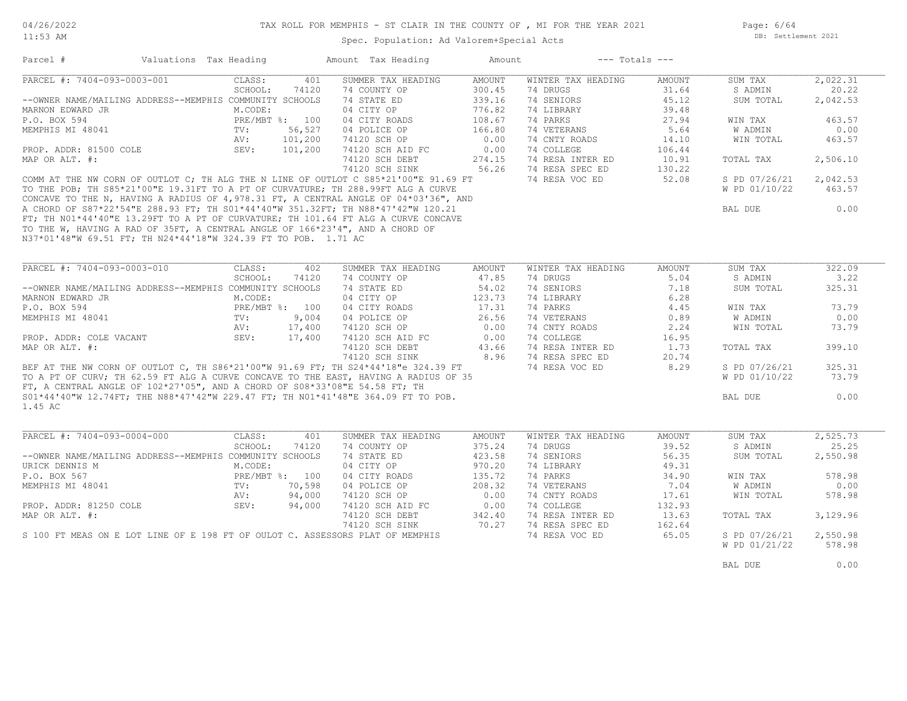Spec. Population: Ad Valorem+Special Acts

Page: 6/64 DB: Settlement 2021

| PARCEL #: 7404-093-0003-001                                                         |                                 | Amount Tax Heading | Amount        | $---$ Totals $---$          |        |               |          |
|-------------------------------------------------------------------------------------|---------------------------------|--------------------|---------------|-----------------------------|--------|---------------|----------|
|                                                                                     | CLASS:<br>401                   | SUMMER TAX HEADING | AMOUNT        | WINTER TAX HEADING          | AMOUNT | SUM TAX       | 2,022.31 |
|                                                                                     | SCHOOL:<br>74120                | 74 COUNTY OP       | 300.45        | 74 DRUGS                    | 31.64  | S ADMIN       | 20.22    |
| --OWNER NAME/MAILING ADDRESS--MEMPHIS COMMUNITY SCHOOLS                             |                                 | 74 STATE ED        | 339.16        | 74 SENIORS                  | 45.12  | SUM TOTAL     | 2,042.53 |
| MARNON EDWARD JR                                                                    | M.CODE:                         | 04 CITY OP         | 776.82        | 74 LIBRARY                  | 39.48  |               |          |
| P.O. BOX 594                                                                        | PRE/MBT %: 100                  | 04 CITY ROADS      | 108.67        | 74 PARKS                    | 27.94  | WIN TAX       | 463.57   |
| MEMPHIS MI 48041                                                                    | 56,527<br>TV:                   | 04 POLICE OP       | 166.80        | 74 VETERANS                 | 5.64   | W ADMIN       | 0.00     |
|                                                                                     | AV:<br>101,200                  | 74120 SCH OP       | 0.00          | 74 CNTY ROADS               | 14.10  | WIN TOTAL     | 463.57   |
| PROP. ADDR: 81500 COLE                                                              | SEV:<br>101,200                 | 74120 SCH AID FC   | 0.00          | 74 COLLEGE                  | 106.44 |               |          |
| MAP OR ALT. #:                                                                      |                                 | 74120 SCH DEBT     | 274.15        | 74 RESA INTER ED            | 10.91  | TOTAL TAX     | 2,506.10 |
|                                                                                     |                                 | 74120 SCH SINK     | 56.26         | 74 RESA SPEC ED             | 130.22 |               |          |
| COMM AT THE NW CORN OF OUTLOT C; TH ALG THE N LINE OF OUTLOT C S85*21'00"E 91.69 FT |                                 |                    |               | 74 RESA VOC ED              | 52.08  | S PD 07/26/21 | 2,042.53 |
| TO THE POB; TH S85*21'00"E 19.31FT TO A PT OF CURVATURE; TH 288.99FT ALG A CURVE    |                                 |                    |               |                             |        | W PD 01/10/22 | 463.57   |
| CONCAVE TO THE N, HAVING A RADIUS OF 4,978.31 FT, A CENTRAL ANGLE OF 04*03'36", AND |                                 |                    |               |                             |        |               |          |
| A CHORD OF S87*22'54"E 288.93 FT; TH S01*44'40"W 351.32FT; TH N88*47'42"W 120.21    |                                 |                    |               |                             |        | BAL DUE       | 0.00     |
| FT; TH NO1*44'40"E 13.29FT TO A PT OF CURVATURE; TH 101.64 FT ALG A CURVE CONCAVE   |                                 |                    |               |                             |        |               |          |
| TO THE W, HAVING A RAD OF 35FT, A CENTRAL ANGLE OF 166*23'4", AND A CHORD OF        |                                 |                    |               |                             |        |               |          |
| N37*01'48"W 69.51 FT; TH N24*44'18"W 324.39 FT TO POB. 1.71 AC                      |                                 |                    |               |                             |        |               |          |
|                                                                                     |                                 |                    |               |                             |        |               |          |
| PARCEL #: 7404-093-0003-010                                                         | CLASS:<br>402                   | SUMMER TAX HEADING | <b>AMOUNT</b> | WINTER TAX HEADING          | AMOUNT | SUM TAX       | 322.09   |
|                                                                                     | SCHOOL:<br>74120                | 74 COUNTY OP       | 47.85         | 74 DRUGS                    | 5.04   | S ADMIN       | 3.22     |
| --OWNER NAME/MAILING ADDRESS--MEMPHIS COMMUNITY SCHOOLS                             |                                 | 74 STATE ED        | 54.02         | 74 SENIORS                  | 7.18   | SUM TOTAL     | 325.31   |
| MARNON EDWARD JR                                                                    | M.CODE:                         | 04 CITY OP         | 123.73        | 74 LIBRARY                  | 6.28   |               |          |
| P.O. BOX 594                                                                        | PRE/MBT %: 100                  | 04 CITY ROADS      | 17.31         | 74 PARKS                    | 4.45   | WIN TAX       | 73.79    |
| MEMPHIS MI 48041                                                                    | TV:<br>9,004                    | 04 POLICE OP       | 26.56         | 74 VETERANS                 |        | W ADMIN       | 0.00     |
|                                                                                     |                                 |                    | 0.00          |                             | 0.89   |               |          |
|                                                                                     | 17,400<br>AV:<br>SEV:<br>17,400 | 74120 SCH OP       | 0.00          | 74 CNTY ROADS<br>74 COLLEGE | 2.24   | WIN TOTAL     | 73.79    |
| PROP. ADDR: COLE VACANT                                                             |                                 | 74120 SCH AID FC   |               |                             | 16.95  |               | 399.10   |
| MAP OR ALT. #:                                                                      |                                 | 74120 SCH DEBT     | 43.66<br>8.96 | 74 RESA INTER ED            | 1.73   | TOTAL TAX     |          |
|                                                                                     |                                 | 74120 SCH SINK     |               | 74 RESA SPEC ED             | 20.74  |               |          |
| BEF AT THE NW CORN OF OUTLOT C, TH S86*21'00"W 91.69 FT; TH S24*44'18"e 324.39 FT   |                                 |                    |               | 74 RESA VOC ED              | 8.29   | S PD 07/26/21 | 325.31   |
| TO A PT OF CURV; TH 62.59 FT ALG A CURVE CONCAVE TO THE EAST, HAVING A RADIUS OF 35 |                                 |                    |               |                             |        | W PD 01/10/22 | 73.79    |
| FT, A CENTRAL ANGLE OF 102*27'05", AND A CHORD OF S08*33'08"E 54.58 FT; TH          |                                 |                    |               |                             |        |               |          |
| S01*44'40"W 12.74FT; THE N88*47'42"W 229.47 FT; TH N01*41'48"E 364.09 FT TO POB.    |                                 |                    |               |                             |        | BAL DUE       | 0.00     |
| 1.45 AC                                                                             |                                 |                    |               |                             |        |               |          |
|                                                                                     |                                 |                    |               |                             |        |               |          |
| PARCEL #: 7404-093-0004-000                                                         | CLASS:<br>401                   | SUMMER TAX HEADING | <b>AMOUNT</b> | WINTER TAX HEADING          | AMOUNT | SUM TAX       | 2,525.73 |
|                                                                                     | SCHOOL:<br>74120                | 74 COUNTY OP       | 375.24        | 74 DRUGS                    | 39.52  | S ADMIN       | 25.25    |
| --OWNER NAME/MAILING ADDRESS--MEMPHIS COMMUNITY SCHOOLS                             |                                 | 74 STATE ED        | 423.58        | 74 SENIORS                  | 56.35  | SUM TOTAL     | 2,550.98 |
|                                                                                     | M.CODE:                         | 04 CITY OP         | 970.20        | 74 LIBRARY                  | 49.31  |               |          |
| URICK DENNIS M                                                                      |                                 | 04 CITY ROADS      | 135.72        | 74 PARKS                    | 34.90  | WIN TAX       | 578.98   |
| P.O. BOX 567                                                                        | PRE/MBT %: 100                  |                    | 208.32        | 74 VETERANS                 | 7.04   | W ADMIN       | 0.00     |
| MEMPHIS MI 48041                                                                    | 70,598<br>TV:                   | 04 POLICE OP       |               |                             |        |               |          |
|                                                                                     | 94,000<br>AV:                   | 74120 SCH OP       | 0.00          | 74 CNTY ROADS               | 17.61  | WIN TOTAL     | 578.98   |
| PROP. ADDR: 81250 COLE                                                              | SEV:<br>94,000                  | 74120 SCH AID FC   | 0.00          | 74 COLLEGE                  | 132.93 |               |          |
| MAP OR ALT. #:                                                                      |                                 | 74120 SCH DEBT     | 342.40        | 74 RESA INTER ED            | 13.63  | TOTAL TAX     | 3,129.96 |
|                                                                                     |                                 | 74120 SCH SINK     | 70.27         | 74 RESA SPEC ED             | 162.64 |               |          |
| S 100 FT MEAS ON E LOT LINE OF E 198 FT OF OULOT C. ASSESSORS PLAT OF MEMPHIS       |                                 |                    |               | 74 RESA VOC ED              | 65.05  | S PD 07/26/21 | 2,550.98 |
|                                                                                     |                                 |                    |               |                             |        | W PD 01/21/22 | 578.98   |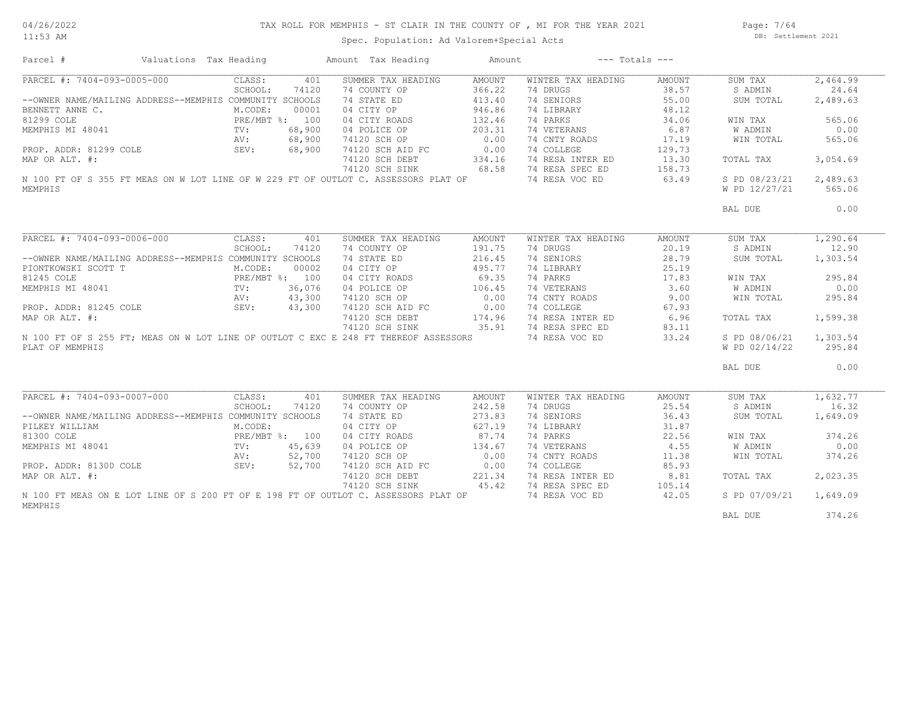# TAX ROLL FOR MEMPHIS - ST CLAIR IN THE COUNTY OF , MI FOR THE YEAR 2021

Spec. Population: Ad Valorem+Special Acts

Page: 7/64 DB: Settlement 2021

| Parcel #                                                                            | Valuations Tax Heading |         |                | Amount Tax Heading | Amount        | $---$ Totals $---$ |               |                |          |
|-------------------------------------------------------------------------------------|------------------------|---------|----------------|--------------------|---------------|--------------------|---------------|----------------|----------|
| PARCEL #: 7404-093-0005-000                                                         |                        | CLASS:  | 401            | SUMMER TAX HEADING | AMOUNT        | WINTER TAX HEADING | AMOUNT        | SUM TAX        | 2,464.99 |
|                                                                                     |                        | SCHOOL: | 74120          | 74 COUNTY OP       | 366.22        | 74 DRUGS           | 38.57         | S ADMIN        | 24.64    |
| --OWNER NAME/MAILING ADDRESS--MEMPHIS COMMUNITY SCHOOLS                             |                        |         |                | 74 STATE ED        | 413.40        | 74 SENIORS         | 55.00         | SUM TOTAL      | 2,489.63 |
| BENNETT ANNE C.                                                                     |                        | M.CODE: | 00001          | 04 CITY OP         | 946.86        | 74 LIBRARY         | 48.12         |                |          |
| 81299 COLE                                                                          |                        |         | PRE/MBT %: 100 | 04 CITY ROADS      | 132.46        | 74 PARKS           | 34.06         | WIN TAX        | 565.06   |
|                                                                                     | TV:                    |         | 68,900         | 04 POLICE OP       | 203.31        | 74 VETERANS        | 6.87          | <b>W ADMIN</b> | 0.00     |
|                                                                                     | AV:                    |         | 68,900         | 74120 SCH OP       | 0.00          | 74 CNTY ROADS      | 17.19         | WIN TOTAL      | 565.06   |
| NEWTHIS MI 48041<br>PROP. ADDR: 81299 COLE<br>MAP OR ALT. #:                        |                        | SEV:    | 68,900         | 74120 SCH AID FC   | 0.00          | 74 COLLEGE         | 129.73        |                |          |
| MAP OR ALT. #:                                                                      |                        |         |                | 74120 SCH DEBT     | 334.16        | 74 RESA INTER ED   | 13.30         | TOTAL TAX      | 3,054.69 |
|                                                                                     |                        |         |                | 74120 SCH SINK     | 68.58         | 74 RESA SPEC ED    | 158.73        |                |          |
| N 100 FT OF S 355 FT MEAS ON W LOT LINE OF W 229 FT OF OUTLOT C. ASSESSORS PLAT OF  |                        |         |                |                    |               | 74 RESA VOC ED     | 63.49         | S PD 08/23/21  | 2,489.63 |
| MEMPHIS                                                                             |                        |         |                |                    |               |                    |               | W PD 12/27/21  | 565.06   |
|                                                                                     |                        |         |                |                    |               |                    |               | BAL DUE        | 0.00     |
| PARCEL #: 7404-093-0006-000                                                         |                        | CLASS:  | 401            | SUMMER TAX HEADING | <b>AMOUNT</b> | WINTER TAX HEADING | <b>AMOUNT</b> | SUM TAX        | 1,290.64 |
|                                                                                     |                        | SCHOOL: | 74120          | 74 COUNTY OP       | 191.75        | 74 DRUGS           | 20.19         | S ADMIN        | 12.90    |
|                                                                                     |                        |         |                |                    |               |                    |               |                |          |
| --OWNER NAME/MAILING ADDRESS--MEMPHIS COMMUNITY SCHOOLS                             |                        |         |                | 74 STATE ED        | 216.45        | 74 SENIORS         | 28.79         | SUM TOTAL      | 1,303.54 |
|                                                                                     |                        | M.CODE: | 00002          | 04 CITY OP         | 495.77        | 74 LIBRARY         | 25.19         |                |          |
|                                                                                     |                        |         | PRE/MBT %: 100 | 04 CITY ROADS      | 69.35         | 74 PARKS           | 17.83         | WIN TAX        | 295.84   |
|                                                                                     |                        |         | 36,076         | 04 POLICE OP       | 106.45        | 74 VETERANS        | 3.60          | <b>W ADMIN</b> | 0.00     |
|                                                                                     |                        |         | 43,300         | 74120 SCH OP       | 0.00          | 74 CNTY ROADS      | 9.00          | WIN TOTAL      | 295.84   |
|                                                                                     |                        |         | 43,300         | 74120 SCH AID FC   | 0.00          | 74 COLLEGE         | 67.93         |                |          |
| MAP OR ALT. #:                                                                      |                        |         |                | 74120 SCH DEBT     | 174.96        | 74 RESA INTER ED   | 6.96          | TOTAL TAX      | 1,599.38 |
|                                                                                     |                        |         |                | 74120 SCH SINK     | 35.91         | 74 RESA SPEC ED    | 83.11         |                |          |
| N 100 FT OF S 255 FT; MEAS ON W LOT LINE OF OUTLOT C EXC E 248 FT THEREOF ASSESSORS |                        |         |                |                    |               | 74 RESA VOC ED     | 33.24         | S PD 08/06/21  | 1,303.54 |
| PLAT OF MEMPHIS                                                                     |                        |         |                |                    |               |                    |               | W PD 02/14/22  | 295.84   |
|                                                                                     |                        |         |                |                    |               |                    |               | BAL DUE        | 0.00     |
|                                                                                     |                        |         |                |                    |               |                    |               |                |          |
| PARCEL #: 7404-093-0007-000                                                         |                        | CLASS:  | 401            | SUMMER TAX HEADING | AMOUNT        | WINTER TAX HEADING | AMOUNT        | SUM TAX        | 1,632.77 |
|                                                                                     |                        | SCHOOL: | 74120          | 74 COUNTY OP       | 242.58        | 74 DRUGS           | 25.54         | S ADMIN        | 16.32    |
| --OWNER NAME/MAILING ADDRESS--MEMPHIS COMMUNITY SCHOOLS                             |                        |         |                | 74 STATE ED        | 273.83        | 74 SENIORS         | 36.43         | SUM TOTAL      | 1,649.09 |
| PILKEY WILLIAM                                                                      |                        | M.CODE: |                | 04 CITY OP         | 627.19        | 74 LIBRARY         | 31.87         |                |          |
| 81300 COLE                                                                          |                        |         | PRE/MBT %: 100 | 04 CITY ROADS      | 87.74         | 74 PARKS           | 22.56         | WIN TAX        | 374.26   |
| MEMPHIS MI 48041                                                                    | TV:                    |         | 45,639         | 04 POLICE OP       | 134.67        | 74 VETERANS        | 4.55          | <b>W ADMIN</b> | 0.00     |
|                                                                                     | AV:                    |         | 52,700         | 74120 SCH OP       | 0.00          | 74 CNTY ROADS      | 11.38         | WIN TOTAL      | 374.26   |
| PROP. ADDR: 81300 COLE                                                              |                        | SEV:    | 52,700         | 74120 SCH AID FC   | 0.00          | 74 COLLEGE         | 85.93         |                |          |
| MAP OR ALT. #:                                                                      |                        |         |                | 74120 SCH DEBT     | 221.34        | 74 RESA INTER ED   | 8.81          | TOTAL TAX      | 2,023.35 |
|                                                                                     |                        |         |                | 74120 SCH SINK     | 45.42         | 74 RESA SPEC ED    | 105.14        |                |          |
| N 100 FT MEAS ON E LOT LINE OF S 200 FT OF E 198 FT OF OUTLOT C. ASSESSORS PLAT OF  |                        |         |                |                    |               | 74 RESA VOC ED     | 42.05         | S PD 07/09/21  | 1,649.09 |
| MEMPHIS                                                                             |                        |         |                |                    |               |                    |               |                |          |
|                                                                                     |                        |         |                |                    |               |                    |               | BAL DUE        | 374.26   |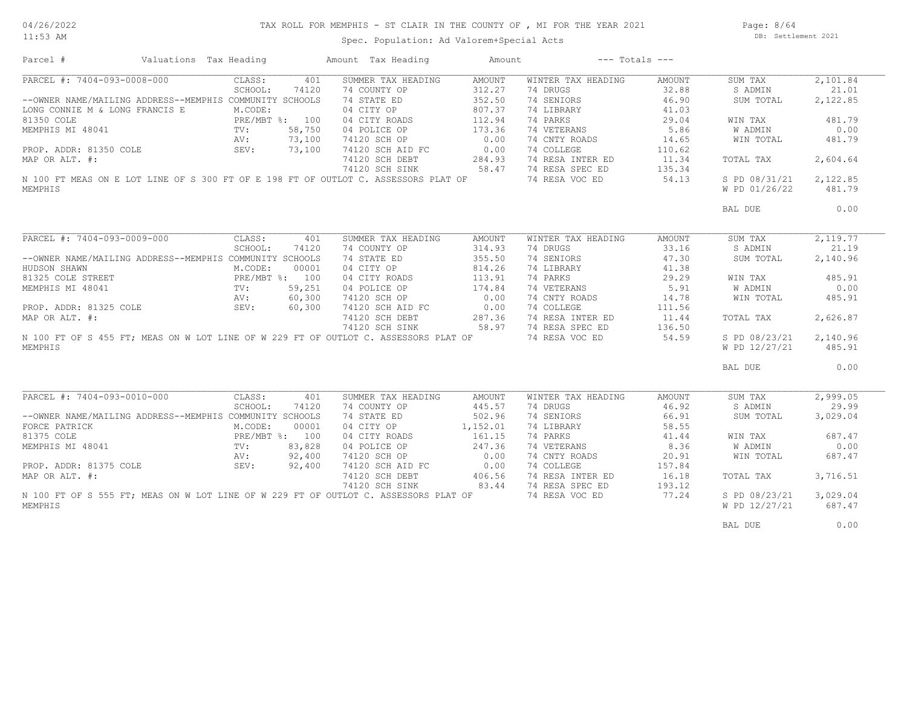#### 04/26/2022 11:53 AM

#### TAX ROLL FOR MEMPHIS - ST CLAIR IN THE COUNTY OF , MI FOR THE YEAR 2021

Spec. Population: Ad Valorem+Special Acts

Page: 8/64 DB: Settlement 2021

| Parcel #                                                                                                              | Valuations Tax Heading |                |        | Amount Tax Heading   | Amount        |                    | $---$ Totals $---$ |               |          |
|-----------------------------------------------------------------------------------------------------------------------|------------------------|----------------|--------|----------------------|---------------|--------------------|--------------------|---------------|----------|
| PARCEL #: 7404-093-0008-000                                                                                           |                        | CLASS:         | 401    | SUMMER TAX HEADING   | <b>AMOUNT</b> | WINTER TAX HEADING | AMOUNT             | SUM TAX       | 2,101.84 |
|                                                                                                                       |                        | SCHOOL:        | 74120  | 74 COUNTY OP         | 312.27        | 74 DRUGS           | 32.88              | S ADMIN       | 21.01    |
| --OWNER NAME/MAILING ADDRESS--MEMPHIS COMMUNITY SCHOOLS                                                               |                        |                |        | 74 STATE ED          | 352.50        | 74 SENIORS         | 46.90              | SUM TOTAL     | 2,122.85 |
| LONG CONNIE M & LONG FRANCIS E                                                                                        |                        | M.CODE:        |        | 04 CITY OP           | 807.37        | 74 LIBRARY         | 41.03              |               |          |
| BRE/MBT<br>MEMPHIS MI 48041 TV:<br>PREMPHIS MI 48041 TV:<br>PROP ADDR: 81350 COLE SEV:<br>SEV:                        |                        | PRE/MBT %: 100 |        | 04 CITY ROADS        | 112.94        | 74 PARKS           | 29.04              | WIN TAX       | 481.79   |
|                                                                                                                       |                        |                | 58,750 | 04 POLICE OP         | 173.36        | 74 VETERANS        | 5.86               | W ADMIN       | 0.00     |
|                                                                                                                       |                        |                | 73,100 | 74120 SCH OP         | 0.00          | 74 CNTY ROADS      | 14.65              | WIN TOTAL     | 481.79   |
|                                                                                                                       |                        |                | 73,100 | 74120 SCH AID FC     | 0.00          | 74 COLLEGE         | 110.62             |               |          |
|                                                                                                                       |                        |                |        |                      |               |                    |                    |               |          |
| MAP OR ALT. #:                                                                                                        |                        |                |        | 74120 SCH DEBT       | 284.93        | 74 RESA INTER ED   | 11.34              | TOTAL TAX     | 2,604.64 |
|                                                                                                                       |                        |                |        | 74120 SCH SINK       | 58.47         | 74 RESA SPEC ED    | 135.34             |               |          |
| N 100 FT MEAS ON E LOT LINE OF S 300 FT OF E 198 FT OF OUTLOT C. ASSESSORS PLAT OF                                    |                        |                |        |                      |               | 74 RESA VOC ED     | 54.13              | S PD 08/31/21 | 2,122.85 |
| MEMPHIS                                                                                                               |                        |                |        |                      |               |                    |                    | W PD 01/26/22 | 481.79   |
|                                                                                                                       |                        |                |        |                      |               |                    |                    | BAL DUE       | 0.00     |
|                                                                                                                       |                        |                |        |                      |               |                    |                    |               |          |
| PARCEL #: 7404-093-0009-000                                                                                           |                        | CLASS:         | 401    | SUMMER TAX HEADING   | AMOUNT        | WINTER TAX HEADING | AMOUNT             | SUM TAX       | 2,119.77 |
|                                                                                                                       |                        | SCHOOL:        | 74120  | 74 COUNTY OP         | 314.93        | 74 DRUGS           | 33.16              | S ADMIN       | 21.19    |
| --OWNER NAME/MAILING ADDRESS--MEMPHIS COMMUNITY SCHOOLS                                                               |                        |                |        | 74 STATE ED          | 355.50        | 74 SENIORS         | 47.30              | SUM TOTAL     | 2,140.96 |
| HUDSON SHAWN                                                                                                          |                        | M.CODE:        | 00001  | 04 CITY OP           | 814.26        | 74 LIBRARY         | 41.38              |               |          |
|                                                                                                                       |                        | PRE/MBT %: 100 |        | 04 CITY ROADS        | 113.91        | 74 PARKS           | 29.29              | WIN TAX       | 485.91   |
|                                                                                                                       |                        |                | 59,251 | 04 POLICE OP         | 174.84        | 74 VETERANS        | 5.91               | W ADMIN       | 0.00     |
|                                                                                                                       |                        |                | 60,300 | 74120 SCH OP         | 0.00          | 74 CNTY ROADS      | 14.78              | WIN TOTAL     | 485.91   |
| HUDSON SHAWN<br>81325 COLE STREET<br>MEMPHIS MI 48041<br>PROP. ADDR: 81325 COLE<br>MAP OR ALT. #:<br><br>FROP ALT. #: |                        |                | 60,300 | 74120 SCH AID FC     | 0.00          | 74 COLLEGE         | 111.56             |               |          |
|                                                                                                                       |                        |                |        |                      |               | 74 RESA INTER ED   |                    |               | 2,626.87 |
|                                                                                                                       |                        |                |        | 74120 SCH DEBT       | 287.36        |                    | 11.44              | TOTAL TAX     |          |
|                                                                                                                       |                        |                |        | 74120 SCH SINK       | 58.97         | 74 RESA SPEC ED    | 136.50             |               |          |
| N 100 FT OF S 455 FT; MEAS ON W LOT LINE OF W 229 FT OF OUTLOT C. ASSESSORS PLAT OF                                   |                        |                |        |                      |               | 74 RESA VOC ED     | 54.59              | S PD 08/23/21 | 2,140.96 |
| MEMPHIS                                                                                                               |                        |                |        |                      |               |                    |                    | W PD 12/27/21 | 485.91   |
|                                                                                                                       |                        |                |        |                      |               |                    |                    | BAL DUE       | 0.00     |
|                                                                                                                       |                        |                |        |                      |               |                    |                    |               |          |
| PARCEL #: 7404-093-0010-000                                                                                           |                        | CLASS:         | 401    | SUMMER TAX HEADING   | AMOUNT        | WINTER TAX HEADING | AMOUNT             | SUM TAX       | 2,999.05 |
|                                                                                                                       |                        | SCHOOL:        | 74120  | 74 COUNTY OP         | 445.57        | 74 DRUGS           | 46.92              | S ADMIN       | 29.99    |
| --OWNER NAME/MAILING ADDRESS--MEMPHIS COMMUNITY SCHOOLS                                                               |                        |                |        | 74 STATE ED          | 502.96        | 74 SENIORS         | 66.91              | SUM TOTAL     | 3,029.04 |
| FORCE PATRICK                                                                                                         |                        | M.CODE:        | 00001  | 04 CITY OP           | 1,152.01      | 74 LIBRARY         | 58.55              |               |          |
| 81375 COLE                                                                                                            | PRE/I<br>TV:           | PRE/MBT %: 100 |        | 04 CITY ROADS        | 161.15        | 74 PARKS           | 41.44              | WIN TAX       | 687.47   |
| MEMPHIS MI 48041                                                                                                      |                        |                | 83,828 | 04 POLICE OP         | 247.36        | 74 VETERANS        | 8.36               | W ADMIN       | 0.00     |
| PROP. ADDR: 81375 COLE $AV:$<br>NV: SEV:                                                                              |                        |                | 92,400 | 74120 SCH OP         | 0.00          | 74 CNTY ROADS      | 20.91              | WIN TOTAL     | 687.47   |
|                                                                                                                       |                        |                | 92,400 | 74120 SCH AID FC     | 0.00          | 74 COLLEGE         | 157.84             |               |          |
| MAP OR ALT. #:                                                                                                        |                        |                |        | 74120 SCH DEBT       | 406.56        | 74 RESA INTER ED   | 16.18              | TOTAL TAX     | 3,716.51 |
|                                                                                                                       |                        |                |        | 74120 SCH SINK 83.44 |               | 74 RESA SPEC ED    | 193.12             |               |          |
| N 100 FT OF S 555 FT; MEAS ON W LOT LINE OF W 229 FT OF OUTLOT C. ASSESSORS PLAT OF                                   |                        |                |        |                      |               | 74 RESA VOC ED     | 77.24              | S PD 08/23/21 | 3,029.04 |
| MEMPHIS                                                                                                               |                        |                |        |                      |               |                    |                    | W PD 12/27/21 | 687.47   |
|                                                                                                                       |                        |                |        |                      |               |                    |                    |               |          |
|                                                                                                                       |                        |                |        |                      |               |                    |                    | BAL DUE       | 0.00     |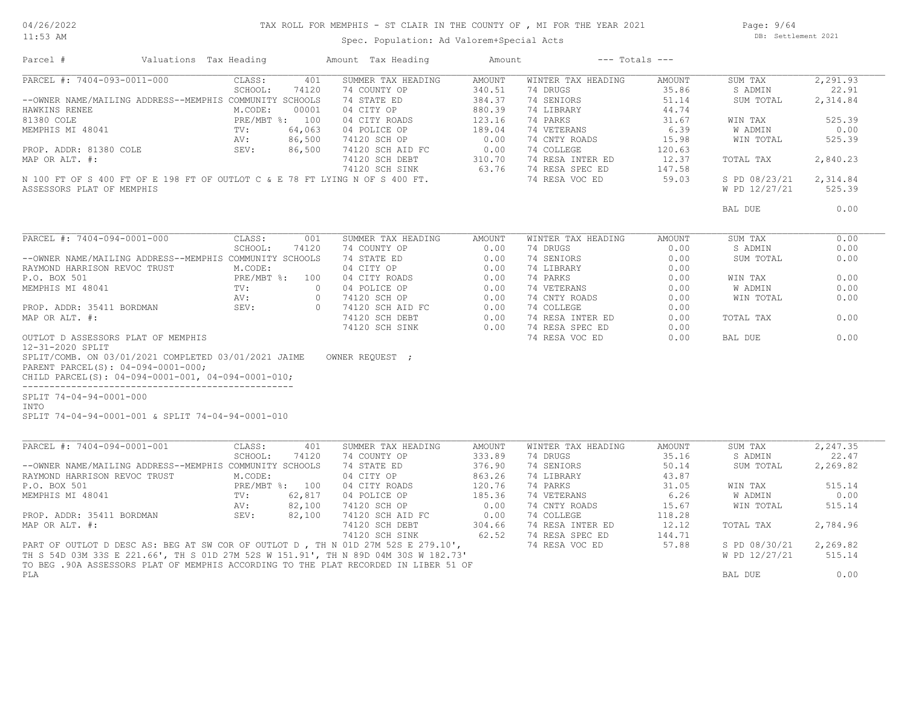#### TAX ROLL FOR MEMPHIS - ST CLAIR IN THE COUNTY OF , MI FOR THE YEAR 2021

11:53 AM

# Spec. Population: Ad Valorem+Special Acts

Page: 9/64 DB: Settlement 2021

| Parcel #                                                                                                                                         | Valuations Tax Heading |                   |              | Amount Tax Heading                 | Amount           |                                | $---$ Totals $---$ |                    |                   |
|--------------------------------------------------------------------------------------------------------------------------------------------------|------------------------|-------------------|--------------|------------------------------------|------------------|--------------------------------|--------------------|--------------------|-------------------|
| PARCEL #: 7404-093-0011-000                                                                                                                      |                        | CLASS:            | 401          | SUMMER TAX HEADING                 | <b>AMOUNT</b>    | WINTER TAX HEADING             | AMOUNT             | SUM TAX            | 2,291.93          |
|                                                                                                                                                  |                        | SCHOOL:           | 74120        | 74 COUNTY OP                       | 340.51           | 74 DRUGS                       | 35.86              | S ADMIN            | 22.91             |
| --OWNER NAME/MAILING ADDRESS--MEMPHIS COMMUNITY SCHOOLS                                                                                          |                        |                   |              | 74 STATE ED                        | 384.37           | 74 SENIORS                     | 51.14              | SUM TOTAL          | 2,314.84          |
| HAWKINS RENEE                                                                                                                                    |                        | M.CODE:           | 00001        | 04 CITY OP                         | 880.39           | 74 LIBRARY                     | 44.74              |                    |                   |
| 81380 COLE                                                                                                                                       |                        | PRE/MBT %: 100    |              | 04 CITY ROADS                      | 123.16           | 74 PARKS                       | 31.67              | WIN TAX            | 525.39            |
| MEMPHIS MI 48041                                                                                                                                 |                        | TV:               | 64,063       | 04 POLICE OP                       | 189.04           | 74 VETERANS                    | 6.39               | W ADMIN            | 0.00              |
|                                                                                                                                                  |                        | AV:               | 86,500       | 74120 SCH OP                       | 0.00             | 74 CNTY ROADS                  | 15.98              | WIN TOTAL          | 525.39            |
| PROP. ADDR: 81380 COLE                                                                                                                           |                        | SEV:              | 86,500       | 74120 SCH AID FC                   | 0.00             | 74 COLLEGE                     | 120.63             |                    |                   |
| MAP OR ALT. #:                                                                                                                                   |                        |                   |              | 74120 SCH DEBT                     | 310.70           | 74 RESA INTER ED               | 12.37              | TOTAL TAX          | 2,840.23          |
|                                                                                                                                                  |                        |                   |              | 74120 SCH SINK                     | 63.76            | 74 RESA SPEC ED                | 147.58             |                    |                   |
| N 100 FT OF S 400 FT OF E 198 FT OF OUTLOT C & E 78 FT LYING N OF S 400 FT.                                                                      |                        |                   |              |                                    |                  | 74 RESA VOC ED                 | 59.03              | S PD 08/23/21      | 2,314.84          |
| ASSESSORS PLAT OF MEMPHIS                                                                                                                        |                        |                   |              |                                    |                  |                                |                    | W PD 12/27/21      | 525.39            |
|                                                                                                                                                  |                        |                   |              |                                    |                  |                                |                    |                    |                   |
|                                                                                                                                                  |                        |                   |              |                                    |                  |                                |                    | BAL DUE            | 0.00              |
| PARCEL #: 7404-094-0001-000                                                                                                                      |                        | CLASS:            | 001          | SUMMER TAX HEADING                 | AMOUNT           | WINTER TAX HEADING             | AMOUNT             | SUM TAX            | 0.00              |
|                                                                                                                                                  |                        | SCHOOL:           | 74120        | 74 COUNTY OP                       | 0.00             | 74 DRUGS                       | 0.00               | S ADMIN            | 0.00              |
| --OWNER NAME/MAILING ADDRESS--MEMPHIS COMMUNITY SCHOOLS                                                                                          |                        |                   |              | 74 STATE ED                        | 0.00             | 74 SENIORS                     | 0.00               | SUM TOTAL          | 0.00              |
| RAYMOND HARRISON REVOC TRUST                                                                                                                     |                        | M.CODE:           |              | 04 CITY OP                         | 0.00             | 74 LIBRARY                     | 0.00               |                    |                   |
| P.O. BOX 501                                                                                                                                     |                        | PRE/MBT %:        | 100          | 04 CITY ROADS                      | 0.00             | 74 PARKS                       | 0.00               | WIN TAX            | 0.00              |
| MEMPHIS MI 48041                                                                                                                                 |                        | TV:               | $\circ$      |                                    |                  | 74 VETERANS                    | 0.00               | W ADMIN            | 0.00              |
|                                                                                                                                                  |                        |                   | $\circ$      | 04 POLICE OP<br>74120 SCH OP       | 0.00<br>0.00     | 74 CNTY ROADS                  | 0.00               |                    | 0.00              |
| PROP. ADDR: 35411 BORDMAN                                                                                                                        |                        | AV:<br>SEV:       | $\Omega$     | 74120 SCH AID FC                   | 0.00             | 74 COLLEGE                     | 0.00               | WIN TOTAL          |                   |
| MAP OR ALT. #:                                                                                                                                   |                        |                   |              | 74120 SCH DEBT                     | 0.00             | 74 RESA INTER ED               | 0.00               |                    | 0.00              |
|                                                                                                                                                  |                        |                   |              |                                    | 0.00             | 74 RESA SPEC ED                | 0.00               | TOTAL TAX          |                   |
| OUTLOT D ASSESSORS PLAT OF MEMPHIS                                                                                                               |                        |                   |              | 74120 SCH SINK                     |                  | 74 RESA VOC ED                 | 0.00               | BAL DUE            | 0.00              |
| 12-31-2020 SPLIT                                                                                                                                 |                        |                   |              |                                    |                  |                                |                    |                    |                   |
| SPLIT/COMB. ON 03/01/2021 COMPLETED 03/01/2021 JAIME<br>PARENT PARCEL(S): 04-094-0001-000;<br>CHILD PARCEL(S): 04-094-0001-001, 04-094-0001-010; |                        |                   |              | OWNER REOUEST ;                    |                  |                                |                    |                    |                   |
| SPLIT 74-04-94-0001-000                                                                                                                          |                        |                   |              |                                    |                  |                                |                    |                    |                   |
| INTO                                                                                                                                             |                        |                   |              |                                    |                  |                                |                    |                    |                   |
| SPLIT 74-04-94-0001-001 & SPLIT 74-04-94-0001-010                                                                                                |                        |                   |              |                                    |                  |                                |                    |                    |                   |
|                                                                                                                                                  |                        |                   |              |                                    |                  |                                |                    |                    |                   |
| PARCEL #: 7404-094-0001-001                                                                                                                      |                        | CLASS:<br>SCHOOL: | 401<br>74120 | SUMMER TAX HEADING<br>74 COUNTY OP | AMOUNT<br>333.89 | WINTER TAX HEADING<br>74 DRUGS | AMOUNT<br>35.16    | SUM TAX<br>S ADMIN | 2,247.35<br>22.47 |
| --OWNER NAME/MAILING ADDRESS--MEMPHIS COMMUNITY SCHOOLS                                                                                          |                        |                   |              | 74 STATE ED                        | 376.90           | 74 SENIORS                     | 50.14              | SUM TOTAL          | 2,269.82          |

|                                                                                     |            |        |                  |        |                  | -----  | ---------     | -----    |
|-------------------------------------------------------------------------------------|------------|--------|------------------|--------|------------------|--------|---------------|----------|
| --OWNER NAME/MAILING ADDRESS--MEMPHIS COMMUNITY SCHOOLS                             |            |        | 74 STATE ED      | 376.90 | 74 SENIORS       | 50.14  | SUM TOTAL     | 2,269.82 |
| RAYMOND HARRISON REVOC TRUST                                                        | M.CODE:    |        | 04 CITY OP       | 863.26 | 74 LIBRARY       | 43.87  |               |          |
| P.O. BOX 501                                                                        | PRE/MBT %: | 100    | 04 CITY ROADS    | 120.76 | 74 PARKS         | 31.05  | WIN TAX       | 515.14   |
| MEMPHIS MI 48041                                                                    | TV:        | 62,817 | 04 POLICE OP     | 185.36 | 74 VETERANS      | 6.26   | W ADMIN       | 0.00     |
|                                                                                     | AV:        | 82,100 | 74120 SCH OP     | 0.00   | 74 CNTY ROADS    | 15.67  | WIN TOTAL     | 515.14   |
| PROP. ADDR: 35411 BORDMAN                                                           | SEV:       | 82,100 | 74120 SCH AID FC | 0.00   | 74 COLLEGE       | 118.28 |               |          |
| MAP OR ALT. #:                                                                      |            |        | 74120 SCH DEBT   | 304.66 | 74 RESA INTER ED | 12.12  | TOTAL TAX     | 2,784.96 |
|                                                                                     |            |        | 74120 SCH SINK   | 62.52  | 74 RESA SPEC ED  | 144.71 |               |          |
| PART OF OUTLOT D DESC AS: BEG AT SW COR OF OUTLOT D, TH N 01D 27M 52S E 279.10',    |            |        |                  |        | 74 RESA VOC ED   | 57.88  | S PD 08/30/21 | 2,269.82 |
| TH S 54D 03M 33S E 221.66', TH S 01D 27M 52S W 151.91', TH N 89D 04M 30S W 182.73'  |            |        |                  |        |                  |        | W PD 12/27/21 | 515.14   |
| TO BEG .90A ASSESSORS PLAT OF MEMPHIS ACCORDING TO THE PLAT RECORDED IN LIBER 51 OF |            |        |                  |        |                  |        |               |          |
| PLA                                                                                 |            |        |                  |        |                  |        | BAL DUE       | 0.00     |
|                                                                                     |            |        |                  |        |                  |        |               |          |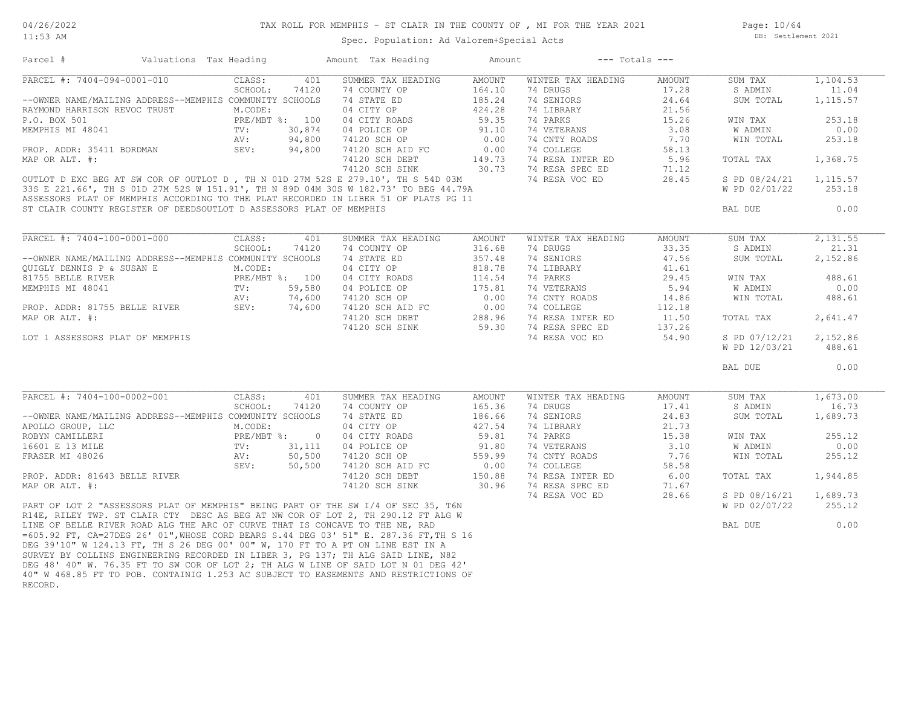# TAX ROLL FOR MEMPHIS - ST CLAIR IN THE COUNTY OF , MI FOR THE YEAR 2021

11:53 AM

#### Spec. Population: Ad Valorem+Special Acts

Page: 10/64 DB: Settlement 2021

| Parcel #<br>Valuations Tax Heading                                                                                                                                                                                                                                                                  |                      | Amount Tax Heading | Amount | $---$ Totals $---$ |        |               |           |
|-----------------------------------------------------------------------------------------------------------------------------------------------------------------------------------------------------------------------------------------------------------------------------------------------------|----------------------|--------------------|--------|--------------------|--------|---------------|-----------|
| PARCEL #: 7404-094-0001-010                                                                                                                                                                                                                                                                         | CLASS:<br>401        | SUMMER TAX HEADING | AMOUNT | WINTER TAX HEADING | AMOUNT | SUM TAX       | 1,104.53  |
|                                                                                                                                                                                                                                                                                                     | SCHOOL:<br>74120     | 74 COUNTY OP       | 164.10 | 74 DRUGS           | 17.28  | S ADMIN       | 11.04     |
| --OWNER NAME/MAILING ADDRESS--MEMPHIS COMMUNITY SCHOOLS                                                                                                                                                                                                                                             |                      | 74 STATE ED        | 185.24 | 74 SENIORS         | 24.64  | SUM TOTAL     | 1, 115.57 |
| RAYMOND HARRISON REVOC TRUST                                                                                                                                                                                                                                                                        | M.CODE:              | 04 CITY OP         | 424.28 | 74 LIBRARY         | 21.56  |               |           |
| P.O. BOX 501                                                                                                                                                                                                                                                                                        | PRE/MBT %: 100       | 04 CITY ROADS      | 59.35  | 74 PARKS           | 15.26  | WIN TAX       | 253.18    |
| MEMPHIS MI 48041                                                                                                                                                                                                                                                                                    | 30,874               | 04 POLICE OP       | 91.10  | 74 VETERANS        | 3.08   | W ADMIN       | 0.00      |
|                                                                                                                                                                                                                                                                                                     | TV:<br>AV:<br>94,800 | 74120 SCH OP       | 0.00   | 74 CNTY ROADS      | 7.70   | WIN TOTAL     | 253.18    |
| PROP. ADDR: 35411 BORDMAN                                                                                                                                                                                                                                                                           | SEV:<br>94,800       | 74120 SCH AID FC   | 0.00   | 74 COLLEGE         | 58.13  |               |           |
| MAP OR ALT. #:                                                                                                                                                                                                                                                                                      |                      | 74120 SCH DEBT     | 149.73 | 74 RESA INTER ED   | 5.96   | TOTAL TAX     | 1,368.75  |
|                                                                                                                                                                                                                                                                                                     |                      | 74120 SCH SINK     | 30.73  | 74 RESA SPEC ED    | 71.12  |               |           |
| OUTLOT D EXC BEG AT SW COR OF OUTLOT D, TH N 01D 27M 52S E 279.10', TH S 54D 03M                                                                                                                                                                                                                    |                      |                    |        | 74 RESA VOC ED     | 28.45  | S PD 08/24/21 | 1,115.57  |
| 33S E 221.66', TH S 01D 27M 52S W 151.91', TH N 89D 04M 30S W 182.73' TO BEG 44.79A                                                                                                                                                                                                                 |                      |                    |        |                    |        | W PD 02/01/22 | 253.18    |
| ASSESSORS PLAT OF MEMPHIS ACCORDING TO THE PLAT RECORDED IN LIBER 51 OF PLATS PG 11                                                                                                                                                                                                                 |                      |                    |        |                    |        |               |           |
| ST CLAIR COUNTY REGISTER OF DEEDSOUTLOT D ASSESSORS PLAT OF MEMPHIS                                                                                                                                                                                                                                 |                      |                    |        |                    |        | BAL DUE       | 0.00      |
|                                                                                                                                                                                                                                                                                                     |                      |                    |        |                    |        |               |           |
|                                                                                                                                                                                                                                                                                                     |                      |                    |        |                    |        |               |           |
| PARCEL #: 7404-100-0001-000                                                                                                                                                                                                                                                                         | CLASS:<br>401        | SUMMER TAX HEADING | AMOUNT | WINTER TAX HEADING | AMOUNT | SUM TAX       | 2,131.55  |
|                                                                                                                                                                                                                                                                                                     | SCHOOL:<br>74120     | 74 COUNTY OP       | 316.68 | 74 DRUGS           | 33.35  | S ADMIN       | 21.31     |
| --OWNER NAME/MAILING ADDRESS--MEMPHIS COMMUNITY SCHOOLS                                                                                                                                                                                                                                             |                      | 74 STATE ED        | 357.48 | 74 SENIORS         | 47.56  | SUM TOTAL     | 2,152.86  |
| QUIGLY DENNIS P & SUSAN E                                                                                                                                                                                                                                                                           | M.CODE:              | 04 CITY OP         | 818.78 | 74 LIBRARY         | 41.61  |               |           |
| $\begin{array}{ccccc}\n\text{PRE} & \text{I} & \text{I} & \text{I} & \text{I} \\ \text{I} & \text{I} & \text{I} & \text{I} & \text{I} \\ \text{I} & \text{I} & \text{I} & \text{I} & \text{I} \\ \text{I} & \text{I} & \text{I} & \text{I} & \text{I} & \text{I}\n\end{array}$<br>81755 BELLE RIVER | PRE/MBT %: 100       | 04 CITY ROADS      | 114.54 | 74 PARKS           | 29.45  | WIN TAX       | 488.61    |
| MEMPHIS MI 48041                                                                                                                                                                                                                                                                                    | 59,580               | 04 POLICE OP       | 175.81 | 74 VETERANS        | 5.94   | W ADMIN       | 0.00      |
|                                                                                                                                                                                                                                                                                                     | 74,600<br>AV:        | 74120 SCH OP       | 0.00   | 74 CNTY ROADS      | 14.86  | WIN TOTAL     | 488.61    |
| PROP. ADDR: 81755 BELLE RIVER                                                                                                                                                                                                                                                                       | SEV:<br>74,600       | 74120 SCH AID FC   | 0.00   | 74 COLLEGE         | 112.18 |               |           |
| MAP OR ALT. #:                                                                                                                                                                                                                                                                                      |                      | 74120 SCH DEBT     | 288.96 | 74 RESA INTER ED   | 11.50  | TOTAL TAX     | 2,641.47  |
|                                                                                                                                                                                                                                                                                                     |                      | 74120 SCH SINK     | 59.30  | 74 RESA SPEC ED    | 137.26 |               |           |
| LOT 1 ASSESSORS PLAT OF MEMPHIS                                                                                                                                                                                                                                                                     |                      |                    |        | 74 RESA VOC ED     | 54.90  | S PD 07/12/21 | 2,152.86  |
|                                                                                                                                                                                                                                                                                                     |                      |                    |        |                    |        | W PD 12/03/21 | 488.61    |
|                                                                                                                                                                                                                                                                                                     |                      |                    |        |                    |        |               |           |
|                                                                                                                                                                                                                                                                                                     |                      |                    |        |                    |        | BAL DUE       | 0.00      |
|                                                                                                                                                                                                                                                                                                     |                      |                    |        |                    |        |               |           |
| PARCEL #: 7404-100-0002-001                                                                                                                                                                                                                                                                         | CLASS:<br>401        | SUMMER TAX HEADING | AMOUNT | WINTER TAX HEADING | AMOUNT | SUM TAX       | 1,673.00  |
|                                                                                                                                                                                                                                                                                                     | SCHOOL:<br>74120     | 74 COUNTY OP       | 165.36 | 74 DRUGS           | 17.41  | S ADMIN       | 16.73     |
| --OWNER NAME/MAILING ADDRESS--MEMPHIS COMMUNITY SCHOOLS                                                                                                                                                                                                                                             |                      | 74 STATE ED        | 186.66 | 74 SENIORS         | 24.83  | SUM TOTAL     | 1,689.73  |
| APOLLO GROUP, LLC                                                                                                                                                                                                                                                                                   | M.CODE:              | 04 CITY OP         | 427.54 | 74 LIBRARY         | 21.73  |               |           |
| ROBYN CAMILLERI                                                                                                                                                                                                                                                                                     | PRE/MBT %: 0         | 04 CITY ROADS      | 59.81  | 74 PARKS           | 15.38  | WIN TAX       | 255.12    |
| NG ADDINICUS (NEW M.COD)<br>PRE/M<br>TV:<br>AV:<br>SEV:<br>16601 E 13 MILE                                                                                                                                                                                                                          | 31,111               | 04 POLICE OP       | 91.80  | 74 VETERANS        | 3.10   | W ADMIN       | 0.00      |
| FRASER MI 48026                                                                                                                                                                                                                                                                                     | 50,500               | 74120 SCH OP       | 559.99 | 74 CNTY ROADS      | 7.76   | WIN TOTAL     | 255.12    |
|                                                                                                                                                                                                                                                                                                     | SEV:<br>50,500       | 74120 SCH AID FC   | 0.00   | 74 COLLEGE         | 58.58  |               |           |
| PROP. ADDR: 81643 BELLE RIVER                                                                                                                                                                                                                                                                       |                      | 74120 SCH DEBT     | 150.88 | 74 RESA INTER ED   | 6.00   | TOTAL TAX     | 1,944.85  |
| MAP OR ALT. #:                                                                                                                                                                                                                                                                                      |                      | 74120 SCH SINK     | 30.96  | 74 RESA SPEC ED    | 71.67  |               |           |
|                                                                                                                                                                                                                                                                                                     |                      |                    |        | 74 RESA VOC ED     | 28.66  | S PD 08/16/21 | 1,689.73  |
| PART OF LOT 2 "ASSESSORS PLAT OF MEMPHIS" BEING PART OF THE SW I/4 OF SEC 35, T6N                                                                                                                                                                                                                   |                      |                    |        |                    |        | W PD 02/07/22 | 255.12    |
|                                                                                                                                                                                                                                                                                                     |                      |                    |        |                    |        |               |           |
| R14E, RILEY TWP. ST CLAIR CTY DESC AS BEG AT NW COR OF LOT 2, TH 290.12 FT ALG W                                                                                                                                                                                                                    |                      |                    |        |                    |        |               |           |
| LINE OF BELLE RIVER ROAD ALG THE ARC OF CURVE THAT IS CONCAVE TO THE NE, RAD                                                                                                                                                                                                                        |                      |                    |        |                    |        | BAL DUE       | 0.00      |
| =605.92 FT, CA=27DEG 26' 01", WHOSE CORD BEARS S.44 DEG 03' 51" E. 287.36 FT, TH S 16                                                                                                                                                                                                               |                      |                    |        |                    |        |               |           |
| DEG 39'10" W 124.13 FT, TH S 26 DEG 00' 00" W, 170 FT TO A PT ON LINE EST IN A                                                                                                                                                                                                                      |                      |                    |        |                    |        |               |           |
| SURVEY BY COLLINS ENGINEERING RECORDED IN LIBER 3, PG 137; TH ALG SAID LINE, N82                                                                                                                                                                                                                    |                      |                    |        |                    |        |               |           |
| DEG 48' 40" W. 76.35 FT TO SW COR OF LOT 2; TH ALG W LINE OF SAID LOT N 01 DEG 42'                                                                                                                                                                                                                  |                      |                    |        |                    |        |               |           |
| 40" W 468.85 FT TO POB. CONTAINIG 1.253 AC SUBJECT TO EASEMENTS AND RESTRICTIONS OF                                                                                                                                                                                                                 |                      |                    |        |                    |        |               |           |
| RECORD.                                                                                                                                                                                                                                                                                             |                      |                    |        |                    |        |               |           |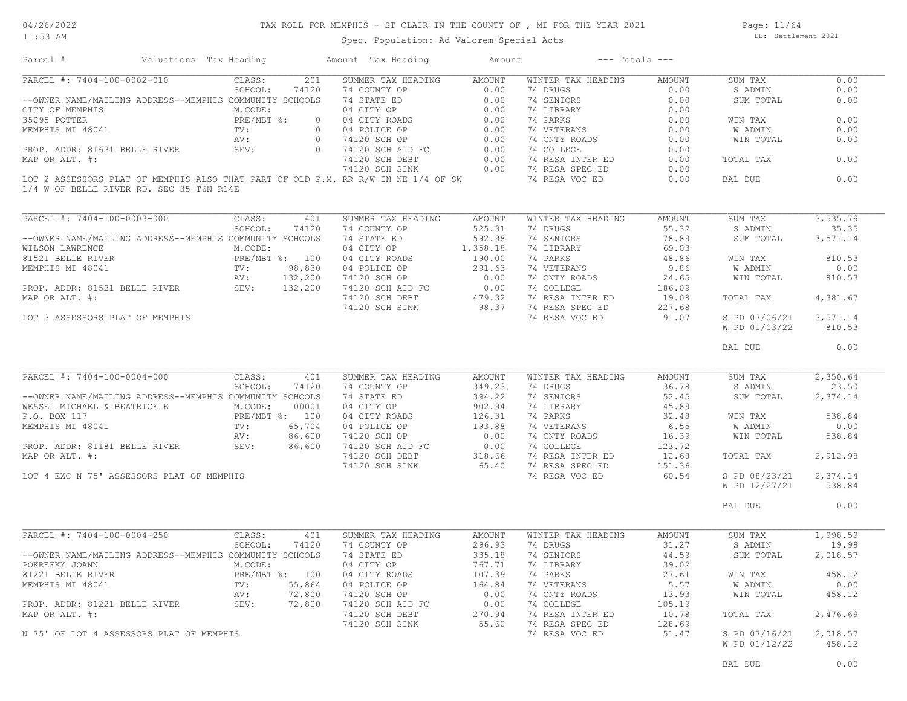#### TAX ROLL FOR MEMPHIS - ST CLAIR IN THE COUNTY OF , MI FOR THE YEAR 2021

11:53 AM

#### Spec. Population: Ad Valorem+Special Acts

Page: 11/64 DB: Settlement 2021

| Parcel #                                                                                                                                                                                                                                         | Valuations Tax Heading |         |                | Amount Tax Heading                                                                                                                                                                          | Amount | $---$ Totals $---$                                                                            |                    |                    |                |
|--------------------------------------------------------------------------------------------------------------------------------------------------------------------------------------------------------------------------------------------------|------------------------|---------|----------------|---------------------------------------------------------------------------------------------------------------------------------------------------------------------------------------------|--------|-----------------------------------------------------------------------------------------------|--------------------|--------------------|----------------|
| PARCEL #: 7404-100-0002-010                                                                                                                                                                                                                      |                        | CLASS:  | 201            | SUMMER TAX HEADING AMOUNT                                                                                                                                                                   |        | WINTER TAX HEADING                                                                            | AMOUNT             | SUM TAX            | 0.00           |
|                                                                                                                                                                                                                                                  |                        |         |                |                                                                                                                                                                                             |        |                                                                                               | 0.00               | S ADMIN            | 0.00           |
|                                                                                                                                                                                                                                                  |                        |         |                |                                                                                                                                                                                             |        |                                                                                               | 0.00               | SUM TOTAL          | 0.00           |
|                                                                                                                                                                                                                                                  |                        |         |                |                                                                                                                                                                                             |        |                                                                                               | 0.00               |                    |                |
|                                                                                                                                                                                                                                                  |                        |         |                |                                                                                                                                                                                             |        |                                                                                               | 0.00               | WIN TAX            | 0.00           |
|                                                                                                                                                                                                                                                  |                        |         |                |                                                                                                                                                                                             |        |                                                                                               | 0.00               | W ADMIN            | 0.00           |
|                                                                                                                                                                                                                                                  |                        |         |                |                                                                                                                                                                                             |        | 74 CNTY ROADS                                                                                 | 0.00               | WIN TOTAL          | 0.00           |
|                                                                                                                                                                                                                                                  |                        |         |                |                                                                                                                                                                                             |        |                                                                                               | 0.00               |                    |                |
|                                                                                                                                                                                                                                                  |                        |         |                |                                                                                                                                                                                             |        |                                                                                               | 0.00               | TOTAL TAX          | 0.00           |
|                                                                                                                                                                                                                                                  |                        |         |                |                                                                                                                                                                                             |        |                                                                                               | 0.00               |                    |                |
| 1/4 W OF BELLE RIVER RD. SEC 35 T6N R14E                                                                                                                                                                                                         |                        |         |                | LOT 2 ASSESSORS PLAT OF MEMPHIS ALSO THAT PART OF OLD P.M. RR R/W IN NE 1/4 OF SW                                                                                                           |        | 74 RESA VOC ED                                                                                | 0.00               | BAL DUE            | 0.00           |
|                                                                                                                                                                                                                                                  |                        |         |                |                                                                                                                                                                                             |        |                                                                                               |                    |                    |                |
| PARCEL #: 7404-100-0003-000                                                                                                                                                                                                                      |                        | CLASS:  | 401            | SUMMER TAX HEADING                                                                                                                                                                          | AMOUNT | WINTER TAX HEADING                                                                            | AMOUNT             | SUM TAX            | 3, 535.79      |
|                                                                                                                                                                                                                                                  |                        | SCHOOL: | 74120          | 74 COUNTY OP                                                                                                                                                                                | 525.31 | 74 DRUGS                                                                                      | 55.32              | S ADMIN            | 35.35          |
| --OWNER NAME/MAILING ADDRESS--MEMPHIS COMMUNITY SCHOOLS                                                                                                                                                                                          |                        |         |                | 74 STATE ED                                                                                                                                                                                 | 592.98 | 74 SENIORS                                                                                    | 78.89              | SUM TOTAL          | 3,571.14       |
| WILSON LAWRENCE<br>WILSON LAWRENCE<br>81521 BELLE RIVER<br>MEMPHIS MI 48041<br>TV: 98,830<br>PROP. ADDR: 81521 BELLE RIVER<br>SEV: 132,200<br>TROP. ADDR: 81521 BELLE RIVER<br>SEV: 132,200<br>TROP. ADDR: 4.                                    |                        |         |                |                                                                                                                                                                                             |        |                                                                                               | 69.03              |                    |                |
|                                                                                                                                                                                                                                                  |                        |         |                | 04 CITY OP 1,358.18<br>04 CITY ROADS 190.00<br>04 CITY ROADS                                                                                                                                |        | 74 LIBRARY<br>74 PARKS                                                                        | 48.86              | WIN TAX            | 810.53         |
|                                                                                                                                                                                                                                                  |                        |         |                |                                                                                                                                                                                             |        |                                                                                               | 9.86               | W ADMIN            | 0.00           |
|                                                                                                                                                                                                                                                  |                        |         |                |                                                                                                                                                                                             |        | 74 VETERANS<br>74 CNTY ROADS                                                                  | 24.65              | WIN TOTAL          | 810.53         |
|                                                                                                                                                                                                                                                  |                        |         |                |                                                                                                                                                                                             |        |                                                                                               | 186.09             |                    |                |
| MAP OR ALT. #:                                                                                                                                                                                                                                   |                        |         |                |                                                                                                                                                                                             |        | 74 COLLEGE<br>74 RESA INTER ED                                                                | 19.08              | TOTAL TAX          | 4,381.67       |
|                                                                                                                                                                                                                                                  |                        |         |                | 04 POLICE OP<br>291.63 74 VETERANS<br>74120 SCH OP 0.00 74 CNTY ROADS<br>74120 SCH AID FC 0.00 74 COLLEGE<br>74120 SCH DEBT 479.32 74 RESA INTER ED<br>74120 SCH SINK 98.37 74 RESA SPEC ED |        |                                                                                               | 227.68             |                    |                |
| LOT 3 ASSESSORS PLAT OF MEMPHIS                                                                                                                                                                                                                  |                        |         |                |                                                                                                                                                                                             |        | 74 RESA VOC ED                                                                                | 91.07              | S PD 07/06/21      | 3,571.14       |
|                                                                                                                                                                                                                                                  |                        |         |                |                                                                                                                                                                                             |        |                                                                                               |                    | W PD 01/03/22      | 810.53         |
|                                                                                                                                                                                                                                                  |                        |         |                |                                                                                                                                                                                             |        |                                                                                               |                    |                    |                |
|                                                                                                                                                                                                                                                  |                        |         |                |                                                                                                                                                                                             |        |                                                                                               |                    | BAL DUE            | 0.00           |
| PARCEL #: 7404-100-0004-000                                                                                                                                                                                                                      |                        | CLASS:  | 401            | SUMMER TAX HEADING                                                                                                                                                                          | AMOUNT | WINTER TAX HEADING                                                                            | AMOUNT             | SUM TAX            | 2,350.64       |
|                                                                                                                                                                                                                                                  |                        | SCHOOL: | 74120          | 74 COUNTY OP                                                                                                                                                                                | 349.23 | 74 DRUGS                                                                                      | 36.78              | S ADMIN            | 23.50          |
| --OWNER NAME/MAILING ADDRESS--MEMPHIS COMMUNITY SCHOOLS                                                                                                                                                                                          |                        |         |                | 74 STATE ED                                                                                                                                                                                 | 394.22 | 74 SENIORS                                                                                    | 52.45              | SUM TOTAL 2,374.14 |                |
|                                                                                                                                                                                                                                                  |                        |         |                |                                                                                                                                                                                             |        |                                                                                               |                    |                    |                |
|                                                                                                                                                                                                                                                  |                        |         |                |                                                                                                                                                                                             |        | 74 LIBRARY                                                                                    | $45.89$<br>$32.48$ |                    |                |
|                                                                                                                                                                                                                                                  |                        |         |                |                                                                                                                                                                                             |        | 74 PARKS                                                                                      |                    | WIN TAX            | 538.84         |
|                                                                                                                                                                                                                                                  |                        |         |                |                                                                                                                                                                                             |        | 74 VETERANS<br>74 CNTY ROADS                                                                  | 6.55               | W ADMIN            | 0.00           |
|                                                                                                                                                                                                                                                  |                        |         |                |                                                                                                                                                                                             |        |                                                                                               | 16.39              | WIN TOTAL          | 538.84         |
| NESSEL MICHAEL & BEATRICE E<br>M.CODE: 00001<br>P.O. BOX 117<br>MEMPHIS MI 48041<br>PRE/MBT %: 100<br>MEMPHIS MI 48041<br>PROP. ADDR: 81181 BELLE RIVER<br>PROP. ADDR: 81181 BELLE RIVER<br>SEV: 86,600                                          |                        |         |                | 394.22<br>04 CITY OP 392.94<br>04 CITY ROADS 302.94<br>04 POLICE OP 313.88<br>74120 SCH OP 33.88<br>74120 SCH AID FC 0.00<br>74120 SCH DEBT 318.66<br>74120 SCH SINK 65.40                  |        | 74 COLLEGE 123.72<br>74 RESA INTER ED 12.68<br>74 RESA SPEC ED 151.36<br>74 RESA VOC ED 60.54 |                    |                    |                |
| MAP OR ALT. #:                                                                                                                                                                                                                                   |                        |         |                |                                                                                                                                                                                             |        |                                                                                               |                    | TOTAL TAX          | 2,912.98       |
|                                                                                                                                                                                                                                                  |                        |         |                |                                                                                                                                                                                             |        |                                                                                               |                    |                    |                |
| LOT 4 EXC N 75' ASSESSORS PLAT OF MEMPHIS                                                                                                                                                                                                        |                        |         |                |                                                                                                                                                                                             |        |                                                                                               |                    | S PD 08/23/21      | 2,374.14       |
|                                                                                                                                                                                                                                                  |                        |         |                |                                                                                                                                                                                             |        |                                                                                               |                    | W PD 12/27/21      | 538.84         |
|                                                                                                                                                                                                                                                  |                        |         |                |                                                                                                                                                                                             |        |                                                                                               |                    |                    |                |
|                                                                                                                                                                                                                                                  |                        |         |                |                                                                                                                                                                                             |        |                                                                                               |                    | BAL DUE            | 0.00           |
|                                                                                                                                                                                                                                                  |                        |         |                |                                                                                                                                                                                             |        |                                                                                               |                    |                    |                |
|                                                                                                                                                                                                                                                  |                        | CLASS:  | 401            | SUMMER TAX HEADING                                                                                                                                                                          | AMOUNT | WINTER TAX HEADING                                                                            | AMOUNT             | SUM TAX            | 1,998.59       |
|                                                                                                                                                                                                                                                  |                        | SCHOOL: | 74120          | 74 COUNTY OP                                                                                                                                                                                | 296.93 | 74 DRUGS                                                                                      | 31.27              | S ADMIN            | 19.98          |
|                                                                                                                                                                                                                                                  |                        |         |                | 74 STATE ED                                                                                                                                                                                 | 335.18 | 74 SENIORS                                                                                    | 44.59              | SUM TOTAL          |                |
|                                                                                                                                                                                                                                                  |                        | M.CODE: |                | 04 CITY OP                                                                                                                                                                                  | 767.71 | 74 LIBRARY                                                                                    | 39.02              |                    |                |
|                                                                                                                                                                                                                                                  |                        |         | PRE/MBT %: 100 | 04 CITY ROADS                                                                                                                                                                               | 107.39 | 74 PARKS                                                                                      | 27.61              | WIN TAX            | 458.12         |
|                                                                                                                                                                                                                                                  |                        | TV:     | 55,864         | 04 POLICE OP                                                                                                                                                                                | 164.84 | 74 VETERANS                                                                                   | 5.57               | W ADMIN            |                |
|                                                                                                                                                                                                                                                  |                        | AV:     | 72,800         | 74120 SCH OP                                                                                                                                                                                | 0.00   | 74 CNTY ROADS                                                                                 | 13.93              | WIN TOTAL          | 0.00<br>458.12 |
|                                                                                                                                                                                                                                                  |                        | SEV:    | 72,800         | 74120 SCH AID FC                                                                                                                                                                            | 0.00   | 74 COLLEGE                                                                                    | 105.19             |                    |                |
|                                                                                                                                                                                                                                                  |                        |         |                | 74120 SCH DEBT                                                                                                                                                                              | 270.94 | 74 RESA INTER ED                                                                              | 10.78              | TOTAL TAX          | 2,476.69       |
|                                                                                                                                                                                                                                                  |                        |         |                | 74120 SCH SINK                                                                                                                                                                              | 55.60  | 74 RESA SPEC ED                                                                               | 128.69             |                    | 2,018.57       |
| PARCEL #: 7404-100-0004-250<br>--OWNER NAME/MAILING ADDRESS--MEMPHIS COMMUNITY SCHOOLS<br>POKREFKY JOANN<br>81221 BELLE RIVER<br>MEMPHIS MI 48041<br>PROP. ADDR: 81221 BELLE RIVER<br>MAP OR ALT. #:<br>N 75' OF LOT 4 ASSESSORS PLAT OF MEMPHIS |                        |         |                |                                                                                                                                                                                             |        | 74 RESA VOC ED                                                                                | 51.47              | S PD 07/16/21      | 2,018.57       |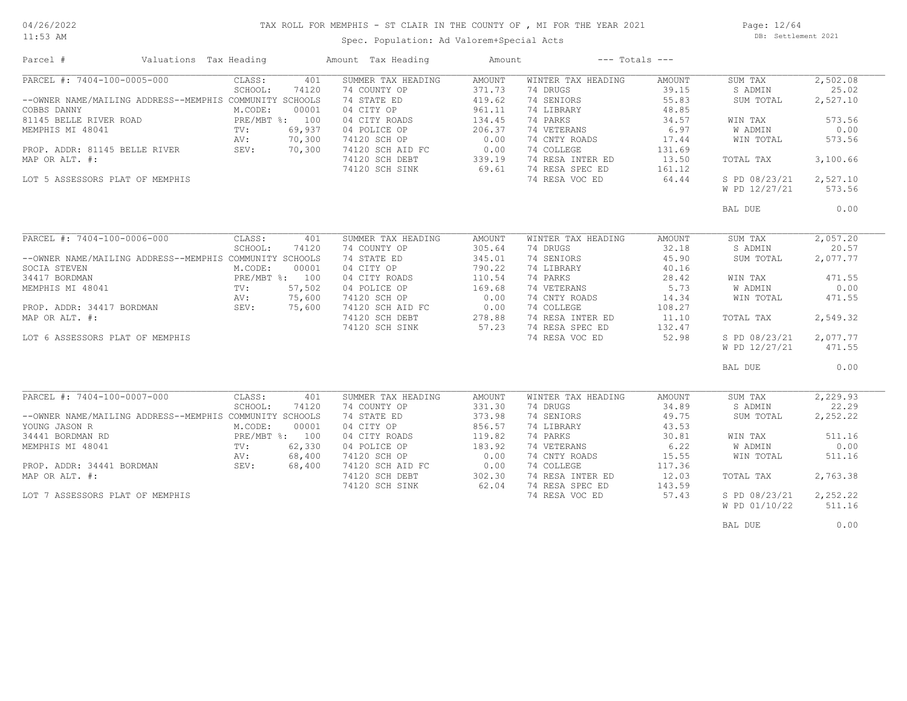#### TAX ROLL FOR MEMPHIS - ST CLAIR IN THE COUNTY OF , MI FOR THE YEAR 2021

11:53 AM

## Spec. Population: Ad Valorem+Special Acts

Page: 12/64 DB: Settlement 2021

| PARCEL #: 7404-100-0005-000<br>CLASS:<br>401<br>SUMMER TAX HEADING<br><b>AMOUNT</b><br>WINTER TAX HEADING<br>AMOUNT<br>SUM TAX<br>SCHOOL:<br>371.73<br>74 DRUGS<br>39.15<br>S ADMIN<br>74120<br>74 COUNTY OP<br>--OWNER NAME/MAILING ADDRESS--MEMPHIS COMMUNITY SCHOOLS<br>74 STATE ED<br>419.62<br>74 SENIORS<br>55.83<br>SUM TOTAL<br>04 CITY OP<br>961.11<br>48.85<br>COBBS DANNY<br>M.CODE:<br>00001<br>74 LIBRARY<br>81145 BELLE RIVER ROAD<br>PRE/MBT %: 100<br>74 PARKS<br>04 CITY ROADS<br>134.45<br>34.57<br>WIN TAX<br>69,937<br>206.37<br>74 VETERANS<br>6.97<br>W ADMIN<br>MEMPHIS MI 48041<br>TV:<br>04 POLICE OP<br>74120 SCH OP<br>0.00<br>74 CNTY ROADS<br>AV:<br>70,300<br>17.44<br>WIN TOTAL<br>0.00<br>74 COLLEGE<br>PROP. ADDR: 81145 BELLE RIVER<br>SEV:<br>70,300<br>74120 SCH AID FC<br>131.69<br>74 RESA INTER ED<br>339.19<br>MAP OR ALT. #:<br>74120 SCH DEBT<br>13.50<br>TOTAL TAX<br>69.61<br>74 RESA SPEC ED<br>74120 SCH SINK<br>161.12<br>LOT 5 ASSESSORS PLAT OF MEMPHIS<br>74 RESA VOC ED<br>64.44<br>S PD 08/23/21<br>W PD 12/27/21<br>BAL DUE<br>PARCEL #: 7404-100-0006-000<br>CLASS:<br>401<br>SUMMER TAX HEADING<br>WINTER TAX HEADING<br>SUM TAX<br>AMOUNT<br>AMOUNT<br>SCHOOL:<br>74120<br>74 COUNTY OP<br>305.64<br>74 DRUGS<br>32.18<br>S ADMIN<br>--OWNER NAME/MAILING ADDRESS--MEMPHIS COMMUNITY SCHOOLS<br>74 STATE ED<br>345.01<br>74 SENIORS<br>45.90<br>SUM TOTAL<br>790.22<br>40.16<br>M.CODE:<br>00001<br>04 CITY OP<br>74 LIBRARY<br>SOCIA STEVEN<br>74 PARKS<br>34417 BORDMAN<br>PRE/MBT %: 100<br>04 CITY ROADS<br>110.54<br>28.42<br>WIN TAX<br>57,502<br>169.68<br>74 VETERANS<br>5.73<br>MEMPHIS MI 48041<br>TV:<br>04 POLICE OP<br>W ADMIN<br>75,600<br>74120 SCH OP<br>0.00<br>74 CNTY ROADS<br>14.34<br>AV:<br>WIN TOTAL<br>0.00<br>PROP. ADDR: 34417 BORDMAN<br>SEV:<br>75,600<br>74120 SCH AID FC<br>74 COLLEGE<br>108.27<br>74 RESA INTER ED<br>MAP OR ALT. #:<br>74120 SCH DEBT<br>278.88<br>11.10<br>TOTAL TAX | 2,502.08<br>25.02<br>2,527.10<br>573.56<br>0.00<br>573.56<br>3,100.66<br>2,527.10<br>573.56<br>0.00<br>2,057.20<br>20.57<br>2,077.77<br>471.55<br>0.00 |
|--------------------------------------------------------------------------------------------------------------------------------------------------------------------------------------------------------------------------------------------------------------------------------------------------------------------------------------------------------------------------------------------------------------------------------------------------------------------------------------------------------------------------------------------------------------------------------------------------------------------------------------------------------------------------------------------------------------------------------------------------------------------------------------------------------------------------------------------------------------------------------------------------------------------------------------------------------------------------------------------------------------------------------------------------------------------------------------------------------------------------------------------------------------------------------------------------------------------------------------------------------------------------------------------------------------------------------------------------------------------------------------------------------------------------------------------------------------------------------------------------------------------------------------------------------------------------------------------------------------------------------------------------------------------------------------------------------------------------------------------------------------------------------------------------------------------------------------------------------------------------------------------------------------------------------------------------------------------------------|--------------------------------------------------------------------------------------------------------------------------------------------------------|
|                                                                                                                                                                                                                                                                                                                                                                                                                                                                                                                                                                                                                                                                                                                                                                                                                                                                                                                                                                                                                                                                                                                                                                                                                                                                                                                                                                                                                                                                                                                                                                                                                                                                                                                                                                                                                                                                                                                                                                                |                                                                                                                                                        |
|                                                                                                                                                                                                                                                                                                                                                                                                                                                                                                                                                                                                                                                                                                                                                                                                                                                                                                                                                                                                                                                                                                                                                                                                                                                                                                                                                                                                                                                                                                                                                                                                                                                                                                                                                                                                                                                                                                                                                                                |                                                                                                                                                        |
|                                                                                                                                                                                                                                                                                                                                                                                                                                                                                                                                                                                                                                                                                                                                                                                                                                                                                                                                                                                                                                                                                                                                                                                                                                                                                                                                                                                                                                                                                                                                                                                                                                                                                                                                                                                                                                                                                                                                                                                |                                                                                                                                                        |
|                                                                                                                                                                                                                                                                                                                                                                                                                                                                                                                                                                                                                                                                                                                                                                                                                                                                                                                                                                                                                                                                                                                                                                                                                                                                                                                                                                                                                                                                                                                                                                                                                                                                                                                                                                                                                                                                                                                                                                                |                                                                                                                                                        |
|                                                                                                                                                                                                                                                                                                                                                                                                                                                                                                                                                                                                                                                                                                                                                                                                                                                                                                                                                                                                                                                                                                                                                                                                                                                                                                                                                                                                                                                                                                                                                                                                                                                                                                                                                                                                                                                                                                                                                                                |                                                                                                                                                        |
|                                                                                                                                                                                                                                                                                                                                                                                                                                                                                                                                                                                                                                                                                                                                                                                                                                                                                                                                                                                                                                                                                                                                                                                                                                                                                                                                                                                                                                                                                                                                                                                                                                                                                                                                                                                                                                                                                                                                                                                |                                                                                                                                                        |
|                                                                                                                                                                                                                                                                                                                                                                                                                                                                                                                                                                                                                                                                                                                                                                                                                                                                                                                                                                                                                                                                                                                                                                                                                                                                                                                                                                                                                                                                                                                                                                                                                                                                                                                                                                                                                                                                                                                                                                                |                                                                                                                                                        |
|                                                                                                                                                                                                                                                                                                                                                                                                                                                                                                                                                                                                                                                                                                                                                                                                                                                                                                                                                                                                                                                                                                                                                                                                                                                                                                                                                                                                                                                                                                                                                                                                                                                                                                                                                                                                                                                                                                                                                                                |                                                                                                                                                        |
|                                                                                                                                                                                                                                                                                                                                                                                                                                                                                                                                                                                                                                                                                                                                                                                                                                                                                                                                                                                                                                                                                                                                                                                                                                                                                                                                                                                                                                                                                                                                                                                                                                                                                                                                                                                                                                                                                                                                                                                |                                                                                                                                                        |
|                                                                                                                                                                                                                                                                                                                                                                                                                                                                                                                                                                                                                                                                                                                                                                                                                                                                                                                                                                                                                                                                                                                                                                                                                                                                                                                                                                                                                                                                                                                                                                                                                                                                                                                                                                                                                                                                                                                                                                                |                                                                                                                                                        |
|                                                                                                                                                                                                                                                                                                                                                                                                                                                                                                                                                                                                                                                                                                                                                                                                                                                                                                                                                                                                                                                                                                                                                                                                                                                                                                                                                                                                                                                                                                                                                                                                                                                                                                                                                                                                                                                                                                                                                                                |                                                                                                                                                        |
|                                                                                                                                                                                                                                                                                                                                                                                                                                                                                                                                                                                                                                                                                                                                                                                                                                                                                                                                                                                                                                                                                                                                                                                                                                                                                                                                                                                                                                                                                                                                                                                                                                                                                                                                                                                                                                                                                                                                                                                |                                                                                                                                                        |
|                                                                                                                                                                                                                                                                                                                                                                                                                                                                                                                                                                                                                                                                                                                                                                                                                                                                                                                                                                                                                                                                                                                                                                                                                                                                                                                                                                                                                                                                                                                                                                                                                                                                                                                                                                                                                                                                                                                                                                                |                                                                                                                                                        |
|                                                                                                                                                                                                                                                                                                                                                                                                                                                                                                                                                                                                                                                                                                                                                                                                                                                                                                                                                                                                                                                                                                                                                                                                                                                                                                                                                                                                                                                                                                                                                                                                                                                                                                                                                                                                                                                                                                                                                                                |                                                                                                                                                        |
|                                                                                                                                                                                                                                                                                                                                                                                                                                                                                                                                                                                                                                                                                                                                                                                                                                                                                                                                                                                                                                                                                                                                                                                                                                                                                                                                                                                                                                                                                                                                                                                                                                                                                                                                                                                                                                                                                                                                                                                |                                                                                                                                                        |
|                                                                                                                                                                                                                                                                                                                                                                                                                                                                                                                                                                                                                                                                                                                                                                                                                                                                                                                                                                                                                                                                                                                                                                                                                                                                                                                                                                                                                                                                                                                                                                                                                                                                                                                                                                                                                                                                                                                                                                                |                                                                                                                                                        |
|                                                                                                                                                                                                                                                                                                                                                                                                                                                                                                                                                                                                                                                                                                                                                                                                                                                                                                                                                                                                                                                                                                                                                                                                                                                                                                                                                                                                                                                                                                                                                                                                                                                                                                                                                                                                                                                                                                                                                                                |                                                                                                                                                        |
|                                                                                                                                                                                                                                                                                                                                                                                                                                                                                                                                                                                                                                                                                                                                                                                                                                                                                                                                                                                                                                                                                                                                                                                                                                                                                                                                                                                                                                                                                                                                                                                                                                                                                                                                                                                                                                                                                                                                                                                |                                                                                                                                                        |
|                                                                                                                                                                                                                                                                                                                                                                                                                                                                                                                                                                                                                                                                                                                                                                                                                                                                                                                                                                                                                                                                                                                                                                                                                                                                                                                                                                                                                                                                                                                                                                                                                                                                                                                                                                                                                                                                                                                                                                                |                                                                                                                                                        |
|                                                                                                                                                                                                                                                                                                                                                                                                                                                                                                                                                                                                                                                                                                                                                                                                                                                                                                                                                                                                                                                                                                                                                                                                                                                                                                                                                                                                                                                                                                                                                                                                                                                                                                                                                                                                                                                                                                                                                                                |                                                                                                                                                        |
|                                                                                                                                                                                                                                                                                                                                                                                                                                                                                                                                                                                                                                                                                                                                                                                                                                                                                                                                                                                                                                                                                                                                                                                                                                                                                                                                                                                                                                                                                                                                                                                                                                                                                                                                                                                                                                                                                                                                                                                |                                                                                                                                                        |
|                                                                                                                                                                                                                                                                                                                                                                                                                                                                                                                                                                                                                                                                                                                                                                                                                                                                                                                                                                                                                                                                                                                                                                                                                                                                                                                                                                                                                                                                                                                                                                                                                                                                                                                                                                                                                                                                                                                                                                                | 471.55                                                                                                                                                 |
|                                                                                                                                                                                                                                                                                                                                                                                                                                                                                                                                                                                                                                                                                                                                                                                                                                                                                                                                                                                                                                                                                                                                                                                                                                                                                                                                                                                                                                                                                                                                                                                                                                                                                                                                                                                                                                                                                                                                                                                |                                                                                                                                                        |
|                                                                                                                                                                                                                                                                                                                                                                                                                                                                                                                                                                                                                                                                                                                                                                                                                                                                                                                                                                                                                                                                                                                                                                                                                                                                                                                                                                                                                                                                                                                                                                                                                                                                                                                                                                                                                                                                                                                                                                                |                                                                                                                                                        |
|                                                                                                                                                                                                                                                                                                                                                                                                                                                                                                                                                                                                                                                                                                                                                                                                                                                                                                                                                                                                                                                                                                                                                                                                                                                                                                                                                                                                                                                                                                                                                                                                                                                                                                                                                                                                                                                                                                                                                                                | 2,549.32                                                                                                                                               |
| 57.23<br>74 RESA SPEC ED<br>74120 SCH SINK<br>132.47                                                                                                                                                                                                                                                                                                                                                                                                                                                                                                                                                                                                                                                                                                                                                                                                                                                                                                                                                                                                                                                                                                                                                                                                                                                                                                                                                                                                                                                                                                                                                                                                                                                                                                                                                                                                                                                                                                                           |                                                                                                                                                        |
| 52.98<br>LOT 6 ASSESSORS PLAT OF MEMPHIS<br>74 RESA VOC ED<br>S PD 08/23/21                                                                                                                                                                                                                                                                                                                                                                                                                                                                                                                                                                                                                                                                                                                                                                                                                                                                                                                                                                                                                                                                                                                                                                                                                                                                                                                                                                                                                                                                                                                                                                                                                                                                                                                                                                                                                                                                                                    | 2,077.77                                                                                                                                               |
| W PD 12/27/21                                                                                                                                                                                                                                                                                                                                                                                                                                                                                                                                                                                                                                                                                                                                                                                                                                                                                                                                                                                                                                                                                                                                                                                                                                                                                                                                                                                                                                                                                                                                                                                                                                                                                                                                                                                                                                                                                                                                                                  | 471.55                                                                                                                                                 |
| BAL DUE                                                                                                                                                                                                                                                                                                                                                                                                                                                                                                                                                                                                                                                                                                                                                                                                                                                                                                                                                                                                                                                                                                                                                                                                                                                                                                                                                                                                                                                                                                                                                                                                                                                                                                                                                                                                                                                                                                                                                                        | 0.00                                                                                                                                                   |
|                                                                                                                                                                                                                                                                                                                                                                                                                                                                                                                                                                                                                                                                                                                                                                                                                                                                                                                                                                                                                                                                                                                                                                                                                                                                                                                                                                                                                                                                                                                                                                                                                                                                                                                                                                                                                                                                                                                                                                                |                                                                                                                                                        |
| PARCEL #: 7404-100-0007-000<br>WINTER TAX HEADING<br>CLASS:<br>401<br>SUMMER TAX HEADING<br>AMOUNT<br>AMOUNT<br>SUM TAX                                                                                                                                                                                                                                                                                                                                                                                                                                                                                                                                                                                                                                                                                                                                                                                                                                                                                                                                                                                                                                                                                                                                                                                                                                                                                                                                                                                                                                                                                                                                                                                                                                                                                                                                                                                                                                                        | 2,229.93                                                                                                                                               |
| SCHOOL:<br>74120<br>74 COUNTY OP<br>331.30<br>74 DRUGS<br>34.89<br>S ADMIN                                                                                                                                                                                                                                                                                                                                                                                                                                                                                                                                                                                                                                                                                                                                                                                                                                                                                                                                                                                                                                                                                                                                                                                                                                                                                                                                                                                                                                                                                                                                                                                                                                                                                                                                                                                                                                                                                                     | 22.29                                                                                                                                                  |
| --OWNER NAME/MAILING ADDRESS--MEMPHIS COMMUNITY SCHOOLS<br>74 STATE ED<br>373.98<br>74 SENIORS<br>49.75<br>SUM TOTAL                                                                                                                                                                                                                                                                                                                                                                                                                                                                                                                                                                                                                                                                                                                                                                                                                                                                                                                                                                                                                                                                                                                                                                                                                                                                                                                                                                                                                                                                                                                                                                                                                                                                                                                                                                                                                                                           | 2,252.22                                                                                                                                               |
| 856.57<br>YOUNG JASON R<br>00001<br>04 CITY OP<br>43.53<br>M.CODE:<br>74 LIBRARY                                                                                                                                                                                                                                                                                                                                                                                                                                                                                                                                                                                                                                                                                                                                                                                                                                                                                                                                                                                                                                                                                                                                                                                                                                                                                                                                                                                                                                                                                                                                                                                                                                                                                                                                                                                                                                                                                               |                                                                                                                                                        |
| 34441 BORDMAN RD<br>PRE/MBT %: 100<br>119.82<br>74 PARKS<br>30.81<br>04 CITY ROADS<br>WIN TAX                                                                                                                                                                                                                                                                                                                                                                                                                                                                                                                                                                                                                                                                                                                                                                                                                                                                                                                                                                                                                                                                                                                                                                                                                                                                                                                                                                                                                                                                                                                                                                                                                                                                                                                                                                                                                                                                                  | 511.16                                                                                                                                                 |
| 62,330<br>04 POLICE OP<br>183.92<br>74 VETERANS<br>6.22<br>W ADMIN<br>MEMPHIS MI 48041<br>TV:                                                                                                                                                                                                                                                                                                                                                                                                                                                                                                                                                                                                                                                                                                                                                                                                                                                                                                                                                                                                                                                                                                                                                                                                                                                                                                                                                                                                                                                                                                                                                                                                                                                                                                                                                                                                                                                                                  | 0.00                                                                                                                                                   |
| 68,400<br>74120 SCH OP<br>0.00<br>74 CNTY ROADS<br>15.55<br>AV:<br>WIN TOTAL                                                                                                                                                                                                                                                                                                                                                                                                                                                                                                                                                                                                                                                                                                                                                                                                                                                                                                                                                                                                                                                                                                                                                                                                                                                                                                                                                                                                                                                                                                                                                                                                                                                                                                                                                                                                                                                                                                   | 511.16                                                                                                                                                 |
| SEV:<br>74120 SCH AID FC<br>0.00<br>74 COLLEGE<br>PROP. ADDR: 34441 BORDMAN<br>68,400<br>117.36                                                                                                                                                                                                                                                                                                                                                                                                                                                                                                                                                                                                                                                                                                                                                                                                                                                                                                                                                                                                                                                                                                                                                                                                                                                                                                                                                                                                                                                                                                                                                                                                                                                                                                                                                                                                                                                                                |                                                                                                                                                        |
| 74 RESA INTER ED<br>MAP OR ALT. #:<br>302.30<br>12.03<br>74120 SCH DEBT<br>TOTAL TAX                                                                                                                                                                                                                                                                                                                                                                                                                                                                                                                                                                                                                                                                                                                                                                                                                                                                                                                                                                                                                                                                                                                                                                                                                                                                                                                                                                                                                                                                                                                                                                                                                                                                                                                                                                                                                                                                                           | 2,763.38                                                                                                                                               |
| 62.04<br>74 RESA SPEC ED<br>143.59<br>74120 SCH SINK                                                                                                                                                                                                                                                                                                                                                                                                                                                                                                                                                                                                                                                                                                                                                                                                                                                                                                                                                                                                                                                                                                                                                                                                                                                                                                                                                                                                                                                                                                                                                                                                                                                                                                                                                                                                                                                                                                                           |                                                                                                                                                        |
| 74 RESA VOC ED<br>57.43<br>S PD 08/23/21                                                                                                                                                                                                                                                                                                                                                                                                                                                                                                                                                                                                                                                                                                                                                                                                                                                                                                                                                                                                                                                                                                                                                                                                                                                                                                                                                                                                                                                                                                                                                                                                                                                                                                                                                                                                                                                                                                                                       | 2,252.22                                                                                                                                               |
| LOT 7 ASSESSORS PLAT OF MEMPHIS                                                                                                                                                                                                                                                                                                                                                                                                                                                                                                                                                                                                                                                                                                                                                                                                                                                                                                                                                                                                                                                                                                                                                                                                                                                                                                                                                                                                                                                                                                                                                                                                                                                                                                                                                                                                                                                                                                                                                |                                                                                                                                                        |
| W PD 01/10/22                                                                                                                                                                                                                                                                                                                                                                                                                                                                                                                                                                                                                                                                                                                                                                                                                                                                                                                                                                                                                                                                                                                                                                                                                                                                                                                                                                                                                                                                                                                                                                                                                                                                                                                                                                                                                                                                                                                                                                  | 511.16                                                                                                                                                 |
| BAL DUE                                                                                                                                                                                                                                                                                                                                                                                                                                                                                                                                                                                                                                                                                                                                                                                                                                                                                                                                                                                                                                                                                                                                                                                                                                                                                                                                                                                                                                                                                                                                                                                                                                                                                                                                                                                                                                                                                                                                                                        | 0.00                                                                                                                                                   |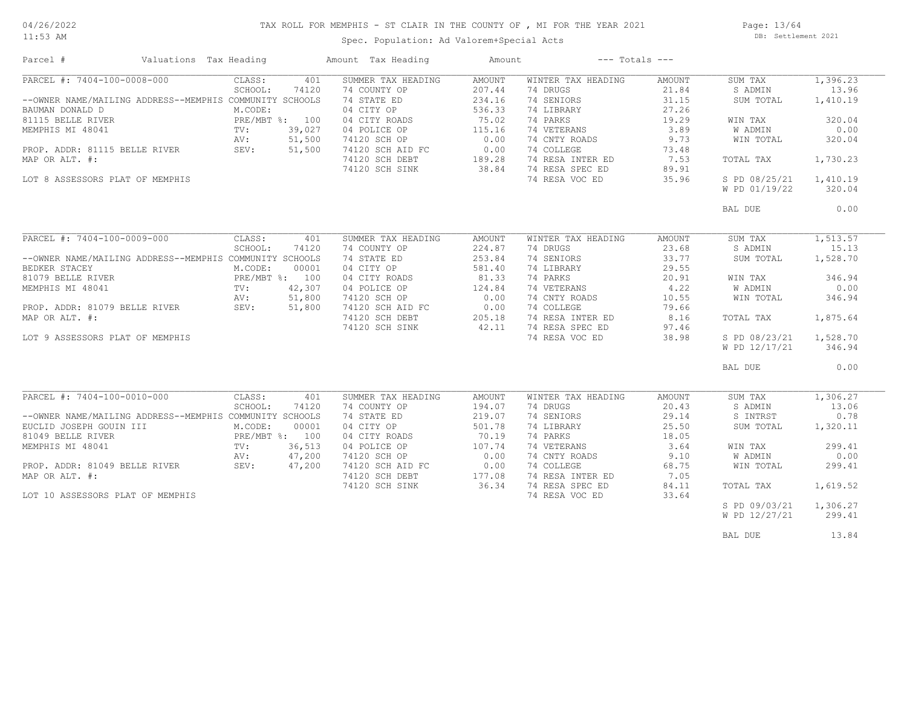#### TAX ROLL FOR MEMPHIS - ST CLAIR IN THE COUNTY OF , MI FOR THE YEAR 2021

11:53 AM

## Spec. Population: Ad Valorem+Special Acts

Page: 13/64 DB: Settlement 2021

| Parcel #                                                        | Valuations Tax Heading |                |        | Amount Tax Heading | Amount        |                    | $---$ Totals $---$ |               |          |
|-----------------------------------------------------------------|------------------------|----------------|--------|--------------------|---------------|--------------------|--------------------|---------------|----------|
| PARCEL #: 7404-100-0008-000                                     |                        | CLASS:         | 401    | SUMMER TAX HEADING | AMOUNT        | WINTER TAX HEADING | AMOUNT             | SUM TAX       | 1,396.23 |
|                                                                 |                        | SCHOOL:        | 74120  | 74 COUNTY OP       | 207.44        | 74 DRUGS           | 21.84              | S ADMIN       | 13.96    |
| --OWNER NAME/MAILING ADDRESS--MEMPHIS COMMUNITY SCHOOLS         |                        |                |        | 74 STATE ED        | 234.16        | 74 SENIORS         | 31.15              | SUM TOTAL     | 1,410.19 |
| BAUMAN DONALD D                                                 |                        | M.CODE:        |        | 04 CITY OP         | 536.33        | 74 LIBRARY         | 27.26              |               |          |
| 81115 BELLE RIVER                                               |                        | PRE/MBT %: 100 |        | 04 CITY ROADS      | 75.02         | 74 PARKS           | 19.29              | WIN TAX       | 320.04   |
| MEMPHIS MI 48041                                                |                        | TV:            | 39,027 | 04 POLICE OP       | 115.16        | 74 VETERANS        | 3.89               | W ADMIN       | 0.00     |
|                                                                 |                        | AV:            | 51,500 | 74120 SCH OP       | 0.00          | 74 CNTY ROADS      | 9.73               | WIN TOTAL     | 320.04   |
| PROP. ADDR: 81115 BELLE RIVER SEV:                              |                        |                | 51,500 | 74120 SCH AID FC   | 0.00          | 74 COLLEGE         | 73.48              |               |          |
| MAP OR ALT. #:                                                  |                        |                |        | 74120 SCH DEBT     | 189.28        | 74 RESA INTER ED   | 7.53               | TOTAL TAX     | 1,730.23 |
|                                                                 |                        |                |        | 74120 SCH SINK     | 38.84         | 74 RESA SPEC ED    | 89.91              |               |          |
| LOT 8 ASSESSORS PLAT OF MEMPHIS                                 |                        |                |        |                    |               | 74 RESA VOC ED     | 35.96              | S PD 08/25/21 | 1,410.19 |
|                                                                 |                        |                |        |                    |               |                    |                    | W PD 01/19/22 | 320.04   |
|                                                                 |                        |                |        |                    |               |                    |                    |               |          |
|                                                                 |                        |                |        |                    |               |                    |                    | BAL DUE       | 0.00     |
|                                                                 |                        |                |        |                    |               |                    |                    |               |          |
| PARCEL #: 7404-100-0009-000                                     |                        | CLASS:         | 401    | SUMMER TAX HEADING | AMOUNT        | WINTER TAX HEADING | AMOUNT             | SUM TAX       | 1,513.57 |
|                                                                 |                        | SCHOOL:        | 74120  | 74 COUNTY OP       | 224.87        | 74 DRUGS           | 23.68              | S ADMIN       | 15.13    |
| --OWNER NAME/MAILING ADDRESS--MEMPHIS COMMUNITY SCHOOLS         |                        |                |        | 74 STATE ED        | 253.84        | 74 SENIORS         | 33.77              | SUM TOTAL     | 1,528.70 |
| BEDKER STACEY                                                   |                        | M.CODE:        | 00001  | 04 CITY OP         | 581.40        | 74 LIBRARY         | 29.55              |               |          |
| 81079 BELLE RIVER                                               |                        | PRE/MBT %: 100 |        | 04 CITY ROADS      | 81.33         | 74 PARKS           | 20.91              | WIN TAX       | 346.94   |
| MEMPHIS MI 48041                                                |                        | TV:            | 42,307 | 04 POLICE OP       | 124.84        | 74 VETERANS        | 4.22               | W ADMIN       | 0.00     |
| MEMPHIS MI 48041 TV:<br>PROP. ADDR: 81079 BELLE RIVER SEV: SEV: |                        |                | 51,800 | 74120 SCH OP       | 0.00          | 74 CNTY ROADS      | 10.55              | WIN TOTAL     | 346.94   |
|                                                                 |                        |                | 51,800 | 74120 SCH AID FC   | 0.00          | 74 COLLEGE         | 79.66              |               |          |
| MAP OR ALT. #:                                                  |                        |                |        | 74120 SCH DEBT     | 205.18        | 74 RESA INTER ED   | 8.16               | TOTAL TAX     | 1,875.64 |
|                                                                 |                        |                |        | 74120 SCH SINK     | 42.11         | 74 RESA SPEC ED    | 97.46              |               |          |
| LOT 9 ASSESSORS PLAT OF MEMPHIS                                 |                        |                |        |                    |               | 74 RESA VOC ED     | 38.98              | S PD 08/23/21 | 1,528.70 |
|                                                                 |                        |                |        |                    |               |                    |                    | W PD 12/17/21 | 346.94   |
|                                                                 |                        |                |        |                    |               |                    |                    |               |          |
|                                                                 |                        |                |        |                    |               |                    |                    | BAL DUE       | 0.00     |
|                                                                 |                        |                |        |                    |               |                    |                    |               |          |
| PARCEL #: 7404-100-0010-000                                     |                        | CLASS:         | 401    | SUMMER TAX HEADING | <b>AMOUNT</b> | WINTER TAX HEADING | <b>AMOUNT</b>      | SUM TAX       | 1,306.27 |
|                                                                 |                        | SCHOOL:        | 74120  | 74 COUNTY OP       | 194.07        | 74 DRUGS           | 20.43              | S ADMIN       | 13.06    |
| --OWNER NAME/MAILING ADDRESS--MEMPHIS COMMUNITY SCHOOLS         |                        |                |        | 74 STATE ED        | 219.07        | 74 SENIORS         | 29.14              | S INTRST      | 0.78     |
| EUCLID JOSEPH GOUIN III                                         |                        | M.CODE:        | 00001  | 04 CITY OP         | 501.78        | 74 LIBRARY         | 25.50              | SUM TOTAL     | 1,320.11 |
| 81049 BELLE RIVER                                               |                        | PRE/MBT %: 100 |        | 04 CITY ROADS      | 70.19         | 74 PARKS           | 18.05              |               |          |
| MEMPHIS MI 48041                                                |                        | TV:            | 36,513 | 04 POLICE OP       | 107.74        | 74 VETERANS        | 3.64               | WIN TAX       | 299.41   |
|                                                                 |                        | AV:            | 47,200 | 74120 SCH OP       | 0.00          | 74 CNTY ROADS      | 9.10               | W ADMIN       | 0.00     |
| PROP. ADDR: 81049 BELLE RIVER                                   |                        | SEV:           | 47,200 | 74120 SCH AID FC   | 0.00          | 74 COLLEGE         | 68.75              | WIN TOTAL     | 299.41   |
| MAP OR ALT. #:                                                  |                        |                |        | 74120 SCH DEBT     | 177.08        | 74 RESA INTER ED   | 7.05               |               |          |
|                                                                 |                        |                |        | 74120 SCH SINK     | 36.34         | 74 RESA SPEC ED    | 84.11              | TOTAL TAX     | 1,619.52 |
| LOT 10 ASSESSORS PLAT OF MEMPHIS                                |                        |                |        |                    |               | 74 RESA VOC ED     | 33.64              |               |          |
|                                                                 |                        |                |        |                    |               |                    |                    | S PD 09/03/21 | 1,306.27 |
|                                                                 |                        |                |        |                    |               |                    |                    | W PD 12/27/21 | 299.41   |
|                                                                 |                        |                |        |                    |               |                    |                    | BAL DUE       | 13.84    |
|                                                                 |                        |                |        |                    |               |                    |                    |               |          |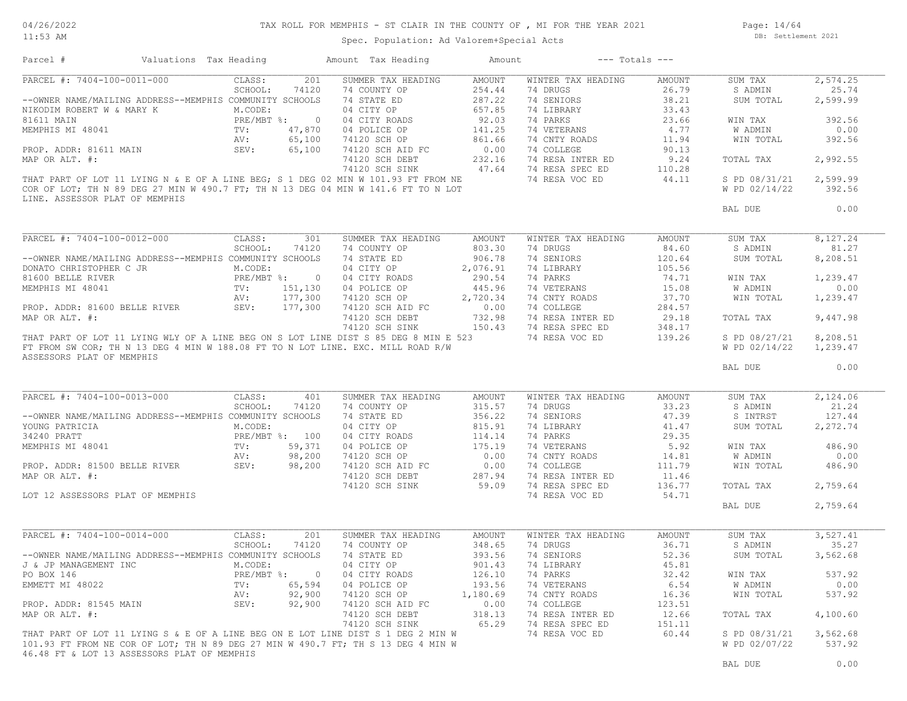#### TAX ROLL FOR MEMPHIS - ST CLAIR IN THE COUNTY OF , MI FOR THE YEAR 2021

11:53 AM

#### Spec. Population: Ad Valorem+Special Acts

Page: 14/64 DB: Settlement 2021

| Parcel #                                                | Valuations Tax Heading |                 |                | Amount Tax Heading                                                                  | Amount   |                    | $---$ Totals $---$ |                |          |
|---------------------------------------------------------|------------------------|-----------------|----------------|-------------------------------------------------------------------------------------|----------|--------------------|--------------------|----------------|----------|
| PARCEL #: 7404-100-0011-000                             |                        | CLASS:          | 201            | SUMMER TAX HEADING                                                                  | AMOUNT   | WINTER TAX HEADING | AMOUNT             | SUM TAX        | 2,574.25 |
|                                                         |                        | SCHOOL:         | 74120          | 74 COUNTY OP                                                                        | 254.44   | 74 DRUGS           | 26.79              | S ADMIN        | 25.74    |
| --OWNER NAME/MAILING ADDRESS--MEMPHIS COMMUNITY SCHOOLS |                        |                 |                | 74 STATE ED                                                                         | 287.22   | 74 SENIORS         | 38.21              | SUM TOTAL      | 2,599.99 |
| NIKODIM ROBERT W & MARY K                               |                        | M.CODE:         |                | 04 CITY OP                                                                          | 657.85   | 74 LIBRARY         | 33.43              |                |          |
| 81611 MAIN                                              |                        | PRE/MBT %:      | $\overline{0}$ | 04 CITY ROADS                                                                       | 92.03    | 74 PARKS           | 23.66              | WIN TAX        | 392.56   |
| MEMPHIS MI 48041                                        |                        | TV:             | 47,870         | 04 POLICE OP                                                                        | 141.25   | 74 VETERANS        | 4.77               | <b>W ADMIN</b> | 0.00     |
|                                                         |                        | AV:             | 65,100         | 74120 SCH OP                                                                        | 861.66   | 74 CNTY ROADS      | 11.94              | WIN TOTAL      | 392.56   |
| PROP. ADDR: 81611 MAIN                                  | SEV:                   |                 | 65,100         | 74120 SCH AID FC                                                                    | 0.00     | 74 COLLEGE         | 90.13              |                |          |
| MAP OR ALT. #:                                          |                        |                 |                | 74120 SCH DEBT                                                                      | 232.16   | 74 RESA INTER ED   | 9.24               | TOTAL TAX      | 2,992.55 |
|                                                         |                        |                 |                | 74120 SCH SINK                                                                      | 47.64    | 74 RESA SPEC ED    | 110.28             |                |          |
|                                                         |                        |                 |                | THAT PART OF LOT 11 LYING N & E OF A LINE BEG; S 1 DEG 02 MIN W 101.93 FT FROM NE   |          | 74 RESA VOC ED     | 44.11              | S PD 08/31/21  | 2,599.99 |
|                                                         |                        |                 |                | COR OF LOT; TH N 89 DEG 27 MIN W 490.7 FT; TH N 13 DEG 04 MIN W 141.6 FT TO N LOT   |          |                    |                    | W PD 02/14/22  | 392.56   |
| LINE. ASSESSOR PLAT OF MEMPHIS                          |                        |                 |                |                                                                                     |          |                    |                    |                |          |
|                                                         |                        |                 |                |                                                                                     |          |                    |                    | BAL DUE        | 0.00     |
|                                                         |                        |                 |                |                                                                                     |          |                    |                    |                |          |
| PARCEL #: 7404-100-0012-000                             |                        | CLASS:          | 301            | SUMMER TAX HEADING                                                                  | AMOUNT   | WINTER TAX HEADING | AMOUNT             | SUM TAX        | 8,127.24 |
|                                                         |                        | SCHOOL:         | 74120          | 74 COUNTY OP                                                                        | 803.30   | 74 DRUGS           | 84.60              | S ADMIN        | 81.27    |
| --OWNER NAME/MAILING ADDRESS--MEMPHIS COMMUNITY SCHOOLS |                        |                 |                | 74 STATE ED                                                                         | 906.78   | 74 SENIORS         | 120.64             | SUM TOTAL      | 8,208.51 |
| DONATO CHRISTOPHER C JR                                 |                        | M.CODE:         |                | 04 CITY OP                                                                          | 2,076.91 | 74 LIBRARY         | 105.56             |                |          |
| 81600 BELLE RIVER                                       |                        |                 | PRE/MBT %: 0   | 04 CITY ROADS                                                                       | 290.54   | 74 PARKS           | 74.71              | WIN TAX        | 1,239.47 |
| MEMPHIS MI 48041                                        |                        | $\texttt{TV}$ : | 151,130        | 04 POLICE OP                                                                        | 445.96   | 74 VETERANS        | 15.08              | W ADMIN        | 0.00     |
|                                                         |                        | AV:             | 177,300        | 74120 SCH OP                                                                        | 2,720.34 | 74 CNTY ROADS      | 37.70              | WIN TOTAL      | 1,239.47 |
| PROP. ADDR: 81600 BELLE RIVER                           |                        | SEV:            | 177,300        | 74120 SCH AID FC                                                                    | 0.00     | 74 COLLEGE         | 284.57             |                |          |
| MAP OR ALT. #:                                          |                        |                 |                | 74120 SCH DEBT                                                                      | 732.98   | 74 RESA INTER ED   | 29.18              | TOTAL TAX      | 9,447.98 |
|                                                         |                        |                 |                | 74120 SCH SINK                                                                      | 150.43   | 74 RESA SPEC ED    | 348.17             |                |          |
|                                                         |                        |                 |                | THAT PART OF LOT 11 LYING WLY OF A LINE BEG ON S LOT LINE DIST S 85 DEG 8 MIN E 523 |          | 74 RESA VOC ED     | 139.26             | S PD 08/27/21  | 8,208.51 |
|                                                         |                        |                 |                | FT FROM SW COR; TH N 13 DEG 4 MIN W 188.08 FT TO N LOT LINE. EXC. MILL ROAD R/W     |          |                    |                    | W PD 02/14/22  | 1,239.47 |
| ASSESSORS PLAT OF MEMPHIS                               |                        |                 |                |                                                                                     |          |                    |                    |                |          |
|                                                         |                        |                 |                |                                                                                     |          |                    |                    | BAL DUE        | 0.00     |
|                                                         |                        |                 |                |                                                                                     |          |                    |                    |                |          |
|                                                         |                        |                 |                |                                                                                     |          |                    |                    |                |          |
| PARCEL #: 7404-100-0013-000                             |                        | CLASS:          | 401            | SUMMER TAX HEADING                                                                  | AMOUNT   | WINTER TAX HEADING | AMOUNT             | SUM TAX        | 2,124.06 |
|                                                         |                        | SCHOOL:         | 74120          | 74 COUNTY OP                                                                        | 315.57   | 74 DRUGS           | 33.23              | S ADMIN        | 21.24    |
| --OWNER NAME/MAILING ADDRESS--MEMPHIS COMMUNITY SCHOOLS |                        |                 |                | 74 STATE ED                                                                         | 356.22   | 74 SENIORS         | 47.39              | S INTRST       | 127.44   |
| YOUNG PATRICIA                                          |                        | M.CODE:         |                | 04 CITY OP                                                                          | 815.91   | 74 LIBRARY         | 41.47              | SUM TOTAL      | 2,272.74 |
| 34240 PRATT                                             |                        |                 | PRE/MBT %: 100 | 04 CITY ROADS                                                                       | 114.14   | 74 PARKS           | 29.35              |                |          |
| MEMPHIS MI 48041                                        |                        | TV:             | 59,371         | 04 POLICE OP                                                                        | 175.19   | 74 VETERANS        | 5.92               | WIN TAX        | 486.90   |
|                                                         |                        | AV:             | 98,200         | 74120 SCH OP                                                                        | 0.00     | 74 CNTY ROADS      | 14.81              | W ADMIN        | 0.00     |
| PROP. ADDR: 81500 BELLE RIVER                           |                        | SEV:            | 98,200         | 74120 SCH AID FC                                                                    | 0.00     | 74 COLLEGE         | 111.79             | WIN TOTAL      | 486.90   |
| MAP OR ALT. #:                                          |                        |                 |                | 74120 SCH DEBT                                                                      | 287.94   | 74 RESA INTER ED   | 11.46              |                |          |
|                                                         |                        |                 |                | 74120 SCH SINK                                                                      | 59.09    | 74 RESA SPEC ED    | 136.77             | TOTAL TAX      | 2,759.64 |
| LOT 12 ASSESSORS PLAT OF MEMPHIS                        |                        |                 |                |                                                                                     |          | 74 RESA VOC ED     | 54.71              |                |          |
|                                                         |                        |                 |                |                                                                                     |          |                    |                    | BAL DUE        | 2,759.64 |
|                                                         |                        |                 |                |                                                                                     |          |                    |                    |                |          |
| PARCEL #: 7404-100-0014-000                             |                        | CLASS:          | 201            | SUMMER TAX HEADING                                                                  | AMOUNT   | WINTER TAX HEADING | AMOUNT             | SUM TAX        | 3,527.41 |
|                                                         |                        | SCHOOL:         | 74120          | 74 COUNTY OP                                                                        | 348.65   | 74 DRUGS           | 36.71              | S ADMIN        | 35.27    |
| --OWNER NAME/MAILING ADDRESS--MEMPHIS COMMUNITY SCHOOLS |                        |                 |                | 74 STATE ED                                                                         | 393.56   | 74 SENIORS         | 52.36              | SUM TOTAL      | 3,562.68 |
| J & JP MANAGEMENT INC                                   |                        | M.CODE:         |                | 04 CITY OP                                                                          | 901.43   | 74 LIBRARY         | 45.81              |                |          |
| PO BOX 146                                              |                        | $PRE/MBT$ %:    | $\overline{0}$ | 04 CITY ROADS                                                                       | 126.10   | 74 PARKS           | 32.42              | WIN TAX        | 537.92   |
|                                                         |                        |                 |                |                                                                                     |          |                    |                    |                |          |
| EMMETT MI 48022                                         |                        | TV:             | 65,594         | 04 POLICE OP                                                                        | 193.56   | 74 VETERANS        | 6.54               | W ADMIN        | 0.00     |
|                                                         |                        | AV:             | 92,900         | 74120 SCH OP                                                                        | 1,180.69 | 74 CNTY ROADS      | 16.36              | WIN TOTAL      | 537.92   |
| PROP. ADDR: 81545 MAIN                                  |                        | SEV:            | 92,900         | 74120 SCH AID FC                                                                    | 0.00     | 74 COLLEGE         | 123.51             |                |          |
| MAP OR ALT. #:                                          |                        |                 |                | 74120 SCH DEBT                                                                      | 318.13   | 74 RESA INTER ED   | 12.66              | TOTAL TAX      | 4,100.60 |
|                                                         |                        |                 |                | 74120 SCH SINK                                                                      | 65.29    | 74 RESA SPEC ED    | 151.11             |                |          |
|                                                         |                        |                 |                | THAT PART OF LOT 11 LYING S & E OF A LINE BEG ON E LOT LINE DIST S 1 DEG 2 MIN W    |          | 74 RESA VOC ED     | 60.44              | S PD 08/31/21  | 3,562.68 |
|                                                         |                        |                 |                | 101.93 FT FROM NE COR OF LOT; TH N 89 DEG 27 MIN W 490.7 FT; TH S 13 DEG 4 MIN W    |          |                    |                    | W PD 02/07/22  | 537.92   |
| 46.48 FT & LOT 13 ASSESSORS PLAT OF MEMPHIS             |                        |                 |                |                                                                                     |          |                    |                    |                |          |
|                                                         |                        |                 |                |                                                                                     |          |                    |                    | BAL DUE        | 0.00     |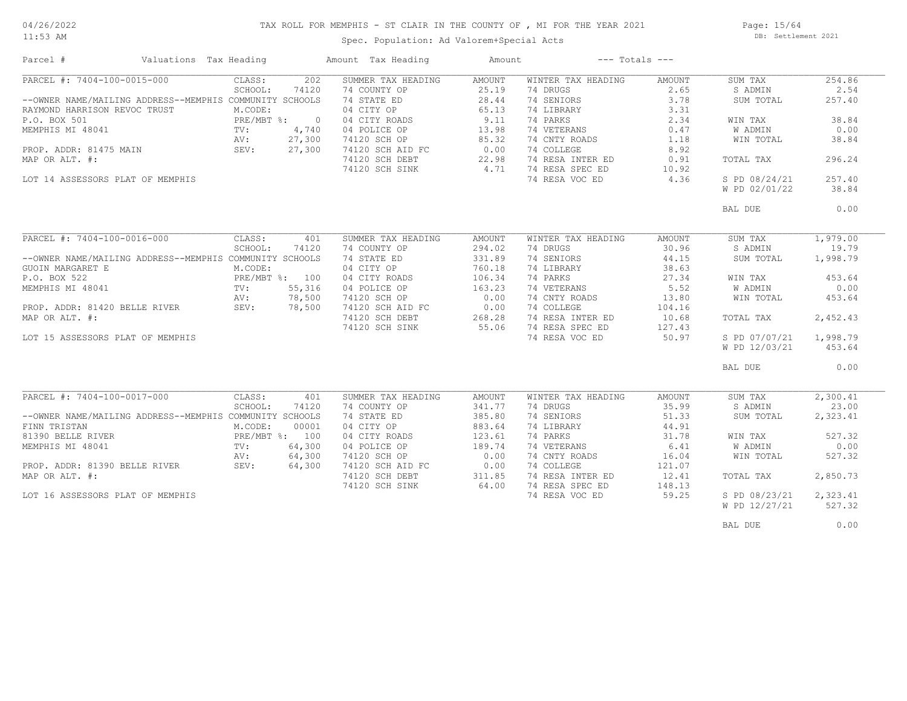#### TAX ROLL FOR MEMPHIS - ST CLAIR IN THE COUNTY OF , MI FOR THE YEAR 2021

11:53 AM

## Spec. Population: Ad Valorem+Special Acts

Page: 15/64 DB: Settlement 2021

| Parcel #                                                | Valuations Tax Heading |                |        | Amount Tax Heading               | Amount | $---$ Totals $---$ |        |               |          |
|---------------------------------------------------------|------------------------|----------------|--------|----------------------------------|--------|--------------------|--------|---------------|----------|
| PARCEL #: 7404-100-0015-000                             |                        | CLASS:         | 202    | SUMMER TAX HEADING               | AMOUNT | WINTER TAX HEADING | AMOUNT | SUM TAX       | 254.86   |
|                                                         |                        | SCHOOL:        | 74120  | 74 COUNTY OP                     | 25.19  | 74 DRUGS           | 2.65   | S ADMIN       | 2.54     |
| --OWNER NAME/MAILING ADDRESS--MEMPHIS COMMUNITY SCHOOLS |                        |                |        | 74 STATE ED                      | 28.44  | 74 SENIORS         | 3.78   | SUM TOTAL     | 257.40   |
| RAYMOND HARRISON REVOC TRUST                            |                        | M.CODE:        |        | 04 CITY OP                       | 65.13  | 74 LIBRARY         | 3.31   |               |          |
| P.O. BOX 501                                            |                        | PRE/MBT %: 0   |        |                                  | 9.11   | 74 PARKS           | 2.34   | WIN TAX       | 38.84    |
| MEMPHIS MI 48041                                        |                        | TV:            | 4,740  | 04 CITY ROADS<br>04 POLICE OP    | 13.98  | 74 VETERANS        | 0.47   | W ADMIN       | 0.00     |
|                                                         |                        | AV:            | 27,300 |                                  | 85.32  | 74 CNTY ROADS      | 1.18   | WIN TOTAL     | 38.84    |
|                                                         |                        |                |        | 74120 SCH OP<br>74120 SCH AID FC |        |                    |        |               |          |
| PROP. ADDR: 81475 MAIN                                  |                        | SEV:           | 27,300 |                                  | 0.00   | 74 COLLEGE         | 8.92   |               |          |
| MAP OR ALT. #:                                          |                        |                |        | 74120 SCH DEBT                   | 22.98  | 74 RESA INTER ED   | 0.91   | TOTAL TAX     | 296.24   |
|                                                         |                        |                |        | 74120 SCH SINK                   | 4.71   | 74 RESA SPEC ED    | 10.92  |               |          |
| LOT 14 ASSESSORS PLAT OF MEMPHIS                        |                        |                |        |                                  |        | 74 RESA VOC ED     | 4.36   | S PD 08/24/21 | 257.40   |
|                                                         |                        |                |        |                                  |        |                    |        | W PD 02/01/22 | 38.84    |
|                                                         |                        |                |        |                                  |        |                    |        | BAL DUE       | 0.00     |
|                                                         |                        |                |        |                                  |        |                    |        |               |          |
| PARCEL #: 7404-100-0016-000                             |                        | CLASS:         | 401    | SUMMER TAX HEADING               | AMOUNT | WINTER TAX HEADING | AMOUNT | SUM TAX       | 1,979.00 |
|                                                         |                        | SCHOOL:        | 74120  | 74 COUNTY OP                     | 294.02 | 74 DRUGS           | 30.96  | S ADMIN       | 19.79    |
| --OWNER NAME/MAILING ADDRESS--MEMPHIS COMMUNITY SCHOOLS |                        |                |        | 74 STATE ED                      | 331.89 | 74 SENIORS         | 44.15  | SUM TOTAL     | 1,998.79 |
| GUOIN MARGARET E                                        |                        | M.CODE:        |        | 04 CITY OP                       | 760.18 | 74 LIBRARY         | 38.63  |               |          |
| P.O. BOX 522                                            |                        | PRE/MBT %: 100 |        | 04 CITY ROADS                    | 106.34 | 74 PARKS           | 27.34  | WIN TAX       | 453.64   |
| MEMPHIS MI 48041                                        |                        | TV:            | 55,316 | 04 POLICE OP                     | 163.23 | 74 VETERANS        | 5.52   | W ADMIN       | 0.00     |
|                                                         |                        | AV:            | 78,500 | 74120 SCH OP                     | 0.00   | 74 CNTY ROADS      | 13.80  | WIN TOTAL     | 453.64   |
| PROP. ADDR: 81420 BELLE RIVER                           |                        | SEV: 78,500    |        | 74120 SCH AID FC                 | 0.00   | 74 COLLEGE         | 104.16 |               |          |
| MAP OR ALT. #:                                          |                        |                |        | 74120 SCH DEBT                   | 268.28 | 74 RESA INTER ED   | 10.68  | TOTAL TAX     | 2,452.43 |
|                                                         |                        |                |        | 74120 SCH SINK                   | 55.06  | 74 RESA SPEC ED    | 127.43 |               |          |
|                                                         |                        |                |        |                                  |        |                    |        |               |          |
| LOT 15 ASSESSORS PLAT OF MEMPHIS                        |                        |                |        |                                  |        | 74 RESA VOC ED     | 50.97  | S PD 07/07/21 | 1,998.79 |
|                                                         |                        |                |        |                                  |        |                    |        | W PD 12/03/21 | 453.64   |
|                                                         |                        |                |        |                                  |        |                    |        | BAL DUE       | 0.00     |
|                                                         |                        |                |        |                                  |        |                    |        |               |          |
| PARCEL #: 7404-100-0017-000                             |                        | CLASS:         | 401    | SUMMER TAX HEADING               | AMOUNT | WINTER TAX HEADING | AMOUNT | SUM TAX       | 2,300.41 |
|                                                         |                        | SCHOOL:        | 74120  | 74 COUNTY OP                     | 341.77 | 74 DRUGS           | 35.99  | S ADMIN       | 23.00    |
| --OWNER NAME/MAILING ADDRESS--MEMPHIS COMMUNITY SCHOOLS |                        |                |        | 74 STATE ED                      | 385.80 | 74 SENIORS         | 51.33  | SUM TOTAL     | 2,323.41 |
| FINN TRISTAN                                            |                        | M.CODE:        | 00001  | 04 CITY OP                       | 883.64 | 74 LIBRARY         | 44.91  |               |          |
| 81390 BELLE RIVER                                       |                        | PRE/MBT %: 100 |        | 04 CITY ROADS                    | 123.61 | 74 PARKS           | 31.78  | WIN TAX       | 527.32   |
| MEMPHIS MI 48041                                        |                        | TV:            | 64,300 | 04 POLICE OP                     | 189.74 | 74 VETERANS        | 6.41   | W ADMIN       | 0.00     |
|                                                         |                        | AV:            | 64,300 | 74120 SCH OP                     | 0.00   | 74 CNTY ROADS      | 16.04  | WIN TOTAL     | 527.32   |
| PROP. ADDR: 81390 BELLE RIVER                           |                        | SEV:           | 64,300 | 74120 SCH AID FC                 | 0.00   | 74 COLLEGE         | 121.07 |               |          |
| MAP OR ALT. #:                                          |                        |                |        | 74120 SCH DEBT                   | 311.85 | 74 RESA INTER ED   | 12.41  | TOTAL TAX     | 2,850.73 |
|                                                         |                        |                |        | 74120 SCH SINK                   | 64.00  | 74 RESA SPEC ED    | 148.13 |               |          |
| LOT 16 ASSESSORS PLAT OF MEMPHIS                        |                        |                |        |                                  |        | 74 RESA VOC ED     | 59.25  | S PD 08/23/21 | 2,323.41 |
|                                                         |                        |                |        |                                  |        |                    |        | W PD 12/27/21 | 527.32   |
|                                                         |                        |                |        |                                  |        |                    |        |               |          |
|                                                         |                        |                |        |                                  |        |                    |        | BAL DUE       | 0.00     |
|                                                         |                        |                |        |                                  |        |                    |        |               |          |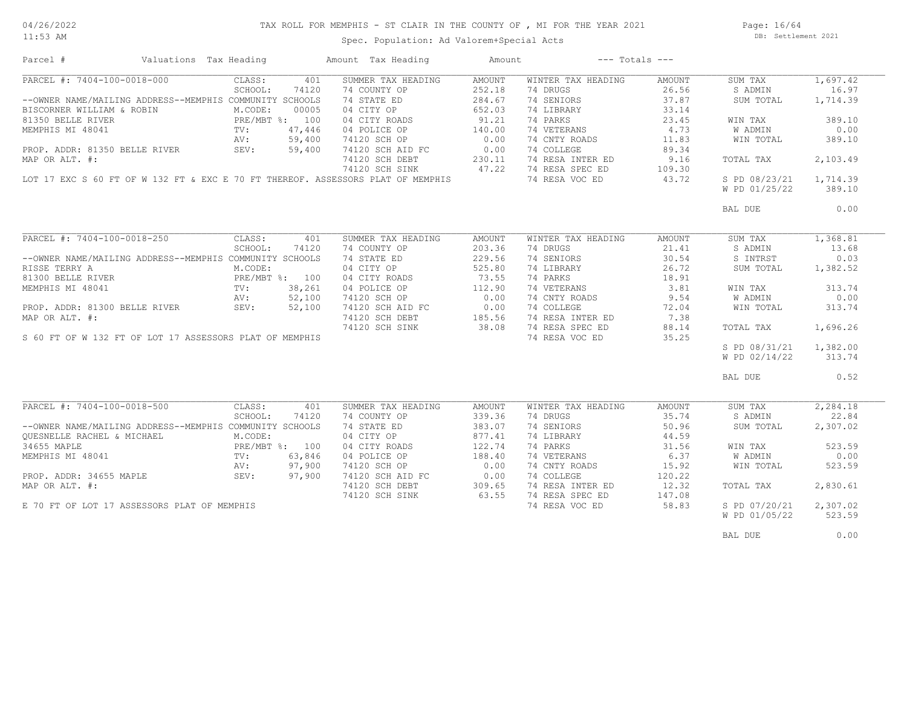#### TAX ROLL FOR MEMPHIS - ST CLAIR IN THE COUNTY OF , MI FOR THE YEAR 2021

11:53 AM

## Spec. Population: Ad Valorem+Special Acts

Page: 16/64 DB: Settlement 2021

| Parcel #                                                | Valuations Tax Heading |                |        | Amount Tax Heading                                                              | Amount |                    | $---$ Totals $---$ |               |          |
|---------------------------------------------------------|------------------------|----------------|--------|---------------------------------------------------------------------------------|--------|--------------------|--------------------|---------------|----------|
| PARCEL #: 7404-100-0018-000                             |                        | CLASS:         | 401    | SUMMER TAX HEADING                                                              | AMOUNT | WINTER TAX HEADING | AMOUNT             | SUM TAX       | 1,697.42 |
|                                                         |                        | SCHOOL:        | 74120  | 74 COUNTY OP                                                                    | 252.18 | 74 DRUGS           | 26.56              | S ADMIN       | 16.97    |
| --OWNER NAME/MAILING ADDRESS--MEMPHIS COMMUNITY SCHOOLS |                        |                |        | 74 STATE ED                                                                     | 284.67 | 74 SENIORS         | 37.87              | SUM TOTAL     | 1,714.39 |
| BISCORNER WILLIAM & ROBIN                               |                        | M.CODE:        | 00005  | 04 CITY OP                                                                      | 652.03 | 74 LIBRARY         | 33.14              |               |          |
| 81350 BELLE RIVER                                       |                        | PRE/MBT %: 100 |        | 04 CITY ROADS                                                                   | 91.21  | 74 PARKS           | 23.45              | WIN TAX       | 389.10   |
| MEMPHIS MI 48041                                        | PRE/I<br>TV:           |                | 47,446 | 04 POLICE OP                                                                    | 140.00 | 74 VETERANS        | 4.73               | W ADMIN       | 0.00     |
|                                                         |                        | AV:            | 59,400 | 74120 SCH OP                                                                    |        | 74 CNTY ROADS      | 11.83              | WIN TOTAL     | 389.10   |
|                                                         |                        |                |        |                                                                                 | 0.00   | 74 COLLEGE         |                    |               |          |
| PROP. ADDR: 81350 BELLE RIVER                           |                        | SEV:           | 59,400 | 74120 SCH AID FC                                                                | 0.00   |                    | 89.34              |               |          |
| MAP OR ALT. #:                                          |                        |                |        | 74120 SCH DEBT                                                                  | 230.11 | 74 RESA INTER ED   | 9.16               | TOTAL TAX     | 2,103.49 |
|                                                         |                        |                |        | 74120 SCH SINK 47.22 74 RESA SPEC ED                                            |        |                    | 109.30             |               |          |
|                                                         |                        |                |        | LOT 17 EXC S 60 FT OF W 132 FT & EXC E 70 FT THEREOF. ASSESSORS PLAT OF MEMPHIS |        | 74 RESA VOC ED     | 43.72              | S PD 08/23/21 | 1,714.39 |
|                                                         |                        |                |        |                                                                                 |        |                    |                    | W PD 01/25/22 | 389.10   |
|                                                         |                        |                |        |                                                                                 |        |                    |                    | BAL DUE       | 0.00     |
|                                                         |                        |                |        |                                                                                 |        |                    |                    |               |          |
|                                                         |                        |                |        |                                                                                 |        |                    |                    |               |          |
| PARCEL #: 7404-100-0018-250                             |                        | CLASS:         | 401    | SUMMER TAX HEADING                                                              | AMOUNT | WINTER TAX HEADING | AMOUNT             | SUM TAX       | 1,368.81 |
|                                                         |                        | SCHOOL:        | 74120  | 74 COUNTY OP                                                                    | 203.36 | 74 DRUGS           | 21.41              | S ADMIN       | 13.68    |
| --OWNER NAME/MAILING ADDRESS--MEMPHIS COMMUNITY SCHOOLS |                        |                |        | 74 STATE ED                                                                     | 229.56 | 74 SENIORS         | 30.54              | S INTRST      | 0.03     |
| RISSE TERRY A                                           |                        | M.CODE:        |        | 04 CITY OP                                                                      | 525.80 | 74 LIBRARY         | 26.72              | SUM TOTAL     | 1,382.52 |
| 81300 BELLE RIVER                                       |                        | PRE/MBT %: 100 |        | 04 CITY ROADS                                                                   | 73.55  | 74 PARKS           | 18.91              |               |          |
| MEMPHIS MI 48041                                        |                        | TV:            | 38,261 | 04 POLICE OP                                                                    | 112.90 | 74 VETERANS        | 3.81               | WIN TAX       | 313.74   |
|                                                         |                        | AV:            | 52,100 |                                                                                 |        | 74 CNTY ROADS      | 9.54               | W ADMIN       | 0.00     |
| PROP. ADDR: 81300 BELLE RIVER SEV: 52,100               |                        |                |        |                                                                                 |        | 74 COLLEGE         | 72.04              | WIN TOTAL     | 313.74   |
| MAP OR ALT. #:                                          |                        |                |        |                                                                                 |        | 74 RESA INTER ED   | 7.38               |               |          |
|                                                         |                        |                |        | 74120 SCH SINK 38.08                                                            |        | 74 RESA SPEC ED    | 88.14              | TOTAL TAX     | 1,696.26 |
| S 60 FT OF W 132 FT OF LOT 17 ASSESSORS PLAT OF MEMPHIS |                        |                |        |                                                                                 |        | 74 RESA VOC ED     | 35.25              |               |          |
|                                                         |                        |                |        |                                                                                 |        |                    |                    | S PD 08/31/21 | 1,382.00 |
|                                                         |                        |                |        |                                                                                 |        |                    |                    | W PD 02/14/22 | 313.74   |
|                                                         |                        |                |        |                                                                                 |        |                    |                    |               |          |
|                                                         |                        |                |        |                                                                                 |        |                    |                    | BAL DUE       | 0.52     |
|                                                         |                        |                |        |                                                                                 |        |                    |                    |               |          |
|                                                         |                        |                |        |                                                                                 |        |                    |                    |               |          |
| PARCEL #: 7404-100-0018-500                             |                        | CLASS:         | 401    | SUMMER TAX HEADING                                                              | AMOUNT | WINTER TAX HEADING | AMOUNT             | SUM TAX       | 2,284.18 |
|                                                         |                        | SCHOOL:        | 74120  | 74 COUNTY OP                                                                    | 339.36 | 74 DRUGS           | 35.74              | S ADMIN       | 22.84    |
| --OWNER NAME/MAILING ADDRESS--MEMPHIS COMMUNITY SCHOOLS |                        |                |        | 74 STATE ED                                                                     | 383.07 | 74 SENIORS         | 50.96              | SUM TOTAL     | 2,307.02 |
| QUESNELLE RACHEL & MICHAEL<br>34655 MAPLE               |                        | M.CODE:        |        | 04 CITY OP                                                                      | 877.41 | 74 LIBRARY         | 44.59              |               |          |
|                                                         |                        | PRE/MBT %: 100 |        | 04 CITY ROADS                                                                   | 122.74 | 74 PARKS           | 31.56              | WIN TAX       | 523.59   |
| MEMPHIS MI 48041                                        | TV:                    |                | 63,846 | 04 POLICE OP                                                                    | 188.40 | 74 VETERANS        | 6.37               | W ADMIN       | 0.00     |
|                                                         |                        | AV:            | 97,900 | 74120 SCH OP                                                                    | 0.00   | 74 CNTY ROADS      | 15.92              | WIN TOTAL     | 523.59   |
| PROP. ADDR: 34655 MAPLE                                 | SEV:                   |                | 97,900 | 74120 SCH AID FC 0.00<br>74120 SCH DEBT 309.65<br>74120 SCH SINK 63.55          |        | 74 COLLEGE         | 120.22             |               |          |
| MAP OR ALT. #:                                          |                        |                |        |                                                                                 | 309.65 | 74 RESA INTER ED   | 12.32              | TOTAL TAX     | 2,830.61 |
|                                                         |                        |                |        | 74120 SCH SINK                                                                  | 63.55  | 74 RESA SPEC ED    | 147.08             |               |          |
| E 70 FT OF LOT 17 ASSESSORS PLAT OF MEMPHIS             |                        |                |        |                                                                                 |        | 74 RESA VOC ED     | 58.83              | S PD 07/20/21 | 2,307.02 |
|                                                         |                        |                |        |                                                                                 |        |                    |                    | W PD 01/05/22 | 523.59   |
|                                                         |                        |                |        |                                                                                 |        |                    |                    |               |          |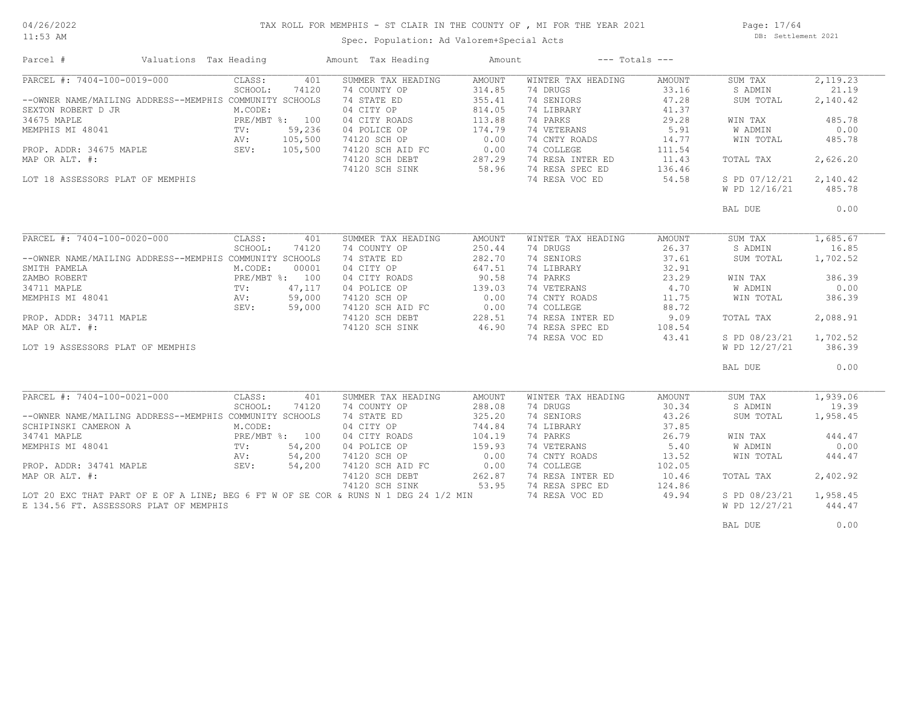#### TAX ROLL FOR MEMPHIS - ST CLAIR IN THE COUNTY OF , MI FOR THE YEAR 2021

11:53 AM

## Spec. Population: Ad Valorem+Special Acts

Page: 17/64 DB: Settlement 2021

| Parcel #                                                | Valuations Tax Heading |                |         | Amount Tax Heading                                                                  | Amount        |                    | $---$ Totals $---$ |                |          |
|---------------------------------------------------------|------------------------|----------------|---------|-------------------------------------------------------------------------------------|---------------|--------------------|--------------------|----------------|----------|
| PARCEL #: 7404-100-0019-000                             |                        | CLASS:         | 401     | SUMMER TAX HEADING                                                                  | <b>AMOUNT</b> | WINTER TAX HEADING | AMOUNT             | SUM TAX        | 2,119.23 |
|                                                         |                        | SCHOOL:        | 74120   | 74 COUNTY OP                                                                        | 314.85        | 74 DRUGS           | 33.16              | S ADMIN        | 21.19    |
| --OWNER NAME/MAILING ADDRESS--MEMPHIS COMMUNITY SCHOOLS |                        |                |         | 74 STATE ED                                                                         | 355.41        | 74 SENIORS         | 47.28              | SUM TOTAL      | 2,140.42 |
| SEXTON ROBERT D JR                                      |                        | M.CODE:        |         | 04 CITY OP                                                                          | 814.05        | 74 LIBRARY         | 41.37              |                |          |
| 34675 MAPLE                                             |                        | PRE/MBT %: 100 |         | 04 CITY ROADS                                                                       | 113.88        | 74 PARKS           | 29.28              | WIN TAX        | 485.78   |
| MEMPHIS MI 48041                                        |                        | TV:            | 59,236  | 04 POLICE OP                                                                        | 174.79        | 74 VETERANS        | 5.91               | W ADMIN        | 0.00     |
|                                                         |                        |                | 105,500 | 74120 SCH OP                                                                        | 0.00          | 74 CNTY ROADS      | 14.77              | WIN TOTAL      | 485.78   |
| PROP. ADDR: 34675 MAPLE                                 | AV:<br>SEV:            |                | 105,500 | 74120 SCH AID FC                                                                    | 0.00          | 74 COLLEGE         | 111.54             |                |          |
| MAP OR ALT. #:                                          |                        |                |         | 74120 SCH DEBT                                                                      | 287.29        | 74 RESA INTER ED   | 11.43              | TOTAL TAX      | 2,626.20 |
|                                                         |                        |                |         |                                                                                     | 58.96         | 74 RESA SPEC ED    |                    |                |          |
|                                                         |                        |                |         | 74120 SCH SINK                                                                      |               |                    | 136.46             |                |          |
| LOT 18 ASSESSORS PLAT OF MEMPHIS                        |                        |                |         |                                                                                     |               | 74 RESA VOC ED     | 54.58              | S PD 07/12/21  | 2,140.42 |
|                                                         |                        |                |         |                                                                                     |               |                    |                    | W PD 12/16/21  | 485.78   |
|                                                         |                        |                |         |                                                                                     |               |                    |                    | BAL DUE        | 0.00     |
|                                                         |                        |                |         |                                                                                     |               |                    |                    |                |          |
| PARCEL #: 7404-100-0020-000                             |                        | CLASS:         | 401     | SUMMER TAX HEADING                                                                  | <b>AMOUNT</b> | WINTER TAX HEADING | AMOUNT             | SUM TAX        | 1,685.67 |
|                                                         |                        | SCHOOL:        | 74120   | 74 COUNTY OP                                                                        | 250.44        | 74 DRUGS           | 26.37              | S ADMIN        | 16.85    |
| --OWNER NAME/MAILING ADDRESS--MEMPHIS COMMUNITY SCHOOLS |                        |                |         | 74 STATE ED                                                                         | 282.70        | 74 SENIORS         | 37.61              | SUM TOTAL      | 1,702.52 |
| SMITH PAMELA                                            |                        | M.CODE:        | 00001   | 04 CITY OP                                                                          | 647.51        | 74 LIBRARY         | 32.91              |                |          |
| ZAMBO ROBERT                                            |                        | PRE/MBT %: 100 |         | 04 CITY ROADS                                                                       | 90.58         | 74 PARKS           | 23.29              | WIN TAX        | 386.39   |
| 34711 MAPLE                                             |                        | TV:            | 47,117  | 04 POLICE OP                                                                        | 139.03        | 74 VETERANS        | 4.70               | W ADMIN        | 0.00     |
| MEMPHIS MI 48041                                        |                        | AV:            | 59,000  | 74120 SCH OP                                                                        | 0.00          | 74 CNTY ROADS      | 11.75              | WIN TOTAL      | 386.39   |
|                                                         |                        | SEV:           | 59,000  | 74120 SCH AID FC                                                                    | 0.00          | 74 COLLEGE         | 88.72              |                |          |
| PROP. ADDR: 34711 MAPLE                                 |                        |                |         | 74120 SCH DEBT                                                                      | 228.51        | 74 RESA INTER ED   | 9.09               | TOTAL TAX      | 2,088.91 |
|                                                         |                        |                |         |                                                                                     |               |                    |                    |                |          |
| MAP OR ALT. #:                                          |                        |                |         | 74120 SCH SINK                                                                      | 46.90         | 74 RESA SPEC ED    | 108.54             |                |          |
|                                                         |                        |                |         |                                                                                     |               | 74 RESA VOC ED     | 43.41              | S PD 08/23/21  | 1,702.52 |
| LOT 19 ASSESSORS PLAT OF MEMPHIS                        |                        |                |         |                                                                                     |               |                    |                    | W PD 12/27/21  | 386.39   |
|                                                         |                        |                |         |                                                                                     |               |                    |                    | BAL DUE        | 0.00     |
|                                                         |                        |                |         |                                                                                     |               |                    |                    |                |          |
| PARCEL #: 7404-100-0021-000                             |                        | CLASS:         | 401     | SUMMER TAX HEADING                                                                  | AMOUNT        | WINTER TAX HEADING | AMOUNT             | SUM TAX        | 1,939.06 |
|                                                         |                        | SCHOOL:        | 74120   | 74 COUNTY OP                                                                        | 288.08        | 74 DRUGS           | 30.34              | S ADMIN        | 19.39    |
| --OWNER NAME/MAILING ADDRESS--MEMPHIS COMMUNITY SCHOOLS |                        |                |         | 74 STATE ED                                                                         | 325.20        | 74 SENIORS         | 43.26              | SUM TOTAL      | 1,958.45 |
| SCHIPINSKI CAMERON A                                    |                        | M.CODE:        |         | 04 CITY OP                                                                          | 744.84        | 74 LIBRARY         | 37.85              |                |          |
| 34741 MAPLE                                             |                        | PRE/MBT %: 100 |         | 04 CITY ROADS                                                                       | 104.19        | 74 PARKS           | 26.79              | WIN TAX        | 444.47   |
| MEMPHIS MI 48041                                        |                        | TV:            | 54,200  | 04 POLICE OP                                                                        | 159.93        | 74 VETERANS        | 5.40               | <b>W ADMIN</b> | 0.00     |
|                                                         |                        | AV:            | 54,200  | 74120 SCH OP                                                                        | 0.00          | 74 CNTY ROADS      | 13.52              | WIN TOTAL      | 444.47   |
| PROP. ADDR: 34741 MAPLE                                 |                        | SEV:           | 54,200  | 74120 SCH AID FC                                                                    | 0.00          | 74 COLLEGE         | 102.05             |                |          |
| MAP OR ALT. #:                                          |                        |                |         | 74120 SCH DEBT                                                                      | 262.87        | 74 RESA INTER ED   | 10.46              | TOTAL TAX      | 2,402.92 |
|                                                         |                        |                |         | 74120 SCH SINK                                                                      | 53.95         | 74 RESA SPEC ED    | 124.86             |                |          |
|                                                         |                        |                |         | LOT 20 EXC THAT PART OF E OF A LINE; BEG 6 FT W OF SE COR & RUNS N 1 DEG 24 1/2 MIN |               | 74 RESA VOC ED     | 49.94              | S PD 08/23/21  | 1,958.45 |
| E 134.56 FT. ASSESSORS PLAT OF MEMPHIS                  |                        |                |         |                                                                                     |               |                    |                    | W PD 12/27/21  | 444.47   |
|                                                         |                        |                |         |                                                                                     |               |                    |                    |                |          |
|                                                         |                        |                |         |                                                                                     |               |                    |                    | BAL DUE        | 0.00     |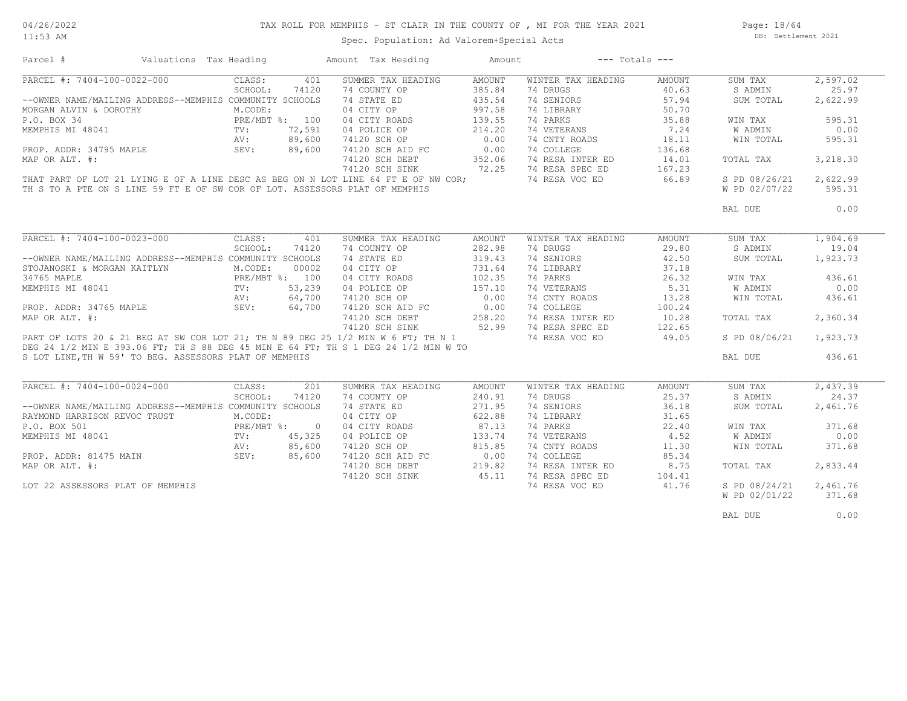#### TAX ROLL FOR MEMPHIS - ST CLAIR IN THE COUNTY OF , MI FOR THE YEAR 2021

11:53 AM

# Spec. Population: Ad Valorem+Special Acts

Page: 18/64 DB: Settlement 2021

| 2,597.02<br>PARCEL #: 7404-100-0022-000<br>CLASS:<br>SUMMER TAX HEADING<br><b>AMOUNT</b><br>401<br>WINTER TAX HEADING<br>AMOUNT<br>SUM TAX<br>385.84<br>SCHOOL:<br>74120<br>74 COUNTY OP<br>74 DRUGS<br>40.63<br>S ADMIN<br>25.97<br>--OWNER NAME/MAILING ADDRESS--MEMPHIS COMMUNITY SCHOOLS<br>74 STATE ED<br>435.54<br>74 SENIORS<br>57.94<br>2,622.99<br>SUM TOTAL<br>04 CITY OP<br>M.CODE:<br>997.58<br>74 LIBRARY<br>MORGAN ALVIN & DOROTHY<br>50.70<br>PRE/MBT %: 100<br>139.55<br>74 PARKS<br>35.88<br>595.31<br>P.O. BOX 34<br>04 CITY ROADS<br>WIN TAX<br>74 VETERANS<br>0.00<br>MEMPHIS MI 48041<br>TV:<br>72,591<br>04 POLICE OP<br>214.20<br>7.24<br><b>W ADMIN</b><br>0.00<br>89,600<br>74120 SCH OP<br>74 CNTY ROADS<br>18.11<br>AV:<br>WIN TOTAL<br>595.31<br>89,600<br>0.00<br>74 COLLEGE<br>PROP. ADDR: 34795 MAPLE<br>SEV:<br>74120 SCH AID FC<br>136.68<br>74120 SCH DEBT<br>74 RESA INTER ED<br>3,218.30<br>MAP OR ALT. #:<br>352.06<br>14.01<br>TOTAL TAX<br>72.25<br>167.23<br>74120 SCH SINK<br>74 RESA SPEC ED<br>THAT PART OF LOT 21 LYING E OF A LINE DESC AS BEG ON N LOT LINE 64 FT E OF NW COR;<br>74 RESA VOC ED<br>66.89<br>S PD 08/26/21<br>2,622.99<br>TH S TO A PTE ON S LINE 59 FT E OF SW COR OF LOT. ASSESSORS PLAT OF MEMPHIS<br>W PD 02/07/22<br>595.31<br>0.00<br>BAL DUE<br>PARCEL #: 7404-100-0023-000<br>CLASS:<br>1,904.69<br>401<br>SUMMER TAX HEADING<br>WINTER TAX HEADING<br>SUM TAX<br>AMOUNT<br>AMOUNT<br>SCHOOL:<br>74120<br>74 COUNTY OP<br>282.98<br>74 DRUGS<br>29.80<br>S ADMIN<br>19.04<br>--OWNER NAME/MAILING ADDRESS--MEMPHIS COMMUNITY SCHOOLS<br>74 SENIORS<br>74 STATE ED<br>319.43<br>42.50<br>SUM TOTAL<br>1,923.73<br>M.CODE:<br>00002<br>04 CITY OP<br>731.64<br>74 LIBRARY<br>37.18<br>STOJANOSKI & MORGAN KAITLYN<br>PRE/MBT %: 100<br>04 CITY ROADS<br>102.35<br>74 PARKS<br>26.32<br>WIN TAX<br>436.61<br>74 VETERANS<br>5.31<br>0.00<br>MEMPHIS MI 48041<br>TV:<br>53,239<br>04 POLICE OP<br>157.10<br>W ADMIN<br>0.00<br>64,700<br>74120 SCH OP<br>74 CNTY ROADS<br>13.28<br>436.61<br>WIN TOTAL<br>AV:<br>SEV:<br>0.00<br>64,700<br>74120 SCH AID FC<br>74 COLLEGE<br>PROP. ADDR: 34765 MAPLE<br>100.24<br>74 RESA INTER ED<br>MAP OR ALT. #:<br>74120 SCH DEBT<br>258.20<br>10.28<br>TOTAL TAX<br>2,360.34<br>52.99<br>74120 SCH SINK<br>74 RESA SPEC ED<br>122.65<br>PART OF LOTS 20 & 21 BEG AT SW COR LOT 21; TH N 89 DEG 25 1/2 MIN W 6 FT; TH N 1<br>74 RESA VOC ED<br>49.05<br>S PD 08/06/21<br>1,923.73<br>DEG 24 1/2 MIN E 393.06 FT; TH S 88 DEG 45 MIN E 64 FT; TH S 1 DEG 24 1/2 MIN W TO<br>S LOT LINE, TH W 59' TO BEG. ASSESSORS PLAT OF MEMPHIS<br>BAL DUE<br>436.61<br>PARCEL #: 7404-100-0024-000<br>SUMMER TAX HEADING<br>WINTER TAX HEADING<br>2,437.39<br>CLASS:<br>201<br>AMOUNT<br>AMOUNT<br>SUM TAX<br>SCHOOL:<br>74 COUNTY OP<br>240.91<br>25.37<br>24.37<br>74120<br>74 DRUGS<br>S ADMIN<br>--OWNER NAME/MAILING ADDRESS--MEMPHIS COMMUNITY SCHOOLS<br>74 SENIORS<br>36.18<br>74 STATE ED<br>271.95<br>SUM TOTAL<br>2,461.76<br>M.CODE:<br>04 CITY OP<br>622.88<br>74 LIBRARY<br>31.65<br>RAYMOND HARRISON REVOC TRUST<br>PRE/MBT %:<br>04 CITY ROADS<br>87.13<br>74 PARKS<br>22.40<br>371.68<br>P.O. BOX 501<br>$\overline{0}$<br>WIN TAX<br>45,325<br>04 POLICE OP<br>133.74<br>74 VETERANS<br>4.52<br>W ADMIN<br>0.00<br>$\texttt{TV}$ :<br>85,600<br>74120 SCH OP<br>815.85<br>74 CNTY ROADS<br>371.68<br>11.30<br>WIN TOTAL<br>AV:<br>PROP. ADDR: 81475 MAIN SEV:<br>0.00<br>74 COLLEGE<br>85,600<br>74120 SCH AID FC<br>85.34<br>74 RESA INTER ED<br>219.82<br>8.75<br>2,833.44<br>74120 SCH DEBT<br>TOTAL TAX<br>45.11<br>74120 SCH SINK<br>74 RESA SPEC ED<br>104.41<br>74 RESA VOC ED<br>41.76<br>S PD 08/24/21<br>2,461.76<br>LOT 22 ASSESSORS PLAT OF MEMPHIS<br>W PD 02/01/22<br>371.68 | Parcel #         | Valuations Tax Heading |  | Amount Tax Heading | Amount | $---$ Totals $---$ |  |
|--------------------------------------------------------------------------------------------------------------------------------------------------------------------------------------------------------------------------------------------------------------------------------------------------------------------------------------------------------------------------------------------------------------------------------------------------------------------------------------------------------------------------------------------------------------------------------------------------------------------------------------------------------------------------------------------------------------------------------------------------------------------------------------------------------------------------------------------------------------------------------------------------------------------------------------------------------------------------------------------------------------------------------------------------------------------------------------------------------------------------------------------------------------------------------------------------------------------------------------------------------------------------------------------------------------------------------------------------------------------------------------------------------------------------------------------------------------------------------------------------------------------------------------------------------------------------------------------------------------------------------------------------------------------------------------------------------------------------------------------------------------------------------------------------------------------------------------------------------------------------------------------------------------------------------------------------------------------------------------------------------------------------------------------------------------------------------------------------------------------------------------------------------------------------------------------------------------------------------------------------------------------------------------------------------------------------------------------------------------------------------------------------------------------------------------------------------------------------------------------------------------------------------------------------------------------------------------------------------------------------------------------------------------------------------------------------------------------------------------------------------------------------------------------------------------------------------------------------------------------------------------------------------------------------------------------------------------------------------------------------------------------------------------------------------------------------------------------------------------------------------------------------------------------------------------------------------------------------------------------------------------------------------------------------------------------------------------------------------------------------------------------------------------------------------------------------------------------------------------------------------------------------------------------------------------------------------------------------------------------------------------------------------------------------------------------------------------------------------------------------------------------------------------------------------|------------------|------------------------|--|--------------------|--------|--------------------|--|
|                                                                                                                                                                                                                                                                                                                                                                                                                                                                                                                                                                                                                                                                                                                                                                                                                                                                                                                                                                                                                                                                                                                                                                                                                                                                                                                                                                                                                                                                                                                                                                                                                                                                                                                                                                                                                                                                                                                                                                                                                                                                                                                                                                                                                                                                                                                                                                                                                                                                                                                                                                                                                                                                                                                                                                                                                                                                                                                                                                                                                                                                                                                                                                                                                                                                                                                                                                                                                                                                                                                                                                                                                                                                                                                                                                                                        |                  |                        |  |                    |        |                    |  |
|                                                                                                                                                                                                                                                                                                                                                                                                                                                                                                                                                                                                                                                                                                                                                                                                                                                                                                                                                                                                                                                                                                                                                                                                                                                                                                                                                                                                                                                                                                                                                                                                                                                                                                                                                                                                                                                                                                                                                                                                                                                                                                                                                                                                                                                                                                                                                                                                                                                                                                                                                                                                                                                                                                                                                                                                                                                                                                                                                                                                                                                                                                                                                                                                                                                                                                                                                                                                                                                                                                                                                                                                                                                                                                                                                                                                        |                  |                        |  |                    |        |                    |  |
|                                                                                                                                                                                                                                                                                                                                                                                                                                                                                                                                                                                                                                                                                                                                                                                                                                                                                                                                                                                                                                                                                                                                                                                                                                                                                                                                                                                                                                                                                                                                                                                                                                                                                                                                                                                                                                                                                                                                                                                                                                                                                                                                                                                                                                                                                                                                                                                                                                                                                                                                                                                                                                                                                                                                                                                                                                                                                                                                                                                                                                                                                                                                                                                                                                                                                                                                                                                                                                                                                                                                                                                                                                                                                                                                                                                                        |                  |                        |  |                    |        |                    |  |
|                                                                                                                                                                                                                                                                                                                                                                                                                                                                                                                                                                                                                                                                                                                                                                                                                                                                                                                                                                                                                                                                                                                                                                                                                                                                                                                                                                                                                                                                                                                                                                                                                                                                                                                                                                                                                                                                                                                                                                                                                                                                                                                                                                                                                                                                                                                                                                                                                                                                                                                                                                                                                                                                                                                                                                                                                                                                                                                                                                                                                                                                                                                                                                                                                                                                                                                                                                                                                                                                                                                                                                                                                                                                                                                                                                                                        |                  |                        |  |                    |        |                    |  |
|                                                                                                                                                                                                                                                                                                                                                                                                                                                                                                                                                                                                                                                                                                                                                                                                                                                                                                                                                                                                                                                                                                                                                                                                                                                                                                                                                                                                                                                                                                                                                                                                                                                                                                                                                                                                                                                                                                                                                                                                                                                                                                                                                                                                                                                                                                                                                                                                                                                                                                                                                                                                                                                                                                                                                                                                                                                                                                                                                                                                                                                                                                                                                                                                                                                                                                                                                                                                                                                                                                                                                                                                                                                                                                                                                                                                        |                  |                        |  |                    |        |                    |  |
|                                                                                                                                                                                                                                                                                                                                                                                                                                                                                                                                                                                                                                                                                                                                                                                                                                                                                                                                                                                                                                                                                                                                                                                                                                                                                                                                                                                                                                                                                                                                                                                                                                                                                                                                                                                                                                                                                                                                                                                                                                                                                                                                                                                                                                                                                                                                                                                                                                                                                                                                                                                                                                                                                                                                                                                                                                                                                                                                                                                                                                                                                                                                                                                                                                                                                                                                                                                                                                                                                                                                                                                                                                                                                                                                                                                                        |                  |                        |  |                    |        |                    |  |
|                                                                                                                                                                                                                                                                                                                                                                                                                                                                                                                                                                                                                                                                                                                                                                                                                                                                                                                                                                                                                                                                                                                                                                                                                                                                                                                                                                                                                                                                                                                                                                                                                                                                                                                                                                                                                                                                                                                                                                                                                                                                                                                                                                                                                                                                                                                                                                                                                                                                                                                                                                                                                                                                                                                                                                                                                                                                                                                                                                                                                                                                                                                                                                                                                                                                                                                                                                                                                                                                                                                                                                                                                                                                                                                                                                                                        |                  |                        |  |                    |        |                    |  |
|                                                                                                                                                                                                                                                                                                                                                                                                                                                                                                                                                                                                                                                                                                                                                                                                                                                                                                                                                                                                                                                                                                                                                                                                                                                                                                                                                                                                                                                                                                                                                                                                                                                                                                                                                                                                                                                                                                                                                                                                                                                                                                                                                                                                                                                                                                                                                                                                                                                                                                                                                                                                                                                                                                                                                                                                                                                                                                                                                                                                                                                                                                                                                                                                                                                                                                                                                                                                                                                                                                                                                                                                                                                                                                                                                                                                        |                  |                        |  |                    |        |                    |  |
|                                                                                                                                                                                                                                                                                                                                                                                                                                                                                                                                                                                                                                                                                                                                                                                                                                                                                                                                                                                                                                                                                                                                                                                                                                                                                                                                                                                                                                                                                                                                                                                                                                                                                                                                                                                                                                                                                                                                                                                                                                                                                                                                                                                                                                                                                                                                                                                                                                                                                                                                                                                                                                                                                                                                                                                                                                                                                                                                                                                                                                                                                                                                                                                                                                                                                                                                                                                                                                                                                                                                                                                                                                                                                                                                                                                                        |                  |                        |  |                    |        |                    |  |
|                                                                                                                                                                                                                                                                                                                                                                                                                                                                                                                                                                                                                                                                                                                                                                                                                                                                                                                                                                                                                                                                                                                                                                                                                                                                                                                                                                                                                                                                                                                                                                                                                                                                                                                                                                                                                                                                                                                                                                                                                                                                                                                                                                                                                                                                                                                                                                                                                                                                                                                                                                                                                                                                                                                                                                                                                                                                                                                                                                                                                                                                                                                                                                                                                                                                                                                                                                                                                                                                                                                                                                                                                                                                                                                                                                                                        |                  |                        |  |                    |        |                    |  |
|                                                                                                                                                                                                                                                                                                                                                                                                                                                                                                                                                                                                                                                                                                                                                                                                                                                                                                                                                                                                                                                                                                                                                                                                                                                                                                                                                                                                                                                                                                                                                                                                                                                                                                                                                                                                                                                                                                                                                                                                                                                                                                                                                                                                                                                                                                                                                                                                                                                                                                                                                                                                                                                                                                                                                                                                                                                                                                                                                                                                                                                                                                                                                                                                                                                                                                                                                                                                                                                                                                                                                                                                                                                                                                                                                                                                        |                  |                        |  |                    |        |                    |  |
|                                                                                                                                                                                                                                                                                                                                                                                                                                                                                                                                                                                                                                                                                                                                                                                                                                                                                                                                                                                                                                                                                                                                                                                                                                                                                                                                                                                                                                                                                                                                                                                                                                                                                                                                                                                                                                                                                                                                                                                                                                                                                                                                                                                                                                                                                                                                                                                                                                                                                                                                                                                                                                                                                                                                                                                                                                                                                                                                                                                                                                                                                                                                                                                                                                                                                                                                                                                                                                                                                                                                                                                                                                                                                                                                                                                                        |                  |                        |  |                    |        |                    |  |
|                                                                                                                                                                                                                                                                                                                                                                                                                                                                                                                                                                                                                                                                                                                                                                                                                                                                                                                                                                                                                                                                                                                                                                                                                                                                                                                                                                                                                                                                                                                                                                                                                                                                                                                                                                                                                                                                                                                                                                                                                                                                                                                                                                                                                                                                                                                                                                                                                                                                                                                                                                                                                                                                                                                                                                                                                                                                                                                                                                                                                                                                                                                                                                                                                                                                                                                                                                                                                                                                                                                                                                                                                                                                                                                                                                                                        |                  |                        |  |                    |        |                    |  |
|                                                                                                                                                                                                                                                                                                                                                                                                                                                                                                                                                                                                                                                                                                                                                                                                                                                                                                                                                                                                                                                                                                                                                                                                                                                                                                                                                                                                                                                                                                                                                                                                                                                                                                                                                                                                                                                                                                                                                                                                                                                                                                                                                                                                                                                                                                                                                                                                                                                                                                                                                                                                                                                                                                                                                                                                                                                                                                                                                                                                                                                                                                                                                                                                                                                                                                                                                                                                                                                                                                                                                                                                                                                                                                                                                                                                        |                  |                        |  |                    |        |                    |  |
|                                                                                                                                                                                                                                                                                                                                                                                                                                                                                                                                                                                                                                                                                                                                                                                                                                                                                                                                                                                                                                                                                                                                                                                                                                                                                                                                                                                                                                                                                                                                                                                                                                                                                                                                                                                                                                                                                                                                                                                                                                                                                                                                                                                                                                                                                                                                                                                                                                                                                                                                                                                                                                                                                                                                                                                                                                                                                                                                                                                                                                                                                                                                                                                                                                                                                                                                                                                                                                                                                                                                                                                                                                                                                                                                                                                                        |                  |                        |  |                    |        |                    |  |
|                                                                                                                                                                                                                                                                                                                                                                                                                                                                                                                                                                                                                                                                                                                                                                                                                                                                                                                                                                                                                                                                                                                                                                                                                                                                                                                                                                                                                                                                                                                                                                                                                                                                                                                                                                                                                                                                                                                                                                                                                                                                                                                                                                                                                                                                                                                                                                                                                                                                                                                                                                                                                                                                                                                                                                                                                                                                                                                                                                                                                                                                                                                                                                                                                                                                                                                                                                                                                                                                                                                                                                                                                                                                                                                                                                                                        |                  |                        |  |                    |        |                    |  |
|                                                                                                                                                                                                                                                                                                                                                                                                                                                                                                                                                                                                                                                                                                                                                                                                                                                                                                                                                                                                                                                                                                                                                                                                                                                                                                                                                                                                                                                                                                                                                                                                                                                                                                                                                                                                                                                                                                                                                                                                                                                                                                                                                                                                                                                                                                                                                                                                                                                                                                                                                                                                                                                                                                                                                                                                                                                                                                                                                                                                                                                                                                                                                                                                                                                                                                                                                                                                                                                                                                                                                                                                                                                                                                                                                                                                        |                  |                        |  |                    |        |                    |  |
|                                                                                                                                                                                                                                                                                                                                                                                                                                                                                                                                                                                                                                                                                                                                                                                                                                                                                                                                                                                                                                                                                                                                                                                                                                                                                                                                                                                                                                                                                                                                                                                                                                                                                                                                                                                                                                                                                                                                                                                                                                                                                                                                                                                                                                                                                                                                                                                                                                                                                                                                                                                                                                                                                                                                                                                                                                                                                                                                                                                                                                                                                                                                                                                                                                                                                                                                                                                                                                                                                                                                                                                                                                                                                                                                                                                                        |                  |                        |  |                    |        |                    |  |
|                                                                                                                                                                                                                                                                                                                                                                                                                                                                                                                                                                                                                                                                                                                                                                                                                                                                                                                                                                                                                                                                                                                                                                                                                                                                                                                                                                                                                                                                                                                                                                                                                                                                                                                                                                                                                                                                                                                                                                                                                                                                                                                                                                                                                                                                                                                                                                                                                                                                                                                                                                                                                                                                                                                                                                                                                                                                                                                                                                                                                                                                                                                                                                                                                                                                                                                                                                                                                                                                                                                                                                                                                                                                                                                                                                                                        |                  |                        |  |                    |        |                    |  |
|                                                                                                                                                                                                                                                                                                                                                                                                                                                                                                                                                                                                                                                                                                                                                                                                                                                                                                                                                                                                                                                                                                                                                                                                                                                                                                                                                                                                                                                                                                                                                                                                                                                                                                                                                                                                                                                                                                                                                                                                                                                                                                                                                                                                                                                                                                                                                                                                                                                                                                                                                                                                                                                                                                                                                                                                                                                                                                                                                                                                                                                                                                                                                                                                                                                                                                                                                                                                                                                                                                                                                                                                                                                                                                                                                                                                        | 34765 MAPLE      |                        |  |                    |        |                    |  |
|                                                                                                                                                                                                                                                                                                                                                                                                                                                                                                                                                                                                                                                                                                                                                                                                                                                                                                                                                                                                                                                                                                                                                                                                                                                                                                                                                                                                                                                                                                                                                                                                                                                                                                                                                                                                                                                                                                                                                                                                                                                                                                                                                                                                                                                                                                                                                                                                                                                                                                                                                                                                                                                                                                                                                                                                                                                                                                                                                                                                                                                                                                                                                                                                                                                                                                                                                                                                                                                                                                                                                                                                                                                                                                                                                                                                        |                  |                        |  |                    |        |                    |  |
|                                                                                                                                                                                                                                                                                                                                                                                                                                                                                                                                                                                                                                                                                                                                                                                                                                                                                                                                                                                                                                                                                                                                                                                                                                                                                                                                                                                                                                                                                                                                                                                                                                                                                                                                                                                                                                                                                                                                                                                                                                                                                                                                                                                                                                                                                                                                                                                                                                                                                                                                                                                                                                                                                                                                                                                                                                                                                                                                                                                                                                                                                                                                                                                                                                                                                                                                                                                                                                                                                                                                                                                                                                                                                                                                                                                                        |                  |                        |  |                    |        |                    |  |
|                                                                                                                                                                                                                                                                                                                                                                                                                                                                                                                                                                                                                                                                                                                                                                                                                                                                                                                                                                                                                                                                                                                                                                                                                                                                                                                                                                                                                                                                                                                                                                                                                                                                                                                                                                                                                                                                                                                                                                                                                                                                                                                                                                                                                                                                                                                                                                                                                                                                                                                                                                                                                                                                                                                                                                                                                                                                                                                                                                                                                                                                                                                                                                                                                                                                                                                                                                                                                                                                                                                                                                                                                                                                                                                                                                                                        |                  |                        |  |                    |        |                    |  |
|                                                                                                                                                                                                                                                                                                                                                                                                                                                                                                                                                                                                                                                                                                                                                                                                                                                                                                                                                                                                                                                                                                                                                                                                                                                                                                                                                                                                                                                                                                                                                                                                                                                                                                                                                                                                                                                                                                                                                                                                                                                                                                                                                                                                                                                                                                                                                                                                                                                                                                                                                                                                                                                                                                                                                                                                                                                                                                                                                                                                                                                                                                                                                                                                                                                                                                                                                                                                                                                                                                                                                                                                                                                                                                                                                                                                        |                  |                        |  |                    |        |                    |  |
|                                                                                                                                                                                                                                                                                                                                                                                                                                                                                                                                                                                                                                                                                                                                                                                                                                                                                                                                                                                                                                                                                                                                                                                                                                                                                                                                                                                                                                                                                                                                                                                                                                                                                                                                                                                                                                                                                                                                                                                                                                                                                                                                                                                                                                                                                                                                                                                                                                                                                                                                                                                                                                                                                                                                                                                                                                                                                                                                                                                                                                                                                                                                                                                                                                                                                                                                                                                                                                                                                                                                                                                                                                                                                                                                                                                                        |                  |                        |  |                    |        |                    |  |
|                                                                                                                                                                                                                                                                                                                                                                                                                                                                                                                                                                                                                                                                                                                                                                                                                                                                                                                                                                                                                                                                                                                                                                                                                                                                                                                                                                                                                                                                                                                                                                                                                                                                                                                                                                                                                                                                                                                                                                                                                                                                                                                                                                                                                                                                                                                                                                                                                                                                                                                                                                                                                                                                                                                                                                                                                                                                                                                                                                                                                                                                                                                                                                                                                                                                                                                                                                                                                                                                                                                                                                                                                                                                                                                                                                                                        |                  |                        |  |                    |        |                    |  |
|                                                                                                                                                                                                                                                                                                                                                                                                                                                                                                                                                                                                                                                                                                                                                                                                                                                                                                                                                                                                                                                                                                                                                                                                                                                                                                                                                                                                                                                                                                                                                                                                                                                                                                                                                                                                                                                                                                                                                                                                                                                                                                                                                                                                                                                                                                                                                                                                                                                                                                                                                                                                                                                                                                                                                                                                                                                                                                                                                                                                                                                                                                                                                                                                                                                                                                                                                                                                                                                                                                                                                                                                                                                                                                                                                                                                        |                  |                        |  |                    |        |                    |  |
|                                                                                                                                                                                                                                                                                                                                                                                                                                                                                                                                                                                                                                                                                                                                                                                                                                                                                                                                                                                                                                                                                                                                                                                                                                                                                                                                                                                                                                                                                                                                                                                                                                                                                                                                                                                                                                                                                                                                                                                                                                                                                                                                                                                                                                                                                                                                                                                                                                                                                                                                                                                                                                                                                                                                                                                                                                                                                                                                                                                                                                                                                                                                                                                                                                                                                                                                                                                                                                                                                                                                                                                                                                                                                                                                                                                                        |                  |                        |  |                    |        |                    |  |
|                                                                                                                                                                                                                                                                                                                                                                                                                                                                                                                                                                                                                                                                                                                                                                                                                                                                                                                                                                                                                                                                                                                                                                                                                                                                                                                                                                                                                                                                                                                                                                                                                                                                                                                                                                                                                                                                                                                                                                                                                                                                                                                                                                                                                                                                                                                                                                                                                                                                                                                                                                                                                                                                                                                                                                                                                                                                                                                                                                                                                                                                                                                                                                                                                                                                                                                                                                                                                                                                                                                                                                                                                                                                                                                                                                                                        |                  |                        |  |                    |        |                    |  |
|                                                                                                                                                                                                                                                                                                                                                                                                                                                                                                                                                                                                                                                                                                                                                                                                                                                                                                                                                                                                                                                                                                                                                                                                                                                                                                                                                                                                                                                                                                                                                                                                                                                                                                                                                                                                                                                                                                                                                                                                                                                                                                                                                                                                                                                                                                                                                                                                                                                                                                                                                                                                                                                                                                                                                                                                                                                                                                                                                                                                                                                                                                                                                                                                                                                                                                                                                                                                                                                                                                                                                                                                                                                                                                                                                                                                        |                  |                        |  |                    |        |                    |  |
|                                                                                                                                                                                                                                                                                                                                                                                                                                                                                                                                                                                                                                                                                                                                                                                                                                                                                                                                                                                                                                                                                                                                                                                                                                                                                                                                                                                                                                                                                                                                                                                                                                                                                                                                                                                                                                                                                                                                                                                                                                                                                                                                                                                                                                                                                                                                                                                                                                                                                                                                                                                                                                                                                                                                                                                                                                                                                                                                                                                                                                                                                                                                                                                                                                                                                                                                                                                                                                                                                                                                                                                                                                                                                                                                                                                                        |                  |                        |  |                    |        |                    |  |
|                                                                                                                                                                                                                                                                                                                                                                                                                                                                                                                                                                                                                                                                                                                                                                                                                                                                                                                                                                                                                                                                                                                                                                                                                                                                                                                                                                                                                                                                                                                                                                                                                                                                                                                                                                                                                                                                                                                                                                                                                                                                                                                                                                                                                                                                                                                                                                                                                                                                                                                                                                                                                                                                                                                                                                                                                                                                                                                                                                                                                                                                                                                                                                                                                                                                                                                                                                                                                                                                                                                                                                                                                                                                                                                                                                                                        |                  |                        |  |                    |        |                    |  |
|                                                                                                                                                                                                                                                                                                                                                                                                                                                                                                                                                                                                                                                                                                                                                                                                                                                                                                                                                                                                                                                                                                                                                                                                                                                                                                                                                                                                                                                                                                                                                                                                                                                                                                                                                                                                                                                                                                                                                                                                                                                                                                                                                                                                                                                                                                                                                                                                                                                                                                                                                                                                                                                                                                                                                                                                                                                                                                                                                                                                                                                                                                                                                                                                                                                                                                                                                                                                                                                                                                                                                                                                                                                                                                                                                                                                        |                  |                        |  |                    |        |                    |  |
|                                                                                                                                                                                                                                                                                                                                                                                                                                                                                                                                                                                                                                                                                                                                                                                                                                                                                                                                                                                                                                                                                                                                                                                                                                                                                                                                                                                                                                                                                                                                                                                                                                                                                                                                                                                                                                                                                                                                                                                                                                                                                                                                                                                                                                                                                                                                                                                                                                                                                                                                                                                                                                                                                                                                                                                                                                                                                                                                                                                                                                                                                                                                                                                                                                                                                                                                                                                                                                                                                                                                                                                                                                                                                                                                                                                                        |                  |                        |  |                    |        |                    |  |
|                                                                                                                                                                                                                                                                                                                                                                                                                                                                                                                                                                                                                                                                                                                                                                                                                                                                                                                                                                                                                                                                                                                                                                                                                                                                                                                                                                                                                                                                                                                                                                                                                                                                                                                                                                                                                                                                                                                                                                                                                                                                                                                                                                                                                                                                                                                                                                                                                                                                                                                                                                                                                                                                                                                                                                                                                                                                                                                                                                                                                                                                                                                                                                                                                                                                                                                                                                                                                                                                                                                                                                                                                                                                                                                                                                                                        | MEMPHIS MI 48041 |                        |  |                    |        |                    |  |
|                                                                                                                                                                                                                                                                                                                                                                                                                                                                                                                                                                                                                                                                                                                                                                                                                                                                                                                                                                                                                                                                                                                                                                                                                                                                                                                                                                                                                                                                                                                                                                                                                                                                                                                                                                                                                                                                                                                                                                                                                                                                                                                                                                                                                                                                                                                                                                                                                                                                                                                                                                                                                                                                                                                                                                                                                                                                                                                                                                                                                                                                                                                                                                                                                                                                                                                                                                                                                                                                                                                                                                                                                                                                                                                                                                                                        |                  |                        |  |                    |        |                    |  |
|                                                                                                                                                                                                                                                                                                                                                                                                                                                                                                                                                                                                                                                                                                                                                                                                                                                                                                                                                                                                                                                                                                                                                                                                                                                                                                                                                                                                                                                                                                                                                                                                                                                                                                                                                                                                                                                                                                                                                                                                                                                                                                                                                                                                                                                                                                                                                                                                                                                                                                                                                                                                                                                                                                                                                                                                                                                                                                                                                                                                                                                                                                                                                                                                                                                                                                                                                                                                                                                                                                                                                                                                                                                                                                                                                                                                        |                  |                        |  |                    |        |                    |  |
|                                                                                                                                                                                                                                                                                                                                                                                                                                                                                                                                                                                                                                                                                                                                                                                                                                                                                                                                                                                                                                                                                                                                                                                                                                                                                                                                                                                                                                                                                                                                                                                                                                                                                                                                                                                                                                                                                                                                                                                                                                                                                                                                                                                                                                                                                                                                                                                                                                                                                                                                                                                                                                                                                                                                                                                                                                                                                                                                                                                                                                                                                                                                                                                                                                                                                                                                                                                                                                                                                                                                                                                                                                                                                                                                                                                                        | MAP OR ALT. #:   |                        |  |                    |        |                    |  |
|                                                                                                                                                                                                                                                                                                                                                                                                                                                                                                                                                                                                                                                                                                                                                                                                                                                                                                                                                                                                                                                                                                                                                                                                                                                                                                                                                                                                                                                                                                                                                                                                                                                                                                                                                                                                                                                                                                                                                                                                                                                                                                                                                                                                                                                                                                                                                                                                                                                                                                                                                                                                                                                                                                                                                                                                                                                                                                                                                                                                                                                                                                                                                                                                                                                                                                                                                                                                                                                                                                                                                                                                                                                                                                                                                                                                        |                  |                        |  |                    |        |                    |  |
|                                                                                                                                                                                                                                                                                                                                                                                                                                                                                                                                                                                                                                                                                                                                                                                                                                                                                                                                                                                                                                                                                                                                                                                                                                                                                                                                                                                                                                                                                                                                                                                                                                                                                                                                                                                                                                                                                                                                                                                                                                                                                                                                                                                                                                                                                                                                                                                                                                                                                                                                                                                                                                                                                                                                                                                                                                                                                                                                                                                                                                                                                                                                                                                                                                                                                                                                                                                                                                                                                                                                                                                                                                                                                                                                                                                                        |                  |                        |  |                    |        |                    |  |
|                                                                                                                                                                                                                                                                                                                                                                                                                                                                                                                                                                                                                                                                                                                                                                                                                                                                                                                                                                                                                                                                                                                                                                                                                                                                                                                                                                                                                                                                                                                                                                                                                                                                                                                                                                                                                                                                                                                                                                                                                                                                                                                                                                                                                                                                                                                                                                                                                                                                                                                                                                                                                                                                                                                                                                                                                                                                                                                                                                                                                                                                                                                                                                                                                                                                                                                                                                                                                                                                                                                                                                                                                                                                                                                                                                                                        |                  |                        |  |                    |        |                    |  |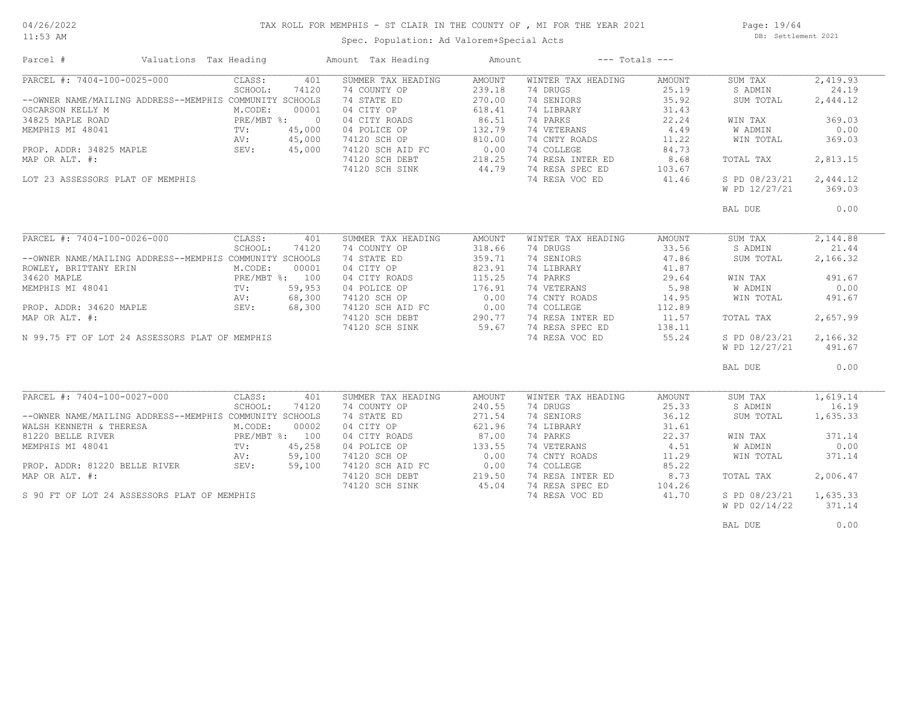#### TAX ROLL FOR MEMPHIS - ST CLAIR IN THE COUNTY OF , MI FOR THE YEAR 2021

11:53 AM

# Spec. Population: Ad Valorem+Special Acts

Page: 19/64 DB: Settlement 2021

| Parcel #                                                    | Valuations Tax Heading  | Amount Tax Heading                             | Amount              | $---$ Totals $---$ |        |               |          |
|-------------------------------------------------------------|-------------------------|------------------------------------------------|---------------------|--------------------|--------|---------------|----------|
| PARCEL #: 7404-100-0025-000                                 | CLASS:<br>401           | SUMMER TAX HEADING                             | AMOUNT              | WINTER TAX HEADING | AMOUNT | SUM TAX       | 2,419.93 |
|                                                             | SCHOOL:<br>74120        | 74 COUNTY OP                                   | 239.18              | 74 DRUGS           | 25.19  | S ADMIN       | 24.19    |
| --OWNER NAME/MAILING ADDRESS--MEMPHIS COMMUNITY SCHOOLS     |                         | 74 STATE ED                                    | 270.00              | 74 SENIORS         | 35.92  | SUM TOTAL     | 2,444.12 |
| OSCARSON KELLY M                                            | M.CODE:<br>00001        | 04 CITY OP                                     | 618.41              | 74 LIBRARY         | 31.43  |               |          |
| 34825 MAPLE ROAD                                            | PRE/MBT %: 0            | 04 CITY ROADS                                  | 86.51               | 74 PARKS           | 22.24  | WIN TAX       | 369.03   |
| MEMPHIS MI 48041                                            | 45,000<br>$\text{TV}$ : | 04 POLICE OP                                   | 132.79              | 74 VETERANS        | 4.49   | W ADMIN       | 0.00     |
|                                                             | 45,000<br>AV:           | 74120 SCH OP                                   | 810.00              | 74 CNTY ROADS      | 11.22  | WIN TOTAL     | 369.03   |
| PROP. ADDR: 34825 MAPLE                                     | SEV:<br>45,000          | 74120 SCH AID FC 0.00                          |                     | 74 COLLEGE         | 84.73  |               |          |
| MAP OR ALT. #:                                              |                         | 74120 SCH DEBT                                 | 218.25              | 74 RESA INTER ED   | 8.68   | TOTAL TAX     | 2,813.15 |
|                                                             |                         |                                                |                     |                    |        |               |          |
|                                                             |                         | 74120 SCH SINK                                 | 44.79               | 74 RESA SPEC ED    | 103.67 |               |          |
| LOT 23 ASSESSORS PLAT OF MEMPHIS                            |                         |                                                |                     | 74 RESA VOC ED     | 41.46  | S PD 08/23/21 | 2,444.12 |
|                                                             |                         |                                                |                     |                    |        | W PD 12/27/21 | 369.03   |
|                                                             |                         |                                                |                     |                    |        | BAL DUE       | 0.00     |
|                                                             |                         |                                                |                     |                    |        |               |          |
| PARCEL #: 7404-100-0026-000                                 | CLASS:<br>401           | SUMMER TAX HEADING                             | AMOUNT              | WINTER TAX HEADING | AMOUNT | SUM TAX       | 2,144.88 |
|                                                             | SCHOOL:<br>74120        | 74 COUNTY OP                                   | 318.66              | 74 DRUGS           | 33.56  | S ADMIN       | 21.44    |
| --OWNER NAME/MAILING ADDRESS--MEMPHIS COMMUNITY SCHOOLS     |                         | 74 STATE ED                                    | 359.71              | 74 SENIORS         | 47.86  | SUM TOTAL     | 2,166.32 |
| ROWLEY, BRITTANY ERIN                                       | M.CODE:<br>00001        | 04 CITY OP                                     | 823.91              | 74 LIBRARY         | 41.87  |               |          |
| 34620 MAPLE                                                 | PRE/MBT %: 100          | 04 CITY ROADS                                  | 115.25              | 74 PARKS           | 29.64  | WIN TAX       | 491.67   |
| MEMPHIS MI 48041                                            | 59,953<br>TV:           | 04 POLICE OP                                   | 176.91              | 74 VETERANS        | 5.98   | W ADMIN       | 0.00     |
|                                                             | 68,300                  | 74120 SCH OP                                   | 0.00                | 74 CNTY ROADS      | 14.95  | WIN TOTAL     | 491.67   |
|                                                             | 68,300                  |                                                |                     | 74 COLLEGE         | 112.89 |               |          |
|                                                             |                         | 74120 SCH AID FC 0.00<br>74120 SCH DEBT 290.77 |                     | 74 RESA INTER ED   |        |               | 2,657.99 |
|                                                             |                         |                                                |                     |                    | 11.57  | TOTAL TAX     |          |
| PROP. ADDR: 34620 MAPLE AV:<br>MAP OR ALT. #:<br>M 00.75 TT |                         | 74120 SCH SINK                                 | 59.67               | 74 RESA SPEC ED    | 138.11 |               |          |
| N 99.75 FT OF LOT 24 ASSESSORS PLAT OF MEMPHIS              |                         |                                                |                     | 74 RESA VOC ED     | 55.24  | S PD 08/23/21 | 2,166.32 |
|                                                             |                         |                                                |                     |                    |        | W PD 12/27/21 | 491.67   |
|                                                             |                         |                                                |                     |                    |        | BAL DUE       | 0.00     |
|                                                             |                         |                                                |                     |                    |        |               |          |
| PARCEL #: 7404-100-0027-000                                 | CLASS:<br>401           | SUMMER TAX HEADING                             | AMOUNT              | WINTER TAX HEADING | AMOUNT | SUM TAX       | 1,619.14 |
|                                                             | SCHOOL:<br>74120        | 74 COUNTY OP                                   | 240.55              | 74 DRUGS           | 25.33  | S ADMIN       | 16.19    |
| --OWNER NAME/MAILING ADDRESS--MEMPHIS COMMUNITY SCHOOLS     |                         | 74 STATE ED                                    | 271.54              | 74 SENIORS         | 36.12  | SUM TOTAL     | 1,635.33 |
| WALSH KENNETH & THERESA                                     | M.CODE:<br>00002        | 04 CITY OP                                     | 621.96              | 74 LIBRARY         | 31.61  |               |          |
| 81220 BELLE RIVER                                           | PRE/MBT %: 100          | 04 CITY ROADS                                  | 87.00               | 74 PARKS           | 22.37  | WIN TAX       | 371.14   |
| MEMPHIS MI 48041                                            | 45,258<br>TV:           | 04 POLICE OP                                   | 133.55              | 74 VETERANS        | 4.51   | W ADMIN       | 0.00     |
|                                                             | 59,100<br>AV:           | 74120 SCH OP                                   | 0.00                | 74 CNTY ROADS      | 11.29  | WIN TOTAL     | 371.14   |
| PROP. ADDR: 81220 BELLE RIVER                               | SEV:<br>59,100          | 74120 SCH AID FC                               | 0.00                | 74 COLLEGE         | 85.22  |               |          |
| MAP OR ALT. #:                                              |                         | 74120 SCH DEBT                                 | $219.50$<br>$45.04$ | 74 RESA INTER ED   | 8.73   | TOTAL TAX     | 2,006.47 |
|                                                             |                         | 74120 SCH SINK                                 |                     | 74 RESA SPEC ED    | 104.26 |               |          |
| S 90 FT OF LOT 24 ASSESSORS PLAT OF MEMPHIS                 |                         |                                                |                     | 74 RESA VOC ED     | 41.70  | S PD 08/23/21 | 1,635.33 |
|                                                             |                         |                                                |                     |                    |        |               |          |
|                                                             |                         |                                                |                     |                    |        | W PD 02/14/22 | 371.14   |
|                                                             |                         |                                                |                     |                    |        | BAL DUE       | 0.00     |
|                                                             |                         |                                                |                     |                    |        |               |          |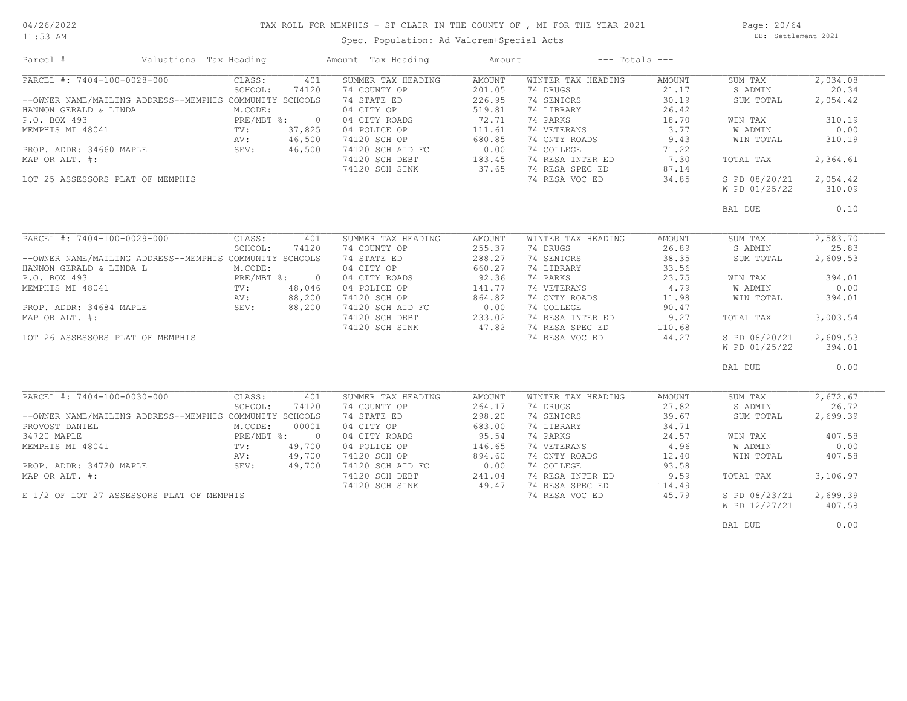#### 04/26/2022 11:53 AM

TAX ROLL FOR MEMPHIS - ST CLAIR IN THE COUNTY OF , MI FOR THE YEAR 2021

Page: 20/64 DB: Settlement 2021

| Spec. Population: Ad Valorem+Special Acts |  |  |  |
|-------------------------------------------|--|--|--|
|-------------------------------------------|--|--|--|

| Parcel #                                                                                                                                                                                                                             | Valuations Tax Heading |                                                                  |                                                       | Amount Tax Heading                                                                                                                                                       | Amount                                                                                              | $---$ Totals $---$                                                                                                                                                            |                                                                                                      |                                                                                                                   |                                                                                             |
|--------------------------------------------------------------------------------------------------------------------------------------------------------------------------------------------------------------------------------------|------------------------|------------------------------------------------------------------|-------------------------------------------------------|--------------------------------------------------------------------------------------------------------------------------------------------------------------------------|-----------------------------------------------------------------------------------------------------|-------------------------------------------------------------------------------------------------------------------------------------------------------------------------------|------------------------------------------------------------------------------------------------------|-------------------------------------------------------------------------------------------------------------------|---------------------------------------------------------------------------------------------|
| PARCEL #: 7404-100-0028-000<br>--OWNER NAME/MAILING ADDRESS--MEMPHIS COMMUNITY SCHOOLS<br>HANNON GERALD & LINDA<br>P.O. BOX 493<br>MEMPHIS MI 48041<br>PROP. ADDR: 34660 MAPLE<br>MAP OR ALT. #:<br>LOT 25 ASSESSORS PLAT OF MEMPHIS |                        | CLASS:<br>SCHOOL:<br>M.CODE:<br>PRE/MBT %:<br>TV:<br>AV:<br>SEV: | 401<br>74120<br>$\circ$<br>37,825<br>46,500<br>46,500 | SUMMER TAX HEADING<br>74 COUNTY OP<br>74 STATE ED<br>04 CITY OP<br>04 CITY ROADS<br>04 POLICE OP<br>74120 SCH OP<br>74120 SCH AID FC<br>74120 SCH DEBT<br>74120 SCH SINK | <b>AMOUNT</b><br>201.05<br>226.95<br>519.81<br>72.71<br>111.61<br>680.85<br>0.00<br>183.45<br>37.65 | WINTER TAX HEADING<br>74 DRUGS<br>74 SENIORS<br>74 LIBRARY<br>74 PARKS<br>74 VETERANS<br>74 CNTY ROADS<br>74 COLLEGE<br>74 RESA INTER ED<br>74 RESA SPEC ED<br>74 RESA VOC ED | <b>AMOUNT</b><br>21.17<br>30.19<br>26.42<br>18.70<br>3.77<br>9.43<br>71.22<br>7.30<br>87.14<br>34.85 | SUM TAX<br>S ADMIN<br>SUM TOTAL<br>WIN TAX<br>W ADMIN<br>WIN TOTAL<br>TOTAL TAX<br>S PD 08/20/21<br>W PD 01/25/22 | 2,034.08<br>20.34<br>2,054.42<br>310.19<br>0.00<br>310.19<br>2,364.61<br>2,054.42<br>310.09 |
|                                                                                                                                                                                                                                      |                        |                                                                  |                                                       |                                                                                                                                                                          |                                                                                                     |                                                                                                                                                                               |                                                                                                      | BAL DUE                                                                                                           | 0.10                                                                                        |
|                                                                                                                                                                                                                                      |                        |                                                                  |                                                       |                                                                                                                                                                          |                                                                                                     |                                                                                                                                                                               |                                                                                                      |                                                                                                                   |                                                                                             |
| PARCEL #: 7404-100-0029-000                                                                                                                                                                                                          |                        | CLASS:                                                           | 401                                                   | SUMMER TAX HEADING                                                                                                                                                       | AMOUNT                                                                                              | WINTER TAX HEADING                                                                                                                                                            | AMOUNT                                                                                               | SUM TAX                                                                                                           | 2,583.70                                                                                    |
| --OWNER NAME/MAILING ADDRESS--MEMPHIS COMMUNITY SCHOOLS                                                                                                                                                                              |                        | SCHOOL:                                                          | 74120                                                 | 74 COUNTY OP<br>74 STATE ED                                                                                                                                              | 255.37<br>288.27                                                                                    | 74 DRUGS<br>74 SENIORS                                                                                                                                                        | 26.89<br>38.35                                                                                       | S ADMIN<br>SUM TOTAL                                                                                              | 25.83<br>2,609.53                                                                           |
| HANNON GERALD & LINDA L                                                                                                                                                                                                              |                        | M.CODE:                                                          |                                                       | 04 CITY OP                                                                                                                                                               | 660.27                                                                                              | 74 LIBRARY                                                                                                                                                                    | 33.56                                                                                                |                                                                                                                   |                                                                                             |
| P.O. BOX 493                                                                                                                                                                                                                         |                        | PRE/MBT %:                                                       | $\Omega$                                              | 04 CITY ROADS                                                                                                                                                            | 92.36                                                                                               | 74 PARKS                                                                                                                                                                      | 23.75                                                                                                | WIN TAX                                                                                                           | 394.01                                                                                      |
| MEMPHIS MI 48041                                                                                                                                                                                                                     |                        | $\text{TV}$ :                                                    | 48,046                                                | 04 POLICE OP                                                                                                                                                             | 141.77                                                                                              | 74 VETERANS                                                                                                                                                                   | 4.79                                                                                                 | <b>W ADMIN</b>                                                                                                    | 0.00                                                                                        |
|                                                                                                                                                                                                                                      |                        | AV:                                                              | 88,200                                                | 74120 SCH OP                                                                                                                                                             | 864.82                                                                                              | 74 CNTY ROADS                                                                                                                                                                 | 11.98                                                                                                | WIN TOTAL                                                                                                         | 394.01                                                                                      |
| PROP. ADDR: 34684 MAPLE                                                                                                                                                                                                              |                        | SEV:                                                             | 88,200                                                | 74120 SCH AID FC                                                                                                                                                         | 0.00                                                                                                | 74 COLLEGE                                                                                                                                                                    | 90.47                                                                                                |                                                                                                                   |                                                                                             |
| MAP OR ALT. #:                                                                                                                                                                                                                       |                        |                                                                  |                                                       | 74120 SCH DEBT                                                                                                                                                           | 233.02                                                                                              | 74 RESA INTER ED                                                                                                                                                              | 9.27                                                                                                 | TOTAL TAX                                                                                                         | 3,003.54                                                                                    |
|                                                                                                                                                                                                                                      |                        |                                                                  |                                                       | 74120 SCH SINK                                                                                                                                                           | 47.82                                                                                               | 74 RESA SPEC ED                                                                                                                                                               | 110.68                                                                                               |                                                                                                                   |                                                                                             |
| LOT 26 ASSESSORS PLAT OF MEMPHIS                                                                                                                                                                                                     |                        |                                                                  |                                                       |                                                                                                                                                                          |                                                                                                     | 74 RESA VOC ED                                                                                                                                                                | 44.27                                                                                                | S PD 08/20/21                                                                                                     | 2,609.53                                                                                    |
|                                                                                                                                                                                                                                      |                        |                                                                  |                                                       |                                                                                                                                                                          |                                                                                                     |                                                                                                                                                                               |                                                                                                      | W PD 01/25/22                                                                                                     | 394.01                                                                                      |
|                                                                                                                                                                                                                                      |                        |                                                                  |                                                       |                                                                                                                                                                          |                                                                                                     |                                                                                                                                                                               |                                                                                                      | BAL DUE                                                                                                           | 0.00                                                                                        |
|                                                                                                                                                                                                                                      |                        |                                                                  |                                                       |                                                                                                                                                                          |                                                                                                     |                                                                                                                                                                               |                                                                                                      |                                                                                                                   |                                                                                             |
| PARCEL #: 7404-100-0030-000                                                                                                                                                                                                          |                        | CLASS:                                                           | 401                                                   | SUMMER TAX HEADING                                                                                                                                                       | AMOUNT                                                                                              | WINTER TAX HEADING                                                                                                                                                            | AMOUNT                                                                                               | SUM TAX                                                                                                           | 2,672.67                                                                                    |
|                                                                                                                                                                                                                                      |                        | SCHOOL:                                                          | 74120                                                 | 74 COUNTY OP                                                                                                                                                             | 264.17                                                                                              | 74 DRUGS                                                                                                                                                                      | 27.82                                                                                                | S ADMIN                                                                                                           | 26.72                                                                                       |
| --OWNER NAME/MAILING ADDRESS--MEMPHIS COMMUNITY SCHOOLS                                                                                                                                                                              |                        |                                                                  |                                                       | 74 STATE ED                                                                                                                                                              | 298.20                                                                                              | 74 SENIORS                                                                                                                                                                    | 39.67                                                                                                | SUM TOTAL                                                                                                         | 2,699.39                                                                                    |
| PROVOST DANIEL<br>34720 MAPLE                                                                                                                                                                                                        |                        | M.CODE:<br>PRE/MBT %:                                            | 00001<br>$\overline{0}$                               | 04 CITY OP<br>04 CITY ROADS                                                                                                                                              | 683.00<br>95.54                                                                                     | 74 LIBRARY<br>74 PARKS                                                                                                                                                        | 34.71<br>24.57                                                                                       | WIN TAX                                                                                                           | 407.58                                                                                      |
| MEMPHIS MI 48041                                                                                                                                                                                                                     |                        | $\text{TV}$ :                                                    | 49,700                                                | 04 POLICE OP                                                                                                                                                             | 146.65                                                                                              | 74 VETERANS                                                                                                                                                                   | 4.96                                                                                                 | W ADMIN                                                                                                           | 0.00                                                                                        |
|                                                                                                                                                                                                                                      |                        | AV:                                                              | 49,700                                                | 74120 SCH OP                                                                                                                                                             | 894.60                                                                                              | 74 CNTY ROADS                                                                                                                                                                 | 12.40                                                                                                | WIN TOTAL                                                                                                         | 407.58                                                                                      |
| PROP. ADDR: 34720 MAPLE                                                                                                                                                                                                              |                        | SEV:                                                             | 49,700                                                | 74120 SCH AID FC                                                                                                                                                         | 0.00                                                                                                | 74 COLLEGE                                                                                                                                                                    | 93.58                                                                                                |                                                                                                                   |                                                                                             |
| MAP OR ALT. #:                                                                                                                                                                                                                       |                        |                                                                  |                                                       | 74120 SCH DEBT                                                                                                                                                           | 241.04                                                                                              | 74 RESA INTER ED                                                                                                                                                              | 9.59                                                                                                 | TOTAL TAX                                                                                                         | 3,106.97                                                                                    |
|                                                                                                                                                                                                                                      |                        |                                                                  |                                                       | 74120 SCH SINK                                                                                                                                                           | 49.47                                                                                               | 74 RESA SPEC ED                                                                                                                                                               | 114.49                                                                                               |                                                                                                                   |                                                                                             |
| E 1/2 OF LOT 27 ASSESSORS PLAT OF MEMPHIS                                                                                                                                                                                            |                        |                                                                  |                                                       |                                                                                                                                                                          |                                                                                                     | 74 RESA VOC ED                                                                                                                                                                | 45.79                                                                                                | S PD 08/23/21                                                                                                     | 2,699.39                                                                                    |
|                                                                                                                                                                                                                                      |                        |                                                                  |                                                       |                                                                                                                                                                          |                                                                                                     |                                                                                                                                                                               |                                                                                                      | W PD 12/27/21                                                                                                     | 407.58                                                                                      |
|                                                                                                                                                                                                                                      |                        |                                                                  |                                                       |                                                                                                                                                                          |                                                                                                     |                                                                                                                                                                               |                                                                                                      |                                                                                                                   |                                                                                             |
|                                                                                                                                                                                                                                      |                        |                                                                  |                                                       |                                                                                                                                                                          |                                                                                                     |                                                                                                                                                                               |                                                                                                      | BAL DUE                                                                                                           | 0.00                                                                                        |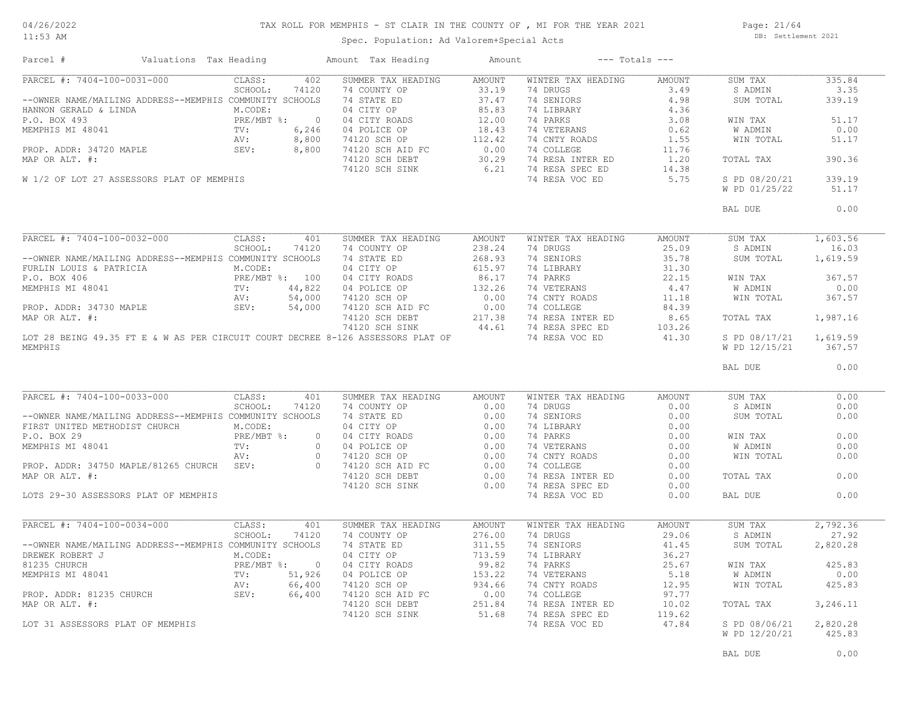#### TAX ROLL FOR MEMPHIS - ST CLAIR IN THE COUNTY OF , MI FOR THE YEAR 2021

11:53 AM

#### Spec. Population: Ad Valorem+Special Acts

Page: 21/64 DB: Settlement 2021

| PARCEL #: 7404-100-0031-000<br>402<br>335.84<br>CLASS:<br>SUMMER TAX HEADING<br>AMOUNT<br>WINTER TAX HEADING<br>AMOUNT<br>SUM TAX<br>74 COUNTY OP 33.19<br>SCHOOL:<br>74120<br>74 DRUGS 3.49<br>S ADMIN<br>3.35<br>SUM TOTAL<br>339.19<br>51.17<br>WIN TAX<br>W ADMIN<br>0.00<br>WIN TOTAL<br>51.17<br>390.36<br>TOTAL TAX<br>S PD 08/20/21<br>339.19<br>W PD 01/25/22<br>51.17<br>0.00<br>BAL DUE<br>1,603.56<br>SUM TAX<br>S ADMIN<br>16.03<br>SUM TOTAL 1,619.59<br>367.57<br>WIN TAX<br>W ADMIN<br>0.00<br>WIN TOTAL<br>367.57<br>TOTAL TAX<br>1,987.16<br>S PD 08/17/21 1,619.59<br>W PD 12/15/21 367.57<br>0.00<br>BAL DUE<br>PARCEL #: 7404-100-0033-000<br>CLASS:<br>SUMMER TAX HEADING AMOUNT<br>WINTER TAX HEADING<br>0.00<br>401<br>AMOUNT<br>SUM TAX<br>PARCEL #: 7404-100-0033-000 CLASS: 401 SUMMER TAX HEADING AMOUNT<br>--OWNER NAME/MAILING ADDRESS--MEMPHIS COMMUNITY SCHOOLS 74 COUNTY OP 0.00<br>FIRST UNITED METHODIST CHURCH M.CODE: 04 CITY OP 0.00<br>P.O. BOX 29 PRE/MBT %: 0 0<br>74 DRUGS 0.00<br>S ADMIN<br>0.00<br>14 DENIORS<br>14 DENIORS<br>14 DERARY<br>14 DERARY<br>14 OLDER<br>14 NESA INTER ED<br>14 COLLEGE<br>14 NESA INTER ED<br>16 NESA INTER ED<br>16 NESA INTER ED<br>16 NESA INTER ED<br>16 0.00<br>16 NESA INTER ED<br>16 0.00<br>16 NESA INTER ED<br>16 0.00<br>SUM TOTAL<br>0.00<br>0.00<br>WIN TAX<br><b>W ADMIN</b><br>0.00<br>WIN TOTAL<br>0.00<br>0.00<br>TOTAL TAX<br>74 RESA SPEC ED<br>0.00<br>74 RESA VOC ED<br>0.00<br>LOTS 29-30 ASSESSORS PLAT OF MEMPHIS<br>0.00<br>BAL DUE<br>2,792.36<br>WINTER TAX HEADING<br>AMOUNT<br>SUM TAX<br>29.06<br>S ADMIN<br>27.92<br>3 ADMIN 27.9<br>14 LIBRARY 41.45 SUM TOTAL 2,820.26<br>14 VETERANS 25.67 WIN TAX 425.83<br>14 CNITY ROADS 12.9<br>14 COLLEGE 97.77 WIN TOTAL 425.83<br>14 COLLEGE 97.77<br>14 RESA INTER ED 10.02 TOTAL TAX 3,246.11<br>14 RESA SPEC ED 119. | Parcel # | Valuations Tax Heading |  | Amount Tax Heading | Amount | $---$ Totals $---$ |               |        |
|---------------------------------------------------------------------------------------------------------------------------------------------------------------------------------------------------------------------------------------------------------------------------------------------------------------------------------------------------------------------------------------------------------------------------------------------------------------------------------------------------------------------------------------------------------------------------------------------------------------------------------------------------------------------------------------------------------------------------------------------------------------------------------------------------------------------------------------------------------------------------------------------------------------------------------------------------------------------------------------------------------------------------------------------------------------------------------------------------------------------------------------------------------------------------------------------------------------------------------------------------------------------------------------------------------------------------------------------------------------------------------------------------------------------------------------------------------------------------------------------------------------------------------------------------------------------------------------------------------------------------------------------------------------------------------------------------------------------------------------------------------------------------------------------------------------------------------------------------------------------------|----------|------------------------|--|--------------------|--------|--------------------|---------------|--------|
|                                                                                                                                                                                                                                                                                                                                                                                                                                                                                                                                                                                                                                                                                                                                                                                                                                                                                                                                                                                                                                                                                                                                                                                                                                                                                                                                                                                                                                                                                                                                                                                                                                                                                                                                                                                                                                                                           |          |                        |  |                    |        |                    |               |        |
|                                                                                                                                                                                                                                                                                                                                                                                                                                                                                                                                                                                                                                                                                                                                                                                                                                                                                                                                                                                                                                                                                                                                                                                                                                                                                                                                                                                                                                                                                                                                                                                                                                                                                                                                                                                                                                                                           |          |                        |  |                    |        |                    |               |        |
|                                                                                                                                                                                                                                                                                                                                                                                                                                                                                                                                                                                                                                                                                                                                                                                                                                                                                                                                                                                                                                                                                                                                                                                                                                                                                                                                                                                                                                                                                                                                                                                                                                                                                                                                                                                                                                                                           |          |                        |  |                    |        |                    |               |        |
|                                                                                                                                                                                                                                                                                                                                                                                                                                                                                                                                                                                                                                                                                                                                                                                                                                                                                                                                                                                                                                                                                                                                                                                                                                                                                                                                                                                                                                                                                                                                                                                                                                                                                                                                                                                                                                                                           |          |                        |  |                    |        |                    |               |        |
|                                                                                                                                                                                                                                                                                                                                                                                                                                                                                                                                                                                                                                                                                                                                                                                                                                                                                                                                                                                                                                                                                                                                                                                                                                                                                                                                                                                                                                                                                                                                                                                                                                                                                                                                                                                                                                                                           |          |                        |  |                    |        |                    |               |        |
|                                                                                                                                                                                                                                                                                                                                                                                                                                                                                                                                                                                                                                                                                                                                                                                                                                                                                                                                                                                                                                                                                                                                                                                                                                                                                                                                                                                                                                                                                                                                                                                                                                                                                                                                                                                                                                                                           |          |                        |  |                    |        |                    |               |        |
|                                                                                                                                                                                                                                                                                                                                                                                                                                                                                                                                                                                                                                                                                                                                                                                                                                                                                                                                                                                                                                                                                                                                                                                                                                                                                                                                                                                                                                                                                                                                                                                                                                                                                                                                                                                                                                                                           |          |                        |  |                    |        |                    |               |        |
|                                                                                                                                                                                                                                                                                                                                                                                                                                                                                                                                                                                                                                                                                                                                                                                                                                                                                                                                                                                                                                                                                                                                                                                                                                                                                                                                                                                                                                                                                                                                                                                                                                                                                                                                                                                                                                                                           |          |                        |  |                    |        |                    |               |        |
|                                                                                                                                                                                                                                                                                                                                                                                                                                                                                                                                                                                                                                                                                                                                                                                                                                                                                                                                                                                                                                                                                                                                                                                                                                                                                                                                                                                                                                                                                                                                                                                                                                                                                                                                                                                                                                                                           |          |                        |  |                    |        |                    |               |        |
|                                                                                                                                                                                                                                                                                                                                                                                                                                                                                                                                                                                                                                                                                                                                                                                                                                                                                                                                                                                                                                                                                                                                                                                                                                                                                                                                                                                                                                                                                                                                                                                                                                                                                                                                                                                                                                                                           |          |                        |  |                    |        |                    |               |        |
|                                                                                                                                                                                                                                                                                                                                                                                                                                                                                                                                                                                                                                                                                                                                                                                                                                                                                                                                                                                                                                                                                                                                                                                                                                                                                                                                                                                                                                                                                                                                                                                                                                                                                                                                                                                                                                                                           |          |                        |  |                    |        |                    |               |        |
|                                                                                                                                                                                                                                                                                                                                                                                                                                                                                                                                                                                                                                                                                                                                                                                                                                                                                                                                                                                                                                                                                                                                                                                                                                                                                                                                                                                                                                                                                                                                                                                                                                                                                                                                                                                                                                                                           |          |                        |  |                    |        |                    |               |        |
|                                                                                                                                                                                                                                                                                                                                                                                                                                                                                                                                                                                                                                                                                                                                                                                                                                                                                                                                                                                                                                                                                                                                                                                                                                                                                                                                                                                                                                                                                                                                                                                                                                                                                                                                                                                                                                                                           |          |                        |  |                    |        |                    |               |        |
|                                                                                                                                                                                                                                                                                                                                                                                                                                                                                                                                                                                                                                                                                                                                                                                                                                                                                                                                                                                                                                                                                                                                                                                                                                                                                                                                                                                                                                                                                                                                                                                                                                                                                                                                                                                                                                                                           |          |                        |  |                    |        |                    |               |        |
|                                                                                                                                                                                                                                                                                                                                                                                                                                                                                                                                                                                                                                                                                                                                                                                                                                                                                                                                                                                                                                                                                                                                                                                                                                                                                                                                                                                                                                                                                                                                                                                                                                                                                                                                                                                                                                                                           |          |                        |  |                    |        |                    |               |        |
|                                                                                                                                                                                                                                                                                                                                                                                                                                                                                                                                                                                                                                                                                                                                                                                                                                                                                                                                                                                                                                                                                                                                                                                                                                                                                                                                                                                                                                                                                                                                                                                                                                                                                                                                                                                                                                                                           |          |                        |  |                    |        |                    |               |        |
|                                                                                                                                                                                                                                                                                                                                                                                                                                                                                                                                                                                                                                                                                                                                                                                                                                                                                                                                                                                                                                                                                                                                                                                                                                                                                                                                                                                                                                                                                                                                                                                                                                                                                                                                                                                                                                                                           |          |                        |  |                    |        |                    |               |        |
|                                                                                                                                                                                                                                                                                                                                                                                                                                                                                                                                                                                                                                                                                                                                                                                                                                                                                                                                                                                                                                                                                                                                                                                                                                                                                                                                                                                                                                                                                                                                                                                                                                                                                                                                                                                                                                                                           |          |                        |  |                    |        |                    |               |        |
|                                                                                                                                                                                                                                                                                                                                                                                                                                                                                                                                                                                                                                                                                                                                                                                                                                                                                                                                                                                                                                                                                                                                                                                                                                                                                                                                                                                                                                                                                                                                                                                                                                                                                                                                                                                                                                                                           |          |                        |  |                    |        |                    |               |        |
|                                                                                                                                                                                                                                                                                                                                                                                                                                                                                                                                                                                                                                                                                                                                                                                                                                                                                                                                                                                                                                                                                                                                                                                                                                                                                                                                                                                                                                                                                                                                                                                                                                                                                                                                                                                                                                                                           |          |                        |  |                    |        |                    |               |        |
|                                                                                                                                                                                                                                                                                                                                                                                                                                                                                                                                                                                                                                                                                                                                                                                                                                                                                                                                                                                                                                                                                                                                                                                                                                                                                                                                                                                                                                                                                                                                                                                                                                                                                                                                                                                                                                                                           |          |                        |  |                    |        |                    |               |        |
|                                                                                                                                                                                                                                                                                                                                                                                                                                                                                                                                                                                                                                                                                                                                                                                                                                                                                                                                                                                                                                                                                                                                                                                                                                                                                                                                                                                                                                                                                                                                                                                                                                                                                                                                                                                                                                                                           |          |                        |  |                    |        |                    |               |        |
|                                                                                                                                                                                                                                                                                                                                                                                                                                                                                                                                                                                                                                                                                                                                                                                                                                                                                                                                                                                                                                                                                                                                                                                                                                                                                                                                                                                                                                                                                                                                                                                                                                                                                                                                                                                                                                                                           |          |                        |  |                    |        |                    |               |        |
|                                                                                                                                                                                                                                                                                                                                                                                                                                                                                                                                                                                                                                                                                                                                                                                                                                                                                                                                                                                                                                                                                                                                                                                                                                                                                                                                                                                                                                                                                                                                                                                                                                                                                                                                                                                                                                                                           |          |                        |  |                    |        |                    |               |        |
|                                                                                                                                                                                                                                                                                                                                                                                                                                                                                                                                                                                                                                                                                                                                                                                                                                                                                                                                                                                                                                                                                                                                                                                                                                                                                                                                                                                                                                                                                                                                                                                                                                                                                                                                                                                                                                                                           |          |                        |  |                    |        |                    |               |        |
|                                                                                                                                                                                                                                                                                                                                                                                                                                                                                                                                                                                                                                                                                                                                                                                                                                                                                                                                                                                                                                                                                                                                                                                                                                                                                                                                                                                                                                                                                                                                                                                                                                                                                                                                                                                                                                                                           |          |                        |  |                    |        |                    |               |        |
|                                                                                                                                                                                                                                                                                                                                                                                                                                                                                                                                                                                                                                                                                                                                                                                                                                                                                                                                                                                                                                                                                                                                                                                                                                                                                                                                                                                                                                                                                                                                                                                                                                                                                                                                                                                                                                                                           |          |                        |  |                    |        |                    |               |        |
|                                                                                                                                                                                                                                                                                                                                                                                                                                                                                                                                                                                                                                                                                                                                                                                                                                                                                                                                                                                                                                                                                                                                                                                                                                                                                                                                                                                                                                                                                                                                                                                                                                                                                                                                                                                                                                                                           |          |                        |  |                    |        |                    |               |        |
|                                                                                                                                                                                                                                                                                                                                                                                                                                                                                                                                                                                                                                                                                                                                                                                                                                                                                                                                                                                                                                                                                                                                                                                                                                                                                                                                                                                                                                                                                                                                                                                                                                                                                                                                                                                                                                                                           |          |                        |  |                    |        |                    |               |        |
|                                                                                                                                                                                                                                                                                                                                                                                                                                                                                                                                                                                                                                                                                                                                                                                                                                                                                                                                                                                                                                                                                                                                                                                                                                                                                                                                                                                                                                                                                                                                                                                                                                                                                                                                                                                                                                                                           |          |                        |  |                    |        |                    |               |        |
|                                                                                                                                                                                                                                                                                                                                                                                                                                                                                                                                                                                                                                                                                                                                                                                                                                                                                                                                                                                                                                                                                                                                                                                                                                                                                                                                                                                                                                                                                                                                                                                                                                                                                                                                                                                                                                                                           |          |                        |  |                    |        |                    |               |        |
|                                                                                                                                                                                                                                                                                                                                                                                                                                                                                                                                                                                                                                                                                                                                                                                                                                                                                                                                                                                                                                                                                                                                                                                                                                                                                                                                                                                                                                                                                                                                                                                                                                                                                                                                                                                                                                                                           |          |                        |  |                    |        |                    |               |        |
|                                                                                                                                                                                                                                                                                                                                                                                                                                                                                                                                                                                                                                                                                                                                                                                                                                                                                                                                                                                                                                                                                                                                                                                                                                                                                                                                                                                                                                                                                                                                                                                                                                                                                                                                                                                                                                                                           |          |                        |  |                    |        |                    |               |        |
|                                                                                                                                                                                                                                                                                                                                                                                                                                                                                                                                                                                                                                                                                                                                                                                                                                                                                                                                                                                                                                                                                                                                                                                                                                                                                                                                                                                                                                                                                                                                                                                                                                                                                                                                                                                                                                                                           |          |                        |  |                    |        |                    |               |        |
|                                                                                                                                                                                                                                                                                                                                                                                                                                                                                                                                                                                                                                                                                                                                                                                                                                                                                                                                                                                                                                                                                                                                                                                                                                                                                                                                                                                                                                                                                                                                                                                                                                                                                                                                                                                                                                                                           |          |                        |  |                    |        |                    |               |        |
|                                                                                                                                                                                                                                                                                                                                                                                                                                                                                                                                                                                                                                                                                                                                                                                                                                                                                                                                                                                                                                                                                                                                                                                                                                                                                                                                                                                                                                                                                                                                                                                                                                                                                                                                                                                                                                                                           |          |                        |  |                    |        |                    |               |        |
|                                                                                                                                                                                                                                                                                                                                                                                                                                                                                                                                                                                                                                                                                                                                                                                                                                                                                                                                                                                                                                                                                                                                                                                                                                                                                                                                                                                                                                                                                                                                                                                                                                                                                                                                                                                                                                                                           |          |                        |  |                    |        |                    |               |        |
|                                                                                                                                                                                                                                                                                                                                                                                                                                                                                                                                                                                                                                                                                                                                                                                                                                                                                                                                                                                                                                                                                                                                                                                                                                                                                                                                                                                                                                                                                                                                                                                                                                                                                                                                                                                                                                                                           |          |                        |  |                    |        |                    |               |        |
|                                                                                                                                                                                                                                                                                                                                                                                                                                                                                                                                                                                                                                                                                                                                                                                                                                                                                                                                                                                                                                                                                                                                                                                                                                                                                                                                                                                                                                                                                                                                                                                                                                                                                                                                                                                                                                                                           |          |                        |  |                    |        |                    |               |        |
|                                                                                                                                                                                                                                                                                                                                                                                                                                                                                                                                                                                                                                                                                                                                                                                                                                                                                                                                                                                                                                                                                                                                                                                                                                                                                                                                                                                                                                                                                                                                                                                                                                                                                                                                                                                                                                                                           |          |                        |  |                    |        |                    |               |        |
|                                                                                                                                                                                                                                                                                                                                                                                                                                                                                                                                                                                                                                                                                                                                                                                                                                                                                                                                                                                                                                                                                                                                                                                                                                                                                                                                                                                                                                                                                                                                                                                                                                                                                                                                                                                                                                                                           |          |                        |  |                    |        |                    |               |        |
|                                                                                                                                                                                                                                                                                                                                                                                                                                                                                                                                                                                                                                                                                                                                                                                                                                                                                                                                                                                                                                                                                                                                                                                                                                                                                                                                                                                                                                                                                                                                                                                                                                                                                                                                                                                                                                                                           |          |                        |  |                    |        |                    |               |        |
|                                                                                                                                                                                                                                                                                                                                                                                                                                                                                                                                                                                                                                                                                                                                                                                                                                                                                                                                                                                                                                                                                                                                                                                                                                                                                                                                                                                                                                                                                                                                                                                                                                                                                                                                                                                                                                                                           |          |                        |  |                    |        |                    |               |        |
|                                                                                                                                                                                                                                                                                                                                                                                                                                                                                                                                                                                                                                                                                                                                                                                                                                                                                                                                                                                                                                                                                                                                                                                                                                                                                                                                                                                                                                                                                                                                                                                                                                                                                                                                                                                                                                                                           |          |                        |  |                    |        |                    |               |        |
|                                                                                                                                                                                                                                                                                                                                                                                                                                                                                                                                                                                                                                                                                                                                                                                                                                                                                                                                                                                                                                                                                                                                                                                                                                                                                                                                                                                                                                                                                                                                                                                                                                                                                                                                                                                                                                                                           |          |                        |  |                    |        |                    |               |        |
|                                                                                                                                                                                                                                                                                                                                                                                                                                                                                                                                                                                                                                                                                                                                                                                                                                                                                                                                                                                                                                                                                                                                                                                                                                                                                                                                                                                                                                                                                                                                                                                                                                                                                                                                                                                                                                                                           |          |                        |  |                    |        |                    |               |        |
|                                                                                                                                                                                                                                                                                                                                                                                                                                                                                                                                                                                                                                                                                                                                                                                                                                                                                                                                                                                                                                                                                                                                                                                                                                                                                                                                                                                                                                                                                                                                                                                                                                                                                                                                                                                                                                                                           |          |                        |  |                    |        |                    |               |        |
|                                                                                                                                                                                                                                                                                                                                                                                                                                                                                                                                                                                                                                                                                                                                                                                                                                                                                                                                                                                                                                                                                                                                                                                                                                                                                                                                                                                                                                                                                                                                                                                                                                                                                                                                                                                                                                                                           |          |                        |  |                    |        |                    |               |        |
|                                                                                                                                                                                                                                                                                                                                                                                                                                                                                                                                                                                                                                                                                                                                                                                                                                                                                                                                                                                                                                                                                                                                                                                                                                                                                                                                                                                                                                                                                                                                                                                                                                                                                                                                                                                                                                                                           |          |                        |  |                    |        |                    |               |        |
|                                                                                                                                                                                                                                                                                                                                                                                                                                                                                                                                                                                                                                                                                                                                                                                                                                                                                                                                                                                                                                                                                                                                                                                                                                                                                                                                                                                                                                                                                                                                                                                                                                                                                                                                                                                                                                                                           |          |                        |  |                    |        |                    | W PD 12/20/21 | 425.83 |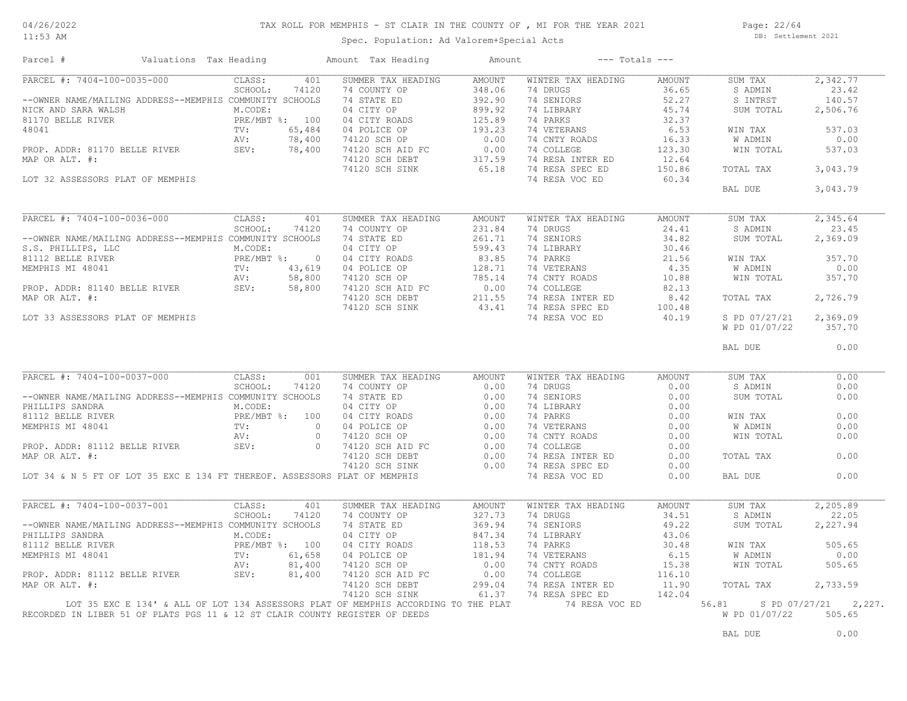#### 11:53 AM

#### TAX ROLL FOR MEMPHIS - ST CLAIR IN THE COUNTY OF , MI FOR THE YEAR 2021

Spec. Population: Ad Valorem+Special Acts

Page: 22/64 DB: Settlement 2021

| Parcel #                                                                    | Valuations Tax Heading |             |                | Amount Tax Heading                                                                 | Amount        | $---$ Totals $---$ |               |                |                      |
|-----------------------------------------------------------------------------|------------------------|-------------|----------------|------------------------------------------------------------------------------------|---------------|--------------------|---------------|----------------|----------------------|
| PARCEL #: 7404-100-0035-000                                                 |                        | CLASS:      | 401            | SUMMER TAX HEADING                                                                 | <b>AMOUNT</b> | WINTER TAX HEADING | <b>AMOUNT</b> | SUM TAX        | 2,342.77             |
|                                                                             |                        | SCHOOL:     | 74120          | 74 COUNTY OP                                                                       | 348.06        | 74 DRUGS           | 36.65         | S ADMIN        | 23.42                |
| --OWNER NAME/MAILING ADDRESS--MEMPHIS COMMUNITY SCHOOLS                     |                        |             |                | 74 STATE ED                                                                        | 392.90        | 74 SENIORS         | 52.27         | S INTRST       | 140.57               |
| NICK AND SARA WALSH                                                         |                        | M.CODE:     |                | 04 CITY OP                                                                         | 899.92        | 74 LIBRARY         | 45.74         | SUM TOTAL      | 2,506.76             |
| 81170 BELLE RIVER                                                           |                        |             | PRE/MBT %: 100 | 04 CITY ROADS                                                                      | 125.89        | 74 PARKS           | 32.37         |                |                      |
| 48041                                                                       |                        | TV:         | 65,484         | 04 POLICE OP                                                                       | 193.23        | 74 VETERANS        | 6.53          | WIN TAX        | 537.03               |
|                                                                             |                        | AV:         | 78,400         | 74120 SCH OP                                                                       | 0.00          | 74 CNTY ROADS      | 16.33         | <b>W ADMIN</b> | 0.00                 |
| PROP. ADDR: 81170 BELLE RIVER                                               |                        | SEV:        | 78,400         | 74120 SCH AID FC                                                                   | 0.00          | 74 COLLEGE         | 123.30        | WIN TOTAL      | 537.03               |
| MAP OR ALT. #:                                                              |                        |             |                | 74120 SCH DEBT                                                                     | 317.59        | 74 RESA INTER ED   | 12.64         |                |                      |
|                                                                             |                        |             |                | 74120 SCH SINK                                                                     | 65.18         | 74 RESA SPEC ED    | 150.86        | TOTAL TAX      | 3,043.79             |
| LOT 32 ASSESSORS PLAT OF MEMPHIS                                            |                        |             |                |                                                                                    |               | 74 RESA VOC ED     | 60.34         |                |                      |
|                                                                             |                        |             |                |                                                                                    |               |                    |               | BAL DUE        | 3,043.79             |
|                                                                             |                        |             |                |                                                                                    |               |                    |               |                |                      |
| PARCEL #: 7404-100-0036-000                                                 |                        |             | 401            |                                                                                    |               |                    |               |                |                      |
|                                                                             |                        | CLASS:      |                | SUMMER TAX HEADING                                                                 | <b>AMOUNT</b> | WINTER TAX HEADING | <b>AMOUNT</b> | SUM TAX        | 2,345.64             |
|                                                                             |                        | SCHOOL:     | 74120          | 74 COUNTY OP                                                                       | 231.84        | 74 DRUGS           | 24.41         | S ADMIN        | 23.45                |
| --OWNER NAME/MAILING ADDRESS--MEMPHIS COMMUNITY SCHOOLS                     |                        |             |                | 74 STATE ED                                                                        | 261.71        | 74 SENIORS         | 34.82         | SUM TOTAL      | 2,369.09             |
| S.S. PHILLIPS, LLC                                                          |                        | M.CODE:     |                | 04 CITY OP                                                                         | 599.43        | 74 LIBRARY         | 30.46         |                |                      |
| 81112 BELLE RIVER                                                           |                        | PRE/MBT %:  | $\overline{0}$ | 04 CITY ROADS                                                                      | 83.85         | 74 PARKS           | 21.56         | WIN TAX        | 357.70               |
| MEMPHIS MI 48041                                                            |                        | TV:         | 43,619         | 04 POLICE OP                                                                       | 128.71        | 74 VETERANS        | 4.35          | <b>W ADMIN</b> | 0.00                 |
|                                                                             |                        | AV:<br>SEV: | 58,800         | 74120 SCH OP                                                                       | 785.14        | 74 CNTY ROADS      | 10.88         | WIN TOTAL      | 357.70               |
| PROP. ADDR: 81140 BELLE RIVER                                               |                        |             | 58,800         | 74120 SCH AID FC                                                                   | 0.00          | 74 COLLEGE         | 82.13         |                |                      |
| MAP OR ALT. #:                                                              |                        | 30,80       |                | 74120 SCH DEBT                                                                     | 211.55        | 74 RESA INTER ED   | 8.42          | TOTAL TAX      | 2,726.79             |
|                                                                             |                        |             |                | 74120 SCH SINK                                                                     | 43.41         | 74 RESA SPEC ED    | 100.48        |                |                      |
| LOT 33 ASSESSORS PLAT OF MEMPHIS                                            |                        |             |                |                                                                                    |               | 74 RESA VOC ED     | 40.19         | S PD 07/27/21  | 2,369.09             |
|                                                                             |                        |             |                |                                                                                    |               |                    |               | W PD 01/07/22  | 357.70               |
|                                                                             |                        |             |                |                                                                                    |               |                    |               | BAL DUE        | 0.00                 |
|                                                                             |                        |             |                |                                                                                    |               |                    |               |                |                      |
| PARCEL #: 7404-100-0037-000                                                 |                        | CLASS:      | 001            | SUMMER TAX HEADING                                                                 | AMOUNT        | WINTER TAX HEADING | AMOUNT        | SUM TAX        | 0.00                 |
|                                                                             |                        | SCHOOL:     | 74120          | 74 COUNTY OP                                                                       | 0.00          | 74 DRUGS           | 0.00          | S ADMIN        | 0.00                 |
| --OWNER NAME/MAILING ADDRESS--MEMPHIS COMMUNITY SCHOOLS                     |                        |             |                | 74 STATE ED                                                                        | 0.00          | 74 SENIORS         | 0.00          | SUM TOTAL      | 0.00                 |
| PHILLIPS SANDRA                                                             |                        | M.CODE:     |                | 04 CITY OP                                                                         | 0.00          | 74 LIBRARY         | 0.00          |                |                      |
| 81112 BELLE RIVER                                                           |                        |             | PRE/MBT %: 100 | 04 CITY ROADS                                                                      | 0.00          | 74 PARKS           | 0.00          | WIN TAX        | 0.00                 |
| MEMPHIS MI 48041                                                            |                        | TV:         | $\bigcirc$     |                                                                                    |               | 74 VETERANS        | 0.00          | W ADMIN        | 0.00                 |
|                                                                             |                        | AV:         | $\circ$        | 04 POLICE OP<br>04 POLICE OP<br>74120 SCH AID FC<br>74120 SCH AID FC<br>0.00       |               | 74 CNTY ROADS      | 0.00          | WIN TOTAL      | 0.00                 |
| PROP. ADDR: 81112 BELLE RIVER                                               |                        | SEV:        | $\Omega$       |                                                                                    |               | 74 COLLEGE         | 0.00          |                |                      |
|                                                                             |                        |             |                |                                                                                    | 0.00          |                    | 0.00          | TOTAL TAX      | 0.00                 |
| MAP OR ALT. #:                                                              |                        |             |                | 74120 SCH DEBT                                                                     | 0.00          | 74 RESA INTER ED   | 0.00          |                |                      |
|                                                                             |                        |             |                | 74120 SCH SINK                                                                     |               | 74 RESA SPEC ED    | 0.00          |                | 0.00                 |
| LOT 34 & N 5 FT OF LOT 35 EXC E 134 FT THEREOF. ASSESSORS PLAT OF MEMPHIS   |                        |             |                |                                                                                    |               | 74 RESA VOC ED     |               | BAL DUE        |                      |
| PARCEL #: 7404-100-0037-001                                                 |                        |             |                |                                                                                    |               |                    |               |                |                      |
|                                                                             |                        | CLASS:      | 401            | SUMMER TAX HEADING                                                                 | <b>AMOUNT</b> | WINTER TAX HEADING | AMOUNT        | SUM TAX        | 2,205.89             |
|                                                                             |                        | SCHOOL:     | 74120          | 74 COUNTY OP                                                                       | 327.73        | 74 DRUGS           | 34.51         | S ADMIN        | 22.05                |
| --OWNER NAME/MAILING ADDRESS--MEMPHIS COMMUNITY SCHOOLS                     |                        |             |                | 74 STATE ED                                                                        | 369.94        | 74 SENIORS         | 49.22         | SUM TOTAL      | 2,227.94             |
| PHILLIPS SANDRA                                                             |                        | M.CODE:     |                | 04 CITY OP                                                                         | 847.34        | 74 LIBRARY         | 43.06         |                |                      |
| 81112 BELLE RIVER                                                           |                        |             | PRE/MBT %: 100 | 04 CITY ROADS                                                                      | 118.53        | 74 PARKS           | 30.48         | WIN TAX        | 505.65               |
| MEMPHIS MI 48041                                                            |                        | TV:         | 61,658         | 04 POLICE OP                                                                       | 181.94        | 74 VETERANS        | 6.15          | W ADMIN        | 0.00                 |
|                                                                             |                        | AV:         | 81,400         | 74120 SCH OP                                                                       | 0.00          | 74 CNTY ROADS      | 15.38         | WIN TOTAL      | 505.65               |
| PROP. ADDR: 81112 BELLE RIVER                                               |                        | SEV:        | 81,400         | 74120 SCH AID FC                                                                   | 0.00          | 74 COLLEGE         | 116.10        |                |                      |
| MAP OR ALT. #:                                                              |                        |             |                | 74120 SCH DEBT                                                                     | 299.04        | 74 RESA INTER ED   | 11.90         | TOTAL TAX      | 2,733.59             |
|                                                                             |                        |             |                | 74120 SCH SINK                                                                     | 61.37         | 74 RESA SPEC ED    | 142.04        |                |                      |
|                                                                             |                        |             |                | LOT 35 EXC E 134' & ALL OF LOT 134 ASSESSORS PLAT OF MEMPHIS ACCORDING TO THE PLAT |               | 74 RESA VOC ED     |               | 56.81          | S PD 07/27/21 2,227. |
| RECORDED IN LIBER 51 OF PLATS PGS 11 & 12 ST CLAIR COUNTY REGISTER OF DEEDS |                        |             |                |                                                                                    |               |                    |               | W PD 01/07/22  | 505.65               |
|                                                                             |                        |             |                |                                                                                    |               |                    |               |                |                      |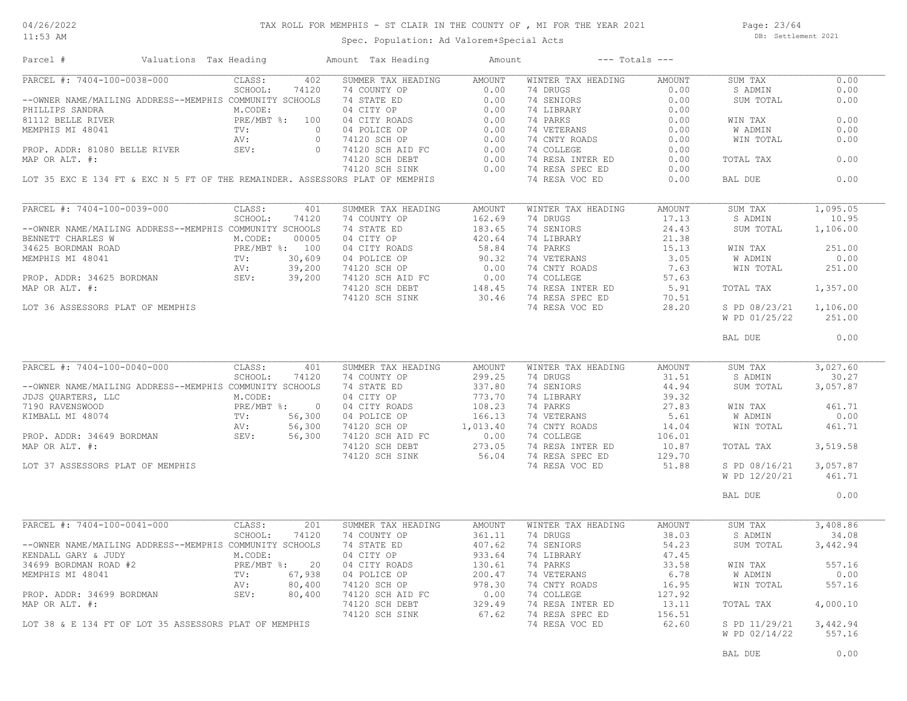#### 11:53 AM

#### TAX ROLL FOR MEMPHIS - ST CLAIR IN THE COUNTY OF , MI FOR THE YEAR 2021

Spec. Population: Ad Valorem+Special Acts

Page: 23/64 DB: Settlement 2021

| SUMMER TAX HEADING<br>PARCEL #: 7404-100-0038-000<br>402<br>CLASS:<br>AMOUNT<br>WINTER TAX HEADING<br>AMOUNT<br>SUM TAX<br>PARCEL #: 7404-100-0038-000<br>--OWNER NAME/MAILING ADDRESS--MEMPHIS COMMUTY SCHOOL: 74120 74 COUNTY OP 0.00<br>PHILIPS SANDRA MONESS--MEMPHIS COMMUNITY SCHOOLS 74 STATE ED 0.00<br>PHILIPS SANDRA M.CODE: 90 04 CITY ROADS 0.00<br>2<br>74 DRUGS<br>0.00<br>S ADMIN<br>74 SENIORS<br>0.00<br>SUM TOTAL<br>WIN TAX<br>W ADMIN<br>WIN TOTAL<br>TOTAL TAX<br>74 RESA SPEC ED<br>74120 SCH SINK<br>0.00<br>LOT 35 EXC E 134 FT & EXC N 5 FT OF THE REMAINDER. ASSESSORS PLAT OF MEMPHIS<br>74 RESA VOC ED<br>0.00<br>BAL DUE<br>PARCEL #: 7404-100-0039-000<br>CLASS:<br>401<br>SUM TAX<br>S ADMIN<br>SCHOOL:<br>74120<br>--OWNER NAME/MAILING ADDRESS--MEMPHIS COMMUNITY SCHOOLS<br>SUM TOTAL<br>BENNETT CHARLES W M.CODE: 00005<br>34625 BORDMAN ROAD PRE/MBT %: 100<br>MEMPHIS MI 48041 TV: 30,609<br>PROP. ADDR: 34625 BORDMAN SEV: 39,200<br>PROP. ADDR: 34625 BORDMAN SEV: 39,200<br>WIN TAX<br>W ADMIN<br>WIN TOTAL<br>39,200<br>MAP OR ALT. #:<br>ה החוות החוות החווה החווה החווה החווה החווה החווה החווה החווה החווה החווה החווה החווה החווה החווה החווה החווה<br>החווה החווה החווה החווה החווה החווה החווה החווה החווה החווה החווה החווה החווה החווה החווה החווה החווה החווה הח<br>TOTAL TAX<br>LOT 36 ASSESSORS PLAT OF MEMPHIS<br>S PD 08/23/21<br>W PD 01/25/22<br>BAL DUE<br>PARCEL #: 7404-100-0040-000<br>CLASS:<br>WINTER TAX HEADING<br>401<br>SUMMER TAX HEADING<br>AMOUNT<br>AMOUNT<br>SUM TAX<br>FARCEL #: 7404-100-0040-000<br>-CMNER NAME/MAILING ADDRESS--MEMPHIS COMMUNITY SCHOOL: 74120 74 COUNTY OP<br>-OWNER NAME/MAILING ADDRESS--MEMPHIS COMMUNITY SCHOOLS 74 STATE ED<br>JDJS QUARTERS, LLC M.CODE: 04 CITY OP 773.70<br>7190<br>74 DRUGS 31.51<br>S ADMIN<br>74 SENIORS<br>74 LIBRARY<br>44.94<br>SUM TOTAL<br>$\begin{tabular}{lllllllllll} 74 & \text{SENIORS} & & 44.94 \\ 74 & \text{LIBRARY} & & 39.32 \\ 74 & \text{PARKS} & & 27.83 \\ 74 & \text{VETERANS} & & 5.61 \\ 74 & \text{COLLEGE} & & 106.01 \\ 74 & \text{RESA INTER ED} & & 10.87 \\ 74 & \text{RESA SPEC ED} & & 129.70 \\ 74 & \text{RESA VOC ED} & & 51.88 \\ \end{tabular}$<br>WIN TAX<br>W ADMIN<br>WIN TOTAL<br>74120 SCH DEBT<br>273.05<br>MAP OR ALT. #:<br>TOTAL TAX<br>56.04 74 RESA SPEC ED<br>74120 SCH SINK<br>LOT 37 ASSESSORS PLAT OF MEMPHIS<br>S PD 08/16/21<br>W PD 12/20/21<br>BAL DUE<br>PARCEL #: 7404-100-0041-000<br>CLASS:<br>SUMMER TAX HEADING<br>WINTER TAX HEADING<br>AMOUNT<br>SUM TAX<br>201<br>AMOUNT<br>74 DRUGS<br>SCHOOL:<br>74120<br>74 COUNTY OP<br>361.11<br>38.03<br>S ADMIN<br>361.11<br>ENDALL GARY & JUDY MODRESS--MEMPHIS COMMUNITY SCHOOLS 74 STATE ED<br>361.11<br>XENDALL GARY & JUDY MODE:<br>34699 BORDMAN ROAD #2<br>MEMPHIS MI 48041<br>PROP. ADDR: 34699 BORDMAN<br>PROP. ADDR: 34699 BORDMAN<br>PROP. ADDR: 34699<br>74 SENIORS<br>54.23<br>SUM TOTAL<br>74 LIBRARY<br>47.45<br>74 PARKS<br>33.58<br>WIN TAX<br>74 PARKS<br>74 VETERANS<br>74 CNTY ROADS<br>74 RESA INTER ED<br>74 RESA SPEC ED<br>74 RESA SPEC ED<br>6.78<br>W ADMIN<br>WIN TOTAL<br>16.95<br>127.92<br>13.11<br>TOTAL TAX<br>67.62 74 RESA SPEC ED<br>74120 SCH SINK<br>156.51<br>74 RESA VOC ED<br>62.60<br>S PD 11/29/21<br>LOT 38 & E 134 FT OF LOT 35 ASSESSORS PLAT OF MEMPHIS | Parcel # | Valuations Tax Heading |  | Amount Tax Heading | Amount | $---$ Totals $---$ |               |          |
|--------------------------------------------------------------------------------------------------------------------------------------------------------------------------------------------------------------------------------------------------------------------------------------------------------------------------------------------------------------------------------------------------------------------------------------------------------------------------------------------------------------------------------------------------------------------------------------------------------------------------------------------------------------------------------------------------------------------------------------------------------------------------------------------------------------------------------------------------------------------------------------------------------------------------------------------------------------------------------------------------------------------------------------------------------------------------------------------------------------------------------------------------------------------------------------------------------------------------------------------------------------------------------------------------------------------------------------------------------------------------------------------------------------------------------------------------------------------------------------------------------------------------------------------------------------------------------------------------------------------------------------------------------------------------------------------------------------------------------------------------------------------------------------------------------------------------------------------------------------------------------------------------------------------------------------------------------------------------------------------------------------------------------------------------------------------------------------------------------------------------------------------------------------------------------------------------------------------------------------------------------------------------------------------------------------------------------------------------------------------------------------------------------------------------------------------------------------------------------------------------------------------------------------------------------------------------------------------------------------------------------------------------------------------------------------------------------------------------------------------------------------------------------------------------------------------------------------------------------------------------------------------------------------------------------------------------------------------------------------------------------------------------------------------------------------------------------------------------------------------------------------------------------------------------------------------------------------------------------------------------------------------------------------------------------------------------------------|----------|------------------------|--|--------------------|--------|--------------------|---------------|----------|
|                                                                                                                                                                                                                                                                                                                                                                                                                                                                                                                                                                                                                                                                                                                                                                                                                                                                                                                                                                                                                                                                                                                                                                                                                                                                                                                                                                                                                                                                                                                                                                                                                                                                                                                                                                                                                                                                                                                                                                                                                                                                                                                                                                                                                                                                                                                                                                                                                                                                                                                                                                                                                                                                                                                                                                                                                                                                                                                                                                                                                                                                                                                                                                                                                                                                                                                                      |          |                        |  |                    |        |                    |               | 0.00     |
|                                                                                                                                                                                                                                                                                                                                                                                                                                                                                                                                                                                                                                                                                                                                                                                                                                                                                                                                                                                                                                                                                                                                                                                                                                                                                                                                                                                                                                                                                                                                                                                                                                                                                                                                                                                                                                                                                                                                                                                                                                                                                                                                                                                                                                                                                                                                                                                                                                                                                                                                                                                                                                                                                                                                                                                                                                                                                                                                                                                                                                                                                                                                                                                                                                                                                                                                      |          |                        |  |                    |        |                    |               | 0.00     |
|                                                                                                                                                                                                                                                                                                                                                                                                                                                                                                                                                                                                                                                                                                                                                                                                                                                                                                                                                                                                                                                                                                                                                                                                                                                                                                                                                                                                                                                                                                                                                                                                                                                                                                                                                                                                                                                                                                                                                                                                                                                                                                                                                                                                                                                                                                                                                                                                                                                                                                                                                                                                                                                                                                                                                                                                                                                                                                                                                                                                                                                                                                                                                                                                                                                                                                                                      |          |                        |  |                    |        |                    |               | 0.00     |
|                                                                                                                                                                                                                                                                                                                                                                                                                                                                                                                                                                                                                                                                                                                                                                                                                                                                                                                                                                                                                                                                                                                                                                                                                                                                                                                                                                                                                                                                                                                                                                                                                                                                                                                                                                                                                                                                                                                                                                                                                                                                                                                                                                                                                                                                                                                                                                                                                                                                                                                                                                                                                                                                                                                                                                                                                                                                                                                                                                                                                                                                                                                                                                                                                                                                                                                                      |          |                        |  |                    |        |                    |               |          |
|                                                                                                                                                                                                                                                                                                                                                                                                                                                                                                                                                                                                                                                                                                                                                                                                                                                                                                                                                                                                                                                                                                                                                                                                                                                                                                                                                                                                                                                                                                                                                                                                                                                                                                                                                                                                                                                                                                                                                                                                                                                                                                                                                                                                                                                                                                                                                                                                                                                                                                                                                                                                                                                                                                                                                                                                                                                                                                                                                                                                                                                                                                                                                                                                                                                                                                                                      |          |                        |  |                    |        |                    |               | 0.00     |
|                                                                                                                                                                                                                                                                                                                                                                                                                                                                                                                                                                                                                                                                                                                                                                                                                                                                                                                                                                                                                                                                                                                                                                                                                                                                                                                                                                                                                                                                                                                                                                                                                                                                                                                                                                                                                                                                                                                                                                                                                                                                                                                                                                                                                                                                                                                                                                                                                                                                                                                                                                                                                                                                                                                                                                                                                                                                                                                                                                                                                                                                                                                                                                                                                                                                                                                                      |          |                        |  |                    |        |                    |               | 0.00     |
|                                                                                                                                                                                                                                                                                                                                                                                                                                                                                                                                                                                                                                                                                                                                                                                                                                                                                                                                                                                                                                                                                                                                                                                                                                                                                                                                                                                                                                                                                                                                                                                                                                                                                                                                                                                                                                                                                                                                                                                                                                                                                                                                                                                                                                                                                                                                                                                                                                                                                                                                                                                                                                                                                                                                                                                                                                                                                                                                                                                                                                                                                                                                                                                                                                                                                                                                      |          |                        |  |                    |        |                    |               | 0.00     |
|                                                                                                                                                                                                                                                                                                                                                                                                                                                                                                                                                                                                                                                                                                                                                                                                                                                                                                                                                                                                                                                                                                                                                                                                                                                                                                                                                                                                                                                                                                                                                                                                                                                                                                                                                                                                                                                                                                                                                                                                                                                                                                                                                                                                                                                                                                                                                                                                                                                                                                                                                                                                                                                                                                                                                                                                                                                                                                                                                                                                                                                                                                                                                                                                                                                                                                                                      |          |                        |  |                    |        |                    |               |          |
|                                                                                                                                                                                                                                                                                                                                                                                                                                                                                                                                                                                                                                                                                                                                                                                                                                                                                                                                                                                                                                                                                                                                                                                                                                                                                                                                                                                                                                                                                                                                                                                                                                                                                                                                                                                                                                                                                                                                                                                                                                                                                                                                                                                                                                                                                                                                                                                                                                                                                                                                                                                                                                                                                                                                                                                                                                                                                                                                                                                                                                                                                                                                                                                                                                                                                                                                      |          |                        |  |                    |        |                    |               | 0.00     |
|                                                                                                                                                                                                                                                                                                                                                                                                                                                                                                                                                                                                                                                                                                                                                                                                                                                                                                                                                                                                                                                                                                                                                                                                                                                                                                                                                                                                                                                                                                                                                                                                                                                                                                                                                                                                                                                                                                                                                                                                                                                                                                                                                                                                                                                                                                                                                                                                                                                                                                                                                                                                                                                                                                                                                                                                                                                                                                                                                                                                                                                                                                                                                                                                                                                                                                                                      |          |                        |  |                    |        |                    |               |          |
|                                                                                                                                                                                                                                                                                                                                                                                                                                                                                                                                                                                                                                                                                                                                                                                                                                                                                                                                                                                                                                                                                                                                                                                                                                                                                                                                                                                                                                                                                                                                                                                                                                                                                                                                                                                                                                                                                                                                                                                                                                                                                                                                                                                                                                                                                                                                                                                                                                                                                                                                                                                                                                                                                                                                                                                                                                                                                                                                                                                                                                                                                                                                                                                                                                                                                                                                      |          |                        |  |                    |        |                    |               | 0.00     |
|                                                                                                                                                                                                                                                                                                                                                                                                                                                                                                                                                                                                                                                                                                                                                                                                                                                                                                                                                                                                                                                                                                                                                                                                                                                                                                                                                                                                                                                                                                                                                                                                                                                                                                                                                                                                                                                                                                                                                                                                                                                                                                                                                                                                                                                                                                                                                                                                                                                                                                                                                                                                                                                                                                                                                                                                                                                                                                                                                                                                                                                                                                                                                                                                                                                                                                                                      |          |                        |  |                    |        |                    |               |          |
|                                                                                                                                                                                                                                                                                                                                                                                                                                                                                                                                                                                                                                                                                                                                                                                                                                                                                                                                                                                                                                                                                                                                                                                                                                                                                                                                                                                                                                                                                                                                                                                                                                                                                                                                                                                                                                                                                                                                                                                                                                                                                                                                                                                                                                                                                                                                                                                                                                                                                                                                                                                                                                                                                                                                                                                                                                                                                                                                                                                                                                                                                                                                                                                                                                                                                                                                      |          |                        |  |                    |        |                    |               | 1,095.05 |
|                                                                                                                                                                                                                                                                                                                                                                                                                                                                                                                                                                                                                                                                                                                                                                                                                                                                                                                                                                                                                                                                                                                                                                                                                                                                                                                                                                                                                                                                                                                                                                                                                                                                                                                                                                                                                                                                                                                                                                                                                                                                                                                                                                                                                                                                                                                                                                                                                                                                                                                                                                                                                                                                                                                                                                                                                                                                                                                                                                                                                                                                                                                                                                                                                                                                                                                                      |          |                        |  |                    |        |                    |               | 10.95    |
|                                                                                                                                                                                                                                                                                                                                                                                                                                                                                                                                                                                                                                                                                                                                                                                                                                                                                                                                                                                                                                                                                                                                                                                                                                                                                                                                                                                                                                                                                                                                                                                                                                                                                                                                                                                                                                                                                                                                                                                                                                                                                                                                                                                                                                                                                                                                                                                                                                                                                                                                                                                                                                                                                                                                                                                                                                                                                                                                                                                                                                                                                                                                                                                                                                                                                                                                      |          |                        |  |                    |        |                    |               | 1,106.00 |
|                                                                                                                                                                                                                                                                                                                                                                                                                                                                                                                                                                                                                                                                                                                                                                                                                                                                                                                                                                                                                                                                                                                                                                                                                                                                                                                                                                                                                                                                                                                                                                                                                                                                                                                                                                                                                                                                                                                                                                                                                                                                                                                                                                                                                                                                                                                                                                                                                                                                                                                                                                                                                                                                                                                                                                                                                                                                                                                                                                                                                                                                                                                                                                                                                                                                                                                                      |          |                        |  |                    |        |                    |               |          |
|                                                                                                                                                                                                                                                                                                                                                                                                                                                                                                                                                                                                                                                                                                                                                                                                                                                                                                                                                                                                                                                                                                                                                                                                                                                                                                                                                                                                                                                                                                                                                                                                                                                                                                                                                                                                                                                                                                                                                                                                                                                                                                                                                                                                                                                                                                                                                                                                                                                                                                                                                                                                                                                                                                                                                                                                                                                                                                                                                                                                                                                                                                                                                                                                                                                                                                                                      |          |                        |  |                    |        |                    |               |          |
|                                                                                                                                                                                                                                                                                                                                                                                                                                                                                                                                                                                                                                                                                                                                                                                                                                                                                                                                                                                                                                                                                                                                                                                                                                                                                                                                                                                                                                                                                                                                                                                                                                                                                                                                                                                                                                                                                                                                                                                                                                                                                                                                                                                                                                                                                                                                                                                                                                                                                                                                                                                                                                                                                                                                                                                                                                                                                                                                                                                                                                                                                                                                                                                                                                                                                                                                      |          |                        |  |                    |        |                    |               | 251.00   |
|                                                                                                                                                                                                                                                                                                                                                                                                                                                                                                                                                                                                                                                                                                                                                                                                                                                                                                                                                                                                                                                                                                                                                                                                                                                                                                                                                                                                                                                                                                                                                                                                                                                                                                                                                                                                                                                                                                                                                                                                                                                                                                                                                                                                                                                                                                                                                                                                                                                                                                                                                                                                                                                                                                                                                                                                                                                                                                                                                                                                                                                                                                                                                                                                                                                                                                                                      |          |                        |  |                    |        |                    |               | 0.00     |
|                                                                                                                                                                                                                                                                                                                                                                                                                                                                                                                                                                                                                                                                                                                                                                                                                                                                                                                                                                                                                                                                                                                                                                                                                                                                                                                                                                                                                                                                                                                                                                                                                                                                                                                                                                                                                                                                                                                                                                                                                                                                                                                                                                                                                                                                                                                                                                                                                                                                                                                                                                                                                                                                                                                                                                                                                                                                                                                                                                                                                                                                                                                                                                                                                                                                                                                                      |          |                        |  |                    |        |                    |               | 251.00   |
|                                                                                                                                                                                                                                                                                                                                                                                                                                                                                                                                                                                                                                                                                                                                                                                                                                                                                                                                                                                                                                                                                                                                                                                                                                                                                                                                                                                                                                                                                                                                                                                                                                                                                                                                                                                                                                                                                                                                                                                                                                                                                                                                                                                                                                                                                                                                                                                                                                                                                                                                                                                                                                                                                                                                                                                                                                                                                                                                                                                                                                                                                                                                                                                                                                                                                                                                      |          |                        |  |                    |        |                    |               |          |
|                                                                                                                                                                                                                                                                                                                                                                                                                                                                                                                                                                                                                                                                                                                                                                                                                                                                                                                                                                                                                                                                                                                                                                                                                                                                                                                                                                                                                                                                                                                                                                                                                                                                                                                                                                                                                                                                                                                                                                                                                                                                                                                                                                                                                                                                                                                                                                                                                                                                                                                                                                                                                                                                                                                                                                                                                                                                                                                                                                                                                                                                                                                                                                                                                                                                                                                                      |          |                        |  |                    |        |                    |               | 1,357.00 |
|                                                                                                                                                                                                                                                                                                                                                                                                                                                                                                                                                                                                                                                                                                                                                                                                                                                                                                                                                                                                                                                                                                                                                                                                                                                                                                                                                                                                                                                                                                                                                                                                                                                                                                                                                                                                                                                                                                                                                                                                                                                                                                                                                                                                                                                                                                                                                                                                                                                                                                                                                                                                                                                                                                                                                                                                                                                                                                                                                                                                                                                                                                                                                                                                                                                                                                                                      |          |                        |  |                    |        |                    |               |          |
|                                                                                                                                                                                                                                                                                                                                                                                                                                                                                                                                                                                                                                                                                                                                                                                                                                                                                                                                                                                                                                                                                                                                                                                                                                                                                                                                                                                                                                                                                                                                                                                                                                                                                                                                                                                                                                                                                                                                                                                                                                                                                                                                                                                                                                                                                                                                                                                                                                                                                                                                                                                                                                                                                                                                                                                                                                                                                                                                                                                                                                                                                                                                                                                                                                                                                                                                      |          |                        |  |                    |        |                    |               | 1,106.00 |
|                                                                                                                                                                                                                                                                                                                                                                                                                                                                                                                                                                                                                                                                                                                                                                                                                                                                                                                                                                                                                                                                                                                                                                                                                                                                                                                                                                                                                                                                                                                                                                                                                                                                                                                                                                                                                                                                                                                                                                                                                                                                                                                                                                                                                                                                                                                                                                                                                                                                                                                                                                                                                                                                                                                                                                                                                                                                                                                                                                                                                                                                                                                                                                                                                                                                                                                                      |          |                        |  |                    |        |                    |               | 251.00   |
|                                                                                                                                                                                                                                                                                                                                                                                                                                                                                                                                                                                                                                                                                                                                                                                                                                                                                                                                                                                                                                                                                                                                                                                                                                                                                                                                                                                                                                                                                                                                                                                                                                                                                                                                                                                                                                                                                                                                                                                                                                                                                                                                                                                                                                                                                                                                                                                                                                                                                                                                                                                                                                                                                                                                                                                                                                                                                                                                                                                                                                                                                                                                                                                                                                                                                                                                      |          |                        |  |                    |        |                    | 0.00          |          |
|                                                                                                                                                                                                                                                                                                                                                                                                                                                                                                                                                                                                                                                                                                                                                                                                                                                                                                                                                                                                                                                                                                                                                                                                                                                                                                                                                                                                                                                                                                                                                                                                                                                                                                                                                                                                                                                                                                                                                                                                                                                                                                                                                                                                                                                                                                                                                                                                                                                                                                                                                                                                                                                                                                                                                                                                                                                                                                                                                                                                                                                                                                                                                                                                                                                                                                                                      |          |                        |  |                    |        |                    |               |          |
|                                                                                                                                                                                                                                                                                                                                                                                                                                                                                                                                                                                                                                                                                                                                                                                                                                                                                                                                                                                                                                                                                                                                                                                                                                                                                                                                                                                                                                                                                                                                                                                                                                                                                                                                                                                                                                                                                                                                                                                                                                                                                                                                                                                                                                                                                                                                                                                                                                                                                                                                                                                                                                                                                                                                                                                                                                                                                                                                                                                                                                                                                                                                                                                                                                                                                                                                      |          |                        |  |                    |        |                    |               | 3,027.60 |
|                                                                                                                                                                                                                                                                                                                                                                                                                                                                                                                                                                                                                                                                                                                                                                                                                                                                                                                                                                                                                                                                                                                                                                                                                                                                                                                                                                                                                                                                                                                                                                                                                                                                                                                                                                                                                                                                                                                                                                                                                                                                                                                                                                                                                                                                                                                                                                                                                                                                                                                                                                                                                                                                                                                                                                                                                                                                                                                                                                                                                                                                                                                                                                                                                                                                                                                                      |          |                        |  |                    |        |                    |               | 30.27    |
|                                                                                                                                                                                                                                                                                                                                                                                                                                                                                                                                                                                                                                                                                                                                                                                                                                                                                                                                                                                                                                                                                                                                                                                                                                                                                                                                                                                                                                                                                                                                                                                                                                                                                                                                                                                                                                                                                                                                                                                                                                                                                                                                                                                                                                                                                                                                                                                                                                                                                                                                                                                                                                                                                                                                                                                                                                                                                                                                                                                                                                                                                                                                                                                                                                                                                                                                      |          |                        |  |                    |        |                    |               | 3,057.87 |
|                                                                                                                                                                                                                                                                                                                                                                                                                                                                                                                                                                                                                                                                                                                                                                                                                                                                                                                                                                                                                                                                                                                                                                                                                                                                                                                                                                                                                                                                                                                                                                                                                                                                                                                                                                                                                                                                                                                                                                                                                                                                                                                                                                                                                                                                                                                                                                                                                                                                                                                                                                                                                                                                                                                                                                                                                                                                                                                                                                                                                                                                                                                                                                                                                                                                                                                                      |          |                        |  |                    |        |                    |               |          |
|                                                                                                                                                                                                                                                                                                                                                                                                                                                                                                                                                                                                                                                                                                                                                                                                                                                                                                                                                                                                                                                                                                                                                                                                                                                                                                                                                                                                                                                                                                                                                                                                                                                                                                                                                                                                                                                                                                                                                                                                                                                                                                                                                                                                                                                                                                                                                                                                                                                                                                                                                                                                                                                                                                                                                                                                                                                                                                                                                                                                                                                                                                                                                                                                                                                                                                                                      |          |                        |  |                    |        |                    |               | 461.71   |
|                                                                                                                                                                                                                                                                                                                                                                                                                                                                                                                                                                                                                                                                                                                                                                                                                                                                                                                                                                                                                                                                                                                                                                                                                                                                                                                                                                                                                                                                                                                                                                                                                                                                                                                                                                                                                                                                                                                                                                                                                                                                                                                                                                                                                                                                                                                                                                                                                                                                                                                                                                                                                                                                                                                                                                                                                                                                                                                                                                                                                                                                                                                                                                                                                                                                                                                                      |          |                        |  |                    |        |                    |               |          |
|                                                                                                                                                                                                                                                                                                                                                                                                                                                                                                                                                                                                                                                                                                                                                                                                                                                                                                                                                                                                                                                                                                                                                                                                                                                                                                                                                                                                                                                                                                                                                                                                                                                                                                                                                                                                                                                                                                                                                                                                                                                                                                                                                                                                                                                                                                                                                                                                                                                                                                                                                                                                                                                                                                                                                                                                                                                                                                                                                                                                                                                                                                                                                                                                                                                                                                                                      |          |                        |  |                    |        |                    |               | 0.00     |
|                                                                                                                                                                                                                                                                                                                                                                                                                                                                                                                                                                                                                                                                                                                                                                                                                                                                                                                                                                                                                                                                                                                                                                                                                                                                                                                                                                                                                                                                                                                                                                                                                                                                                                                                                                                                                                                                                                                                                                                                                                                                                                                                                                                                                                                                                                                                                                                                                                                                                                                                                                                                                                                                                                                                                                                                                                                                                                                                                                                                                                                                                                                                                                                                                                                                                                                                      |          |                        |  |                    |        |                    |               | 461.71   |
|                                                                                                                                                                                                                                                                                                                                                                                                                                                                                                                                                                                                                                                                                                                                                                                                                                                                                                                                                                                                                                                                                                                                                                                                                                                                                                                                                                                                                                                                                                                                                                                                                                                                                                                                                                                                                                                                                                                                                                                                                                                                                                                                                                                                                                                                                                                                                                                                                                                                                                                                                                                                                                                                                                                                                                                                                                                                                                                                                                                                                                                                                                                                                                                                                                                                                                                                      |          |                        |  |                    |        |                    |               |          |
|                                                                                                                                                                                                                                                                                                                                                                                                                                                                                                                                                                                                                                                                                                                                                                                                                                                                                                                                                                                                                                                                                                                                                                                                                                                                                                                                                                                                                                                                                                                                                                                                                                                                                                                                                                                                                                                                                                                                                                                                                                                                                                                                                                                                                                                                                                                                                                                                                                                                                                                                                                                                                                                                                                                                                                                                                                                                                                                                                                                                                                                                                                                                                                                                                                                                                                                                      |          |                        |  |                    |        |                    |               | 3,519.58 |
|                                                                                                                                                                                                                                                                                                                                                                                                                                                                                                                                                                                                                                                                                                                                                                                                                                                                                                                                                                                                                                                                                                                                                                                                                                                                                                                                                                                                                                                                                                                                                                                                                                                                                                                                                                                                                                                                                                                                                                                                                                                                                                                                                                                                                                                                                                                                                                                                                                                                                                                                                                                                                                                                                                                                                                                                                                                                                                                                                                                                                                                                                                                                                                                                                                                                                                                                      |          |                        |  |                    |        |                    |               |          |
|                                                                                                                                                                                                                                                                                                                                                                                                                                                                                                                                                                                                                                                                                                                                                                                                                                                                                                                                                                                                                                                                                                                                                                                                                                                                                                                                                                                                                                                                                                                                                                                                                                                                                                                                                                                                                                                                                                                                                                                                                                                                                                                                                                                                                                                                                                                                                                                                                                                                                                                                                                                                                                                                                                                                                                                                                                                                                                                                                                                                                                                                                                                                                                                                                                                                                                                                      |          |                        |  |                    |        |                    |               | 3,057.87 |
|                                                                                                                                                                                                                                                                                                                                                                                                                                                                                                                                                                                                                                                                                                                                                                                                                                                                                                                                                                                                                                                                                                                                                                                                                                                                                                                                                                                                                                                                                                                                                                                                                                                                                                                                                                                                                                                                                                                                                                                                                                                                                                                                                                                                                                                                                                                                                                                                                                                                                                                                                                                                                                                                                                                                                                                                                                                                                                                                                                                                                                                                                                                                                                                                                                                                                                                                      |          |                        |  |                    |        |                    |               | 461.71   |
|                                                                                                                                                                                                                                                                                                                                                                                                                                                                                                                                                                                                                                                                                                                                                                                                                                                                                                                                                                                                                                                                                                                                                                                                                                                                                                                                                                                                                                                                                                                                                                                                                                                                                                                                                                                                                                                                                                                                                                                                                                                                                                                                                                                                                                                                                                                                                                                                                                                                                                                                                                                                                                                                                                                                                                                                                                                                                                                                                                                                                                                                                                                                                                                                                                                                                                                                      |          |                        |  |                    |        |                    |               | 0.00     |
|                                                                                                                                                                                                                                                                                                                                                                                                                                                                                                                                                                                                                                                                                                                                                                                                                                                                                                                                                                                                                                                                                                                                                                                                                                                                                                                                                                                                                                                                                                                                                                                                                                                                                                                                                                                                                                                                                                                                                                                                                                                                                                                                                                                                                                                                                                                                                                                                                                                                                                                                                                                                                                                                                                                                                                                                                                                                                                                                                                                                                                                                                                                                                                                                                                                                                                                                      |          |                        |  |                    |        |                    |               |          |
|                                                                                                                                                                                                                                                                                                                                                                                                                                                                                                                                                                                                                                                                                                                                                                                                                                                                                                                                                                                                                                                                                                                                                                                                                                                                                                                                                                                                                                                                                                                                                                                                                                                                                                                                                                                                                                                                                                                                                                                                                                                                                                                                                                                                                                                                                                                                                                                                                                                                                                                                                                                                                                                                                                                                                                                                                                                                                                                                                                                                                                                                                                                                                                                                                                                                                                                                      |          |                        |  |                    |        |                    |               | 3,408.86 |
|                                                                                                                                                                                                                                                                                                                                                                                                                                                                                                                                                                                                                                                                                                                                                                                                                                                                                                                                                                                                                                                                                                                                                                                                                                                                                                                                                                                                                                                                                                                                                                                                                                                                                                                                                                                                                                                                                                                                                                                                                                                                                                                                                                                                                                                                                                                                                                                                                                                                                                                                                                                                                                                                                                                                                                                                                                                                                                                                                                                                                                                                                                                                                                                                                                                                                                                                      |          |                        |  |                    |        |                    |               | 34.08    |
|                                                                                                                                                                                                                                                                                                                                                                                                                                                                                                                                                                                                                                                                                                                                                                                                                                                                                                                                                                                                                                                                                                                                                                                                                                                                                                                                                                                                                                                                                                                                                                                                                                                                                                                                                                                                                                                                                                                                                                                                                                                                                                                                                                                                                                                                                                                                                                                                                                                                                                                                                                                                                                                                                                                                                                                                                                                                                                                                                                                                                                                                                                                                                                                                                                                                                                                                      |          |                        |  |                    |        |                    |               | 3,442.94 |
|                                                                                                                                                                                                                                                                                                                                                                                                                                                                                                                                                                                                                                                                                                                                                                                                                                                                                                                                                                                                                                                                                                                                                                                                                                                                                                                                                                                                                                                                                                                                                                                                                                                                                                                                                                                                                                                                                                                                                                                                                                                                                                                                                                                                                                                                                                                                                                                                                                                                                                                                                                                                                                                                                                                                                                                                                                                                                                                                                                                                                                                                                                                                                                                                                                                                                                                                      |          |                        |  |                    |        |                    |               |          |
|                                                                                                                                                                                                                                                                                                                                                                                                                                                                                                                                                                                                                                                                                                                                                                                                                                                                                                                                                                                                                                                                                                                                                                                                                                                                                                                                                                                                                                                                                                                                                                                                                                                                                                                                                                                                                                                                                                                                                                                                                                                                                                                                                                                                                                                                                                                                                                                                                                                                                                                                                                                                                                                                                                                                                                                                                                                                                                                                                                                                                                                                                                                                                                                                                                                                                                                                      |          |                        |  |                    |        |                    |               | 557.16   |
|                                                                                                                                                                                                                                                                                                                                                                                                                                                                                                                                                                                                                                                                                                                                                                                                                                                                                                                                                                                                                                                                                                                                                                                                                                                                                                                                                                                                                                                                                                                                                                                                                                                                                                                                                                                                                                                                                                                                                                                                                                                                                                                                                                                                                                                                                                                                                                                                                                                                                                                                                                                                                                                                                                                                                                                                                                                                                                                                                                                                                                                                                                                                                                                                                                                                                                                                      |          |                        |  |                    |        |                    |               | 0.00     |
|                                                                                                                                                                                                                                                                                                                                                                                                                                                                                                                                                                                                                                                                                                                                                                                                                                                                                                                                                                                                                                                                                                                                                                                                                                                                                                                                                                                                                                                                                                                                                                                                                                                                                                                                                                                                                                                                                                                                                                                                                                                                                                                                                                                                                                                                                                                                                                                                                                                                                                                                                                                                                                                                                                                                                                                                                                                                                                                                                                                                                                                                                                                                                                                                                                                                                                                                      |          |                        |  |                    |        |                    |               | 557.16   |
|                                                                                                                                                                                                                                                                                                                                                                                                                                                                                                                                                                                                                                                                                                                                                                                                                                                                                                                                                                                                                                                                                                                                                                                                                                                                                                                                                                                                                                                                                                                                                                                                                                                                                                                                                                                                                                                                                                                                                                                                                                                                                                                                                                                                                                                                                                                                                                                                                                                                                                                                                                                                                                                                                                                                                                                                                                                                                                                                                                                                                                                                                                                                                                                                                                                                                                                                      |          |                        |  |                    |        |                    |               |          |
|                                                                                                                                                                                                                                                                                                                                                                                                                                                                                                                                                                                                                                                                                                                                                                                                                                                                                                                                                                                                                                                                                                                                                                                                                                                                                                                                                                                                                                                                                                                                                                                                                                                                                                                                                                                                                                                                                                                                                                                                                                                                                                                                                                                                                                                                                                                                                                                                                                                                                                                                                                                                                                                                                                                                                                                                                                                                                                                                                                                                                                                                                                                                                                                                                                                                                                                                      |          |                        |  |                    |        |                    |               |          |
|                                                                                                                                                                                                                                                                                                                                                                                                                                                                                                                                                                                                                                                                                                                                                                                                                                                                                                                                                                                                                                                                                                                                                                                                                                                                                                                                                                                                                                                                                                                                                                                                                                                                                                                                                                                                                                                                                                                                                                                                                                                                                                                                                                                                                                                                                                                                                                                                                                                                                                                                                                                                                                                                                                                                                                                                                                                                                                                                                                                                                                                                                                                                                                                                                                                                                                                                      |          |                        |  |                    |        |                    |               | 4,000.10 |
|                                                                                                                                                                                                                                                                                                                                                                                                                                                                                                                                                                                                                                                                                                                                                                                                                                                                                                                                                                                                                                                                                                                                                                                                                                                                                                                                                                                                                                                                                                                                                                                                                                                                                                                                                                                                                                                                                                                                                                                                                                                                                                                                                                                                                                                                                                                                                                                                                                                                                                                                                                                                                                                                                                                                                                                                                                                                                                                                                                                                                                                                                                                                                                                                                                                                                                                                      |          |                        |  |                    |        |                    |               |          |
|                                                                                                                                                                                                                                                                                                                                                                                                                                                                                                                                                                                                                                                                                                                                                                                                                                                                                                                                                                                                                                                                                                                                                                                                                                                                                                                                                                                                                                                                                                                                                                                                                                                                                                                                                                                                                                                                                                                                                                                                                                                                                                                                                                                                                                                                                                                                                                                                                                                                                                                                                                                                                                                                                                                                                                                                                                                                                                                                                                                                                                                                                                                                                                                                                                                                                                                                      |          |                        |  |                    |        |                    |               | 3,442.94 |
|                                                                                                                                                                                                                                                                                                                                                                                                                                                                                                                                                                                                                                                                                                                                                                                                                                                                                                                                                                                                                                                                                                                                                                                                                                                                                                                                                                                                                                                                                                                                                                                                                                                                                                                                                                                                                                                                                                                                                                                                                                                                                                                                                                                                                                                                                                                                                                                                                                                                                                                                                                                                                                                                                                                                                                                                                                                                                                                                                                                                                                                                                                                                                                                                                                                                                                                                      |          |                        |  |                    |        |                    | W PD 02/14/22 | 557.16   |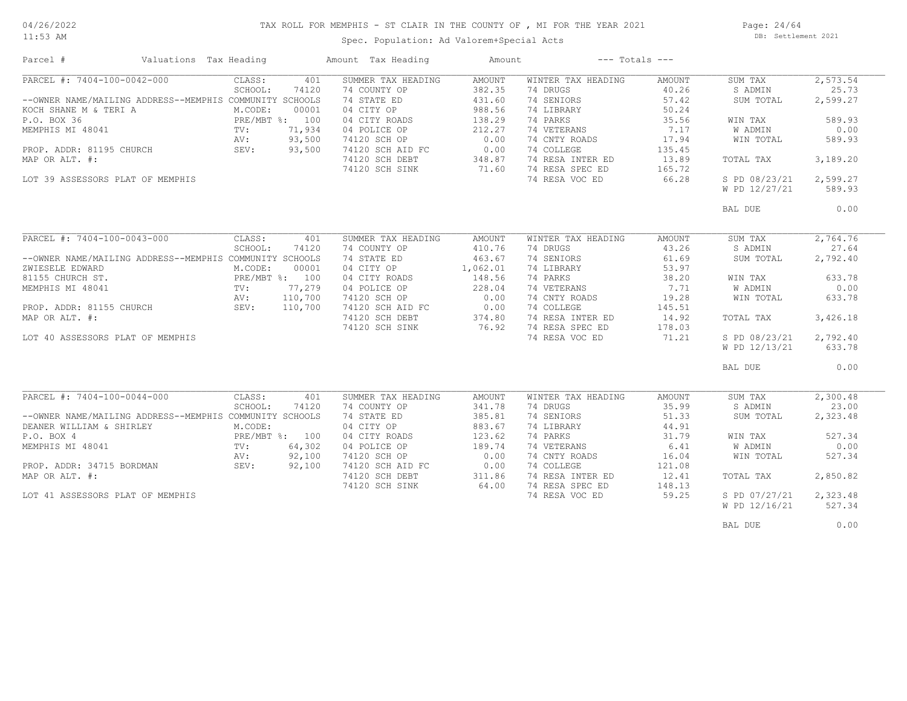# TAX ROLL FOR MEMPHIS - ST CLAIR IN THE COUNTY OF , MI FOR THE YEAR 2021

11:53 AM

## Spec. Population: Ad Valorem+Special Acts

Page: 24/64 DB: Settlement 2021

| Parcel #                                                | Valuations Tax Heading |                |         | Amount Tax Heading | Amount            |                    | $---$ Totals $---$ |               |          |
|---------------------------------------------------------|------------------------|----------------|---------|--------------------|-------------------|--------------------|--------------------|---------------|----------|
| PARCEL #: 7404-100-0042-000                             |                        | CLASS:         | 401     | SUMMER TAX HEADING | AMOUNT            | WINTER TAX HEADING | AMOUNT             | SUM TAX       | 2,573.54 |
|                                                         |                        | SCHOOL:        | 74120   | 74 COUNTY OP       | 382.35            | 74 DRUGS           | 40.26              | S ADMIN       | 25.73    |
| --OWNER NAME/MAILING ADDRESS--MEMPHIS COMMUNITY SCHOOLS |                        |                |         | 74 STATE ED        | 431.60            | 74 SENIORS         | 57.42              | SUM TOTAL     | 2,599.27 |
| KOCH SHANE M & TERI A                                   |                        | M.CODE:        | 00001   | 04 CITY OP         | 988.56            | 74 LIBRARY         | 50.24              |               |          |
| P.O. BOX 36                                             |                        | PRE/MBT %: 100 |         | 04 CITY ROADS      | 138.29            | 74 PARKS           | 35.56              | WIN TAX       | 589.93   |
| MEMPHIS MI 48041                                        |                        | TV:            | 71,934  | 04 POLICE OP       | 212.27            | 74 VETERANS        | 7.17               | W ADMIN       | 0.00     |
|                                                         |                        | AV:            | 93,500  | 74120 SCH OP       | 0.00              | 74 CNTY ROADS      | 17.94              | WIN TOTAL     | 589.93   |
| PROP. ADDR: 81195 CHURCH                                |                        | SEV:           | 93,500  | 74120 SCH AID FC   | 0.00              | 74 COLLEGE         | 135.45             |               |          |
|                                                         |                        |                |         |                    |                   |                    |                    |               |          |
| MAP OR ALT. #:                                          |                        |                |         | 74120 SCH DEBT     | $348.87$<br>71.60 | 74 RESA INTER ED   | 13.89              | TOTAL TAX     | 3,189.20 |
|                                                         |                        |                |         | 74120 SCH SINK     |                   | 74 RESA SPEC ED    | 165.72             |               |          |
| LOT 39 ASSESSORS PLAT OF MEMPHIS                        |                        |                |         |                    |                   | 74 RESA VOC ED     | 66.28              | S PD 08/23/21 | 2,599.27 |
|                                                         |                        |                |         |                    |                   |                    |                    | W PD 12/27/21 | 589.93   |
|                                                         |                        |                |         |                    |                   |                    |                    | BAL DUE       | 0.00     |
|                                                         |                        |                |         |                    |                   |                    |                    |               |          |
| PARCEL #: 7404-100-0043-000                             |                        | CLASS:         | 401     | SUMMER TAX HEADING | AMOUNT            | WINTER TAX HEADING | AMOUNT             | SUM TAX       | 2,764.76 |
|                                                         |                        | SCHOOL:        | 74120   | 74 COUNTY OP       | 410.76            | 74 DRUGS           | 43.26              | S ADMIN       | 27.64    |
| --OWNER NAME/MAILING ADDRESS--MEMPHIS COMMUNITY SCHOOLS |                        |                |         | 74 STATE ED        | 463.67            | 74 SENIORS         | 61.69              | SUM TOTAL     | 2,792.40 |
| ZWIESELE EDWARD                                         |                        | M.CODE:        | 00001   | 04 CITY OP         | 1,062.01          | 74 LIBRARY         | 53.97              |               |          |
| 81155 CHURCH ST.                                        |                        | PRE/MBT %: 100 |         | 04 CITY ROADS      | 148.56            | 74 PARKS           | 38.20              | WIN TAX       | 633.78   |
| MEMPHIS MI 48041                                        |                        | TV:            | 77,279  | 04 POLICE OP       | 228.04            | 74 VETERANS        | 7.71               | W ADMIN       | 0.00     |
|                                                         |                        | AV:            | 110,700 | 74120 SCH OP       |                   | 74 CNTY ROADS      | 19.28              | WIN TOTAL     | 633.78   |
| PROP. ADDR: 81155 CHURCH FROP. ADDR: 81155 CHURCH       |                        |                | 110,700 | 74120 SCH AID FC   | $0.00$<br>$0.00$  | 74 COLLEGE         | 145.51             |               |          |
| MAP OR ALT. #:                                          |                        |                |         | 74120 SCH DEBT     | 374.80            | 74 RESA INTER ED   | 14.92              | TOTAL TAX     | 3,426.18 |
|                                                         |                        |                |         |                    | 76.92             | 74 RESA SPEC ED    |                    |               |          |
|                                                         |                        |                |         | 74120 SCH SINK     |                   |                    | 178.03             |               |          |
| LOT 40 ASSESSORS PLAT OF MEMPHIS                        |                        |                |         |                    |                   | 74 RESA VOC ED     | 71.21              | S PD 08/23/21 | 2,792.40 |
|                                                         |                        |                |         |                    |                   |                    |                    | W PD 12/13/21 | 633.78   |
|                                                         |                        |                |         |                    |                   |                    |                    | BAL DUE       | 0.00     |
|                                                         |                        |                |         |                    |                   |                    |                    |               |          |
| PARCEL #: 7404-100-0044-000                             |                        | CLASS:         | 401     | SUMMER TAX HEADING | AMOUNT            | WINTER TAX HEADING | AMOUNT             | SUM TAX       | 2,300.48 |
|                                                         |                        | SCHOOL:        | 74120   | 74 COUNTY OP       | 341.78            | 74 DRUGS           | 35.99              | S ADMIN       | 23.00    |
| --OWNER NAME/MAILING ADDRESS--MEMPHIS COMMUNITY SCHOOLS |                        |                |         | 74 STATE ED        | 385.81            | 74 SENIORS         | 51.33              | SUM TOTAL     | 2,323.48 |
| DEANER WILLIAM & SHIRLEY                                |                        | M.CODE:        |         | 04 CITY OP         | 883.67            | 74 LIBRARY         | 44.91              |               |          |
| P.O. BOX 4                                              |                        | PRE/MBT %: 100 |         | 04 CITY ROADS      | 123.62            | 74 PARKS           | 31.79              | WIN TAX       | 527.34   |
| MEMPHIS MI 48041                                        |                        | $\text{TV}$ :  | 64,302  | 04 POLICE OP       | 189.74            | 74 VETERANS        | 6.41               | W ADMIN       | 0.00     |
|                                                         |                        | AV:            | 92,100  | 74120 SCH OP       | 0.00              | 74 CNTY ROADS      | 16.04              | WIN TOTAL     | 527.34   |
| PROP. ADDR: 34715 BORDMAN                               |                        | SEV:           | 92,100  | 74120 SCH AID FC   | 0.00              | 74 COLLEGE         | 121.08             |               |          |
| MAP OR ALT. #:                                          |                        |                |         |                    | 311.86            | 74 RESA INTER ED   | 12.41              |               | 2,850.82 |
|                                                         |                        |                |         | 74120 SCH DEBT     |                   |                    |                    | TOTAL TAX     |          |
|                                                         |                        |                |         | 74120 SCH SINK     | 64.00             | 74 RESA SPEC ED    | 148.13             |               |          |
| LOT 41 ASSESSORS PLAT OF MEMPHIS                        |                        |                |         |                    |                   | 74 RESA VOC ED     | 59.25              | S PD 07/27/21 | 2,323.48 |
|                                                         |                        |                |         |                    |                   |                    |                    | W PD 12/16/21 | 527.34   |
|                                                         |                        |                |         |                    |                   |                    |                    | BAL DUE       | 0.00     |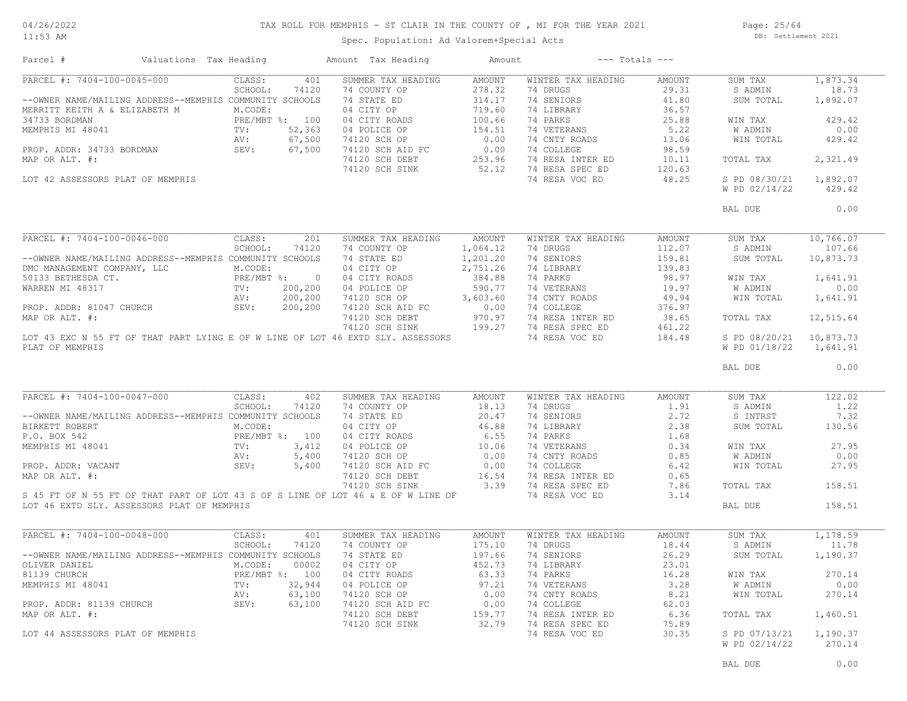#### TAX ROLL FOR MEMPHIS - ST CLAIR IN THE COUNTY OF , MI FOR THE YEAR 2021

11:53 AM

## Spec. Population: Ad Valorem+Special Acts

Page: 25/64 DB: Settlement 2021

| Parcel #                                                                                                                                                                                                                                                                                                                                                                                                          | Valuations Tax Heading |        |     | Amount Tax Heading        | Amount |                           | $---$ Totals $---$ |                          |          |
|-------------------------------------------------------------------------------------------------------------------------------------------------------------------------------------------------------------------------------------------------------------------------------------------------------------------------------------------------------------------------------------------------------------------|------------------------|--------|-----|---------------------------|--------|---------------------------|--------------------|--------------------------|----------|
| PARCEL #: 7404-100-0045-000                                                                                                                                                                                                                                                                                                                                                                                       |                        | CLASS: | 401 | SUMMER TAX HEADING        | AMOUNT | WINTER TAX HEADING        | AMOUNT             | SUM TAX                  | 1,873.34 |
| 278.32 74 DRUGS: 4800NF 278.32 74 DRUGS 29.31 SADMIN 500NF 1,8/32<br>278.32 74 DRUGS 278.32 74 DRUGS 29.31 SADMIN 500NF 1,8/32<br>29.31 SADMIN 1,8/32<br>29.31 SADMIN 1,8/32<br>29.31 SADMIN 1,8/32<br>29.31 SADMIN 1,8/32<br>29.31 SADMI                                                                                                                                                                         |                        |        |     |                           |        |                           |                    |                          |          |
|                                                                                                                                                                                                                                                                                                                                                                                                                   |                        |        |     |                           |        |                           |                    |                          |          |
|                                                                                                                                                                                                                                                                                                                                                                                                                   |                        |        |     |                           |        |                           |                    |                          |          |
|                                                                                                                                                                                                                                                                                                                                                                                                                   |                        |        |     |                           |        |                           |                    |                          |          |
|                                                                                                                                                                                                                                                                                                                                                                                                                   |                        |        |     |                           |        |                           |                    |                          |          |
|                                                                                                                                                                                                                                                                                                                                                                                                                   |                        |        |     |                           |        |                           |                    |                          |          |
|                                                                                                                                                                                                                                                                                                                                                                                                                   |                        |        |     |                           |        |                           |                    |                          |          |
|                                                                                                                                                                                                                                                                                                                                                                                                                   |                        |        |     |                           |        |                           |                    |                          |          |
|                                                                                                                                                                                                                                                                                                                                                                                                                   |                        |        |     |                           |        |                           |                    |                          |          |
|                                                                                                                                                                                                                                                                                                                                                                                                                   |                        |        |     |                           |        |                           |                    | W PD 02/14/22            | 429.42   |
|                                                                                                                                                                                                                                                                                                                                                                                                                   |                        |        |     |                           |        |                           |                    |                          |          |
|                                                                                                                                                                                                                                                                                                                                                                                                                   |                        |        |     |                           |        |                           |                    | BAL DUE                  | 0.00     |
|                                                                                                                                                                                                                                                                                                                                                                                                                   |                        |        |     |                           |        |                           |                    |                          |          |
|                                                                                                                                                                                                                                                                                                                                                                                                                   |                        |        |     |                           |        |                           |                    |                          |          |
|                                                                                                                                                                                                                                                                                                                                                                                                                   |                        |        |     |                           |        |                           |                    |                          |          |
|                                                                                                                                                                                                                                                                                                                                                                                                                   |                        |        |     |                           |        |                           |                    |                          |          |
|                                                                                                                                                                                                                                                                                                                                                                                                                   |                        |        |     |                           |        |                           |                    |                          |          |
|                                                                                                                                                                                                                                                                                                                                                                                                                   |                        |        |     |                           |        |                           |                    |                          |          |
|                                                                                                                                                                                                                                                                                                                                                                                                                   |                        |        |     |                           |        |                           |                    |                          |          |
|                                                                                                                                                                                                                                                                                                                                                                                                                   |                        |        |     |                           |        |                           |                    |                          |          |
|                                                                                                                                                                                                                                                                                                                                                                                                                   |                        |        |     |                           |        |                           |                    |                          |          |
|                                                                                                                                                                                                                                                                                                                                                                                                                   |                        |        |     |                           |        |                           |                    |                          |          |
|                                                                                                                                                                                                                                                                                                                                                                                                                   |                        |        |     |                           |        |                           |                    |                          |          |
|                                                                                                                                                                                                                                                                                                                                                                                                                   |                        |        |     |                           |        |                           |                    |                          |          |
|                                                                                                                                                                                                                                                                                                                                                                                                                   |                        |        |     |                           |        |                           |                    | BAL DUE                  | 0.00     |
| PARCEL #: 7404-100-0047-000                                                                                                                                                                                                                                                                                                                                                                                       |                        | CLASS: | 402 | SUMMER TAX HEADING AMOUNT |        | WINTER TAX HEADING AMOUNT |                    | SUM TAX                  | 122.02   |
| PARCEL #: 7404-100-0047-000<br>CHOOL: 74120 74 COUNTY OP<br>CHOOL: 74120 74 COUNTY OP<br>SCHOOL: 74120 74 COUNTY OP<br>20.47 74 SENIORS<br>2.72 SINTRST<br>ENERT ROBER<br>PRE/METING ADDRESS--MEMPHIS COMMUNITY SCHOOLS<br>PRE/MET %: 3,412 0                                                                                                                                                                     |                        |        |     |                           |        |                           |                    |                          | 1.22     |
|                                                                                                                                                                                                                                                                                                                                                                                                                   |                        |        |     |                           |        |                           |                    |                          | 7.32     |
|                                                                                                                                                                                                                                                                                                                                                                                                                   |                        |        |     |                           |        |                           |                    |                          | 130.56   |
|                                                                                                                                                                                                                                                                                                                                                                                                                   |                        |        |     |                           |        |                           |                    |                          |          |
|                                                                                                                                                                                                                                                                                                                                                                                                                   |                        |        |     |                           |        |                           |                    |                          | 27.95    |
|                                                                                                                                                                                                                                                                                                                                                                                                                   |                        |        |     |                           |        |                           |                    |                          | 0.00     |
|                                                                                                                                                                                                                                                                                                                                                                                                                   |                        |        |     |                           |        |                           |                    |                          | 27.95    |
|                                                                                                                                                                                                                                                                                                                                                                                                                   |                        |        |     |                           |        |                           |                    |                          |          |
|                                                                                                                                                                                                                                                                                                                                                                                                                   |                        |        |     |                           |        |                           |                    |                          | 158.51   |
|                                                                                                                                                                                                                                                                                                                                                                                                                   |                        |        |     |                           |        |                           |                    |                          |          |
| LOT 46 EXTD SLY. ASSESSORS PLAT OF MEMPHIS                                                                                                                                                                                                                                                                                                                                                                        |                        |        |     |                           |        |                           |                    | BAL DUE                  | 158.51   |
|                                                                                                                                                                                                                                                                                                                                                                                                                   |                        |        |     |                           |        |                           |                    |                          |          |
| $\begin{tabular}{l c c c c c c c c} \multicolumn{4}{c c c c} \multicolumn{4}{c c c} \multicolumn{4}{c c c} \multicolumn{4}{c c c} \multicolumn{4}{c c c} \multicolumn{4}{c c c} \multicolumn{4}{c c} \multicolumn{4}{c c} \multicolumn{4}{c c} \multicolumn{4}{c c} \multicolumn{4}{c c} \multicolumn{4}{c c} \multicolumn{4}{c c} \multicolumn{4}{c c} \multicolumn{4}{c c} \multicolumn{4}{c c} \multicolumn{4$ |                        |        |     |                           |        |                           |                    | SUM TAX                  | 1,178.59 |
|                                                                                                                                                                                                                                                                                                                                                                                                                   |                        |        |     |                           |        |                           |                    | S ADMIN                  | 11.78    |
|                                                                                                                                                                                                                                                                                                                                                                                                                   |                        |        |     |                           |        |                           |                    | SUM TOTAL                | 1,190.37 |
|                                                                                                                                                                                                                                                                                                                                                                                                                   |                        |        |     |                           |        |                           |                    |                          |          |
|                                                                                                                                                                                                                                                                                                                                                                                                                   |                        |        |     |                           |        |                           |                    | WIN TAX                  | 270.14   |
|                                                                                                                                                                                                                                                                                                                                                                                                                   |                        |        |     |                           |        |                           |                    | WIN TAX<br>W ADMIN       | 0.00     |
|                                                                                                                                                                                                                                                                                                                                                                                                                   |                        |        |     |                           |        |                           |                    | WIN TOTAL 270.14         |          |
|                                                                                                                                                                                                                                                                                                                                                                                                                   |                        |        |     |                           |        |                           |                    |                          |          |
|                                                                                                                                                                                                                                                                                                                                                                                                                   |                        |        |     |                           |        |                           |                    | TOTAL TAX                | 1,460.51 |
|                                                                                                                                                                                                                                                                                                                                                                                                                   |                        |        |     |                           |        |                           |                    |                          |          |
|                                                                                                                                                                                                                                                                                                                                                                                                                   |                        |        |     |                           |        |                           |                    | $S$ PD 07/13/21 1,190.37 |          |
|                                                                                                                                                                                                                                                                                                                                                                                                                   |                        |        |     |                           |        |                           |                    | W PD 02/14/22            | 270.14   |
|                                                                                                                                                                                                                                                                                                                                                                                                                   |                        |        |     |                           |        |                           |                    |                          |          |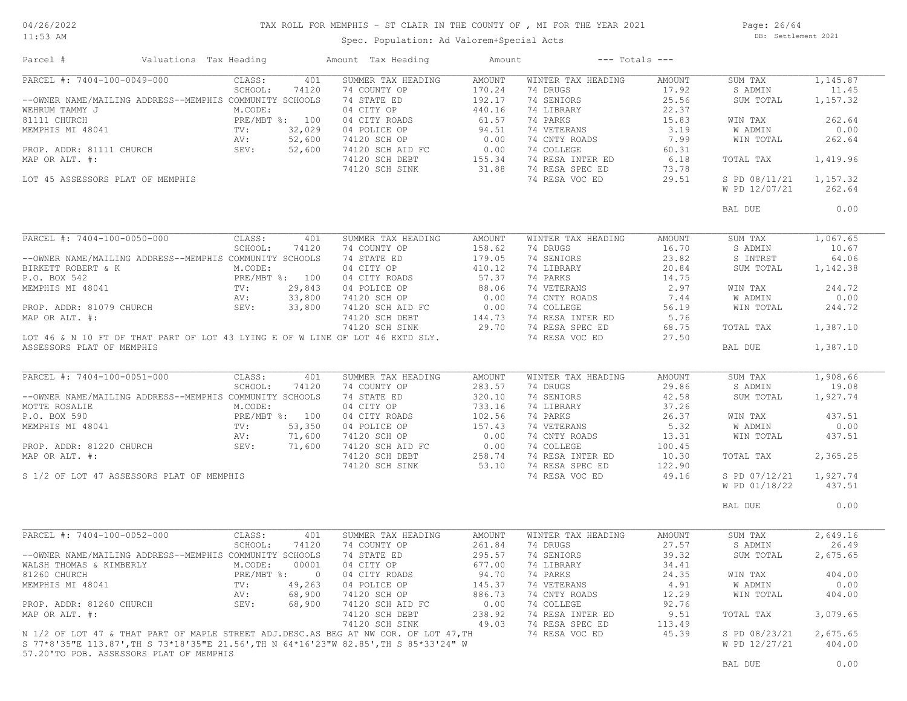#### TAX ROLL FOR MEMPHIS - ST CLAIR IN THE COUNTY OF , MI FOR THE YEAR 2021

11:53 AM

#### Spec. Population: Ad Valorem+Special Acts

Page: 26/64 DB: Settlement 2021

| Parcel #                                                                                                                                                                                                                                             | Valuations Tax Heading |                |                | Amount Tax Heading                 | Amount |                              | $---$ Totals $---$ |               |          |
|------------------------------------------------------------------------------------------------------------------------------------------------------------------------------------------------------------------------------------------------------|------------------------|----------------|----------------|------------------------------------|--------|------------------------------|--------------------|---------------|----------|
| PARCEL #: 7404-100-0049-000                                                                                                                                                                                                                          |                        | CLASS:         | 401            | SUMMER TAX HEADING                 | AMOUNT | WINTER TAX HEADING           | AMOUNT             | SUM TAX       | 1,145.87 |
|                                                                                                                                                                                                                                                      |                        | SCHOOL:        | 74120          | 74 COUNTY OP                       | 170.24 | 74 DRUGS                     | 17.92              | S ADMIN       | 11.45    |
| --OWNER NAME/MAILING ADDRESS--MEMPHIS COMMUNITY SCHOOLS                                                                                                                                                                                              |                        |                |                | 74 STATE ED                        | 192.17 | 74 SENIORS                   | 25.56              | SUM TOTAL     | 1,157.32 |
|                                                                                                                                                                                                                                                      |                        |                |                | 04 CITY OP                         | 440.16 | 74 LIBRARY                   | 22.37              |               |          |
|                                                                                                                                                                                                                                                      |                        |                |                | 04 CITY ROADS                      | 61.57  | 74 PARKS                     | 15.83              | WIN TAX       | 262.64   |
|                                                                                                                                                                                                                                                      |                        |                |                |                                    |        | 74 VETERANS                  | 3.19               | W ADMIN       | 0.00     |
|                                                                                                                                                                                                                                                      |                        |                |                |                                    |        | 74 CNTY ROADS                | 7.99               | WIN TOTAL     | 262.64   |
|                                                                                                                                                                                                                                                      |                        |                |                |                                    |        | 74 COLLEGE                   | 60.31              |               |          |
|                                                                                                                                                                                                                                                      |                        |                |                |                                    |        | 74 RESA INTER ED             | 6.18               | TOTAL TAX     | 1,419.96 |
|                                                                                                                                                                                                                                                      |                        |                |                |                                    |        | 74 RESA SPEC ED              | 73.78              |               |          |
| MAP OR ALT. $\#$ :<br>LOT 45 ASSESSORS PLAT OF MEMPHIS                                                                                                                                                                                               |                        |                |                |                                    |        | 74 RESA VOC ED               | 29.51              | S PD 08/11/21 | 1,157.32 |
|                                                                                                                                                                                                                                                      |                        |                |                |                                    |        |                              |                    | W PD 12/07/21 | 262.64   |
|                                                                                                                                                                                                                                                      |                        |                |                |                                    |        |                              |                    |               |          |
|                                                                                                                                                                                                                                                      |                        |                |                |                                    |        |                              |                    | BAL DUE       | 0.00     |
| PARCEL #: 7404-100-0050-000                                                                                                                                                                                                                          |                        | CLASS:         | 401            | SUMMER TAX HEADING                 | AMOUNT | WINTER TAX HEADING           | AMOUNT             | SUM TAX       | 1,067.65 |
|                                                                                                                                                                                                                                                      |                        | SCHOOL:        | 74120          | 74 COUNTY OP                       | 158.62 | 74 DRUGS                     | 16.70              | S ADMIN       | 10.67    |
|                                                                                                                                                                                                                                                      |                        |                |                | 74 STATE ED                        | 179.05 | 74 SENIORS                   | 23.82              | S INTRST      | 64.06    |
|                                                                                                                                                                                                                                                      |                        |                |                | 04 CITY OP                         | 410.12 | 74 LIBRARY                   | 20.84              | SUM TOTAL     | 1,142.38 |
|                                                                                                                                                                                                                                                      |                        |                |                | 04 CITY ROADS                      | 57.37  | 74 PARKS                     | 14.75              |               |          |
|                                                                                                                                                                                                                                                      |                        |                |                |                                    |        |                              | 2.97               | WIN TAX       | 244.72   |
|                                                                                                                                                                                                                                                      |                        |                |                |                                    |        | 74 VETERANS<br>74 CNTY ROADS | 7.44               | W ADMIN       | 0.00     |
|                                                                                                                                                                                                                                                      |                        |                |                |                                    |        |                              | 56.19              | WIN TOTAL     |          |
|                                                                                                                                                                                                                                                      |                        |                |                |                                    |        |                              |                    |               | 244.72   |
|                                                                                                                                                                                                                                                      |                        |                |                |                                    |        | 74 RESA INTER ED 5.76        |                    |               |          |
| MEMPHIS MI 48041<br>MEMPHIS MI 48041<br>MEMPHIS MI 48041<br>PROP. ADDR: 81079 CHURCH<br>MAP OR ALT. #:<br>MAP OR ALT. #:<br>MAP OR ALT. #:<br>MAP OR ALT. #:<br>MAP OR ALT. #:<br>MAP OR ALT. #:<br>MAP OR ALT. #:<br>TAT OF ILOT 43 LYING E OF WILI |                        |                |                |                                    |        |                              | 68.75<br>27.50     | TOTAL TAX     | 1,387.10 |
| ASSESSORS PLAT OF MEMPHIS                                                                                                                                                                                                                            |                        |                |                |                                    |        |                              |                    | BAL DUE       | 1,387.10 |
|                                                                                                                                                                                                                                                      |                        |                |                |                                    |        |                              |                    |               |          |
| PARCEL #: 7404-100-0051-000                                                                                                                                                                                                                          |                        | CLASS:         | 401            | SUMMER TAX HEADING                 | AMOUNT | WINTER TAX HEADING           | AMOUNT             | SUM TAX       | 1,908.66 |
|                                                                                                                                                                                                                                                      |                        | SCHOOL:        | 74120          | 74 COUNTY OP                       | 283.57 | 74 DRUGS                     | 29.86              | S ADMIN       | 19.08    |
| --OWNER NAME/MAILING ADDRESS--MEMPHIS COMMUNITY SCHOOLS                                                                                                                                                                                              |                        |                |                | 74 STATE ED                        | 320.10 | 74 SENIORS                   | 42.58              | SUM TOTAL     | 1,927.74 |
|                                                                                                                                                                                                                                                      |                        |                |                | 04 CITY OP                         | 733.16 | 74 LIBRARY                   | 37.26              |               |          |
|                                                                                                                                                                                                                                                      |                        |                |                | 04 CITY ROADS                      | 102.56 | 74 PARKS                     | 26.37              | WIN TAX       | 437.51   |
|                                                                                                                                                                                                                                                      |                        |                |                | 04 POLICE OP                       | 157.43 | 74 VETERANS                  | 5.32               | W ADMIN       | 0.00     |
|                                                                                                                                                                                                                                                      |                        |                |                | 74120 SCH OP                       | 0.00   | 74 CNTY ROADS                | 13.31              | WIN TOTAL     | 437.51   |
|                                                                                                                                                                                                                                                      |                        |                |                | 74120 SCH AID FC                   | 0.00   | 74 COLLEGE                   | 100.45             |               |          |
| MOTTE ROSALIE<br>P.O. BOX 590<br>MEMPHIS MI 48041<br>PROP. ADDR: 81220 CHURCH<br>PROP. ADDR: 81220 CHURCH<br>PROP. ADDR: 81220 CHURCH<br>PROP. ADDR: 81220 CHURCH<br>PROP. ADDR: 81220 CHURCH<br>PROP. 2011,600<br>MAP OR ALT. #:                    |                        |                |                | 74120 SCH AID FC<br>74120 SCH DEBT | 258.74 | 74 RESA INTER ED             | 10.30              | TOTAL TAX     | 2,365.25 |
|                                                                                                                                                                                                                                                      |                        |                |                | 74120 SCH SINK                     | 53.10  | 74 RESA SPEC ED              | 122.90             |               |          |
|                                                                                                                                                                                                                                                      |                        |                |                |                                    |        | 74 RESA VOC ED               | 49.16              | S PD 07/12/21 | 1,927.74 |
| S 1/2 OF LOT 47 ASSESSORS PLAT OF MEMPHIS                                                                                                                                                                                                            |                        |                |                |                                    |        |                              |                    |               | 437.51   |
|                                                                                                                                                                                                                                                      |                        |                |                |                                    |        |                              |                    | W PD 01/18/22 |          |
|                                                                                                                                                                                                                                                      |                        |                |                |                                    |        |                              |                    | BAL DUE       | 0.00     |
| PARCEL #: 7404-100-0052-000                                                                                                                                                                                                                          |                        | CLASS:         | 401            | SUMMER TAX HEADING                 | AMOUNT | WINTER TAX HEADING           | AMOUNT             | SUM TAX       | 2,649.16 |
|                                                                                                                                                                                                                                                      |                        | SCHOOL:        | 74120          | 74 COUNTY OP                       | 261.84 | 74 DRUGS                     | 27.57              | S ADMIN       | 26.49    |
| --OWNER NAME/MAILING ADDRESS--MEMPHIS COMMUNITY SCHOOLS                                                                                                                                                                                              |                        |                |                | 74 STATE ED                        | 295.57 | 74 SENIORS                   | 39.32              | SUM TOTAL     | 2,675.65 |
| WALSH THOMAS & KIMBERLY M.CODE:                                                                                                                                                                                                                      |                        |                | 00001          | 04 CITY OP                         | 677.00 |                              | 34.41              |               |          |
|                                                                                                                                                                                                                                                      |                        |                |                |                                    |        | 74 LIBRARY                   |                    |               |          |
| 81260 CHURCH                                                                                                                                                                                                                                         |                        | PRE/MBT %:     | $\overline{0}$ | 04 CITY ROADS                      | 94.70  | 74 PARKS                     | 24.35              | WIN TAX       | 404.00   |
| MEMPHIS MI 48041                                                                                                                                                                                                                                     |                        | TV:<br>49,263  |                | 04 POLICE OP                       | 145.37 | 74 VETERANS                  | 4.91               | W ADMIN       | 0.00     |
|                                                                                                                                                                                                                                                      |                        | 68,900<br>AV:  |                | 74120 SCH OP                       | 886.73 | 74 CNTY ROADS                | 12.29              | WIN TOTAL     | 404.00   |
| PROP. ADDR: 81260 CHURCH                                                                                                                                                                                                                             |                        | SEV:<br>68,900 |                | 74120 SCH AID FC                   | 0.00   | 74 COLLEGE                   | 92.76              |               |          |
| MAP OR ALT. #:                                                                                                                                                                                                                                       |                        |                |                | 74120 SCH DEBT                     | 238.92 | 74 RESA INTER ED             | 9.51               | TOTAL TAX     | 3,079.65 |
|                                                                                                                                                                                                                                                      |                        |                |                | 74120 SCH SINK                     | 49.03  | 74 RESA SPEC ED              | 113.49             |               |          |
| N 1/2 OF LOT 47 & THAT PART OF MAPLE STREET ADJ.DESC.AS BEG AT NW COR. OF LOT 47, TH                                                                                                                                                                 |                        |                |                |                                    |        | 74 RESA VOC ED               | 45.39              | S PD 08/23/21 | 2,675.65 |
| S 77*8'35"E 113.87', TH S 73*18'35"E 21.56', TH N 64*16'23"W 82.85', TH S 85*33'24" W                                                                                                                                                                |                        |                |                |                                    |        |                              |                    | W PD 12/27/21 | 404.00   |
| 57.20'TO POB. ASSESSORS PLAT OF MEMPHIS                                                                                                                                                                                                              |                        |                |                |                                    |        |                              |                    |               |          |
|                                                                                                                                                                                                                                                      |                        |                |                |                                    |        |                              |                    | BAL DUE       | 0.00     |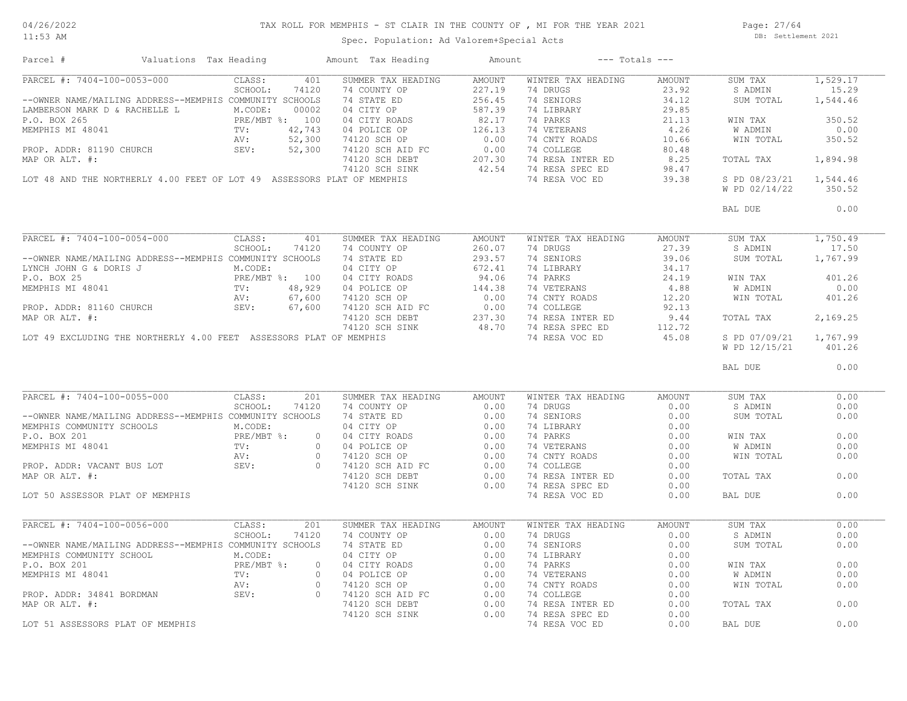# TAX ROLL FOR MEMPHIS - ST CLAIR IN THE COUNTY OF , MI FOR THE YEAR 2021

11:53 AM

## Spec. Population: Ad Valorem+Special Acts

Page: 27/64 DB: Settlement 2021

| Parcel #<br>Valuations Tax Heading                                                                                                                                                                                                         |                            | Amount Tax Heading | Amount |                                                                                                                                                                                                                                                                                                                                                                                                                                                                               | $---$ Totals $---$ |                                         |          |
|--------------------------------------------------------------------------------------------------------------------------------------------------------------------------------------------------------------------------------------------|----------------------------|--------------------|--------|-------------------------------------------------------------------------------------------------------------------------------------------------------------------------------------------------------------------------------------------------------------------------------------------------------------------------------------------------------------------------------------------------------------------------------------------------------------------------------|--------------------|-----------------------------------------|----------|
| PARCEL #: 7404-100-0053-000                                                                                                                                                                                                                | $\overline{401}$<br>CLASS: | SUMMER TAX HEADING | AMOUNT | WINTER TAX HEADING                                                                                                                                                                                                                                                                                                                                                                                                                                                            | AMOUNT             | SUM TAX                                 | 1,529.17 |
|                                                                                                                                                                                                                                            | SCHOOL:<br>74120           | 74 COUNTY OP       | 227.19 | 74 DRUGS 23.92<br>74 SENIORS 34.12                                                                                                                                                                                                                                                                                                                                                                                                                                            |                    | S ADMIN                                 | 15.29    |
| --OWNER NAME/MAILING ADDRESS--MEMPHIS COMMUNITY SCHOOLS                                                                                                                                                                                    |                            | 74 STATE ED        | 256.45 |                                                                                                                                                                                                                                                                                                                                                                                                                                                                               |                    | SUM TOTAL                               | 1,544.46 |
|                                                                                                                                                                                                                                            |                            |                    |        |                                                                                                                                                                                                                                                                                                                                                                                                                                                                               |                    |                                         | 350.52   |
|                                                                                                                                                                                                                                            |                            |                    |        |                                                                                                                                                                                                                                                                                                                                                                                                                                                                               |                    | WIN TAX                                 |          |
|                                                                                                                                                                                                                                            |                            |                    |        |                                                                                                                                                                                                                                                                                                                                                                                                                                                                               |                    | W ADMIN                                 | 0.00     |
|                                                                                                                                                                                                                                            |                            |                    |        |                                                                                                                                                                                                                                                                                                                                                                                                                                                                               |                    | WIN TOTAL                               | 350.52   |
|                                                                                                                                                                                                                                            |                            |                    |        |                                                                                                                                                                                                                                                                                                                                                                                                                                                                               |                    |                                         |          |
|                                                                                                                                                                                                                                            |                            |                    |        |                                                                                                                                                                                                                                                                                                                                                                                                                                                                               |                    | TOTAL TAX                               | 1,894.98 |
|                                                                                                                                                                                                                                            |                            |                    |        |                                                                                                                                                                                                                                                                                                                                                                                                                                                                               |                    |                                         |          |
|                                                                                                                                                                                                                                            |                            |                    |        |                                                                                                                                                                                                                                                                                                                                                                                                                                                                               |                    | S PD 08/23/21 1,544.46                  |          |
|                                                                                                                                                                                                                                            |                            |                    |        |                                                                                                                                                                                                                                                                                                                                                                                                                                                                               |                    | W PD 02/14/22                           | 350.52   |
|                                                                                                                                                                                                                                            |                            |                    |        |                                                                                                                                                                                                                                                                                                                                                                                                                                                                               |                    | BAL DUE                                 | 0.00     |
| PARCEL #: 7404-100-0054-000                                                                                                                                                                                                                | CLASS:<br>401              | SUMMER TAX HEADING | AMOUNT | WINTER TAX HEADING                                                                                                                                                                                                                                                                                                                                                                                                                                                            | AMOUNT             | SUM TAX                                 | 1,750.49 |
|                                                                                                                                                                                                                                            |                            |                    |        | 74 DRUGS 27.39                                                                                                                                                                                                                                                                                                                                                                                                                                                                |                    | S ADMIN                                 | 17.50    |
|                                                                                                                                                                                                                                            |                            |                    |        | 4 DENJORS<br>21.39<br>239.06<br>239.06<br>24 LIBRARY<br>24 DR VETERANS<br>24.19<br>24 COLLEGE<br>22.13                                                                                                                                                                                                                                                                                                                                                                        |                    | SUM TOTAL                               | 1,767.99 |
|                                                                                                                                                                                                                                            |                            |                    |        |                                                                                                                                                                                                                                                                                                                                                                                                                                                                               |                    |                                         |          |
|                                                                                                                                                                                                                                            |                            |                    |        |                                                                                                                                                                                                                                                                                                                                                                                                                                                                               |                    | WIN TAX                                 | 401.26   |
|                                                                                                                                                                                                                                            |                            |                    |        |                                                                                                                                                                                                                                                                                                                                                                                                                                                                               |                    | W ADMIN                                 | 0.00     |
|                                                                                                                                                                                                                                            |                            |                    |        |                                                                                                                                                                                                                                                                                                                                                                                                                                                                               |                    | WIN TOTAL                               | 401.26   |
|                                                                                                                                                                                                                                            |                            |                    |        |                                                                                                                                                                                                                                                                                                                                                                                                                                                                               |                    |                                         |          |
|                                                                                                                                                                                                                                            |                            |                    |        |                                                                                                                                                                                                                                                                                                                                                                                                                                                                               | 9.44               | TOTAL TAX                               | 2,169.25 |
|                                                                                                                                                                                                                                            |                            |                    |        |                                                                                                                                                                                                                                                                                                                                                                                                                                                                               |                    |                                         |          |
| LOT 49 EXCLUDING THE NORTHERLY 4.00 FEET ASSESSORS PLAT OF MEMPHIS                                                                                                                                                                         |                            |                    |        | 74 COLLEGE<br>74 RESA INTER ED 9.44<br>2010 - SPEC ED 112.72<br>15.08<br>74 RESA VOC ED                                                                                                                                                                                                                                                                                                                                                                                       | 45.08              |                                         |          |
|                                                                                                                                                                                                                                            |                            |                    |        |                                                                                                                                                                                                                                                                                                                                                                                                                                                                               |                    | S PD 07/09/21 1,767.99<br>W PD 12/15/21 | 401.26   |
|                                                                                                                                                                                                                                            |                            |                    |        |                                                                                                                                                                                                                                                                                                                                                                                                                                                                               |                    | BAL DUE                                 | 0.00     |
| PARCEL #: 7404-100-0055-000                                                                                                                                                                                                                | CLASS:<br>201              | SUMMER TAX HEADING | AMOUNT | WINTER TAX HEADING                                                                                                                                                                                                                                                                                                                                                                                                                                                            | <b>AMOUNT</b>      | SUM TAX                                 | 0.00     |
|                                                                                                                                                                                                                                            | SCHOOL:<br>74120           | 74 COUNTY OP 0.00  |        | 74 DRUGS 0.00                                                                                                                                                                                                                                                                                                                                                                                                                                                                 |                    | S ADMIN                                 | 0.00     |
|                                                                                                                                                                                                                                            |                            |                    |        |                                                                                                                                                                                                                                                                                                                                                                                                                                                                               | 0.00               | SUM TOTAL                               | 0.00     |
|                                                                                                                                                                                                                                            |                            |                    |        | 74 SENIORS<br>74 LIBRARY<br>74 PARKS                                                                                                                                                                                                                                                                                                                                                                                                                                          | 0.00               |                                         |          |
|                                                                                                                                                                                                                                            |                            |                    |        |                                                                                                                                                                                                                                                                                                                                                                                                                                                                               |                    | WIN TAX                                 | 0.00     |
|                                                                                                                                                                                                                                            |                            |                    |        |                                                                                                                                                                                                                                                                                                                                                                                                                                                                               |                    |                                         | 0.00     |
|                                                                                                                                                                                                                                            |                            |                    |        | 74 PARKS 0.00<br>74 VETERANS 0.00<br>74 CNTY ROADS 0.00<br>74 COLLEGE 0.00                                                                                                                                                                                                                                                                                                                                                                                                    |                    | W ADMIN                                 |          |
|                                                                                                                                                                                                                                            |                            |                    |        |                                                                                                                                                                                                                                                                                                                                                                                                                                                                               |                    | WIN TOTAL                               | 0.00     |
| --OWNER NAME/MAILING ADDRESS--MEMPHIS COMMUNITY SCHOOL: 74120 74 COUNTY OP<br>MEMPHIS COMMUNITY SCHOOLS M.CODE: 04 CITY OP<br>P.O. BOX 201<br>MEMPHIS MI 48041<br>MEMPHIS MI 48041<br>PROP. ADDR: VACANT BUS LOT<br>PROP. ADDR: VACANT BUS |                            |                    |        |                                                                                                                                                                                                                                                                                                                                                                                                                                                                               |                    |                                         |          |
|                                                                                                                                                                                                                                            |                            |                    |        | 74 RESA INTER ED                                                                                                                                                                                                                                                                                                                                                                                                                                                              | 0.00               | TOTAL TAX                               | 0.00     |
|                                                                                                                                                                                                                                            |                            | 74120 SCH SINK     | 0.00   | 74 RESA SPEC ED                                                                                                                                                                                                                                                                                                                                                                                                                                                               | 0.00               |                                         |          |
| LOT 50 ASSESSOR PLAT OF MEMPHIS                                                                                                                                                                                                            |                            |                    |        | 74 RESA VOC ED                                                                                                                                                                                                                                                                                                                                                                                                                                                                | 0.00               | BAL DUE                                 | 0.00     |
| PARCEL #: 7404-100-0056-000                                                                                                                                                                                                                | CLASS:<br>201              | SUMMER TAX HEADING | AMOUNT | WINTER TAX HEADING                                                                                                                                                                                                                                                                                                                                                                                                                                                            | AMOUNT             | SUM TAX                                 | 0.00     |
|                                                                                                                                                                                                                                            | SCHOOL:<br>74120           | 74 COUNTY OP 0.00  |        | 74 DRUGS<br>$\begin{tabular}{lllllllllllll} \multicolumn{4}{c}{\textbf{4} &\textbf{DRUGS}} & & & & & & & & \\ \multicolumn{4}{c}{\textbf{74} &\textbf{LEBARY}} & & & & & & & \\ \multicolumn{4}{c}{\textbf{74} &\textbf{PARRY}} & & & & & & \\ \multicolumn{4}{c}{\textbf{74} &\textbf{PARKS}} & & & & & & \\ \multicolumn{4}{c}{\textbf{74} &\textbf{WRTERANS}} & & & & & & \\ \multicolumn{4}{c}{\textbf{74} &\textbf{CNTY ROADS}} & & & & & \\ \multicolumn{4}{c}{\textbf$ | $\sim$ 0.00        | S ADMIN                                 | 0.00     |
|                                                                                                                                                                                                                                            |                            |                    |        |                                                                                                                                                                                                                                                                                                                                                                                                                                                                               |                    | SUM TOTAL                               | 0.00     |
|                                                                                                                                                                                                                                            |                            |                    |        |                                                                                                                                                                                                                                                                                                                                                                                                                                                                               |                    |                                         |          |
|                                                                                                                                                                                                                                            |                            |                    |        |                                                                                                                                                                                                                                                                                                                                                                                                                                                                               |                    | WIN TAX                                 | 0.00     |
|                                                                                                                                                                                                                                            |                            |                    |        |                                                                                                                                                                                                                                                                                                                                                                                                                                                                               |                    | W ADMIN                                 | 0.00     |
|                                                                                                                                                                                                                                            |                            |                    |        |                                                                                                                                                                                                                                                                                                                                                                                                                                                                               |                    | WIN TOTAL                               | 0.00     |
|                                                                                                                                                                                                                                            |                            |                    |        |                                                                                                                                                                                                                                                                                                                                                                                                                                                                               |                    |                                         |          |
|                                                                                                                                                                                                                                            |                            |                    |        |                                                                                                                                                                                                                                                                                                                                                                                                                                                                               |                    | TOTAL TAX                               | 0.00     |
| --OWNER NAME/MAILING ADDRESS--MEMPHIS COMMUNITY SCHOOLS 74 STATE ED 0.00<br>MEMPHIS COMMUNITY SCHOOL M.CODE: 04 CITY OP 0.00<br>P.O. BOX 201<br>MEMPHIS MI 48041 TV: 0 04 CITY ROADS 0.00<br>PROP. ADDR: 34841 BORDMAN SEV: 0 74120 SC     |                            | 74120 SCH SINK     | 0.00   | 74 RESA SPEC ED                                                                                                                                                                                                                                                                                                                                                                                                                                                               | 0.00               |                                         |          |
| LOT 51 ASSESSORS PLAT OF MEMPHIS                                                                                                                                                                                                           |                            |                    |        | 74 RESA VOC ED                                                                                                                                                                                                                                                                                                                                                                                                                                                                | 0.00               | BAL DUE                                 | 0.00     |
|                                                                                                                                                                                                                                            |                            |                    |        |                                                                                                                                                                                                                                                                                                                                                                                                                                                                               |                    |                                         |          |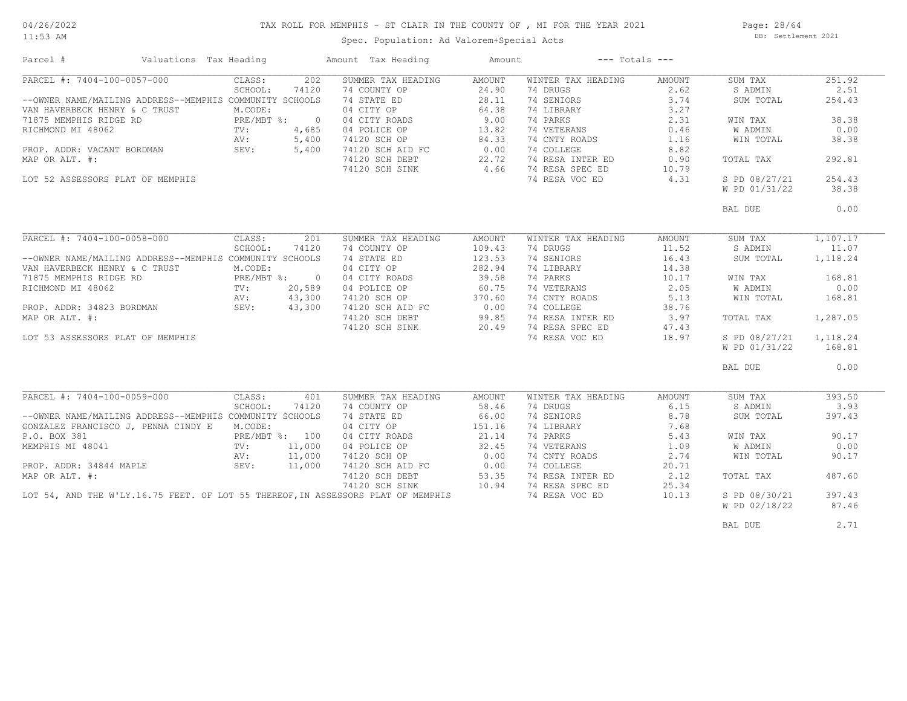# TAX ROLL FOR MEMPHIS - ST CLAIR IN THE COUNTY OF , MI FOR THE YEAR 2021

11:53 AM

## Spec. Population: Ad Valorem+Special Acts

Page: 28/64 DB: Settlement 2021

| PARCEL #: 7404-100-0057-000<br>CLASS:<br>202<br>SUMMER TAX HEADING<br>AMOUNT<br>WINTER TAX HEADING<br>AMOUNT<br>SUM TAX<br>SCHOOL:<br>74 COUNTY OP<br>24.90<br>74 DRUGS<br>2.62<br>S ADMIN<br>74120<br>--OWNER NAME/MAILING ADDRESS--MEMPHIS COMMUNITY SCHOOLS<br>74 STATE ED<br>28.11<br>74 SENIORS<br>3.74<br>SUM TOTAL<br>04 CITY OP<br>64.38<br>3.27<br>VAN HAVERBECK HENRY & C TRUST<br>M.CODE:<br>74 LIBRARY<br>PRE/MBT %: 0<br>9.00<br>74 PARKS<br>71875 MEMPHIS RIDGE RD<br>04 CITY ROADS<br>04 POLICE OP<br>2.31<br>WIN TAX<br>13.82<br>74 VETERANS<br>RICHMOND MI 48062<br>TV:<br>4,685<br>0.46<br>W ADMIN<br>74120 SCH OP<br>74120 SCH AID FC<br>84.33<br>74 CNTY ROADS<br>1.16<br>WIN TOTAL<br>AV:<br>5,400<br>0.00<br>74 COLLEGE<br>8.82<br>PROP. ADDR: VACANT BORDMAN<br>SEV:<br>5,400<br>74120 SCH DEBT<br>22.72<br>74 RESA INTER ED<br>MAP OR ALT. #:<br>TOTAL TAX | 251.92<br>2.51<br>254.43<br>38.38 |
|------------------------------------------------------------------------------------------------------------------------------------------------------------------------------------------------------------------------------------------------------------------------------------------------------------------------------------------------------------------------------------------------------------------------------------------------------------------------------------------------------------------------------------------------------------------------------------------------------------------------------------------------------------------------------------------------------------------------------------------------------------------------------------------------------------------------------------------------------------------------------------|-----------------------------------|
|                                                                                                                                                                                                                                                                                                                                                                                                                                                                                                                                                                                                                                                                                                                                                                                                                                                                                    |                                   |
|                                                                                                                                                                                                                                                                                                                                                                                                                                                                                                                                                                                                                                                                                                                                                                                                                                                                                    |                                   |
|                                                                                                                                                                                                                                                                                                                                                                                                                                                                                                                                                                                                                                                                                                                                                                                                                                                                                    |                                   |
|                                                                                                                                                                                                                                                                                                                                                                                                                                                                                                                                                                                                                                                                                                                                                                                                                                                                                    |                                   |
|                                                                                                                                                                                                                                                                                                                                                                                                                                                                                                                                                                                                                                                                                                                                                                                                                                                                                    |                                   |
|                                                                                                                                                                                                                                                                                                                                                                                                                                                                                                                                                                                                                                                                                                                                                                                                                                                                                    | 0.00                              |
|                                                                                                                                                                                                                                                                                                                                                                                                                                                                                                                                                                                                                                                                                                                                                                                                                                                                                    | 38.38                             |
|                                                                                                                                                                                                                                                                                                                                                                                                                                                                                                                                                                                                                                                                                                                                                                                                                                                                                    |                                   |
|                                                                                                                                                                                                                                                                                                                                                                                                                                                                                                                                                                                                                                                                                                                                                                                                                                                                                    | 292.81                            |
| 0.90<br>4.66<br>74 RESA SPEC ED                                                                                                                                                                                                                                                                                                                                                                                                                                                                                                                                                                                                                                                                                                                                                                                                                                                    |                                   |
| 74120 SCH SINK<br>10.79                                                                                                                                                                                                                                                                                                                                                                                                                                                                                                                                                                                                                                                                                                                                                                                                                                                            |                                   |
| 74 RESA VOC ED<br>4.31<br>S PD 08/27/21<br>LOT 52 ASSESSORS PLAT OF MEMPHIS                                                                                                                                                                                                                                                                                                                                                                                                                                                                                                                                                                                                                                                                                                                                                                                                        | 254.43                            |
| W PD 01/31/22                                                                                                                                                                                                                                                                                                                                                                                                                                                                                                                                                                                                                                                                                                                                                                                                                                                                      | 38.38                             |
| BAL DUE                                                                                                                                                                                                                                                                                                                                                                                                                                                                                                                                                                                                                                                                                                                                                                                                                                                                            | 0.00                              |
|                                                                                                                                                                                                                                                                                                                                                                                                                                                                                                                                                                                                                                                                                                                                                                                                                                                                                    |                                   |
| PARCEL #: 7404-100-0058-000<br>SUMMER TAX HEADING<br>WINTER TAX HEADING<br>CLASS:<br>201<br>AMOUNT<br>AMOUNT<br>SUM TAX                                                                                                                                                                                                                                                                                                                                                                                                                                                                                                                                                                                                                                                                                                                                                            | 1,107.17                          |
| SCHOOL:<br>74120<br>74 COUNTY OP<br>109.43<br>74 DRUGS<br>11.52<br>S ADMIN                                                                                                                                                                                                                                                                                                                                                                                                                                                                                                                                                                                                                                                                                                                                                                                                         | 11.07                             |
| --OWNER NAME/MAILING ADDRESS--MEMPHIS COMMUNITY SCHOOLS<br>123.53<br>16.43<br>74 STATE ED<br>74 SENIORS<br>SUM TOTAL                                                                                                                                                                                                                                                                                                                                                                                                                                                                                                                                                                                                                                                                                                                                                               | 1,118.24                          |
| 04 CITY OP<br>282.94<br>74 LIBRARY<br>14.38<br>VAN HAVERBECK HENRY & C TRUST<br>M.CODE:                                                                                                                                                                                                                                                                                                                                                                                                                                                                                                                                                                                                                                                                                                                                                                                            |                                   |
| PRE/MBT %: 0<br>39.58<br>74 PARKS<br>71875 MEMPHIS RIDGE RD<br>04 CITY ROADS<br>10.17<br>WIN TAX                                                                                                                                                                                                                                                                                                                                                                                                                                                                                                                                                                                                                                                                                                                                                                                   | 168.81                            |
| 74 VETERANS<br>2.05<br>RICHMOND MI 48062<br>TV:<br>20,589<br>04 POLICE OP<br>60.75<br>W ADMIN                                                                                                                                                                                                                                                                                                                                                                                                                                                                                                                                                                                                                                                                                                                                                                                      | 0.00                              |
| 74 CNTY ROADS<br>5.13<br>43,300<br>WIN TOTAL<br>AV:                                                                                                                                                                                                                                                                                                                                                                                                                                                                                                                                                                                                                                                                                                                                                                                                                                | 168.81                            |
| 74120 SCH OP 370.60<br>74120 SCH AID FC 0.00<br>43,300<br>74 COLLEGE<br>38.76                                                                                                                                                                                                                                                                                                                                                                                                                                                                                                                                                                                                                                                                                                                                                                                                      |                                   |
| PROP. ADDR: 34823 BORDMAN AV:<br>MAR OR ALE "<br>99.85<br>74 RESA INTER ED<br>MAP OR ALT. #:<br>74120 SCH DEBT<br>3.97                                                                                                                                                                                                                                                                                                                                                                                                                                                                                                                                                                                                                                                                                                                                                             | 1,287.05                          |
| TOTAL TAX                                                                                                                                                                                                                                                                                                                                                                                                                                                                                                                                                                                                                                                                                                                                                                                                                                                                          |                                   |
| 20.49<br>74 RESA SPEC ED<br>74120 SCH SINK<br>47.43                                                                                                                                                                                                                                                                                                                                                                                                                                                                                                                                                                                                                                                                                                                                                                                                                                |                                   |
| 74 RESA VOC ED<br>18.97<br>S PD 08/27/21<br>LOT 53 ASSESSORS PLAT OF MEMPHIS                                                                                                                                                                                                                                                                                                                                                                                                                                                                                                                                                                                                                                                                                                                                                                                                       | 1,118.24                          |
| W PD 01/31/22                                                                                                                                                                                                                                                                                                                                                                                                                                                                                                                                                                                                                                                                                                                                                                                                                                                                      | 168.81                            |
| BAL DUE                                                                                                                                                                                                                                                                                                                                                                                                                                                                                                                                                                                                                                                                                                                                                                                                                                                                            | 0.00                              |
|                                                                                                                                                                                                                                                                                                                                                                                                                                                                                                                                                                                                                                                                                                                                                                                                                                                                                    |                                   |
| PARCEL #: 7404-100-0059-000<br>CLASS:<br>SUMMER TAX HEADING<br>WINTER TAX HEADING<br>401<br>AMOUNT<br>AMOUNT<br>SUM TAX                                                                                                                                                                                                                                                                                                                                                                                                                                                                                                                                                                                                                                                                                                                                                            | 393.50                            |
| SCHOOL:<br>74 COUNTY OP<br>58.46<br>74 DRUGS<br>6.15<br>S ADMIN<br>74120                                                                                                                                                                                                                                                                                                                                                                                                                                                                                                                                                                                                                                                                                                                                                                                                           | 3.93                              |
| --OWNER NAME/MAILING ADDRESS--MEMPHIS COMMUNITY SCHOOLS<br>74 STATE ED<br>66.00<br>74 SENIORS<br>8.78<br>SUM TOTAL                                                                                                                                                                                                                                                                                                                                                                                                                                                                                                                                                                                                                                                                                                                                                                 | 397.43                            |
| 151.16<br>04 CITY OP<br>7.68<br>GONZALEZ FRANCISCO J, PENNA CINDY E<br>M.CODE:<br>74 LIBRARY                                                                                                                                                                                                                                                                                                                                                                                                                                                                                                                                                                                                                                                                                                                                                                                       |                                   |
| P.O. BOX 381<br>PRE/MBT %: 100<br>04 CITY ROADS<br>21.14<br>74 PARKS<br>5.43<br>WIN TAX                                                                                                                                                                                                                                                                                                                                                                                                                                                                                                                                                                                                                                                                                                                                                                                            | 90.17                             |
| MEMPHIS MI 48041<br>11,000<br>32.45<br>74 VETERANS<br>1.09<br>W ADMIN<br>$\texttt{TV}$ :<br>04 POLICE OP                                                                                                                                                                                                                                                                                                                                                                                                                                                                                                                                                                                                                                                                                                                                                                           | 0.00                              |
| 74 CNTY ROADS<br>11,000<br>74120 SCH OP<br>0.00<br>2.74<br>WIN TOTAL<br>AV:                                                                                                                                                                                                                                                                                                                                                                                                                                                                                                                                                                                                                                                                                                                                                                                                        | 90.17                             |
| 0.00<br>11,000<br>74 COLLEGE<br>20.71<br>PROP. ADDR: 34844 MAPLE<br>SEV:<br>74120 SCH AID FC                                                                                                                                                                                                                                                                                                                                                                                                                                                                                                                                                                                                                                                                                                                                                                                       |                                   |
| 53.35<br>74 RESA INTER ED<br>MAP OR ALT. #:<br>74120 SCH DEBT<br>2.12<br>TOTAL TAX                                                                                                                                                                                                                                                                                                                                                                                                                                                                                                                                                                                                                                                                                                                                                                                                 | 487.60                            |
| 10.94<br>74 RESA SPEC ED<br>25.34                                                                                                                                                                                                                                                                                                                                                                                                                                                                                                                                                                                                                                                                                                                                                                                                                                                  |                                   |
| 74120 SCH SINK                                                                                                                                                                                                                                                                                                                                                                                                                                                                                                                                                                                                                                                                                                                                                                                                                                                                     |                                   |
| LOT 54, AND THE W'LY.16.75 FEET. OF LOT 55 THEREOF, IN ASSESSORS PLAT OF MEMPHIS<br>74 RESA VOC ED<br>10.13<br>S PD 08/30/21                                                                                                                                                                                                                                                                                                                                                                                                                                                                                                                                                                                                                                                                                                                                                       | 397.43                            |
| W PD 02/18/22                                                                                                                                                                                                                                                                                                                                                                                                                                                                                                                                                                                                                                                                                                                                                                                                                                                                      | 87.46                             |
|                                                                                                                                                                                                                                                                                                                                                                                                                                                                                                                                                                                                                                                                                                                                                                                                                                                                                    | 2.71                              |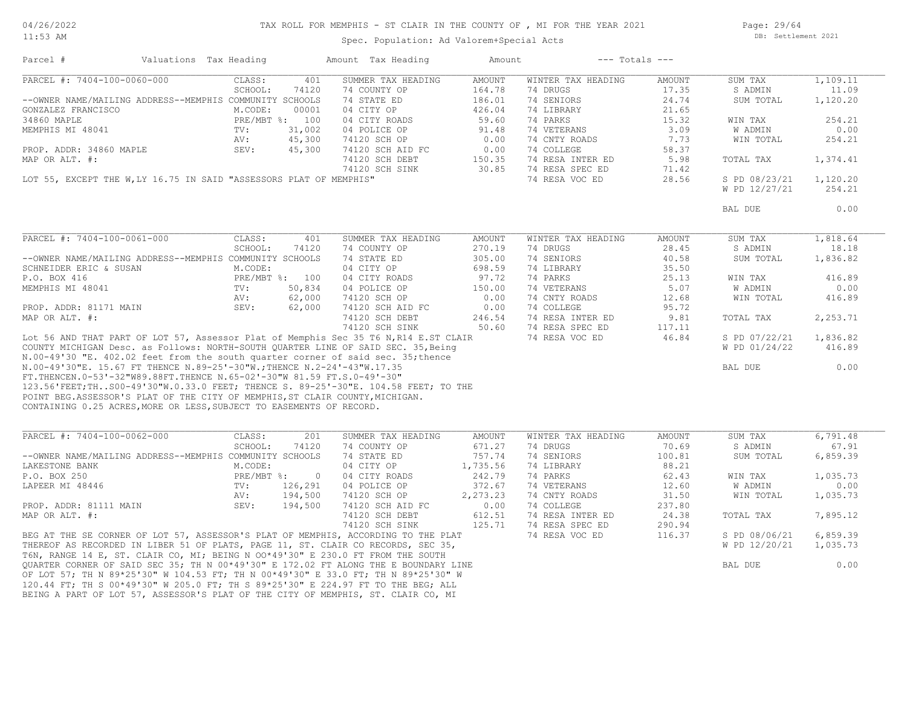#### TAX ROLL FOR MEMPHIS - ST CLAIR IN THE COUNTY OF , MI FOR THE YEAR 2021

11:53 AM

#### Spec. Population: Ad Valorem+Special Acts

Page: 29/64 DB: Settlement 2021

| Parcel #                                                                             | Valuations Tax Heading |                | Amount Tax Heading | Amount   |                    | $---$ Totals $---$ |                |          |
|--------------------------------------------------------------------------------------|------------------------|----------------|--------------------|----------|--------------------|--------------------|----------------|----------|
| PARCEL #: 7404-100-0060-000                                                          | CLASS:                 | 401            | SUMMER TAX HEADING | AMOUNT   | WINTER TAX HEADING | AMOUNT             | SUM TAX        | 1,109.11 |
|                                                                                      | SCHOOL:                | 74120          | 74 COUNTY OP       | 164.78   | 74 DRUGS           | 17.35              | S ADMIN        | 11.09    |
| --OWNER NAME/MAILING ADDRESS--MEMPHIS COMMUNITY SCHOOLS                              |                        |                | 74 STATE ED        | 186.01   | 74 SENIORS         | 24.74              | SUM TOTAL      | 1,120.20 |
| GONZALEZ FRANCISCO                                                                   | M.CODE:                | 00001          | 04 CITY OP         | 426.04   | 74 LIBRARY         | 21.65              |                |          |
| 34860 MAPLE                                                                          |                        | PRE/MBT %: 100 | 04 CITY ROADS      | 59.60    | 74 PARKS           | 15.32              | WIN TAX        | 254.21   |
|                                                                                      |                        |                |                    |          |                    | 3.09               |                | 0.00     |
| MEMPHIS MI 48041                                                                     | TV:                    | 31,002         | 04 POLICE OP       | 91.48    | 74 VETERANS        |                    | W ADMIN        |          |
|                                                                                      | AV:                    | 45,300         | 74120 SCH OP       | 0.00     | 74 CNTY ROADS      | 7.73               | WIN TOTAL      | 254.21   |
| PROP. ADDR: 34860 MAPLE                                                              | SEV:                   | 45,300         | 74120 SCH AID FC   | 0.00     | 74 COLLEGE         | 58.37              |                |          |
| MAP OR ALT. #:                                                                       |                        |                | 74120 SCH DEBT     | 150.35   | 74 RESA INTER ED   | 5.98               | TOTAL TAX      | 1,374.41 |
|                                                                                      |                        |                | 74120 SCH SINK     | 30.85    | 74 RESA SPEC ED    | 71.42              |                |          |
| LOT 55, EXCEPT THE W, LY 16.75 IN SAID "ASSESSORS PLAT OF MEMPHIS"                   |                        |                |                    |          | 74 RESA VOC ED     | 28.56              | S PD 08/23/21  | 1,120.20 |
|                                                                                      |                        |                |                    |          |                    |                    | W PD 12/27/21  | 254.21   |
|                                                                                      |                        |                |                    |          |                    |                    |                |          |
|                                                                                      |                        |                |                    |          |                    |                    | BAL DUE        | 0.00     |
|                                                                                      |                        |                |                    |          |                    |                    |                |          |
| PARCEL #: 7404-100-0061-000                                                          | CLASS:                 | 401            | SUMMER TAX HEADING | AMOUNT   | WINTER TAX HEADING | AMOUNT             | SUM TAX        | 1,818.64 |
|                                                                                      | SCHOOL:                | 74120          | 74 COUNTY OP       | 270.19   | 74 DRUGS           | 28.45              | S ADMIN        | 18.18    |
| --OWNER NAME/MAILING ADDRESS--MEMPHIS COMMUNITY SCHOOLS                              |                        |                | 74 STATE ED        | 305.00   | 74 SENIORS         | 40.58              | SUM TOTAL      | 1,836.82 |
| SCHNEIDER ERIC & SUSAN                                                               | M.CODE:                |                | 04 CITY OP         | 698.59   | 74 LIBRARY         | 35.50              |                |          |
| P.O. BOX 416                                                                         |                        | PRE/MBT %: 100 | 04 CITY ROADS      | 97.72    | 74 PARKS           | 25.13              | WIN TAX        | 416.89   |
| MEMPHIS MI 48041                                                                     | TV:                    | 50,834         | 04 POLICE OP       | 150.00   | 74 VETERANS        | 5.07               | <b>W ADMIN</b> | 0.00     |
|                                                                                      | AV:                    | 62,000         | 74120 SCH OP       | 0.00     | 74 CNTY ROADS      | 12.68              | WIN TOTAL      | 416.89   |
| PROP. ADDR: 81171 MAIN                                                               | SEV:                   | 62,000         | 74120 SCH AID FC   | 0.00     | 74 COLLEGE         | 95.72              |                |          |
|                                                                                      |                        |                |                    |          | 74 RESA INTER ED   |                    |                |          |
| MAP OR ALT. #:                                                                       |                        |                | 74120 SCH DEBT     | 246.54   |                    | 9.81               | TOTAL TAX      | 2,253.71 |
|                                                                                      |                        |                | 74120 SCH SINK     | 50.60    | 74 RESA SPEC ED    | 117.11             |                |          |
| Lot 56 AND THAT PART OF LOT 57, Assessor Plat of Memphis Sec 35 T6 N, R14 E.ST CLAIR |                        |                |                    |          | 74 RESA VOC ED     | 46.84              | S PD 07/22/21  | 1,836.82 |
| COUNTY MICHIGAN Desc. as Follows: NORTH-SOUTH QUARTER LINE OF SAID SEC. 35, Being    |                        |                |                    |          |                    |                    | W PD 01/24/22  | 416.89   |
| N.00-49'30 "E. 402.02 feet from the south quarter corner of said sec. 35; thence     |                        |                |                    |          |                    |                    |                |          |
| N.00-49'30"E. 15.67 FT THENCE N.89-25'-30"W.; THENCE N.2-24'-43"W.17.35              |                        |                |                    |          |                    |                    | BAL DUE        | 0.00     |
| FT. THENCEN. 0-53'-32"W89.88FT. THENCE N. 65-02'-30"W 81.59 FT. S. 0-49'-30"         |                        |                |                    |          |                    |                    |                |          |
| 123.56'FEET;THS00-49'30"W.0.33.0 FEET; THENCE S. 89-25'-30"E. 104.58 FEET; TO THE    |                        |                |                    |          |                    |                    |                |          |
| POINT BEG.ASSESSOR'S PLAT OF THE CITY OF MEMPHIS, ST CLAIR COUNTY, MICHIGAN.         |                        |                |                    |          |                    |                    |                |          |
| CONTAINING 0.25 ACRES, MORE OR LESS, SUBJECT TO EASEMENTS OF RECORD.                 |                        |                |                    |          |                    |                    |                |          |
|                                                                                      |                        |                |                    |          |                    |                    |                |          |
|                                                                                      |                        |                |                    |          |                    |                    |                |          |
| PARCEL #: 7404-100-0062-000                                                          | CLASS:                 | 201            | SUMMER TAX HEADING | AMOUNT   | WINTER TAX HEADING | <b>AMOUNT</b>      | SUM TAX        | 6,791.48 |
|                                                                                      | SCHOOL:                | 74120          | 74 COUNTY OP       | 671.27   | 74 DRUGS           | 70.69              | S ADMIN        | 67.91    |
| --OWNER NAME/MAILING ADDRESS--MEMPHIS COMMUNITY SCHOOLS                              |                        |                | 74 STATE ED        | 757.74   | 74 SENIORS         | 100.81             | SUM TOTAL      | 6,859.39 |
| LAKESTONE BANK                                                                       | M.CODE:                |                | 04 CITY OP         | 1,735.56 | 74 LIBRARY         | 88.21              |                |          |
| P.O. BOX 250                                                                         | PRE/MBT %:             | $\overline{0}$ | 04 CITY ROADS      | 242.79   | 74 PARKS           | 62.43              | WIN TAX        | 1,035.73 |
| LAPEER MI 48446                                                                      | TV:                    | 126,291        | 04 POLICE OP       | 372.67   | 74 VETERANS        | 12.60              | <b>W ADMIN</b> | 0.00     |
|                                                                                      | AV:                    | 194,500        | 74120 SCH OP       | 2,273.23 | 74 CNTY ROADS      | 31.50              | WIN TOTAL      | 1,035.73 |
| PROP. ADDR: 81111 MAIN                                                               | SEV:                   | 194,500        | 74120 SCH AID FC   | 0.00     | 74 COLLEGE         | 237.80             |                |          |
| MAP OR ALT. #:                                                                       |                        |                | 74120 SCH DEBT     | 612.51   | 74 RESA INTER ED   | 24.38              | TOTAL TAX      | 7,895.12 |
|                                                                                      |                        |                | 74120 SCH SINK     | 125.71   | 74 RESA SPEC ED    | 290.94             |                |          |
| BEG AT THE SE CORNER OF LOT 57, ASSESSOR'S PLAT OF MEMPHIS, ACCORDING TO THE PLAT    |                        |                |                    |          | 74 RESA VOC ED     | 116.37             | S PD 08/06/21  | 6,859.39 |
| THEREOF AS RECORDED IN LIBER 51 OF PLATS, PAGE 11, ST. CLAIR CO RECORDS, SEC 35,     |                        |                |                    |          |                    |                    | W PD 12/20/21  | 1,035.73 |
| T6N, RANGE 14 E, ST. CLAIR CO, MI; BEING N 00*49'30" E 230.0 FT FROM THE SOUTH       |                        |                |                    |          |                    |                    |                |          |
|                                                                                      |                        |                |                    |          |                    |                    |                |          |

BEING A PART OF LOT 57, ASSESSOR'S PLAT OF THE CITY OF MEMPHIS, ST. CLAIR CO, MI 120.44 FT; TH S 00\*49'30" W 205.0 FT; TH S 89\*25'30" E 224.97 FT TO THE BEG; ALL OF LOT 57; TH N 89\*25'30" W 104.53 FT; TH N 00\*49'30" E 33.0 FT; TH N 89\*25'30" W

QUARTER CORNER OF SAID SEC 35; TH N 00\*49'30" E 172.02 FT ALONG THE E BOUNDARY LINE **12.02 FT ALONG THE EXECUT**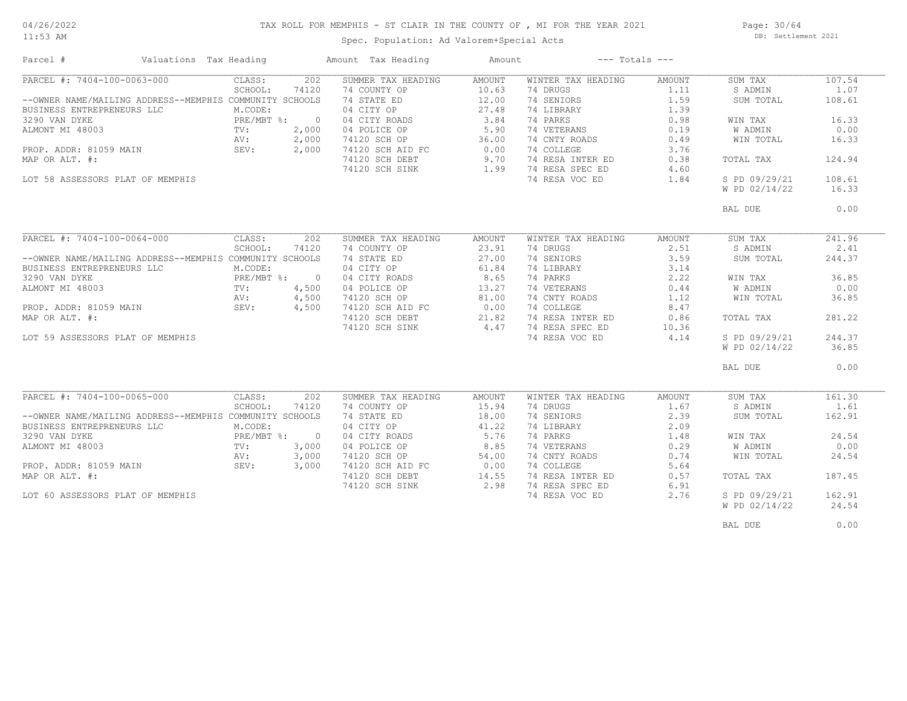#### TAX ROLL FOR MEMPHIS - ST CLAIR IN THE COUNTY OF , MI FOR THE YEAR 2021

11:53 AM

## Spec. Population: Ad Valorem+Special Acts

Page: 30/64 DB: Settlement 2021

| Parcel #                                                | Valuations Tax Heading |              |                | Amount Tax Heading               | Amount | $---$ Totals $---$ |        |               |        |
|---------------------------------------------------------|------------------------|--------------|----------------|----------------------------------|--------|--------------------|--------|---------------|--------|
| PARCEL #: 7404-100-0063-000                             |                        | CLASS:       | 202            | SUMMER TAX HEADING               | AMOUNT | WINTER TAX HEADING | AMOUNT | SUM TAX       | 107.54 |
|                                                         |                        | SCHOOL:      | 74120          | 74 COUNTY OP                     | 10.63  | 74 DRUGS           | 1.11   | S ADMIN       | 1.07   |
| --OWNER NAME/MAILING ADDRESS--MEMPHIS COMMUNITY SCHOOLS |                        |              |                | 74 STATE ED                      | 12.00  | 74 SENIORS         | 1.59   | SUM TOTAL     | 108.61 |
| BUSINESS ENTREPRENEURS LLC                              |                        | M.CODE:      |                | 04 CITY OP                       | 27.48  | 74 LIBRARY         | 1.39   |               |        |
| 3290 VAN DYKE                                           |                        | PRE/MBT %:   | $\sim$ 0       | 04 CITY ROADS                    | 3.84   | 74 PARKS           | 0.98   | WIN TAX       | 16.33  |
| ALMONT MI 48003                                         |                        | TV:          | 2,000          | 04 POLICE OP                     | 5.90   | 74 VETERANS        | 0.19   | W ADMIN       | 0.00   |
|                                                         |                        | AV:          | 2,000          | 74120 SCH OP                     | 36.00  | 74 CNTY ROADS      | 0.49   | WIN TOTAL     | 16.33  |
| PROP. ADDR: 81059 MAIN                                  |                        | SEV:         | 2,000          | 74120 SCH AID FC                 | 0.00   | 74 COLLEGE         | 3.76   |               |        |
| MAP OR ALT. #:                                          |                        |              |                | 74120 SCH DEBT                   | 9.70   | 74 RESA INTER ED   | 0.38   | TOTAL TAX     | 124.94 |
|                                                         |                        |              |                | 74120 SCH SINK                   | 1.99   | 74 RESA SPEC ED    | 4.60   |               |        |
| LOT 58 ASSESSORS PLAT OF MEMPHIS                        |                        |              |                |                                  |        | 74 RESA VOC ED     | 1.84   | S PD 09/29/21 | 108.61 |
|                                                         |                        |              |                |                                  |        |                    |        | W PD 02/14/22 | 16.33  |
|                                                         |                        |              |                |                                  |        |                    |        |               |        |
|                                                         |                        |              |                |                                  |        |                    |        | BAL DUE       | 0.00   |
|                                                         |                        |              |                |                                  |        |                    |        |               |        |
| PARCEL #: 7404-100-0064-000                             |                        | CLASS:       | 202            | SUMMER TAX HEADING               | AMOUNT | WINTER TAX HEADING | AMOUNT | SUM TAX       | 241.96 |
|                                                         |                        | SCHOOL:      | 74120          | 74 COUNTY OP                     | 23.91  | 74 DRUGS           | 2.51   | S ADMIN       | 2.41   |
| --OWNER NAME/MAILING ADDRESS--MEMPHIS COMMUNITY SCHOOLS |                        |              |                | 74 STATE ED                      | 27.00  | 74 SENIORS         | 3.59   | SUM TOTAL     | 244.37 |
| BUSINESS ENTREPRENEURS LLC                              |                        | M.CODE:      |                | 04 CITY OP                       | 61.84  | 74 LIBRARY         | 3.14   |               |        |
| 3290 VAN DYKE                                           |                        | PRE/MBT %: 0 |                | 04 CITY ROADS                    | 8.65   | 74 PARKS           | 2.22   | WIN TAX       | 36.85  |
| ALMONT MI 48003                                         |                        | TV:          | 4,500          | 04 POLICE OP                     | 13.27  | 74 VETERANS        | 0.44   | W ADMIN       | 0.00   |
|                                                         |                        | AV:          | 4,500          |                                  | 81.00  | 74 CNTY ROADS      | 1.12   | WIN TOTAL     | 36.85  |
| PROP. ADDR: 81059 MAIN                                  |                        | SEV:         | 4,500          | 74120 SCH OP<br>74120 SCH AID FC | 0.00   | 74 COLLEGE         | 8.47   |               |        |
| MAP OR ALT. #:                                          |                        |              |                | 74120 SCH DEBT                   | 21.82  | 74 RESA INTER ED   | 0.86   | TOTAL TAX     | 281.22 |
|                                                         |                        |              |                | 74120 SCH SINK                   | 4.47   | 74 RESA SPEC ED    | 10.36  |               |        |
| LOT 59 ASSESSORS PLAT OF MEMPHIS                        |                        |              |                |                                  |        | 74 RESA VOC ED     | 4.14   | S PD 09/29/21 | 244.37 |
|                                                         |                        |              |                |                                  |        |                    |        | W PD 02/14/22 | 36.85  |
|                                                         |                        |              |                |                                  |        |                    |        |               |        |
|                                                         |                        |              |                |                                  |        |                    |        | BAL DUE       | 0.00   |
|                                                         |                        |              |                |                                  |        |                    |        |               |        |
| PARCEL #: 7404-100-0065-000                             |                        | CLASS:       | 202            | SUMMER TAX HEADING               | AMOUNT | WINTER TAX HEADING | AMOUNT | SUM TAX       | 161.30 |
|                                                         |                        | SCHOOL:      | 74120          | 74 COUNTY OP                     | 15.94  | 74 DRUGS           | 1.67   | S ADMIN       | 1.61   |
| --OWNER NAME/MAILING ADDRESS--MEMPHIS COMMUNITY SCHOOLS |                        |              |                | 74 STATE ED                      | 18.00  | 74 SENIORS         | 2.39   | SUM TOTAL     | 162.91 |
| BUSINESS ENTREPRENEURS LLC                              |                        | M.CODE:      |                | 04 CITY OP                       | 41.22  | 74 LIBRARY         | 2.09   |               |        |
| 3290 VAN DYKE                                           |                        | $PRE/MBT$ %: | $\overline{0}$ | 04 CITY ROADS                    | 5.76   | 74 PARKS           | 1.48   | WIN TAX       | 24.54  |
| ALMONT MI 48003                                         |                        | TV:          | 3,000          | 04 POLICE OP                     | 8.85   | 74 VETERANS        | 0.29   | W ADMIN       | 0.00   |
|                                                         |                        | AV:          | 3,000          | 74120 SCH OP                     | 54.00  | 74 CNTY ROADS      | 0.74   | WIN TOTAL     | 24.54  |
| PROP. ADDR: 81059 MAIN                                  |                        | SEV:         | 3,000          | 74120 SCH AID FC                 | 0.00   | 74 COLLEGE         | 5.64   |               |        |
| MAP OR ALT. #:                                          |                        |              |                | 74120 SCH DEBT                   | 14.55  | 74 RESA INTER ED   | 0.57   | TOTAL TAX     | 187.45 |
|                                                         |                        |              |                | 74120 SCH SINK                   | 2.98   | 74 RESA SPEC ED    | 6.91   |               |        |
| LOT 60 ASSESSORS PLAT OF MEMPHIS                        |                        |              |                |                                  |        | 74 RESA VOC ED     | 2.76   | S PD 09/29/21 | 162.91 |
|                                                         |                        |              |                |                                  |        |                    |        | W PD 02/14/22 | 24.54  |
|                                                         |                        |              |                |                                  |        |                    |        |               |        |
|                                                         |                        |              |                |                                  |        |                    |        | BAL DUE       | 0.00   |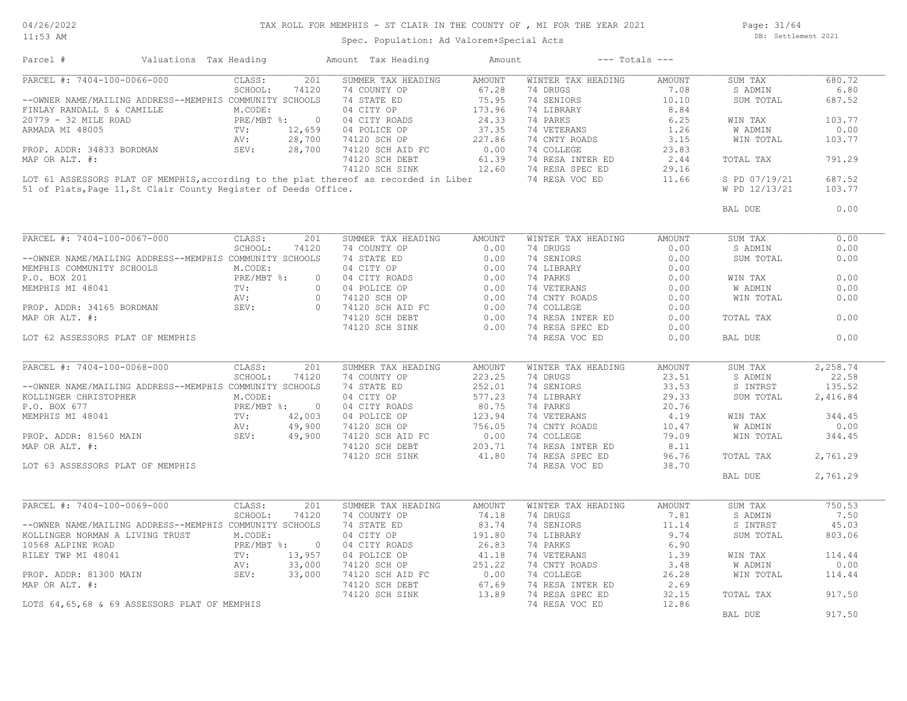11:53 AM

#### TAX ROLL FOR MEMPHIS - ST CLAIR IN THE COUNTY OF , MI FOR THE YEAR 2021

Spec. Population: Ad Valorem+Special Acts

Page: 31/64 DB: Settlement 2021

| Parcel #                                                                             | Valuations Tax Heading                      | Amount Tax Heading | Amount        | $---$ Totals $---$ |        |               |          |
|--------------------------------------------------------------------------------------|---------------------------------------------|--------------------|---------------|--------------------|--------|---------------|----------|
| PARCEL #: 7404-100-0066-000                                                          | CLASS:<br>201                               | SUMMER TAX HEADING | <b>AMOUNT</b> | WINTER TAX HEADING | AMOUNT | SUM TAX       | 680.72   |
|                                                                                      | SCHOOL:<br>74120                            | 74 COUNTY OP       | 67.28         | 74 DRUGS           | 7.08   | S ADMIN       | 6.80     |
| --OWNER NAME/MAILING ADDRESS--MEMPHIS COMMUNITY SCHOOLS                              |                                             | 74 STATE ED        | 75.95         | 74 SENIORS         | 10.10  | SUM TOTAL     | 687.52   |
| FINLAY RANDALL S & CAMILLE                                                           | M.CODE:                                     | 04 CITY OP         | 173.96        | 74 LIBRARY         | 8.84   |               |          |
| 20779 - 32 MILE ROAD                                                                 | PRE/MBT %:<br>$\overline{0}$                | 04 CITY ROADS      | 24.33         | 74 PARKS           | 6.25   | WIN TAX       | 103.77   |
| ARMADA MI 48005                                                                      | TV:<br>12,659                               | 04 POLICE OP       | 37.35         | 74 VETERANS        | 1.26   | W ADMIN       | 0.00     |
|                                                                                      | 28,700<br>AV:                               | 74120 SCH OP       | 227.86        | 74 CNTY ROADS      | 3.15   | WIN TOTAL     | 103.77   |
|                                                                                      |                                             |                    | 0.00          |                    |        |               |          |
| PROP. ADDR: 34833 BORDMAN                                                            | 28,700<br>SEV:                              | 74120 SCH AID FC   |               | 74 COLLEGE         | 23.83  |               |          |
| MAP OR ALT. #:                                                                       |                                             | 74120 SCH DEBT     | 61.39         | 74 RESA INTER ED   | 2.44   | TOTAL TAX     | 791.29   |
|                                                                                      |                                             | 74120 SCH SINK     | 12.60         | 74 RESA SPEC ED    | 29.16  |               |          |
| LOT 61 ASSESSORS PLAT OF MEMPHIS, according to the plat thereof as recorded in Liber |                                             |                    |               | 74 RESA VOC ED     | 11.66  | S PD 07/19/21 | 687.52   |
| 51 of Plats, Page 11, St Clair County Register of Deeds Office.                      |                                             |                    |               |                    |        | W PD 12/13/21 | 103.77   |
|                                                                                      |                                             |                    |               |                    |        | BAL DUE       | 0.00     |
|                                                                                      |                                             |                    |               |                    |        |               |          |
| PARCEL #: 7404-100-0067-000                                                          | CLASS:<br>201                               | SUMMER TAX HEADING | <b>AMOUNT</b> | WINTER TAX HEADING | AMOUNT | SUM TAX       | 0.00     |
|                                                                                      | SCHOOL:<br>74120                            | 74 COUNTY OP       | 0.00          | 74 DRUGS           | 0.00   | S ADMIN       | 0.00     |
| --OWNER NAME/MAILING ADDRESS--MEMPHIS COMMUNITY SCHOOLS                              |                                             | 74 STATE ED        | 0.00          | 74 SENIORS         | 0.00   | SUM TOTAL     | 0.00     |
| MEMPHIS COMMUNITY SCHOOLS                                                            | M.CODE:                                     | 04 CITY OP         | 0.00          | 74 LIBRARY         | 0.00   |               |          |
| P.O. BOX 201                                                                         | PRE/MBT %:<br>$\circ$                       | 04 CITY ROADS      | 0.00          | 74 PARKS           | 0.00   | WIN TAX       | 0.00     |
| MEMPHIS MI 48041                                                                     | TV:<br>$\circ$                              | 04 POLICE OP       | 0.00          | 74 VETERANS        | 0.00   | W ADMIN       | 0.00     |
|                                                                                      | AV:<br>$\bigcirc$                           | 74120 SCH OP       | 0.00          | 74 CNTY ROADS      | 0.00   | WIN TOTAL     | 0.00     |
| PROP. ADDR: 34165 BORDMAN                                                            | SEV:<br>$\overline{0}$                      | 74120 SCH AID FC   | 0.00          | 74 COLLEGE         | 0.00   |               |          |
| MAP OR ALT. #:                                                                       |                                             | 74120 SCH DEBT     | 0.00          | 74 RESA INTER ED   | 0.00   | TOTAL TAX     | 0.00     |
|                                                                                      |                                             | 74120 SCH SINK     | 0.00          | 74 RESA SPEC ED    | 0.00   |               |          |
| LOT 62 ASSESSORS PLAT OF MEMPHIS                                                     |                                             |                    |               | 74 RESA VOC ED     | 0.00   | BAL DUE       | 0.00     |
|                                                                                      |                                             |                    |               |                    |        |               |          |
| PARCEL #: 7404-100-0068-000                                                          | CLASS:<br>201                               | SUMMER TAX HEADING | AMOUNT        | WINTER TAX HEADING | AMOUNT |               | 2,258.74 |
|                                                                                      |                                             |                    |               |                    |        | SUM TAX       |          |
|                                                                                      | SCHOOL:<br>74120                            | 74 COUNTY OP       | 223.25        | 74 DRUGS           | 23.51  | S ADMIN       | 22.58    |
| --OWNER NAME/MAILING ADDRESS--MEMPHIS COMMUNITY SCHOOLS                              |                                             | 74 STATE ED        | 252.01        | 74 SENIORS         | 33.53  | S INTRST      | 135.52   |
| KOLLINGER CHRISTOPHER                                                                | M.CODE:                                     | 04 CITY OP         | 577.23        | 74 LIBRARY         | 29.33  | SUM TOTAL     | 2,416.84 |
| P.O. BOX 677                                                                         | PRE/MBT %:<br>PRE/<br>TV:<br>$\overline{0}$ | 04 CITY ROADS      | 80.75         | 74 PARKS           | 20.76  |               |          |
| MEMPHIS MI 48041                                                                     | 42,003                                      | 04 POLICE OP       | 123.94        | 74 VETERANS        | 4.19   | WIN TAX       | 344.45   |
|                                                                                      | 49,900<br>AV:                               | 74120 SCH OP       | 756.05        | 74 CNTY ROADS      | 10.47  | W ADMIN       | 0.00     |
| PROP. ADDR: 81560 MAIN                                                               | 49,900<br>SEV:                              | 74120 SCH AID FC   | 0.00          | 74 COLLEGE         | 79.09  | WIN TOTAL     | 344.45   |
| MAP OR ALT. #:                                                                       |                                             | 74120 SCH DEBT     | 203.71        | 74 RESA INTER ED   | 8.11   |               |          |
|                                                                                      |                                             | 74120 SCH SINK     | 41.80         | 74 RESA SPEC ED    | 96.76  | TOTAL TAX     | 2,761.29 |
| LOT 63 ASSESSORS PLAT OF MEMPHIS                                                     |                                             |                    |               | 74 RESA VOC ED     | 38.70  |               |          |
|                                                                                      |                                             |                    |               |                    |        | BAL DUE       | 2,761.29 |
|                                                                                      |                                             |                    |               |                    |        |               |          |
| PARCEL #: 7404-100-0069-000                                                          | CLASS:<br>201                               | SUMMER TAX HEADING | <b>AMOUNT</b> | WINTER TAX HEADING | AMOUNT | SUM TAX       | 750.53   |
|                                                                                      | SCHOOL:<br>74120                            | 74 COUNTY OP       | 74.18         | 74 DRUGS           | 7.81   | S ADMIN       | 7.50     |
| --OWNER NAME/MAILING ADDRESS--MEMPHIS COMMUNITY SCHOOLS                              |                                             | 74 STATE ED        | 83.74         | 74 SENIORS         | 11.14  | S INTRST      | 45.03    |
|                                                                                      |                                             |                    |               |                    |        |               |          |
| KOLLINGER NORMAN A LIVING TRUST                                                      | M.CODE:                                     | 04 CITY OP         | 191.80        | 74 LIBRARY         | 9.74   | SUM TOTAL     | 803.06   |
| 10568 ALPINE ROAD                                                                    | PRE/MBT %:<br>$\circ$                       | 04 CITY ROADS      | 26.83         | 74 PARKS           | 6.90   |               |          |
| RILEY TWP MI 48041                                                                   | 13,957<br>TV:                               | 04 POLICE OP       | 41.18         | 74 VETERANS        | 1.39   | WIN TAX       | 114.44   |
|                                                                                      | 33,000<br>AV:                               | 74120 SCH OP       | 251.22        | 74 CNTY ROADS      | 3.48   | W ADMIN       | 0.00     |
| PROP. ADDR: 81300 MAIN                                                               | SEV:<br>33,000                              | 74120 SCH AID FC   | 0.00          | 74 COLLEGE         | 26.28  | WIN TOTAL     | 114.44   |
| MAP OR ALT. #:                                                                       |                                             | 74120 SCH DEBT     | 67.69         | 74 RESA INTER ED   | 2.69   |               |          |
|                                                                                      |                                             | 74120 SCH SINK     | 13.89         | 74 RESA SPEC ED    | 32.15  | TOTAL TAX     | 917.50   |
| LOTS 64,65,68 & 69 ASSESSORS PLAT OF MEMPHIS                                         |                                             |                    |               | 74 RESA VOC ED     | 12.86  |               |          |
|                                                                                      |                                             |                    |               |                    |        | BAL DUE       | 917.50   |
|                                                                                      |                                             |                    |               |                    |        |               |          |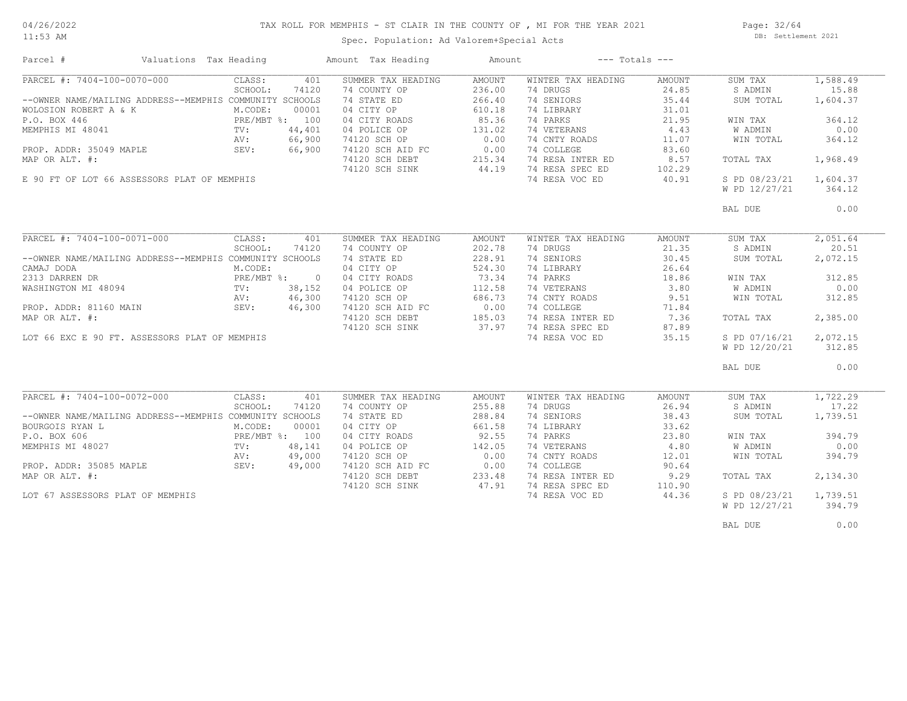# TAX ROLL FOR MEMPHIS - ST CLAIR IN THE COUNTY OF , MI FOR THE YEAR 2021

11:53 AM

#### Spec. Population: Ad Valorem+Special Acts

Page: 32/64 DB: Settlement 2021

| Parcel #                                                | Valuations Tax Heading |        | Amount Tax Heading | Amount |                    | $---$ Totals $---$ |               |          |
|---------------------------------------------------------|------------------------|--------|--------------------|--------|--------------------|--------------------|---------------|----------|
| PARCEL #: 7404-100-0070-000                             | CLASS:                 | 401    | SUMMER TAX HEADING | AMOUNT | WINTER TAX HEADING | AMOUNT             | SUM TAX       | 1,588.49 |
|                                                         | SCHOOL:                | 74120  | 74 COUNTY OP       | 236.00 | 74 DRUGS           | 24.85              | S ADMIN       | 15.88    |
| --OWNER NAME/MAILING ADDRESS--MEMPHIS COMMUNITY SCHOOLS |                        |        | 74 STATE ED        | 266.40 | 74 SENIORS         | 35.44              | SUM TOTAL     | 1,604.37 |
| WOLOSION ROBERT A & K                                   | M.CODE:                | 00001  | 04 CITY OP         | 610.18 | 74 LIBRARY         | 31.01              |               |          |
| P.O. BOX 446                                            | PRE/MBT %: 100         |        | 04 CITY ROADS      | 85.36  | 74 PARKS           | 21.95              | WIN TAX       | 364.12   |
| MEMPHIS MI 48041                                        | $\text{TV}$ :          | 44,401 | 04 POLICE OP       | 131.02 | 74 VETERANS        | 4.43               | W ADMIN       | 0.00     |
|                                                         | AV:                    | 66,900 | 74120 SCH OP       | 0.00   | 74 CNTY ROADS      | 11.07              | WIN TOTAL     | 364.12   |
| PROP. ADDR: 35049 MAPLE                                 | SEV:                   | 66,900 | 74120 SCH AID FC   | 0.00   | 74 COLLEGE         | 83.60              |               |          |
| MAP OR ALT. #:                                          |                        |        | 74120 SCH DEBT     | 215.34 | 74 RESA INTER ED   | 8.57               | TOTAL TAX     | 1,968.49 |
|                                                         |                        |        |                    | 44.19  | 74 RESA SPEC ED    | 102.29             |               |          |
|                                                         |                        |        | 74120 SCH SINK     |        |                    |                    |               |          |
| E 90 FT OF LOT 66 ASSESSORS PLAT OF MEMPHIS             |                        |        |                    |        | 74 RESA VOC ED     | 40.91              | S PD 08/23/21 | 1,604.37 |
|                                                         |                        |        |                    |        |                    |                    | W PD 12/27/21 | 364.12   |
|                                                         |                        |        |                    |        |                    |                    | BAL DUE       | 0.00     |
|                                                         |                        |        |                    |        |                    |                    |               |          |
| PARCEL #: 7404-100-0071-000                             | CLASS:                 | 401    | SUMMER TAX HEADING | AMOUNT | WINTER TAX HEADING | AMOUNT             | SUM TAX       | 2,051.64 |
|                                                         | SCHOOL:                | 74120  | 74 COUNTY OP       | 202.78 | 74 DRUGS           | 21.35              | S ADMIN       | 20.51    |
| --OWNER NAME/MAILING ADDRESS--MEMPHIS COMMUNITY SCHOOLS |                        |        | 74 STATE ED        | 228.91 | 74 SENIORS         | 30.45              | SUM TOTAL     | 2,072.15 |
| CAMAJ DODA                                              | M.CODE:                |        | 04 CITY OP         | 524.30 | 74 LIBRARY         | 26.64              |               |          |
| 2313 DARREN DR                                          | PRE/MBT %: 0           |        | 04 CITY ROADS      | 73.34  | 74 PARKS           | 18.86              | WIN TAX       | 312.85   |
| WASHINGTON MI 48094                                     | TV:                    | 38,152 | 04 POLICE OP       | 112.58 | 74 VETERANS        | 3.80               | W ADMIN       | 0.00     |
|                                                         | AV:                    | 46,300 | 74120 SCH OP       | 686.73 | 74 CNTY ROADS      | 9.51               | WIN TOTAL     | 312.85   |
| PROP. ADDR: 81160 MAIN                                  | SEV:                   | 46,300 | 74120 SCH AID FC   | 0.00   | 74 COLLEGE         | 71.84              |               |          |
| MAP OR ALT. #:                                          |                        |        | 74120 SCH DEBT     | 185.03 | 74 RESA INTER ED   | 7.36               | TOTAL TAX     | 2,385.00 |
|                                                         |                        |        |                    | 37.97  | 74 RESA SPEC ED    |                    |               |          |
|                                                         |                        |        | 74120 SCH SINK     |        |                    | 87.89              |               |          |
| LOT 66 EXC E 90 FT. ASSESSORS PLAT OF MEMPHIS           |                        |        |                    |        | 74 RESA VOC ED     | 35.15              | S PD 07/16/21 | 2,072.15 |
|                                                         |                        |        |                    |        |                    |                    | W PD 12/20/21 | 312.85   |
|                                                         |                        |        |                    |        |                    |                    | BAL DUE       | 0.00     |
|                                                         |                        |        |                    |        |                    |                    |               |          |
| PARCEL #: 7404-100-0072-000                             | CLASS:                 | 401    | SUMMER TAX HEADING | AMOUNT | WINTER TAX HEADING | AMOUNT             | SUM TAX       | 1,722.29 |
|                                                         | SCHOOL:                | 74120  | 74 COUNTY OP       | 255.88 | 74 DRUGS           | 26.94              | S ADMIN       | 17.22    |
| --OWNER NAME/MAILING ADDRESS--MEMPHIS COMMUNITY SCHOOLS |                        |        | 74 STATE ED        | 288.84 | 74 SENIORS         | 38.43              | SUM TOTAL     | 1,739.51 |
| BOURGOIS RYAN L                                         | M.CODE:                | 00001  | 04 CITY OP         | 661.58 | 74 LIBRARY         | 33.62              |               |          |
| P.O. BOX 606                                            | PRE/MBT %: 100         |        | 04 CITY ROADS      | 92.55  | 74 PARKS           | 23.80              | WIN TAX       | 394.79   |
| MEMPHIS MI 48027                                        | TV:                    | 48,141 | 04 POLICE OP       | 142.05 | 74 VETERANS        | 4.80               | W ADMIN       | 0.00     |
|                                                         | AV:                    | 49,000 | 74120 SCH OP       | 0.00   | 74 CNTY ROADS      | 12.01              | WIN TOTAL     | 394.79   |
| PROP. ADDR: 35085 MAPLE                                 | SEV:                   | 49,000 | 74120 SCH AID FC   | 0.00   | 74 COLLEGE         | 90.64              |               |          |
| MAP OR ALT. #:                                          |                        |        | 74120 SCH DEBT     | 233.48 | 74 RESA INTER ED   | 9.29               | TOTAL TAX     | 2,134.30 |
|                                                         |                        |        | 74120 SCH SINK     | 47.91  | 74 RESA SPEC ED    | 110.90             |               |          |
| LOT 67 ASSESSORS PLAT OF MEMPHIS                        |                        |        |                    |        | 74 RESA VOC ED     | 44.36              | S PD 08/23/21 | 1,739.51 |
|                                                         |                        |        |                    |        |                    |                    | W PD 12/27/21 | 394.79   |
|                                                         |                        |        |                    |        |                    |                    |               |          |
|                                                         |                        |        |                    |        |                    |                    | BAL DUE       | 0.00     |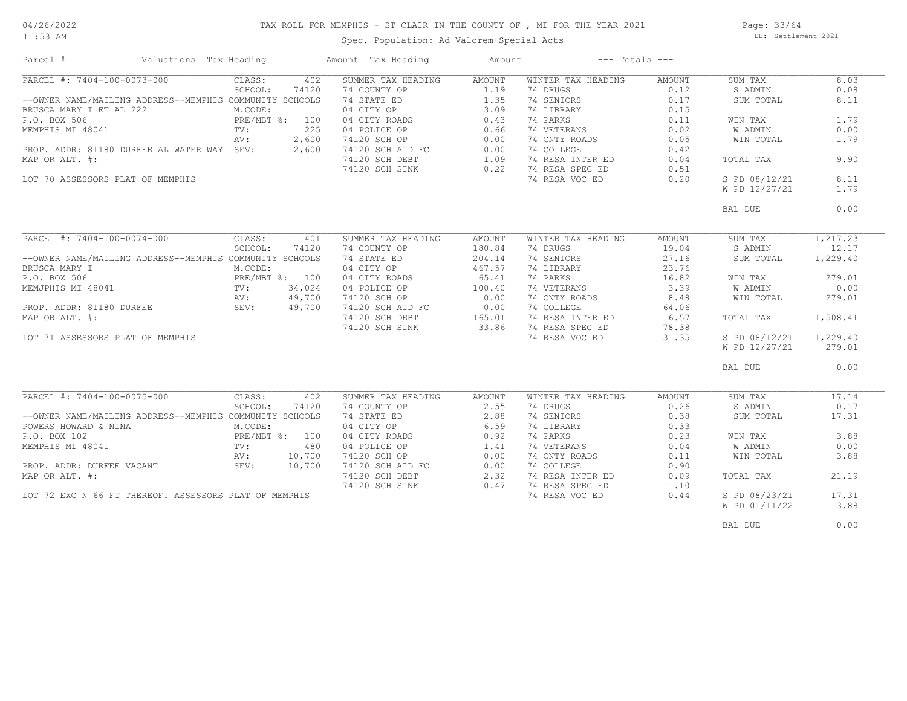#### TAX ROLL FOR MEMPHIS - ST CLAIR IN THE COUNTY OF , MI FOR THE YEAR 2021

11:53 AM

#### Spec. Population: Ad Valorem+Special Acts

Page: 33/64 DB: Settlement 2021

| Parcel #                                                | Valuations Tax Heading |                |        | Amount Tax Heading               | Amount |                      | $---$ Totals $---$ |               |          |
|---------------------------------------------------------|------------------------|----------------|--------|----------------------------------|--------|----------------------|--------------------|---------------|----------|
| PARCEL #: 7404-100-0073-000                             |                        | CLASS:         | 402    | SUMMER TAX HEADING               | AMOUNT | WINTER TAX HEADING   | AMOUNT             | SUM TAX       | 8.03     |
|                                                         |                        | SCHOOL:        | 74120  | 74 COUNTY OP                     | 1.19   | 74 DRUGS             | 0.12               | S ADMIN       | 0.08     |
| --OWNER NAME/MAILING ADDRESS--MEMPHIS COMMUNITY SCHOOLS |                        |                |        | 74 STATE ED                      | 1.35   | 74 SENIORS           | 0.17               | SUM TOTAL     | 8.11     |
| BRUSCA MARY I ET AL 222                                 |                        | M.CODE:        |        | 04 CITY OP                       | 3.09   | 74 LIBRARY           | 0.15               |               |          |
| P.O. BOX 506                                            |                        | PRE/MBT %: 100 |        |                                  | 0.43   | 74 PARKS             | 0.11               | WIN TAX       | 1.79     |
| MEMPHIS MI 48041                                        |                        | TV:            | 225    | 04 CITY ROADS<br>04 POLICE OP    | 0.66   | 74 VETERANS          | 0.02               | W ADMIN       | 0.00     |
|                                                         |                        |                |        |                                  |        |                      |                    |               |          |
|                                                         |                        | AV:            | 2,600  | 74120 SCH OP<br>74120 SCH AID FC | 0.00   | 74 CNTY ROADS        | 0.05               | WIN TOTAL     | 1.79     |
| PROP. ADDR: 81180 DURFEE AL WATER WAY SEV:              |                        |                | 2,600  |                                  | 0.00   | 74 COLLEGE           | 0.42               |               |          |
| MAP OR ALT. #:                                          |                        |                |        | 74120 SCH DEBT                   | 1.09   | 74 RESA INTER ED     | 0.04               | TOTAL TAX     | 9.90     |
|                                                         |                        |                |        | 74120 SCH SINK                   |        | 0.22 74 RESA SPEC ED | 0.51               |               |          |
| LOT 70 ASSESSORS PLAT OF MEMPHIS                        |                        |                |        |                                  |        | 74 RESA VOC ED       | 0.20               | S PD 08/12/21 | 8.11     |
|                                                         |                        |                |        |                                  |        |                      |                    | W PD 12/27/21 | 1.79     |
|                                                         |                        |                |        |                                  |        |                      |                    | BAL DUE       | 0.00     |
|                                                         |                        |                |        |                                  |        |                      |                    |               |          |
| PARCEL #: 7404-100-0074-000                             |                        | CLASS:         | 401    | SUMMER TAX HEADING               | AMOUNT | WINTER TAX HEADING   | AMOUNT             | SUM TAX       | 1,217.23 |
|                                                         |                        | SCHOOL:        | 74120  | 74 COUNTY OP                     | 180.84 | 74 DRUGS             | 19.04              | S ADMIN       | 12.17    |
| --OWNER NAME/MAILING ADDRESS--MEMPHIS COMMUNITY SCHOOLS |                        |                |        | 74 STATE ED                      | 204.14 | 74 SENIORS           | 27.16              | SUM TOTAL     | 1,229.40 |
| BRUSCA MARY I                                           |                        | M.CODE:        |        | 04 CITY OP                       | 467.57 | 74 LIBRARY           | 23.76              |               |          |
| P.O. BOX 506                                            |                        | PRE/MBT %: 100 |        | 04 CITY ROADS                    | 65.41  | 74 PARKS             | 16.82              | WIN TAX       | 279.01   |
| MEMJPHIS MI 48041                                       |                        | TV:            | 34,024 | 04 POLICE OP                     | 100.40 | 74 VETERANS          | 3.39               | W ADMIN       | 0.00     |
|                                                         |                        | AV:            | 49,700 | 74120 SCH OP                     | 0.00   | 74 CNTY ROADS        | 8.48               | WIN TOTAL     | 279.01   |
| PROP. ADDR: 81180 DURFEE                                |                        | SEV: $49,700$  |        | 74120 SCH AID FC                 | 0.00   | 74 COLLEGE           |                    |               |          |
|                                                         |                        |                |        |                                  |        |                      | 64.06              |               |          |
| MAP OR ALT. #:                                          |                        |                |        | 74120 SCH DEBT                   | 165.01 | 74 RESA INTER ED     | 6.57               | TOTAL TAX     | 1,508.41 |
|                                                         |                        |                |        | 74120 SCH SINK                   | 33.86  | 74 RESA SPEC ED      | 78.38              |               |          |
| LOT 71 ASSESSORS PLAT OF MEMPHIS                        |                        |                |        |                                  |        | 74 RESA VOC ED       | 31.35              | S PD 08/12/21 | 1,229.40 |
|                                                         |                        |                |        |                                  |        |                      |                    | W PD 12/27/21 | 279.01   |
|                                                         |                        |                |        |                                  |        |                      |                    | BAL DUE       | 0.00     |
|                                                         |                        |                |        |                                  |        |                      |                    |               |          |
| PARCEL #: 7404-100-0075-000                             |                        | CLASS:         | 402    | SUMMER TAX HEADING               | AMOUNT | WINTER TAX HEADING   | AMOUNT             | SUM TAX       | 17.14    |
|                                                         |                        | SCHOOL:        | 74120  | 74 COUNTY OP                     | 2.55   | 74 DRUGS             | 0.26               | S ADMIN       | 0.17     |
| --OWNER NAME/MAILING ADDRESS--MEMPHIS COMMUNITY SCHOOLS |                        |                |        | 74 STATE ED                      | 2.88   | 74 SENIORS           | 0.38               | SUM TOTAL     | 17.31    |
| POWERS HOWARD & NINA                                    |                        | M.CODE:        |        | 04 CITY OP                       | 6.59   | 74 LIBRARY           | 0.33               |               |          |
| P.O. BOX 102                                            |                        | PRE/MBT %: 100 |        | 04 CITY ROADS<br>04 POLICE OP    | 0.92   | 74 PARKS             | 0.23               | WIN TAX       | 3.88     |
| MEMPHIS MI 48041                                        |                        | $\text{TV}$ :  | 480    |                                  | 1.41   | 74 VETERANS          | 0.04               | W ADMIN       | 0.00     |
|                                                         |                        | AV:            | 10,700 | 74120 SCH OP<br>74120 SCH AID FC | 0.00   | 74 CNTY ROADS        | 0.11               | WIN TOTAL     | 3.88     |
| PROP. ADDR: DURFEE VACANT                               |                        | SEV:           | 10,700 |                                  | 0.00   | 74 COLLEGE           | 0.90               |               |          |
| MAP OR ALT. #:                                          |                        |                |        | 74120 SCH DEBT                   | 2.32   | 74 RESA INTER ED     | 0.09               | TOTAL TAX     | 21.19    |
|                                                         |                        |                |        | 74120 SCH SINK                   | 0.47   | 74 RESA SPEC ED      | 1.10               |               |          |
| LOT 72 EXC N 66 FT THEREOF. ASSESSORS PLAT OF MEMPHIS   |                        |                |        |                                  |        | 74 RESA VOC ED       | 0.44               | S PD 08/23/21 | 17.31    |
|                                                         |                        |                |        |                                  |        |                      |                    | W PD 01/11/22 | 3.88     |
|                                                         |                        |                |        |                                  |        |                      |                    | BAL DUE       | 0.00     |
|                                                         |                        |                |        |                                  |        |                      |                    |               |          |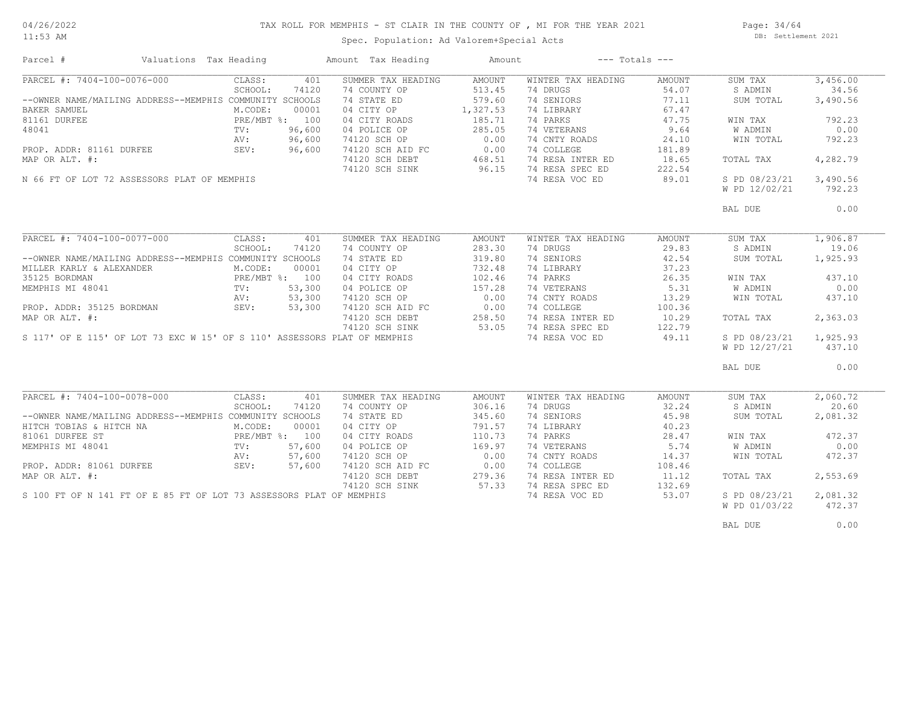# TAX ROLL FOR MEMPHIS - ST CLAIR IN THE COUNTY OF , MI FOR THE YEAR 2021

11:53 AM

# Spec. Population: Ad Valorem+Special Acts

Page: 34/64 DB: Settlement 2021

| Parcel #                                                                 | Valuations Tax Heading |         |                | Amount Tax Heading                                              | Amount            |                    | $---$ Totals $---$ |               |          |
|--------------------------------------------------------------------------|------------------------|---------|----------------|-----------------------------------------------------------------|-------------------|--------------------|--------------------|---------------|----------|
| PARCEL #: 7404-100-0076-000                                              |                        | CLASS:  | 401            | SUMMER TAX HEADING                                              | AMOUNT            | WINTER TAX HEADING | AMOUNT             | SUM TAX       | 3,456.00 |
|                                                                          |                        | SCHOOL: | 74120          | 74 COUNTY OP                                                    | 513.45            | 74 DRUGS           | 54.07              | S ADMIN       | 34.56    |
| --OWNER NAME/MAILING ADDRESS--MEMPHIS COMMUNITY SCHOOLS                  |                        |         |                | 74 STATE ED                                                     | 579.60            | 74 SENIORS         | 77.11              | SUM TOTAL     | 3,490.56 |
| BAKER SAMUEL                                                             |                        | M.CODE: | 00001          | 04 CITY OP                                                      | 1,327.53          | 74 LIBRARY         | 67.47              |               |          |
| 81161 DURFEE                                                             |                        |         | PRE/MBT %: 100 | 04 CITY ROADS                                                   | 185.71            | 74 PARKS           | 47.75              | WIN TAX       | 792.23   |
| 48041                                                                    | $\text{TV}$ :          |         | 96,600         | 04 POLICE OP                                                    | 285.05            | 74 VETERANS        | 9.64               | W ADMIN       | 0.00     |
|                                                                          | AV:                    |         | 96,600         | 74120 SCH OP                                                    | 0.00              | 74 CNTY ROADS      | 24.10              | WIN TOTAL     | 792.23   |
| PROP. ADDR: 81161 DURFEE                                                 | SEV:                   |         | 96,600         | 74120 SCH AID FC                                                | 0.00              | 74 COLLEGE         | 181.89             |               |          |
| MAP OR ALT. #:                                                           |                        |         |                | 74120 SCH DEBT                                                  |                   | 74 RESA INTER ED   | 18.65              | TOTAL TAX     | 4,282.79 |
|                                                                          |                        |         |                | 74120 SCH SINK                                                  | $468.51$<br>96.15 | 74 RESA SPEC ED    | 222.54             |               |          |
| N 66 FT OF LOT 72 ASSESSORS PLAT OF MEMPHIS                              |                        |         |                |                                                                 |                   | 74 RESA VOC ED     | 89.01              | S PD 08/23/21 | 3,490.56 |
|                                                                          |                        |         |                |                                                                 |                   |                    |                    |               |          |
|                                                                          |                        |         |                |                                                                 |                   |                    |                    | W PD 12/02/21 | 792.23   |
|                                                                          |                        |         |                |                                                                 |                   |                    |                    | BAL DUE       | 0.00     |
|                                                                          |                        |         |                |                                                                 |                   |                    |                    |               |          |
| PARCEL #: 7404-100-0077-000                                              |                        | CLASS:  | 401            | SUMMER TAX HEADING                                              | AMOUNT            | WINTER TAX HEADING | AMOUNT             | SUM TAX       | 1,906.87 |
|                                                                          |                        | SCHOOL: | 74120          | 74 COUNTY OP                                                    | 283.30            | 74 DRUGS           | 29.83              | S ADMIN       | 19.06    |
| --OWNER NAME/MAILING ADDRESS--MEMPHIS COMMUNITY SCHOOLS                  |                        |         |                | 74 STATE ED                                                     | 319.80            | 74 SENIORS         | 42.54              | SUM TOTAL     | 1,925.93 |
| MILLER KARLY & ALEXANDER                                                 |                        | M.CODE: | 00001          | 04 CITY OP                                                      | 732.48            | 74 LIBRARY         | 37.23              |               |          |
| 35125 BORDMAN                                                            |                        |         | PRE/MBT %: 100 | 04 CITY ROADS                                                   | 102.46            | 74 PARKS           | 26.35              | WIN TAX       | 437.10   |
| MEMPHIS MI 48041                                                         | TV:                    |         | 53,300         | 04 POLICE OP                                                    | 157.28            | 74 VETERANS        | 5.31               | W ADMIN       | 0.00     |
|                                                                          | AV:                    |         | 53,300         | 74120 SCH OP                                                    | 0.00              | 74 CNTY ROADS      | 13.29              | WIN TOTAL     | 437.10   |
| PROP. ADDR: 35125 BORDMAN                                                | SEV:                   |         | 53,300         | 74120 SCH AID FC                                                | 0.00              | 74 COLLEGE         | 100.36             |               |          |
| MAP OR ALT. #:                                                           |                        |         |                | 74120 SCH DEBT                                                  |                   | 74 RESA INTER ED   | 10.29              | TOTAL TAX     | 2,363.03 |
|                                                                          |                        |         |                | 74120 SCH SINK                                                  | 258.50<br>53.05   | 74 RESA SPEC ED    | 122.79             |               |          |
| S 117' OF E 115' OF LOT 73 EXC W 15' OF S 110' ASSESSORS PLAT OF MEMPHIS |                        |         |                |                                                                 |                   | 74 RESA VOC ED     | 49.11              | S PD 08/23/21 | 1,925.93 |
|                                                                          |                        |         |                |                                                                 |                   |                    |                    | W PD 12/27/21 | 437.10   |
|                                                                          |                        |         |                |                                                                 |                   |                    |                    |               |          |
|                                                                          |                        |         |                |                                                                 |                   |                    |                    | BAL DUE       | 0.00     |
|                                                                          |                        |         |                |                                                                 |                   |                    |                    |               |          |
| PARCEL #: 7404-100-0078-000                                              |                        | CLASS:  | 401            | SUMMER TAX HEADING                                              | AMOUNT            | WINTER TAX HEADING | AMOUNT             | SUM TAX       | 2,060.72 |
|                                                                          |                        | SCHOOL: | 74120          | 74 COUNTY OP                                                    | 306.16            | 74 DRUGS           | 32.24              | S ADMIN       | 20.60    |
| --OWNER NAME/MAILING ADDRESS--MEMPHIS COMMUNITY SCHOOLS                  |                        |         |                | 74 STATE ED                                                     | 345.60            | 74 SENIORS         | 45.98              | SUM TOTAL     | 2,081.32 |
| HITCH TOBIAS & HITCH NA                                                  |                        | M.CODE: | 00001          | 04 CITY OP                                                      | 791.57            | 74 LIBRARY         | 40.23              |               |          |
| 81061 DURFEE ST                                                          |                        |         | PRE/MBT %: 100 | 04 CITY ROADS                                                   | 110.73            | 74 PARKS           | 28.47              | WIN TAX       | 472.37   |
| MEMPHIS MI 48041                                                         | TV:                    |         | 57,600         | 04 POLICE OP                                                    | 169.97            | 74 VETERANS        | 5.74               | W ADMIN       | 0.00     |
|                                                                          | AV:                    |         | 57,600         | 74120 SCH OP                                                    | 0.00              | 74 CNTY ROADS      | 14.37              | WIN TOTAL     | 472.37   |
| PROP. ADDR: 81061 DURFEE                                                 | SEV:                   |         | 57,600         | 74120 SCH AID FC                                                | 0.00              | 74 COLLEGE         | 108.46             |               |          |
| MAP OR ALT. #:                                                           |                        |         |                | 74120 SCH DEBT<br>74120 SCH DEBT 279.36<br>74120 SCH STNK 57.33 | 279.36            | 74 RESA INTER ED   | 11,12              | TOTAL TAX     | 2,553.69 |
|                                                                          |                        |         |                |                                                                 |                   | 74 RESA SPEC ED    | 132.69             |               |          |
| S 100 FT OF N 141 FT OF E 85 FT OF LOT 73 ASSESSORS PLAT OF MEMPHIS      |                        |         |                |                                                                 |                   | 74 RESA VOC ED     | 53.07              | S PD 08/23/21 | 2,081.32 |
|                                                                          |                        |         |                |                                                                 |                   |                    |                    | W PD 01/03/22 | 472.37   |
|                                                                          |                        |         |                |                                                                 |                   |                    |                    | BAL DUE       | 0.00     |
|                                                                          |                        |         |                |                                                                 |                   |                    |                    |               |          |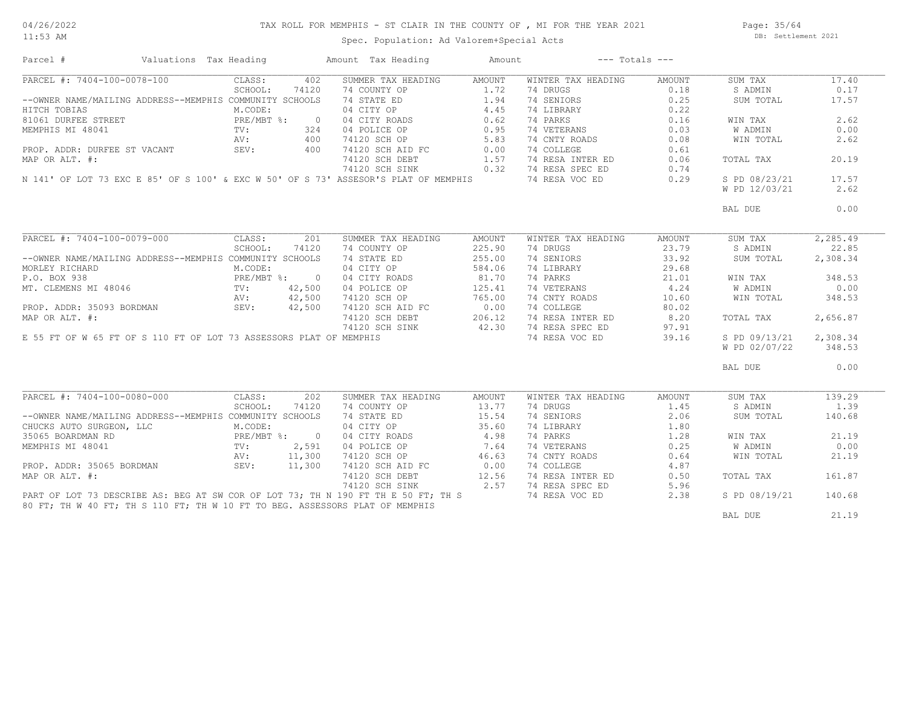11:53 AM

#### TAX ROLL FOR MEMPHIS - ST CLAIR IN THE COUNTY OF , MI FOR THE YEAR 2021

Spec. Population: Ad Valorem+Special Acts

Page: 35/64 DB: Settlement 2021

| PARCEL #: 7404-100-0078-100<br>SUMMER TAX HEADING<br>WINTER TAX HEADING<br>CLASS:<br>402<br>AMOUNT<br>AMOUNT<br>SUM TAX<br>SCHOOL:<br>74120<br>74 COUNTY OP<br>1.72<br>74 DRUGS<br>0.18<br>S ADMIN<br>--OWNER NAME/MAILING ADDRESS--MEMPHIS COMMUNITY SCHOOLS<br>74 STATE ED<br>1.94<br>74 SENIORS<br>0.25<br>SUM TOTAL<br>HITCH TOBIAS<br>04 CITY OP<br>4.45<br>74 LIBRARY<br>0.22<br>M.CODE:<br>81061 DURFEE STREET<br>PRE/MBT %:<br>04 CITY ROADS<br>04 POLICE OP<br>0.62<br>74 PARKS<br>0.16<br>WIN TAX<br>$\overline{0}$<br>0.95<br>74 VETERANS<br>MEMPHIS MI 48041<br>TV:<br>324<br>04 POLICE OP<br>0.03<br>W ADMIN<br>5.83<br>74 CNTY ROADS<br>400<br>74120 SCH OP<br>0.08<br>WIN TOTAL<br>AV:<br>74 COLLEGE<br>PROP. ADDR: DURFEE ST VACANT<br>SEV:<br>400<br>74120 SCH AID FC<br>0.00<br>0.61<br>1.57<br>74120 SCH DEBT<br>74 RESA INTER ED<br>0.06<br>MAP OR ALT. #:<br>TOTAL TAX<br>0.32<br>74 RESA SPEC ED<br>74120 SCH SINK<br>0.74<br>74 RESA VOC ED<br>S PD 08/23/21<br>N 141' OF LOT 73 EXC E 85' OF S 100' & EXC W 50' OF S 73' ASSESOR'S PLAT OF MEMPHIS<br>0.29<br>W PD 12/03/21<br>BAL DUE<br>PARCEL #: 7404-100-0079-000<br>CLASS:<br>2,285.49<br>201<br>SUMMER TAX HEADING<br>AMOUNT<br>WINTER TAX HEADING<br>AMOUNT<br>SUM TAX<br>SCHOOL:<br>225.90<br>74 DRUGS<br>23.79<br>22.85<br>74120<br>74 COUNTY OP<br>S ADMIN<br>--OWNER NAME/MAILING ADDRESS--MEMPHIS COMMUNITY SCHOOLS<br>74 SENIORS<br>74 STATE ED<br>255.00<br>33.92<br>SUM TOTAL<br>2,308.34<br>584.06<br>MORLEY RICHARD<br>M.CODE:<br>04 CITY OP<br>74 LIBRARY<br>29.68<br>81.70<br>P.O. BOX 938<br>$PRE/MBT$ %:<br>$\overline{0}$<br>04 CITY ROADS<br>74 PARKS<br>21.01<br>WIN TAX<br>4.24<br>MT. CLEMENS MI 48046<br>42,500<br>04 POLICE OP<br>125.41<br>74 VETERANS<br><b>W ADMIN</b><br>$\text{TV}$ :<br>42,500<br>74120 SCH OP<br>765.00<br>74 CNTY ROADS<br>AV:<br>10.60<br>WIN TOTAL<br>PROP. ADDR: 35093 BORDMAN<br>42,500<br>74120 SCH AID FC 0.00<br>74120 SCH DEBT 206 12<br>SEV:<br>74 COLLEGE<br>80.02<br>74120 SCH DEBT<br>206.12<br>74 RESA INTER ED<br>8.20<br>TOTAL TAX<br>74120 SCH SINK<br>42.30<br>74 RESA SPEC ED<br>97.91<br>E 55 FT OF W 65 FT OF S 110 FT OF LOT 73 ASSESSORS PLAT OF MEMPHIS<br>74 RESA VOC ED<br>39.16<br>S PD 09/13/21<br>W PD 02/07/22<br>BAL DUE<br>PARCEL #: 7404-100-0080-000<br>CLASS:<br>202<br>SUMMER TAX HEADING<br>AMOUNT<br>WINTER TAX HEADING<br>AMOUNT<br>SUM TAX<br>13.77<br>1.45<br>SCHOOL:<br>74120<br>74 COUNTY OP<br>74 DRUGS<br>S ADMIN<br>--OWNER NAME/MAILING ADDRESS--MEMPHIS COMMUNITY SCHOOLS<br>74 STATE ED<br>15.54<br>74 SENIORS<br>2.06<br>SUM TOTAL<br>35.60<br>CHUCKS AUTO SURGEON, LLC<br>M.CODE:<br>04 CITY OP<br>74 LIBRARY<br>1.80<br>4.98<br>74 PARKS<br>21.19<br>35065 BOARDMAN RD<br>PRE/MBT %: 0<br>04 CITY ROADS<br>1.28<br>WIN TAX<br>2,591<br>04 POLICE OP<br>7.64<br>74 VETERANS<br>0.25<br>W ADMIN<br>0.00<br>MEMPHIS MI 48041<br>$\text{TV}$ :<br>11,300<br>74120 SCH OP<br>46.63<br>74 CNTY ROADS<br>21.19<br>AV:<br>0.64<br>WIN TOTAL<br>0.00<br>PROP. ADDR: 35065 BORDMAN<br>SEV:<br>11,300<br>74120 SCH AID FC<br>74 COLLEGE<br>4.87<br>MAP OR ALT. #:<br>12.56<br>74 RESA INTER ED<br>74120 SCH DEBT<br>0.50<br>161.87<br>TOTAL TAX<br>2.57<br>74 RESA SPEC ED<br>74120 SCH SINK<br>5.96<br>PART OF LOT 73 DESCRIBE AS: BEG AT SW COR OF LOT 73; TH N 190 FT TH E 50 FT; TH S<br>74 RESA VOC ED<br>140.68<br>2.38<br>S PD 08/19/21<br>80 FT; TH W 40 FT; TH S 110 FT; TH W 10 FT TO BEG. ASSESSORS PLAT OF MEMPHIS<br>21.19<br>BAL DUE | Parcel #       | Valuations Tax Heading |  | Amount Tax Heading | Amount | $---$ Totals $---$ |  |          |
|------------------------------------------------------------------------------------------------------------------------------------------------------------------------------------------------------------------------------------------------------------------------------------------------------------------------------------------------------------------------------------------------------------------------------------------------------------------------------------------------------------------------------------------------------------------------------------------------------------------------------------------------------------------------------------------------------------------------------------------------------------------------------------------------------------------------------------------------------------------------------------------------------------------------------------------------------------------------------------------------------------------------------------------------------------------------------------------------------------------------------------------------------------------------------------------------------------------------------------------------------------------------------------------------------------------------------------------------------------------------------------------------------------------------------------------------------------------------------------------------------------------------------------------------------------------------------------------------------------------------------------------------------------------------------------------------------------------------------------------------------------------------------------------------------------------------------------------------------------------------------------------------------------------------------------------------------------------------------------------------------------------------------------------------------------------------------------------------------------------------------------------------------------------------------------------------------------------------------------------------------------------------------------------------------------------------------------------------------------------------------------------------------------------------------------------------------------------------------------------------------------------------------------------------------------------------------------------------------------------------------------------------------------------------------------------------------------------------------------------------------------------------------------------------------------------------------------------------------------------------------------------------------------------------------------------------------------------------------------------------------------------------------------------------------------------------------------------------------------------------------------------------------------------------------------------------------------------------------------------------------------------------------------------------------------------------------------------------------------------------------------------------------------------------------------------------------------------------------------------------------------------------|----------------|------------------------|--|--------------------|--------|--------------------|--|----------|
|                                                                                                                                                                                                                                                                                                                                                                                                                                                                                                                                                                                                                                                                                                                                                                                                                                                                                                                                                                                                                                                                                                                                                                                                                                                                                                                                                                                                                                                                                                                                                                                                                                                                                                                                                                                                                                                                                                                                                                                                                                                                                                                                                                                                                                                                                                                                                                                                                                                                                                                                                                                                                                                                                                                                                                                                                                                                                                                                                                                                                                                                                                                                                                                                                                                                                                                                                                                                                                                                                                                        |                |                        |  |                    |        |                    |  | 17.40    |
|                                                                                                                                                                                                                                                                                                                                                                                                                                                                                                                                                                                                                                                                                                                                                                                                                                                                                                                                                                                                                                                                                                                                                                                                                                                                                                                                                                                                                                                                                                                                                                                                                                                                                                                                                                                                                                                                                                                                                                                                                                                                                                                                                                                                                                                                                                                                                                                                                                                                                                                                                                                                                                                                                                                                                                                                                                                                                                                                                                                                                                                                                                                                                                                                                                                                                                                                                                                                                                                                                                                        |                |                        |  |                    |        |                    |  | 0.17     |
|                                                                                                                                                                                                                                                                                                                                                                                                                                                                                                                                                                                                                                                                                                                                                                                                                                                                                                                                                                                                                                                                                                                                                                                                                                                                                                                                                                                                                                                                                                                                                                                                                                                                                                                                                                                                                                                                                                                                                                                                                                                                                                                                                                                                                                                                                                                                                                                                                                                                                                                                                                                                                                                                                                                                                                                                                                                                                                                                                                                                                                                                                                                                                                                                                                                                                                                                                                                                                                                                                                                        |                |                        |  |                    |        |                    |  | 17.57    |
|                                                                                                                                                                                                                                                                                                                                                                                                                                                                                                                                                                                                                                                                                                                                                                                                                                                                                                                                                                                                                                                                                                                                                                                                                                                                                                                                                                                                                                                                                                                                                                                                                                                                                                                                                                                                                                                                                                                                                                                                                                                                                                                                                                                                                                                                                                                                                                                                                                                                                                                                                                                                                                                                                                                                                                                                                                                                                                                                                                                                                                                                                                                                                                                                                                                                                                                                                                                                                                                                                                                        |                |                        |  |                    |        |                    |  |          |
|                                                                                                                                                                                                                                                                                                                                                                                                                                                                                                                                                                                                                                                                                                                                                                                                                                                                                                                                                                                                                                                                                                                                                                                                                                                                                                                                                                                                                                                                                                                                                                                                                                                                                                                                                                                                                                                                                                                                                                                                                                                                                                                                                                                                                                                                                                                                                                                                                                                                                                                                                                                                                                                                                                                                                                                                                                                                                                                                                                                                                                                                                                                                                                                                                                                                                                                                                                                                                                                                                                                        |                |                        |  |                    |        |                    |  | 2.62     |
|                                                                                                                                                                                                                                                                                                                                                                                                                                                                                                                                                                                                                                                                                                                                                                                                                                                                                                                                                                                                                                                                                                                                                                                                                                                                                                                                                                                                                                                                                                                                                                                                                                                                                                                                                                                                                                                                                                                                                                                                                                                                                                                                                                                                                                                                                                                                                                                                                                                                                                                                                                                                                                                                                                                                                                                                                                                                                                                                                                                                                                                                                                                                                                                                                                                                                                                                                                                                                                                                                                                        |                |                        |  |                    |        |                    |  | 0.00     |
|                                                                                                                                                                                                                                                                                                                                                                                                                                                                                                                                                                                                                                                                                                                                                                                                                                                                                                                                                                                                                                                                                                                                                                                                                                                                                                                                                                                                                                                                                                                                                                                                                                                                                                                                                                                                                                                                                                                                                                                                                                                                                                                                                                                                                                                                                                                                                                                                                                                                                                                                                                                                                                                                                                                                                                                                                                                                                                                                                                                                                                                                                                                                                                                                                                                                                                                                                                                                                                                                                                                        |                |                        |  |                    |        |                    |  | 2.62     |
|                                                                                                                                                                                                                                                                                                                                                                                                                                                                                                                                                                                                                                                                                                                                                                                                                                                                                                                                                                                                                                                                                                                                                                                                                                                                                                                                                                                                                                                                                                                                                                                                                                                                                                                                                                                                                                                                                                                                                                                                                                                                                                                                                                                                                                                                                                                                                                                                                                                                                                                                                                                                                                                                                                                                                                                                                                                                                                                                                                                                                                                                                                                                                                                                                                                                                                                                                                                                                                                                                                                        |                |                        |  |                    |        |                    |  |          |
|                                                                                                                                                                                                                                                                                                                                                                                                                                                                                                                                                                                                                                                                                                                                                                                                                                                                                                                                                                                                                                                                                                                                                                                                                                                                                                                                                                                                                                                                                                                                                                                                                                                                                                                                                                                                                                                                                                                                                                                                                                                                                                                                                                                                                                                                                                                                                                                                                                                                                                                                                                                                                                                                                                                                                                                                                                                                                                                                                                                                                                                                                                                                                                                                                                                                                                                                                                                                                                                                                                                        |                |                        |  |                    |        |                    |  | 20.19    |
|                                                                                                                                                                                                                                                                                                                                                                                                                                                                                                                                                                                                                                                                                                                                                                                                                                                                                                                                                                                                                                                                                                                                                                                                                                                                                                                                                                                                                                                                                                                                                                                                                                                                                                                                                                                                                                                                                                                                                                                                                                                                                                                                                                                                                                                                                                                                                                                                                                                                                                                                                                                                                                                                                                                                                                                                                                                                                                                                                                                                                                                                                                                                                                                                                                                                                                                                                                                                                                                                                                                        |                |                        |  |                    |        |                    |  |          |
|                                                                                                                                                                                                                                                                                                                                                                                                                                                                                                                                                                                                                                                                                                                                                                                                                                                                                                                                                                                                                                                                                                                                                                                                                                                                                                                                                                                                                                                                                                                                                                                                                                                                                                                                                                                                                                                                                                                                                                                                                                                                                                                                                                                                                                                                                                                                                                                                                                                                                                                                                                                                                                                                                                                                                                                                                                                                                                                                                                                                                                                                                                                                                                                                                                                                                                                                                                                                                                                                                                                        |                |                        |  |                    |        |                    |  | 17.57    |
|                                                                                                                                                                                                                                                                                                                                                                                                                                                                                                                                                                                                                                                                                                                                                                                                                                                                                                                                                                                                                                                                                                                                                                                                                                                                                                                                                                                                                                                                                                                                                                                                                                                                                                                                                                                                                                                                                                                                                                                                                                                                                                                                                                                                                                                                                                                                                                                                                                                                                                                                                                                                                                                                                                                                                                                                                                                                                                                                                                                                                                                                                                                                                                                                                                                                                                                                                                                                                                                                                                                        |                |                        |  |                    |        |                    |  | 2.62     |
|                                                                                                                                                                                                                                                                                                                                                                                                                                                                                                                                                                                                                                                                                                                                                                                                                                                                                                                                                                                                                                                                                                                                                                                                                                                                                                                                                                                                                                                                                                                                                                                                                                                                                                                                                                                                                                                                                                                                                                                                                                                                                                                                                                                                                                                                                                                                                                                                                                                                                                                                                                                                                                                                                                                                                                                                                                                                                                                                                                                                                                                                                                                                                                                                                                                                                                                                                                                                                                                                                                                        |                |                        |  |                    |        |                    |  |          |
|                                                                                                                                                                                                                                                                                                                                                                                                                                                                                                                                                                                                                                                                                                                                                                                                                                                                                                                                                                                                                                                                                                                                                                                                                                                                                                                                                                                                                                                                                                                                                                                                                                                                                                                                                                                                                                                                                                                                                                                                                                                                                                                                                                                                                                                                                                                                                                                                                                                                                                                                                                                                                                                                                                                                                                                                                                                                                                                                                                                                                                                                                                                                                                                                                                                                                                                                                                                                                                                                                                                        |                |                        |  |                    |        |                    |  | 0.00     |
|                                                                                                                                                                                                                                                                                                                                                                                                                                                                                                                                                                                                                                                                                                                                                                                                                                                                                                                                                                                                                                                                                                                                                                                                                                                                                                                                                                                                                                                                                                                                                                                                                                                                                                                                                                                                                                                                                                                                                                                                                                                                                                                                                                                                                                                                                                                                                                                                                                                                                                                                                                                                                                                                                                                                                                                                                                                                                                                                                                                                                                                                                                                                                                                                                                                                                                                                                                                                                                                                                                                        |                |                        |  |                    |        |                    |  |          |
|                                                                                                                                                                                                                                                                                                                                                                                                                                                                                                                                                                                                                                                                                                                                                                                                                                                                                                                                                                                                                                                                                                                                                                                                                                                                                                                                                                                                                                                                                                                                                                                                                                                                                                                                                                                                                                                                                                                                                                                                                                                                                                                                                                                                                                                                                                                                                                                                                                                                                                                                                                                                                                                                                                                                                                                                                                                                                                                                                                                                                                                                                                                                                                                                                                                                                                                                                                                                                                                                                                                        |                |                        |  |                    |        |                    |  |          |
|                                                                                                                                                                                                                                                                                                                                                                                                                                                                                                                                                                                                                                                                                                                                                                                                                                                                                                                                                                                                                                                                                                                                                                                                                                                                                                                                                                                                                                                                                                                                                                                                                                                                                                                                                                                                                                                                                                                                                                                                                                                                                                                                                                                                                                                                                                                                                                                                                                                                                                                                                                                                                                                                                                                                                                                                                                                                                                                                                                                                                                                                                                                                                                                                                                                                                                                                                                                                                                                                                                                        |                |                        |  |                    |        |                    |  |          |
|                                                                                                                                                                                                                                                                                                                                                                                                                                                                                                                                                                                                                                                                                                                                                                                                                                                                                                                                                                                                                                                                                                                                                                                                                                                                                                                                                                                                                                                                                                                                                                                                                                                                                                                                                                                                                                                                                                                                                                                                                                                                                                                                                                                                                                                                                                                                                                                                                                                                                                                                                                                                                                                                                                                                                                                                                                                                                                                                                                                                                                                                                                                                                                                                                                                                                                                                                                                                                                                                                                                        |                |                        |  |                    |        |                    |  |          |
|                                                                                                                                                                                                                                                                                                                                                                                                                                                                                                                                                                                                                                                                                                                                                                                                                                                                                                                                                                                                                                                                                                                                                                                                                                                                                                                                                                                                                                                                                                                                                                                                                                                                                                                                                                                                                                                                                                                                                                                                                                                                                                                                                                                                                                                                                                                                                                                                                                                                                                                                                                                                                                                                                                                                                                                                                                                                                                                                                                                                                                                                                                                                                                                                                                                                                                                                                                                                                                                                                                                        |                |                        |  |                    |        |                    |  |          |
|                                                                                                                                                                                                                                                                                                                                                                                                                                                                                                                                                                                                                                                                                                                                                                                                                                                                                                                                                                                                                                                                                                                                                                                                                                                                                                                                                                                                                                                                                                                                                                                                                                                                                                                                                                                                                                                                                                                                                                                                                                                                                                                                                                                                                                                                                                                                                                                                                                                                                                                                                                                                                                                                                                                                                                                                                                                                                                                                                                                                                                                                                                                                                                                                                                                                                                                                                                                                                                                                                                                        |                |                        |  |                    |        |                    |  |          |
|                                                                                                                                                                                                                                                                                                                                                                                                                                                                                                                                                                                                                                                                                                                                                                                                                                                                                                                                                                                                                                                                                                                                                                                                                                                                                                                                                                                                                                                                                                                                                                                                                                                                                                                                                                                                                                                                                                                                                                                                                                                                                                                                                                                                                                                                                                                                                                                                                                                                                                                                                                                                                                                                                                                                                                                                                                                                                                                                                                                                                                                                                                                                                                                                                                                                                                                                                                                                                                                                                                                        |                |                        |  |                    |        |                    |  | 348.53   |
|                                                                                                                                                                                                                                                                                                                                                                                                                                                                                                                                                                                                                                                                                                                                                                                                                                                                                                                                                                                                                                                                                                                                                                                                                                                                                                                                                                                                                                                                                                                                                                                                                                                                                                                                                                                                                                                                                                                                                                                                                                                                                                                                                                                                                                                                                                                                                                                                                                                                                                                                                                                                                                                                                                                                                                                                                                                                                                                                                                                                                                                                                                                                                                                                                                                                                                                                                                                                                                                                                                                        |                |                        |  |                    |        |                    |  | 0.00     |
|                                                                                                                                                                                                                                                                                                                                                                                                                                                                                                                                                                                                                                                                                                                                                                                                                                                                                                                                                                                                                                                                                                                                                                                                                                                                                                                                                                                                                                                                                                                                                                                                                                                                                                                                                                                                                                                                                                                                                                                                                                                                                                                                                                                                                                                                                                                                                                                                                                                                                                                                                                                                                                                                                                                                                                                                                                                                                                                                                                                                                                                                                                                                                                                                                                                                                                                                                                                                                                                                                                                        |                |                        |  |                    |        |                    |  | 348.53   |
|                                                                                                                                                                                                                                                                                                                                                                                                                                                                                                                                                                                                                                                                                                                                                                                                                                                                                                                                                                                                                                                                                                                                                                                                                                                                                                                                                                                                                                                                                                                                                                                                                                                                                                                                                                                                                                                                                                                                                                                                                                                                                                                                                                                                                                                                                                                                                                                                                                                                                                                                                                                                                                                                                                                                                                                                                                                                                                                                                                                                                                                                                                                                                                                                                                                                                                                                                                                                                                                                                                                        |                |                        |  |                    |        |                    |  |          |
|                                                                                                                                                                                                                                                                                                                                                                                                                                                                                                                                                                                                                                                                                                                                                                                                                                                                                                                                                                                                                                                                                                                                                                                                                                                                                                                                                                                                                                                                                                                                                                                                                                                                                                                                                                                                                                                                                                                                                                                                                                                                                                                                                                                                                                                                                                                                                                                                                                                                                                                                                                                                                                                                                                                                                                                                                                                                                                                                                                                                                                                                                                                                                                                                                                                                                                                                                                                                                                                                                                                        | MAP OR ALT. #: |                        |  |                    |        |                    |  | 2,656.87 |
|                                                                                                                                                                                                                                                                                                                                                                                                                                                                                                                                                                                                                                                                                                                                                                                                                                                                                                                                                                                                                                                                                                                                                                                                                                                                                                                                                                                                                                                                                                                                                                                                                                                                                                                                                                                                                                                                                                                                                                                                                                                                                                                                                                                                                                                                                                                                                                                                                                                                                                                                                                                                                                                                                                                                                                                                                                                                                                                                                                                                                                                                                                                                                                                                                                                                                                                                                                                                                                                                                                                        |                |                        |  |                    |        |                    |  |          |
|                                                                                                                                                                                                                                                                                                                                                                                                                                                                                                                                                                                                                                                                                                                                                                                                                                                                                                                                                                                                                                                                                                                                                                                                                                                                                                                                                                                                                                                                                                                                                                                                                                                                                                                                                                                                                                                                                                                                                                                                                                                                                                                                                                                                                                                                                                                                                                                                                                                                                                                                                                                                                                                                                                                                                                                                                                                                                                                                                                                                                                                                                                                                                                                                                                                                                                                                                                                                                                                                                                                        |                |                        |  |                    |        |                    |  | 2,308.34 |
|                                                                                                                                                                                                                                                                                                                                                                                                                                                                                                                                                                                                                                                                                                                                                                                                                                                                                                                                                                                                                                                                                                                                                                                                                                                                                                                                                                                                                                                                                                                                                                                                                                                                                                                                                                                                                                                                                                                                                                                                                                                                                                                                                                                                                                                                                                                                                                                                                                                                                                                                                                                                                                                                                                                                                                                                                                                                                                                                                                                                                                                                                                                                                                                                                                                                                                                                                                                                                                                                                                                        |                |                        |  |                    |        |                    |  | 348.53   |
|                                                                                                                                                                                                                                                                                                                                                                                                                                                                                                                                                                                                                                                                                                                                                                                                                                                                                                                                                                                                                                                                                                                                                                                                                                                                                                                                                                                                                                                                                                                                                                                                                                                                                                                                                                                                                                                                                                                                                                                                                                                                                                                                                                                                                                                                                                                                                                                                                                                                                                                                                                                                                                                                                                                                                                                                                                                                                                                                                                                                                                                                                                                                                                                                                                                                                                                                                                                                                                                                                                                        |                |                        |  |                    |        |                    |  | 0.00     |
|                                                                                                                                                                                                                                                                                                                                                                                                                                                                                                                                                                                                                                                                                                                                                                                                                                                                                                                                                                                                                                                                                                                                                                                                                                                                                                                                                                                                                                                                                                                                                                                                                                                                                                                                                                                                                                                                                                                                                                                                                                                                                                                                                                                                                                                                                                                                                                                                                                                                                                                                                                                                                                                                                                                                                                                                                                                                                                                                                                                                                                                                                                                                                                                                                                                                                                                                                                                                                                                                                                                        |                |                        |  |                    |        |                    |  |          |
|                                                                                                                                                                                                                                                                                                                                                                                                                                                                                                                                                                                                                                                                                                                                                                                                                                                                                                                                                                                                                                                                                                                                                                                                                                                                                                                                                                                                                                                                                                                                                                                                                                                                                                                                                                                                                                                                                                                                                                                                                                                                                                                                                                                                                                                                                                                                                                                                                                                                                                                                                                                                                                                                                                                                                                                                                                                                                                                                                                                                                                                                                                                                                                                                                                                                                                                                                                                                                                                                                                                        |                |                        |  |                    |        |                    |  | 139.29   |
|                                                                                                                                                                                                                                                                                                                                                                                                                                                                                                                                                                                                                                                                                                                                                                                                                                                                                                                                                                                                                                                                                                                                                                                                                                                                                                                                                                                                                                                                                                                                                                                                                                                                                                                                                                                                                                                                                                                                                                                                                                                                                                                                                                                                                                                                                                                                                                                                                                                                                                                                                                                                                                                                                                                                                                                                                                                                                                                                                                                                                                                                                                                                                                                                                                                                                                                                                                                                                                                                                                                        |                |                        |  |                    |        |                    |  | 1.39     |
|                                                                                                                                                                                                                                                                                                                                                                                                                                                                                                                                                                                                                                                                                                                                                                                                                                                                                                                                                                                                                                                                                                                                                                                                                                                                                                                                                                                                                                                                                                                                                                                                                                                                                                                                                                                                                                                                                                                                                                                                                                                                                                                                                                                                                                                                                                                                                                                                                                                                                                                                                                                                                                                                                                                                                                                                                                                                                                                                                                                                                                                                                                                                                                                                                                                                                                                                                                                                                                                                                                                        |                |                        |  |                    |        |                    |  | 140.68   |
|                                                                                                                                                                                                                                                                                                                                                                                                                                                                                                                                                                                                                                                                                                                                                                                                                                                                                                                                                                                                                                                                                                                                                                                                                                                                                                                                                                                                                                                                                                                                                                                                                                                                                                                                                                                                                                                                                                                                                                                                                                                                                                                                                                                                                                                                                                                                                                                                                                                                                                                                                                                                                                                                                                                                                                                                                                                                                                                                                                                                                                                                                                                                                                                                                                                                                                                                                                                                                                                                                                                        |                |                        |  |                    |        |                    |  |          |
|                                                                                                                                                                                                                                                                                                                                                                                                                                                                                                                                                                                                                                                                                                                                                                                                                                                                                                                                                                                                                                                                                                                                                                                                                                                                                                                                                                                                                                                                                                                                                                                                                                                                                                                                                                                                                                                                                                                                                                                                                                                                                                                                                                                                                                                                                                                                                                                                                                                                                                                                                                                                                                                                                                                                                                                                                                                                                                                                                                                                                                                                                                                                                                                                                                                                                                                                                                                                                                                                                                                        |                |                        |  |                    |        |                    |  |          |
|                                                                                                                                                                                                                                                                                                                                                                                                                                                                                                                                                                                                                                                                                                                                                                                                                                                                                                                                                                                                                                                                                                                                                                                                                                                                                                                                                                                                                                                                                                                                                                                                                                                                                                                                                                                                                                                                                                                                                                                                                                                                                                                                                                                                                                                                                                                                                                                                                                                                                                                                                                                                                                                                                                                                                                                                                                                                                                                                                                                                                                                                                                                                                                                                                                                                                                                                                                                                                                                                                                                        |                |                        |  |                    |        |                    |  |          |
|                                                                                                                                                                                                                                                                                                                                                                                                                                                                                                                                                                                                                                                                                                                                                                                                                                                                                                                                                                                                                                                                                                                                                                                                                                                                                                                                                                                                                                                                                                                                                                                                                                                                                                                                                                                                                                                                                                                                                                                                                                                                                                                                                                                                                                                                                                                                                                                                                                                                                                                                                                                                                                                                                                                                                                                                                                                                                                                                                                                                                                                                                                                                                                                                                                                                                                                                                                                                                                                                                                                        |                |                        |  |                    |        |                    |  |          |
|                                                                                                                                                                                                                                                                                                                                                                                                                                                                                                                                                                                                                                                                                                                                                                                                                                                                                                                                                                                                                                                                                                                                                                                                                                                                                                                                                                                                                                                                                                                                                                                                                                                                                                                                                                                                                                                                                                                                                                                                                                                                                                                                                                                                                                                                                                                                                                                                                                                                                                                                                                                                                                                                                                                                                                                                                                                                                                                                                                                                                                                                                                                                                                                                                                                                                                                                                                                                                                                                                                                        |                |                        |  |                    |        |                    |  |          |
|                                                                                                                                                                                                                                                                                                                                                                                                                                                                                                                                                                                                                                                                                                                                                                                                                                                                                                                                                                                                                                                                                                                                                                                                                                                                                                                                                                                                                                                                                                                                                                                                                                                                                                                                                                                                                                                                                                                                                                                                                                                                                                                                                                                                                                                                                                                                                                                                                                                                                                                                                                                                                                                                                                                                                                                                                                                                                                                                                                                                                                                                                                                                                                                                                                                                                                                                                                                                                                                                                                                        |                |                        |  |                    |        |                    |  |          |
|                                                                                                                                                                                                                                                                                                                                                                                                                                                                                                                                                                                                                                                                                                                                                                                                                                                                                                                                                                                                                                                                                                                                                                                                                                                                                                                                                                                                                                                                                                                                                                                                                                                                                                                                                                                                                                                                                                                                                                                                                                                                                                                                                                                                                                                                                                                                                                                                                                                                                                                                                                                                                                                                                                                                                                                                                                                                                                                                                                                                                                                                                                                                                                                                                                                                                                                                                                                                                                                                                                                        |                |                        |  |                    |        |                    |  |          |
|                                                                                                                                                                                                                                                                                                                                                                                                                                                                                                                                                                                                                                                                                                                                                                                                                                                                                                                                                                                                                                                                                                                                                                                                                                                                                                                                                                                                                                                                                                                                                                                                                                                                                                                                                                                                                                                                                                                                                                                                                                                                                                                                                                                                                                                                                                                                                                                                                                                                                                                                                                                                                                                                                                                                                                                                                                                                                                                                                                                                                                                                                                                                                                                                                                                                                                                                                                                                                                                                                                                        |                |                        |  |                    |        |                    |  |          |
|                                                                                                                                                                                                                                                                                                                                                                                                                                                                                                                                                                                                                                                                                                                                                                                                                                                                                                                                                                                                                                                                                                                                                                                                                                                                                                                                                                                                                                                                                                                                                                                                                                                                                                                                                                                                                                                                                                                                                                                                                                                                                                                                                                                                                                                                                                                                                                                                                                                                                                                                                                                                                                                                                                                                                                                                                                                                                                                                                                                                                                                                                                                                                                                                                                                                                                                                                                                                                                                                                                                        |                |                        |  |                    |        |                    |  |          |
|                                                                                                                                                                                                                                                                                                                                                                                                                                                                                                                                                                                                                                                                                                                                                                                                                                                                                                                                                                                                                                                                                                                                                                                                                                                                                                                                                                                                                                                                                                                                                                                                                                                                                                                                                                                                                                                                                                                                                                                                                                                                                                                                                                                                                                                                                                                                                                                                                                                                                                                                                                                                                                                                                                                                                                                                                                                                                                                                                                                                                                                                                                                                                                                                                                                                                                                                                                                                                                                                                                                        |                |                        |  |                    |        |                    |  |          |
|                                                                                                                                                                                                                                                                                                                                                                                                                                                                                                                                                                                                                                                                                                                                                                                                                                                                                                                                                                                                                                                                                                                                                                                                                                                                                                                                                                                                                                                                                                                                                                                                                                                                                                                                                                                                                                                                                                                                                                                                                                                                                                                                                                                                                                                                                                                                                                                                                                                                                                                                                                                                                                                                                                                                                                                                                                                                                                                                                                                                                                                                                                                                                                                                                                                                                                                                                                                                                                                                                                                        |                |                        |  |                    |        |                    |  |          |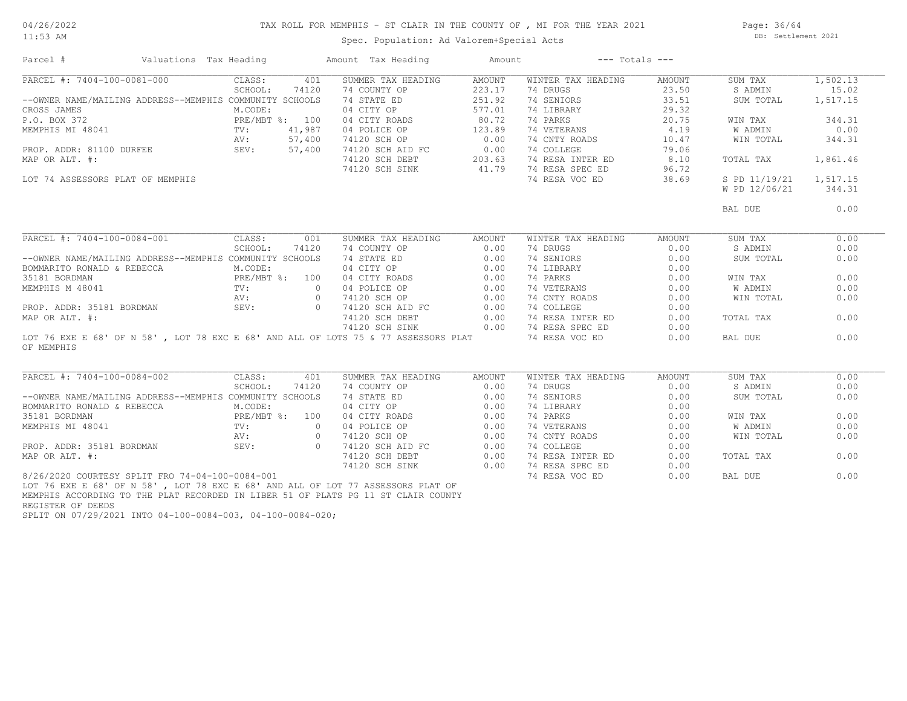#### TAX ROLL FOR MEMPHIS - ST CLAIR IN THE COUNTY OF , MI FOR THE YEAR 2021

11:53 AM

# Spec. Population: Ad Valorem+Special Acts

Page: 36/64 DB: Settlement 2021

| Parcel #                                                                                         | Valuations Tax Heading                                  | Amount Tax Heading                                                                                             | Amount | $---$ Totals $---$                  |        |               |          |
|--------------------------------------------------------------------------------------------------|---------------------------------------------------------|----------------------------------------------------------------------------------------------------------------|--------|-------------------------------------|--------|---------------|----------|
| PARCEL #: 7404-100-0081-000                                                                      | CLASS:                                                  | 401<br>SUMMER TAX HEADING                                                                                      | AMOUNT | WINTER TAX HEADING                  | AMOUNT | SUM TAX       | 1,502.13 |
|                                                                                                  | SCHOOL:<br>74120                                        | 74 COUNTY OP                                                                                                   | 223.17 | 74 DRUGS                            | 23.50  | S ADMIN       | 15.02    |
| --OWNER NAME/MAILING ADDRESS--MEMPHIS COMMUNITY SCHOOLS                                          |                                                         | 74 STATE ED                                                                                                    | 251.92 | 74 SENIORS                          | 33.51  | SUM TOTAL     | 1,517.15 |
| CROSS JAMES                                                                                      | M.CODE:                                                 | 04 CITY OP                                                                                                     | 577.01 | 74 LIBRARY                          | 29.32  |               |          |
| P.O. BOX 372                                                                                     | PRE/MBT %: 100                                          | 04 CITY ROADS<br>04 CITY ROADS 80.72<br>04 POLICE OP 123.89<br>74120 SCH OP 0.00                               | 80.72  | 74 PARKS                            | 20.75  | WIN TAX       | 344.31   |
| MEMPHIS MI 48041                                                                                 | 41,987<br>TV:                                           |                                                                                                                |        | 74 VETERANS                         | 4.19   | W ADMIN       | 0.00     |
|                                                                                                  | 57,400<br>AV:                                           |                                                                                                                |        | 74 CNTY ROADS                       | 10.47  | WIN TOTAL     | 344.31   |
| PROP. ADDR: 81100 DURFEE                                                                         | SEV: 57,400                                             |                                                                                                                |        | 74 COLLEGE                          | 79.06  |               |          |
| MAP OR ALT. #:                                                                                   |                                                         |                                                                                                                |        | 74 RESA INTER ED                    | 8.10   | TOTAL TAX     | 1,861.46 |
|                                                                                                  |                                                         | 74120 SCH AID FC 0.00<br>74120 SCH DEBT 203.63<br>74120 SCH SINK 41.79                                         |        | 74 RESA SPEC ED                     | 96.72  |               |          |
| LOT 74 ASSESSORS PLAT OF MEMPHIS                                                                 |                                                         |                                                                                                                |        | 74 RESA VOC ED                      | 38.69  | S PD 11/19/21 | 1,517.15 |
|                                                                                                  |                                                         |                                                                                                                |        |                                     |        | W PD 12/06/21 | 344.31   |
|                                                                                                  |                                                         |                                                                                                                |        |                                     |        | BAL DUE       | 0.00     |
|                                                                                                  |                                                         |                                                                                                                |        |                                     |        |               |          |
| PARCEL #: 7404-100-0084-001                                                                      | CLASS:                                                  | SUMMER TAX HEADING<br>001                                                                                      | AMOUNT | WINTER TAX HEADING                  | AMOUNT | SUM TAX       | 0.00     |
|                                                                                                  | SCHOOL:<br>74120                                        | 74 COUNTY OP                                                                                                   | 0.00   | 74 DRUGS                            | 0.00   | S ADMIN       | 0.00     |
|                                                                                                  | --OWNER NAME/MAILING ADDRESS--MEMPHIS COMMUNITY SCHOOLS | 74 STATE ED                                                                                                    | 0.00   | 74 SENIORS                          | 0.00   | SUM TOTAL     | 0.00     |
| BOMMARITO RONALD & REBECCA                                                                       | M.CODE:                                                 |                                                                                                                | 0.00   | 74 LIBRARY                          | 0.00   |               |          |
| 35181 BORDMAN                                                                                    | $PRE/MBT$ %: 100                                        | 04 CITY OP<br>04 CITY ROADS<br>04 POLICE OP<br>74120 SCH OP                                                    | 0.00   | 74 PARKS                            | 0.00   | WIN TAX       | 0.00     |
| MEMPHIS M 48041                                                                                  | $\sim$ 0<br>TV:                                         |                                                                                                                | 0.00   | 74 VETERANS                         | 0.00   | W ADMIN       | 0.00     |
|                                                                                                  | AV:                                                     | $\circ$                                                                                                        | 0.00   | 74 CNTY ROADS                       | 0.00   | WIN TOTAL     | 0.00     |
| PROP. ADDR: 35181 BORDMAN SEV:                                                                   |                                                         | 0 74120 SCH AID FC<br>74120 SCH DEBT                                                                           | 0.00   | 74 COLLEGE                          | 0.00   |               |          |
| MAP OR ALT. #:                                                                                   |                                                         |                                                                                                                | 0.00   | 74 RESA INTER ED                    | 0.00   | TOTAL TAX     | 0.00     |
|                                                                                                  |                                                         |                                                                                                                |        | 74120 SCH SINK 0.00 74 RESA SPEC ED | 0.00   |               |          |
| LOT 76 EXE E 68' OF N 58', LOT 78 EXC E 68' AND ALL OF LOTS 75 & 77 ASSESSORS PLAT<br>OF MEMPHIS |                                                         |                                                                                                                |        | 74 RESA VOC ED                      | 0.00   | BAL DUE       | 0.00     |
|                                                                                                  |                                                         |                                                                                                                |        |                                     |        |               |          |
| PARCEL #: 7404-100-0084-002                                                                      | CLASS:                                                  | 401<br>SUMMER TAX HEADING                                                                                      | AMOUNT | WINTER TAX HEADING                  | AMOUNT | SUM TAX       | 0.00     |
|                                                                                                  | SCHOOL:                                                 | 74120<br>74 COUNTY OP<br>74 STATE ED<br>04 CITY OP                                                             | 0.00   | 74 DRUGS                            | 0.00   | S ADMIN       | 0.00     |
|                                                                                                  | --OWNER NAME/MAILING ADDRESS--MEMPHIS COMMUNITY SCHOOLS |                                                                                                                | 0.00   | 74 SENIORS                          | 0.00   | SUM TOTAL     | 0.00     |
| BOMMARITO RONALD & REBECCA                                                                       | M.CODE:                                                 |                                                                                                                | 0.00   | 74 LIBRARY                          | 0.00   |               |          |
| 35181 BORDMAN                                                                                    | PRE/MBT %: 100                                          | 04 CITY ROADS<br>04 POLICE OP<br>74120 SCH OP                                                                  | 0.00   | 74 PARKS                            | 0.00   | WIN TAX       | 0.00     |
| MEMPHIS MI 48041                                                                                 | TV:                                                     | $\overline{0}$                                                                                                 | 0.00   | 74 VETERANS                         | 0.00   | W ADMIN       | 0.00     |
|                                                                                                  | AV:                                                     | 74120 SCH OP<br>$\circ$                                                                                        | 0.00   | 74 CNTY ROADS                       | 0.00   | WIN TOTAL     | 0.00     |
| PROP. ADDR: 35181 BORDMAN                                                                        |                                                         |                                                                                                                | 0.00   | 74 COLLEGE                          | 0.00   |               |          |
| MAP OR ALT. #:                                                                                   | SEV:                                                    |                                                                                                                | 0.00   | 74 RESA INTER ED                    | 0.00   | TOTAL TAX     | 0.00     |
|                                                                                                  |                                                         | 0 74120 SCH AID FC<br>74120 SCH AID FC<br>74120 SCH SINK                                                       | 0.00   | 74 RESA SPEC ED                     | 0.00   |               |          |
| 8/26/2020 COURTESY SPLIT FRO 74-04-100-0084-001                                                  |                                                         |                                                                                                                |        | 74 RESA VOC ED                      | 0.00   | BAL DUE       | 0.00     |
|                                                                                                  |                                                         | - Contractor Andreas Andreas Andreas Andreas Andreas Andreas Andreas Andreas Andreas Andreas Andreas Andreas A |        |                                     |        |               |          |

REGISTER OF DEEDS MEMPHIS ACCORDING TO THE PLAT RECORDED IN LIBER 51 OF PLATS PG 11 ST CLAIR COUNTY LOT 76 EXE E 68' OF N 58' , LOT 78 EXC E 68' AND ALL OF LOT 77 ASSESSORS PLAT OF

SPLIT ON 07/29/2021 INTO 04-100-0084-003, 04-100-0084-020;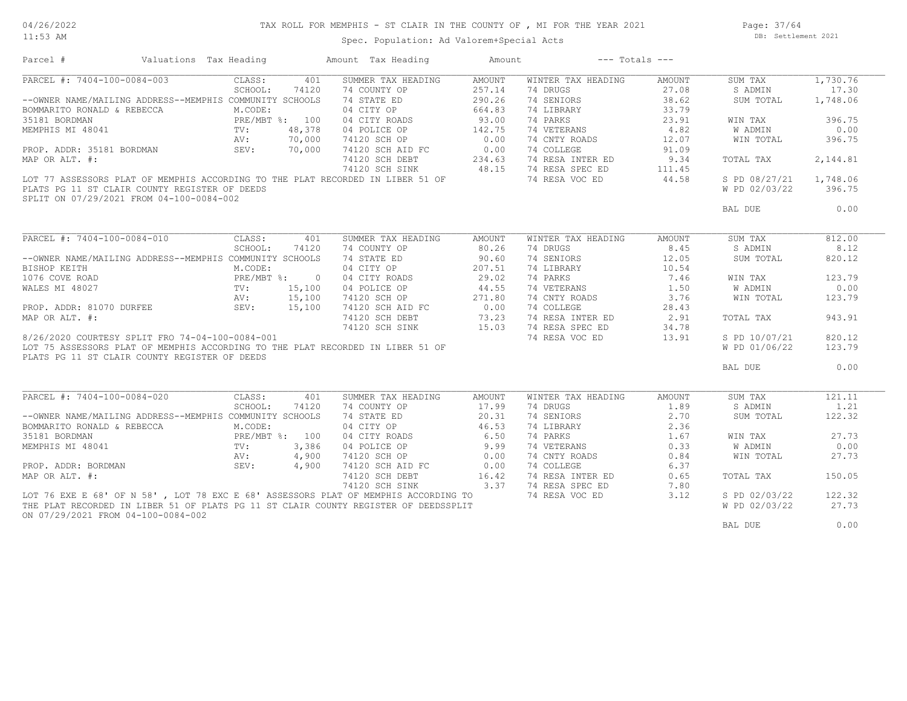#### TAX ROLL FOR MEMPHIS - ST CLAIR IN THE COUNTY OF , MI FOR THE YEAR 2021

11:53 AM

#### Spec. Population: Ad Valorem+Special Acts

Page: 37/64 DB: Settlement 2021

| Parcel #                                                                                                                                                                                                          | Valuations Tax Heading |            |       | Amount Tax Heading                                                                                                                | Amount              | $---$ Totals $---$                                                                                                                                                           |                    |                        |          |
|-------------------------------------------------------------------------------------------------------------------------------------------------------------------------------------------------------------------|------------------------|------------|-------|-----------------------------------------------------------------------------------------------------------------------------------|---------------------|------------------------------------------------------------------------------------------------------------------------------------------------------------------------------|--------------------|------------------------|----------|
| PARCEL #: 7404-100-0084-003                                                                                                                                                                                       |                        | CLASS:     | 401   | SUMMER TAX HEADING                                                                                                                | AMOUNT              | WINTER TAX HEADING                                                                                                                                                           | AMOUNT             | SUM TAX                | 1,730.76 |
|                                                                                                                                                                                                                   |                        | SCHOOL:    | 74120 | 74 COUNTY OP                                                                                                                      | 257.14              | 74 DRUGS                                                                                                                                                                     | 27.08              | S ADMIN                | 17.30    |
| --OWNER NAME/MAILING ADDRESS--MEMPHIS COMMUNITY SCHOOLS                                                                                                                                                           |                        |            |       | 74 STATE ED                                                                                                                       | 290.26              | 74 SENIORS                                                                                                                                                                   | 38.62              | SUM TOTAL              | 1,748.06 |
| BOMMARITO RONALD & REBECCA<br>MARITO RONALD & REBECCA<br>35181 BORDMAN PRE/MBT *: 100<br>MEMPHIS MI 48041 TV: 48,378<br>PROP. ADDR: 35181 BORDMAN AV: 70,000<br>MAP OR ALT. #: 70,000<br>MAP OR ALT. #:           |                        |            |       | 04 CITY OP                                                                                                                        | 664.83              | 74 LIBRARY                                                                                                                                                                   | 33.79              |                        |          |
|                                                                                                                                                                                                                   |                        |            |       | 04 CITY ROADS                                                                                                                     |                     | 74 LIBRANT<br>74 PARKS<br>74 VETERANS<br>74 CNTY ROADS<br>74 CNTY ROADS<br>74 CNTY ROADS<br>74 201109                                                                        |                    | WIN TAX                | 396.75   |
|                                                                                                                                                                                                                   |                        |            |       | 04 POLICE OP                                                                                                                      | $93.00$<br>$142.75$ |                                                                                                                                                                              |                    | <b>W ADMIN</b>         | 0.00     |
|                                                                                                                                                                                                                   |                        |            |       | 74120 SCH OP<br>74120 SCH OP 0.00<br>74120 SCH DEBT 234.63                                                                        |                     |                                                                                                                                                                              |                    | WIN TOTAL              | 396.75   |
|                                                                                                                                                                                                                   |                        |            |       |                                                                                                                                   |                     |                                                                                                                                                                              |                    |                        |          |
|                                                                                                                                                                                                                   |                        |            |       |                                                                                                                                   |                     | 74 RESA INTER ED 9.34                                                                                                                                                        |                    | TOTAL TAX              | 2,144.81 |
|                                                                                                                                                                                                                   |                        |            |       |                                                                                                                                   |                     |                                                                                                                                                                              |                    |                        |          |
| 111.45 74 RESA SPEC ED 111.45<br>LOT 77 ASSESSORS PLAT OF MEMPHIS ACCORDING TO THE PLAT RECORDED IN LIBER 51 OF 77 RESA VOC ED 44.58                                                                              |                        |            |       |                                                                                                                                   |                     |                                                                                                                                                                              |                    | S PD 08/27/21 1,748.06 |          |
| PLATS PG 11 ST CLAIR COUNTY REGISTER OF DEEDS                                                                                                                                                                     |                        |            |       |                                                                                                                                   |                     |                                                                                                                                                                              |                    | W PD 02/03/22          | 396.75   |
| SPLIT ON 07/29/2021 FROM 04-100-0084-002                                                                                                                                                                          |                        |            |       |                                                                                                                                   |                     |                                                                                                                                                                              |                    |                        |          |
|                                                                                                                                                                                                                   |                        |            |       |                                                                                                                                   |                     |                                                                                                                                                                              |                    | BAL DUE                | 0.00     |
|                                                                                                                                                                                                                   |                        |            |       |                                                                                                                                   |                     |                                                                                                                                                                              |                    |                        |          |
| PARCEL #: 7404-100-0084-010                                                                                                                                                                                       |                        | CLASS: 401 |       | SUMMER TAX HEADING                                                                                                                | AMOUNT              | WINTER TAX HEADING                                                                                                                                                           | AMOUNT             | SUM TAX                | 812.00   |
|                                                                                                                                                                                                                   |                        | SCHOOL:    | 74120 | 74 COUNTY OP                                                                                                                      | 80.26               | 74 DRUGS                                                                                                                                                                     | 8.45               | S ADMIN                | 8.12     |
| --OWNER NAME/MAILING ADDRESS--MEMPHIS COMMUNITY SCHOOLS                                                                                                                                                           |                        |            |       | 74 STATE ED<br>04 CITY OP                                                                                                         | 90.60               | 74 SENIORS<br>74 LIBRARY                                                                                                                                                     | 12.05              | SUM TOTAL              | 820.12   |
|                                                                                                                                                                                                                   |                        |            |       |                                                                                                                                   | 207.51              |                                                                                                                                                                              | 10.54              |                        |          |
|                                                                                                                                                                                                                   |                        |            |       |                                                                                                                                   |                     | 74 PARKS                                                                                                                                                                     |                    | WIN TAX                | 123.79   |
| --OWNER NAME/ MAILING ADDRIES<br>BISHOP KEITH<br>1076 COVE ROAD<br>WALES MI 48027<br>WALES MI 48027<br>PROP. ADDR: 81070 DURFEE<br>MAP OR ALT. #:<br>MAP OR ALT. #:<br>PROP. ADDR: 81070 DURFEE<br>MAP OR ALT. #: |                        |            |       | 04 CITY ROADS 29.02<br>04 POLICE OP 44.55                                                                                         |                     | 74 VETERANS                                                                                                                                                                  | $7.46$<br>3 $1.50$ | W ADMIN                | 0.00     |
|                                                                                                                                                                                                                   |                        |            |       |                                                                                                                                   |                     | 74 CNTY ROADS 3.76                                                                                                                                                           |                    | WIN TOTAL              | 123.79   |
|                                                                                                                                                                                                                   |                        |            |       |                                                                                                                                   |                     | 74 COLLEGE                                                                                                                                                                   | 28.43              |                        |          |
|                                                                                                                                                                                                                   |                        |            |       |                                                                                                                                   |                     | 74 RESA INTER ED 2.91                                                                                                                                                        |                    | TOTAL TAX              | 943.91   |
|                                                                                                                                                                                                                   |                        |            |       |                                                                                                                                   |                     | 74 RESA SPEC ED                                                                                                                                                              | 34.78              |                        |          |
| 8/26/2020 COURTESY SPLIT FRO 74-04-100-0084-001                                                                                                                                                                   |                        |            |       |                                                                                                                                   |                     | 74 KESA SPEC ED<br>74 RESA VOC ED                                                                                                                                            | 13.91              | S PD 10/07/21          | 820.12   |
| LOT 75 ASSESSORS PLAT OF MEMPHIS ACCORDING TO THE PLAT RECORDED IN LIBER 51 OF                                                                                                                                    |                        |            |       | 04 CHA 1.1<br>04 POLICE OP<br>74120 SCH AID FC<br>74120 SCH AID FC<br>74120 SCH DEBT<br>74120 SCH SINK<br>74120 SCH SINK<br>75.03 |                     |                                                                                                                                                                              |                    | W PD 01/06/22          | 123.79   |
| PLATS PG 11 ST CLAIR COUNTY REGISTER OF DEEDS                                                                                                                                                                     |                        |            |       |                                                                                                                                   |                     |                                                                                                                                                                              |                    |                        |          |
|                                                                                                                                                                                                                   |                        |            |       |                                                                                                                                   |                     |                                                                                                                                                                              |                    | BAL DUE                | 0.00     |
|                                                                                                                                                                                                                   |                        |            |       |                                                                                                                                   |                     |                                                                                                                                                                              |                    |                        |          |
| PARCEL #: 7404-100-0084-020                                                                                                                                                                                       |                        | CLASS:     | 401   | SUMMER TAX HEADING                                                                                                                | AMOUNT              | WINTER TAX HEADING                                                                                                                                                           | AMOUNT             | SUM TAX                | 121.11   |
|                                                                                                                                                                                                                   |                        | SCHOOL:    | 74120 | 74 COUNTY OP                                                                                                                      |                     | 74 DRUGS                                                                                                                                                                     | 1.89               | S ADMIN                | 1.21     |
| --OWNER NAME/MAILING ADDRESS--MEMPHIS COMMUNITY SCHOOLS                                                                                                                                                           |                        |            |       |                                                                                                                                   | 17.99<br>20.31      | 74 SENIORS                                                                                                                                                                   | 2.70               |                        | 122.32   |
|                                                                                                                                                                                                                   |                        |            |       | 74 STATE ED<br>04 CITY OP                                                                                                         | 46.53               |                                                                                                                                                                              | 2.36               | SUM TOTAL              |          |
| BOMMARITO RONALD & REBECCA<br>MARITO RONALD & REBECCA<br>35181 BORDMAN PRE/MBT *: 100<br>MEMPHIS MI 48041 TV: 3,386<br>PROP. ADDR: BORDMAN SEV: 4,900<br>MAR OR ALT. #: 4,900<br>MAR OR ALT. #:                   |                        |            |       |                                                                                                                                   |                     | 74 LIBRARY                                                                                                                                                                   |                    |                        | 27.73    |
|                                                                                                                                                                                                                   |                        |            |       | 04 CITY ROADS<br>04 POLICE OP                                                                                                     | 6.50                | $\begin{tabular}{llll} 74 \hbox{ PARKS} & & & 1.67 \\ 74 \hbox{ VETERANS} & & 0.33 \\ 74 \hbox{ CNTY ROADS} & & 0.84 \\ 74 \hbox{ COLLEGE} & & 6.37 \\ \hline \end{tabular}$ |                    | WIN TAX                |          |
|                                                                                                                                                                                                                   |                        |            |       |                                                                                                                                   | 9.99                |                                                                                                                                                                              |                    | W ADMIN                | 0.00     |
|                                                                                                                                                                                                                   |                        |            |       | 74120 SCH OP 0.00<br>74120 SCH AID FC 0.00                                                                                        |                     |                                                                                                                                                                              |                    | WIN TOTAL              | 27.73    |
|                                                                                                                                                                                                                   |                        |            |       |                                                                                                                                   |                     |                                                                                                                                                                              |                    |                        |          |
|                                                                                                                                                                                                                   |                        |            |       | 74120 SCH DEBT                                                                                                                    | 16.42               |                                                                                                                                                                              |                    | TOTAL TAX              | 150.05   |
|                                                                                                                                                                                                                   |                        |            |       | 74120 SCH SINK 3.37 74 RESA SPEC ED                                                                                               |                     |                                                                                                                                                                              | 7.80               |                        |          |
| LOT 76 EXE E 68' OF N 58', LOT 78 EXC E 68' ASSESSORS PLAT OF MEMPHIS ACCORDING TO                                                                                                                                |                        |            |       |                                                                                                                                   |                     | 74 RESA VOC ED                                                                                                                                                               | 3.12               | S PD 02/03/22          | 122.32   |
| THE PLAT RECORDED IN LIBER 51 OF PLATS PG 11 ST CLAIR COUNTY REGISTER OF DEEDSSPLIT                                                                                                                               |                        |            |       |                                                                                                                                   |                     |                                                                                                                                                                              |                    | W PD 02/03/22          | 27.73    |
| ON 07/29/2021 FROM 04-100-0084-002                                                                                                                                                                                |                        |            |       |                                                                                                                                   |                     |                                                                                                                                                                              |                    |                        |          |
|                                                                                                                                                                                                                   |                        |            |       |                                                                                                                                   |                     |                                                                                                                                                                              |                    | BAL DUE                | 0.00     |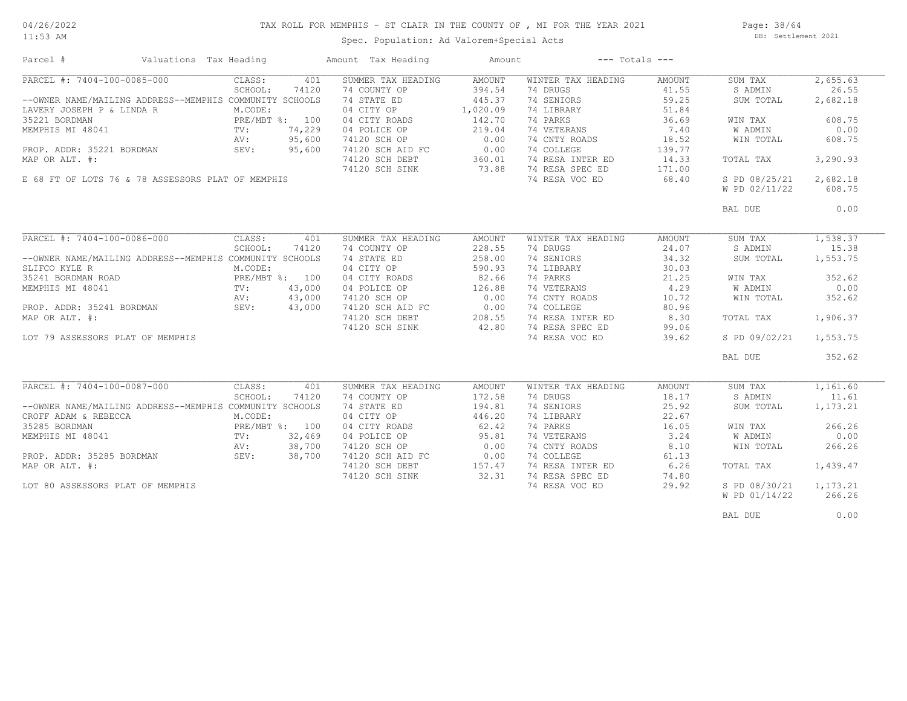#### 11:53 AM

#### TAX ROLL FOR MEMPHIS - ST CLAIR IN THE COUNTY OF , MI FOR THE YEAR 2021

Spec. Population: Ad Valorem+Special Acts

Page: 38/64 DB: Settlement 2021

| PARCEL #: 7404-100-0085-000<br>401<br>SUMMER TAX HEADING<br>AMOUNT<br>WINTER TAX HEADING<br>SUM TAX<br>CLASS:<br>AMOUNT<br>SCHOOL:<br>74120<br>74 COUNTY OP<br>394.54<br>74 DRUGS<br>41.55<br>S ADMIN<br>445.37<br>74 SENIORS<br>59.25<br>--OWNER NAME/MAILING ADDRESS--MEMPHIS COMMUNITY SCHOOLS<br>74 STATE ED<br>SUM TOTAL<br>04 CITY OP<br>1,020.09<br>74 LIBRARY<br>51.84<br>LAVERY JOSEPH P & LINDA R<br>M.CODE:<br>PRE/MBT %: 100<br>142.70<br>74 PARKS<br>36.69<br>04 CITY ROADS<br>WIN TAX<br>74,229<br>04 POLICE OP<br>219.04<br>74 VETERANS<br>7.40<br><b>W ADMIN</b><br>TV:<br>95,600<br>0.00<br>74 CNTY ROADS<br>18.52<br>74120 SCH OP<br>WIN TOTAL<br>AV:<br>PROP. ADDR: 35221 BORDMAN<br>95,600<br>SEV:<br>74120 SCH AID FC<br>0.00<br>74 COLLEGE<br>139.77<br>MAP OR ALT. #:<br>360.01<br>74 RESA INTER ED<br>14.33<br>TOTAL TAX<br>74120 SCH DEBT<br>74 RESA SPEC ED<br>74120 SCH SINK<br>73.88<br>171.00<br>E 68 FT OF LOTS 76 & 78 ASSESSORS PLAT OF MEMPHIS<br>74 RESA VOC ED<br>68.40<br>S PD 08/25/21<br>W PD 02/11/22<br>BAL DUE<br>PARCEL #: 7404-100-0086-000<br>SUMMER TAX HEADING<br>WINTER TAX HEADING<br>1,538.37<br>CLASS:<br>401<br><b>AMOUNT</b><br><b>AMOUNT</b><br>SUM TAX<br>SCHOOL:<br>74120<br>74 COUNTY OP<br>228.55<br>74 DRUGS<br>24.07<br>S ADMIN<br>74 SENIORS<br>34.32<br>1,553.75<br>--OWNER NAME/MAILING ADDRESS--MEMPHIS COMMUNITY SCHOOLS<br>74 STATE ED<br>258.00<br>SUM TOTAL<br>SLIFCO KYLE R<br>M.CODE:<br>04 CITY OP<br>590.93<br>74 LIBRARY<br>30.03<br>74 PARKS<br>35241 BORDMAN ROAD<br>PRE/MBT %: 100<br>04 CITY ROADS<br>82.66<br>21.25<br>WIN TAX<br>4.29<br>43,000<br>04 POLICE OP<br>126.88<br>74 VETERANS<br><b>W ADMIN</b><br>MEMPHIS MI 48041<br>TV:<br>43,000<br>74120 SCH OP<br>0.00<br>74 CNTY ROADS<br>10.72<br>AV:<br>WIN TOTAL<br>PROP. ADDR: 35241 BORDMAN<br>MAP OR ALT. #:<br>43,000<br>0.00<br>80.96<br>SEV:<br>74120 SCH AID FC<br>74 COLLEGE<br>74120 SCH DEBT<br>74 RESA INTER ED<br>8.30<br>208.55<br>TOTAL TAX<br>42.80<br>74 RESA SPEC ED<br>74120 SCH SINK<br>99.06<br>74 RESA VOC ED<br>39.62<br>S PD 09/02/21<br>LOT 79 ASSESSORS PLAT OF MEMPHIS<br>BAL DUE<br>PARCEL #: 7404-100-0087-000<br>CLASS:<br>401<br>SUMMER TAX HEADING<br><b>AMOUNT</b><br>WINTER TAX HEADING<br><b>AMOUNT</b><br>SUM TAX<br>18.17<br>SCHOOL:<br>74120<br>74 COUNTY OP<br>172.58<br>74 DRUGS<br>S ADMIN<br>--OWNER NAME/MAILING ADDRESS--MEMPHIS COMMUNITY SCHOOLS<br>74 STATE ED<br>194.81<br>74 SENIORS<br>25.92<br>SUM TOTAL<br>04 CITY OP<br>446.20<br>22.67<br>CROFF ADAM & REBECCA<br>M.CODE:<br>74 LIBRARY<br>35285 BORDMAN<br>PRE/MBT %: 100<br>04 CITY ROADS<br>62.42<br>74 PARKS<br>16.05<br>WIN TAX<br>32,469<br>95.81<br>74 VETERANS<br>3.24<br>04 POLICE OP<br>W ADMIN<br>$\text{TV}$ :<br>38,700<br>74120 SCH OP<br>0.00<br>74 CNTY ROADS<br>8.10<br>AV:<br>WIN TOTAL<br>PROP. ADDR: 35285 BORDMAN<br>SEV:<br>38,700<br>74120 SCH AID FC<br>0.00<br>74 COLLEGE<br>61.13<br>6.26<br>74120 SCH DEBT<br>157.47<br>74 RESA INTER ED<br>TOTAL TAX<br>32.31<br>74 RESA SPEC ED<br>74.80<br>74120 SCH SINK<br>29.92<br>LOT 80 ASSESSORS PLAT OF MEMPHIS<br>74 RESA VOC ED<br>S PD 08/30/21 | Parcel #         | Valuations Tax Heading |  | Amount Tax Heading | Amount | $---$ Totals $---$ |               |          |
|-----------------------------------------------------------------------------------------------------------------------------------------------------------------------------------------------------------------------------------------------------------------------------------------------------------------------------------------------------------------------------------------------------------------------------------------------------------------------------------------------------------------------------------------------------------------------------------------------------------------------------------------------------------------------------------------------------------------------------------------------------------------------------------------------------------------------------------------------------------------------------------------------------------------------------------------------------------------------------------------------------------------------------------------------------------------------------------------------------------------------------------------------------------------------------------------------------------------------------------------------------------------------------------------------------------------------------------------------------------------------------------------------------------------------------------------------------------------------------------------------------------------------------------------------------------------------------------------------------------------------------------------------------------------------------------------------------------------------------------------------------------------------------------------------------------------------------------------------------------------------------------------------------------------------------------------------------------------------------------------------------------------------------------------------------------------------------------------------------------------------------------------------------------------------------------------------------------------------------------------------------------------------------------------------------------------------------------------------------------------------------------------------------------------------------------------------------------------------------------------------------------------------------------------------------------------------------------------------------------------------------------------------------------------------------------------------------------------------------------------------------------------------------------------------------------------------------------------------------------------------------------------------------------------------------------------------------------------------------------------------------------------------------------------------------------------------------------------------------------------------------------------------------------------|------------------|------------------------|--|--------------------|--------|--------------------|---------------|----------|
|                                                                                                                                                                                                                                                                                                                                                                                                                                                                                                                                                                                                                                                                                                                                                                                                                                                                                                                                                                                                                                                                                                                                                                                                                                                                                                                                                                                                                                                                                                                                                                                                                                                                                                                                                                                                                                                                                                                                                                                                                                                                                                                                                                                                                                                                                                                                                                                                                                                                                                                                                                                                                                                                                                                                                                                                                                                                                                                                                                                                                                                                                                                                                                 |                  |                        |  |                    |        |                    |               | 2,655.63 |
|                                                                                                                                                                                                                                                                                                                                                                                                                                                                                                                                                                                                                                                                                                                                                                                                                                                                                                                                                                                                                                                                                                                                                                                                                                                                                                                                                                                                                                                                                                                                                                                                                                                                                                                                                                                                                                                                                                                                                                                                                                                                                                                                                                                                                                                                                                                                                                                                                                                                                                                                                                                                                                                                                                                                                                                                                                                                                                                                                                                                                                                                                                                                                                 |                  |                        |  |                    |        |                    |               | 26.55    |
|                                                                                                                                                                                                                                                                                                                                                                                                                                                                                                                                                                                                                                                                                                                                                                                                                                                                                                                                                                                                                                                                                                                                                                                                                                                                                                                                                                                                                                                                                                                                                                                                                                                                                                                                                                                                                                                                                                                                                                                                                                                                                                                                                                                                                                                                                                                                                                                                                                                                                                                                                                                                                                                                                                                                                                                                                                                                                                                                                                                                                                                                                                                                                                 |                  |                        |  |                    |        |                    |               | 2,682.18 |
|                                                                                                                                                                                                                                                                                                                                                                                                                                                                                                                                                                                                                                                                                                                                                                                                                                                                                                                                                                                                                                                                                                                                                                                                                                                                                                                                                                                                                                                                                                                                                                                                                                                                                                                                                                                                                                                                                                                                                                                                                                                                                                                                                                                                                                                                                                                                                                                                                                                                                                                                                                                                                                                                                                                                                                                                                                                                                                                                                                                                                                                                                                                                                                 |                  |                        |  |                    |        |                    |               |          |
|                                                                                                                                                                                                                                                                                                                                                                                                                                                                                                                                                                                                                                                                                                                                                                                                                                                                                                                                                                                                                                                                                                                                                                                                                                                                                                                                                                                                                                                                                                                                                                                                                                                                                                                                                                                                                                                                                                                                                                                                                                                                                                                                                                                                                                                                                                                                                                                                                                                                                                                                                                                                                                                                                                                                                                                                                                                                                                                                                                                                                                                                                                                                                                 | 35221 BORDMAN    |                        |  |                    |        |                    |               | 608.75   |
|                                                                                                                                                                                                                                                                                                                                                                                                                                                                                                                                                                                                                                                                                                                                                                                                                                                                                                                                                                                                                                                                                                                                                                                                                                                                                                                                                                                                                                                                                                                                                                                                                                                                                                                                                                                                                                                                                                                                                                                                                                                                                                                                                                                                                                                                                                                                                                                                                                                                                                                                                                                                                                                                                                                                                                                                                                                                                                                                                                                                                                                                                                                                                                 | MEMPHIS MI 48041 |                        |  |                    |        |                    |               | 0.00     |
|                                                                                                                                                                                                                                                                                                                                                                                                                                                                                                                                                                                                                                                                                                                                                                                                                                                                                                                                                                                                                                                                                                                                                                                                                                                                                                                                                                                                                                                                                                                                                                                                                                                                                                                                                                                                                                                                                                                                                                                                                                                                                                                                                                                                                                                                                                                                                                                                                                                                                                                                                                                                                                                                                                                                                                                                                                                                                                                                                                                                                                                                                                                                                                 |                  |                        |  |                    |        |                    |               | 608.75   |
|                                                                                                                                                                                                                                                                                                                                                                                                                                                                                                                                                                                                                                                                                                                                                                                                                                                                                                                                                                                                                                                                                                                                                                                                                                                                                                                                                                                                                                                                                                                                                                                                                                                                                                                                                                                                                                                                                                                                                                                                                                                                                                                                                                                                                                                                                                                                                                                                                                                                                                                                                                                                                                                                                                                                                                                                                                                                                                                                                                                                                                                                                                                                                                 |                  |                        |  |                    |        |                    |               |          |
|                                                                                                                                                                                                                                                                                                                                                                                                                                                                                                                                                                                                                                                                                                                                                                                                                                                                                                                                                                                                                                                                                                                                                                                                                                                                                                                                                                                                                                                                                                                                                                                                                                                                                                                                                                                                                                                                                                                                                                                                                                                                                                                                                                                                                                                                                                                                                                                                                                                                                                                                                                                                                                                                                                                                                                                                                                                                                                                                                                                                                                                                                                                                                                 |                  |                        |  |                    |        |                    |               | 3,290.93 |
|                                                                                                                                                                                                                                                                                                                                                                                                                                                                                                                                                                                                                                                                                                                                                                                                                                                                                                                                                                                                                                                                                                                                                                                                                                                                                                                                                                                                                                                                                                                                                                                                                                                                                                                                                                                                                                                                                                                                                                                                                                                                                                                                                                                                                                                                                                                                                                                                                                                                                                                                                                                                                                                                                                                                                                                                                                                                                                                                                                                                                                                                                                                                                                 |                  |                        |  |                    |        |                    |               |          |
|                                                                                                                                                                                                                                                                                                                                                                                                                                                                                                                                                                                                                                                                                                                                                                                                                                                                                                                                                                                                                                                                                                                                                                                                                                                                                                                                                                                                                                                                                                                                                                                                                                                                                                                                                                                                                                                                                                                                                                                                                                                                                                                                                                                                                                                                                                                                                                                                                                                                                                                                                                                                                                                                                                                                                                                                                                                                                                                                                                                                                                                                                                                                                                 |                  |                        |  |                    |        |                    |               | 2,682.18 |
|                                                                                                                                                                                                                                                                                                                                                                                                                                                                                                                                                                                                                                                                                                                                                                                                                                                                                                                                                                                                                                                                                                                                                                                                                                                                                                                                                                                                                                                                                                                                                                                                                                                                                                                                                                                                                                                                                                                                                                                                                                                                                                                                                                                                                                                                                                                                                                                                                                                                                                                                                                                                                                                                                                                                                                                                                                                                                                                                                                                                                                                                                                                                                                 |                  |                        |  |                    |        |                    |               | 608.75   |
|                                                                                                                                                                                                                                                                                                                                                                                                                                                                                                                                                                                                                                                                                                                                                                                                                                                                                                                                                                                                                                                                                                                                                                                                                                                                                                                                                                                                                                                                                                                                                                                                                                                                                                                                                                                                                                                                                                                                                                                                                                                                                                                                                                                                                                                                                                                                                                                                                                                                                                                                                                                                                                                                                                                                                                                                                                                                                                                                                                                                                                                                                                                                                                 |                  |                        |  |                    |        |                    |               |          |
|                                                                                                                                                                                                                                                                                                                                                                                                                                                                                                                                                                                                                                                                                                                                                                                                                                                                                                                                                                                                                                                                                                                                                                                                                                                                                                                                                                                                                                                                                                                                                                                                                                                                                                                                                                                                                                                                                                                                                                                                                                                                                                                                                                                                                                                                                                                                                                                                                                                                                                                                                                                                                                                                                                                                                                                                                                                                                                                                                                                                                                                                                                                                                                 |                  |                        |  |                    |        |                    |               | 0.00     |
|                                                                                                                                                                                                                                                                                                                                                                                                                                                                                                                                                                                                                                                                                                                                                                                                                                                                                                                                                                                                                                                                                                                                                                                                                                                                                                                                                                                                                                                                                                                                                                                                                                                                                                                                                                                                                                                                                                                                                                                                                                                                                                                                                                                                                                                                                                                                                                                                                                                                                                                                                                                                                                                                                                                                                                                                                                                                                                                                                                                                                                                                                                                                                                 |                  |                        |  |                    |        |                    |               |          |
|                                                                                                                                                                                                                                                                                                                                                                                                                                                                                                                                                                                                                                                                                                                                                                                                                                                                                                                                                                                                                                                                                                                                                                                                                                                                                                                                                                                                                                                                                                                                                                                                                                                                                                                                                                                                                                                                                                                                                                                                                                                                                                                                                                                                                                                                                                                                                                                                                                                                                                                                                                                                                                                                                                                                                                                                                                                                                                                                                                                                                                                                                                                                                                 |                  |                        |  |                    |        |                    |               | 15.38    |
|                                                                                                                                                                                                                                                                                                                                                                                                                                                                                                                                                                                                                                                                                                                                                                                                                                                                                                                                                                                                                                                                                                                                                                                                                                                                                                                                                                                                                                                                                                                                                                                                                                                                                                                                                                                                                                                                                                                                                                                                                                                                                                                                                                                                                                                                                                                                                                                                                                                                                                                                                                                                                                                                                                                                                                                                                                                                                                                                                                                                                                                                                                                                                                 |                  |                        |  |                    |        |                    |               |          |
|                                                                                                                                                                                                                                                                                                                                                                                                                                                                                                                                                                                                                                                                                                                                                                                                                                                                                                                                                                                                                                                                                                                                                                                                                                                                                                                                                                                                                                                                                                                                                                                                                                                                                                                                                                                                                                                                                                                                                                                                                                                                                                                                                                                                                                                                                                                                                                                                                                                                                                                                                                                                                                                                                                                                                                                                                                                                                                                                                                                                                                                                                                                                                                 |                  |                        |  |                    |        |                    |               |          |
|                                                                                                                                                                                                                                                                                                                                                                                                                                                                                                                                                                                                                                                                                                                                                                                                                                                                                                                                                                                                                                                                                                                                                                                                                                                                                                                                                                                                                                                                                                                                                                                                                                                                                                                                                                                                                                                                                                                                                                                                                                                                                                                                                                                                                                                                                                                                                                                                                                                                                                                                                                                                                                                                                                                                                                                                                                                                                                                                                                                                                                                                                                                                                                 |                  |                        |  |                    |        |                    |               |          |
|                                                                                                                                                                                                                                                                                                                                                                                                                                                                                                                                                                                                                                                                                                                                                                                                                                                                                                                                                                                                                                                                                                                                                                                                                                                                                                                                                                                                                                                                                                                                                                                                                                                                                                                                                                                                                                                                                                                                                                                                                                                                                                                                                                                                                                                                                                                                                                                                                                                                                                                                                                                                                                                                                                                                                                                                                                                                                                                                                                                                                                                                                                                                                                 |                  |                        |  |                    |        |                    |               | 352.62   |
|                                                                                                                                                                                                                                                                                                                                                                                                                                                                                                                                                                                                                                                                                                                                                                                                                                                                                                                                                                                                                                                                                                                                                                                                                                                                                                                                                                                                                                                                                                                                                                                                                                                                                                                                                                                                                                                                                                                                                                                                                                                                                                                                                                                                                                                                                                                                                                                                                                                                                                                                                                                                                                                                                                                                                                                                                                                                                                                                                                                                                                                                                                                                                                 |                  |                        |  |                    |        |                    |               | 0.00     |
|                                                                                                                                                                                                                                                                                                                                                                                                                                                                                                                                                                                                                                                                                                                                                                                                                                                                                                                                                                                                                                                                                                                                                                                                                                                                                                                                                                                                                                                                                                                                                                                                                                                                                                                                                                                                                                                                                                                                                                                                                                                                                                                                                                                                                                                                                                                                                                                                                                                                                                                                                                                                                                                                                                                                                                                                                                                                                                                                                                                                                                                                                                                                                                 |                  |                        |  |                    |        |                    |               | 352.62   |
|                                                                                                                                                                                                                                                                                                                                                                                                                                                                                                                                                                                                                                                                                                                                                                                                                                                                                                                                                                                                                                                                                                                                                                                                                                                                                                                                                                                                                                                                                                                                                                                                                                                                                                                                                                                                                                                                                                                                                                                                                                                                                                                                                                                                                                                                                                                                                                                                                                                                                                                                                                                                                                                                                                                                                                                                                                                                                                                                                                                                                                                                                                                                                                 |                  |                        |  |                    |        |                    |               |          |
|                                                                                                                                                                                                                                                                                                                                                                                                                                                                                                                                                                                                                                                                                                                                                                                                                                                                                                                                                                                                                                                                                                                                                                                                                                                                                                                                                                                                                                                                                                                                                                                                                                                                                                                                                                                                                                                                                                                                                                                                                                                                                                                                                                                                                                                                                                                                                                                                                                                                                                                                                                                                                                                                                                                                                                                                                                                                                                                                                                                                                                                                                                                                                                 |                  |                        |  |                    |        |                    |               | 1,906.37 |
|                                                                                                                                                                                                                                                                                                                                                                                                                                                                                                                                                                                                                                                                                                                                                                                                                                                                                                                                                                                                                                                                                                                                                                                                                                                                                                                                                                                                                                                                                                                                                                                                                                                                                                                                                                                                                                                                                                                                                                                                                                                                                                                                                                                                                                                                                                                                                                                                                                                                                                                                                                                                                                                                                                                                                                                                                                                                                                                                                                                                                                                                                                                                                                 |                  |                        |  |                    |        |                    |               |          |
|                                                                                                                                                                                                                                                                                                                                                                                                                                                                                                                                                                                                                                                                                                                                                                                                                                                                                                                                                                                                                                                                                                                                                                                                                                                                                                                                                                                                                                                                                                                                                                                                                                                                                                                                                                                                                                                                                                                                                                                                                                                                                                                                                                                                                                                                                                                                                                                                                                                                                                                                                                                                                                                                                                                                                                                                                                                                                                                                                                                                                                                                                                                                                                 |                  |                        |  |                    |        |                    |               | 1,553.75 |
|                                                                                                                                                                                                                                                                                                                                                                                                                                                                                                                                                                                                                                                                                                                                                                                                                                                                                                                                                                                                                                                                                                                                                                                                                                                                                                                                                                                                                                                                                                                                                                                                                                                                                                                                                                                                                                                                                                                                                                                                                                                                                                                                                                                                                                                                                                                                                                                                                                                                                                                                                                                                                                                                                                                                                                                                                                                                                                                                                                                                                                                                                                                                                                 |                  |                        |  |                    |        |                    |               | 352.62   |
|                                                                                                                                                                                                                                                                                                                                                                                                                                                                                                                                                                                                                                                                                                                                                                                                                                                                                                                                                                                                                                                                                                                                                                                                                                                                                                                                                                                                                                                                                                                                                                                                                                                                                                                                                                                                                                                                                                                                                                                                                                                                                                                                                                                                                                                                                                                                                                                                                                                                                                                                                                                                                                                                                                                                                                                                                                                                                                                                                                                                                                                                                                                                                                 |                  |                        |  |                    |        |                    |               |          |
|                                                                                                                                                                                                                                                                                                                                                                                                                                                                                                                                                                                                                                                                                                                                                                                                                                                                                                                                                                                                                                                                                                                                                                                                                                                                                                                                                                                                                                                                                                                                                                                                                                                                                                                                                                                                                                                                                                                                                                                                                                                                                                                                                                                                                                                                                                                                                                                                                                                                                                                                                                                                                                                                                                                                                                                                                                                                                                                                                                                                                                                                                                                                                                 |                  |                        |  |                    |        |                    |               | 1,161.60 |
|                                                                                                                                                                                                                                                                                                                                                                                                                                                                                                                                                                                                                                                                                                                                                                                                                                                                                                                                                                                                                                                                                                                                                                                                                                                                                                                                                                                                                                                                                                                                                                                                                                                                                                                                                                                                                                                                                                                                                                                                                                                                                                                                                                                                                                                                                                                                                                                                                                                                                                                                                                                                                                                                                                                                                                                                                                                                                                                                                                                                                                                                                                                                                                 |                  |                        |  |                    |        |                    |               | 11.61    |
|                                                                                                                                                                                                                                                                                                                                                                                                                                                                                                                                                                                                                                                                                                                                                                                                                                                                                                                                                                                                                                                                                                                                                                                                                                                                                                                                                                                                                                                                                                                                                                                                                                                                                                                                                                                                                                                                                                                                                                                                                                                                                                                                                                                                                                                                                                                                                                                                                                                                                                                                                                                                                                                                                                                                                                                                                                                                                                                                                                                                                                                                                                                                                                 |                  |                        |  |                    |        |                    |               | 1,173.21 |
|                                                                                                                                                                                                                                                                                                                                                                                                                                                                                                                                                                                                                                                                                                                                                                                                                                                                                                                                                                                                                                                                                                                                                                                                                                                                                                                                                                                                                                                                                                                                                                                                                                                                                                                                                                                                                                                                                                                                                                                                                                                                                                                                                                                                                                                                                                                                                                                                                                                                                                                                                                                                                                                                                                                                                                                                                                                                                                                                                                                                                                                                                                                                                                 |                  |                        |  |                    |        |                    |               |          |
|                                                                                                                                                                                                                                                                                                                                                                                                                                                                                                                                                                                                                                                                                                                                                                                                                                                                                                                                                                                                                                                                                                                                                                                                                                                                                                                                                                                                                                                                                                                                                                                                                                                                                                                                                                                                                                                                                                                                                                                                                                                                                                                                                                                                                                                                                                                                                                                                                                                                                                                                                                                                                                                                                                                                                                                                                                                                                                                                                                                                                                                                                                                                                                 |                  |                        |  |                    |        |                    |               | 266.26   |
|                                                                                                                                                                                                                                                                                                                                                                                                                                                                                                                                                                                                                                                                                                                                                                                                                                                                                                                                                                                                                                                                                                                                                                                                                                                                                                                                                                                                                                                                                                                                                                                                                                                                                                                                                                                                                                                                                                                                                                                                                                                                                                                                                                                                                                                                                                                                                                                                                                                                                                                                                                                                                                                                                                                                                                                                                                                                                                                                                                                                                                                                                                                                                                 | MEMPHIS MI 48041 |                        |  |                    |        |                    |               | 0.00     |
|                                                                                                                                                                                                                                                                                                                                                                                                                                                                                                                                                                                                                                                                                                                                                                                                                                                                                                                                                                                                                                                                                                                                                                                                                                                                                                                                                                                                                                                                                                                                                                                                                                                                                                                                                                                                                                                                                                                                                                                                                                                                                                                                                                                                                                                                                                                                                                                                                                                                                                                                                                                                                                                                                                                                                                                                                                                                                                                                                                                                                                                                                                                                                                 |                  |                        |  |                    |        |                    |               | 266.26   |
|                                                                                                                                                                                                                                                                                                                                                                                                                                                                                                                                                                                                                                                                                                                                                                                                                                                                                                                                                                                                                                                                                                                                                                                                                                                                                                                                                                                                                                                                                                                                                                                                                                                                                                                                                                                                                                                                                                                                                                                                                                                                                                                                                                                                                                                                                                                                                                                                                                                                                                                                                                                                                                                                                                                                                                                                                                                                                                                                                                                                                                                                                                                                                                 |                  |                        |  |                    |        |                    |               |          |
|                                                                                                                                                                                                                                                                                                                                                                                                                                                                                                                                                                                                                                                                                                                                                                                                                                                                                                                                                                                                                                                                                                                                                                                                                                                                                                                                                                                                                                                                                                                                                                                                                                                                                                                                                                                                                                                                                                                                                                                                                                                                                                                                                                                                                                                                                                                                                                                                                                                                                                                                                                                                                                                                                                                                                                                                                                                                                                                                                                                                                                                                                                                                                                 | MAP OR ALT. #:   |                        |  |                    |        |                    |               | 1,439.47 |
|                                                                                                                                                                                                                                                                                                                                                                                                                                                                                                                                                                                                                                                                                                                                                                                                                                                                                                                                                                                                                                                                                                                                                                                                                                                                                                                                                                                                                                                                                                                                                                                                                                                                                                                                                                                                                                                                                                                                                                                                                                                                                                                                                                                                                                                                                                                                                                                                                                                                                                                                                                                                                                                                                                                                                                                                                                                                                                                                                                                                                                                                                                                                                                 |                  |                        |  |                    |        |                    |               |          |
|                                                                                                                                                                                                                                                                                                                                                                                                                                                                                                                                                                                                                                                                                                                                                                                                                                                                                                                                                                                                                                                                                                                                                                                                                                                                                                                                                                                                                                                                                                                                                                                                                                                                                                                                                                                                                                                                                                                                                                                                                                                                                                                                                                                                                                                                                                                                                                                                                                                                                                                                                                                                                                                                                                                                                                                                                                                                                                                                                                                                                                                                                                                                                                 |                  |                        |  |                    |        |                    |               | 1,173.21 |
|                                                                                                                                                                                                                                                                                                                                                                                                                                                                                                                                                                                                                                                                                                                                                                                                                                                                                                                                                                                                                                                                                                                                                                                                                                                                                                                                                                                                                                                                                                                                                                                                                                                                                                                                                                                                                                                                                                                                                                                                                                                                                                                                                                                                                                                                                                                                                                                                                                                                                                                                                                                                                                                                                                                                                                                                                                                                                                                                                                                                                                                                                                                                                                 |                  |                        |  |                    |        |                    | W PD 01/14/22 | 266.26   |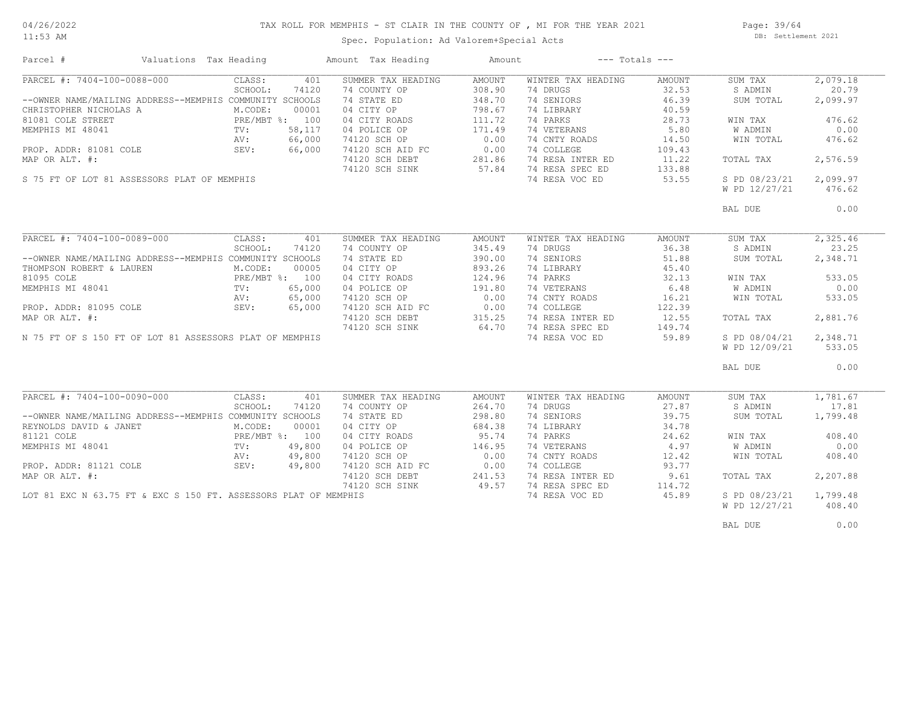# TAX ROLL FOR MEMPHIS - ST CLAIR IN THE COUNTY OF , MI FOR THE YEAR 2021

11:53 AM

## Spec. Population: Ad Valorem+Special Acts

Page: 39/64 DB: Settlement 2021

| Parcel #                                                        | Valuations Tax Heading |                | Amount Tax Heading | Amount              | $---$ Totals $---$ |        |               |          |
|-----------------------------------------------------------------|------------------------|----------------|--------------------|---------------------|--------------------|--------|---------------|----------|
| PARCEL #: 7404-100-0088-000                                     | CLASS:                 | 401            | SUMMER TAX HEADING | AMOUNT              | WINTER TAX HEADING | AMOUNT | SUM TAX       | 2,079.18 |
|                                                                 | SCHOOL:                | 74120          | 74 COUNTY OP       | 308.90              | 74 DRUGS           | 32.53  | S ADMIN       | 20.79    |
| --OWNER NAME/MAILING ADDRESS--MEMPHIS COMMUNITY SCHOOLS         |                        |                | 74 STATE ED        | 348.70              | 74 SENIORS         | 46.39  | SUM TOTAL     | 2,099.97 |
| CHRISTOPHER NICHOLAS A                                          | M.CODE:                | 00001          | 04 CITY OP         | 798.67              | 74 LIBRARY         | 40.59  |               |          |
| 81081 COLE STREET                                               |                        | PRE/MBT %: 100 | 04 CITY ROADS      | 111.72              | 74 PARKS           | 28.73  | WIN TAX       | 476.62   |
| MEMPHIS MI 48041                                                | $\text{TV}$ :          | 58,117         | 04 POLICE OP       | 171.49              | 74 VETERANS        | 5.80   | W ADMIN       | 0.00     |
|                                                                 | AV:                    | 66,000         | 74120 SCH OP       | 0.00                | 74 CNTY ROADS      | 14.50  | WIN TOTAL     | 476.62   |
|                                                                 |                        |                |                    |                     | 74 COLLEGE         |        |               |          |
| PROP. ADDR: 81081 COLE                                          | SEV:                   | 66,000         | 74120 SCH AID FC   | 0.00                |                    | 109.43 |               |          |
| MAP OR ALT. #:                                                  |                        |                | 74120 SCH DEBT     | 281.86              | 74 RESA INTER ED   | 11.22  | TOTAL TAX     | 2,576.59 |
|                                                                 |                        |                | 74120 SCH SINK     | 57.84               | 74 RESA SPEC ED    | 133.88 |               |          |
| S 75 FT OF LOT 81 ASSESSORS PLAT OF MEMPHIS                     |                        |                |                    |                     | 74 RESA VOC ED     | 53.55  | S PD 08/23/21 | 2,099.97 |
|                                                                 |                        |                |                    |                     |                    |        | W PD 12/27/21 | 476.62   |
|                                                                 |                        |                |                    |                     |                    |        | BAL DUE       | 0.00     |
|                                                                 |                        |                |                    |                     |                    |        |               |          |
| PARCEL #: 7404-100-0089-000                                     | CLASS:                 | 401            | SUMMER TAX HEADING | AMOUNT              | WINTER TAX HEADING | AMOUNT | SUM TAX       | 2,325.46 |
|                                                                 | SCHOOL:                | 74120          | 74 COUNTY OP       | 345.49              | 74 DRUGS           | 36.38  | S ADMIN       | 23.25    |
| --OWNER NAME/MAILING ADDRESS--MEMPHIS COMMUNITY SCHOOLS         |                        |                | 74 STATE ED        | 390.00              | 74 SENIORS         | 51.88  | SUM TOTAL     | 2,348.71 |
| THOMPSON ROBERT & LAUREN                                        | M.CODE:                | 00005          | 04 CITY OP         | 893.26              | 74 LIBRARY         | 45.40  |               |          |
| 81095 COLE                                                      |                        | PRE/MBT %: 100 | 04 CITY ROADS      | 124.96              | 74 PARKS           | 32.13  |               | 533.05   |
|                                                                 |                        |                |                    |                     |                    |        | WIN TAX       |          |
| MEMPHIS MI 48041                                                | TV:                    | 65,000         | 04 POLICE OP       | 191.80              | 74 VETERANS        | 6.48   | W ADMIN       | 0.00     |
|                                                                 | AV:                    | 65,000         | 74120 SCH OP       | 0.00                | 74 CNTY ROADS      | 16.21  | WIN TOTAL     | 533.05   |
| PROP. ADDR: 81095 COLE                                          | SEV:                   | 65,000         | 74120 SCH AID FC   | 0.00                | 74 COLLEGE         | 122.39 |               |          |
| MAP OR ALT. #:                                                  |                        |                | 74120 SCH DEBT     | 315.25              | 74 RESA INTER ED   | 12.55  | TOTAL TAX     | 2,881.76 |
|                                                                 |                        |                | 74120 SCH SINK     | 64.70               | 74 RESA SPEC ED    | 149.74 |               |          |
| N 75 FT OF S 150 FT OF LOT 81 ASSESSORS PLAT OF MEMPHIS         |                        |                |                    |                     | 74 RESA VOC ED     | 59.89  | S PD 08/04/21 | 2,348.71 |
|                                                                 |                        |                |                    |                     |                    |        | W PD 12/09/21 | 533.05   |
|                                                                 |                        |                |                    |                     |                    |        | BAL DUE       | 0.00     |
|                                                                 |                        |                |                    |                     |                    |        |               |          |
| PARCEL #: 7404-100-0090-000                                     | CLASS:                 | 401            | SUMMER TAX HEADING | AMOUNT              | WINTER TAX HEADING | AMOUNT | SUM TAX       | 1,781.67 |
|                                                                 | SCHOOL:                | 74120          | 74 COUNTY OP       | 264.70              | 74 DRUGS           | 27.87  | S ADMIN       | 17.81    |
| --OWNER NAME/MAILING ADDRESS--MEMPHIS COMMUNITY SCHOOLS         |                        |                | 74 STATE ED        | 298.80              | 74 SENIORS         | 39.75  | SUM TOTAL     | 1,799.48 |
| REYNOLDS DAVID & JANET                                          | M.CODE:                | 00001          | 04 CITY OP         | 684.38              | 74 LIBRARY         | 34.78  |               |          |
| 81121 COLE                                                      |                        | PRE/MBT %: 100 | 04 CITY ROADS      | 95.74               | 74 PARKS           | 24.62  | WIN TAX       | 408.40   |
| MEMPHIS MI 48041                                                | TV:                    | 49,800         | 04 POLICE OP       | 146.95              | 74 VETERANS        | 4.97   | W ADMIN       | 0.00     |
|                                                                 | AV:                    | 49,800         | 74120 SCH OP       | 0.00                | 74 CNTY ROADS      | 12.42  | WIN TOTAL     | 408.40   |
| PROP. ADDR: 81121 COLE                                          | SEV:                   | 49,800         | 74120 SCH AID FC   | 0.00                | 74 COLLEGE         | 93.77  |               |          |
| MAP OR ALT. #:                                                  |                        |                | 74120 SCH DEBT     | $241.53$<br>$49.57$ | 74 RESA INTER ED   | 9.61   | TOTAL TAX     | 2,207.88 |
|                                                                 |                        |                | 74120 SCH SINK     |                     | 74 RESA SPEC ED    | 114.72 |               |          |
| LOT 81 EXC N 63.75 FT & EXC S 150 FT. ASSESSORS PLAT OF MEMPHIS |                        |                |                    |                     | 74 RESA VOC ED     | 45.89  | S PD 08/23/21 | 1,799.48 |
|                                                                 |                        |                |                    |                     |                    |        | W PD 12/27/21 | 408.40   |
|                                                                 |                        |                |                    |                     |                    |        | BAL DUE       | 0.00     |
|                                                                 |                        |                |                    |                     |                    |        |               |          |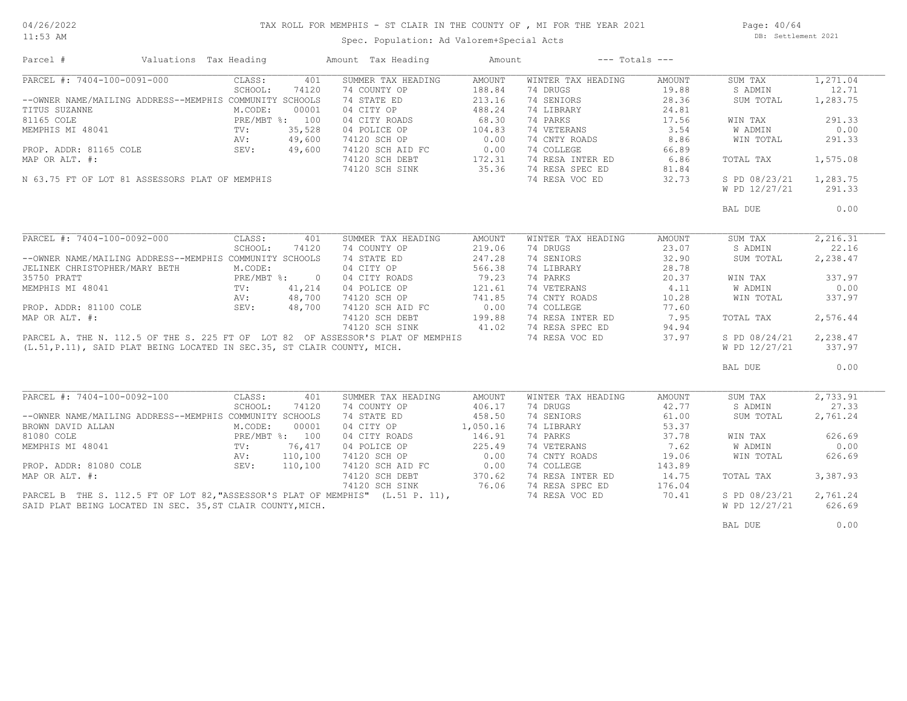# TAX ROLL FOR MEMPHIS - ST CLAIR IN THE COUNTY OF , MI FOR THE YEAR 2021

11:53 AM

## Spec. Population: Ad Valorem+Special Acts

Page: 40/64 DB: Settlement 2021

| Parcel #                                                                        | Valuations Tax Heading |                 |         | Amount Tax Heading                                                     | Amount   |                    | $---$ Totals $---$ |               |          |
|---------------------------------------------------------------------------------|------------------------|-----------------|---------|------------------------------------------------------------------------|----------|--------------------|--------------------|---------------|----------|
| PARCEL #: 7404-100-0091-000                                                     |                        | CLASS:          | 401     | SUMMER TAX HEADING                                                     | AMOUNT   | WINTER TAX HEADING | AMOUNT             | SUM TAX       | 1,271.04 |
|                                                                                 |                        | SCHOOL:         | 74120   | 74 COUNTY OP                                                           | 188.84   | 74 DRUGS           | 19.88              | S ADMIN       | 12.71    |
| --OWNER NAME/MAILING ADDRESS--MEMPHIS COMMUNITY SCHOOLS                         |                        |                 |         | 74 STATE ED                                                            | 213.16   | 74 SENIORS         | 28.36              | SUM TOTAL     | 1,283.75 |
| TITUS SUZANNE                                                                   |                        | M.CODE:         | 00001   | 04 CITY OP                                                             | 488.24   | 74 LIBRARY         | 24.81              |               |          |
| 81165 COLE                                                                      |                        | PRE/MBT %: 100  |         | 04 CITY ROADS                                                          | 68.30    | 74 PARKS           | 17.56              | WIN TAX       | 291.33   |
| MEMPHIS MI 48041                                                                |                        | TV:             | 35,528  | 04 POLICE OP                                                           | 104.83   | 74 VETERANS        | 3.54               | W ADMIN       | 0.00     |
|                                                                                 |                        | AV:             | 49,600  | 74120 SCH OP                                                           | 0.00     | 74 CNTY ROADS      | 8.86               | WIN TOTAL     | 291.33   |
| PROP. ADDR: 81165 COLE                                                          |                        | SEV:            | 49,600  | 74120 SCH AID FC 0.00<br>74120 SCH DEBT 172.31<br>74120 SCH SINK 35.36 |          | 74 COLLEGE         | 66.89              |               |          |
| MAP OR ALT. #:                                                                  |                        |                 |         |                                                                        |          | 74 RESA INTER ED   |                    |               | 1,575.08 |
|                                                                                 |                        |                 |         |                                                                        |          |                    | 6.86               | TOTAL TAX     |          |
|                                                                                 |                        |                 |         |                                                                        |          | 74 RESA SPEC ED    | 81.84              |               |          |
| N 63.75 FT OF LOT 81 ASSESSORS PLAT OF MEMPHIS                                  |                        |                 |         |                                                                        |          | 74 RESA VOC ED     | 32.73              | S PD 08/23/21 | 1,283.75 |
|                                                                                 |                        |                 |         |                                                                        |          |                    |                    | W PD 12/27/21 | 291.33   |
|                                                                                 |                        |                 |         |                                                                        |          |                    |                    | BAL DUE       | 0.00     |
|                                                                                 |                        |                 |         |                                                                        |          |                    |                    |               |          |
| PARCEL #: 7404-100-0092-000                                                     |                        | CLASS:          | 401     | SUMMER TAX HEADING                                                     | AMOUNT   | WINTER TAX HEADING | AMOUNT             | SUM TAX       | 2,216.31 |
|                                                                                 |                        | SCHOOL:         | 74120   | 74 COUNTY OP                                                           | 219.06   | 74 DRUGS           | 23.07              | S ADMIN       | 22.16    |
| --OWNER NAME/MAILING ADDRESS--MEMPHIS COMMUNITY SCHOOLS                         |                        |                 |         | 74 STATE ED                                                            | 247.28   | 74 SENIORS         | 32.90              | SUM TOTAL     | 2,238.47 |
| JELINEK CHRISTOPHER/MARY BETH                                                   |                        | M.CODE:         |         | 04 CITY OP                                                             | 566.38   | 74 LIBRARY         | 28.78              |               |          |
| 35750 PRATT                                                                     |                        | PRE/MBT %: 0    |         | 04 CITY ROADS                                                          | 79.23    | 74 PARKS           | 20.37              | WIN TAX       | 337.97   |
| MEMPHIS MI 48041                                                                |                        | TV:             | 41,214  | 04 POLICE OP                                                           | 121.61   | 74 VETERANS        | 4.11               | W ADMIN       | 0.00     |
|                                                                                 |                        |                 | 48,700  |                                                                        |          | 74 CNTY ROADS      | 10.28              | WIN TOTAL     | 337.97   |
| RV: 48,700<br>PROP. ADDR: 81100 COLE 5EV: 48,700                                |                        |                 |         | 74120 SCH OP 741.85<br>74120 SCH AID FC 0.00                           |          | 74 COLLEGE         | 77.60              |               |          |
| MAP OR ALT. #:                                                                  |                        |                 |         | 74120 SCH DEBT                                                         | 199.88   | 74 RESA INTER ED   | 7.95               | TOTAL TAX     | 2,576.44 |
|                                                                                 |                        |                 |         | 74120 SCH SINK                                                         | 41.02    | 74 RESA SPEC ED    | 94.94              |               |          |
| PARCEL A. THE N. 112.5 OF THE S. 225 FT OF LOT 82 OF ASSESSOR'S PLAT OF MEMPHIS |                        |                 |         |                                                                        |          | 74 RESA VOC ED     | 37.97              | S PD 08/24/21 | 2,238.47 |
|                                                                                 |                        |                 |         |                                                                        |          |                    |                    |               | 337.97   |
| (L.51, P.11), SAID PLAT BEING LOCATED IN SEC.35, ST CLAIR COUNTY, MICH.         |                        |                 |         |                                                                        |          |                    |                    | W PD 12/27/21 |          |
|                                                                                 |                        |                 |         |                                                                        |          |                    |                    | BAL DUE       | 0.00     |
|                                                                                 |                        |                 |         |                                                                        |          |                    |                    |               |          |
| PARCEL #: 7404-100-0092-100                                                     |                        | CLASS:          | 401     | SUMMER TAX HEADING                                                     | AMOUNT   | WINTER TAX HEADING | AMOUNT             | SUM TAX       | 2,733.91 |
|                                                                                 |                        | SCHOOL:         | 74120   | 74 COUNTY OP                                                           | 406.17   | 74 DRUGS           | 42.77              | S ADMIN       | 27.33    |
| --OWNER NAME/MAILING ADDRESS--MEMPHIS COMMUNITY SCHOOLS                         |                        |                 |         | 74 STATE ED                                                            | 458.50   | 74 SENIORS         | 61.00              | SUM TOTAL     | 2,761.24 |
| BROWN DAVID ALLAN                                                               |                        | M.CODE:         | 00001   | 04 CITY OP                                                             | 1,050.16 | 74 LIBRARY         | 53.37              |               |          |
| 81080 COLE                                                                      |                        | PRE/MBT %: 100  |         | 04 CITY ROADS                                                          | 146.91   | 74 PARKS           | 37.78              | WIN TAX       | 626.69   |
| MEMPHIS MI 48041                                                                |                        | $\texttt{TV}$ : | 76,417  | 04 POLICE OP                                                           | 225.49   | 74 VETERANS        | 7.62               | W ADMIN       | 0.00     |
|                                                                                 |                        | AV:             | 110,100 | 74120 SCH OP                                                           | 0.00     | 74 CNTY ROADS      | 19.06              | WIN TOTAL     | 626.69   |
| PROP. ADDR: 81080 COLE                                                          |                        | SEV:            | 110,100 | $74120$ SCH AID FC $0.00$                                              |          | 74 COLLEGE         | 143.89             |               |          |
| MAP OR ALT. #:                                                                  |                        |                 |         | 74120 SCH DEBT                                                         | 370.62   | 74 RESA INTER ED   | 14.75              | TOTAL TAX     | 3,387.93 |
|                                                                                 |                        |                 |         | 74120 SCH SINK                                                         | 76.06    | 74 RESA SPEC ED    | 176.04             |               |          |
| PARCEL B THE S. 112.5 FT OF LOT 82, "ASSESSOR'S PLAT OF MEMPHIS" (L.51 P. 11),  |                        |                 |         |                                                                        |          | 74 RESA VOC ED     | 70.41              | S PD 08/23/21 | 2,761.24 |
| SAID PLAT BEING LOCATED IN SEC. 35, ST CLAIR COUNTY, MICH.                      |                        |                 |         |                                                                        |          |                    |                    | W PD 12/27/21 | 626.69   |
|                                                                                 |                        |                 |         |                                                                        |          |                    |                    |               |          |
|                                                                                 |                        |                 |         |                                                                        |          |                    |                    | BAL DUE       | 0.00     |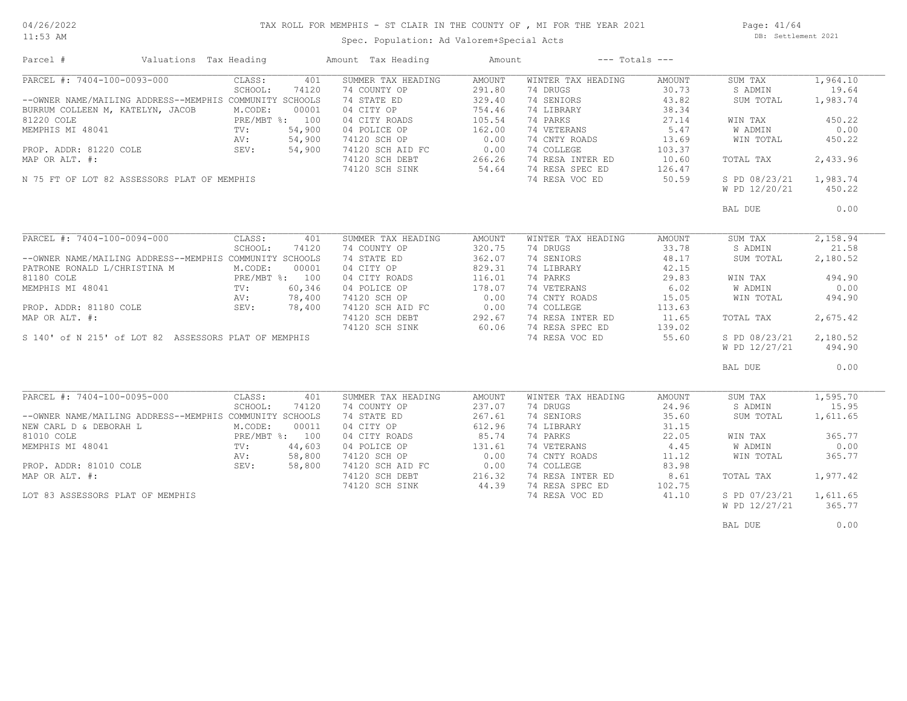11:53 AM

#### TAX ROLL FOR MEMPHIS - ST CLAIR IN THE COUNTY OF , MI FOR THE YEAR 2021

Spec. Population: Ad Valorem+Special Acts

Page: 41/64 DB: Settlement 2021

| Parcel #                                                | Valuations Tax Heading  | Amount Tax Heading | Amount          | $---$ Totals $---$ |        |               |          |
|---------------------------------------------------------|-------------------------|--------------------|-----------------|--------------------|--------|---------------|----------|
| PARCEL #: 7404-100-0093-000                             | CLASS:<br>401           | SUMMER TAX HEADING | AMOUNT          | WINTER TAX HEADING | AMOUNT | SUM TAX       | 1,964.10 |
|                                                         | SCHOOL:<br>74120        | 74 COUNTY OP       | 291.80          | 74 DRUGS           | 30.73  | S ADMIN       | 19.64    |
| --OWNER NAME/MAILING ADDRESS--MEMPHIS COMMUNITY SCHOOLS |                         | 74 STATE ED        | 329.40          | 74 SENIORS         | 43.82  | SUM TOTAL     | 1,983.74 |
| BURRUM COLLEEN M, KATELYN, JACOB                        | M.CODE:<br>00001        | 04 CITY OP         | 754.46          | 74 LIBRARY         | 38.34  |               |          |
| 81220 COLE                                              | PRE/MBT %: 100          | 04 CITY ROADS      | 105.54          | 74 PARKS           | 27.14  | WIN TAX       | 450.22   |
| MEMPHIS MI 48041                                        | 54,900<br>TV:           | 04 POLICE OP       | 162.00          | 74 VETERANS        | 5.47   | W ADMIN       | 0.00     |
|                                                         | 54,900<br>AV:           | 74120 SCH OP       | 0.00            | 74 CNTY ROADS      | 13.69  | WIN TOTAL     | 450.22   |
| PROP. ADDR: 81220 COLE                                  | SEV:<br>54,900          | 74120 SCH AID FC   | 0.00            | 74 COLLEGE         | 103.37 |               |          |
| MAP OR ALT. #:                                          |                         |                    |                 | 74 RESA INTER ED   |        |               | 2,433.96 |
|                                                         |                         | 74120 SCH DEBT     | 266.26<br>54.64 |                    | 10.60  | TOTAL TAX     |          |
|                                                         |                         | 74120 SCH SINK     |                 | 74 RESA SPEC ED    | 126.47 |               |          |
| N 75 FT OF LOT 82 ASSESSORS PLAT OF MEMPHIS             |                         |                    |                 | 74 RESA VOC ED     | 50.59  | S PD 08/23/21 | 1,983.74 |
|                                                         |                         |                    |                 |                    |        | W PD 12/20/21 | 450.22   |
|                                                         |                         |                    |                 |                    |        | BAL DUE       | 0.00     |
|                                                         |                         |                    |                 |                    |        |               |          |
| PARCEL #: 7404-100-0094-000                             | CLASS:<br>401           | SUMMER TAX HEADING | <b>AMOUNT</b>   | WINTER TAX HEADING | AMOUNT | SUM TAX       | 2,158.94 |
|                                                         | SCHOOL:<br>74120        | 74 COUNTY OP       | 320.75          | 74 DRUGS           | 33.78  | S ADMIN       | 21.58    |
| --OWNER NAME/MAILING ADDRESS--MEMPHIS COMMUNITY SCHOOLS |                         | 74 STATE ED        | 362.07          | 74 SENIORS         | 48.17  | SUM TOTAL     | 2,180.52 |
| PATRONE RONALD L/CHRISTINA M                            | M.CODE:<br>00001        | 04 CITY OP         | 829.31          | 74 LIBRARY         | 42.15  |               |          |
| 81180 COLE                                              | PRE/MBT %: 100          | 04 CITY ROADS      | 116.01          | 74 PARKS           | 29.83  | WIN TAX       | 494.90   |
| MEMPHIS MI 48041                                        | 60,346<br>$\text{TV}$ : | 04 POLICE OP       | 178.07          | 74 VETERANS        | 6.02   | W ADMIN       | 0.00     |
|                                                         | AV:<br>78,400           | 74120 SCH OP       | 0.00            | 74 CNTY ROADS      | 15.05  | WIN TOTAL     | 494.90   |
| PROP. ADDR: 81180 COLE SEV:                             | 78,400                  | 74120 SCH AID FC   | 0.00            | 74 COLLEGE         | 113.63 |               |          |
| MAP OR ALT. #:                                          |                         | 74120 SCH DEBT     | 292.67          | 74 RESA INTER ED   | 11.65  |               | 2,675.42 |
|                                                         |                         |                    |                 |                    |        | TOTAL TAX     |          |
|                                                         |                         | 74120 SCH SINK     | 60.06           | 74 RESA SPEC ED    | 139.02 |               |          |
| S 140' of N 215' of LOT 82 ASSESSORS PLAT OF MEMPHIS    |                         |                    |                 | 74 RESA VOC ED     | 55.60  | S PD 08/23/21 | 2,180.52 |
|                                                         |                         |                    |                 |                    |        | W PD 12/27/21 | 494.90   |
|                                                         |                         |                    |                 |                    |        | BAL DUE       | 0.00     |
|                                                         |                         |                    |                 |                    |        |               |          |
| PARCEL #: 7404-100-0095-000                             | CLASS:<br>401           | SUMMER TAX HEADING | AMOUNT          | WINTER TAX HEADING | AMOUNT | SUM TAX       | 1,595.70 |
|                                                         | SCHOOL:<br>74120        | 74 COUNTY OP       | 237.07          | 74 DRUGS           | 24.96  | S ADMIN       | 15.95    |
| --OWNER NAME/MAILING ADDRESS--MEMPHIS COMMUNITY SCHOOLS |                         | 74 STATE ED        | 267.61          | 74 SENIORS         | 35.60  | SUM TOTAL     | 1,611.65 |
| NEW CARL D & DEBORAH L                                  | M.CODE:<br>00011        | 04 CITY OP         | 612.96          | 74 LIBRARY         | 31.15  |               |          |
| 81010 COLE                                              | PRE/MBT %: 100          | 04 CITY ROADS      | 85.74           | 74 PARKS           | 22.05  | WIN TAX       | 365.77   |
| MEMPHIS MI 48041                                        | 44,603<br>$TV$ :        | 04 POLICE OP       | 131.61          | 74 VETERANS        | 4.45   | W ADMIN       | 0.00     |
|                                                         | 58,800<br>AV:           | 74120 SCH OP       | 0.00            | 74 CNTY ROADS      | 11.12  | WIN TOTAL     | 365.77   |
| PROP. ADDR: 81010 COLE                                  | SEV:<br>58,800          | 74120 SCH AID FC   | 0.00            | 74 COLLEGE         | 83.98  |               |          |
| MAP OR ALT. #:                                          |                         | 74120 SCH DEBT     | 216.32          | 74 RESA INTER ED   | 8.61   | TOTAL TAX     | 1,977.42 |
|                                                         |                         | 74120 SCH SINK     | 44.39           | 74 RESA SPEC ED    | 102.75 |               |          |
| LOT 83 ASSESSORS PLAT OF MEMPHIS                        |                         |                    |                 | 74 RESA VOC ED     | 41.10  | S PD 07/23/21 | 1,611.65 |
|                                                         |                         |                    |                 |                    |        |               |          |
|                                                         |                         |                    |                 |                    |        | W PD 12/27/21 | 365.77   |
|                                                         |                         |                    |                 |                    |        | BAL DUE       | 0.00     |
|                                                         |                         |                    |                 |                    |        |               |          |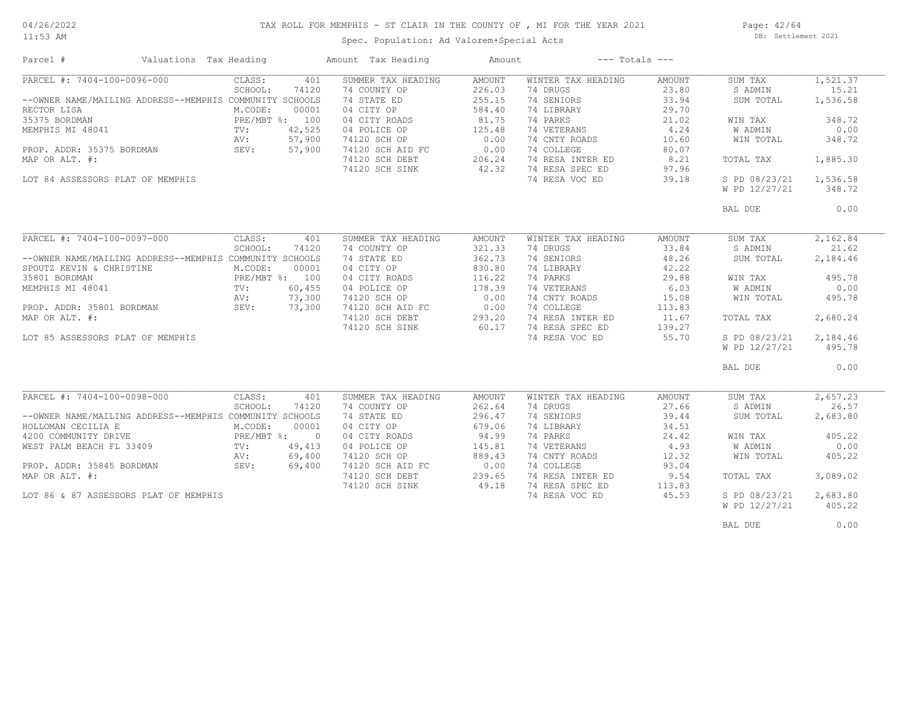#### TAX ROLL FOR MEMPHIS - ST CLAIR IN THE COUNTY OF , MI FOR THE YEAR 2021

11:53 AM

# Spec. Population: Ad Valorem+Special Acts

Page: 42/64 DB: Settlement 2021

| Parcel #                                                | Valuations Tax Heading |                |        | Amount Tax Heading | Amount        |                    | $---$ Totals $---$ |                |          |
|---------------------------------------------------------|------------------------|----------------|--------|--------------------|---------------|--------------------|--------------------|----------------|----------|
| PARCEL #: 7404-100-0096-000                             |                        | CLASS:         | 401    | SUMMER TAX HEADING | <b>AMOUNT</b> | WINTER TAX HEADING | AMOUNT             | SUM TAX        | 1,521.37 |
|                                                         |                        | SCHOOL:        | 74120  | 74 COUNTY OP       | 226.03        | 74 DRUGS           | 23.80              | S ADMIN        | 15.21    |
| --OWNER NAME/MAILING ADDRESS--MEMPHIS COMMUNITY SCHOOLS |                        |                |        | 74 STATE ED        | 255.15        | 74 SENIORS         | 33.94              | SUM TOTAL      | 1,536.58 |
| RECTOR LISA                                             |                        | M.CODE:        | 00001  | 04 CITY OP         | 584.40        | 74 LIBRARY         | 29.70              |                |          |
| 35375 BORDMAN                                           |                        | PRE/MBT %: 100 |        | 04 CITY ROADS      | 81.75         | 74 PARKS           | 21.02              | WIN TAX        | 348.72   |
| MEMPHIS MI 48041                                        |                        | TV:            | 42,525 | 04 POLICE OP       | 125.48        | 74 VETERANS        | 4.24               | W ADMIN        | 0.00     |
|                                                         |                        | AV:            | 57,900 | 74120 SCH OP       | 0.00          | 74 CNTY ROADS      | 10.60              | WIN TOTAL      | 348.72   |
| PROP. ADDR: 35375 BORDMAN                               |                        | SEV:           | 57,900 | 74120 SCH AID FC   | 0.00          | 74 COLLEGE         | 80.07              |                |          |
| MAP OR ALT. #:                                          |                        |                |        | 74120 SCH DEBT     | 206.24        | 74 RESA INTER ED   | 8.21               | TOTAL TAX      | 1,885.30 |
|                                                         |                        |                |        | 74120 SCH SINK     | 42.32         | 74 RESA SPEC ED    | 97.96              |                |          |
| LOT 84 ASSESSORS PLAT OF MEMPHIS                        |                        |                |        |                    |               | 74 RESA VOC ED     | 39.18              | S PD 08/23/21  | 1,536.58 |
|                                                         |                        |                |        |                    |               |                    |                    | W PD 12/27/21  | 348.72   |
|                                                         |                        |                |        |                    |               |                    |                    |                |          |
|                                                         |                        |                |        |                    |               |                    |                    | BAL DUE        | 0.00     |
|                                                         |                        |                |        |                    |               |                    |                    |                |          |
| PARCEL #: 7404-100-0097-000                             |                        | CLASS:         | 401    | SUMMER TAX HEADING | AMOUNT        | WINTER TAX HEADING | AMOUNT             | SUM TAX        | 2,162.84 |
|                                                         |                        | SCHOOL:        | 74120  | 74 COUNTY OP       | 321.33        | 74 DRUGS           | 33.84              | S ADMIN        | 21.62    |
| --OWNER NAME/MAILING ADDRESS--MEMPHIS COMMUNITY SCHOOLS |                        |                |        | 74 STATE ED        | 362.73        | 74 SENIORS         | 48.26              | SUM TOTAL      | 2,184.46 |
| SPOUTZ KEVIN & CHRISTINE                                |                        | M.CODE:        | 00001  | 04 CITY OP         | 830.80        | 74 LIBRARY         | 42.22              |                |          |
| 35801 BORDMAN                                           |                        | PRE/MBT %: 100 |        | 04 CITY ROADS      | 116.22        | 74 PARKS           | 29.88              | WIN TAX        | 495.78   |
| MEMPHIS MI 48041                                        |                        | TV:            | 60,455 | 04 POLICE OP       | 178.39        | 74 VETERANS        | 6.03               | W ADMIN        | 0.00     |
|                                                         |                        | AV:            | 73,300 | 74120 SCH OP       | 0.00          | 74 CNTY ROADS      | 15.08              | WIN TOTAL      | 495.78   |
| PROP. ADDR: 35801 BORDMAN                               |                        | SEV:           | 73,300 | 74120 SCH AID FC   | 0.00          | 74 COLLEGE         | 113.83             |                |          |
| MAP OR ALT. #:                                          |                        |                |        | 74120 SCH DEBT     | 293.20        | 74 RESA INTER ED   | 11.67              | TOTAL TAX      | 2,680.24 |
|                                                         |                        |                |        |                    | 60.17         | 74 RESA SPEC ED    |                    |                |          |
|                                                         |                        |                |        | 74120 SCH SINK     |               |                    | 139.27             |                |          |
| LOT 85 ASSESSORS PLAT OF MEMPHIS                        |                        |                |        |                    |               | 74 RESA VOC ED     | 55.70              | S PD 08/23/21  | 2,184.46 |
|                                                         |                        |                |        |                    |               |                    |                    | W PD 12/27/21  | 495.78   |
|                                                         |                        |                |        |                    |               |                    |                    | BAL DUE        | 0.00     |
|                                                         |                        |                |        |                    |               |                    |                    |                |          |
| PARCEL #: 7404-100-0098-000                             |                        | CLASS:         | 401    | SUMMER TAX HEADING | AMOUNT        | WINTER TAX HEADING | AMOUNT             | SUM TAX        | 2,657.23 |
|                                                         |                        | SCHOOL:        | 74120  | 74 COUNTY OP       | 262.64        | 74 DRUGS           | 27.66              | S ADMIN        | 26.57    |
| --OWNER NAME/MAILING ADDRESS--MEMPHIS COMMUNITY SCHOOLS |                        |                |        | 74 STATE ED        | 296.47        | 74 SENIORS         | 39.44              | SUM TOTAL      | 2,683.80 |
| HOLLOMAN CECILIA E                                      |                        | M.CODE:        | 00001  | 04 CITY OP         | 679.06        | 74 LIBRARY         | 34.51              |                |          |
|                                                         |                        | PRE/MBT %: 0   |        | 04 CITY ROADS      | 94.99         | 74 PARKS           | 24.42              | WIN TAX        | 405.22   |
| <b>TAU COMMUNITY DRIVE</b><br>WEST PALM BEACH FL 33409  |                        | $\text{TV}$ :  | 49,413 | 04 POLICE OP       | 145.81        | 74 VETERANS        | 4.93               | <b>W ADMIN</b> | 0.00     |
|                                                         |                        | AV:            | 69,400 | 74120 SCH OP       | 889.43        | 74 CNTY ROADS      | 12.32              | WIN TOTAL      | 405.22   |
| PROP. ADDR: 35845 BORDMAN                               |                        | SEV:           | 69,400 | 74120 SCH AID FC   | 0.00          | 74 COLLEGE         | 93.04              |                |          |
| MAP OR ALT. #:                                          |                        |                |        | 74120 SCH DEBT     | 239.65        | 74 RESA INTER ED   | 9.54               | TOTAL TAX      | 3,089.02 |
|                                                         |                        |                |        | 74120 SCH SINK     | 49.18         | 74 RESA SPEC ED    | 113.83             |                |          |
| LOT 86 & 87 ASSESSORS PLAT OF MEMPHIS                   |                        |                |        |                    |               | 74 RESA VOC ED     | 45.53              | S PD 08/23/21  | 2,683.80 |
|                                                         |                        |                |        |                    |               |                    |                    | W PD 12/27/21  | 405.22   |
|                                                         |                        |                |        |                    |               |                    |                    |                |          |
|                                                         |                        |                |        |                    |               |                    |                    | BAL DUE        | 0.00     |
|                                                         |                        |                |        |                    |               |                    |                    |                |          |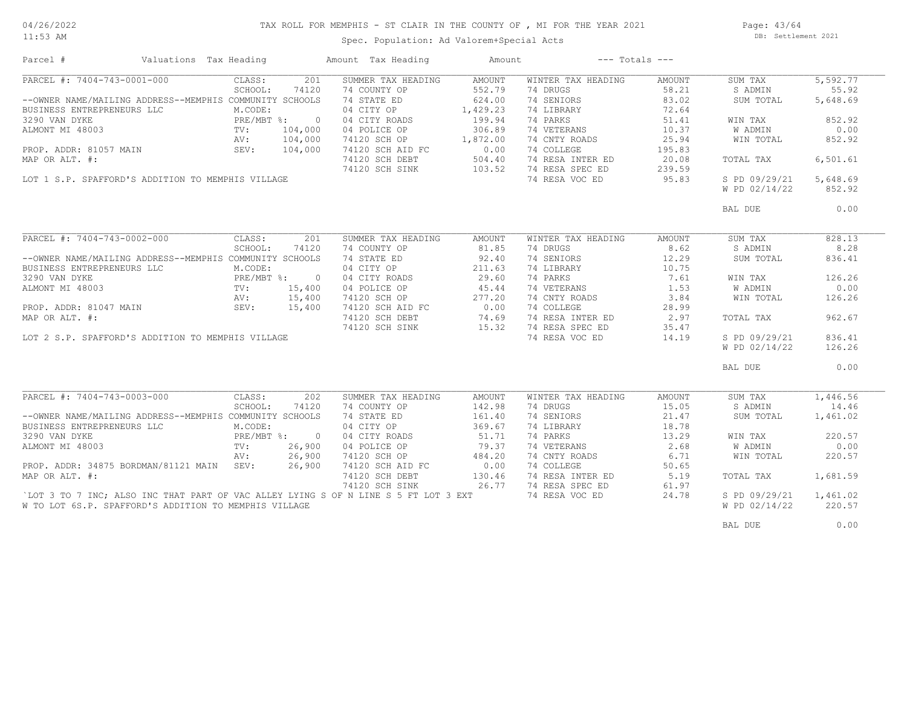11:53 AM

# TAX ROLL FOR MEMPHIS - ST CLAIR IN THE COUNTY OF , MI FOR THE YEAR 2021

Spec. Population: Ad Valorem+Special Acts

Page: 43/64 DB: Settlement 2021

| Parcel #                                                                            | Valuations Tax Heading |                 |        | Amount Tax Heading                             | Amount   |                    | $---$ Totals $---$ |                |          |
|-------------------------------------------------------------------------------------|------------------------|-----------------|--------|------------------------------------------------|----------|--------------------|--------------------|----------------|----------|
| PARCEL #: 7404-743-0001-000                                                         |                        | CLASS:          | 201    | SUMMER TAX HEADING                             | AMOUNT   | WINTER TAX HEADING | AMOUNT             | SUM TAX        | 5,592.77 |
|                                                                                     |                        | SCHOOL:         | 74120  | 74 COUNTY OP                                   | 552.79   | 74 DRUGS           | 58.21              | S ADMIN        | 55.92    |
| --OWNER NAME/MAILING ADDRESS--MEMPHIS COMMUNITY SCHOOLS                             |                        |                 |        | 74 STATE ED                                    | 624.00   | 74 SENIORS         | 83.02              | SUM TOTAL      | 5,648.69 |
| BUSINESS ENTREPRENEURS LLC                                                          |                        | M.CODE:         |        | 04 CITY OP                                     | 1,429.23 | 74 LIBRARY         | 72.64              |                |          |
|                                                                                     |                        |                 |        | 04 CITY ROADS                                  | 199.94   | 74 PARKS           | 51.41              | WIN TAX        | 852.92   |
|                                                                                     |                        |                 |        | 04 POLICE OP                                   | 306.89   | 74 VETERANS        | 10.37              | W ADMIN        | 0.00     |
|                                                                                     |                        |                 |        | 74120 SCH OP                                   | 1,872.00 | 74 CNTY ROADS      | 25.94              | WIN TOTAL      | 852.92   |
|                                                                                     |                        |                 |        | 74120 SCH AID FC                               | 0.00     | 74 COLLEGE         | 195.83             |                |          |
| MAP OR ALT. #:                                                                      |                        |                 |        |                                                | 504.40   | 74 RESA INTER ED   | 20.08              | TOTAL TAX      | 6,501.61 |
|                                                                                     |                        |                 |        | 74120 SCH DEBT 504.40<br>74120 SCH SINK 103.52 |          | 74 RESA SPEC ED    | 239.59             |                |          |
| LOT 1 S.P. SPAFFORD'S ADDITION TO MEMPHIS VILLAGE                                   |                        |                 |        |                                                |          | 74 RESA VOC ED     | 95.83              | S PD 09/29/21  | 5,648.69 |
|                                                                                     |                        |                 |        |                                                |          |                    |                    | W PD 02/14/22  | 852.92   |
|                                                                                     |                        |                 |        |                                                |          |                    |                    |                |          |
|                                                                                     |                        |                 |        |                                                |          |                    |                    | BAL DUE        | 0.00     |
|                                                                                     |                        |                 |        |                                                |          |                    |                    |                |          |
| PARCEL #: 7404-743-0002-000                                                         |                        | CLASS:          | 201    | SUMMER TAX HEADING                             | AMOUNT   | WINTER TAX HEADING | AMOUNT             | SUM TAX        | 828.13   |
|                                                                                     |                        | SCHOOL:         | 74120  | 74 COUNTY OP                                   | 81.85    | 74 DRUGS           | 8.62               | S ADMIN        | 8.28     |
| --OWNER NAME/MAILING ADDRESS--MEMPHIS COMMUNITY SCHOOLS                             |                        |                 |        | 74 STATE ED                                    | 92.40    | 74 SENIORS         | 12.29              | SUM TOTAL      | 836.41   |
| BUSINESS ENTREPRENEURS LLC                                                          |                        | M.CODE:         |        | 04 CITY OP                                     | 211.63   | 74 LIBRARY         | 10.75              |                |          |
| 3290 VAN DYKE                                                                       |                        | PRE/MBT %: 0    |        | 04 CITY ROADS                                  | 29.60    | 74 PARKS           | 7.61               | WIN TAX        | 126.26   |
| ALMONT MI 48003                                                                     |                        | $\texttt{TV}$ : | 15,400 | 04 POLICE OP                                   | 45.44    | 74 VETERANS        | 1.53               | W ADMIN        | 0.00     |
|                                                                                     |                        |                 |        |                                                |          | 74 CNTY ROADS      | 3.84               | WIN TOTAL      | 126.26   |
|                                                                                     |                        |                 |        | 74120 SCH OP 277.20<br>74120 SCH AID FC 0.00   |          | 74 COLLEGE         | 28.99              |                |          |
|                                                                                     |                        |                 |        |                                                | 74.69    | 74 RESA INTER ED   |                    |                | 962.67   |
| MAP OR ALT. #:                                                                      |                        |                 |        | 74120 SCH DEBT                                 |          |                    | 2.97               | TOTAL TAX      |          |
|                                                                                     |                        |                 |        | 74120 SCH SINK                                 | 15.32    | 74 RESA SPEC ED    | 35.47              |                |          |
| LOT 2 S.P. SPAFFORD'S ADDITION TO MEMPHIS VILLAGE                                   |                        |                 |        |                                                |          | 74 RESA VOC ED     | 14.19              | S PD 09/29/21  | 836.41   |
|                                                                                     |                        |                 |        |                                                |          |                    |                    | W PD 02/14/22  | 126.26   |
|                                                                                     |                        |                 |        |                                                |          |                    |                    | BAL DUE        | 0.00     |
|                                                                                     |                        |                 |        |                                                |          |                    |                    |                |          |
| PARCEL #: 7404-743-0003-000                                                         |                        | CLASS:          | 202    | SUMMER TAX HEADING                             | AMOUNT   | WINTER TAX HEADING | AMOUNT             | SUM TAX        | 1,446.56 |
|                                                                                     |                        | SCHOOL:         | 74120  | 74 COUNTY OP                                   | 142.98   | 74 DRUGS           | 15.05              | S ADMIN        | 14.46    |
| --OWNER NAME/MAILING ADDRESS--MEMPHIS COMMUNITY SCHOOLS                             |                        |                 |        | 74 STATE ED                                    | 161.40   | 74 SENIORS         | 21.47              | SUM TOTAL      | 1,461.02 |
| BUSINESS ENTREPRENEURS LLC                                                          |                        | M.CODE:         |        | 04 CITY OP                                     | 369.67   | 74 LIBRARY         | 18.78              |                |          |
| 3290 VAN DYKE                                                                       |                        | PRE/MBT %: 0    |        | 04 CITY ROADS                                  | 51.71    | 74 PARKS           | 13.29              | WIN TAX        | 220.57   |
| ALMONT MI 48003                                                                     |                        | $\text{TV}$ :   | 26,900 | 04 POLICE OP                                   | 79.37    | 74 VETERANS        | 2.68               | W ADMIN        | 0.00     |
|                                                                                     |                        | AV:             | 26,900 | 74120 SCH OP                                   | 484.20   | 74 CNTY ROADS      | 6.71               | WIN TOTAL      | 220.57   |
| PROP. ADDR: 34875 BORDMAN/81121 MAIN SEV:                                           |                        |                 | 26,900 | 74120 SCH AID FC                               | 0.00     | 74 COLLEGE         | 50.65              |                |          |
| MAP OR ALT. #:                                                                      |                        |                 |        | 74120 SCH DEBT                                 | 130.46   | 74 RESA INTER ED   | 5.19               | TOTAL TAX      | 1,681.59 |
|                                                                                     |                        |                 |        | 74120 SCH SINK 26.77                           |          | 74 RESA SPEC ED    | 61.97              |                |          |
| 'LOT 3 TO 7 INC; ALSO INC THAT PART OF VAC ALLEY LYING S OF N LINE S 5 FT LOT 3 EXT |                        |                 |        |                                                |          | 74 RESA VOC ED     | 24.78              | S PD 09/29/21  | 1,461.02 |
| W TO LOT 6S.P. SPAFFORD'S ADDITION TO MEMPHIS VILLAGE                               |                        |                 |        |                                                |          |                    |                    | W PD 02/14/22  | 220.57   |
|                                                                                     |                        |                 |        |                                                |          |                    |                    |                |          |
|                                                                                     |                        |                 |        |                                                |          |                    |                    | <b>BAL DUE</b> | 0.00     |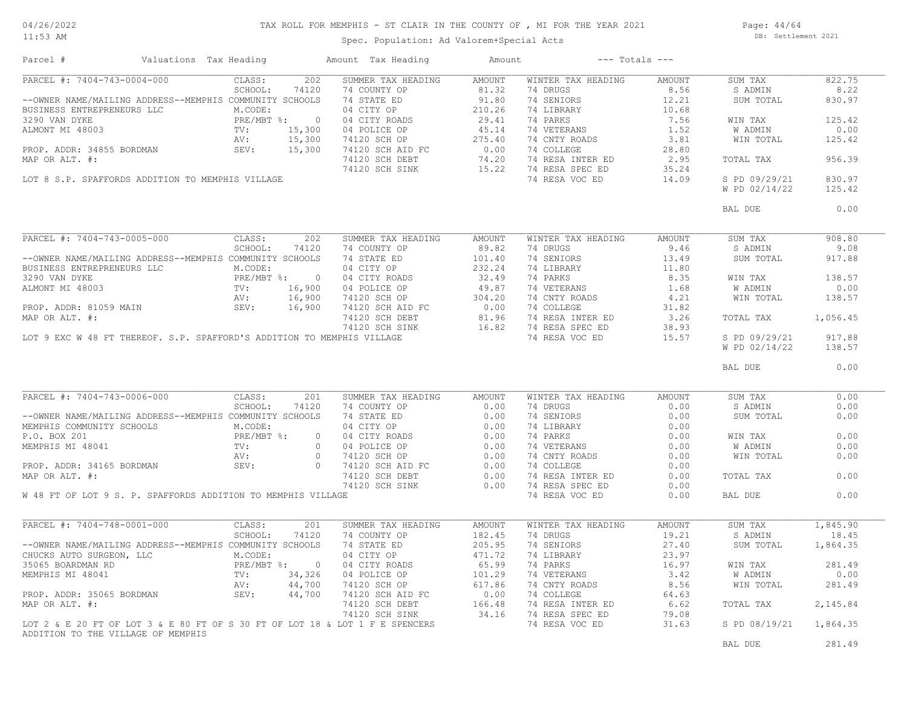#### 11:53 AM

#### TAX ROLL FOR MEMPHIS - ST CLAIR IN THE COUNTY OF , MI FOR THE YEAR 2021

Page: 44/64 DB: Settlement 2021

Spec. Population: Ad Valorem+Special Acts

| Parcel #                                        |  |     | Valuations Tax Heading Mamount Tax Heading                                                                                                                                                                                                                                                                                                                                                                                                                    | Amount |                           | $---$ Totals $---$ |                      |          |
|-------------------------------------------------|--|-----|---------------------------------------------------------------------------------------------------------------------------------------------------------------------------------------------------------------------------------------------------------------------------------------------------------------------------------------------------------------------------------------------------------------------------------------------------------------|--------|---------------------------|--------------------|----------------------|----------|
| PARCEL #: $7404-743-0004-000$ CLASS:<br>SCHOOL: |  | 202 | SUMMER TAX HEADING                                                                                                                                                                                                                                                                                                                                                                                                                                            | AMOUNT | WINTER TAX HEADING        | AMOUNT             | SUM TAX              | 822.75   |
|                                                 |  |     | $\begin{tabular}{l c c c c c} \multicolumn{3}{c}{\textbf{FAKCE}} & $\mathbf{F}:$ $1404$-$143$-$0004$-$000$ & \textbf{CLASS}: $120$ & \textbf{SUMWER TAX HEADING} & \textbf{AMOUNT} & \textbf{WINTER TAX HEADING} & \textbf{AMOUNT} \\ \multicolumn{3}{c}{\textbf{--ONNER NAME/MAILING} \textbf{ADDRESS} $-$\textbf{MEMPHS} \textbf{COMMUNITY SCHOOL}: $74120$ & $74$ & \textbf{CTNTE} \textbf{ ED} & $81.32$ & $74$ & \textbf{$                               |        |                           |                    | S ADMIN              | 8.22     |
|                                                 |  |     |                                                                                                                                                                                                                                                                                                                                                                                                                                                               |        |                           |                    | SUM TOTAL            | 830.97   |
|                                                 |  |     |                                                                                                                                                                                                                                                                                                                                                                                                                                                               |        |                           |                    |                      |          |
|                                                 |  |     |                                                                                                                                                                                                                                                                                                                                                                                                                                                               |        |                           |                    | WIN TAX              | 125.42   |
|                                                 |  |     |                                                                                                                                                                                                                                                                                                                                                                                                                                                               |        |                           |                    | W ADMIN              | 0.00     |
|                                                 |  |     |                                                                                                                                                                                                                                                                                                                                                                                                                                                               |        |                           |                    | WIN TOTAL            | 125.42   |
|                                                 |  |     |                                                                                                                                                                                                                                                                                                                                                                                                                                                               |        |                           |                    |                      |          |
|                                                 |  |     |                                                                                                                                                                                                                                                                                                                                                                                                                                                               |        |                           |                    | TOTAL TAX            | 956.39   |
|                                                 |  |     |                                                                                                                                                                                                                                                                                                                                                                                                                                                               |        |                           |                    |                      |          |
|                                                 |  |     |                                                                                                                                                                                                                                                                                                                                                                                                                                                               |        |                           |                    | S PD 09/29/21        | 830.97   |
|                                                 |  |     |                                                                                                                                                                                                                                                                                                                                                                                                                                                               |        |                           |                    | W PD 02/14/22        | 125.42   |
|                                                 |  |     |                                                                                                                                                                                                                                                                                                                                                                                                                                                               |        |                           |                    | BAL DUE              | 0.00     |
|                                                 |  |     |                                                                                                                                                                                                                                                                                                                                                                                                                                                               |        |                           |                    |                      |          |
| PARCEL #: 7404-743-0005-000 CLASS:<br>SCHOOL:   |  | 202 | SUMMER TAX HEADING AMOUNT<br>$\begin{tabular}{l c c c c c} \hline \texttt{PARCEI & \#: } 7404-743-0005-000 & \texttt{CLASS:} & 202 & \texttt{SUMMER TAX HEADING} & \texttt{AMOUNT} & \texttt{WINTER TAX HEADING} & \texttt{AMOUNT} & \texttt{SUM TAR} & \texttt{SUM UNTER} & \texttt{SUM UNTER} & \texttt{SUM UNTER} & \texttt{SUM UNTER} & \texttt{SUM UNTER} & \texttt{SUM UNTER} & \texttt{SUM INMINER} & \texttt{SUM UNTER} & \texttt{SUM INNER} & \text$ |        | WINTER TAX HEADING        | AMOUNT             | SUM TAX              | 908.80   |
|                                                 |  |     |                                                                                                                                                                                                                                                                                                                                                                                                                                                               |        |                           |                    |                      | 9.08     |
|                                                 |  |     |                                                                                                                                                                                                                                                                                                                                                                                                                                                               |        |                           |                    | SUM TOTAL            | 917.88   |
|                                                 |  |     |                                                                                                                                                                                                                                                                                                                                                                                                                                                               |        |                           |                    |                      |          |
|                                                 |  |     |                                                                                                                                                                                                                                                                                                                                                                                                                                                               |        |                           |                    |                      | 138.57   |
|                                                 |  |     |                                                                                                                                                                                                                                                                                                                                                                                                                                                               |        |                           |                    |                      | 0.00     |
|                                                 |  |     |                                                                                                                                                                                                                                                                                                                                                                                                                                                               |        |                           |                    | WIN TOTAL            | 138.57   |
|                                                 |  |     |                                                                                                                                                                                                                                                                                                                                                                                                                                                               |        |                           |                    |                      |          |
|                                                 |  |     |                                                                                                                                                                                                                                                                                                                                                                                                                                                               |        |                           |                    |                      | 1,056.45 |
|                                                 |  |     |                                                                                                                                                                                                                                                                                                                                                                                                                                                               |        |                           |                    |                      |          |
|                                                 |  |     |                                                                                                                                                                                                                                                                                                                                                                                                                                                               |        |                           |                    | S PD 09/29/21 917.88 |          |
|                                                 |  |     |                                                                                                                                                                                                                                                                                                                                                                                                                                                               |        |                           |                    | W PD 02/14/22        | 138.57   |
|                                                 |  |     |                                                                                                                                                                                                                                                                                                                                                                                                                                                               |        |                           |                    | BAL DUE              | 0.00     |
|                                                 |  |     |                                                                                                                                                                                                                                                                                                                                                                                                                                                               |        |                           |                    |                      |          |
| PARCEL #: 7404-743-0006-000 CLASS:<br>SCHOOL:   |  | 201 | SUMMER TAX HEADING AMOUNT                                                                                                                                                                                                                                                                                                                                                                                                                                     |        | WINTER TAX HEADING AMOUNT |                    | SUM TAX              | 0.00     |
|                                                 |  |     |                                                                                                                                                                                                                                                                                                                                                                                                                                                               |        |                           |                    | S ADMIN              | 0.00     |
|                                                 |  |     |                                                                                                                                                                                                                                                                                                                                                                                                                                                               |        |                           |                    | SUM TOTAL            | 0.00     |
|                                                 |  |     |                                                                                                                                                                                                                                                                                                                                                                                                                                                               |        |                           |                    |                      |          |
|                                                 |  |     |                                                                                                                                                                                                                                                                                                                                                                                                                                                               |        |                           |                    | WIN TAX              | 0.00     |
|                                                 |  |     |                                                                                                                                                                                                                                                                                                                                                                                                                                                               |        |                           |                    | W ADMIN<br>WIN TOTAL | 0.00     |
|                                                 |  |     |                                                                                                                                                                                                                                                                                                                                                                                                                                                               |        |                           |                    |                      | 0.00     |
|                                                 |  |     |                                                                                                                                                                                                                                                                                                                                                                                                                                                               |        |                           |                    |                      |          |
|                                                 |  |     |                                                                                                                                                                                                                                                                                                                                                                                                                                                               |        |                           |                    | TOTAL TAX            | 0.00     |
|                                                 |  |     |                                                                                                                                                                                                                                                                                                                                                                                                                                                               |        |                           |                    |                      |          |
|                                                 |  |     | $\begin{tabular}{l c c c c c c} \multicolumn{4}{c c c c} \multicolumn{4}{c c c} \multicolumn{4}{c c} \multicolumn{4}{c c} \multicolumn{4}{c c} \multicolumn{4}{c c} \multicolumn{4}{c c} \multicolumn{4}{c c} \multicolumn{4}{c c} \multicolumn{4}{c c} \multicolumn{4}{c c} \multicolumn{4}{c c} \multicolumn{4}{c c} \multicolumn{4}{c c} \multicolumn{4}{c c} \multicolumn{4}{c c} \multicolumn{4}{c c} \multicolumn{4}{$                                  |        |                           |                    | BAL DUE              | 0.00     |
|                                                 |  |     |                                                                                                                                                                                                                                                                                                                                                                                                                                                               |        |                           |                    |                      |          |
|                                                 |  |     |                                                                                                                                                                                                                                                                                                                                                                                                                                                               |        |                           |                    |                      |          |
|                                                 |  |     |                                                                                                                                                                                                                                                                                                                                                                                                                                                               |        |                           |                    |                      |          |
|                                                 |  |     |                                                                                                                                                                                                                                                                                                                                                                                                                                                               |        |                           |                    |                      |          |
|                                                 |  |     |                                                                                                                                                                                                                                                                                                                                                                                                                                                               |        |                           |                    |                      |          |
|                                                 |  |     |                                                                                                                                                                                                                                                                                                                                                                                                                                                               |        |                           |                    |                      |          |
|                                                 |  |     |                                                                                                                                                                                                                                                                                                                                                                                                                                                               |        |                           |                    |                      |          |
|                                                 |  |     |                                                                                                                                                                                                                                                                                                                                                                                                                                                               |        |                           |                    |                      |          |
|                                                 |  |     |                                                                                                                                                                                                                                                                                                                                                                                                                                                               |        |                           |                    |                      |          |
|                                                 |  |     |                                                                                                                                                                                                                                                                                                                                                                                                                                                               |        |                           |                    |                      |          |
|                                                 |  |     |                                                                                                                                                                                                                                                                                                                                                                                                                                                               |        |                           |                    |                      |          |
|                                                 |  |     |                                                                                                                                                                                                                                                                                                                                                                                                                                                               |        |                           |                    |                      |          |
|                                                 |  |     |                                                                                                                                                                                                                                                                                                                                                                                                                                                               |        |                           |                    |                      |          |
|                                                 |  |     |                                                                                                                                                                                                                                                                                                                                                                                                                                                               |        |                           |                    | BAL DUE              | 281.49   |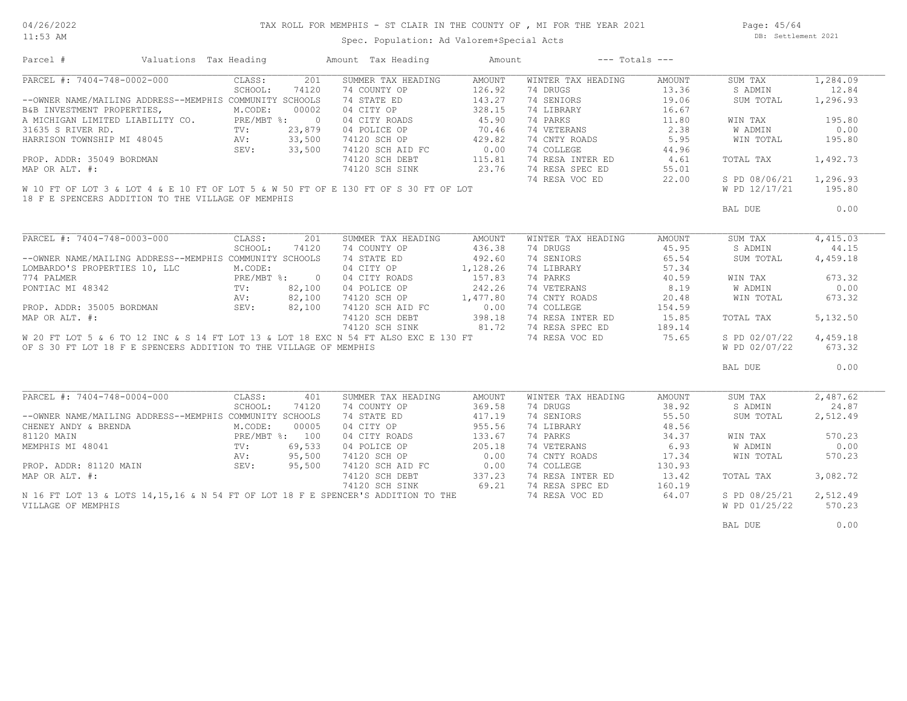#### TAX ROLL FOR MEMPHIS - ST CLAIR IN THE COUNTY OF , MI FOR THE YEAR 2021

11:53 AM

## Spec. Population: Ad Valorem+Special Acts

Page: 45/64 DB: Settlement 2021

| Parcel #                                                                                                                                                                                                                                               | Valuations Tax Heading |       | Amount Tax Heading                                                                                                                                                                                                                       | Amount |                                     | $---$ Totals $---$ |                |          |
|--------------------------------------------------------------------------------------------------------------------------------------------------------------------------------------------------------------------------------------------------------|------------------------|-------|------------------------------------------------------------------------------------------------------------------------------------------------------------------------------------------------------------------------------------------|--------|-------------------------------------|--------------------|----------------|----------|
| PARCEL #: 7404-748-0002-000                                                                                                                                                                                                                            | CLASS:                 | 201   | SUMMER TAX HEADING                                                                                                                                                                                                                       | AMOUNT | WINTER TAX HEADING                  | AMOUNT             | SUM TAX        | 1,284.09 |
|                                                                                                                                                                                                                                                        | SCHOOL:                | 74120 | 74 COUNTY OP                                                                                                                                                                                                                             | 126.92 | 74 DRUGS                            | 13.36              | S ADMIN        | 12.84    |
| --OWNER NAME/MAILING ADDRESS--MEMPHIS COMMUNITY SCHOOLS                                                                                                                                                                                                |                        |       | 74 STATE ED                                                                                                                                                                                                                              | 143.27 | 74 SENIORS                          | 19.06              | SUM TOTAL      | 1,296.93 |
| EXERCIMENT PROPERTIES, M.CODE: 00002<br>A MICHIGAN LIMITED LIABILITY CO. PRE/MBT %: 0<br>31635 S RIVER RD. TV: 23,879<br>HARRISON TOWNSHIP MI 48045 AV: 33,500<br>PROP. ADDR: 35049 BORDMAN<br>MAP OR ALT. #:                                          |                        |       | 04 CITY OP                                                                                                                                                                                                                               | 328.15 | 74 LIBRARY                          | 16.67              |                |          |
|                                                                                                                                                                                                                                                        |                        |       |                                                                                                                                                                                                                                          |        | 74 PARKS                            | 11.80              | WIN TAX        | 195.80   |
|                                                                                                                                                                                                                                                        |                        |       | 04 CITY ROADS 45.90<br>04 POLICE OP 70.46<br>04 POLICE OP<br>74120 SCH OP<br>74120 SCH AID FC 0.00 74 COLLEGE 44.50<br>74120 SCH DEBT 115.81 74 RESA INTER ED 4.61<br>74120 SCH SINK 23.76 74 RESA SPEC ED 55.01<br>74 RESA VOC ED 22.00 |        |                                     | 2.38               | <b>W ADMIN</b> | 0.00     |
|                                                                                                                                                                                                                                                        |                        |       |                                                                                                                                                                                                                                          |        |                                     |                    | WIN TOTAL      | 195.80   |
|                                                                                                                                                                                                                                                        |                        |       |                                                                                                                                                                                                                                          |        |                                     |                    |                |          |
|                                                                                                                                                                                                                                                        |                        |       |                                                                                                                                                                                                                                          |        |                                     |                    | TOTAL TAX      | 1,492.73 |
| PROP. ADDR: 35049 BORDMAN<br>MAP OR ALT. #:                                                                                                                                                                                                            |                        |       |                                                                                                                                                                                                                                          |        |                                     |                    |                |          |
|                                                                                                                                                                                                                                                        |                        |       |                                                                                                                                                                                                                                          |        |                                     |                    |                |          |
|                                                                                                                                                                                                                                                        |                        |       |                                                                                                                                                                                                                                          |        |                                     |                    | S PD 08/06/21  | 1,296.93 |
| W 10 FT OF LOT 3 & LOT 4 & E 10 FT OF LOT 5 & W 50 FT OF E 130 FT OF S 30 FT OF LOT                                                                                                                                                                    |                        |       |                                                                                                                                                                                                                                          |        |                                     |                    | W PD 12/17/21  | 195.80   |
| 18 F E SPENCERS ADDITION TO THE VILLAGE OF MEMPHIS                                                                                                                                                                                                     |                        |       |                                                                                                                                                                                                                                          |        |                                     |                    |                |          |
|                                                                                                                                                                                                                                                        |                        |       |                                                                                                                                                                                                                                          |        |                                     |                    | BAL DUE        | 0.00     |
|                                                                                                                                                                                                                                                        |                        |       |                                                                                                                                                                                                                                          |        |                                     |                    |                |          |
| PARCEL #: 7404-748-0003-000 CLASS: 201                                                                                                                                                                                                                 |                        |       | SUMMER TAX HEADING                                                                                                                                                                                                                       | AMOUNT | WINTER TAX HEADING                  | AMOUNT             | SUM TAX        | 4,415.03 |
|                                                                                                                                                                                                                                                        | SCHOOL:                | 74120 | 74 COUNTY OP                                                                                                                                                                                                                             | 436.38 | 74 DRUGS                            | 45.95              | S ADMIN        | 44.15    |
| --OWNER NAME/MAILING ADDRESS--MEMPHIS COMMUNITY SCHOOLS                                                                                                                                                                                                |                        |       | 74 STATE ED                                                                                                                                                                                                                              | 492.60 | 74 SENIORS                          | 65.54              | SUM TOTAL      | 4,459.18 |
| LOMBARDO'S PROPERTIES 10, LLC                                                                                                                                                                                                                          | M.CODE:                |       | 04 CITY OP 1,128.26                                                                                                                                                                                                                      |        | 74 LIBRARY                          | 57.34              |                |          |
|                                                                                                                                                                                                                                                        |                        |       |                                                                                                                                                                                                                                          |        | 74 PARKS                            | 40.59              | WIN TAX        | 673.32   |
|                                                                                                                                                                                                                                                        |                        |       | 04 CITY ROADS 157.83<br>04 POLICE OP 242.26                                                                                                                                                                                              |        | 74 PARKS<br>74 VETERANS             | 8.19               | <b>W ADMIN</b> | 0.00     |
| 774 PALMER<br>PONTIAC MI 48342<br>PROP. ADDR: 35005 BORDMAN<br>MAP OR ALT. #:<br>MAP OR ALT. #:<br>PROP. ADDR: 35005 BORDMAN<br>MAP OR ALT. #:<br>PROP. ADDR: 35005 BORDMAN<br>SEV:<br>SEV:<br>SEV:<br>PROP. 82,100<br>74120 SCH AID 19120 SCH AID 191 |                        |       |                                                                                                                                                                                                                                          |        | 74 CNTY ROADS                       | 20.48              | WIN TOTAL      | 673.32   |
|                                                                                                                                                                                                                                                        |                        |       | 74120 SCH OP 1,477.80<br>74120 SCH AID FC 0.00                                                                                                                                                                                           |        | 74 COLLEGE                          | 154.59             |                |          |
|                                                                                                                                                                                                                                                        |                        |       | 74120 SCH DEBT 398.18                                                                                                                                                                                                                    |        | 74 RESA INTER ED                    | 15.85              | TOTAL TAX      | 5,132.50 |
|                                                                                                                                                                                                                                                        |                        |       | 74120 SCH SINK 81.72                                                                                                                                                                                                                     |        | 74 RESA SPEC ED                     |                    |                |          |
|                                                                                                                                                                                                                                                        |                        |       |                                                                                                                                                                                                                                          |        | 74 RESA VOC ED 75.65                | 189.14             |                |          |
| W 20 FT LOT 5 & 6 TO 12 INC & S 14 FT LOT 13 & LOT 18 EXC N 54 FT ALSO EXC E 130 FT                                                                                                                                                                    |                        |       |                                                                                                                                                                                                                                          |        |                                     |                    | S PD 02/07/22  | 4,459.18 |
| OF S 30 FT LOT 18 F E SPENCERS ADDITION TO THE VILLAGE OF MEMPHIS                                                                                                                                                                                      |                        |       |                                                                                                                                                                                                                                          |        |                                     |                    | W PD 02/07/22  | 673.32   |
|                                                                                                                                                                                                                                                        |                        |       |                                                                                                                                                                                                                                          |        |                                     |                    | BAL DUE        | 0.00     |
|                                                                                                                                                                                                                                                        |                        |       |                                                                                                                                                                                                                                          |        |                                     |                    |                |          |
| PARCEL #: 7404-748-0004-000                                                                                                                                                                                                                            | CLASS:                 | 401   | SUMMER TAX HEADING                                                                                                                                                                                                                       | AMOUNT | WINTER TAX HEADING                  | AMOUNT             | SUM TAX        | 2,487.62 |
|                                                                                                                                                                                                                                                        | SCHOOL:                | 74120 | 74 COUNTY OP                                                                                                                                                                                                                             | 369.58 | 74 DRUGS                            | 38.92              | S ADMIN        | 24.87    |
| --OWNER NAME/MAILING ADDRESS--MEMPHIS COMMUNITY SCHOOLS                                                                                                                                                                                                |                        |       | 74 STATE ED                                                                                                                                                                                                                              | 417.19 | 74 SENIORS                          | 55.50              | SUM TOTAL      | 2,512.49 |
|                                                                                                                                                                                                                                                        |                        |       | 04 CITY OP                                                                                                                                                                                                                               | 955.56 | 74 LIBRARY                          | 48.56              |                |          |
|                                                                                                                                                                                                                                                        |                        |       |                                                                                                                                                                                                                                          | 133.67 | 74 PARKS                            | 34.37              | WIN TAX        | 570.23   |
| --OWNER NAME/MAILING ADDRESS--FIEFRING CODE:<br>CHENEY ANDY & BRENDA<br>81120 MAIN PRE/MBT %: 100<br>MEMPHIS MI 48041 TV: 69,533<br>AV: 95,500<br>PROP. ADDR: 81120 MAIN SEV: 95,500<br>MAP OR ALT. #:                                                 |                        |       | 04 CITY ROADS<br>04 POLICE OP                                                                                                                                                                                                            | 205.18 | 74 PARKS<br>74 VETERANS             | 6.93               | W ADMIN        | 0.00     |
|                                                                                                                                                                                                                                                        |                        |       |                                                                                                                                                                                                                                          |        | 74 VEIERANS<br>74 CNTY ROADS        | 17.34              | WIN TOTAL      | 570.23   |
|                                                                                                                                                                                                                                                        |                        |       |                                                                                                                                                                                                                                          |        |                                     | 130.93             |                |          |
|                                                                                                                                                                                                                                                        |                        |       |                                                                                                                                                                                                                                          |        |                                     | 13.42              | TOTAL TAX      | 3,082.72 |
|                                                                                                                                                                                                                                                        |                        |       |                                                                                                                                                                                                                                          |        | 74 RESA INTER ED<br>74 RESA SPEC ED | 160.19             |                |          |
|                                                                                                                                                                                                                                                        |                        |       |                                                                                                                                                                                                                                          |        |                                     | 64.07              |                |          |
| N 16 FT LOT 13 & LOTS 14,15,16 & N 54 FT OF LOT 18 F E SPENCER'S ADDITION TO THE                                                                                                                                                                       |                        |       |                                                                                                                                                                                                                                          |        | 74 RESA VOC ED                      |                    | S PD 08/25/21  | 2,512.49 |
| VILLAGE OF MEMPHIS                                                                                                                                                                                                                                     |                        |       |                                                                                                                                                                                                                                          |        |                                     |                    | W PD 01/25/22  | 570.23   |
|                                                                                                                                                                                                                                                        |                        |       |                                                                                                                                                                                                                                          |        |                                     |                    | BAL DUE        | 0.00     |
|                                                                                                                                                                                                                                                        |                        |       |                                                                                                                                                                                                                                          |        |                                     |                    |                |          |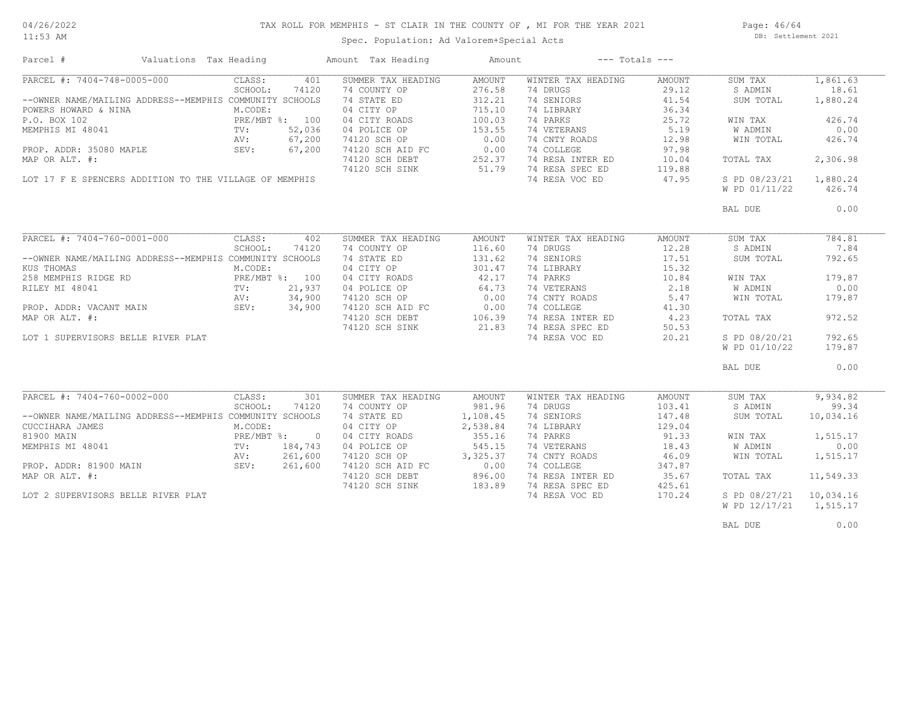11:53 AM

# TAX ROLL FOR MEMPHIS - ST CLAIR IN THE COUNTY OF , MI FOR THE YEAR 2021

Spec. Population: Ad Valorem+Special Acts

Page: 46/64 DB: Settlement 2021

| Parcel #                                                | Valuations Tax Heading |                |                | Amount Tax Heading | Amount                                                                                                         |                    | $---$ Totals $---$ |               |           |
|---------------------------------------------------------|------------------------|----------------|----------------|--------------------|----------------------------------------------------------------------------------------------------------------|--------------------|--------------------|---------------|-----------|
| PARCEL #: 7404-748-0005-000                             |                        | CLASS:         | 401            | SUMMER TAX HEADING | AMOUNT                                                                                                         | WINTER TAX HEADING | AMOUNT             | SUM TAX       | 1,861.63  |
|                                                         |                        | SCHOOL:        | 74120          | 74 COUNTY OP       | 276.58                                                                                                         | 74 DRUGS           | 29.12              | S ADMIN       | 18.61     |
| --OWNER NAME/MAILING ADDRESS--MEMPHIS COMMUNITY SCHOOLS |                        |                |                | 74 STATE ED        | 312.21                                                                                                         | 74 SENIORS         | 41.54              | SUM TOTAL     | 1,880.24  |
| POWERS HOWARD & NINA                                    |                        | M.CODE:        |                | 04 CITY OP         | 715.10                                                                                                         | 74 LIBRARY         | 36.34              |               |           |
| P.O. BOX 102                                            |                        | PRE/MBT %: 100 |                | 04 CITY ROADS      | 100.03                                                                                                         | 74 PARKS           | 25.72              | WIN TAX       | 426.74    |
| MEMPHIS MI 48041                                        |                        | TV:            | 52,036         |                    | 153.55                                                                                                         | 74 VETERANS        | 5.19               | W ADMIN       | 0.00      |
|                                                         |                        |                |                | 04 POLICE OP       |                                                                                                                |                    |                    |               |           |
|                                                         |                        | AV:            | 67,200         | 74120 SCH OP       | 0.00                                                                                                           | 74 CNTY ROADS      | 12.98              | WIN TOTAL     | 426.74    |
| PROP. ADDR: 35080 MAPLE                                 |                        | SEV:           | 67,200         | 74120 SCH AID FC   | 0.00                                                                                                           | 74 COLLEGE         | 97.98              |               |           |
| MAP OR ALT. #:                                          |                        |                |                | 74120 SCH DEBT     | 252.37<br>51.79                                                                                                | 74 RESA INTER ED   | 10.04              | TOTAL TAX     | 2,306.98  |
|                                                         |                        |                |                | 74120 SCH SINK     |                                                                                                                | 74 RESA SPEC ED    | 119.88             |               |           |
| LOT 17 F E SPENCERS ADDITION TO THE VILLAGE OF MEMPHIS  |                        |                |                |                    |                                                                                                                | 74 RESA VOC ED     | 47.95              | S PD 08/23/21 | 1,880.24  |
|                                                         |                        |                |                |                    |                                                                                                                |                    |                    | W PD 01/11/22 | 426.74    |
|                                                         |                        |                |                |                    |                                                                                                                |                    |                    | BAL DUE       | 0.00      |
|                                                         |                        |                |                |                    |                                                                                                                |                    |                    |               |           |
| PARCEL #: 7404-760-0001-000                             |                        | CLASS:         | 402            | SUMMER TAX HEADING | AMOUNT                                                                                                         | WINTER TAX HEADING | AMOUNT             | SUM TAX       | 784.81    |
|                                                         |                        | SCHOOL:        | 74120          | 74 COUNTY OP       | 116.60                                                                                                         | 74 DRUGS           | 12.28              | S ADMIN       | 7.84      |
| --OWNER NAME/MAILING ADDRESS--MEMPHIS COMMUNITY SCHOOLS |                        |                |                | 74 STATE ED        | 131.62                                                                                                         | 74 SENIORS         | 17.51              | SUM TOTAL     | 792.65    |
| KUS THOMAS                                              |                        | M.CODE:        |                | 04 CITY OP         | 301.47                                                                                                         | 74 LIBRARY         | 15.32              |               |           |
| 258 MEMPHIS RIDGE RD                                    |                        | PRE/MBT %: 100 |                | 04 CITY ROADS      | 42.17                                                                                                          | 74 PARKS           | 10.84              | WIN TAX       | 179.87    |
| RILEY MI 48041                                          |                        | TV:            | 21,937         | 04 POLICE OP       | 64.73                                                                                                          | 74 VETERANS        | 2.18               | W ADMIN       | 0.00      |
|                                                         |                        | AV:            | 34,900         | 74120 SCH OP       |                                                                                                                | 74 CNTY ROADS      | 5.47               | WIN TOTAL     | 179.87    |
| PROP. ADDR: VACANT MAIN                                 |                        | SEV:           | 34,900         | 74120 SCH AID FC   | FC<br>$\begin{array}{ccc}\n & & 0.00 \\ \text{FC} & & 0.00 \\ \text{3T} & & 106.39 \\  & & 21.83\n\end{array}$ | 74 COLLEGE         | 41.30              |               |           |
| MAP OR ALT. #:                                          |                        |                |                | 74120 SCH DEBT     |                                                                                                                | 74 RESA INTER ED   | 4.23               | TOTAL TAX     | 972.52    |
|                                                         |                        |                |                |                    | 21.83                                                                                                          |                    |                    |               |           |
|                                                         |                        |                |                | 74120 SCH SINK     |                                                                                                                | 74 RESA SPEC ED    | 50.53              |               |           |
| LOT 1 SUPERVISORS BELLE RIVER PLAT                      |                        |                |                |                    |                                                                                                                | 74 RESA VOC ED     | 20.21              | S PD 08/20/21 | 792.65    |
|                                                         |                        |                |                |                    |                                                                                                                |                    |                    | W PD 01/10/22 | 179.87    |
|                                                         |                        |                |                |                    |                                                                                                                |                    |                    | BAL DUE       | 0.00      |
|                                                         |                        |                |                |                    |                                                                                                                |                    |                    |               |           |
| PARCEL #: 7404-760-0002-000                             |                        | CLASS:         | 301            | SUMMER TAX HEADING | AMOUNT                                                                                                         | WINTER TAX HEADING | AMOUNT             | SUM TAX       | 9,934.82  |
|                                                         |                        | SCHOOL:        | 74120          | 74 COUNTY OP       | 981.96                                                                                                         | 74 DRUGS           | 103.41             | S ADMIN       | 99.34     |
| --OWNER NAME/MAILING ADDRESS--MEMPHIS COMMUNITY SCHOOLS |                        |                |                | 74 STATE ED        | 1,108.45                                                                                                       | 74 SENIORS         | 147.48             | SUM TOTAL     | 10,034.16 |
| CUCCIHARA JAMES                                         |                        | M.CODE:        |                | 04 CITY OP         | 2,538.84                                                                                                       | 74 LIBRARY         | 129.04             |               |           |
| 81900 MAIN                                              |                        | $PRE/MBT$ %:   | $\overline{0}$ | 04 CITY ROADS      | 355.16                                                                                                         | 74 PARKS           | 91.33              | WIN TAX       | 1,515.17  |
| MEMPHIS MI 48041                                        |                        | $\text{TV}$ :  | 184,743        | 04 POLICE OP       | 545.15                                                                                                         | 74 VETERANS        | 18.43              | W ADMIN       | 0.00      |
|                                                         |                        | AV:            | 261,600        | 74120 SCH OP       | 3,325.37                                                                                                       | 74 CNTY ROADS      | 46.09              | WIN TOTAL     | 1,515.17  |
| PROP. ADDR: 81900 MAIN                                  |                        | SEV: 261,600   |                | 74120 SCH AID FC   | 0.00                                                                                                           | 74 COLLEGE         | 347.87             |               |           |
| MAP OR ALT. #:                                          |                        |                |                | 74120 SCH DEBT     | 896.00                                                                                                         | 74 RESA INTER ED   | 35.67              | TOTAL TAX     | 11,549.33 |
|                                                         |                        |                |                | 74120 SCH SINK     | 183.89                                                                                                         | 74 RESA SPEC ED    | 425.61             |               |           |
| LOT 2 SUPERVISORS BELLE RIVER PLAT                      |                        |                |                |                    |                                                                                                                | 74 RESA VOC ED     | 170.24             | S PD 08/27/21 | 10,034.16 |
|                                                         |                        |                |                |                    |                                                                                                                |                    |                    | W PD 12/17/21 | 1,515.17  |
|                                                         |                        |                |                |                    |                                                                                                                |                    |                    |               |           |
|                                                         |                        |                |                |                    |                                                                                                                |                    |                    | BAL DUE       | 0.00      |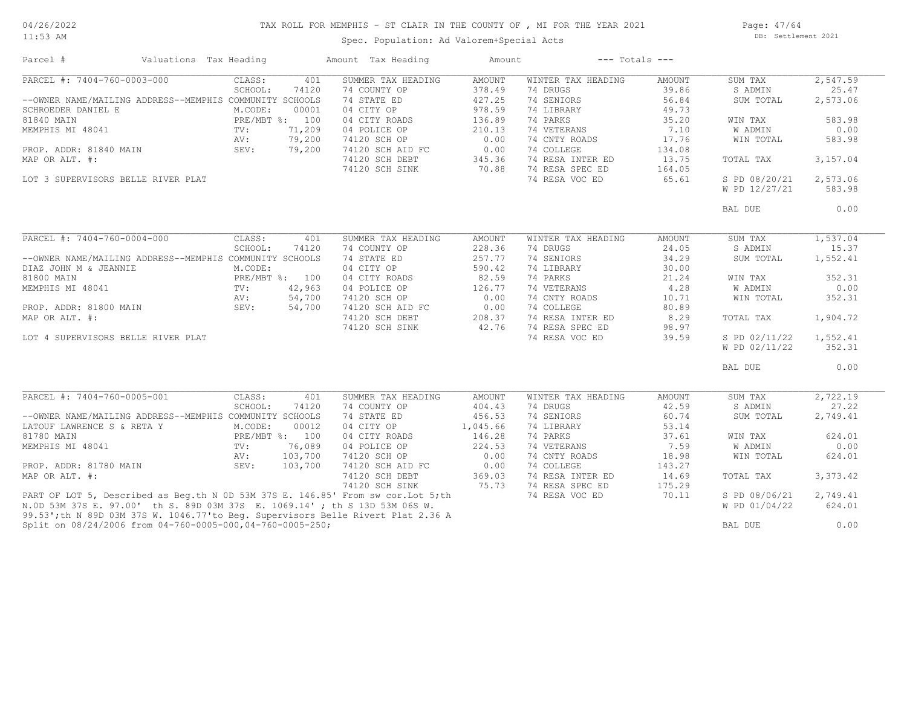11:53 AM

# TAX ROLL FOR MEMPHIS - ST CLAIR IN THE COUNTY OF , MI FOR THE YEAR 2021

Spec. Population: Ad Valorem+Special Acts

Page: 47/64 DB: Settlement 2021

| Parcel #                                                                          | Valuations Tax Heading |                |         | Amount Tax Heading | Amount           |                    | $---$ Totals $---$ |                |          |
|-----------------------------------------------------------------------------------|------------------------|----------------|---------|--------------------|------------------|--------------------|--------------------|----------------|----------|
| PARCEL #: 7404-760-0003-000                                                       |                        | CLASS:         | 401     | SUMMER TAX HEADING | AMOUNT           | WINTER TAX HEADING | AMOUNT             | SUM TAX        | 2,547.59 |
|                                                                                   |                        | SCHOOL:        | 74120   | 74 COUNTY OP       | 378.49           | 74 DRUGS           | 39.86              | S ADMIN        | 25.47    |
| --OWNER NAME/MAILING ADDRESS--MEMPHIS COMMUNITY SCHOOLS                           |                        |                |         | 74 STATE ED        | 427.25           | 74 SENIORS         | 56.84              | SUM TOTAL      | 2,573.06 |
| SCHROEDER DANIEL E                                                                |                        | M.CODE:        | 00001   | 04 CITY OP         | 978.59           | 74 LIBRARY         | 49.73              |                |          |
| 81840 MAIN                                                                        |                        | PRE/MBT %: 100 |         | 04 CITY ROADS      | 136.89           | 74 PARKS           | 35.20              | WIN TAX        | 583.98   |
| MEMPHIS MI 48041                                                                  |                        | TV:            | 71,209  | 04 POLICE OP       | 210.13           | 74 VETERANS        | 7.10               | <b>W ADMIN</b> | 0.00     |
|                                                                                   |                        | AV:            | 79,200  | 74120 SCH OP       | 0.00             | 74 CNTY ROADS      | 17.76              | WIN TOTAL      | 583.98   |
| PROP. ADDR: 81840 MAIN                                                            | SEV:                   |                | 79,200  | 74120 SCH AID FC   | 0.00             | 74 COLLEGE         | 134.08             |                |          |
| MAP OR ALT. #:                                                                    |                        |                |         | 74120 SCH DEBT     |                  | 74 RESA INTER ED   | 13.75              | TOTAL TAX      | 3,157.04 |
|                                                                                   |                        |                |         | 74120 SCH SINK     | $345.5$<br>70.88 | 74 RESA SPEC ED    | 164.05             |                |          |
|                                                                                   |                        |                |         |                    |                  | 74 RESA VOC ED     |                    |                | 2,573.06 |
| LOT 3 SUPERVISORS BELLE RIVER PLAT                                                |                        |                |         |                    |                  |                    | 65.61              | S PD 08/20/21  |          |
|                                                                                   |                        |                |         |                    |                  |                    |                    | W PD 12/27/21  | 583.98   |
|                                                                                   |                        |                |         |                    |                  |                    |                    | BAL DUE        | 0.00     |
|                                                                                   |                        |                |         |                    |                  |                    |                    |                |          |
| PARCEL #: 7404-760-0004-000                                                       |                        | CLASS:         | 401     | SUMMER TAX HEADING | <b>AMOUNT</b>    | WINTER TAX HEADING | AMOUNT             | SUM TAX        | 1,537.04 |
|                                                                                   |                        | SCHOOL:        | 74120   | 74 COUNTY OP       | 228.36           | 74 DRUGS           | 24.05              | S ADMIN        | 15.37    |
| --OWNER NAME/MAILING ADDRESS--MEMPHIS COMMUNITY SCHOOLS                           |                        |                |         | 74 STATE ED        | 257.77           | 74 SENIORS         | 34.29              | SUM TOTAL      | 1,552.41 |
| DIAZ JOHN M & JEANNIE                                                             |                        | M.CODE:        |         | 04 CITY OP         | 590.42           | 74 LIBRARY         | 30.00              |                |          |
| 81800 MAIN                                                                        |                        | PRE/MBT %: 100 |         | 04 CITY ROADS      | 82.59            | 74 PARKS           | 21.24              | WIN TAX        | 352.31   |
| MEMPHIS MI 48041                                                                  |                        | TV:            | 42,963  | 04 POLICE OP       | 126.77           | 74 VETERANS        | 4.28               | W ADMIN        | 0.00     |
|                                                                                   |                        |                | 54,700  | 74120 SCH OP       | 0.00             | 74 CNTY ROADS      | 10.71              | WIN TOTAL      | 352.31   |
|                                                                                   |                        |                | 54,700  |                    | 0.00             | 74 COLLEGE         | 80.89              |                |          |
|                                                                                   |                        |                |         | 74120 SCH AID FC   |                  |                    |                    |                |          |
| MAP OR ALT. #:                                                                    |                        |                |         | 74120 SCH DEBT     | 208.37           | 74 RESA INTER ED   | 8.29               | TOTAL TAX      | 1,904.72 |
|                                                                                   |                        |                |         | 74120 SCH SINK     | 42.76            | 74 RESA SPEC ED    | 98.97              |                |          |
| LOT 4 SUPERVISORS BELLE RIVER PLAT                                                |                        |                |         |                    |                  | 74 RESA VOC ED     | 39.59              | S PD 02/11/22  | 1,552.41 |
|                                                                                   |                        |                |         |                    |                  |                    |                    | W PD 02/11/22  | 352.31   |
|                                                                                   |                        |                |         |                    |                  |                    |                    | BAL DUE        | 0.00     |
| PARCEL #: 7404-760-0005-001                                                       |                        | CLASS:         | 401     | SUMMER TAX HEADING | <b>AMOUNT</b>    | WINTER TAX HEADING | AMOUNT             | SUM TAX        | 2,722.19 |
|                                                                                   |                        | SCHOOL:        | 74120   | 74 COUNTY OP       | 404.43           | 74 DRUGS           | 42.59              | S ADMIN        | 27.22    |
| --OWNER NAME/MAILING ADDRESS--MEMPHIS COMMUNITY SCHOOLS                           |                        |                |         | 74 STATE ED        | 456.53           | 74 SENIORS         | 60.74              | SUM TOTAL      | 2,749.41 |
|                                                                                   |                        |                | 00012   | 04 CITY OP         |                  | 74 LIBRARY         | 53.14              |                |          |
| LATOUF LAWRENCE S & RETA Y                                                        |                        | M.CODE:        |         |                    | 1,045.66         |                    |                    |                |          |
| 81780 MAIN                                                                        |                        | PRE/MBT %: 100 |         | 04 CITY ROADS      | 146.28           | 74 PARKS           | 37.61              | WIN TAX        | 624.01   |
| MEMPHIS MI 48041                                                                  |                        | $\text{TV}$ :  | 76,089  | 04 POLICE OP       | 224.53           | 74 VETERANS        | 7.59               | W ADMIN        | 0.00     |
|                                                                                   |                        | AV:            | 103,700 | 74120 SCH OP       | 0.00             | 74 CNTY ROADS      | 18.98              | WIN TOTAL      | 624.01   |
| PROP. ADDR: 81780 MAIN                                                            |                        | SEV:           | 103,700 | 74120 SCH AID FC   | 0.00             | 74 COLLEGE         | 143.27             |                |          |
| MAP OR ALT. #:                                                                    |                        |                |         | 74120 SCH DEBT     | 369.03           | 74 RESA INTER ED   | 14.69              | TOTAL TAX      | 3,373.42 |
|                                                                                   |                        |                |         | 74120 SCH SINK     | 75.73            | 74 RESA SPEC ED    | 175.29             |                |          |
| PART OF LOT 5, Described as Beg.th N 0D 53M 37S E. 146.85' From sw cor. Lot 5; th |                        |                |         |                    |                  | 74 RESA VOC ED     | 70.11              | S PD 08/06/21  | 2,749.41 |
| N.OD 53M 37S E. 97.00' th S. 89D 03M 37S E. 1069.14'; th S 13D 53M 06S W.         |                        |                |         |                    |                  |                    |                    | W PD 01/04/22  | 624.01   |
| 99.53';th N 89D 03M 37S W. 1046.77'to Beg. Supervisors Belle Rivert Plat 2.36 A   |                        |                |         |                    |                  |                    |                    |                |          |
| Split on 08/24/2006 from 04-760-0005-000,04-760-0005-250;                         |                        |                |         |                    |                  |                    |                    | BAL DUE        | 0.00     |
|                                                                                   |                        |                |         |                    |                  |                    |                    |                |          |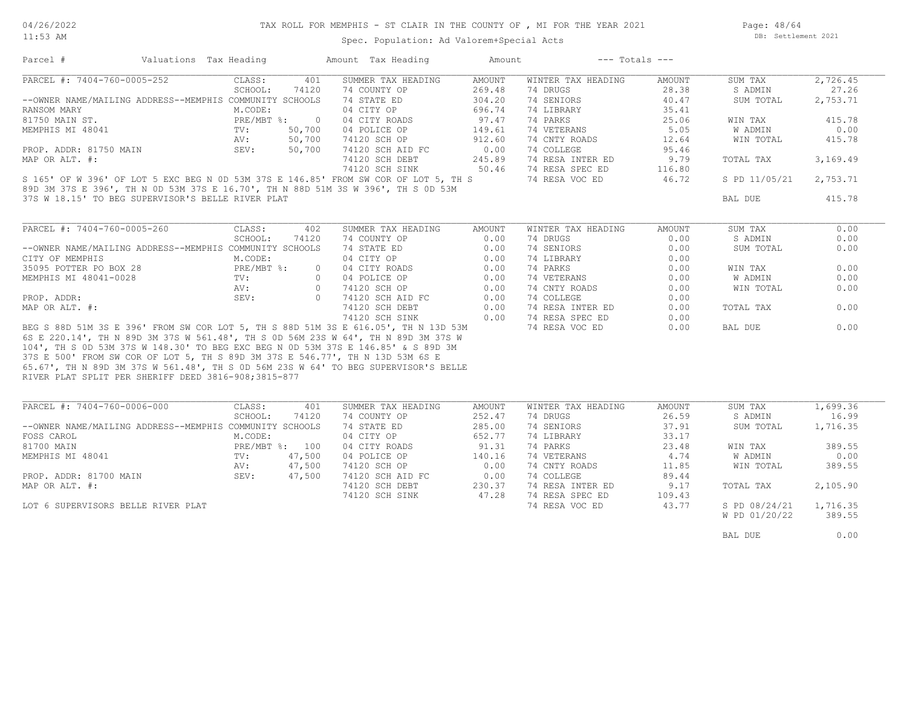#### TAX ROLL FOR MEMPHIS - ST CLAIR IN THE COUNTY OF , MI FOR THE YEAR 2021

Spec. Population: Ad Valorem+Special Acts

Page: 48/64 DB: Settlement 2021

| Parcel #                                                                                                                                                                                                                                 | Valuations Tax Heading                   |         |                | Amount Tax Heading                                                                                                                         | Amount                          |                    | $---$ Totals $---$ |                        |          |
|------------------------------------------------------------------------------------------------------------------------------------------------------------------------------------------------------------------------------------------|------------------------------------------|---------|----------------|--------------------------------------------------------------------------------------------------------------------------------------------|---------------------------------|--------------------|--------------------|------------------------|----------|
| PARCEL #: 7404-760-0005-252                                                                                                                                                                                                              |                                          | CLASS:  | 401            | SUMMER TAX HEADING                                                                                                                         | AMOUNT                          | WINTER TAX HEADING | AMOUNT             | SUM TAX                | 2,726.45 |
|                                                                                                                                                                                                                                          |                                          | SCHOOL: | 74120          | 74 COUNTY OP                                                                                                                               | 269.48                          | 74 DRUGS           | 28.38              | S ADMIN                | 27.26    |
| --OWNER NAME/MAILING ADDRESS--MEMPHIS COMMUNITY SCHOOLS                                                                                                                                                                                  |                                          |         |                | 74 STATE ED                                                                                                                                | 304.20                          | 74 SENIORS         | 40.47              | SUM TOTAL              | 2,753.71 |
| RANSOM MARY                                                                                                                                                                                                                              |                                          | M.CODE: |                | 04 CITY OP                                                                                                                                 | 696.74                          | 74 LIBRARY         | 35.41              |                        |          |
| 81750 MAIN ST.                                                                                                                                                                                                                           | PRE/MBT %: 0<br>TV: 50,700<br>AV: 50,700 |         |                | 04 CITY ROADS                                                                                                                              | $97.47$<br>$149.61$<br>$912.60$ | 74 PARKS           | 25.06              | WIN TAX                | 415.78   |
| MEMPHIS MI 48041                                                                                                                                                                                                                         |                                          |         |                | 04 POLICE OP                                                                                                                               |                                 | 74 VETERANS        | 5.05               | W ADMIN                | 0.00     |
|                                                                                                                                                                                                                                          |                                          |         |                | 74120 SCH OP                                                                                                                               |                                 | 74 CNTY ROADS      | 12.64              | WIN TOTAL              | 415.78   |
| PROP. ADDR: 81750 MAIN SEV:                                                                                                                                                                                                              |                                          |         | 50,700         | 74120 SCH AID FC 0.00<br>74120 SCH DEBT 245.89                                                                                             |                                 | 74 COLLEGE         | 95.46              |                        |          |
| MAP OR ALT. #:                                                                                                                                                                                                                           |                                          |         |                |                                                                                                                                            |                                 | 74 RESA INTER ED   | 9.79               | TOTAL TAX              | 3,169.49 |
|                                                                                                                                                                                                                                          |                                          |         |                | 74120 SCH SINK 50.46                                                                                                                       |                                 | 74 RESA SPEC ED    | 116.80             |                        |          |
| S 165' OF W 396' OF LOT 5 EXC BEG N 0D 53M 37S E 146.85' FROM SW COR OF LOT 5, TH S                                                                                                                                                      |                                          |         |                |                                                                                                                                            |                                 | 74 RESA VOC ED     | 46.72              | S PD 11/05/21 2,753.71 |          |
| 89D 3M 37S E 396', TH N 0D 53M 37S E 16.70', TH N 88D 51M 3S W 396', TH S 0D 53M                                                                                                                                                         |                                          |         |                |                                                                                                                                            |                                 |                    |                    |                        |          |
| 37S W 18.15' TO BEG SUPERVISOR'S BELLE RIVER PLAT                                                                                                                                                                                        |                                          |         |                |                                                                                                                                            |                                 |                    |                    | BAL DUE                | 415.78   |
|                                                                                                                                                                                                                                          |                                          |         |                |                                                                                                                                            |                                 |                    |                    |                        |          |
|                                                                                                                                                                                                                                          |                                          |         |                |                                                                                                                                            |                                 |                    |                    |                        |          |
| PARCEL #: 7404-760-0005-260                                                                                                                                                                                                              |                                          | CLASS:  | 402            | SUMMER TAX HEADING AMOUNT                                                                                                                  |                                 | WINTER TAX HEADING | AMOUNT             | SUM TAX                | 0.00     |
|                                                                                                                                                                                                                                          |                                          | SCHOOL: | 74120          | 74 COUNTY OP                                                                                                                               | 0.00                            | 74 DRUGS           | 0.00               | S ADMIN                | 0.00     |
| --OWNER NAME/MAILING ADDRESS--MEMPHIS COMMUNITY SCHOOLS                                                                                                                                                                                  |                                          |         |                | 74 STATE ED<br>04 CITY OP                                                                                                                  | 0.00                            | 74 SENIORS         | 0.00               | SUM TOTAL              | 0.00     |
| CITY OF MEMPHIS                                                                                                                                                                                                                          |                                          | M.CODE: |                |                                                                                                                                            | 0.00                            | 74 LIBRARY         | 0.00               |                        |          |
|                                                                                                                                                                                                                                          |                                          |         |                |                                                                                                                                            |                                 | 74 PARKS           | 0.00               | WIN TAX                | 0.00     |
|                                                                                                                                                                                                                                          |                                          |         |                | 04 CITY ROADS<br>0 04 CITY ROADS<br>0 04 POLICE OP 0.00<br>0 74120 SCH AID FC 0.00<br>74120 SCH AID FC 0.00<br>74120 SCH DEBT 0.00<br>0.00 |                                 | 74 VETERANS        | 0.00               | W ADMIN                | 0.00     |
|                                                                                                                                                                                                                                          |                                          |         |                |                                                                                                                                            |                                 | 74 CNTY ROADS      | 0.00               | WIN TOTAL              | 0.00     |
| 35095 POTTER PO BOX 28<br>MEMPHIS MI 48041-0028<br>PRE/MBT %: 0 04 CITY ROADS<br>TV: 0 04 POLICE OP<br>PROP. ADDR: NAP OR ALT. #: 35095 POTTER PO BOX 28<br>PROP. ADDR: SEV: 0 74120 SCH DEBY<br>SEV: 0 74120 SCH DEBY<br>24120 SCH DEBY |                                          |         |                |                                                                                                                                            |                                 | 74 COLLEGE         | 0.00               |                        |          |
|                                                                                                                                                                                                                                          |                                          |         |                |                                                                                                                                            |                                 | 74 RESA INTER ED   | 0.00               | TOTAL TAX              | 0.00     |
|                                                                                                                                                                                                                                          |                                          |         |                | 74120 SCH SINK 0.00                                                                                                                        |                                 | 74 RESA SPEC ED    | 0.00               |                        |          |
| BEG S 88D 51M 3S E 396' FROM SW COR LOT 5, TH S 88D 51M 3S E 616.05', TH N 13D 53M                                                                                                                                                       |                                          |         |                |                                                                                                                                            |                                 | 74 RESA VOC ED     | 0.00               | BAL DUE                | 0.00     |
| 6S E 220.14', TH N 89D 3M 37S W 561.48', TH S OD 56M 23S W 64', TH N 89D 3M 37S W                                                                                                                                                        |                                          |         |                |                                                                                                                                            |                                 |                    |                    |                        |          |
| 104', TH S OD 53M 37S W 148.30' TO BEG EXC BEG N OD 53M 37S E 146.85' & S 89D 3M                                                                                                                                                         |                                          |         |                |                                                                                                                                            |                                 |                    |                    |                        |          |
| 37S E 500' FROM SW COR OF LOT 5, TH S 89D 3M 37S E 546.77', TH N 13D 53M 6S E                                                                                                                                                            |                                          |         |                |                                                                                                                                            |                                 |                    |                    |                        |          |
| 65.67', TH N 89D 3M 37S W 561.48', TH S 0D 56M 23S W 64' TO BEG SUPERVISOR'S BELLE                                                                                                                                                       |                                          |         |                |                                                                                                                                            |                                 |                    |                    |                        |          |
| RIVER PLAT SPLIT PER SHERIFF DEED 3816-908;3815-877                                                                                                                                                                                      |                                          |         |                |                                                                                                                                            |                                 |                    |                    |                        |          |
|                                                                                                                                                                                                                                          |                                          |         |                |                                                                                                                                            |                                 |                    |                    |                        |          |
| PARCEL #: 7404-760-0006-000                                                                                                                                                                                                              |                                          | CLASS:  | 401            | SUMMER TAX HEADING                                                                                                                         | AMOUNT                          | WINTER TAX HEADING | AMOUNT             | SUM TAX                | 1,699.36 |
|                                                                                                                                                                                                                                          |                                          | SCHOOL: | 74120          | 74 COUNTY OP                                                                                                                               | 252.47                          | 74 DRUGS           | 26.59              | S ADMIN                | 16.99    |
| --OWNER NAME/MAILING ADDRESS--MEMPHIS COMMUNITY SCHOOLS                                                                                                                                                                                  |                                          |         |                | 74 STATE ED                                                                                                                                | 285.00                          | 74 SENIORS         | 37.91              | SUM TOTAL              | 1,716.35 |
| FOSS CAROL                                                                                                                                                                                                                               |                                          | M.CODE: |                | 04 CITY OP                                                                                                                                 | 652.77                          | 74 LIBRARY         | 33.17              |                        |          |
| 81700 MAIN                                                                                                                                                                                                                               |                                          |         | PRE/MBT %: 100 | 04 CITY ROADS                                                                                                                              | $652.77$<br>91.31               | 74 PARKS           | 23.48              | WIN TAX                | 389.55   |
| MEMPHIS MI 48041                                                                                                                                                                                                                         | $\text{TV}$ :                            |         | 47,500         | 04 POLICE OP                                                                                                                               |                                 | 74 VETERANS        | 4.74               | W ADMIN                | 0.00     |
|                                                                                                                                                                                                                                          |                                          | AV:     | 47,500         | 74120 SCH OP                                                                                                                               | $\frac{140.16}{0.00}$           | 74 CNTY ROADS      | 11.85              | WIN TOTAL              | 389.55   |
| PROP. ADDR: 81700 MAIN                                                                                                                                                                                                                   | SEV: 47,500                              |         |                |                                                                                                                                            |                                 | 74 COLLEGE         | 89.44              |                        |          |
| MAP OR ALT. #:                                                                                                                                                                                                                           |                                          |         |                |                                                                                                                                            |                                 | 74 RESA INTER ED   | 9.17               | TOTAL TAX              | 2,105.90 |
|                                                                                                                                                                                                                                          |                                          |         |                |                                                                                                                                            |                                 | 74 RESA SPEC ED    | 109.43             |                        |          |
| LOT 6 SUPERVISORS BELLE RIVER PLAT                                                                                                                                                                                                       |                                          |         |                |                                                                                                                                            |                                 | 74 RESA VOC ED     | 43.77              | S PD 08/24/21          | 1,716.35 |
|                                                                                                                                                                                                                                          |                                          |         |                |                                                                                                                                            |                                 |                    |                    | W PD 01/20/22          | 389.55   |
|                                                                                                                                                                                                                                          |                                          |         |                |                                                                                                                                            |                                 |                    |                    |                        |          |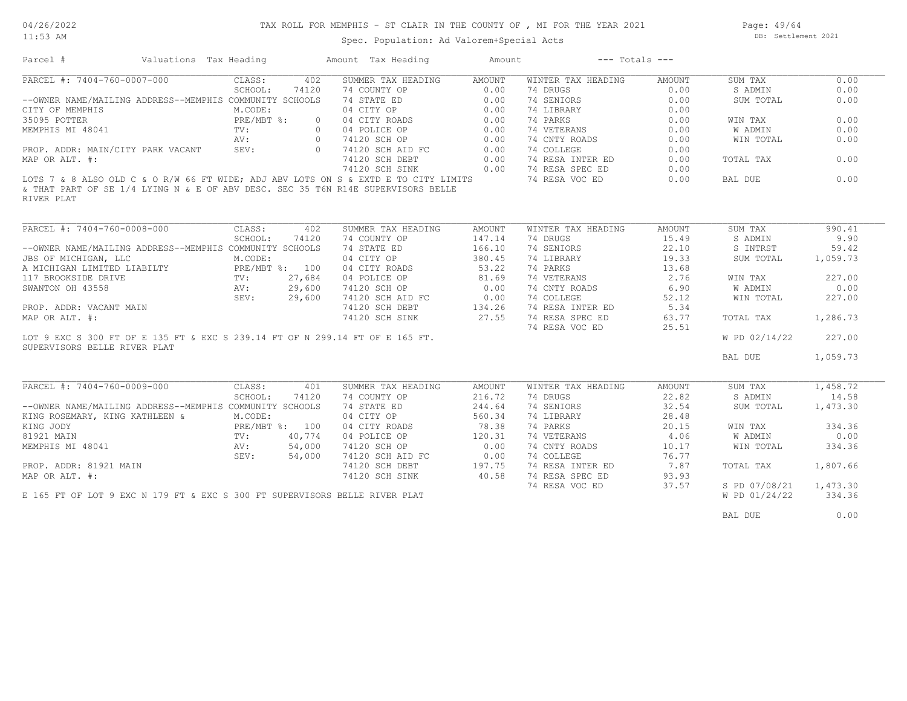#### TAX ROLL FOR MEMPHIS - ST CLAIR IN THE COUNTY OF , MI FOR THE YEAR 2021

Spec. Population: Ad Valorem+Special Acts

Page: 49/64 DB: Settlement 2021

| Parcel #                                  | Valuations Tax Heading                                                              |                | Amount Tax Heading                                     | Amount        | $---$ Totals $---$ |        |               |          |
|-------------------------------------------|-------------------------------------------------------------------------------------|----------------|--------------------------------------------------------|---------------|--------------------|--------|---------------|----------|
| PARCEL #: 7404-760-0007-000               | CLASS:                                                                              | 402            | SUMMER TAX HEADING                                     | AMOUNT        | WINTER TAX HEADING | AMOUNT | SUM TAX       | 0.00     |
|                                           | SCHOOL:                                                                             | 74120          | 74 COUNTY OP                                           | 0.00          | 74 DRUGS           | 0.00   | S ADMIN       | 0.00     |
|                                           | --OWNER NAME/MAILING ADDRESS--MEMPHIS COMMUNITY SCHOOLS                             |                | 74 STATE ED                                            | 0.00          | 74 SENIORS         | 0.00   | SUM TOTAL     | 0.00     |
| CITY OF MEMPHIS                           | M.CODE:                                                                             |                | 04 CITY OP                                             | 0.00          | 74 LIBRARY         | 0.00   |               |          |
| 35095 POTTER                              | PRE/MBT %:                                                                          | $\overline{0}$ | 04 CITY ROADS                                          | 0.00          | 74 PARKS           | 0.00   | WIN TAX       | 0.00     |
| MEMPHIS MI 48041                          | $\text{TV}$ :                                                                       | $\overline{0}$ |                                                        | 0.00          | 74 VETERANS        | 0.00   | W ADMIN       | 0.00     |
|                                           | AV:                                                                                 |                | 0 04 POLICE OP<br>0 74120 SCH OP<br>0 74120 SCH AID FC | 0.00          | 74 CNTY ROADS      | 0.00   | WIN TOTAL     | 0.00     |
| PROP. ADDR: MAIN/CITY PARK VACANT         | SEV:                                                                                |                |                                                        | 0.00          | 74 COLLEGE         | 0.00   |               |          |
| MAP OR ALT. #:                            |                                                                                     |                | 74120 SCH DEBT                                         | 0.00          | 74 RESA INTER ED   | 0.00   | TOTAL TAX     | 0.00     |
|                                           |                                                                                     |                | 74120 SCH SINK                                         | 0.00          | 74 RESA SPEC ED    | 0.00   |               |          |
|                                           | LOTS 7 & 8 ALSO OLD C & O R/W 66 FT WIDE; ADJ ABV LOTS ON S & EXTD E TO CITY LIMITS |                |                                                        |               | 74 RESA VOC ED     | 0.00   | BAL DUE       | 0.00     |
| RIVER PLAT                                | & THAT PART OF SE 1/4 LYING N & E OF ABV DESC. SEC 35 T6N R14E SUPERVISORS BELLE    |                |                                                        |               |                    |        |               |          |
| PARCEL #: 7404-760-0008-000               | CLASS:                                                                              | 402            | SUMMER TAX HEADING                                     | <b>AMOUNT</b> | WINTER TAX HEADING | AMOUNT | SUM TAX       | 990.41   |
|                                           | SCHOOL:                                                                             | 74120          | 74 COUNTY OP                                           | 147.14        | 74 DRUGS           | 15.49  | S ADMIN       | 9.90     |
|                                           | --OWNER NAME/MAILING ADDRESS--MEMPHIS COMMUNITY SCHOOLS                             |                | 74 STATE ED                                            | 166.10        | 74 SENIORS         | 22.10  | S INTRST      | 59.42    |
| JBS OF MICHIGAN, LLC                      | M.CODE:                                                                             |                | 04 CITY OP                                             | 380.45        | 74 LIBRARY         | 19.33  | SUM TOTAL     | 1,059.73 |
| A MICHIGAN LIMITED LIABILTY               | PRE/MBT %: 100                                                                      |                | 04 CITY ROADS                                          | 53.22         | 74 PARKS           | 13.68  |               |          |
| 117 BROOKSIDE DRIVE                       | $\text{TV}$ :                                                                       | 27,684         | 04 POLICE OP                                           | 81.69         | 74 VETERANS        | 2.76   | WIN TAX       | 227.00   |
| SWANTON OH 43558                          | AV:                                                                                 | 29,600         | 74120 SCH OP                                           | 0.00          | 74 CNTY ROADS      | 6.90   | W ADMIN       | 0.00     |
|                                           | SEV:                                                                                | 29,600         | 74120 SCH AID FC                                       | 0.00          | 74 COLLEGE         | 52.12  | WIN TOTAL     | 227.00   |
|                                           |                                                                                     |                | 74120 SCH DEBT                                         | 134.26        | 74 RESA INTER ED   | 5.34   |               |          |
| PROP. ADDR: VACANT MAIN<br>MAP OR ALT. #: |                                                                                     |                | 74120 SCH SINK                                         | 27.55         | 74 RESA SPEC ED    | 63.77  | TOTAL TAX     | 1,286.73 |
|                                           |                                                                                     |                |                                                        |               | 74 RESA VOC ED     | 25.51  |               |          |
| SUPERVISORS BELLE RIVER PLAT              | LOT 9 EXC S 300 FT OF E 135 FT & EXC S 239.14 FT OF N 299.14 FT OF E 165 FT.        |                |                                                        |               |                    |        | W PD 02/14/22 | 227.00   |
|                                           |                                                                                     |                |                                                        |               |                    |        | BAL DUE       | 1,059.73 |
| PARCEL #: 7404-760-0009-000               | CLASS:                                                                              | 401            | SUMMER TAX HEADING                                     | AMOUNT        | WINTER TAX HEADING | AMOUNT | SUM TAX       | 1,458.72 |
|                                           | SCHOOL:                                                                             | 74120          | 74 COUNTY OP                                           | 216.72        | 74 DRUGS           | 22.82  | S ADMIN       | 14.58    |
|                                           | --OWNER NAME/MAILING ADDRESS--MEMPHIS COMMUNITY SCHOOLS                             |                | 74 STATE ED                                            | 244.64        | 74 SENIORS         | 32.54  | SUM TOTAL     | 1,473.30 |
| KING ROSEMARY, KING KATHLEEN &            | M.CODE:                                                                             |                | 04 CITY OP                                             | 560.34        | 74 LIBRARY         | 28.48  |               |          |
| KING JODY                                 | PRE/MBT %: 100                                                                      |                | 04 CITY ROADS                                          | 78.38         | 74 PARKS           | 20.15  | WIN TAX       | 334.36   |
| 81921 MAIN                                | $\texttt{TV}$ :                                                                     | 40,774         | 04 POLICE OP                                           | 120.31        | 74 VETERANS        | 4.06   | W ADMIN       | 0.00     |
| MEMPHIS MI 48041                          | AV:                                                                                 | 54,000         | 74120 SCH OP                                           | 0.00          | 74 CNTY ROADS      | 10.17  | WIN TOTAL     | 334.36   |
|                                           |                                                                                     |                |                                                        |               |                    |        |               |          |

SEV: 54,000 74120 SCH AID FC 0.00 74 COLLEGE 76.77

MAP OR ALT. #: 3.93 AMP OR ALT. #: 74120 SCH SINK 40.58 74 RESA SPEC ED 93.93 PROP. ADDR: 81921 MAIN 74120 SCH DEBT 197.75 74 RESA INTER ED 7.87 TOTAL TAX 1,807.66

E 165 FT OF LOT 9 EXC N 179 FT & EXC S 300 FT SUPERVISORS BELLE RIVER PLAT W PLOTT W PD 01/24/22 334.36

BAL DUE  $0.00$ 

74 RESA VOC ED 37.57 S PD 07/08/21 1,473.30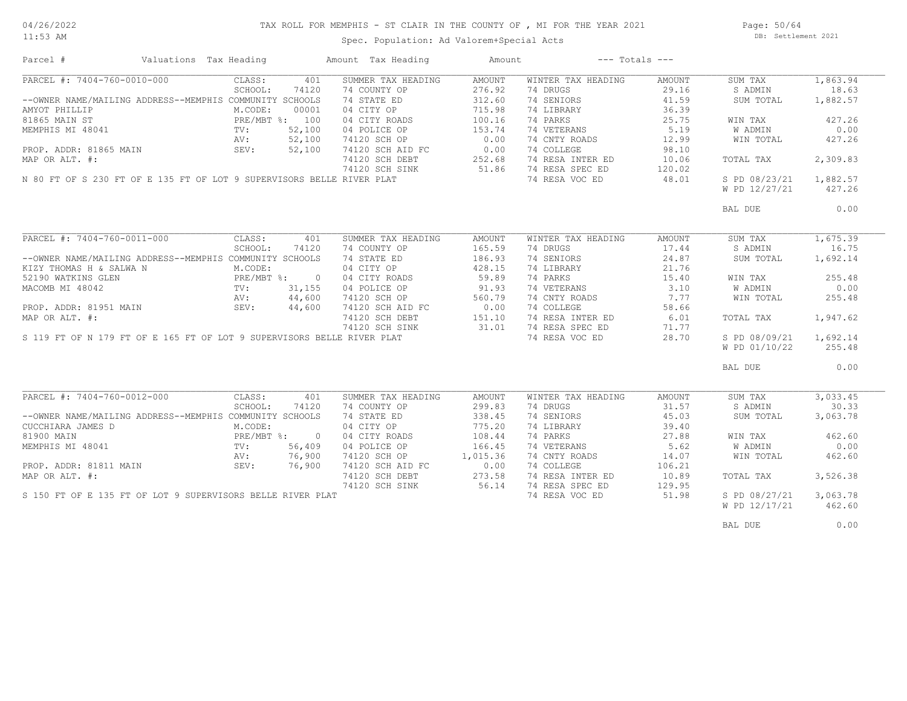11:53 AM

# TAX ROLL FOR MEMPHIS - ST CLAIR IN THE COUNTY OF , MI FOR THE YEAR 2021

Spec. Population: Ad Valorem+Special Acts

Page: 50/64 DB: Settlement 2021

| Parcel #                                                                                                                                                                                                                                                                                                                                                                              | Valuations Tax Heading |                |        | Amount Tax Heading                                                     | Amount             |                                                                   | $---$ Totals $---$                                                |                        |          |
|---------------------------------------------------------------------------------------------------------------------------------------------------------------------------------------------------------------------------------------------------------------------------------------------------------------------------------------------------------------------------------------|------------------------|----------------|--------|------------------------------------------------------------------------|--------------------|-------------------------------------------------------------------|-------------------------------------------------------------------|------------------------|----------|
| PARCEL #: 7404-760-0010-000                                                                                                                                                                                                                                                                                                                                                           |                        | CLASS:         | 401    | SUMMER TAX HEADING                                                     | AMOUNT             | WINTER TAX HEADING                                                | AMOUNT                                                            | SUM TAX                | 1,863.94 |
|                                                                                                                                                                                                                                                                                                                                                                                       |                        | SCHOOL:        | 74120  | 74 COUNTY OP                                                           | 276.92             | 74 DRUGS                                                          | 29.16                                                             | S ADMIN                | 18.63    |
| --OWNER NAME/MAILING ADDRESS--MEMPHIS COMMUNITY SCHOOLS                                                                                                                                                                                                                                                                                                                               |                        |                |        | 74 STATE ED                                                            | 312.60             | 74 SENIORS                                                        | 41.59                                                             | SUM TOTAL              | 1,882.57 |
| AMYOT PHILLIP                                                                                                                                                                                                                                                                                                                                                                         |                        | M.CODE:        | 00001  | 04 CITY OP                                                             | 715.98             | 74 LIBRARY                                                        | 36.39                                                             |                        |          |
|                                                                                                                                                                                                                                                                                                                                                                                       |                        | PRE/MBT %: 100 |        | 04 CITY ROADS                                                          | 100.16             | 74 PARKS                                                          |                                                                   | WIN TAX                | 427.26   |
| 81865 MAIN ST<br>MEMPHIS MI 48041 MEMPHIS MI 48041                                                                                                                                                                                                                                                                                                                                    |                        |                | 52,100 | 04 POLICE OP                                                           | 153.74             | 74 VETERANS                                                       | $25.75$<br>$5.19$                                                 | W ADMIN                | 0.00     |
|                                                                                                                                                                                                                                                                                                                                                                                       |                        |                |        |                                                                        |                    |                                                                   |                                                                   |                        |          |
| PROP. ADDR: 81865 MAIN<br>PROP. ADDR: 81865 MAIN<br>MAP OR ALT. #:<br>MAP OR ALT. #:<br>MAP OR ALT. #:<br>MAP OR ALT. #:<br>252.68<br>M 80 FT OF S 230 FT OF E 135 FT OF LOT 9 SUPERVISORS BELLE RIVER PLAT<br>M 80 FT OF S 230 FT OF E 135 FT                                                                                                                                        |                        |                |        |                                                                        |                    | 74 CNTY ROADS 12.99                                               |                                                                   | WIN TOTAL              | 427.26   |
|                                                                                                                                                                                                                                                                                                                                                                                       |                        |                |        |                                                                        |                    | 74 COLLEGE                                                        | 98.10                                                             |                        |          |
|                                                                                                                                                                                                                                                                                                                                                                                       |                        |                |        |                                                                        |                    | 74 RESA INTER ED 10.06                                            |                                                                   | TOTAL TAX              | 2,309.83 |
|                                                                                                                                                                                                                                                                                                                                                                                       |                        |                |        |                                                                        |                    | 74 RESA SPEC ED<br>74 RESA SPEC ED 120.02<br>74 RESA VOC ED 48.01 |                                                                   |                        |          |
|                                                                                                                                                                                                                                                                                                                                                                                       |                        |                |        |                                                                        |                    |                                                                   |                                                                   | S PD 08/23/21 1,882.57 |          |
|                                                                                                                                                                                                                                                                                                                                                                                       |                        |                |        |                                                                        |                    |                                                                   |                                                                   | W PD 12/27/21          | 427.26   |
|                                                                                                                                                                                                                                                                                                                                                                                       |                        |                |        |                                                                        |                    |                                                                   |                                                                   | BAL DUE                | 0.00     |
|                                                                                                                                                                                                                                                                                                                                                                                       |                        |                |        |                                                                        |                    |                                                                   |                                                                   |                        |          |
| PARCEL #: 7404-760-0011-000                                                                                                                                                                                                                                                                                                                                                           |                        | CLASS:         | 401    | SUMMER TAX HEADING                                                     | AMOUNT             | WINTER TAX HEADING                                                | AMOUNT                                                            | SUM TAX                | 1,675.39 |
|                                                                                                                                                                                                                                                                                                                                                                                       |                        | SCHOOL:        | 74120  | 74 COUNTY OP                                                           | 165.59             | 74 DRUGS                                                          | 17.44                                                             | S ADMIN                | 16.75    |
| --OWNER NAME/MAILING ADDRESS--MEMPHIS COMMUNITY SCHOOLS                                                                                                                                                                                                                                                                                                                               |                        |                |        | 74 STATE ED                                                            | 186.93             |                                                                   | 24.87                                                             | SUM TOTAL              | 1,692.14 |
|                                                                                                                                                                                                                                                                                                                                                                                       |                        |                |        | 04 CITY OP                                                             | 428.15             | 74 SENIORS<br>74 LIBRARY                                          | 21.76                                                             |                        |          |
| KIZY THOMAS H & SALWA N M.CODE:<br>52190 WATKINS GLEN PRE/MBT %: 0<br>MACOMP MT 49042                                                                                                                                                                                                                                                                                                 |                        |                |        | 04 CITY ROADS                                                          |                    | 74 PARKS                                                          | $\begin{array}{c} 1 \cup \ldots \\ \hline 3 \cdot 10 \end{array}$ | WIN TAX                | 255.48   |
|                                                                                                                                                                                                                                                                                                                                                                                       |                        |                | 31,155 | 04 POLICE OP                                                           | $59.89$<br>$91.93$ | 74 VETERANS                                                       |                                                                   | W ADMIN                | 0.00     |
| % ARCOMB MI 48042<br>MACOMB MI 48042<br>PROP. ADDR: 81951 MAIN SEV: 44,600<br>MAP OR ALT. #:<br>AN: 44,600<br>MAP OR ALT. #:<br>MACOMB MI 48042<br>PROP. ADDR: 81951 MAIN<br>PROP. ADDR: 81951 MAIN<br>MAP OR ALT. #:<br>SEV: 44,600 74120 SCH OP<br>MAP OR ALT. #:<br>74120 SCH DEBT<br>74120 SCH DEBT<br>74120 SCH DEBT<br>74120 SCH DEBT<br>74120 SCH DEBT<br>74120 SCH DEBT<br>74 |                        |                |        |                                                                        |                    |                                                                   |                                                                   |                        |          |
|                                                                                                                                                                                                                                                                                                                                                                                       |                        |                |        |                                                                        |                    | 74 CNTY ROADS 7.77                                                |                                                                   | WIN TOTAL              | 255.48   |
|                                                                                                                                                                                                                                                                                                                                                                                       |                        |                |        |                                                                        |                    | 74 COLLEGE                                                        | 58.66                                                             |                        |          |
|                                                                                                                                                                                                                                                                                                                                                                                       |                        |                |        |                                                                        |                    | 74 RESA INTER ED 6.01                                             |                                                                   | TOTAL TAX              | 1,947.62 |
|                                                                                                                                                                                                                                                                                                                                                                                       |                        |                |        |                                                                        |                    | 74 RESA SPEC ED                                                   | 71.77                                                             |                        |          |
|                                                                                                                                                                                                                                                                                                                                                                                       |                        |                |        |                                                                        |                    | 74 RESA VOC ED 28.70                                              |                                                                   | S PD 08/09/21          | 1,692.14 |
|                                                                                                                                                                                                                                                                                                                                                                                       |                        |                |        |                                                                        |                    |                                                                   |                                                                   | W PD 01/10/22          | 255.48   |
|                                                                                                                                                                                                                                                                                                                                                                                       |                        |                |        |                                                                        |                    |                                                                   |                                                                   | BAL DUE                | 0.00     |
|                                                                                                                                                                                                                                                                                                                                                                                       |                        |                |        |                                                                        |                    |                                                                   |                                                                   |                        |          |
| PARCEL #: 7404-760-0012-000                                                                                                                                                                                                                                                                                                                                                           |                        | CLASS:         | 401    | SUMMER TAX HEADING                                                     | AMOUNT             | WINTER TAX HEADING                                                | AMOUNT                                                            | SUM TAX                | 3,033.45 |
|                                                                                                                                                                                                                                                                                                                                                                                       |                        | SCHOOL:        | 74120  | 74 COUNTY OP                                                           | 299.83             | 74 DRUGS                                                          | 31.57                                                             | S ADMIN                | 30.33    |
| --OWNER NAME/MAILING ADDRESS--MEMPHIS COMMUNITY SCHOOLS                                                                                                                                                                                                                                                                                                                               |                        |                |        | 74 STATE ED                                                            | 338.45             | 74 SENIORS                                                        | 45.03                                                             | SUM TOTAL              | 3,063.78 |
|                                                                                                                                                                                                                                                                                                                                                                                       |                        |                |        | 04 CITY OP                                                             | 775.20             | 74 LIBRARY                                                        | 39.40                                                             |                        |          |
|                                                                                                                                                                                                                                                                                                                                                                                       |                        |                |        | 04 CITY ROADS                                                          | 108.44             |                                                                   | 27.88                                                             | WIN TAX                | 462.60   |
|                                                                                                                                                                                                                                                                                                                                                                                       |                        |                | 56,409 | 04 POLICE OP                                                           | 166.45             | 4 PARKS<br>74 VETERANS                                            | 5.62                                                              | W ADMIN                | 0.00     |
|                                                                                                                                                                                                                                                                                                                                                                                       |                        | AV: 76,900     |        |                                                                        |                    | 74 CNTY ROADS                                                     | 14.07                                                             | WIN TOTAL              | 462.60   |
| PROP. ADDR: 81811 MAIN                                                                                                                                                                                                                                                                                                                                                                |                        | SEV: 76,900    |        | 74120 SCH OP 1,015.36<br>74120 SCH AID FC 0.00                         |                    | 74 COLLEGE                                                        | 106.21                                                            |                        |          |
| MAP OR ALT. #:                                                                                                                                                                                                                                                                                                                                                                        |                        |                |        |                                                                        |                    |                                                                   | 10.89                                                             | TOTAL TAX              | 3,526.38 |
|                                                                                                                                                                                                                                                                                                                                                                                       |                        |                |        |                                                                        |                    | 74 RESA INTER ED<br>74 RESA SPEC ED                               |                                                                   |                        |          |
|                                                                                                                                                                                                                                                                                                                                                                                       |                        |                |        | 74120 SCH DEBT 273.58<br>74120 SCH DEBT 273.58<br>74120 SCH SINK 56.14 |                    | 74 RESA SPEC ED                                                   | 129.95                                                            |                        |          |
| S 150 FT OF E 135 FT OF LOT 9 SUPERVISORS BELLE RIVER PLAT                                                                                                                                                                                                                                                                                                                            |                        |                |        |                                                                        |                    | 74 RESA VOC ED                                                    | 51.98                                                             | S PD 08/27/21 3,063.78 |          |
|                                                                                                                                                                                                                                                                                                                                                                                       |                        |                |        |                                                                        |                    |                                                                   |                                                                   | W PD 12/17/21          | 462.60   |
|                                                                                                                                                                                                                                                                                                                                                                                       |                        |                |        |                                                                        |                    |                                                                   |                                                                   |                        |          |
|                                                                                                                                                                                                                                                                                                                                                                                       |                        |                |        |                                                                        |                    |                                                                   |                                                                   | BAL DUE                | 0.00     |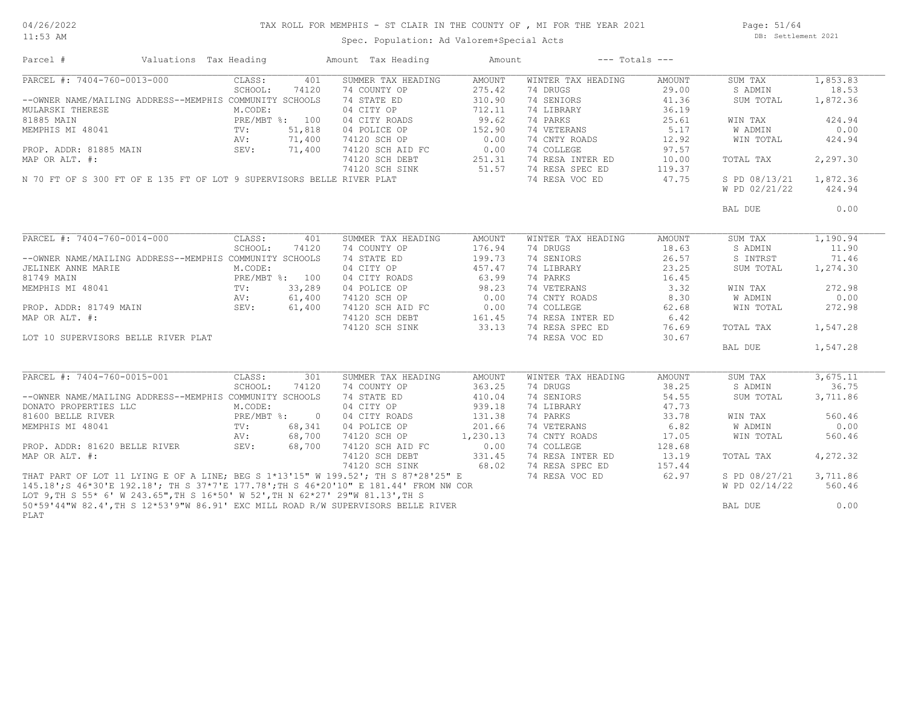11:53 AM

# TAX ROLL FOR MEMPHIS - ST CLAIR IN THE COUNTY OF , MI FOR THE YEAR 2021

Spec. Population: Ad Valorem+Special Acts

Page: 51/64 DB: Settlement 2021

| Parcel #                                                                              | Valuations Tax Heading | Amount Tax Heading         | Amount        | $---$ Totals $---$ |        |               |          |
|---------------------------------------------------------------------------------------|------------------------|----------------------------|---------------|--------------------|--------|---------------|----------|
| PARCEL #: 7404-760-0013-000                                                           | CLASS:                 | 401<br>SUMMER TAX HEADING  | AMOUNT        | WINTER TAX HEADING | AMOUNT | SUM TAX       | 1,853.83 |
|                                                                                       | SCHOOL:                | 74 COUNTY OP<br>74120      | 275.42        | 74 DRUGS           | 29.00  | S ADMIN       | 18.53    |
| --OWNER NAME/MAILING ADDRESS--MEMPHIS COMMUNITY SCHOOLS                               |                        | 74 STATE ED                | 310.90        | 74 SENIORS         | 41.36  | SUM TOTAL     | 1,872.36 |
| MULARSKI THERESE                                                                      | M.CODE:                | 04 CITY OP                 | 712.11        | 74 LIBRARY         | 36.19  |               |          |
| 81885 MAIN                                                                            | PRE/MBT %: 100         | 04 CITY ROADS              | 99.62         | 74 PARKS           | 25.61  | WIN TAX       | 424.94   |
| MEMPHIS MI 48041                                                                      | $\text{TV}$ :          | 51,818<br>04 POLICE OP     | 152.90        | 74 VETERANS        | 5.17   | W ADMIN       | 0.00     |
|                                                                                       | AV:                    | 71,400<br>74120 SCH OP     | 0.00          | 74 CNTY ROADS      | 12.92  | WIN TOTAL     | 424.94   |
| PROP. ADDR: 81885 MAIN                                                                | 71,400<br>SEV:         | 74120 SCH AID FC           | 0.00          | 74 COLLEGE         | 97.57  |               |          |
| MAP OR ALT. #:                                                                        |                        | 74120 SCH DEBT             | 251.31        | 74 RESA INTER ED   | 10.00  | TOTAL TAX     | 2,297.30 |
|                                                                                       |                        | 74120 SCH SINK             | 51.57         | 74 RESA SPEC ED    | 119.37 |               |          |
| N 70 FT OF S 300 FT OF E 135 FT OF LOT 9 SUPERVISORS BELLE RIVER PLAT                 |                        |                            |               | 74 RESA VOC ED     | 47.75  | S PD 08/13/21 | 1,872.36 |
|                                                                                       |                        |                            |               |                    |        | W PD 02/21/22 | 424.94   |
|                                                                                       |                        |                            |               |                    |        | BAL DUE       | 0.00     |
|                                                                                       |                        |                            |               |                    |        |               |          |
| PARCEL #: 7404-760-0014-000                                                           | CLASS:                 | SUMMER TAX HEADING<br>401  | <b>AMOUNT</b> | WINTER TAX HEADING | AMOUNT | SUM TAX       | 1,190.94 |
|                                                                                       | SCHOOL:                | 74120<br>74 COUNTY OP      | 176.94        | 74 DRUGS           | 18.63  | S ADMIN       | 11.90    |
| --OWNER NAME/MAILING ADDRESS--MEMPHIS COMMUNITY SCHOOLS                               |                        | 74 STATE ED                | 199.73        | 74 SENIORS         | 26.57  | S INTRST      | 71.46    |
| JELINEK ANNE MARIE                                                                    | M.CODE:                | 04 CITY OP                 | 457.47        | 74 LIBRARY         | 23.25  | SUM TOTAL     | 1,274.30 |
| 81749 MAIN                                                                            | PRE/MBT %: 100         | 04 CITY ROADS              | 63.99         | 74 PARKS           | 16.45  |               |          |
| MEMPHIS MI 48041                                                                      | $\text{TV}$ :          | 33,289<br>04 POLICE OP     | 98.23         | 74 VETERANS        | 3.32   | WIN TAX       | 272.98   |
|                                                                                       | AV:                    | 61,400<br>74120 SCH OP     | 0.00          | 74 CNTY ROADS      | 8.30   | W ADMIN       | 0.00     |
| PROP. ADDR: 81749 MAIN SEV:                                                           |                        | 61,400                     |               | 74 COLLEGE         | 62.68  | WIN TOTAL     | 272.98   |
| MAP OR ALT. #:                                                                        |                        |                            |               | 74 RESA INTER ED   | 6.42   |               |          |
|                                                                                       |                        |                            |               | 74 RESA SPEC ED    |        |               | 1,547.28 |
|                                                                                       |                        |                            |               |                    | 76.69  | TOTAL TAX     |          |
| LOT 10 SUPERVISORS BELLE RIVER PLAT                                                   |                        |                            |               | 74 RESA VOC ED     | 30.67  |               |          |
|                                                                                       |                        |                            |               |                    |        | BAL DUE       | 1,547.28 |
| PARCEL #: 7404-760-0015-001                                                           | CLASS:                 | SUMMER TAX HEADING<br>301  | AMOUNT        | WINTER TAX HEADING | AMOUNT | SUM TAX       | 3,675.11 |
|                                                                                       | SCHOOL:                | 74120<br>74 COUNTY OP      | 363.25        | 74 DRUGS           | 38.25  | S ADMIN       | 36.75    |
| --OWNER NAME/MAILING ADDRESS--MEMPHIS COMMUNITY SCHOOLS                               |                        | 74 STATE ED                | 410.04        | 74 SENIORS         | 54.55  | SUM TOTAL     | 3,711.86 |
| DONATO PROPERTIES LLC                                                                 | M.CODE:                | 04 CITY OP                 | 939.18        | 74 LIBRARY         | 47.73  |               |          |
| 81600 BELLE RIVER                                                                     | PRE/MBT %: 0           | 04 CITY ROADS              | 131.38        | 74 PARKS           | 33.78  | WIN TAX       | 560.46   |
| MEMPHIS MI 48041                                                                      | TV:                    | 68,341<br>04 POLICE OP     | 201.66        | 74 VETERANS        | 6.82   | W ADMIN       | 0.00     |
|                                                                                       | AV:                    | 68,700<br>74120 SCH OP     | 1,230.13      | 74 CNTY ROADS      | 17.05  | WIN TOTAL     | 560.46   |
| PROP. ADDR: 81620 BELLE RIVER                                                         | SEV:                   | 68,700<br>74120 SCH AID FC | 0.00          | 74 COLLEGE         | 128.68 |               |          |
| MAP OR ALT. #:                                                                        |                        | 74120 SCH DEBT             | 331.45        | 74 RESA INTER ED   | 13.19  |               |          |
|                                                                                       |                        |                            |               |                    |        | TOTAL TAX     | 4,272.32 |
|                                                                                       |                        | 74120 SCH SINK             | 68.02         | 74 RESA SPEC ED    | 157.44 |               |          |
| THAT PART OF LOT 11 LYING E OF A LINE; BEG S 1*13'15" W 199.52'; TH S 87*28'25" E     |                        |                            |               | 74 RESA VOC ED     | 62.97  | S PD 08/27/21 | 3,711.86 |
| 145.18'; S 46*30'E 192.18'; TH S 37*7'E 177.78'; TH S 46*20'10" E 181.44' FROM NW COR |                        |                            |               |                    |        | W PD 02/14/22 | 560.46   |
| LOT 9, TH S 55* 6' W 243.65", TH S 16*50' W 52', TH N 62*27' 29"W 81.13', TH S        |                        |                            |               |                    |        |               |          |
| 50*59'44"W 82.4', TH S 12*53'9"W 86.91' EXC MILL ROAD R/W SUPERVISORS BELLE RIVER     |                        |                            |               |                    |        | BAL DUE       | 0.00     |
| PLAT                                                                                  |                        |                            |               |                    |        |               |          |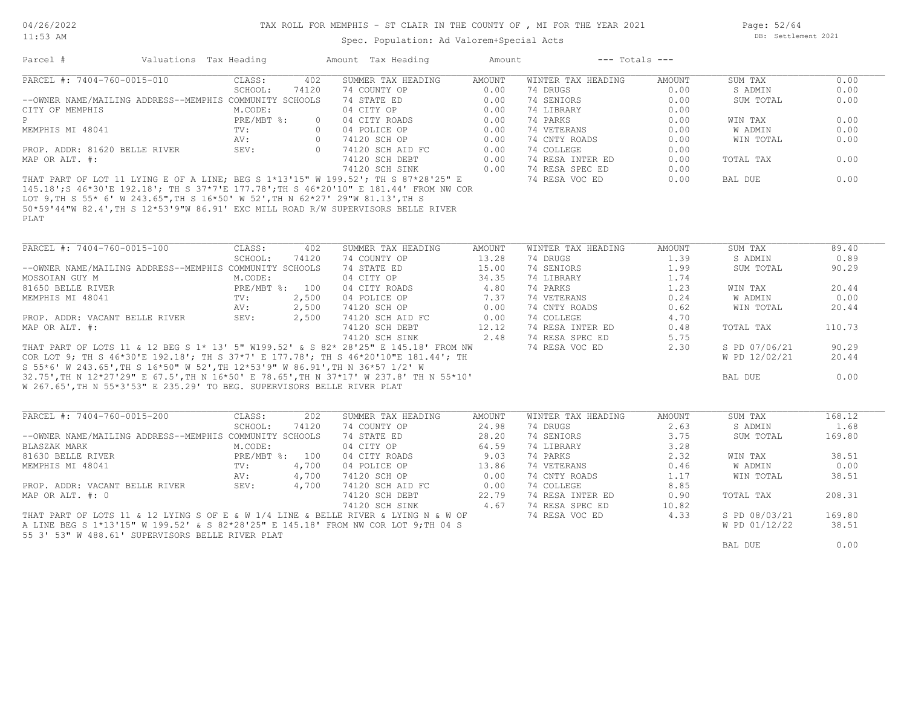11:53 AM

Page: 52/64 DB: Settlement 2021

Spec. Population: Ad Valorem+Special Acts

| Parcel #                                                                       | Valuations Tax Heading |              |          | Amount Tax Heading                                                                    | Amount | $---$ Totals $---$ |        |           |      |
|--------------------------------------------------------------------------------|------------------------|--------------|----------|---------------------------------------------------------------------------------------|--------|--------------------|--------|-----------|------|
| PARCEL #: 7404-760-0015-010                                                    |                        | CLASS:       | 402      | SUMMER TAX HEADING                                                                    | AMOUNT | WINTER TAX HEADING | AMOUNT | SUM TAX   | 0.00 |
|                                                                                |                        | SCHOOL:      | 74120    | 74 COUNTY OP                                                                          | 0.00   | 74 DRUGS           | 0.00   | S ADMIN   | 0.00 |
| --OWNER NAME/MAILING ADDRESS--MEMPHIS COMMUNITY SCHOOLS                        |                        |              |          | 74 STATE ED                                                                           | 0.00   | 74 SENIORS         | 0.00   | SUM TOTAL | 0.00 |
| CITY OF MEMPHIS                                                                |                        | M.CODE:      |          | 04 CITY OP                                                                            | 0.00   | 74 LIBRARY         | 0.00   |           |      |
| P.                                                                             |                        | $PRE/MBT$ %: | $\Omega$ | 04 CITY ROADS                                                                         | 0.00   | 74 PARKS           | 0.00   | WIN TAX   | 0.00 |
| MEMPHIS MI 48041                                                               |                        | TV:          | $\Omega$ | 04 POLICE OP                                                                          | 0.00   | 74 VETERANS        | 0.00   | W ADMIN   | 0.00 |
|                                                                                |                        | AV:          |          | 74120 SCH OP                                                                          | 0.00   | 74 CNTY ROADS      | 0.00   | WIN TOTAL | 0.00 |
| PROP. ADDR: 81620 BELLE RIVER                                                  |                        | SEV:         | $\Omega$ | 74120 SCH AID FC                                                                      | 0.00   | 74 COLLEGE         | 0.00   |           |      |
| MAP OR ALT. #:                                                                 |                        |              |          | 74120 SCH DEBT                                                                        | 0.00   | 74 RESA INTER ED   | 0.00   | TOTAL TAX | 0.00 |
|                                                                                |                        |              |          | 74120 SCH SINK                                                                        | 0.00   | 74 RESA SPEC ED    | 0.00   |           |      |
|                                                                                |                        |              |          | THAT PART OF LOT 11 LYING E OF A LINE; BEG S 1*13'15" W 199.52'; TH S 87*28'25" E     |        | 74 RESA VOC ED     | 0.00   | BAL DUE   | 0.00 |
|                                                                                |                        |              |          | 145.18'; S 46*30'E 192.18'; TH S 37*7'E 177.78'; TH S 46*20'10" E 181.44' FROM NW COR |        |                    |        |           |      |
| TAM A MII A EE+ 61 M AAB 6EH MII A 16+EAL M EBL MII M 60+071 AAHM 01 191 MII A |                        |              |          |                                                                                       |        |                    |        |           |      |

PLAT 50\*59'44"W 82.4',TH S 12\*53'9"W 86.91' EXC MILL ROAD R/W SUPERVISORS BELLE RIVER LOT 9,TH S 55\* 6' W 243.65",TH S 16\*50' W 52',TH N 62\*27' 29"W 81.13',TH S

| PARCEL #: 7404-760-0015-100                                                            | CLASS:         | 402   | SUMMER TAX HEADING | AMOUNT | WINTER TAX HEADING | AMOUNT | SUM TAX       | 89.40  |
|----------------------------------------------------------------------------------------|----------------|-------|--------------------|--------|--------------------|--------|---------------|--------|
|                                                                                        | SCHOOL:        | 74120 | 74 COUNTY OP       | 13.28  | 74 DRUGS           | 1.39   | S ADMIN       | 0.89   |
| --OWNER NAME/MAILING ADDRESS--MEMPHIS COMMUNITY SCHOOLS                                |                |       | 74 STATE ED        | 15.00  | 74 SENIORS         | 1.99   | SUM TOTAL     | 90.29  |
| MOSSOIAN GUY M                                                                         | M.CODE:        |       | 04 CITY OP         | 34.35  | 74 LIBRARY         | 1.74   |               |        |
| 81650 BELLE RIVER                                                                      | PRE/MBT %: 100 |       | 04 CITY ROADS      | 4.80   | 74 PARKS           | 1.23   | WIN TAX       | 20.44  |
| MEMPHIS MI 48041                                                                       | TV:            | 2,500 | 04 POLICE OP       | 7.37   | 74 VETERANS        | 0.24   | W ADMIN       | 0.00   |
|                                                                                        | AV:            | 2,500 | 74120 SCH OP       | 0.00   | 74 CNTY ROADS      | 0.62   | WIN TOTAL     | 20.44  |
| PROP. ADDR: VACANT BELLE RIVER                                                         | SEV:           | 2,500 | 74120 SCH AID FC   | 0.00   | 74 COLLEGE         | 4.70   |               |        |
| MAP OR ALT. #:                                                                         |                |       | 74120 SCH DEBT     | 12.12  | 74 RESA INTER ED   | 0.48   | TOTAL TAX     | 110.73 |
|                                                                                        |                |       | 74120 SCH SINK     | 2.48   | 74 RESA SPEC ED    | 5.75   |               |        |
| THAT PART OF LOTS 11 & 12 BEG S 1* 13' 5" W199.52' & S 82* 28'25" E 145.18' FROM NW    |                |       |                    |        | 74 RESA VOC ED     | 2.30   | S PD 07/06/21 | 90.29  |
| COR LOT 9; TH S 46*30'E 192.18'; TH S 37*7' E 177.78'; TH S 46*20'10"E 181.44'; TH     |                |       |                    |        |                    |        | W PD 12/02/21 | 20.44  |
| S 55*6' W 243.65',TH S 16*50" W 52',TH 12*53'9" W 86.91',TH N 36*57 1/2' W             |                |       |                    |        |                    |        |               |        |
| 32.75', TH N 12*27'29" E 67.5', TH N 16*50' E 78.65', TH N 37*17' W 237.8' TH N 55*10' |                |       |                    |        |                    |        | BAL DUE       | 0.00   |
| W 267.65', TH N 55*3'53" E 235.29' TO BEG. SUPERVISORS BELLE RIVER PLAT                |                |       |                    |        |                    |        |               |        |

| PARCEL #: 7404-760-0015-200                                                        | CLASS:     | 202   | SUMMER TAX HEADING | AMOUNT | WINTER TAX HEADING | AMOUNT | SUM TAX       | 168.12 |
|------------------------------------------------------------------------------------|------------|-------|--------------------|--------|--------------------|--------|---------------|--------|
|                                                                                    | SCHOOL:    | 74120 | 74 COUNTY OP       | 24.98  | 74 DRUGS           | 2.63   | S ADMIN       | 1.68   |
| --OWNER NAME/MAILING ADDRESS--MEMPHIS COMMUNITY SCHOOLS                            |            |       | 74 STATE ED        | 28.20  | 74 SENIORS         | 3.75   | SUM TOTAL     | 169.80 |
| BLASZAK MARK                                                                       | M.CODE:    |       | 04 CITY OP         | 64.59  | 74 LIBRARY         | 3.28   |               |        |
| 81630 BELLE RIVER                                                                  | PRE/MBT %: | 100   | 04 CITY ROADS      | 9.03   | 74 PARKS           | 2.32   | WIN TAX       | 38.51  |
| MEMPHIS MI 48041                                                                   | TV:        | 4,700 | 04 POLICE OP       | 13.86  | 74 VETERANS        | 0.46   | W ADMIN       | 0.00   |
|                                                                                    | AV:        | 4,700 | 74120 SCH OP       | 0.00   | 74 CNTY ROADS      | 1.17   | WIN TOTAL     | 38.51  |
| PROP. ADDR: VACANT BELLE RIVER                                                     | SEV:       | 4,700 | 74120 SCH AID FC   | 0.00   | 74 COLLEGE         | 8.85   |               |        |
| MAP OR ALT. #: 0                                                                   |            |       | 74120 SCH DEBT     | 22.79  | 74 RESA INTER ED   | 0.90   | TOTAL TAX     | 208.31 |
|                                                                                    |            |       | 74120 SCH SINK     | 4.67   | 74 RESA SPEC ED    | 10.82  |               |        |
| THAT PART OF LOTS 11 & 12 LYING S OF E & W 1/4 LINE & BELLE RIVER & LYING N & W OF |            |       |                    |        | 74 RESA VOC ED     | 4.33   | S PD 08/03/21 | 169.80 |
| A LINE BEG S 1*13'15" W 199.52' & S 82*28'25" E 145.18' FROM NW COR LOT 9:TH 04 S  |            |       |                    |        |                    |        | W PD 01/12/22 | 38.51  |
| 55 3' 53" W 488.61' SUPERVISORS BELLE RIVER PLAT                                   |            |       |                    |        |                    |        |               |        |
|                                                                                    |            |       |                    |        |                    |        | BAL DUE       | 0.00   |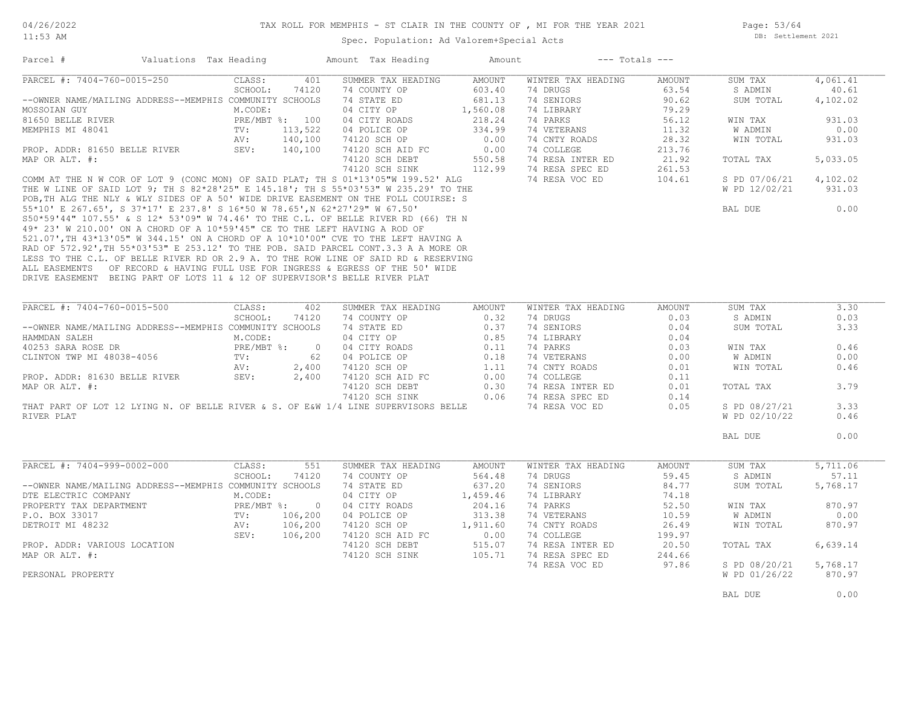Page: 53/64 DB: Settlement 2021

#### Spec. Population: Ad Valorem+Special Acts

| Parcel #                                                                            | Valuations Tax Heading |                 |                | Amount Tax Heading                                                                  | Amount   |                    | $---$ Totals $---$ |                |          |
|-------------------------------------------------------------------------------------|------------------------|-----------------|----------------|-------------------------------------------------------------------------------------|----------|--------------------|--------------------|----------------|----------|
| PARCEL #: 7404-760-0015-250                                                         |                        | CLASS:          | 401            | SUMMER TAX HEADING                                                                  | AMOUNT   | WINTER TAX HEADING | AMOUNT             | SUM TAX        | 4,061.41 |
|                                                                                     |                        | SCHOOL:         | 74120          | 74 COUNTY OP                                                                        | 603.40   | 74 DRUGS           | 63.54              | S ADMIN        | 40.61    |
| --OWNER NAME/MAILING ADDRESS--MEMPHIS COMMUNITY SCHOOLS                             |                        |                 |                | 74 STATE ED                                                                         | 681.13   | 74 SENIORS         | 90.62              | SUM TOTAL      | 4,102.02 |
| MOSSOIAN GUY                                                                        |                        | M.CODE:         |                | 04 CITY OP                                                                          | 1,560.08 | 74 LIBRARY         | 79.29              |                |          |
| 81650 BELLE RIVER                                                                   |                        |                 | PRE/MBT %: 100 | 04 CITY ROADS                                                                       | 218.24   | 74 PARKS           | 56.12              | WIN TAX        | 931.03   |
| MEMPHIS MI 48041                                                                    |                        | TV:             | 113,522        | 04 POLICE OP                                                                        | 334.99   | 74 VETERANS        | 11.32              | W ADMIN        | 0.00     |
|                                                                                     |                        | AV:             | 140,100        | 74120 SCH OP                                                                        | 0.00     | 74 CNTY ROADS      | 28.32              | WIN TOTAL      | 931.03   |
| PROP. ADDR: 81650 BELLE RIVER                                                       |                        | SEV:            | 140,100        | 74120 SCH AID FC                                                                    | 0.00     | 74 COLLEGE         | 213.76             |                |          |
| MAP OR ALT. #:                                                                      |                        |                 |                | 74120 SCH DEBT                                                                      | 550.58   | 74 RESA INTER ED   | 21.92              | TOTAL TAX      | 5,033.05 |
|                                                                                     |                        |                 |                | 74120 SCH SINK                                                                      | 112.99   | 74 RESA SPEC ED    | 261.53             |                |          |
|                                                                                     |                        |                 |                | COMM AT THE N W COR OF LOT 9 (CONC MON) OF SAID PLAT; TH S 01*13'05"W 199.52' ALG   |          | 74 RESA VOC ED     | 104.61             | S PD 07/06/21  | 4,102.02 |
|                                                                                     |                        |                 |                | THE W LINE OF SAID LOT 9; TH S 82*28'25" E 145.18'; TH S 55*03'53" W 235.29' TO THE |          |                    |                    | W PD 12/02/21  | 931.03   |
|                                                                                     |                        |                 |                | POB, TH ALG THE NLY & WLY SIDES OF A 50' WIDE DRIVE EASEMENT ON THE FOLL COUIRSE: S |          |                    |                    |                |          |
| 55*10' E 267.65', S 37*17' E 237.8' S 16*50 W 78.65', N 62*27'29" W 67.50'          |                        |                 |                |                                                                                     |          |                    |                    | BAL DUE        | 0.00     |
|                                                                                     |                        |                 |                | S50*59'44" 107.55' & S 12* 53'09" W 74.46' TO THE C.L. OF BELLE RIVER RD (66) TH N  |          |                    |                    |                |          |
| 49* 23' W 210.00' ON A CHORD OF A 10*59'45" CE TO THE LEFT HAVING A ROD OF          |                        |                 |                |                                                                                     |          |                    |                    |                |          |
|                                                                                     |                        |                 |                | 521.07', TH 43*13'05" W 344.15' ON A CHORD OF A 10*10'00" CVE TO THE LEFT HAVING A  |          |                    |                    |                |          |
|                                                                                     |                        |                 |                | RAD OF 572.92', TH 55*03'53" E 253.12' TO THE POB. SAID PARCEL CONT.3.3 A A MORE OR |          |                    |                    |                |          |
| LESS TO THE C.L. OF BELLE RIVER RD OR 2.9 A. TO THE ROW LINE OF SAID RD & RESERVING |                        |                 |                |                                                                                     |          |                    |                    |                |          |
|                                                                                     |                        |                 |                | ALL EASEMENTS OF RECORD & HAVING FULL USE FOR INGRESS & EGRESS OF THE 50' WIDE      |          |                    |                    |                |          |
| DRIVE EASEMENT BEING PART OF LOTS 11 & 12 OF SUPERVISOR'S BELLE RIVER PLAT          |                        |                 |                |                                                                                     |          |                    |                    |                |          |
|                                                                                     |                        |                 |                |                                                                                     |          |                    |                    |                |          |
|                                                                                     |                        |                 |                |                                                                                     |          |                    |                    |                |          |
| PARCEL #: 7404-760-0015-500                                                         |                        | CLASS:          | 402            | SUMMER TAX HEADING                                                                  | AMOUNT   | WINTER TAX HEADING | AMOUNT             | SUM TAX        | 3.30     |
|                                                                                     |                        | SCHOOL:         | 74120          | 74 COUNTY OP                                                                        | 0.32     | 74 DRUGS           | 0.03               | S ADMIN        | 0.03     |
| --OWNER NAME/MAILING ADDRESS--MEMPHIS COMMUNITY SCHOOLS                             |                        |                 |                | 74 STATE ED                                                                         | 0.37     | 74 SENIORS         | 0.04               | SUM TOTAL      | 3.33     |
| HAMMDAN SALEH                                                                       |                        | M.CODE:         |                | 04 CITY OP                                                                          | 0.85     | 74 LIBRARY         | 0.04               |                |          |
| 40253 SARA ROSE DR                                                                  |                        | PRE/MBT %:      | $\overline{0}$ | 04 CITY ROADS                                                                       | 0.11     | 74 PARKS           | 0.03               | WIN TAX        | 0.46     |
| CLINTON TWP MI 48038-4056                                                           |                        | $\texttt{TV}$ : | 62             | 04 POLICE OP                                                                        | 0.18     | 74 VETERANS        | 0.00               | W ADMIN        | 0.00     |
|                                                                                     |                        | AV:             | 2,400          | 74120 SCH OP                                                                        | 1.11     | 74 CNTY ROADS      | 0.01               | WIN TOTAL      | 0.46     |
| PROP. ADDR: 81630 BELLE RIVER                                                       |                        | SEV:            | 2,400          | 74120 SCH AID FC                                                                    | 0.00     | 74 COLLEGE         | 0.11               |                |          |
| MAP OR ALT. #:                                                                      |                        |                 |                | 74120 SCH DEBT                                                                      | 0.30     | 74 RESA INTER ED   | 0.01               | TOTAL TAX      | 3.79     |
|                                                                                     |                        |                 |                | 74120 SCH SINK                                                                      | 0.06     | 74 RESA SPEC ED    | 0.14               |                |          |
|                                                                                     |                        |                 |                |                                                                                     |          |                    | 0.05               |                | 3.33     |
|                                                                                     |                        |                 |                | THAT PART OF LOT 12 LYING N. OF BELLE RIVER & S. OF E&W 1/4 LINE SUPERVISORS BELLE  |          | 74 RESA VOC ED     |                    | S PD 08/27/21  |          |
| RIVER PLAT                                                                          |                        |                 |                |                                                                                     |          |                    |                    | W PD 02/10/22  | 0.46     |
|                                                                                     |                        |                 |                |                                                                                     |          |                    |                    | BAL DUE        | 0.00     |
|                                                                                     |                        |                 |                |                                                                                     |          |                    |                    |                |          |
| PARCEL #: 7404-999-0002-000                                                         |                        | CLASS:          | 551            | SUMMER TAX HEADING                                                                  | AMOUNT   | WINTER TAX HEADING | <b>AMOUNT</b>      | SUM TAX        | 5,711.06 |
|                                                                                     |                        | SCHOOL:         | 74120          | 74 COUNTY OP                                                                        | 564.48   | 74 DRUGS           | 59.45              | S ADMIN        | 57.11    |
|                                                                                     |                        |                 |                |                                                                                     |          | 74 SENIORS         |                    |                |          |
| --OWNER NAME/MAILING ADDRESS--MEMPHIS COMMUNITY SCHOOLS                             |                        |                 |                | 74 STATE ED                                                                         | 637.20   |                    | 84.77              | SUM TOTAL      | 5,768.17 |
| DTE ELECTRIC COMPANY                                                                |                        | M.CODE:         |                | 04 CITY OP                                                                          | 1,459.46 | 74 LIBRARY         | 74.18              |                |          |
| PROPERTY TAX DEPARTMENT                                                             |                        | PRE/MBT %:      | $\overline{0}$ | 04 CITY ROADS                                                                       | 204.16   | 74 PARKS           | 52.50              | WIN TAX        | 870.97   |
| P.O. BOX 33017                                                                      |                        | TV:             | 106,200        | 04 POLICE OP                                                                        | 313.38   | 74 VETERANS        | 10.59              | W ADMIN        | 0.00     |
| DETROIT MI 48232                                                                    |                        | AV:             | 106,200        | 74120 SCH OP                                                                        | 1,911.60 | 74 CNTY ROADS      | 26.49              | WIN TOTAL      | 870.97   |
|                                                                                     |                        | SEV:            | 106,200        | 74120 SCH AID FC                                                                    | 0.00     | 74 COLLEGE         | 199.97             |                |          |
| PROP. ADDR: VARIOUS LOCATION                                                        |                        |                 |                | 74120 SCH DEBT                                                                      | 515.07   | 74 RESA INTER ED   | 20.50              | TOTAL TAX      | 6,639.14 |
| MAP OR ALT. #:                                                                      |                        |                 |                | 74120 SCH SINK                                                                      | 105.71   | 74 RESA SPEC ED    | 244.66             |                |          |
|                                                                                     |                        |                 |                |                                                                                     |          | 74 RESA VOC ED     | 97.86              | S PD 08/20/21  | 5,768.17 |
|                                                                                     |                        |                 |                |                                                                                     |          |                    |                    | W PD 01/26/22  | 870.97   |
| PERSONAL PROPERTY                                                                   |                        |                 |                |                                                                                     |          |                    |                    |                |          |
|                                                                                     |                        |                 |                |                                                                                     |          |                    |                    | <b>BAL DUE</b> | 0.00     |
|                                                                                     |                        |                 |                |                                                                                     |          |                    |                    |                |          |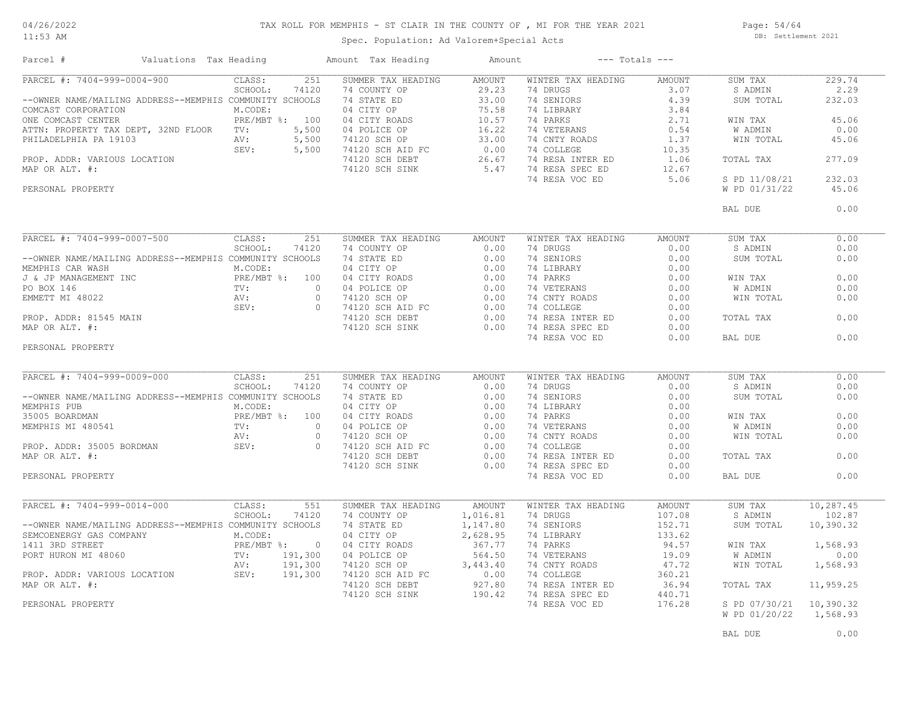#### TAX ROLL FOR MEMPHIS - ST CLAIR IN THE COUNTY OF , MI FOR THE YEAR 2021

11:53 AM

#### Spec. Population: Ad Valorem+Special Acts

Page: 54/64 DB: Settlement 2021

| Parcel #                                                                                                                                                      | Valuations Tax Heading                     |                                | Amount Tax Heading                                                                                                                                                                                                                                  | Amount                                                             |                      | $---$ Totals $---$ |                         |           |
|---------------------------------------------------------------------------------------------------------------------------------------------------------------|--------------------------------------------|--------------------------------|-----------------------------------------------------------------------------------------------------------------------------------------------------------------------------------------------------------------------------------------------------|--------------------------------------------------------------------|----------------------|--------------------|-------------------------|-----------|
| PARCEL #: 7404-999-0004-900                                                                                                                                   |                                            | CLASS:<br>251                  | SUMMER TAX HEADING                                                                                                                                                                                                                                  | <b>AMOUNT</b>                                                      | WINTER TAX HEADING   | AMOUNT             | SUM TAX                 | 229.74    |
|                                                                                                                                                               |                                            | SCHOOL:<br>74120               | 74 COUNTY OP                                                                                                                                                                                                                                        | 29.23                                                              | 74 DRUGS             | 3.07               | S ADMIN                 | 2.29      |
| --OWNER NAME/MAILING ADDRESS--MEMPHIS COMMUNITY SCHOOLS                                                                                                       |                                            |                                | 74 STATE ED                                                                                                                                                                                                                                         | 33.00                                                              | 74 SENIORS           | 4.39               | SUM TOTAL               | 232.03    |
| COMCAST CORPORATION                                                                                                                                           |                                            | M.CODE:                        | 04 CITY OP                                                                                                                                                                                                                                          | 75.58                                                              | 74 LIBRARY           | 3.84               |                         |           |
| ONE COMCAST CENTER                                                                                                                                            |                                            | PRE/MBT %: 100                 | 04 CITY ROADS                                                                                                                                                                                                                                       | 10.57                                                              | 74 PARKS             | 2.71               | WIN TAX                 | 45.06     |
| ATTN: PROPERTY TAX DEPT, 32ND FLOOR TV:                                                                                                                       |                                            | 5,500                          | 04 POLICE OP                                                                                                                                                                                                                                        | 16.22                                                              | 74 VETERANS          | 0.54               | W ADMIN                 | 0.00      |
| PHILADELPHIA PA 19103<br>PHILADELPHIA PA 19103<br>PROP. ADDR: VARIOUS LOCATION<br>MAP OR ALT. #:                                                              | AV:                                        | 5,500                          | 74120 SCH OP                                                                                                                                                                                                                                        | $\begin{array}{cc} 33.00 \\ FC & 0.00 \\ 26.67 & 5.47 \end{array}$ | 74 CNTY ROADS        | 1.37               | WIN TOTAL               | 45.06     |
|                                                                                                                                                               |                                            | 5,500                          | 74120 SCH AID FC                                                                                                                                                                                                                                    |                                                                    | 74 COLLEGE           | 10.35              |                         |           |
|                                                                                                                                                               |                                            |                                | 74120 SCH DEBT                                                                                                                                                                                                                                      |                                                                    | 74 RESA INTER ED     | 1.06               | TOTAL TAX               | 277.09    |
|                                                                                                                                                               |                                            |                                | 74120 SCH SINK                                                                                                                                                                                                                                      |                                                                    | 5.47 74 RESA SPEC ED | 12.67              |                         |           |
|                                                                                                                                                               |                                            |                                |                                                                                                                                                                                                                                                     |                                                                    | 74 RESA VOC ED       | 5.06               | S PD 11/08/21           | 232.03    |
| PERSONAL PROPERTY                                                                                                                                             |                                            |                                |                                                                                                                                                                                                                                                     |                                                                    |                      |                    | W PD 01/31/22           | 45.06     |
|                                                                                                                                                               |                                            |                                |                                                                                                                                                                                                                                                     |                                                                    |                      |                    | BAL DUE                 | 0.00      |
| PARCEL #: 7404-999-0007-500                                                                                                                                   |                                            | CLASS:<br>251                  | SUMMER TAX HEADING                                                                                                                                                                                                                                  | AMOUNT                                                             | WINTER TAX HEADING   | AMOUNT             | SUM TAX                 | 0.00      |
|                                                                                                                                                               |                                            | SCHOOL:<br>74120               | 74 COUNTY OP                                                                                                                                                                                                                                        | 0.00                                                               | 74 DRUGS             | 0.00               | S ADMIN                 | 0.00      |
|                                                                                                                                                               |                                            |                                |                                                                                                                                                                                                                                                     |                                                                    |                      |                    |                         |           |
| --OWNER NAME/MAILING ADDRESS--MEMPHIS COMMUNITY SCHOOLS                                                                                                       |                                            |                                | 74 STATE ED                                                                                                                                                                                                                                         | 0.00                                                               | 74 SENIORS           | 0.00               | SUM TOTAL               | 0.00      |
| MEMPHIS CAR WASH                                                                                                                                              | r INC RE/M<br>TV:<br>NAIN RV:<br>NAIN SEV: | M.CODE:                        | 74 STATE ED<br>04 CITY OP<br>04 CITY ROADS<br>04 POLICE OP<br>74120 SCH AID FC<br>74120 SCH DEBT<br>74120 SCH DEBT<br>74120 SCH DEBT<br>74120 SCH DEBT<br>0.00<br>74120 SCH DEBT<br>0.00<br>74120 SCH DEBT<br>0.00                                  |                                                                    | 74 LIBRARY           | 0.00               |                         |           |
| J & JP MANAGEMENT INC                                                                                                                                         |                                            | PRE/MBT %: 100                 |                                                                                                                                                                                                                                                     |                                                                    | 74 PARKS             | 0.00               | WIN TAX                 | 0.00      |
| PO BOX 146                                                                                                                                                    |                                            |                                | $\bigcap$                                                                                                                                                                                                                                           |                                                                    | 74 VETERANS          | 0.00               | W ADMIN                 | 0.00      |
| EMMETT MI 48022                                                                                                                                               |                                            |                                | $\circ$                                                                                                                                                                                                                                             |                                                                    | 74 CNTY ROADS        | 0.00               | WIN TOTAL               | 0.00      |
|                                                                                                                                                               |                                            |                                | $\overline{0}$                                                                                                                                                                                                                                      |                                                                    | 74 COLLEGE           | 0.00               |                         |           |
| PROP. ADDR: 81545 MAIN                                                                                                                                        |                                            |                                |                                                                                                                                                                                                                                                     |                                                                    | 74 RESA INTER ED     | 0.00               | TOTAL TAX               | 0.00      |
| MAP OR ALT. #:                                                                                                                                                |                                            |                                | 74120 SCH SINK                                                                                                                                                                                                                                      | 0.00                                                               | 74 RESA SPEC ED      | 0.00               |                         |           |
|                                                                                                                                                               |                                            |                                |                                                                                                                                                                                                                                                     |                                                                    | 74 RESA VOC ED       | 0.00               | BAL DUE                 | 0.00      |
| PERSONAL PROPERTY                                                                                                                                             |                                            |                                |                                                                                                                                                                                                                                                     |                                                                    |                      |                    |                         |           |
| PARCEL #: 7404-999-0009-000                                                                                                                                   |                                            | CLASS:<br>251                  | SUMMER TAX HEADING                                                                                                                                                                                                                                  | AMOUNT                                                             | WINTER TAX HEADING   | AMOUNT             | SUM TAX                 | 0.00      |
|                                                                                                                                                               |                                            | SCHOOL:<br>74120               | 74 COUNTY OP                                                                                                                                                                                                                                        | 0.00                                                               | 74 DRUGS             | 0.00               | S ADMIN                 | 0.00      |
| --OWNER NAME/MAILING ADDRESS--MEMPHIS COMMUNITY SCHOOLS                                                                                                       |                                            |                                |                                                                                                                                                                                                                                                     |                                                                    | 74 SENIORS           | 0.00               | SUM TOTAL               | 0.00      |
| MEMPHIS PUB                                                                                                                                                   |                                            | M.CODE:                        |                                                                                                                                                                                                                                                     |                                                                    | 74 LIBRARY           | 0.00               |                         |           |
| 35005 BOARDMAN                                                                                                                                                |                                            | PRE/MBT %: 100<br>PRE/M<br>TV: |                                                                                                                                                                                                                                                     |                                                                    | 74 PARKS             | 0.00               | WIN TAX                 | 0.00      |
| MEMPHIS MI 480541                                                                                                                                             |                                            | $\sim$ 0                       |                                                                                                                                                                                                                                                     |                                                                    | 74 VETERANS          | 0.00               | <b>W ADMIN</b>          | 0.00      |
|                                                                                                                                                               |                                            | AV:                            |                                                                                                                                                                                                                                                     |                                                                    | 74 CNTY ROADS        | 0.00               | WIN TOTAL               | 0.00      |
|                                                                                                                                                               |                                            |                                | 3 74 COUNTI CL<br>S 74 STATE ED<br>04 CITY OP<br>0 04 CITY ROADS<br>0 04 POLICE OP<br>0 74120 SCH OP<br>0 74120 SCH AID FC<br>0 0 74120 SCH AID FC<br>0 0 0 74120 SCH AID FC<br>0 0 0 0 74120 SCH AID FC<br>0 0 0 0 74120 SCH AID FC<br>0 0 0 0 0 0 |                                                                    | 74 COLLEGE           | 0.00               |                         |           |
| PROP. ADDR: 35005 BORDMAN AV:<br>MAP OR ALT. #:                                                                                                               |                                            |                                |                                                                                                                                                                                                                                                     |                                                                    | 74 RESA INTER ED     | 0.00               | TOTAL TAX               | 0.00      |
|                                                                                                                                                               |                                            |                                | 74120 SCH SINK                                                                                                                                                                                                                                      | 0.00                                                               | 74 RESA SPEC ED      | 0.00               |                         |           |
| PERSONAL PROPERTY                                                                                                                                             |                                            |                                |                                                                                                                                                                                                                                                     |                                                                    | 74 RESA VOC ED       | 0.00               | BAL DUE                 | 0.00      |
|                                                                                                                                                               |                                            |                                |                                                                                                                                                                                                                                                     |                                                                    |                      |                    |                         |           |
| PARCEL #: 7404-999-0014-000                                                                                                                                   |                                            | CLASS:<br>551                  | SUMMER TAX HEADING                                                                                                                                                                                                                                  | AMOUNT                                                             | WINTER TAX HEADING   | AMOUNT             | SUM TAX                 | 10,287.45 |
|                                                                                                                                                               |                                            | SCHOOL:<br>74120               | 74 COUNTY OP                                                                                                                                                                                                                                        | 1,016.81                                                           | 74 DRUGS             | 107.08             | S ADMIN                 | 102.87    |
| --OWNER NAME/MAILING ADDRESS--MEMPHIS COMMUNITY SCHOOLS                                                                                                       |                                            |                                | 74 STATE ED                                                                                                                                                                                                                                         | 1,147.80                                                           | 74 SENIORS           | 152.71             | SUM TOTAL               | 10,390.32 |
| SEMCOENERGY GAS COMPANY                                                                                                                                       |                                            | M.CODE:                        | 04 CITY OP                                                                                                                                                                                                                                          | 2,628.95                                                           | 74 LIBRARY           | 133.62             |                         |           |
|                                                                                                                                                               |                                            |                                | 04 CITY ROADS                                                                                                                                                                                                                                       | 367.77                                                             | 74 PARKS             | 94.57              | WIN TAX                 | 1,568.93  |
| 1411 3RD STREET<br>PORT HURON MI 48060<br>PORT HURON MI 48060<br>PROP. ADDR: VARIOUS LOCATION<br>PROP. ADDR: VARIOUS LOCATION<br>SEV: 191,300<br>SEV: 191,300 |                                            |                                | 04 POLICE OP                                                                                                                                                                                                                                        | 564.50                                                             | 74 VETERANS          | 19.09              | W ADMIN                 | 0.00      |
|                                                                                                                                                               |                                            |                                | 74120 SCH OP                                                                                                                                                                                                                                        | 3,443.40                                                           | 74 CNTY ROADS        | 47.72              | WIN TOTAL               | 1,568.93  |
|                                                                                                                                                               |                                            |                                | 74120 SCH AID FC                                                                                                                                                                                                                                    | 0.00                                                               | 74 COLLEGE           | 360.21             |                         |           |
| MAP OR ALT. #:                                                                                                                                                |                                            |                                | 74120 SCH DEBT                                                                                                                                                                                                                                      | 927.80                                                             | 74 RESA INTER ED     | 36.94              | TOTAL TAX               | 11,959.25 |
|                                                                                                                                                               |                                            |                                | 74120 SCH SINK                                                                                                                                                                                                                                      | 190.42                                                             | 74 RESA SPEC ED      | 440.71             |                         |           |
| PERSONAL PROPERTY                                                                                                                                             |                                            |                                |                                                                                                                                                                                                                                                     |                                                                    | 74 RESA VOC ED       | 176.28             | S PD 07/30/21 10,390.32 |           |
|                                                                                                                                                               |                                            |                                |                                                                                                                                                                                                                                                     |                                                                    |                      |                    | W PD 01/20/22           | 1,568.93  |
|                                                                                                                                                               |                                            |                                |                                                                                                                                                                                                                                                     |                                                                    |                      |                    |                         |           |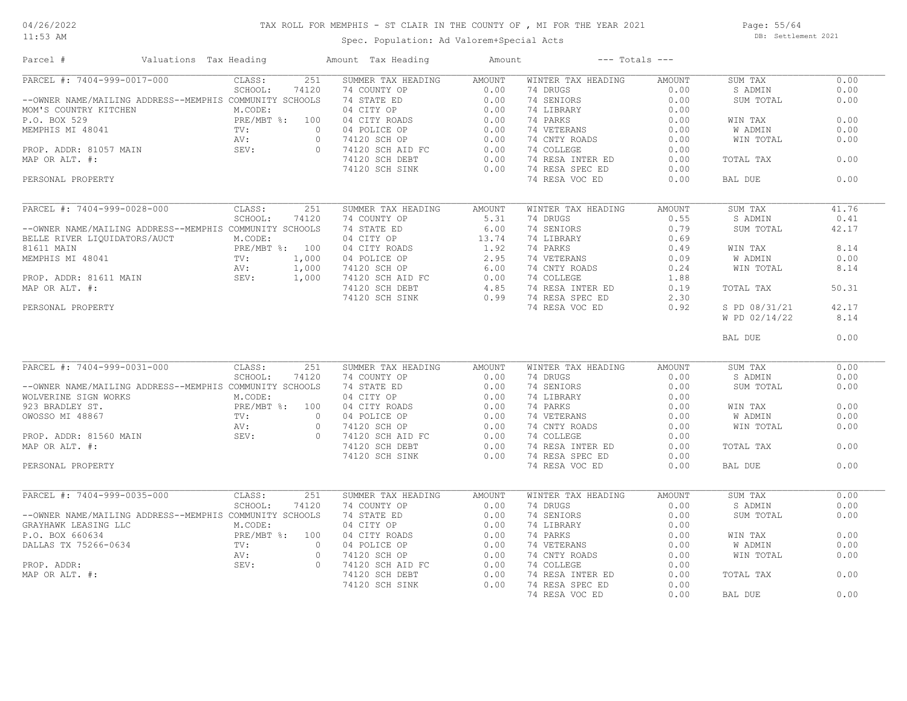11:53 AM

#### TAX ROLL FOR MEMPHIS - ST CLAIR IN THE COUNTY OF , MI FOR THE YEAR 2021

Spec. Population: Ad Valorem+Special Acts

Page: 55/64 DB: Settlement 2021

| Parcel #                                                | Valuations Tax Heading       | Amount Tax Heading                                                                                                | Amount            |                    | $---$ Totals $---$ |                |       |
|---------------------------------------------------------|------------------------------|-------------------------------------------------------------------------------------------------------------------|-------------------|--------------------|--------------------|----------------|-------|
| PARCEL #: 7404-999-0017-000                             | 251<br>CLASS:                | SUMMER TAX HEADING                                                                                                | <b>AMOUNT</b>     | WINTER TAX HEADING | AMOUNT             | SUM TAX        | 0.00  |
|                                                         | SCHOOL:<br>74120             | 74 COUNTY OP                                                                                                      | 0.00              | 74 DRUGS           | 0.00               | S ADMIN        | 0.00  |
| --OWNER NAME/MAILING ADDRESS--MEMPHIS COMMUNITY SCHOOLS |                              | 74 STATE ED                                                                                                       | 0.00              | 74 SENIORS         | 0.00               | SUM TOTAL      | 0.00  |
| MOM'S COUNTRY KITCHEN                                   | M.CODE:                      | 04 CITY OP                                                                                                        | 0.00              | 74 LIBRARY         | 0.00               |                |       |
| P.O. BOX 529                                            | PRE/MBT %: 100               | 04 CITY ROADS                                                                                                     | 0.00              | 74 PARKS           | 0.00               | WIN TAX        | 0.00  |
| MEMPHIS MI 48041                                        | TV:                          | $\overline{0}$<br>04 POLICE OP                                                                                    | 0.00              | 74 VETERANS        | 0.00               | W ADMIN        | 0.00  |
|                                                         | AV:                          | $\Omega$<br>74120 SCH OP                                                                                          | 0.00              | 74 CNTY ROADS      | 0.00               | WIN TOTAL      | 0.00  |
|                                                         | SEV:                         | $\bigcirc$                                                                                                        | 0.00              | 74 COLLEGE         | 0.00               |                |       |
|                                                         |                              | 74120 SCH AID FC<br>74120 SCH DEBT<br>71120 SCH DEBT                                                              | 0.00              | 74 RESA INTER ED   | 0.00               | TOTAL TAX      | 0.00  |
| PROP. ADDR: 81057 MAIN SEV:<br>MAP OR ALT. #:           |                              |                                                                                                                   |                   |                    |                    |                |       |
|                                                         |                              | 74120 SCH SINK                                                                                                    | 0.00              | 74 RESA SPEC ED    | 0.00               |                |       |
| PERSONAL PROPERTY                                       |                              |                                                                                                                   |                   | 74 RESA VOC ED     | 0.00               | BAL DUE        | 0.00  |
| PARCEL #: 7404-999-0028-000                             | CLASS:<br>251                | SUMMER TAX HEADING                                                                                                | AMOUNT            | WINTER TAX HEADING | AMOUNT             | SUM TAX        | 41.76 |
|                                                         | SCHOOL:<br>74120             | 74 COUNTY OP                                                                                                      | 5.31              | 74 DRUGS           | 0.55               | S ADMIN        | 0.41  |
|                                                         |                              |                                                                                                                   |                   | 74 SENIORS         | 0.79               |                |       |
| --OWNER NAME/MAILING ADDRESS--MEMPHIS COMMUNITY SCHOOLS |                              | 74 STATE ED                                                                                                       | 6.00              |                    |                    | SUM TOTAL      | 42.17 |
| BELLE RIVER LIQUIDATORS/AUCT                            | M.CODE:                      | 04 CITY OP                                                                                                        | $13.74$<br>$1.92$ | 74 LIBRARY         | 0.69               |                |       |
| 81611 MAIN                                              | PRE/MBT %: 100               | 04 CITY ROADS                                                                                                     |                   | 74 PARKS           | 0.49               | WIN TAX        | 8.14  |
| MEMPHIS MI 48041                                        | 1,000                        | 04 POLICE OP                                                                                                      | 2.95              | 74 VETERANS        | 0.09               | W ADMIN        | 0.00  |
|                                                         | $TV:$<br>AV:<br>SEV<br>1,000 | 04 POLICE OP<br>74120 SCH OP 6.00<br>74120 SCH AID FC 0.00<br>74120 SCH DEBT 4.85<br>74120 SCH SINK 0.99          |                   | 74 CNTY ROADS      | 0.24               | WIN TOTAL      | 8.14  |
| PROP. ADDR: 81611 MAIN                                  | nv.<br>SEV:<br>1,000         |                                                                                                                   |                   | 74 COLLEGE         | 1.88               |                |       |
| MAP OR ALT. #:                                          |                              |                                                                                                                   |                   | 74 RESA INTER ED   | 0.19               | TOTAL TAX      | 50.31 |
|                                                         |                              |                                                                                                                   | 0.99              | 74 RESA SPEC ED    | 2.30               |                |       |
| PERSONAL PROPERTY                                       | SEV:                         |                                                                                                                   |                   | 74 RESA VOC ED     | 0.92               | S PD 08/31/21  | 42.17 |
|                                                         |                              |                                                                                                                   |                   |                    |                    | W PD 02/14/22  | 8.14  |
|                                                         |                              |                                                                                                                   |                   |                    |                    |                |       |
|                                                         |                              |                                                                                                                   |                   |                    |                    | BAL DUE        | 0.00  |
|                                                         |                              |                                                                                                                   |                   |                    |                    |                |       |
| PARCEL #: 7404-999-0031-000                             | CLASS:<br>251                | SUMMER TAX HEADING                                                                                                | <b>AMOUNT</b>     | WINTER TAX HEADING | AMOUNT             | SUM TAX        | 0.00  |
|                                                         | SCHOOL:<br>74120             | 74 COUNTY OP                                                                                                      | 0.00              | 74 DRUGS           | 0.00               | S ADMIN        | 0.00  |
| --OWNER NAME/MAILING ADDRESS--MEMPHIS COMMUNITY SCHOOLS |                              | 74 STATE ED                                                                                                       | 0.00              | 74 SENIORS         | 0.00               | SUM TOTAL      | 0.00  |
| WOLVERINE SIGN WORKS                                    | M.CODE:                      |                                                                                                                   | 0.00              | 74 LIBRARY         | 0.00               |                |       |
| 923 BRADLEY ST.                                         | PRE/MBT %: 100               |                                                                                                                   | 0.00              | 74 PARKS           | 0.00               | WIN TAX        | 0.00  |
| OWOSSO MI 48867                                         | TV:                          | <sup>74</sup> SIARE ED<br>04 CITY ROADS<br>04 POLICE OP<br>74120 SCH AID FC<br>74120 SCH AID FC<br>$\overline{0}$ | 0.00              | 74 VETERANS        | 0.00               | <b>W ADMIN</b> | 0.00  |
|                                                         | AV:                          | $\circ$                                                                                                           | 0.00              | 74 CNTY ROADS      | 0.00               | WIN TOTAL      | 0.00  |
| PROP. ADDR: 81560 MAIN                                  | SEV:                         | $\Omega$                                                                                                          | 0.00              | 74 COLLEGE         | 0.00               |                |       |
| MAP OR ALT. #:                                          |                              | 74120 SCH DEBT                                                                                                    | 0.00              | 74 RESA INTER ED   | 0.00               | TOTAL TAX      | 0.00  |
|                                                         |                              |                                                                                                                   |                   |                    |                    |                |       |
|                                                         |                              | 74120 SCH SINK                                                                                                    | 0.00              | 74 RESA SPEC ED    | 0.00               |                |       |
| PERSONAL PROPERTY                                       |                              |                                                                                                                   |                   | 74 RESA VOC ED     | 0.00               | BAL DUE        | 0.00  |
| PARCEL #: 7404-999-0035-000                             | CLASS:<br>251                | SUMMER TAX HEADING                                                                                                | <b>AMOUNT</b>     | WINTER TAX HEADING | AMOUNT             | SUM TAX        | 0.00  |
|                                                         | SCHOOL:<br>74120             | 74 COUNTY OP                                                                                                      | 0.00              | 74 DRUGS           | 0.00               | S ADMIN        | 0.00  |
| --OWNER NAME/MAILING ADDRESS--MEMPHIS COMMUNITY SCHOOLS |                              | 74 STATE ED                                                                                                       | 0.00              | 74 SENIORS         | 0.00               | SUM TOTAL      | 0.00  |
|                                                         |                              |                                                                                                                   |                   |                    |                    |                |       |
| GRAYHAWK LEASING LLC                                    | M.CODE:                      | 04 CITY OP                                                                                                        | 0.00              | 74 LIBRARY         | 0.00               |                |       |
| P.O. BOX 660634                                         | PRE/MBT %: 100               | 04 CITY ROADS                                                                                                     | 0.00              | 74 PARKS           | 0.00               | WIN TAX        | 0.00  |
| DALLAS TX 75266-0634                                    | $\texttt{TV}$ :              | 04 POLICE OP<br>$\cap$                                                                                            | 0.00              | 74 VETERANS        | 0.00               | W ADMIN        | 0.00  |
|                                                         | AV:                          | $\circ$<br>74120 SCH OP                                                                                           | 0.00              | 74 CNTY ROADS      | 0.00               | WIN TOTAL      | 0.00  |
| PROP. ADDR:                                             | SEV:                         | 74120 SCH OP<br>74120 SCH AID FC<br>$\circ$                                                                       | 0.00              | 74 COLLEGE         | 0.00               |                |       |
| MAP OR ALT. #:                                          |                              | 74120 SCH DEBT                                                                                                    | 0.00              | 74 RESA INTER ED   | 0.00               | TOTAL TAX      | 0.00  |
|                                                         |                              | 74120 SCH SINK                                                                                                    | 0.00              | 74 RESA SPEC ED    | 0.00               |                |       |
|                                                         |                              |                                                                                                                   |                   | 74 RESA VOC ED     | 0.00               | BAL DUE        | 0.00  |
|                                                         |                              |                                                                                                                   |                   |                    |                    |                |       |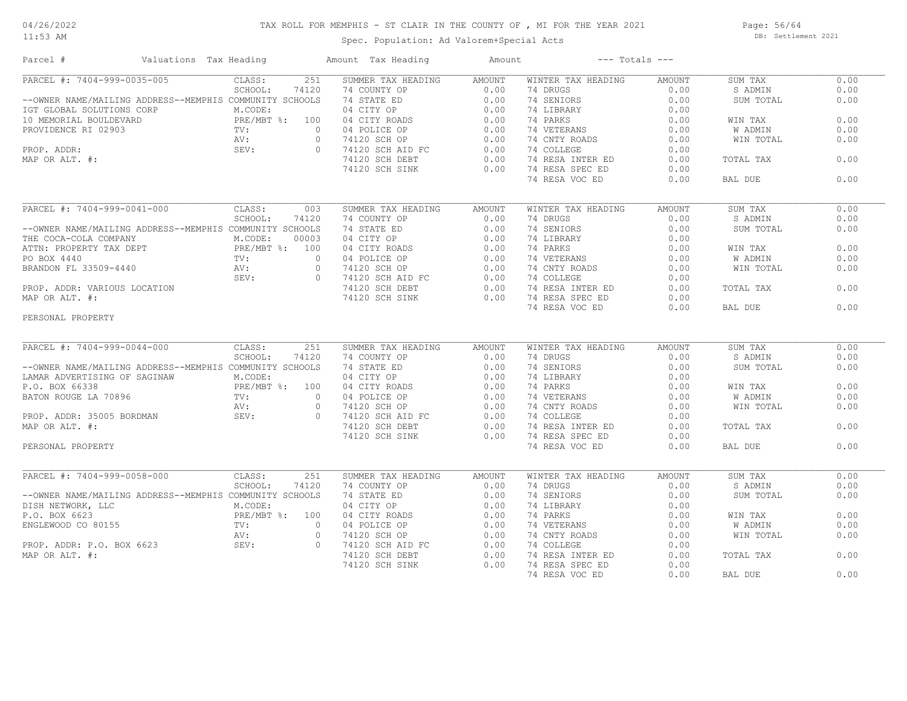11:53 AM

# TAX ROLL FOR MEMPHIS - ST CLAIR IN THE COUNTY OF , MI FOR THE YEAR 2021

Spec. Population: Ad Valorem+Special Acts

Page: 56/64 DB: Settlement 2021

| Parcel #                                                                                                                                                                                                               | Valuations Tax Heading | Amount Tax Heading                                                                                                 | Amount        | $---$ Totals $---$ |               |           |      |
|------------------------------------------------------------------------------------------------------------------------------------------------------------------------------------------------------------------------|------------------------|--------------------------------------------------------------------------------------------------------------------|---------------|--------------------|---------------|-----------|------|
| PARCEL #: 7404-999-0035-005                                                                                                                                                                                            | CLASS:<br>251          | SUMMER TAX HEADING                                                                                                 | <b>AMOUNT</b> | WINTER TAX HEADING | <b>AMOUNT</b> | SUM TAX   | 0.00 |
|                                                                                                                                                                                                                        | SCHOOL:<br>74120       | 74 COUNTY OP                                                                                                       | 0.00          | 74 DRUGS           | 0.00          | S ADMIN   | 0.00 |
| --OWNER NAME/MAILING ADDRESS--MEMPHIS COMMUNITY SCHOOLS                                                                                                                                                                |                        | 74 COUNTY OP<br>74 STATE ED<br>04 CITY OP<br>04 CITY ROADS<br>04 POLICE OP<br>74120 SCH AID FC<br>74120 SCH DEBT   | 0.00          | 74 SENIORS         | 0.00          | SUM TOTAL | 0.00 |
| --OWEN MARINE MARINE ADDRESS--FIERTHIS CONNECTIONS<br>ICT GLOBAL SOLUTIONS CORP<br>10 MEMORIAL BOULDEVARD<br>PROP. ADDR:<br>PROP. ADDR:<br>PROP. ADDR:<br>MAP OR ALT. #:<br>MAP OR ALT. #:<br>PROP. ADDR:<br>SEV:<br>O |                        |                                                                                                                    | 0.00          | 74 LIBRARY         | 0.00          |           |      |
|                                                                                                                                                                                                                        |                        |                                                                                                                    | 0.00          | 74 PARKS           | 0.00          | WIN TAX   | 0.00 |
|                                                                                                                                                                                                                        |                        |                                                                                                                    | 0.00          | 74 VETERANS        | 0.00          | W ADMIN   | 0.00 |
|                                                                                                                                                                                                                        |                        |                                                                                                                    | 0.00          | 74 CNTY ROADS      | 0.00          | WIN TOTAL | 0.00 |
|                                                                                                                                                                                                                        |                        |                                                                                                                    | 0.00          | 74 COLLEGE         | 0.00          |           |      |
|                                                                                                                                                                                                                        |                        |                                                                                                                    | 0.00          | 74 RESA INTER ED   | 0.00          | TOTAL TAX | 0.00 |
|                                                                                                                                                                                                                        |                        | 74120 SCH SINK                                                                                                     | 0.00          | 74 RESA SPEC ED    | 0.00          |           |      |
|                                                                                                                                                                                                                        |                        |                                                                                                                    |               | 74 RESA VOC ED     | 0.00          | BAL DUE   | 0.00 |
|                                                                                                                                                                                                                        |                        |                                                                                                                    |               |                    |               |           |      |
|                                                                                                                                                                                                                        |                        |                                                                                                                    |               |                    |               |           |      |
| PARCEL #: 7404-999-0041-000                                                                                                                                                                                            | CLASS:<br>003          | SUMMER TAX HEADING                                                                                                 | AMOUNT        | WINTER TAX HEADING | <b>AMOUNT</b> | SUM TAX   | 0.00 |
|                                                                                                                                                                                                                        | SCHOOL:<br>74120       | 74 COUNTY OP                                                                                                       | 0.00          | 74 DRUGS           | 0.00          | S ADMIN   | 0.00 |
| --OWNER NAME/MAILING ADDRESS--MEMPHIS COMMUNITY SCHOOLS                                                                                                                                                                |                        |                                                                                                                    | 0.00          | 74 SENIORS         | 0.00          | SUM TOTAL | 0.00 |
|                                                                                                                                                                                                                        |                        |                                                                                                                    | 0.00          | 74 LIBRARY         | 0.00          |           |      |
|                                                                                                                                                                                                                        |                        |                                                                                                                    | 0.00          | 74 PARKS           | 0.00          | WIN TAX   | 0.00 |
| --OWNER NAME/MAILING ADDRESS--FIERTEITS CONFORTED 100003<br>THE COCA-COLA COMPANY MORE PRE/MBT %: 10003<br>PRE/MBT %: 100<br>PO BOX 4440<br>BRANDON FL 33509-4440<br>PROP. ADDR: VARIOUS LOCATION<br>MAP OR ALT. #:    |                        | 74 STATE ED<br>04 CITY OP<br>04 CITY ROADS<br>04 POLICE OP<br>74120 SCH AID FC<br>74120 SCH DEBT<br>74120 SCH DEBT | 0.00          | 74 VETERANS        | 0.00          | W ADMIN   | 0.00 |
|                                                                                                                                                                                                                        |                        |                                                                                                                    | 0.00          | 74 CNTY ROADS      | 0.00          | WIN TOTAL | 0.00 |
|                                                                                                                                                                                                                        |                        |                                                                                                                    | 0.00          | 74 COLLEGE         | 0.00          |           |      |
|                                                                                                                                                                                                                        |                        |                                                                                                                    | 0.00          | 74 RESA INTER ED   | 0.00          | TOTAL TAX | 0.00 |
|                                                                                                                                                                                                                        |                        | 74120 SCH SINK                                                                                                     | 0.00          | 74 RESA SPEC ED    | 0.00          |           |      |
|                                                                                                                                                                                                                        |                        |                                                                                                                    |               | 74 RESA VOC ED     | 0.00          | BAL DUE   | 0.00 |
| PERSONAL PROPERTY                                                                                                                                                                                                      |                        |                                                                                                                    |               |                    |               |           |      |
|                                                                                                                                                                                                                        |                        |                                                                                                                    |               |                    |               |           |      |
| PARCEL #: 7404-999-0044-000                                                                                                                                                                                            | CLASS:<br>251          | SUMMER TAX HEADING                                                                                                 | AMOUNT        | WINTER TAX HEADING | AMOUNT        | SUM TAX   | 0.00 |
|                                                                                                                                                                                                                        | SCHOOL:<br>74120       | 74 COUNTY OP                                                                                                       | 0.00          | 74 DRUGS           | 0.00          | S ADMIN   | 0.00 |
| --OWNER NAME/MAILING ADDRESS--MEMPHIS COMMUNITY SCHOOLS                                                                                                                                                                |                        | 74 STATE ED                                                                                                        | 0.00          | 74 SENIORS         | 0.00          | SUM TOTAL | 0.00 |
| LAMAR ADVERTISING OF SAGINAW                                                                                                                                                                                           | M.CODE:                |                                                                                                                    |               | 74 LIBRARY         | 0.00          |           |      |
|                                                                                                                                                                                                                        |                        |                                                                                                                    |               |                    |               |           | 0.00 |
|                                                                                                                                                                                                                        |                        |                                                                                                                    |               | 74 PARKS           | 0.00          | WIN TAX   |      |
| ERE/MBT & LO. BOX 66338<br>BATON ROUGE LA 70896<br>PROP. ADDR: 35005 BORDMAN<br>MAP OR ALT. #:<br>PERSONAL PROPERTY<br>PERSONAL PROPERTY                                                                               |                        | 14 CHTY OP 0.00<br>04 CHTY ROADS 0.00<br>04 POLICE OP 0.00<br>74120 SCH OP 0.00<br>74120 SCH ALD FC 0.00           |               | 74 VETERANS        | 0.00          | W ADMIN   | 0.00 |
|                                                                                                                                                                                                                        |                        |                                                                                                                    |               | 74 CNTY ROADS      | 0.00          | WIN TOTAL | 0.00 |
|                                                                                                                                                                                                                        |                        |                                                                                                                    |               | 74 COLLEGE         | 0.00          |           |      |
|                                                                                                                                                                                                                        |                        | 74120 SCH DEBT                                                                                                     | 0.00          | 74 RESA INTER ED   | 0.00          | TOTAL TAX | 0.00 |
|                                                                                                                                                                                                                        |                        | 74120 SCH SINK                                                                                                     | 0.00          | 74 RESA SPEC ED    | 0.00          |           |      |
| PERSONAL PROPERTY                                                                                                                                                                                                      |                        |                                                                                                                    |               | 74 RESA VOC ED     | 0.00          | BAL DUE   | 0.00 |
|                                                                                                                                                                                                                        |                        |                                                                                                                    |               |                    |               |           |      |
| PARCEL #: 7404-999-0058-000                                                                                                                                                                                            | CLASS:<br>251          | SUMMER TAX HEADING                                                                                                 | AMOUNT        | WINTER TAX HEADING | <b>AMOUNT</b> | SUM TAX   | 0.00 |
|                                                                                                                                                                                                                        | SCHOOL:<br>74120       | 74 COUNTY OP                                                                                                       | 0.00          | 74 DRUGS           | 0.00          | S ADMIN   | 0.00 |
|                                                                                                                                                                                                                        |                        | 4 COUNTI OF<br>4 STATE ED<br>34 CITY ROADS<br>04 CITY ROADS<br>94 POLICE OP<br>74120 SCH OP<br>74120 SCH AID FC    | 0.00          | 74 SENIORS         | 0.00          | SUM TOTAL | 0.00 |
|                                                                                                                                                                                                                        |                        |                                                                                                                    | 0.00          | 74 LIBRARY         | 0.00          |           |      |
|                                                                                                                                                                                                                        |                        |                                                                                                                    | 0.00          | 74 PARKS           | 0.00          | WIN TAX   | 0.00 |
|                                                                                                                                                                                                                        |                        |                                                                                                                    | 0.00          | 74 VETERANS        | 0.00          | W ADMIN   | 0.00 |
|                                                                                                                                                                                                                        |                        |                                                                                                                    | 0.00          | 74 CNTY ROADS      | 0.00          | WIN TOTAL | 0.00 |
|                                                                                                                                                                                                                        |                        |                                                                                                                    | 0.00          | 74 COLLEGE         | 0.00          |           |      |
|                                                                                                                                                                                                                        |                        |                                                                                                                    | 0.00          | 74 RESA INTER ED   | 0.00          | TOTAL TAX | 0.00 |
|                                                                                                                                                                                                                        |                        |                                                                                                                    | 0.00          | 74 RESA SPEC ED    | 0.00          |           |      |
|                                                                                                                                                                                                                        |                        | 74120 SCH SINK                                                                                                     |               |                    |               |           |      |
|                                                                                                                                                                                                                        |                        |                                                                                                                    |               | 74 RESA VOC ED     | 0.00          | BAL DUE   | 0.00 |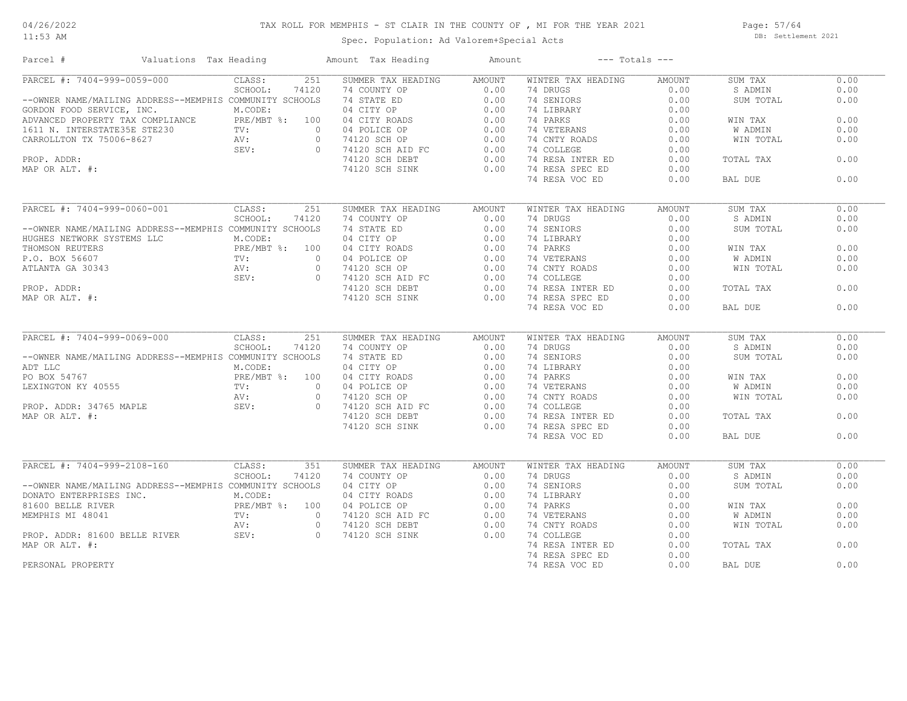#### 11:53 AM

# TAX ROLL FOR MEMPHIS - ST CLAIR IN THE COUNTY OF , MI FOR THE YEAR 2021

Spec. Population: Ad Valorem+Special Acts

Page: 57/64 DB: Settlement 2021

| Parcel #                                                                                                                                                   | Valuations Tax Heading    |                |                | Amount Tax Heading                                                                                                                            | Amount        |                    | $---$ Totals $---$ |                |      |
|------------------------------------------------------------------------------------------------------------------------------------------------------------|---------------------------|----------------|----------------|-----------------------------------------------------------------------------------------------------------------------------------------------|---------------|--------------------|--------------------|----------------|------|
| PARCEL #: 7404-999-0059-000                                                                                                                                |                           | CLASS:         | 251            | SUMMER TAX HEADING                                                                                                                            | AMOUNT        | WINTER TAX HEADING | AMOUNT             | SUM TAX        | 0.00 |
|                                                                                                                                                            |                           | SCHOOL:        | 74120          | 74 COUNTY OP                                                                                                                                  | 0.00          | 74 DRUGS           | 0.00               | S ADMIN        | 0.00 |
| --OWNER NAME/MAILING ADDRESS--MEMPHIS COMMUNITY SCHOOLS                                                                                                    |                           |                |                | 74 STATE ED                                                                                                                                   | 0.00          | 74 SENIORS         | 0.00               | SUM TOTAL      | 0.00 |
| GORDON FOOD SERVICE, INC.                                                                                                                                  |                           | M.CODE:        |                |                                                                                                                                               |               | 74 LIBRARY         | 0.00               |                |      |
|                                                                                                                                                            |                           |                |                |                                                                                                                                               |               | 74 PARKS           | 0.00               | WIN TAX        | 0.00 |
|                                                                                                                                                            |                           |                |                |                                                                                                                                               |               | 74 VETERANS        | 0.00               | <b>W ADMIN</b> | 0.00 |
| ADVANCED PROPERTY TAX COMPLIANCE<br>1611 N. INTERSTATE35E STE230 TV: 0<br>CARROLLTON TX 75006-8627 AV: 0<br>SEV: 0                                         |                           |                | $\circ$        |                                                                                                                                               |               | 74 CNTY ROADS      | 0.00               | WIN TOTAL      | 0.00 |
|                                                                                                                                                            |                           |                |                | $\Omega$                                                                                                                                      |               | 74 COLLEGE         | 0.00               |                |      |
| PROP. ADDR:                                                                                                                                                |                           |                |                |                                                                                                                                               | 0.00          | 74 RESA INTER ED   | 0.00               | TOTAL TAX      | 0.00 |
| MAP OR ALT. #:                                                                                                                                             |                           |                |                | 74120 SCH SINK                                                                                                                                | 0.00          | 74 RESA SPEC ED    | 0.00               |                |      |
|                                                                                                                                                            |                           |                |                |                                                                                                                                               |               | 74 RESA VOC ED     | 0.00               | BAL DUE        | 0.00 |
| PARCEL #: 7404-999-0060-001                                                                                                                                |                           | CLASS:         | 251            | SUMMER TAX HEADING                                                                                                                            |               | WINTER TAX HEADING | <b>AMOUNT</b>      | SUM TAX        | 0.00 |
|                                                                                                                                                            |                           |                |                | 74 COUNTY OP                                                                                                                                  | <b>AMOUNT</b> | 74 DRUGS           |                    |                | 0.00 |
|                                                                                                                                                            |                           | SCHOOL:        | 74120          |                                                                                                                                               | 0.00          |                    | 0.00               | S ADMIN        |      |
| --OWNER NAME/MAILING ADDRESS--MEMPHIS COMMUNITY SCHOOLS                                                                                                    |                           |                |                | 74 STATE ED<br>04 CITY OP<br>04 CITY ROADS<br>04 POLICE OP                                                                                    | 0.00          | 74 SENIORS         | 0.00               | SUM TOTAL      | 0.00 |
| HUGHES NETWORK SYSTEMS LLC                                                                                                                                 |                           | M.CODE:        |                |                                                                                                                                               | 0.00          | 74 LIBRARY         | 0.00               |                |      |
| THOMSON REUTERS                                                                                                                                            |                           | PRE/MBT %: 100 |                |                                                                                                                                               | 0.00          | 74 PARKS           | 0.00               | WIN TAX        | 0.00 |
| P.O. BOX 56607                                                                                                                                             | TV:<br>TV:<br>AV:<br>SEV: |                | $\circ$        |                                                                                                                                               | 0.00          | 74 VETERANS        | 0.00               | W ADMIN        | 0.00 |
| ATLANTA GA 30343                                                                                                                                           |                           |                | $\circ$        |                                                                                                                                               |               | 74 CNTY ROADS      | 0.00               | WIN TOTAL      | 0.00 |
|                                                                                                                                                            |                           |                | $\Omega$       |                                                                                                                                               |               | 74 COLLEGE         | 0.00               |                |      |
| PROP. ADDR:                                                                                                                                                |                           |                |                |                                                                                                                                               |               | 74 RESA INTER ED   | 0.00               | TOTAL TAX      | 0.00 |
| MAP OR ALT. #:                                                                                                                                             |                           |                |                | ----> 5CH OP<br>74120 SCH AID FC<br>74120 SCH DEBT<br>74120 SCH SINK<br>74120 SCH SINK<br>0.00                                                |               | 74 RESA SPEC ED    | 0.00               |                |      |
|                                                                                                                                                            |                           |                |                |                                                                                                                                               |               | 74 RESA VOC ED     | 0.00               | BAL DUE        | 0.00 |
| PARCEL #: 7404-999-0069-000                                                                                                                                |                           | CLASS:         | 251            | SUMMER TAX HEADING                                                                                                                            | AMOUNT        | WINTER TAX HEADING | AMOUNT             | SUM TAX        | 0.00 |
|                                                                                                                                                            |                           | SCHOOL:        | 74120          | 74 COUNTY OP                                                                                                                                  | 0.00          | 74 DRUGS           | 0.00               | S ADMIN        | 0.00 |
| --OWNER NAME/MAILING ADDRESS--MEMPHIS COMMUNITY SCHOOLS                                                                                                    |                           |                |                | 74 STATE ED                                                                                                                                   | 0.00          | 74 SENIORS         | 0.00               | SUM TOTAL      | 0.00 |
|                                                                                                                                                            |                           | M.CODE:        |                | 04 CITY OP                                                                                                                                    | 0.00          | 74 LIBRARY         | 0.00               |                |      |
|                                                                                                                                                            |                           | PRE/MBT %: 100 |                |                                                                                                                                               |               | 74 PARKS           | 0.00               | WIN TAX        | 0.00 |
|                                                                                                                                                            |                           | TV:            | $\overline{0}$ |                                                                                                                                               |               | 74 VETERANS        | 0.00               | W ADMIN        | 0.00 |
|                                                                                                                                                            |                           |                | $\overline{0}$ |                                                                                                                                               |               | 74 CNTY ROADS      | 0.00               | WIN TOTAL      | 0.00 |
| NOT LIC MARY AND MACODE<br>PO BOX 54767 PRE/MB<br>LEXINGTON KY 40555 TV:<br>PROP. ADDR: 34765 MAPLE SEV:<br>MAP OR ALT. #:                                 |                           |                | $\circ$        | 04 CITY OF<br>04 CITY ROADS<br>04 POLICE OP<br>74120 SCH OP<br>74120 SCH AID FC<br>0.00<br>74120 SCH AID FC<br>0.00<br>7120 CH AID FC<br>0.00 |               | 74 COLLEGE         | 0.00               |                |      |
|                                                                                                                                                            |                           |                |                |                                                                                                                                               |               | 74 RESA INTER ED   | 0.00               | TOTAL TAX      | 0.00 |
|                                                                                                                                                            |                           |                |                | 74120 SCH SINK                                                                                                                                | 0.00          | 74 RESA SPEC ED    | 0.00               |                |      |
|                                                                                                                                                            |                           |                |                |                                                                                                                                               |               | 74 RESA VOC ED     | 0.00               | BAL DUE        | 0.00 |
|                                                                                                                                                            |                           |                |                |                                                                                                                                               |               |                    |                    |                |      |
| PARCEL #: 7404-999-2108-160                                                                                                                                |                           | CLASS:         | 351            | SUMMER TAX HEADING                                                                                                                            | AMOUNT        | WINTER TAX HEADING | AMOUNT             | SUM TAX        | 0.00 |
|                                                                                                                                                            |                           | SCHOOL:        | 74120          | 74 COUNTY OP<br>04 CITY OP<br>04 CITY ROADS<br>04 POLICE OP<br>74120 SCH AID FC<br>74120 SCH AID FC<br>74120 SCH DEBT                         | 0.00          | 74 DRUGS           | 0.00               | S ADMIN        | 0.00 |
| --OWNER NAME/MAILING ADDRESS--MEMPHIS COMMUNITY SCHOOLS                                                                                                    |                           |                |                |                                                                                                                                               | 0.00          | 74 SENIORS         | 0.00               | SUM TOTAL      | 0.00 |
|                                                                                                                                                            |                           |                |                |                                                                                                                                               | 0.00          | 74 LIBRARY         | 0.00               |                |      |
| DONATO ENTERPRISES INC.<br>M.CODE:<br>81600 BELLE RIVER<br>MEMPHIS MI 48041<br>PROP. ADDR: 81600 BELLE RIVER<br>PROP. ADDR: 81600 BELLE RIVER<br>SEV:<br>0 |                           |                |                |                                                                                                                                               | 0.00          | 74 PARKS           | 0.00               | WIN TAX        | 0.00 |
|                                                                                                                                                            |                           |                |                |                                                                                                                                               | 0.00          | 74 VETERANS        | 0.00               | W ADMIN        | 0.00 |
|                                                                                                                                                            |                           |                |                |                                                                                                                                               | 0.00          | 74 CNTY ROADS      | 0.00               | WIN TOTAL      | 0.00 |
|                                                                                                                                                            |                           |                |                | 74120 SCH SINK                                                                                                                                | 0.00          | 74 COLLEGE         | 0.00               |                |      |
| MAP OR ALT. #:                                                                                                                                             |                           |                |                |                                                                                                                                               |               | 74 RESA INTER ED   | 0.00               | TOTAL TAX      | 0.00 |
|                                                                                                                                                            |                           |                |                |                                                                                                                                               |               | 74 RESA SPEC ED    | 0.00               |                |      |
| PERSONAL PROPERTY                                                                                                                                          |                           |                |                |                                                                                                                                               |               | 74 RESA VOC ED     | 0.00               | BAL DUE        | 0.00 |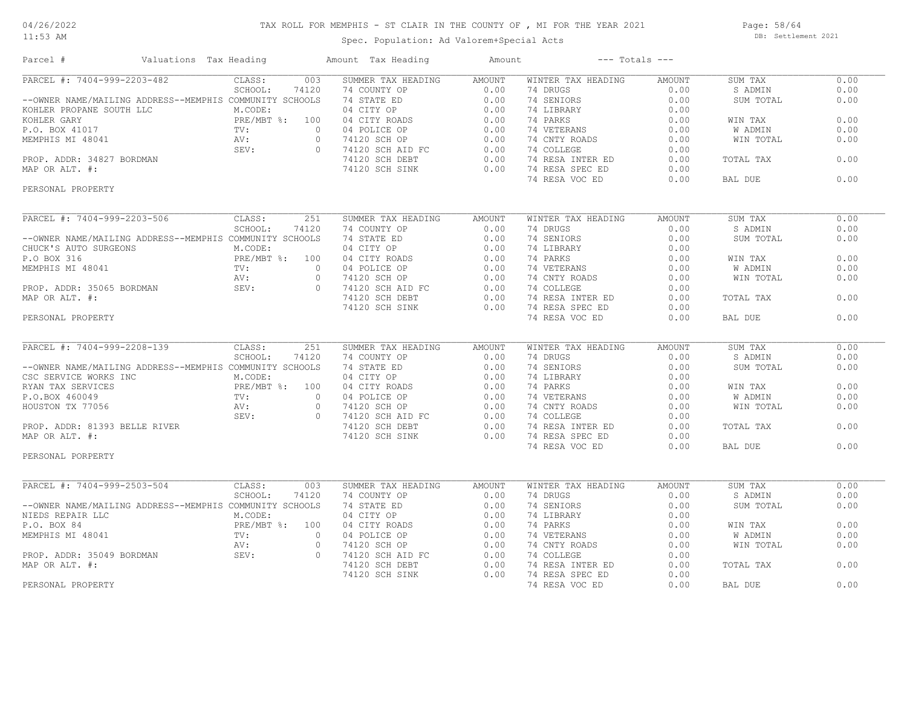11:53 AM

# TAX ROLL FOR MEMPHIS - ST CLAIR IN THE COUNTY OF , MI FOR THE YEAR 2021

Spec. Population: Ad Valorem+Special Acts

Page: 58/64 DB: Settlement 2021

| Parcel #<br>Valuations Tax Heading                                                                                                                                                                           |                  | Amount Tax Heading                                                                                                                                                                                                                                                 | Amount |                              | $---$ Totals $---$ |           |      |
|--------------------------------------------------------------------------------------------------------------------------------------------------------------------------------------------------------------|------------------|--------------------------------------------------------------------------------------------------------------------------------------------------------------------------------------------------------------------------------------------------------------------|--------|------------------------------|--------------------|-----------|------|
| PARCEL #: 7404-999-2203-482                                                                                                                                                                                  | CLASS:<br>003    | SUMMER TAX HEADING                                                                                                                                                                                                                                                 | AMOUNT | WINTER TAX HEADING           | <b>AMOUNT</b>      | SUM TAX   | 0.00 |
|                                                                                                                                                                                                              | SCHOOL:<br>74120 |                                                                                                                                                                                                                                                                    |        | 74 DRUGS                     | 0.00               | S ADMIN   | 0.00 |
| --OWNER NAME/MAILING ADDRESS--MEMPHIS COMMUNITY SCHOOLS                                                                                                                                                      |                  |                                                                                                                                                                                                                                                                    |        | 74 SENIORS                   | 0.00               | SUM TOTAL | 0.00 |
| --OWNER NAME/MAILING ADDRESS--MEMITIS OGMINIST ACCODE:<br>KOHLER GARY<br>KOHLER GARY<br>FOL. BOX 41017<br>PRE/MBT %: 100<br>MEMPHIS MI 48041<br>PROP. ADDR: 34827 BORDMAN<br>MAP OR ALT. #:<br>PROP. ALT. #: |                  | NEWS TAX HEADING<br>74 COUNTY OP<br>74 STATE ED<br>0.00<br>04 CITY OP<br>0.00<br>04 CITY ROADS<br>0.00<br>04 POLICE OP<br>74120 SCH AID FC<br>74120 SCH AID FC<br>74120 SCH BEBT<br>0.00<br>74120 SCH BEBT<br>0.00<br>74120 SCH BEBT<br>0.00<br>74120 SCH BEBT<br> |        | 74 LIBRARY                   | 0.00               |           |      |
|                                                                                                                                                                                                              |                  |                                                                                                                                                                                                                                                                    |        | 74 PARKS                     | 0.00               | WIN TAX   | 0.00 |
|                                                                                                                                                                                                              |                  |                                                                                                                                                                                                                                                                    |        | 74 VETERANS                  | 0.00               | W ADMIN   | 0.00 |
|                                                                                                                                                                                                              |                  | $\overline{0}$                                                                                                                                                                                                                                                     |        | 74 CNTY ROADS                | 0.00               | WIN TOTAL | 0.00 |
|                                                                                                                                                                                                              |                  |                                                                                                                                                                                                                                                                    |        | 74 COLLEGE                   | 0.00               |           |      |
|                                                                                                                                                                                                              |                  |                                                                                                                                                                                                                                                                    |        | 74 RESA INTER ED             | 0.00               | TOTAL TAX | 0.00 |
|                                                                                                                                                                                                              |                  |                                                                                                                                                                                                                                                                    |        | 0.00 74 RESA SPEC ED         | 0.00               |           |      |
| PERSONAL PROPERTY                                                                                                                                                                                            |                  |                                                                                                                                                                                                                                                                    |        | 74 RESA VOC ED               | 0.00               | BAL DUE   | 0.00 |
|                                                                                                                                                                                                              |                  |                                                                                                                                                                                                                                                                    |        |                              |                    |           |      |
| PARCEL #: 7404-999-2203-506                                                                                                                                                                                  | 251<br>CLASS:    | SUMMER TAX HEADING                                                                                                                                                                                                                                                 | AMOUNT | WINTER TAX HEADING           | AMOUNT             | SUM TAX   | 0.00 |
|                                                                                                                                                                                                              | SCHOOL:<br>74120 | 74 COUNTY OP                                                                                                                                                                                                                                                       | 0.00   | 74 DRUGS                     | 0.00               | S ADMIN   | 0.00 |
| --OWNER NAME/MAILING ADDRESS--MEMPHIS COMMUNITY SCHOOLS                                                                                                                                                      |                  | 74 STATE ED                                                                                                                                                                                                                                                        | 0.00   | 74 SENIORS                   | 0.00               | SUM TOTAL | 0.00 |
| CHUCK'S AUTO SURGEONS                                                                                                                                                                                        | M.CODE:          |                                                                                                                                                                                                                                                                    |        | 74 LIBRARY                   | 0.00               |           |      |
|                                                                                                                                                                                                              |                  |                                                                                                                                                                                                                                                                    |        | 74 PARKS                     | 0.00               | WIN TAX   | 0.00 |
| P.O BOX 316<br>MEMPHIS MI 48041<br>PROP. ADDR: 35065 BORDMAN<br>MAP OR ALT. #:<br>MAP OR ALT. #:<br>PROP. ADDR: 35065 BORDMAN<br>MAP OR ALT. #:                                                              |                  |                                                                                                                                                                                                                                                                    |        | 74 VETERANS<br>74 CNTY ROADS | 0.00               | W ADMIN   | 0.00 |
|                                                                                                                                                                                                              |                  |                                                                                                                                                                                                                                                                    |        |                              | 0.00               | WIN TOTAL | 0.00 |
|                                                                                                                                                                                                              |                  |                                                                                                                                                                                                                                                                    |        | 74 COLLEGE                   | 0.00               |           |      |
|                                                                                                                                                                                                              |                  |                                                                                                                                                                                                                                                                    |        | 74 RESA INTER ED             | 0.00               | TOTAL TAX | 0.00 |
|                                                                                                                                                                                                              |                  | 74120 SCH SINK                                                                                                                                                                                                                                                     | 0.00   | 74 RESA SPEC ED              | 0.00               |           |      |
| PERSONAL PROPERTY                                                                                                                                                                                            |                  |                                                                                                                                                                                                                                                                    |        | 74 RESA VOC ED               | 0.00               | BAL DUE   | 0.00 |
|                                                                                                                                                                                                              |                  |                                                                                                                                                                                                                                                                    |        |                              |                    |           |      |
| PARCEL #: 7404-999-2208-139                                                                                                                                                                                  | CLASS:<br>251    | SUMMER TAX HEADING                                                                                                                                                                                                                                                 | AMOUNT | WINTER TAX HEADING           | <b>AMOUNT</b>      | SUM TAX   | 0.00 |
|                                                                                                                                                                                                              | SCHOOL:<br>74120 | 74 COUNTY OP                                                                                                                                                                                                                                                       | 0.00   | 74 DRUGS                     | 0.00               | S ADMIN   | 0.00 |
| --OWNER NAME/MAILING ADDRESS--MEMPHIS COMMUNITY SCHOOLS                                                                                                                                                      |                  |                                                                                                                                                                                                                                                                    |        |                              | 0.00               | SUM TOTAL | 0.00 |
|                                                                                                                                                                                                              |                  |                                                                                                                                                                                                                                                                    |        |                              | 0.00               |           |      |
|                                                                                                                                                                                                              |                  |                                                                                                                                                                                                                                                                    |        |                              | 0.00               | WIN TAX   | 0.00 |
|                                                                                                                                                                                                              |                  |                                                                                                                                                                                                                                                                    |        |                              | 0.00               | W ADMIN   | 0.00 |
|                                                                                                                                                                                                              |                  |                                                                                                                                                                                                                                                                    |        | 74 CNTY ROADS                | 0.00               | WIN TOTAL | 0.00 |
|                                                                                                                                                                                                              |                  |                                                                                                                                                                                                                                                                    |        |                              | 0.00               |           |      |
|                                                                                                                                                                                                              |                  |                                                                                                                                                                                                                                                                    |        | 74 RESA INTER ED             | 0.00               | TOTAL TAX | 0.00 |
| --OWNER NAME/MAILING ADDRESS---MENITIES CONTROLLER<br>COESCONTICE WORKS INC<br>RICODE:<br>PRE/MBT %: 100<br>P.O.BOX 460049<br>HOUSTON TX 77056<br>PROP. ADDR: 81393 BELLE RIVER<br>MAP OR ALT. #:            |                  | 74120 SCH SINK                                                                                                                                                                                                                                                     | 0.00   | 74 RESA SPEC ED              | 0.00               |           |      |
| PERSONAL PORPERTY                                                                                                                                                                                            |                  |                                                                                                                                                                                                                                                                    |        | 74 RESA VOC ED               | 0.00               | BAL DUE   | 0.00 |
|                                                                                                                                                                                                              |                  |                                                                                                                                                                                                                                                                    |        |                              |                    |           |      |
| PARCEL #: 7404-999-2503-504                                                                                                                                                                                  | CLASS:<br>003    | SUMMER TAX HEADING                                                                                                                                                                                                                                                 | AMOUNT | WINTER TAX HEADING           | <b>AMOUNT</b>      | SUM TAX   | 0.00 |
|                                                                                                                                                                                                              | SCHOOL:<br>74120 | 74 COUNTY OP<br>74 COUNTY OP<br>74 STATE ED 0.00<br>04 CITY OP 0.00<br>04 CITY ROADS 0.00<br>04 POLICE OP 0.00<br>74120 SCH OP 0.00<br>74120 SCH AID FC 0.00<br>74120 SCH AID FC 0.00<br>74120 SCH AID FC 0.00<br>0.00                                             |        | 74 DRUGS                     | 0.00               | S ADMIN   | 0.00 |
|                                                                                                                                                                                                              |                  |                                                                                                                                                                                                                                                                    |        | 74 SENIORS                   | 0.00               | SUM TOTAL | 0.00 |
|                                                                                                                                                                                                              |                  |                                                                                                                                                                                                                                                                    |        | 74 LIBRARY                   | 0.00               |           |      |
|                                                                                                                                                                                                              |                  |                                                                                                                                                                                                                                                                    |        | 74 PARKS                     | 0.00               | WIN TAX   | 0.00 |
|                                                                                                                                                                                                              |                  |                                                                                                                                                                                                                                                                    |        | 74 VETERANS<br>74 CNTY ROADS | 0.00               | W ADMIN   | 0.00 |
|                                                                                                                                                                                                              |                  |                                                                                                                                                                                                                                                                    |        |                              | 0.00               | WIN TOTAL | 0.00 |
|                                                                                                                                                                                                              |                  |                                                                                                                                                                                                                                                                    |        | 74 COLLEGE                   | 0.00               |           |      |
|                                                                                                                                                                                                              |                  |                                                                                                                                                                                                                                                                    |        | 74 RESA INTER ED             | 0.00               | TOTAL TAX | 0.00 |
|                                                                                                                                                                                                              |                  | 74120 SCH SINK                                                                                                                                                                                                                                                     | 0.00   | 74 RESA SPEC ED              | 0.00               |           |      |
| OWNER NAME/MAILING ADDRESS--MEMPHIS COLL:<br>IEDS REPAIR LLC M.CODE:<br>.O. BOX 84 PRE/MBT %: 100<br>EMPHIS MI 48041 TV: 0<br>PROP. ADDR: 35049 BORDMAN SEV: 0<br>MAP OR ALT. #:                             |                  |                                                                                                                                                                                                                                                                    |        | 74 RESA VOC ED               | 0.00               | BAL DUE   | 0.00 |
|                                                                                                                                                                                                              |                  |                                                                                                                                                                                                                                                                    |        |                              |                    |           |      |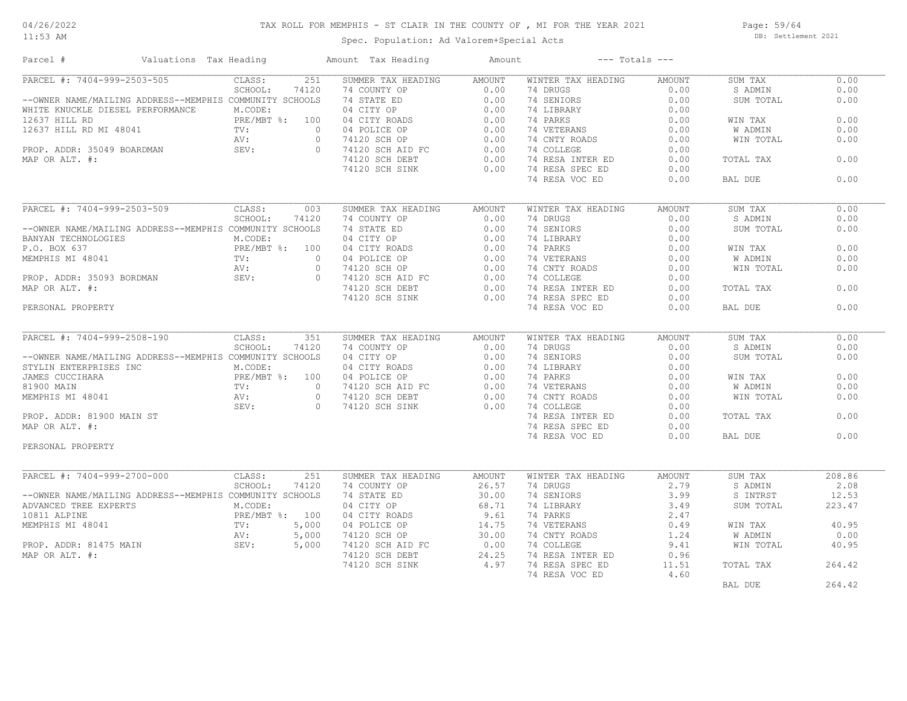11:53 AM

# TAX ROLL FOR MEMPHIS - ST CLAIR IN THE COUNTY OF , MI FOR THE YEAR 2021

Spec. Population: Ad Valorem+Special Acts

Page: 59/64 DB: Settlement 2021

| Parcel #                                                                                                                                                                                                                                                    | Valuations Tax Heading |                  | Amount Tax Heading                                                                                                                                                                                                                                                                                                                                                                                                                                          | Amount        |                                   | $---$ Totals $---$ |           |        |
|-------------------------------------------------------------------------------------------------------------------------------------------------------------------------------------------------------------------------------------------------------------|------------------------|------------------|-------------------------------------------------------------------------------------------------------------------------------------------------------------------------------------------------------------------------------------------------------------------------------------------------------------------------------------------------------------------------------------------------------------------------------------------------------------|---------------|-----------------------------------|--------------------|-----------|--------|
| PARCEL #: 7404-999-2503-505                                                                                                                                                                                                                                 |                        | 251<br>CLASS:    | SUMMER TAX HEADING                                                                                                                                                                                                                                                                                                                                                                                                                                          | <b>AMOUNT</b> | WINTER TAX HEADING                | <b>AMOUNT</b>      | SUM TAX   | 0.00   |
|                                                                                                                                                                                                                                                             |                        | SCHOOL:<br>74120 |                                                                                                                                                                                                                                                                                                                                                                                                                                                             |               | 74 DRUGS                          | 0.00               | S ADMIN   | 0.00   |
| --OWNER NAME/MAILING ADDRESS--MEMPHIS COMMUNITY SCHOOLS                                                                                                                                                                                                     |                        |                  |                                                                                                                                                                                                                                                                                                                                                                                                                                                             |               | 74 SENIORS                        | 0.00               | SUM TOTAL | 0.00   |
| WHITE KNUCKLE DIESEL PERFORMANCE                                                                                                                                                                                                                            |                        | M.CODE:          | NOWHER TAX HEADLING<br>74 COUNTY OP 0.00<br>04 CITY OP 0.00<br>04 CITY ROADS 0.00<br>04 CITY ROADS 0.00<br>04 POLICE OP 0.00<br>74120 SCH AID FC 0.00<br>74120 SCH AID FC 0.00<br>74120 SCH AEDFT 0.00<br>74120 SCH BEBT 0.00<br>74120 SCH BERT 0.                                                                                                                                                                                                          |               | 74 LIBRARY                        | 0.00               |           |        |
| 12637 HILL RD<br>12637 HILL RD<br>12637 HILL RD<br>12637 HILL RD<br>12637 HILL RD<br>MI 48041<br>TV:<br>AV:<br>AV:<br>SEV:<br>SEV:<br>SEV:                                                                                                                  |                        | PRE/MBT %: 100   |                                                                                                                                                                                                                                                                                                                                                                                                                                                             |               | 74 PARKS                          | 0.00               | WIN TAX   | 0.00   |
|                                                                                                                                                                                                                                                             |                        |                  | $\overline{0}$                                                                                                                                                                                                                                                                                                                                                                                                                                              |               | 74 VETERANS                       | 0.00               | W ADMIN   | 0.00   |
|                                                                                                                                                                                                                                                             |                        |                  | $\overline{0}$                                                                                                                                                                                                                                                                                                                                                                                                                                              |               | 74 CNTY ROADS                     | 0.00               | WIN TOTAL | 0.00   |
|                                                                                                                                                                                                                                                             |                        |                  | $\overline{0}$                                                                                                                                                                                                                                                                                                                                                                                                                                              |               | 74 COLLEGE                        | 0.00               |           |        |
|                                                                                                                                                                                                                                                             |                        |                  |                                                                                                                                                                                                                                                                                                                                                                                                                                                             |               | 74 RESA INTER ED                  | 0.00               | TOTAL TAX | 0.00   |
|                                                                                                                                                                                                                                                             |                        |                  | 74120 SCH SINK                                                                                                                                                                                                                                                                                                                                                                                                                                              | 0.00          | 74 RESA SPEC ED                   | 0.00               |           |        |
|                                                                                                                                                                                                                                                             |                        |                  |                                                                                                                                                                                                                                                                                                                                                                                                                                                             |               | 74 RESA VOC ED                    | 0.00               | BAL DUE   | 0.00   |
| PARCEL #: 7404-999-2503-509                                                                                                                                                                                                                                 |                        | CLASS:<br>003    | 3 30 MMER TAX HEADING<br>3 74 COUNTY OP 0.00<br>5 74 STATE ED 0.00<br>04 CITY OP 0.00<br>00 04 CITY ROADS 0.00<br>0 04 POLICE OP 0.00<br>0 74120 SCH AID FC 0.00<br>74120 SCH DEBT 0.00<br>0.00<br>74120 SCH DEBT 0.00                                                                                                                                                                                                                                      |               | WINTER TAX HEADING                | <b>AMOUNT</b>      | SUM TAX   | 0.00   |
|                                                                                                                                                                                                                                                             |                        | SCHOOL:<br>74120 |                                                                                                                                                                                                                                                                                                                                                                                                                                                             |               | 74 DRUGS                          | 0.00               | S ADMIN   | 0.00   |
|                                                                                                                                                                                                                                                             |                        |                  |                                                                                                                                                                                                                                                                                                                                                                                                                                                             |               |                                   |                    |           | 0.00   |
| --OWNER NAME/MAILING ADDRESS--MEMPHIS COMMUNITY SCHOOLS                                                                                                                                                                                                     |                        |                  |                                                                                                                                                                                                                                                                                                                                                                                                                                                             |               | 74 SENIORS                        | 0.00               | SUM TOTAL |        |
|                                                                                                                                                                                                                                                             |                        |                  |                                                                                                                                                                                                                                                                                                                                                                                                                                                             |               | 74 LIBRARY                        | 0.00               |           | 0.00   |
|                                                                                                                                                                                                                                                             |                        |                  |                                                                                                                                                                                                                                                                                                                                                                                                                                                             |               | 74 PARKS                          | 0.00               | WIN TAX   |        |
|                                                                                                                                                                                                                                                             |                        |                  |                                                                                                                                                                                                                                                                                                                                                                                                                                                             |               | 74 VETERANS                       | 0.00               | W ADMIN   | 0.00   |
| --OWNER NAME/MAILING ADDRESS--MEMITIS COMMUNII SCHOOLS<br>BANYAN TECHNOLOGIES<br>P.O. BOX 637<br>MEMPHIS MI 48041<br>PROP. ADDR: 35093 BORDMAN<br>MAP OR ALT. #:<br>PERSONAL PROPERTY                                                                       |                        |                  |                                                                                                                                                                                                                                                                                                                                                                                                                                                             |               | 74 CNTY ROADS                     | 0.00               | WIN TOTAL | 0.00   |
|                                                                                                                                                                                                                                                             |                        |                  |                                                                                                                                                                                                                                                                                                                                                                                                                                                             |               | 74 COLLEGE                        | 0.00               |           |        |
|                                                                                                                                                                                                                                                             |                        |                  |                                                                                                                                                                                                                                                                                                                                                                                                                                                             |               | 74 RESA INTER ED                  | 0.00               | TOTAL TAX | 0.00   |
|                                                                                                                                                                                                                                                             |                        |                  | 74120 SCH SINK                                                                                                                                                                                                                                                                                                                                                                                                                                              | 0.00          | 74 RESA SPEC ED                   | 0.00               |           |        |
|                                                                                                                                                                                                                                                             |                        |                  |                                                                                                                                                                                                                                                                                                                                                                                                                                                             |               | 74 RESA VOC ED                    | 0.00               | BAL DUE   | 0.00   |
| PARCEL #: 7404-999-2508-190                                                                                                                                                                                                                                 |                        | CLASS:<br>351    | SUMMER TAX HEADING                                                                                                                                                                                                                                                                                                                                                                                                                                          | AMOUNT        | WINTER TAX HEADING                | <b>AMOUNT</b>      | SUM TAX   | 0.00   |
|                                                                                                                                                                                                                                                             |                        | SCHOOL:          |                                                                                                                                                                                                                                                                                                                                                                                                                                                             |               | 74 DRUGS                          | 0.00               | S ADMIN   | 0.00   |
| --OWNER NAME/MAILING ADDRESS--MEMPHIS COMMUNITY SCHOOLS                                                                                                                                                                                                     |                        |                  |                                                                                                                                                                                                                                                                                                                                                                                                                                                             |               | 74 SENIORS                        | 0.00               | SUM TOTAL | 0.00   |
|                                                                                                                                                                                                                                                             |                        |                  |                                                                                                                                                                                                                                                                                                                                                                                                                                                             |               | 74 LIBRARY                        | 0.00               |           |        |
|                                                                                                                                                                                                                                                             |                        |                  |                                                                                                                                                                                                                                                                                                                                                                                                                                                             |               |                                   |                    | WIN TAX   | 0.00   |
|                                                                                                                                                                                                                                                             |                        |                  |                                                                                                                                                                                                                                                                                                                                                                                                                                                             |               | 74 PARKS<br>74 VETERANS 0.00      |                    | W ADMIN   | 0.00   |
|                                                                                                                                                                                                                                                             |                        |                  |                                                                                                                                                                                                                                                                                                                                                                                                                                                             |               | 74 CNTY ROADS                     | 0.00               | WIN TOTAL | 0.00   |
| STYLIN ENTERPRISES INC<br>STYLIN ENTERPRISES INC<br>31900 MAIN<br>MEMPHIS MI 48041<br>MEMPHIS MI 48041<br>PEOP ADDE:<br>PEOP ADDE:<br>PEOP ADDE:<br>PEOP ADDE:<br>20074120 SCH AID FORMERS INC<br>PEOP ADDE:<br>SEV:<br>20074120 SCH SINK<br>PEOP ADDE:<br> |                        |                  | $\begin{tabular}{lllllllllll} \multicolumn{4}{l}{{\small 351}} & \multicolumn{4}{l}{\rule{4pt}{7pt}} & \multicolumn{4}{l}{\rule{4pt}{7pt}} & \multicolumn{4}{l}{\rule{4pt}{7pt}} & \multicolumn{4}{l}{\rule{4pt}{7pt}} & \multicolumn{4}{l}{\rule{4pt}{7pt}} & \multicolumn{4}{l}{\rule{4pt}{7pt}} & \multicolumn{4}{l}{\rule{4pt}{7pt}} & \multicolumn{4}{l}{\rule{4pt}{7pt}} & \multicolumn{4}{l}{\rule{4pt}{7pt}} & \multicolumn{4}{l}{\rule{4pt}{7pt}}$ |               | 74 COLLEGE                        | 0.00               |           |        |
| PROP. ADDR: 81900 MAIN ST                                                                                                                                                                                                                                   |                        |                  |                                                                                                                                                                                                                                                                                                                                                                                                                                                             |               | 74 RESA INTER ED                  | 0.00               | TOTAL TAX | 0.00   |
| MAP OR ALT. #:                                                                                                                                                                                                                                              |                        |                  |                                                                                                                                                                                                                                                                                                                                                                                                                                                             |               | 74 RESA SPEC ED                   | 0.00               |           |        |
|                                                                                                                                                                                                                                                             |                        |                  |                                                                                                                                                                                                                                                                                                                                                                                                                                                             |               | 74 RESA VOC ED                    | 0.00               | BAL DUE   | 0.00   |
| PERSONAL PROPERTY                                                                                                                                                                                                                                           |                        |                  |                                                                                                                                                                                                                                                                                                                                                                                                                                                             |               |                                   |                    |           |        |
|                                                                                                                                                                                                                                                             |                        |                  |                                                                                                                                                                                                                                                                                                                                                                                                                                                             |               |                                   |                    |           |        |
| PARCEL #: 7404-999-2700-000                                                                                                                                                                                                                                 |                        | CLASS:<br>251    | SUMMER TAX HEADING                                                                                                                                                                                                                                                                                                                                                                                                                                          | AMOUNT        | WINTER TAX HEADING                | AMOUNT             | SUM TAX   | 208.86 |
|                                                                                                                                                                                                                                                             |                        | SCHOOL:<br>74120 | 74 COUNTY OP                                                                                                                                                                                                                                                                                                                                                                                                                                                | 26.57         | 74 DRUGS                          | 2.79               | S ADMIN   | 2.08   |
| --OWNER NAME/MAILING ADDRESS--MEMPHIS COMMUNITY SCHOOLS                                                                                                                                                                                                     |                        |                  | 74 STATE ED                                                                                                                                                                                                                                                                                                                                                                                                                                                 | 30.00         | 74 SENIORS                        | 3.99               | S INTRST  | 12.53  |
| NOWNICED TREE EXPERTS<br>NOWNICED TREE EXPERTS<br>10811 ALPINE PRE/MBT %: 100<br>MEMPHIS MI 48041 TV: 5,000<br>PROP. ADDR: 81475 MAIN SEV: 5,000<br>MAP OR ALT. #: 5,000                                                                                    |                        |                  |                                                                                                                                                                                                                                                                                                                                                                                                                                                             |               | 74 LIBRARY                        | 3.49               | SUM TOTAL | 223.47 |
|                                                                                                                                                                                                                                                             |                        |                  |                                                                                                                                                                                                                                                                                                                                                                                                                                                             |               | 74 PARKS                          | 2.47               |           |        |
|                                                                                                                                                                                                                                                             |                        |                  |                                                                                                                                                                                                                                                                                                                                                                                                                                                             |               | 74 VETERANS                       | 0.49               | WIN TAX   | 40.95  |
|                                                                                                                                                                                                                                                             |                        |                  |                                                                                                                                                                                                                                                                                                                                                                                                                                                             |               | 74 CNTY ROADS                     | 1.24               | W ADMIN   | 0.00   |
|                                                                                                                                                                                                                                                             |                        |                  |                                                                                                                                                                                                                                                                                                                                                                                                                                                             |               | 74 COLLEGE                        | 9.41               | WIN TOTAL | 40.95  |
|                                                                                                                                                                                                                                                             |                        |                  | 74120 SCH DEBT                                                                                                                                                                                                                                                                                                                                                                                                                                              | 24.25         | 74 RESA INTER ED                  | 0.96               |           |        |
|                                                                                                                                                                                                                                                             |                        |                  | 74120 SCH SINK                                                                                                                                                                                                                                                                                                                                                                                                                                              | 4.97          | 74 RESA SPEC ED<br>74 RESA VOC ED | 11.51<br>4.60      | TOTAL TAX | 264.42 |
|                                                                                                                                                                                                                                                             |                        |                  |                                                                                                                                                                                                                                                                                                                                                                                                                                                             |               |                                   |                    | BAL DUE   | 264.42 |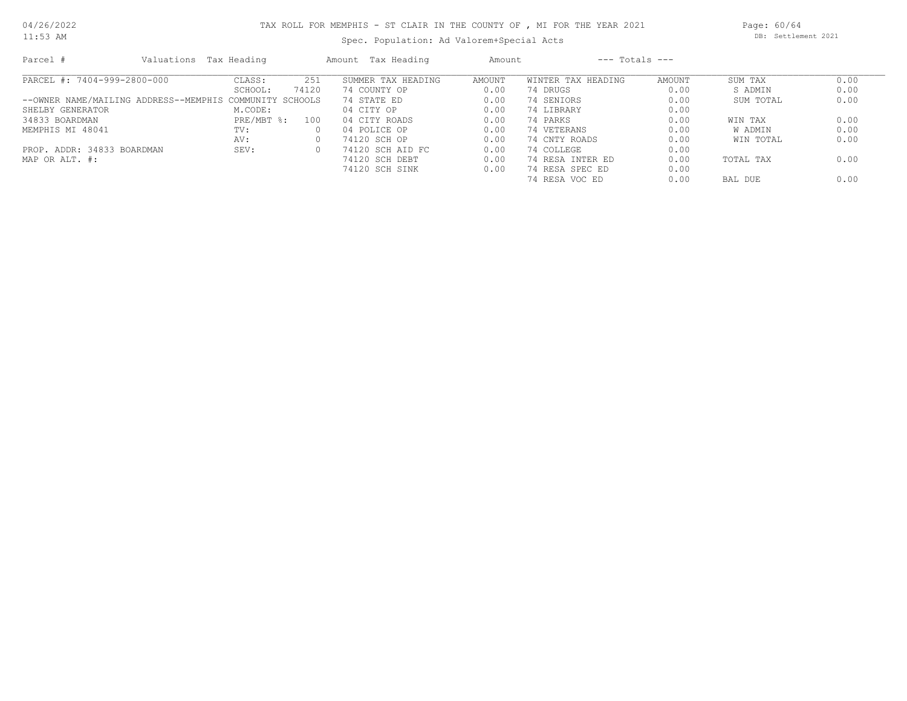11:53 AM

#### TAX ROLL FOR MEMPHIS - ST CLAIR IN THE COUNTY OF , MI FOR THE YEAR 2021

Spec. Population: Ad Valorem+Special Acts

Page: 60/64 DB: Settlement 2021

| Parcel #                                                | Valuations Tax Heading    |          | Amount Tax Heading | Amount        | $---$ Totals $---$ |        |           |      |
|---------------------------------------------------------|---------------------------|----------|--------------------|---------------|--------------------|--------|-----------|------|
| PARCEL #: 7404-999-2800-000                             | CLASS:                    | 251      | SUMMER TAX HEADING | <b>AMOUNT</b> | WINTER TAX HEADING | AMOUNT | SUM TAX   | 0.00 |
|                                                         | SCHOOL:                   | 74120    | 74 COUNTY OP       | 0.00          | 74 DRUGS           | 0.00   | S ADMIN   | 0.00 |
| --OWNER NAME/MAILING ADDRESS--MEMPHIS COMMUNITY SCHOOLS |                           |          | 74 STATE ED        | 0.00          | 74 SENIORS         | 0.00   | SUM TOTAL | 0.00 |
| SHELBY GENERATOR                                        | M.CODE:                   |          | 04 CITY OP         | 0.00          | 74 LIBRARY         | 0.00   |           |      |
| 34833 BOARDMAN                                          | $PRE/MBT$ $\frac{1}{6}$ : | 100      | 04 CITY ROADS      | 0.00          | 74 PARKS           | 0.00   | WIN TAX   | 0.00 |
| MEMPHIS MI 48041                                        | TV:                       | $\Omega$ | 04 POLICE OP       | 0.00          | 74 VETERANS        | 0.00   | W ADMIN   | 0.00 |
|                                                         | AV:                       | 0        | 74120 SCH OP       | 0.00          | 74 CNTY ROADS      | 0.00   | WIN TOTAL | 0.00 |
| PROP. ADDR: 34833 BOARDMAN                              | SEV:                      | $\Omega$ | 74120 SCH AID FC   | 0.00          | 74 COLLEGE         | 0.00   |           |      |
| MAP OR ALT. #:                                          |                           |          | 74120 SCH DEBT     | 0.00          | 74 RESA INTER ED   | 0.00   | TOTAL TAX | 0.00 |
|                                                         |                           |          | 74120 SCH SINK     | 0.00          | 74 RESA SPEC ED    | 0.00   |           |      |
|                                                         |                           |          |                    |               | 74 RESA VOC ED     | 0.00   | BAL DUE   | 0.00 |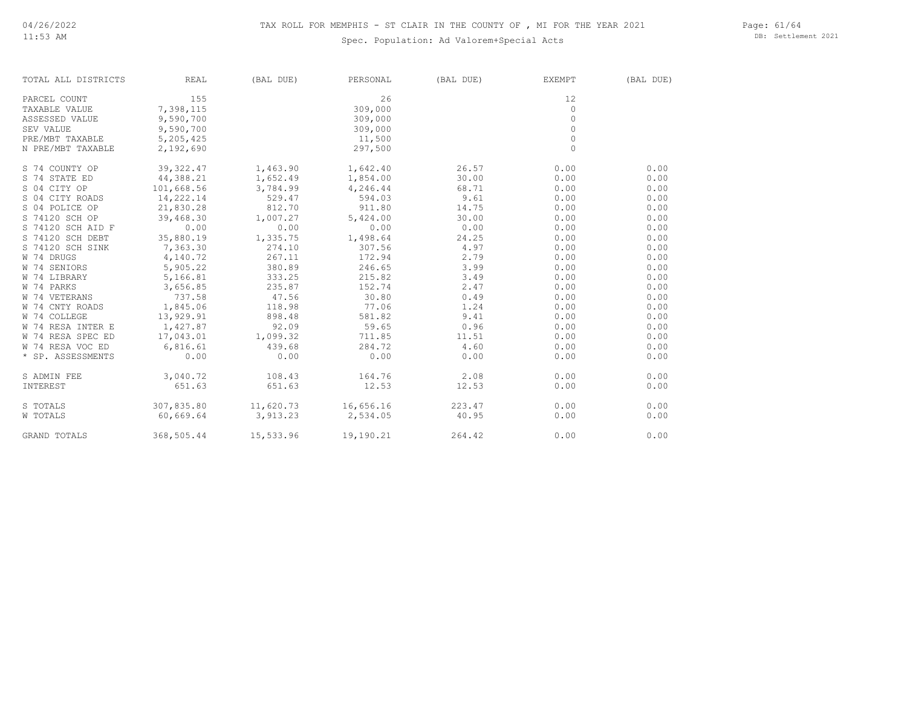#### Spec. Population: Ad Valorem+Special Acts

Page: 61/64 DB: Settlement 2021

| TOTAL ALL DISTRICTS | REAL       | (BAL DUE) | PERSONAL | (BAL DUE) | EXEMPT   | (BAL DUE) |
|---------------------|------------|-----------|----------|-----------|----------|-----------|
| PARCEL COUNT        | 155        |           | 26       |           | 12       |           |
| TAXABLE VALUE       | 7,398,115  |           | 309,000  |           | $\circ$  |           |
| ASSESSED VALUE      | 9,590,700  |           | 309,000  |           | $\Omega$ |           |
| SEV VALUE           | 9,590,700  |           | 309,000  |           | $\Omega$ |           |
| PRE/MBT TAXABLE     | 5,205,425  |           | 11,500   |           | $\circ$  |           |
| N PRE/MBT TAXABLE   | 2,192,690  |           | 297,500  |           | $\circ$  |           |
| S 74 COUNTY OP      | 39,322.47  | 1,463.90  | 1,642.40 | 26.57     | 0.00     | 0.00      |
| S 74 STATE ED       | 44,388.21  | 1,652.49  | 1,854.00 | 30.00     | 0.00     | 0.00      |
| S 04 CITY OP        | 101,668.56 | 3,784.99  | 4,246.44 | 68.71     | 0.00     | 0.00      |
| S 04 CITY ROADS     | 14,222.14  | 529.47    | 594.03   | 9.61      | 0.00     | 0.00      |
| S 04 POLICE OP      | 21,830.28  | 812.70    | 911.80   | 14.75     | 0.00     | 0.00      |
| S 74120 SCH OP      | 39,468.30  | 1,007.27  | 5,424.00 | 30.00     | 0.00     | 0.00      |
| S 74120 SCH AID F   | 0.00       | 0.00      | 0.00     | 0.00      | 0.00     | 0.00      |
| S 74120 SCH DEBT    | 35,880.19  | 1,335.75  | 1,498.64 | 24.25     | 0.00     | 0.00      |
| S 74120 SCH SINK    | 7,363.30   | 274.10    | 307.56   | 4.97      | 0.00     | 0.00      |
| W 74 DRUGS          | 4,140.72   | 267.11    | 172.94   | 2.79      | 0.00     | 0.00      |
| W 74 SENIORS        | 5,905.22   | 380.89    | 246.65   | 3.99      | 0.00     | 0.00      |
| W 74 LIBRARY        | 5,166.81   | 333.25    | 215.82   | 3.49      | 0.00     | 0.00      |
| W 74 PARKS          | 3,656.85   | 235.87    | 152.74   | 2.47      | 0.00     | 0.00      |
| W 74 VETERANS       | 737.58     | 47.56     | 30.80    | 0.49      | 0.00     | 0.00      |
| W 74 CNTY ROADS     | 1,845.06   | 118.98    | 77.06    | 1.24      | 0.00     | 0.00      |
| W 74 COLLEGE        | 13,929.91  | 898.48    | 581.82   | 9.41      | 0.00     | 0.00      |
| W 74 RESA INTER E   | 1,427.87   | 92.09     | 59.65    | 0.96      | 0.00     | 0.00      |
| W 74 RESA SPEC ED   | 17,043.01  | 1,099.32  | 711.85   | 11.51     | 0.00     | 0.00      |
| W 74 RESA VOC ED    | 6,816.61   | 439.68    | 284.72   | 4.60      | 0.00     | 0.00      |
| * SP. ASSESSMENTS   | 0.00       | 0.00      | 0.00     | 0.00      | 0.00     | 0.00      |
| S ADMIN FEE         | 3,040.72   | 108.43    | 164.76   | 2.08      | 0.00     | 0.00      |
| INTEREST            | 651.63     | 651.63    | 12.53    | 12.53     | 0.00     | 0.00      |

GRAND TOTALS 368,505.44 15,533.96 19,190.21 264.42 0.00 0.00 0.00 W TOTALS 60,669.64 3,913.23 2,534.05 40.95 0.00 0.00 0.00 S TOTALS 307,835.80 11,620.73 16,656.16 223.47 0.00 0.00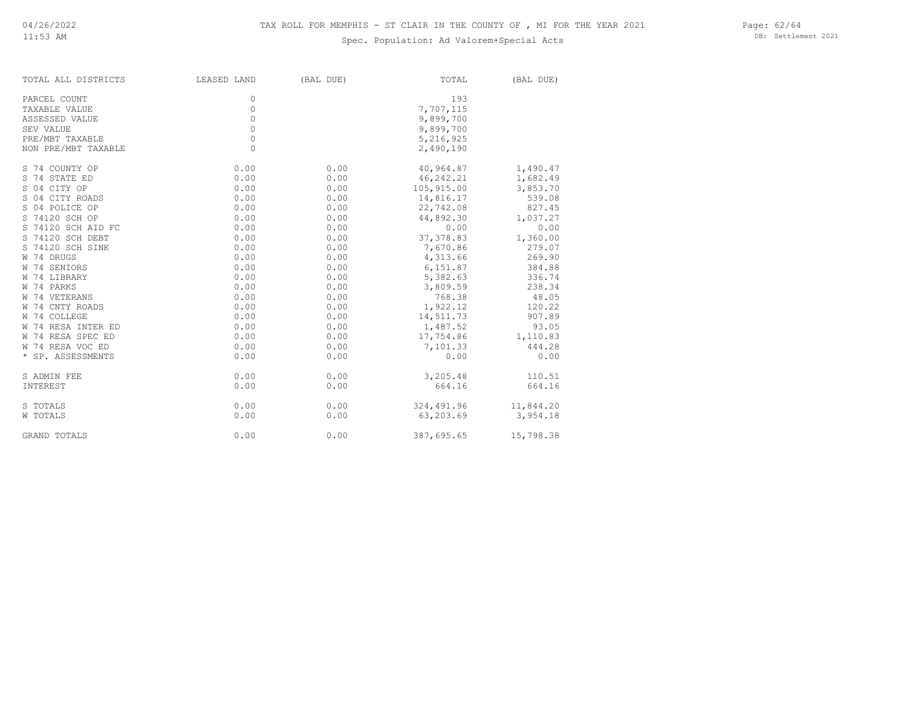#### Spec. Population: Ad Valorem+Special Acts

Page: 62/64 DB: Settlement 2021

| TOTAL ALL DISTRICTS | LEASED LAND | (BAL DUE) | TOTAL      | (BAL DUE) |
|---------------------|-------------|-----------|------------|-----------|
| PARCEL COUNT        | 0           |           | 193        |           |
| TAXABLE VALUE       | 0           |           | 7,707,115  |           |
| ASSESSED VALUE      | 0           |           | 9,899,700  |           |
| SEV VALUE           | 0           |           | 9,899,700  |           |
| PRE/MBT TAXABLE     | $\circ$     |           | 5,216,925  |           |
| NON PRE/MBT TAXABLE | $\circ$     |           | 2,490,190  |           |
| S 74 COUNTY OP      | 0.00        | 0.00      | 40,964.87  | 1,490.47  |
| S 74 STATE ED       | 0.00        | 0.00      | 46,242.21  | 1,682.49  |
| S 04 CITY OP        | 0.00        | 0.00      | 105,915.00 | 3,853.70  |
| S 04 CITY ROADS     | 0.00        | 0.00      | 14,816.17  | 539.08    |
| S 04 POLICE OP      | 0.00        | 0.00      | 22,742.08  | 827.45    |
| S 74120 SCH OP      | 0.00        | 0.00      | 44,892.30  | 1,037.27  |
| S 74120 SCH AID FC  | 0.00        | 0.00      | 0.00       | 0.00      |
| S 74120 SCH DEBT    | 0.00        | 0.00      | 37, 378.83 | 1,360.00  |
| S 74120 SCH SINK    | 0.00        | 0.00      | 7,670.86   | 279.07    |
| W 74 DRUGS          | 0.00        | 0.00      | 4,313.66   | 269.90    |
| W 74 SENIORS        | 0.00        | 0.00      | 6,151.87   | 384.88    |
| W 74 LIBRARY        | 0.00        | 0.00      | 5,382.63   | 336.74    |
| W 74 PARKS          | 0.00        | 0.00      | 3,809.59   | 238.34    |
| W 74 VETERANS       | 0.00        | 0.00      | 768.38     | 48.05     |
| W 74 CNTY ROADS     | 0.00        | 0.00      | 1,922.12   | 120.22    |
| W 74 COLLEGE        | 0.00        | 0.00      | 14,511.73  | 907.89    |
| W 74 RESA INTER ED  | 0.00        | 0.00      | 1,487.52   | 93.05     |
| W 74 RESA SPEC ED   | 0.00        | 0.00      | 17,754.86  | 1,110.83  |
| W 74 RESA VOC ED    | 0.00        | 0.00      | 7,101.33   | 444.28    |
| * SP. ASSESSMENTS   | 0.00        | 0.00      | 0.00       | 0.00      |
| S ADMIN FEE         | 0.00        | 0.00      | 3,205.48   | 110.51    |
| INTEREST            | 0.00        | 0.00      | 664.16     | 664.16    |
| S TOTALS            | 0.00        | 0.00      | 324,491.96 | 11,844.20 |
| W TOTALS            | 0.00        | 0.00      | 63,203.69  | 3,954.18  |
| GRAND TOTALS        | 0.00        | 0.00      | 387,695.65 | 15,798.38 |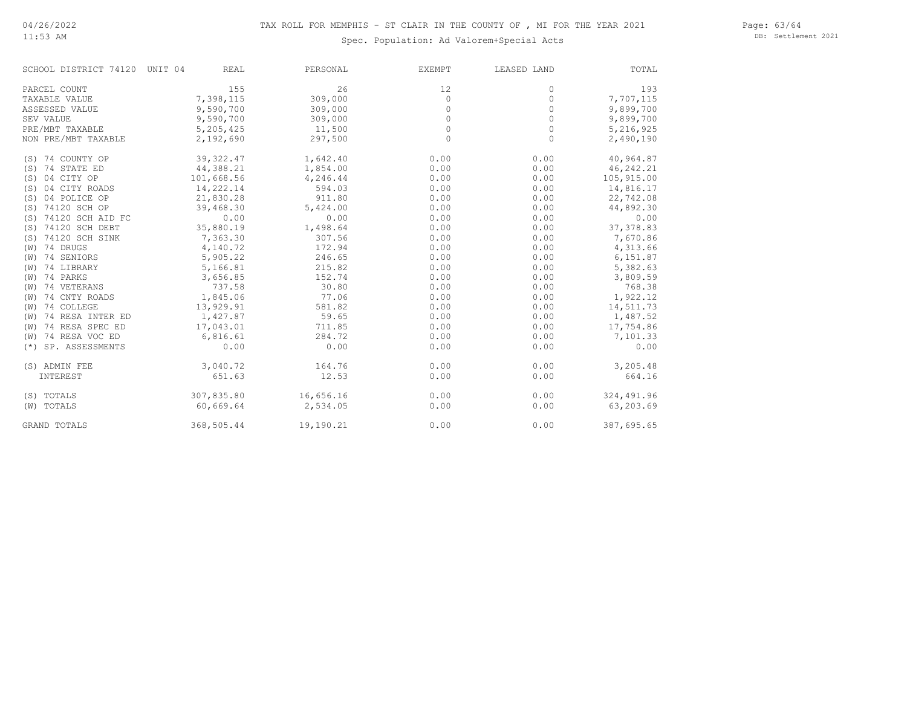#### Page: 63/64 DB: Settlement 2021

#### Spec. Population: Ad Valorem+Special Acts

| SCHOOL DISTRICT 74120 UNIT 04 | REAL       | PERSONAL  | EXEMPT   | LEASED LAND | TOTAL       |
|-------------------------------|------------|-----------|----------|-------------|-------------|
| PARCEL COUNT                  | 155        | 26        | 12       | 0           | 193         |
| TAXABLE VALUE                 | 7,398,115  | 309,000   | $\circ$  | 0           | 7,707,115   |
| ASSESSED VALUE                | 9,590,700  | 309,000   | 0        | $\Omega$    | 9,899,700   |
| SEV VALUE                     | 9,590,700  | 309,000   | $\Omega$ | $\Omega$    | 9,899,700   |
| PRE/MBT TAXABLE               | 5,205,425  | 11,500    | $\Omega$ | $\Omega$    | 5,216,925   |
| NON PRE/MBT TAXABLE           | 2,192,690  | 297,500   | $\Omega$ | 0           | 2,490,190   |
| (S) 74 COUNTY OP              | 39, 322.47 | 1,642.40  | 0.00     | 0.00        | 40,964.87   |
| (S) 74 STATE ED               | 44,388.21  | 1,854.00  | 0.00     | 0.00        | 46, 242. 21 |
| 04 CITY OP<br>(S)             | 101,668.56 | 4,246.44  | 0.00     | 0.00        | 105,915.00  |
| 04 CITY ROADS<br>(S)          | 14,222.14  | 594.03    | 0.00     | 0.00        | 14,816.17   |
| 04 POLICE OP<br>(S)           | 21,830.28  | 911.80    | 0.00     | 0.00        | 22,742.08   |
| (S) 74120 SCH OP              | 39,468.30  | 5,424.00  | 0.00     | 0.00        | 44,892.30   |
| (S) 74120 SCH AID FC          | 0.00       | 0.00      | 0.00     | 0.00        | 0.00        |
| (S) 74120 SCH DEBT            | 35,880.19  | 1,498.64  | 0.00     | 0.00        | 37, 378.83  |
| (S) 74120 SCH SINK            | 7,363.30   | 307.56    | 0.00     | 0.00        | 7,670.86    |
| 74 DRUGS<br>(W)               | 4,140.72   | 172.94    | 0.00     | 0.00        | 4,313.66    |
| $(W)$ 74 SENIORS              | 5,905.22   | 246.65    | 0.00     | 0.00        | 6,151.87    |
| (W) 74 LIBRARY                | 5,166.81   | 215.82    | 0.00     | 0.00        | 5,382.63    |
| $(W)$ 74 PARKS                | 3,656.85   | 152.74    | 0.00     | 0.00        | 3,809.59    |
| (W) 74 VETERANS               | 737.58     | 30.80     | 0.00     | 0.00        | 768.38      |
| 74 CNTY ROADS<br>(W)          | 1,845.06   | 77.06     | 0.00     | 0.00        | 1,922.12    |
| 74 COLLEGE<br>(W)             | 13,929.91  | 581.82    | 0.00     | 0.00        | 14,511.73   |
| 74 RESA INTER ED<br>(W)       | 1,427.87   | 59.65     | 0.00     | 0.00        | 1,487.52    |
| 74 RESA SPEC ED<br>(W)        | 17,043.01  | 711.85    | 0.00     | 0.00        | 17,754.86   |
| (W) 74 RESA VOC ED            | 6,816.61   | 284.72    | 0.00     | 0.00        | 7,101.33    |
| SP. ASSESSMENTS<br>$(*)$      | 0.00       | 0.00      | 0.00     | 0.00        | 0.00        |
| (S) ADMIN FEE                 | 3,040.72   | 164.76    | 0.00     | 0.00        | 3,205.48    |
| INTEREST                      | 651.63     | 12.53     | 0.00     | 0.00        | 664.16      |
| (S) TOTALS                    | 307,835.80 | 16,656.16 | 0.00     | 0.00        | 324,491.96  |
| (W) TOTALS                    | 60,669.64  | 2,534.05  | 0.00     | 0.00        | 63,203.69   |
| <b>GRAND TOTALS</b>           | 368,505.44 | 19,190.21 | 0.00     | 0.00        | 387,695.65  |